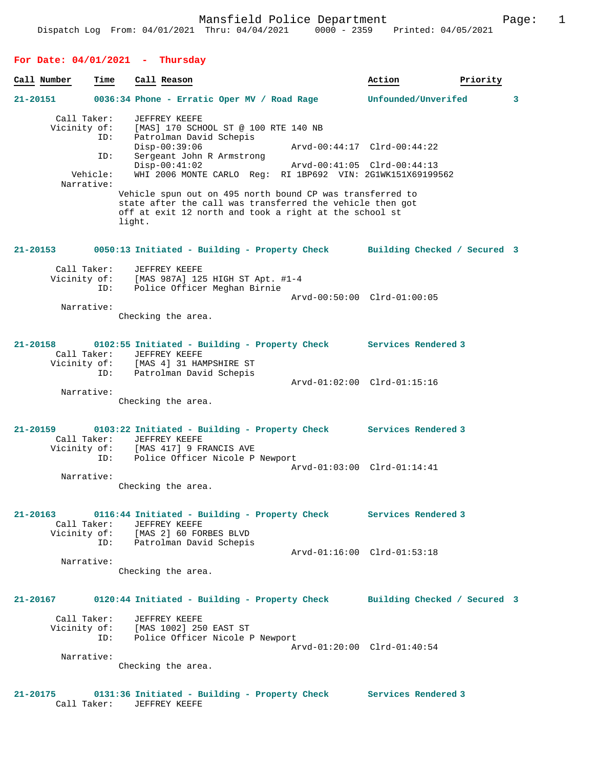# **For Date: 04/01/2021 - Thursday**

| Call Number  | Time                                                                | Call Reason                                                                                                           |                                      |                                                                                                                                                                                  | Action                                                                                                                   | Priority |
|--------------|---------------------------------------------------------------------|-----------------------------------------------------------------------------------------------------------------------|--------------------------------------|----------------------------------------------------------------------------------------------------------------------------------------------------------------------------------|--------------------------------------------------------------------------------------------------------------------------|----------|
| $21 - 20151$ |                                                                     | 0036:34 Phone - Erratic Oper MV / Road Rage                                                                           |                                      |                                                                                                                                                                                  | Unfounded/Unverifed                                                                                                      | 3        |
|              | Call Taker:<br>Vicinity of:<br>ID:<br>ID:<br>Vehicle:<br>Narrative: | JEFFREY KEEFE<br>Patrolman David Schepis<br>$Disp-00:39:06$<br>Sergeant John R Armstrong<br>$Disp-00:41:02$<br>light. | [MAS] 170 SCHOOL ST @ 100 RTE 140 NB | Vehicle spun out on 495 north bound CP was transferred to<br>state after the call was transferred the vehicle then got<br>off at exit 12 north and took a right at the school st | Arvd-00:44:17 Clrd-00:44:22<br>Arvd-00:41:05 Clrd-00:44:13<br>WHI 2006 MONTE CARLO Req: RI 1BP692 VIN: 2G1WK151X69199562 |          |
| 21-20153     |                                                                     | 0050:13 Initiated - Building - Property Check                                                                         |                                      |                                                                                                                                                                                  | Building Checked / Secured 3                                                                                             |          |
|              | Call Taker:<br>Vicinity of:<br>ID:<br>Narrative:                    | JEFFREY KEEFE<br>[MAS 987A] 125 HIGH ST Apt. #1-4<br>Checking the area.                                               | Police Officer Meghan Birnie         |                                                                                                                                                                                  | Arvd-00:50:00 Clrd-01:00:05                                                                                              |          |
| 21-20158     | Call Taker:<br>ID:<br>Narrative:                                    | JEFFREY KEEFE<br>Vicinity of: [MAS 4] 31 HAMPSHIRE ST<br>Patrolman David Schepis                                      |                                      |                                                                                                                                                                                  | 0102:55 Initiated - Building - Property Check Services Rendered 3<br>Arvd-01:02:00 Clrd-01:15:16                         |          |
|              |                                                                     | Checking the area.                                                                                                    |                                      |                                                                                                                                                                                  |                                                                                                                          |          |
| 21-20159     |                                                                     | Call Taker: JEFFREY KEEFE                                                                                             |                                      |                                                                                                                                                                                  | 0103:22 Initiated - Building - Property Check Services Rendered 3<br>Arvd-01:03:00 Clrd-01:14:41                         |          |
|              | Narrative:                                                          | Checking the area.                                                                                                    |                                      |                                                                                                                                                                                  |                                                                                                                          |          |
| $21 - 20163$ | Call Taker:<br>ID:                                                  | JEFFREY KEEFE<br>Vicinity of: [MAS 2] 60 FORBES BLVD<br>Patrolman David Schepis                                       |                                      |                                                                                                                                                                                  | 0116:44 Initiated - Building - Property Check Services Rendered 3                                                        |          |
|              | Narrative:                                                          | Checking the area.                                                                                                    |                                      |                                                                                                                                                                                  | Arvd-01:16:00 Clrd-01:53:18                                                                                              |          |
| 21-20167     |                                                                     |                                                                                                                       |                                      |                                                                                                                                                                                  | 0120:44 Initiated - Building - Property Check Building Checked / Secured 3                                               |          |
|              | Call Taker:<br>Vicinity of:<br>ID:<br>Narrative:                    | JEFFREY KEEFE<br>[MAS 1002] 250 EAST ST<br>Checking the area.                                                         | Police Officer Nicole P Newport      |                                                                                                                                                                                  | Arvd-01:20:00 Clrd-01:40:54                                                                                              |          |
| 21-20175     |                                                                     | 0131:36 Initiated - Building - Property Check                                                                         |                                      |                                                                                                                                                                                  | Services Rendered 3                                                                                                      |          |

Call Taker: JEFFREY KEEFE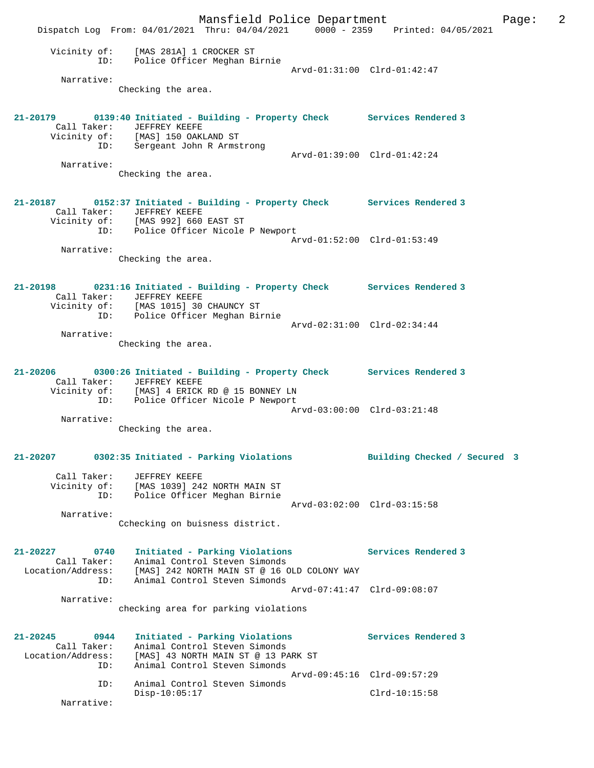Mansfield Police Department The Page: 2 Dispatch Log From: 04/01/2021 Thru: 04/04/2021 0000 - 2359 Printed: 04/05/2021 Vicinity of: [MAS 281A] 1 CROCKER ST ID: Police Officer Meghan Birnie MAS 281A) I CROCREN SI<br>Police Officer Meghan Birnie<br>Arvd-01:31:00 Clrd-01:42:47 Narrative: Checking the area. **21-20179 0139:40 Initiated - Building - Property Check Services Rendered 3**  Call Taker: JEFFREY KEEFE Vicinity of: [MAS] 150 OAKLAND ST ID: Sergeant John R Armstrong Arvd-01:39:00 Clrd-01:42:24 Narrative: Checking the area. **21-20187 0152:37 Initiated - Building - Property Check Services Rendered 3**  Call Taker: JEFFREY KEEFE Vicinity of: [MAS 992] 660 EAST ST ID: Police Officer Nicole P Newport Arvd-01:52:00 Clrd-01:53:49 Narrative: Checking the area. **21-20198 0231:16 Initiated - Building - Property Check Services Rendered 3**  Call Taker: JEFFREY KEEFE Vicinity of: [MAS 1015] 30 CHAUNCY ST ID: Police Officer Meghan Birnie Arvd-02:31:00 Clrd-02:34:44 Narrative: Checking the area. **21-20206 0300:26 Initiated - Building - Property Check Services Rendered 3**  Call Taker: JEFFREY KEEFE Vicinity of: [MAS] 4 ERICK RD @ 15 BONNEY LN ID: Police Officer Nicole P Newport Arvd-03:00:00 Clrd-03:21:48 Narrative: Checking the area. **21-20207 0302:35 Initiated - Parking Violations Building Checked / Secured 3** Call Taker: JEFFREY KEEFE Vicinity of: [MAS 1039] 242 NORTH MAIN ST ID: Police Officer Meghan Birnie Arvd-03:02:00 Clrd-03:15:58 Narrative: Cchecking on buisness district. **21-20227 0740 Initiated - Parking Violations Services Rendered 3**  Call Taker: Animal Control Steven Simonds Location/Address: [MAS] 242 NORTH MAIN ST @ 16 OLD COLONY WAY ID: Animal Control Steven Simonds Arvd-07:41:47 Clrd-09:08:07 Narrative: checking area for parking violations **21-20245 0944 Initiated - Parking Violations Services Rendered 3**  Call Taker: Animal Control Steven Simonds Location/Address: [MAS] 43 NORTH MAIN ST @ 13 PARK ST ID: Animal Control Steven Simonds Arvd-09:45:16 Clrd-09:57:29<br>TD: Animal Control Steven Simonds Animal Control Steven Simonds Disp-10:05:17 Clrd-10:15:58 Narrative: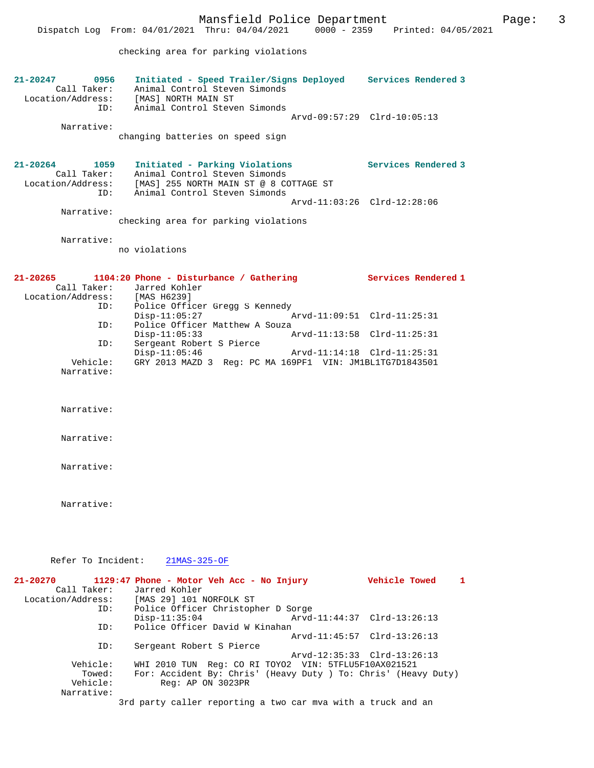Call Taker: Animal Control Steven Simonds Location/Address: [MAS] NORTH MAIN ST ID: Animal Control Steven Simonds Arvd-09:57:29 Clrd-10:05:13 Narrative:

changing batteries on speed sign

### **21-20264 1059 Initiated - Parking Violations Services Rendered 3**  Call Taker: Animal Control Steven Simonds Location/Address: [MAS] 255 NORTH MAIN ST @ 8 COTTAGE ST ID: Animal Control Steven Simonds Arvd-11:03:26 Clrd-12:28:06

 Narrative: checking area for parking violations

Narrative:

no violations

| 21-20265          | 1104:20 Phone - Disturbance / Gathering                  | Services Rendered 1         |
|-------------------|----------------------------------------------------------|-----------------------------|
| Call Taker:       | Jarred Kohler                                            |                             |
| Location/Address: | [MAS H6239]                                              |                             |
| ID:               | Police Officer Gregg S Kennedy                           |                             |
|                   | $Disp-11:05:27$                                          | Arvd-11:09:51 Clrd-11:25:31 |
| ID:               | Police Officer Matthew A Souza                           |                             |
|                   | $Disp-11:05:33$                                          | Arvd-11:13:58 Clrd-11:25:31 |
| ID:               | Sergeant Robert S Pierce                                 |                             |
|                   | $Disp-11:05:46$                                          | Arvd-11:14:18 Clrd-11:25:31 |
| Vehicle:          | GRY 2013 MAZD 3 Req: PC MA 169PF1 VIN: JM1BL1TG7D1843501 |                             |
| Narrative:        |                                                          |                             |

Narrative:

Narrative:

Narrative:

Narrative:

Refer To Incident: 21MAS-325-OF

| $21 - 20270$      | 1129:47 Phone - Motor Veh Acc - No Injury                      | Vehicle Towed               |
|-------------------|----------------------------------------------------------------|-----------------------------|
| Call Taker:       | Jarred Kohler                                                  |                             |
| Location/Address: | [MAS 29] 101 NORFOLK ST                                        |                             |
| ID:               | Police Officer Christopher D Sorge                             |                             |
|                   | $Disp-11:35:04$                                                | Arvd-11:44:37 Clrd-13:26:13 |
| ID:               | Police Officer David W Kinahan                                 |                             |
|                   |                                                                | Arvd-11:45:57 Clrd-13:26:13 |
| ID:               | Sergeant Robert S Pierce                                       |                             |
|                   |                                                                | Arvd-12:35:33 Clrd-13:26:13 |
| Vehicle:          | WHI 2010 TUN Req: CO RI TOYO2 VIN: 5TFLU5F10AX021521           |                             |
| Towed:            | For: Accident By: Chris' (Heavy Duty ) To: Chris' (Heavy Duty) |                             |
| Vehicle:          | Reg: AP ON 3023PR                                              |                             |
| Narrative:        |                                                                |                             |
|                   | 3rd party caller reporting a two car mva with a truck and an   |                             |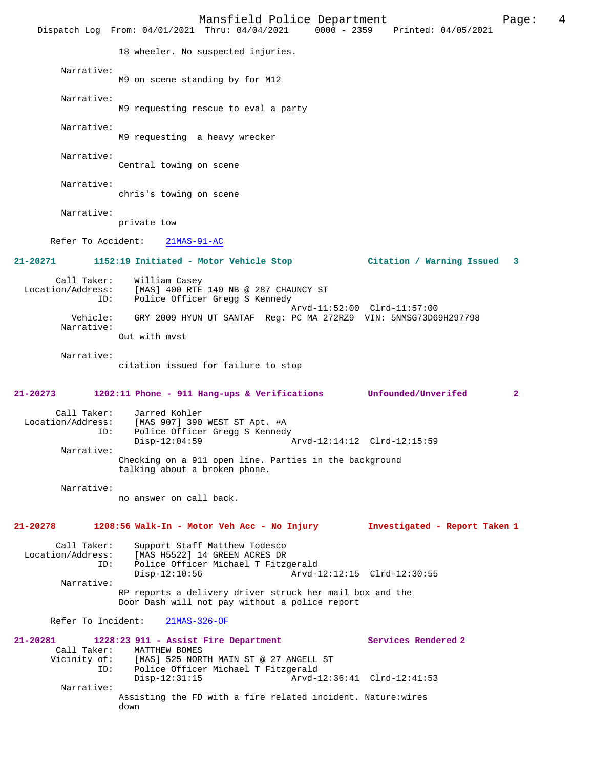Mansfield Police Department<br>Thru:  $04/04/2021$  0000 - 2359 Printed:  $04/05/2021$ Dispatch Log From:  $04/01/2021$  Thru:  $04/04/2021$  0000 - 2359 18 wheeler. No suspected injuries. Narrative: M9 on scene standing by for M12 Narrative: M9 requesting rescue to eval a party Narrative: M9 requesting a heavy wrecker Narrative: Central towing on scene Narrative: chris's towing on scene Narrative: private tow Refer To Accident: 21MAS-91-AC **21-20271 1152:19 Initiated - Motor Vehicle Stop Citation / Warning Issued 3** Call Taker: William Casey Location/Address: [MAS] 400 RTE 140 NB @ 287 CHAUNCY ST ID: Police Officer Gregg S Kennedy Arvd-11:52:00 Clrd-11:57:00 Vehicle: GRY 2009 HYUN UT SANTAF Reg: PC MA 272RZ9 VIN: 5NMSG73D69H297798 Narrative: Out with mvst Narrative: citation issued for failure to stop **21-20273 1202:11 Phone - 911 Hang-ups & Verifications Unfounded/Unverifed 2** Call Taker: Jarred Kohler<br>Location/Address: [MAS 907] 390 [MAS 907] 390 WEST ST Apt. #A ID: Police Officer Gregg S Kennedy<br>Disp-12:04:59 Disp-12:04:59 Arvd-12:14:12 Clrd-12:15:59 Narrative: Checking on a 911 open line. Parties in the background talking about a broken phone. Narrative: no answer on call back. **21-20278 1208:56 Walk-In - Motor Veh Acc - No Injury Investigated - Report Taken 1** Call Taker: Support Staff Matthew Todesco<br>Location/Address: [MAS H5522] 14 GREEN ACRES DR ess: [MAS H5522] 14 GREEN ACRES DR<br>ID: Police Officer Michael T Fitz Police Officer Michael T Fitzgerald<br>Disp-12:10:56 Arvd-1 Arvd-12:12:15 Clrd-12:30:55 Narrative: RP reports a delivery driver struck her mail box and the Door Dash will not pay without a police report Refer To Incident: 21MAS-326-OF **21-20281 1228:23 911 - Assist Fire Department Services Rendered 2**  Call Taker: MATTHEW BOMES<br>Vicinity of: [MAS] 525 NOR of: [MAS] 525 NORTH MAIN ST @ 27 ANGELL ST<br>ID: Police Officer Michael T Fitzgerald Police Officer Michael T Fitzgerald<br>Disp-12:31:15 Arvd-1 Arvd-12:36:41 Clrd-12:41:53 Narrative: Assisting the FD with a fire related incident. Nature:wires down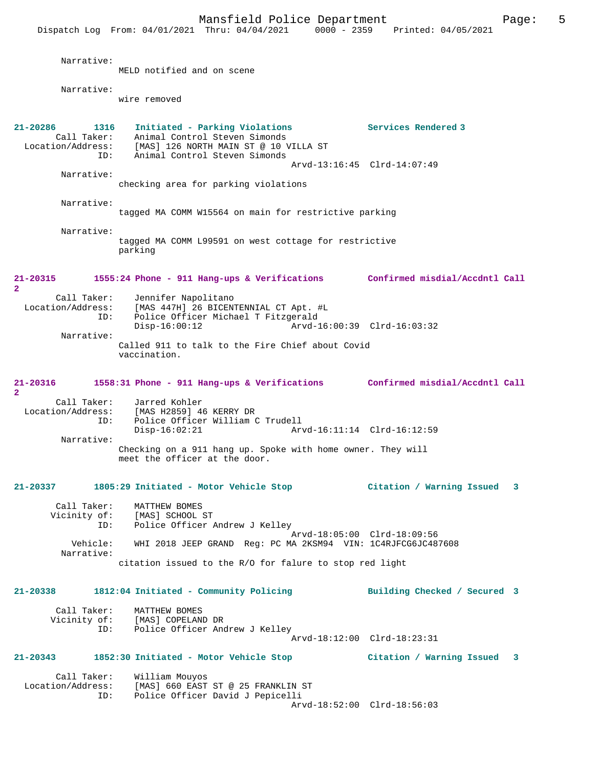Mansfield Police Department Page: 5 Dispatch Log From: 04/01/2021 Thru: 04/04/2021 0000 - 2359 Printed: 04/05/2021 Narrative: MELD notified and on scene Narrative: wire removed **21-20286 1316 Initiated - Parking Violations Services Rendered 3**  Call Taker: Animal Control Steven Simonds Location/Address: [MAS] 126 NORTH MAIN ST @ 10 VILLA ST ID: Animal Control Steven Simonds Arvd-13:16:45 Clrd-14:07:49 Narrative: checking area for parking violations Narrative: tagged MA COMM W15564 on main for restrictive parking Narrative: tagged MA COMM L99591 on west cottage for restrictive parking **21-20315 1555:24 Phone - 911 Hang-ups & Verifications Confirmed misdial/Accdntl Call 2**  Call Taker: Jennifer Napolitano<br>Location/Address: [MAS 447H] 26 BICENT [MAS 447H] 26 BICENTENNIAL CT Apt. #L ID: Police Officer Michael T Fitzgerald Disp-16:00:12 Arvd-16:00:39 Clrd-16:03:32 Narrative: Called 911 to talk to the Fire Chief about Covid vaccination. **21-20316 1558:31 Phone - 911 Hang-ups & Verifications Confirmed misdial/Accdntl Call 2**  Call Taker: Jarred Kohler Location/Address: [MAS H2859] 46 KERRY DR Police Officer William C Trudell<br>Disp-16:02:21 Ar Arvd-16:11:14 Clrd-16:12:59 Narrative: Checking on a 911 hang up. Spoke with home owner. They will meet the officer at the door. **21-20337 1805:29 Initiated - Motor Vehicle Stop Citation / Warning Issued 3** Call Taker: MATTHEW BOMES<br>Vicinity of: [MAS] SCHOOL of: [MAS] SCHOOL ST<br>ID: Police Officer Police Officer Andrew J Kelley Arvd-18:05:00 Clrd-18:09:56 Vehicle: WHI 2018 JEEP GRAND Reg: PC MA 2KSM94 VIN: 1C4RJFCG6JC487608 Narrative: citation issued to the R/O for falure to stop red light **21-20338 1812:04 Initiated - Community Policing Building Checked / Secured 3** Call Taker: MATTHEW BOMES<br>Vicinity of: [MAS] COPELAN of: [MAS] COPELAND DR<br>ID: Police Officer And Police Officer Andrew J Kelley Arvd-18:12:00 Clrd-18:23:31 **21-20343 1852:30 Initiated - Motor Vehicle Stop Citation / Warning Issued 3** Call Taker: William Mouyos<br>Location/Address: [MAS] 660 EAST [MAS] 660 EAST ST @ 25 FRANKLIN ST ID: Police Officer David J Pepicelli Arvd-18:52:00 Clrd-18:56:03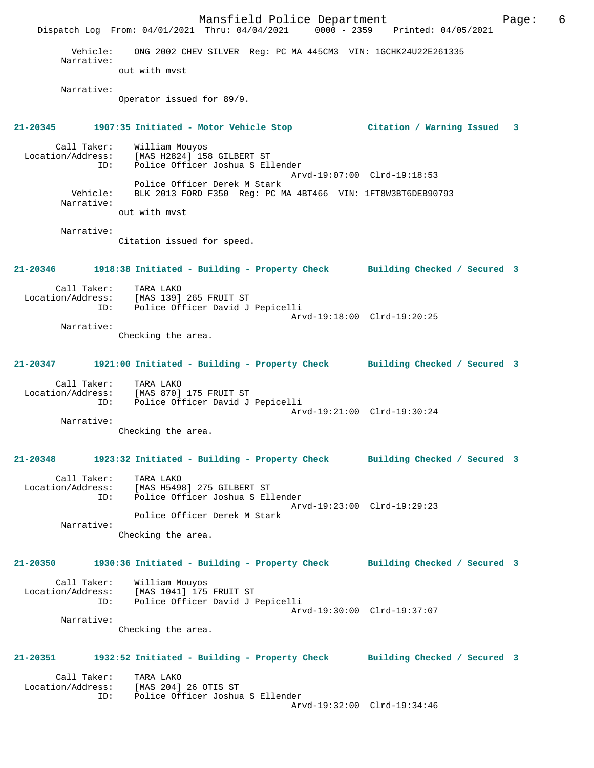Mansfield Police Department Fage: 6 Dispatch Log From: 04/01/2021 Thru: 04/04/2021 0000 - 2359 Printed: 04/05/2021 Vehicle: ONG 2002 CHEV SILVER Reg: PC MA 445CM3 VIN: 1GCHK24U22E261335 Narrative: out with mvst Narrative: Operator issued for 89/9. **21-20345 1907:35 Initiated - Motor Vehicle Stop Citation / Warning Issued 3** Call Taker: William Mouyos Location/Address: [MAS H2824] 158 GILBERT ST ID: Police Officer Joshua S Ellender Arvd-19:07:00 Clrd-19:18:53 Police Officer Derek M Stark Vehicle: BLK 2013 FORD F350 Reg: PC MA 4BT466 VIN: 1FT8W3BT6DEB90793 Narrative: out with mvst Narrative: Citation issued for speed. **21-20346 1918:38 Initiated - Building - Property Check Building Checked / Secured 3** Call Taker: TARA LAKO Location/Address: [MAS 139] 265 FRUIT ST ID: Police Officer David J Pepicelli Arvd-19:18:00 Clrd-19:20:25 Narrative: Checking the area. **21-20347 1921:00 Initiated - Building - Property Check Building Checked / Secured 3** Call Taker: TARA LAKO Location/Address: [MAS 870] 175 FRUIT ST ID: Police Officer David J Pepicelli Arvd-19:21:00 Clrd-19:30:24 Narrative: Checking the area. **21-20348 1923:32 Initiated - Building - Property Check Building Checked / Secured 3** Call Taker: TARA LAKO Location/Address: [MAS H5498] 275 GILBERT ST ID: Police Officer Joshua S Ellender Arvd-19:23:00 Clrd-19:29:23 Police Officer Derek M Stark Narrative: Checking the area. **21-20350 1930:36 Initiated - Building - Property Check Building Checked / Secured 3** Call Taker: William Mouyos Location/Address: [MAS 1041] 175 FRUIT ST ID: Police Officer David J Pepicelli Arvd-19:30:00 Clrd-19:37:07 Narrative: Checking the area. **21-20351 1932:52 Initiated - Building - Property Check Building Checked / Secured 3** Call Taker: TARA LAKO<br>Location/Address: [MAS 204] ess: [MAS 204] 26 OTIS ST<br>ID: Police Officer Joshus Police Officer Joshua S Ellender Arvd-19:32:00 Clrd-19:34:46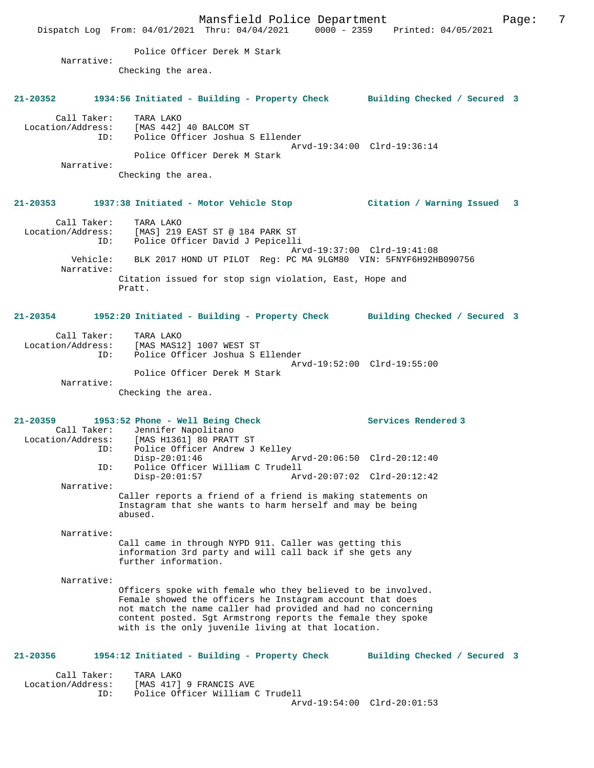Mansfield Police Department Fage: 7 Dispatch Log From: 04/01/2021 Thru: 04/04/2021 0000 - 2359 Printed: 04/05/2021 Police Officer Derek M Stark Narrative: Checking the area. **21-20352 1934:56 Initiated - Building - Property Check Building Checked / Secured 3** Call Taker: TARA LAKO Location/Address: [MAS 442] 40 BALCOM ST ID: Police Officer Joshua S Ellender Arvd-19:34:00 Clrd-19:36:14 Police Officer Derek M Stark Narrative: Checking the area. **21-20353 1937:38 Initiated - Motor Vehicle Stop Citation / Warning Issued 3** Call Taker: TARA LAKO Location/Address: [MAS] 219 EAST ST @ 184 PARK ST ID: Police Officer David J Pepicelli Arvd-19:37:00 Clrd-19:41:08 Vehicle: BLK 2017 HOND UT PILOT Reg: PC MA 9LGM80 VIN: 5FNYF6H92HB090756 Narrative: Citation issued for stop sign violation, East, Hope and Pratt. **21-20354 1952:20 Initiated - Building - Property Check Building Checked / Secured 3** Call Taker: TARA LAKO Location/Address: [MAS MAS12] 1007 WEST ST ID: Police Officer Joshua S Ellender Arvd-19:52:00 Clrd-19:55:00 Police Officer Derek M Stark Narrative: Checking the area. **21-20359 1953:52 Phone - Well Being Check Services Rendered 3**  Call Taker: Jennifer Napolitano Location/Address: [MAS H1361] 80 PRATT ST ID: Police Officer Andrew J Kelley<br>Disp-20:01:46 Disp-20:01:46 Arvd-20:06:50 Clrd-20:12:40 ID: Police Officer William C Trudell Disp-20:01:57 Arvd-20:07:02 Clrd-20:12:42 Narrative: Caller reports a friend of a friend is making statements on Instagram that she wants to harm herself and may be being abused. Narrative: Call came in through NYPD 911. Caller was getting this information 3rd party and will call back if she gets any further information. Narrative: Officers spoke with female who they believed to be involved. Female showed the officers he Instagram account that does not match the name caller had provided and had no concerning content posted. Sgt Armstrong reports the female they spoke with is the only juvenile living at that location. **21-20356 1954:12 Initiated - Building - Property Check Building Checked / Secured 3** Call Taker: TARA LAKO Location/Address: [MAS 417] 9 FRANCIS AVE ID: Police Officer William C Trudell Arvd-19:54:00 Clrd-20:01:53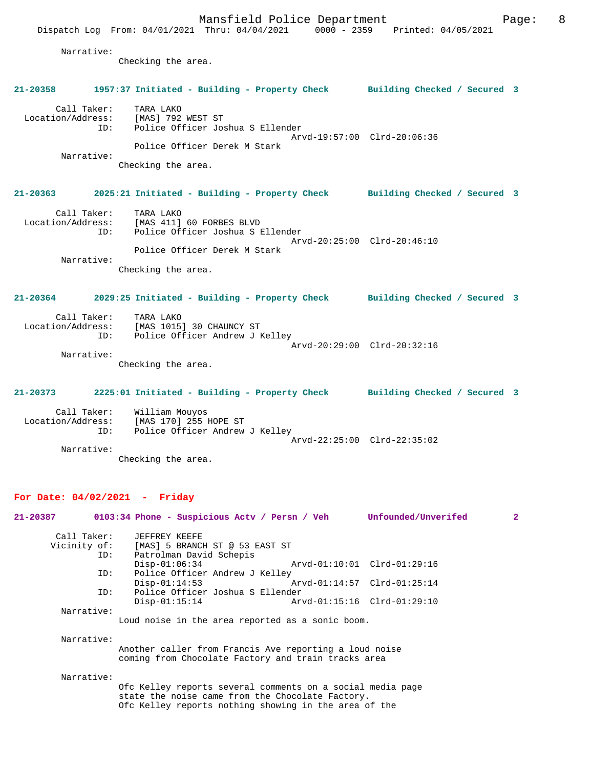Mansfield Police Department Fage: 8 Dispatch Log From: 04/01/2021 Thru: 04/04/2021 0000 - 2359 Printed: 04/05/2021 Narrative: Checking the area. **21-20358 1957:37 Initiated - Building - Property Check Building Checked / Secured 3** Call Taker: TARA LAKO Location/Address: [MAS] 792 WEST ST ID: Police Officer Joshua S Ellender Arvd-19:57:00 Clrd-20:06:36 Police Officer Derek M Stark Narrative: Checking the area. **21-20363 2025:21 Initiated - Building - Property Check Building Checked / Secured 3** Call Taker: TARA LAKO Location/Address: [MAS 411] 60 FORBES BLVD ID: Police Officer Joshua S Ellender Arvd-20:25:00 Clrd-20:46:10 Police Officer Derek M Stark Narrative: Checking the area.

**21-20364 2029:25 Initiated - Building - Property Check Building Checked / Secured 3**

| Call Taker:       | TARA LAKO                      |  |
|-------------------|--------------------------------|--|
| Location/Address: | [MAS 1015] 30 CHAUNCY ST       |  |
| ID:               | Police Officer Andrew J Kelley |  |
|                   | Arvd-20:29:00 Clrd-20:32:16    |  |
| Narrative:        |                                |  |

Checking the area.

**21-20373 2225:01 Initiated - Building - Property Check Building Checked / Secured 3** Call Taker: William Mouyos Location/Address: [MAS 170] 255 HOPE ST

 ID: Police Officer Andrew J Kelley Arvd-22:25:00 Clrd-22:35:02 Narrative:

Checking the area.

### **For Date: 04/02/2021 - Friday**

| 21-20387   | 0103:34 Phone - Suspicious Acty / Persn / Veh              |                             | Unfounded/Unverifed | $\overline{2}$ |
|------------|------------------------------------------------------------|-----------------------------|---------------------|----------------|
|            | Call Taker: JEFFREY KEEFE                                  |                             |                     |                |
|            | Vicinity of: [MAS] 5 BRANCH ST @ 53 EAST ST                |                             |                     |                |
|            | Patrolman David Schepis<br>ID:                             |                             |                     |                |
|            | $Disp-01:06:34$                                            |                             |                     |                |
|            | Police Officer Andrew J Kelley<br>ID:                      |                             |                     |                |
|            | $Disp-01:14:53$                                            | Arvd-01:14:57 Clrd-01:25:14 |                     |                |
|            | Police Officer Joshua S Ellender<br>ID:                    |                             |                     |                |
|            | $Disp-01:15:14$                                            |                             |                     |                |
| Narrative: |                                                            |                             |                     |                |
|            | Loud noise in the area reported as a sonic boom.           |                             |                     |                |
|            |                                                            |                             |                     |                |
| Narrative: |                                                            |                             |                     |                |
|            | Another caller from Francis Ave reporting a loud noise     |                             |                     |                |
|            | coming from Chocolate Factory and train tracks area        |                             |                     |                |
| Narrative: |                                                            |                             |                     |                |
|            | Ofc Kelley reports several comments on a social media page |                             |                     |                |
|            | state the noise came from the Chocolate Factory.           |                             |                     |                |
|            |                                                            |                             |                     |                |

Ofc Kelley reports nothing showing in the area of the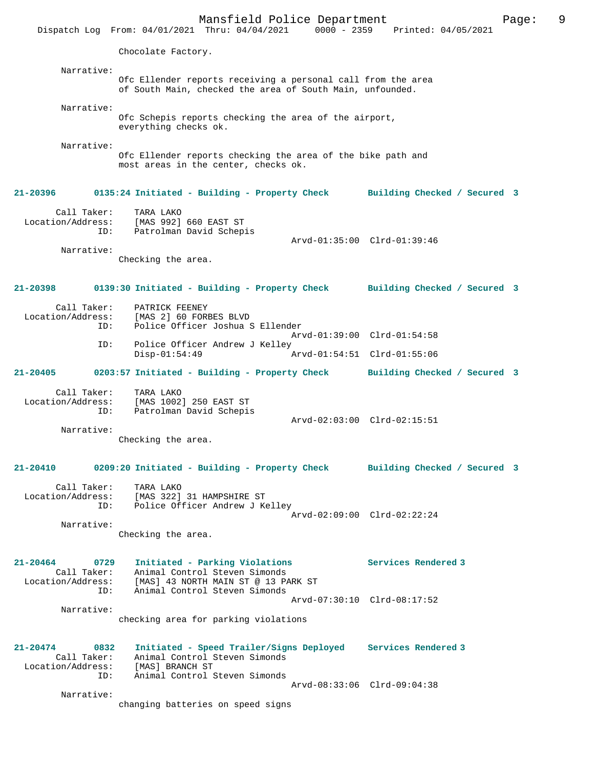Mansfield Police Department Fage: 9 Dispatch Log From: 04/01/2021 Thru: 04/04/2021 0000 - 2359 Printed: 04/05/2021 Chocolate Factory. Narrative: Ofc Ellender reports receiving a personal call from the area of South Main, checked the area of South Main, unfounded. Narrative: Ofc Schepis reports checking the area of the airport, everything checks ok. Narrative: Ofc Ellender reports checking the area of the bike path and most areas in the center, checks ok. **21-20396 0135:24 Initiated - Building - Property Check Building Checked / Secured 3** Call Taker: TARA LAKO Location/Address: [MAS 992] 660 EAST ST ID: Patrolman David Schepis Arvd-01:35:00 Clrd-01:39:46 Narrative: Checking the area. **21-20398 0139:30 Initiated - Building - Property Check Building Checked / Secured 3** Call Taker: PATRICK FEENEY Location/Address: [MAS 2] 60 FORBES BLVD<br>' Epolice Officer Joshua ( Police Officer Joshua S Ellender Arvd-01:39:00 Clrd-01:54:58<br>Th: Police Officer Andrew J Kelley Police Officer Andrew J Kelley<br>Disp-01:54:49 Disp-01:54:49 Arvd-01:54:51 Clrd-01:55:06 **21-20405 0203:57 Initiated - Building - Property Check Building Checked / Secured 3** Call Taker: TARA LAKO Location/Address: [MAS 1002] 250 EAST ST ID: Patrolman David Schepis Arvd-02:03:00 Clrd-02:15:51 Narrative: Checking the area. **21-20410 0209:20 Initiated - Building - Property Check Building Checked / Secured 3** Call Taker: TARA LAKO Location/Address: [MAS 322] 31 HAMPSHIRE ST ID: Police Officer Andrew J Kelley Arvd-02:09:00 Clrd-02:22:24 Narrative: Checking the area. **21-20464 0729 Initiated - Parking Violations Services Rendered 3**  Call Taker: Animal Control Steven Simonds Location/Address: [MAS] 43 NORTH MAIN ST @ 13 PARK ST ID: Animal Control Steven Simonds Arvd-07:30:10 Clrd-08:17:52 Narrative: checking area for parking violations **21-20474 0832 Initiated - Speed Trailer/Signs Deployed Services Rendered 3**  Call Taker: Animal Control Steven Simonds<br>Location/Address: [MAS] BRANCH ST ess: [MAS] BRANCH ST<br>ID: Animal Control S Animal Control Steven Simonds Arvd-08:33:06 Clrd-09:04:38 Narrative: changing batteries on speed signs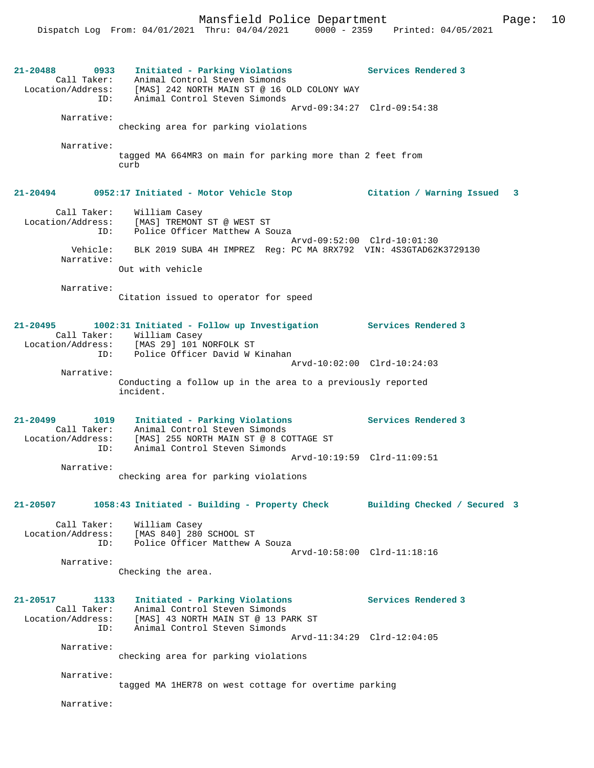**21-20488 0933 Initiated - Parking Violations Services Rendered 3**  Call Taker: Animal Control Steven Simonds Location/Address: [MAS] 242 NORTH MAIN ST @ 16 OLD COLONY WAY ID: Animal Control Steven Simonds Arvd-09:34:27 Clrd-09:54:38 Narrative: checking area for parking violations Narrative: tagged MA 664MR3 on main for parking more than 2 feet from curb **21-20494 0952:17 Initiated - Motor Vehicle Stop Citation / Warning Issued 3** Call Taker: William Casey Location/Address: [MAS] TREMONT ST @ WEST ST ID: Police Officer Matthew A Souza Arvd-09:52:00 Clrd-10:01:30 Vehicle: BLK 2019 SUBA 4H IMPREZ Reg: PC MA 8RX792 VIN: 4S3GTAD62K3729130 Narrative: Out with vehicle Narrative: Citation issued to operator for speed **21-20495 1002:31 Initiated - Follow up Investigation Services Rendered 3**  Call Taker: William Casey Location/Address: [MAS 29] 101 NORFOLK ST ID: Police Officer David W Kinahan Arvd-10:02:00 Clrd-10:24:03 Narrative: Conducting a follow up in the area to a previously reported incident. **21-20499 1019 Initiated - Parking Violations Services Rendered 3**  Call Taker: Animal Control Steven Simonds Location/Address: [MAS] 255 NORTH MAIN ST @ 8 COTTAGE ST ID: Animal Control Steven Simonds Arvd-10:19:59 Clrd-11:09:51 Narrative: checking area for parking violations **21-20507 1058:43 Initiated - Building - Property Check Building Checked / Secured 3** Call Taker: William Casey Location/Address: [MAS 840] 280 SCHOOL ST Police Officer Matthew A Souza Arvd-10:58:00 Clrd-11:18:16 Narrative: Checking the area. **21-20517 1133 Initiated - Parking Violations Services Rendered 3**  Call Taker: Animal Control Steven Simonds Location/Address: [MAS] 43 NORTH MAIN ST @ 13 PARK ST ID: Animal Control Steven Simonds Arvd-11:34:29 Clrd-12:04:05 Narrative: checking area for parking violations Narrative: tagged MA 1HER78 on west cottage for overtime parking Narrative: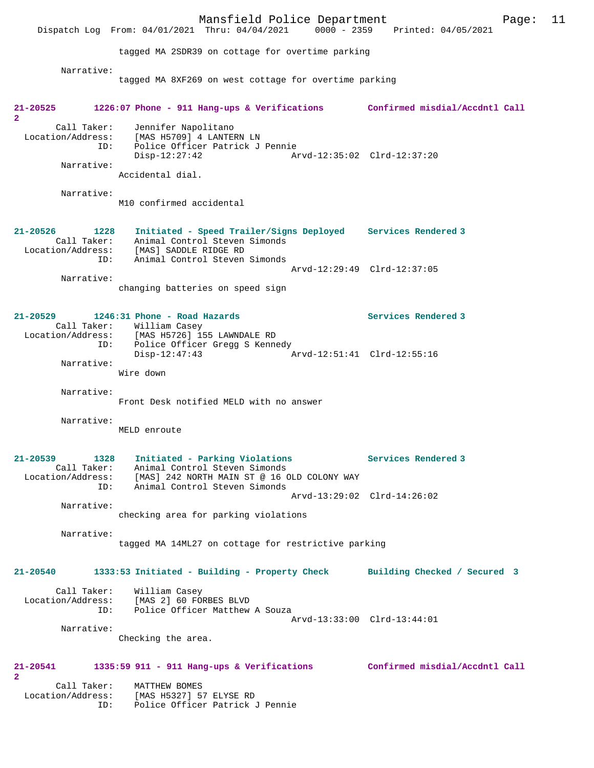Mansfield Police Department Page: 11 Dispatch Log From: 04/01/2021 Thru: 04/04/2021 tagged MA 2SDR39 on cottage for overtime parking Narrative: tagged MA 8XF269 on west cottage for overtime parking **21-20525 1226:07 Phone - 911 Hang-ups & Verifications Confirmed misdial/Accdntl Call 2**  Call Taker: Jennifer Napolitano Location/Address: [MAS H5709] 4 LANTERN LN ID: Police Officer Patrick J Pennie Disp-12:27:42 Arvd-12:35:02 Clrd-12:37:20 Narrative: Accidental dial. Narrative: M10 confirmed accidental **21-20526 1228 Initiated - Speed Trailer/Signs Deployed Services Rendered 3**  Call Taker: Animal Control Steven Simonds Location/Address: [MAS] SADDLE RIDGE RD ID: Animal Control Steven Simonds Arvd-12:29:49 Clrd-12:37:05 Narrative: changing batteries on speed sign **21-20529 1246:31 Phone - Road Hazards Services Rendered 3**  Call Taker: William Casey<br>Location/Address: [MAS H5726] 15 [MAS H5726] 155 LAWNDALE RD ID: Police Officer Gregg S Kennedy<br>Disp-12:47:43 Disp-12:47:43 Arvd-12:51:41 Clrd-12:55:16 Narrative: Wire down Narrative: Front Desk notified MELD with no answer Narrative: MELD enroute **21-20539 1328 Initiated - Parking Violations Services Rendered 3**  Call Taker: Animal Control Steven Simonds<br>Location/Address: [MAS] 242 NORTH MAIN ST @ 16 C ess: [MAS] 242 NORTH MAIN ST @ 16 OLD COLONY WAY<br>ID: Animal Control Steven Simonds Animal Control Steven Simonds Arvd-13:29:02 Clrd-14:26:02 Narrative: checking area for parking violations Narrative: tagged MA 14ML27 on cottage for restrictive parking **21-20540 1333:53 Initiated - Building - Property Check Building Checked / Secured 3** Call Taker: William Casey Location/Address: [MAS 2] 60 FORBES BLVD Police Officer Matthew A Souza Arvd-13:33:00 Clrd-13:44:01 Narrative: Checking the area. **21-20541 1335:59 911 - 911 Hang-ups & Verifications Confirmed misdial/Accdntl Call 2**  Call Taker: MATTHEW BOMES Location/Address: [MAS H5327] 57 ELYSE RD<br>ID: Police Officer Patrick Police Officer Patrick J Pennie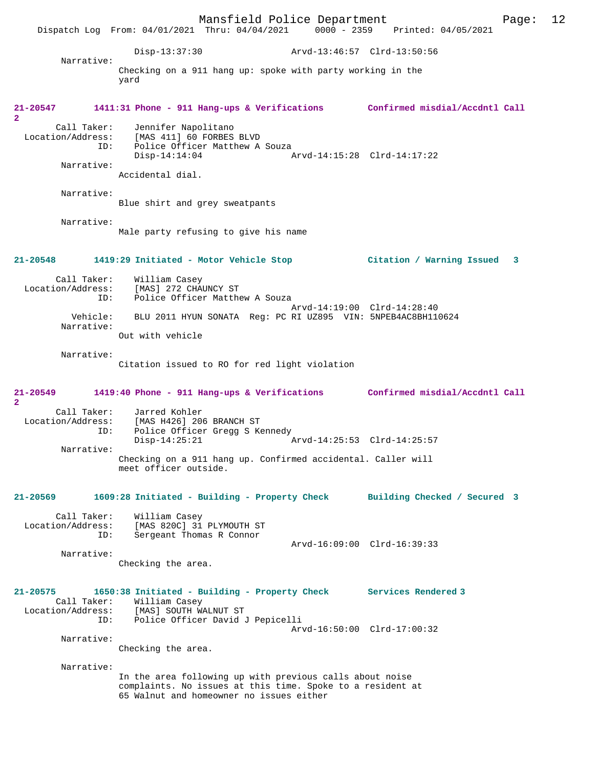Mansfield Police Department Page: 12 Dispatch Log From: 04/01/2021 Thru: 04/04/2021 Disp-13:37:30 Arvd-13:46:57 Clrd-13:50:56 Narrative: Checking on a 911 hang up: spoke with party working in the yard **21-20547 1411:31 Phone - 911 Hang-ups & Verifications Confirmed misdial/Accdntl Call 2**  Call Taker: Jennifer Napolitano Location/Address: [MAS 411] 60 FORBES BLVD ID: Police Officer Matthew A Souza<br>Disp-14:14:04 Disp-14:14:04 Arvd-14:15:28 Clrd-14:17:22 Narrative: Accidental dial. Narrative: Blue shirt and grey sweatpants Narrative: Male party refusing to give his name **21-20548 1419:29 Initiated - Motor Vehicle Stop Citation / Warning Issued 3** Call Taker: William Casey Location/Address: [MAS] 272 CHAUNCY ST ID: Police Officer Matthew A Souza Arvd-14:19:00 Clrd-14:28:40 Vehicle: BLU 2011 HYUN SONATA Reg: PC RI UZ895 VIN: 5NPEB4AC8BH110624 Narrative: Out with vehicle Narrative: Citation issued to RO for red light violation **21-20549 1419:40 Phone - 911 Hang-ups & Verifications Confirmed misdial/Accdntl Call 2**  Call Taker: Jarred Kohler Location/Address: [MAS H426] 206 BRANCH ST Police Officer Gregg S Kennedy<br>Disp-14:25:21 Disp-14:25:21 Arvd-14:25:53 Clrd-14:25:57 Narrative: Checking on a 911 hang up. Confirmed accidental. Caller will meet officer outside. **21-20569 1609:28 Initiated - Building - Property Check Building Checked / Secured 3** Call Taker: William Casey Location/Address: [MAS 820C] 31 PLYMOUTH ST ID: Sergeant Thomas R Connor Arvd-16:09:00 Clrd-16:39:33 Narrative: Checking the area. **21-20575 1650:38 Initiated - Building - Property Check Services Rendered 3**  Call Taker: William Casey<br>Location/Address: [MAS] SOUTH W Location/Address: [MAS] SOUTH WALNUT ST ID: Police Officer David J Pepicelli Arvd-16:50:00 Clrd-17:00:32 Narrative: Checking the area. Narrative: In the area following up with previous calls about noise complaints. No issues at this time. Spoke to a resident at 65 Walnut and homeowner no issues either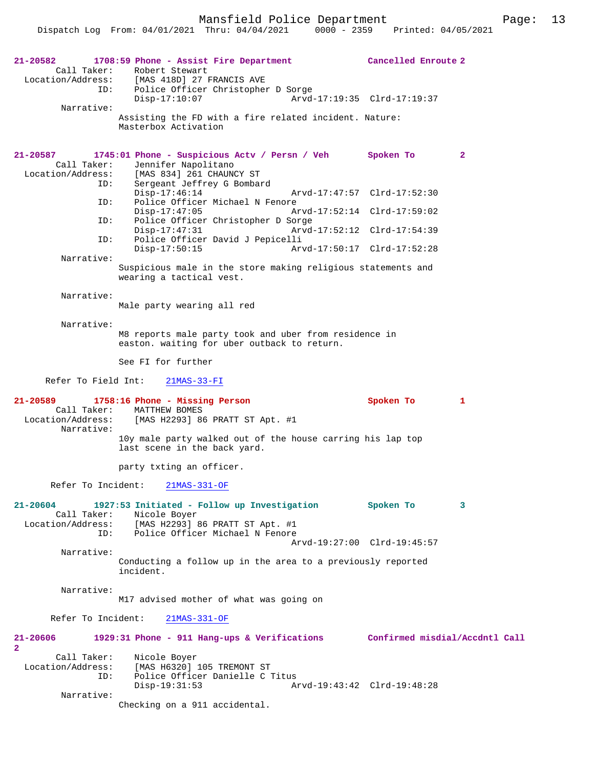Mansfield Police Department Fage: 13

| 21-20582<br>Narrative:                                            | 1708:59 Phone - Assist Fire Department<br>Call Taker: Robert Stewart<br>Location/Address: [MAS 418D] 27 FRANCIS AVE<br>ID: Police Officer Christopher D Sorge<br>$Disp-17:10:07$<br>Assisting the FD with a fire related incident. Nature:<br>Masterbox Activation                                                                                                                                                                              | Cancelled Enroute 2<br>Arvd-17:19:35 Clrd-17:19:37                                                                                       |
|-------------------------------------------------------------------|-------------------------------------------------------------------------------------------------------------------------------------------------------------------------------------------------------------------------------------------------------------------------------------------------------------------------------------------------------------------------------------------------------------------------------------------------|------------------------------------------------------------------------------------------------------------------------------------------|
| 21-20587<br>Call Taker:<br>ID:<br>ID:<br>ID:<br>ID:<br>Narrative: | 1745:01 Phone - Suspicious Actv / Persn / Veh Spoken To<br>Jennifer Napolitano<br>Location/Address: [MAS 834] 261 CHAUNCY ST<br>Sergeant Jeffrey G Bombard<br>$Disp-17:46:14$<br>Police Officer Michael N Fenore<br>$Disp-17:47:05$<br>Police Officer Christopher D Sorge<br>$Disp-17:47:31$<br>Police Officer David J Pepicelli<br>$Disp-17:50:15$<br>Suspicious male in the store making religious statements and<br>wearing a tactical vest. | $\mathbf{2}$<br>Arvd-17:47:57 Clrd-17:52:30<br>Arvd-17:52:14 Clrd-17:59:02<br>Arvd-17:52:12 Clrd-17:54:39<br>Arvd-17:50:17 Clrd-17:52:28 |
| Narrative:<br>Narrative:                                          | Male party wearing all red                                                                                                                                                                                                                                                                                                                                                                                                                      |                                                                                                                                          |
| Refer To Field Int:                                               | M8 reports male party took and uber from residence in<br>easton. waiting for uber outback to return.<br>See FI for further<br>$21MAS-33-FI$                                                                                                                                                                                                                                                                                                     |                                                                                                                                          |
| 21-20589<br>Call Taker:<br>Narrative:                             | 1758:16 Phone - Missing Person<br>MATTHEW BOMES<br>Location/Address: [MAS H2293] 86 PRATT ST Apt. #1                                                                                                                                                                                                                                                                                                                                            | Spoken To<br>1                                                                                                                           |
|                                                                   | 10y male party walked out of the house carring his lap top<br>last scene in the back yard.<br>party txting an officer.                                                                                                                                                                                                                                                                                                                          |                                                                                                                                          |
|                                                                   | Refer To Incident: 21MAS-331-OF                                                                                                                                                                                                                                                                                                                                                                                                                 |                                                                                                                                          |
| 21-20604<br>ID:                                                   | 1927:53 Initiated - Follow up Investigation<br>Call Taker: Nicole Boyer<br>Location/Address: [MAS H2293] 86 PRATT ST Apt. #1<br>Police Officer Michael N Fenore                                                                                                                                                                                                                                                                                 | Spoken To<br>3                                                                                                                           |
| Narrative:                                                        | Conducting a follow up in the area to a previously reported<br>incident.                                                                                                                                                                                                                                                                                                                                                                        | Arvd-19:27:00 Clrd-19:45:57                                                                                                              |
| Narrative:                                                        | M17 advised mother of what was going on                                                                                                                                                                                                                                                                                                                                                                                                         |                                                                                                                                          |
| Refer To Incident:                                                | $21MAS-331-OF$                                                                                                                                                                                                                                                                                                                                                                                                                                  |                                                                                                                                          |
| 21-20606<br>2                                                     | 1929:31 Phone - 911 Hang-ups & Verifications Confirmed misdial/Accdntl Call                                                                                                                                                                                                                                                                                                                                                                     |                                                                                                                                          |
| Call Taker:<br>Location/Address:<br>ID:                           | Nicole Boyer<br>[MAS H6320] 105 TREMONT ST<br>Police Officer Danielle C Titus<br>$Disp-19:31:53$                                                                                                                                                                                                                                                                                                                                                | Arvd-19:43:42 Clrd-19:48:28                                                                                                              |
| Narrative:                                                        | Checking on a 911 accidental.                                                                                                                                                                                                                                                                                                                                                                                                                   |                                                                                                                                          |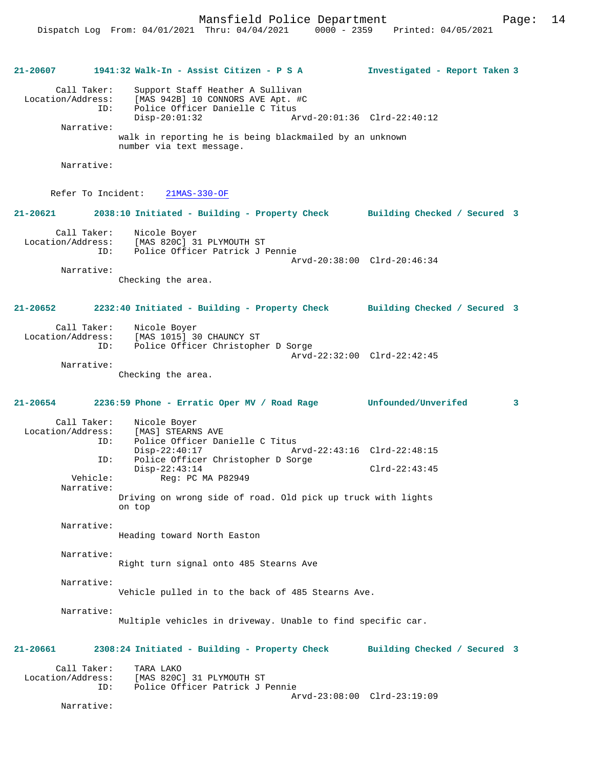**21-20607 1941:32 Walk-In - Assist Citizen - P S A Investigated - Report Taken 3**

 Call Taker: Support Staff Heather A Sullivan Location/Address: [MAS 942B] 10 CONNORS AVE Apt. #C Police Officer Danielle C Titus<br>Disp-20:01:32 A Disp-20:01:32 Arvd-20:01:36 Clrd-22:40:12 Narrative: walk in reporting he is being blackmailed by an unknown number via text message. Narrative: Refer To Incident: 21MAS-330-OF **21-20621 2038:10 Initiated - Building - Property Check Building Checked / Secured 3** Call Taker: Nicole Boyer Location/Address: [MAS 820C] 31 PLYMOUTH ST Police Officer Patrick J Pennie Arvd-20:38:00 Clrd-20:46:34 Narrative: Checking the area. **21-20652 2232:40 Initiated - Building - Property Check Building Checked / Secured 3** Call Taker: Nicole Boyer Location/Address: [MAS 1015] 30 CHAUNCY ST Police Officer Christopher D Sorge Arvd-22:32:00 Clrd-22:42:45 Narrative: Checking the area. **21-20654 2236:59 Phone - Erratic Oper MV / Road Rage Unfounded/Unverifed 3** Call Taker: Nicole Boyer Location/Address: [MAS] STEARNS AVE<br>ID: Police Officer Dam Police Officer Danielle C Titus<br>Disp-22:40:17 A Disp-22:40:17 Arvd-22:43:16 Clrd-22:48:15 ID: Police Officer Christopher D Sorge Disp-22:43:14 Clrd-22:43:45<br>Vehicle: Req: PC MA P82949 Reg: PC MA P82949 Narrative: Driving on wrong side of road. Old pick up truck with lights on top Narrative: Heading toward North Easton Narrative: Right turn signal onto 485 Stearns Ave Narrative: Vehicle pulled in to the back of 485 Stearns Ave. Narrative: Multiple vehicles in driveway. Unable to find specific car.

Call Taker: TARA LAKO<br>Location/Address: [MAS 820C ess: [MAS 820C] 31 PLYMOUTH ST<br>ID: Police Officer Patrick J Police Officer Patrick J Pennie Arvd-23:08:00 Clrd-23:19:09

**21-20661 2308:24 Initiated - Building - Property Check Building Checked / Secured 3**

Narrative: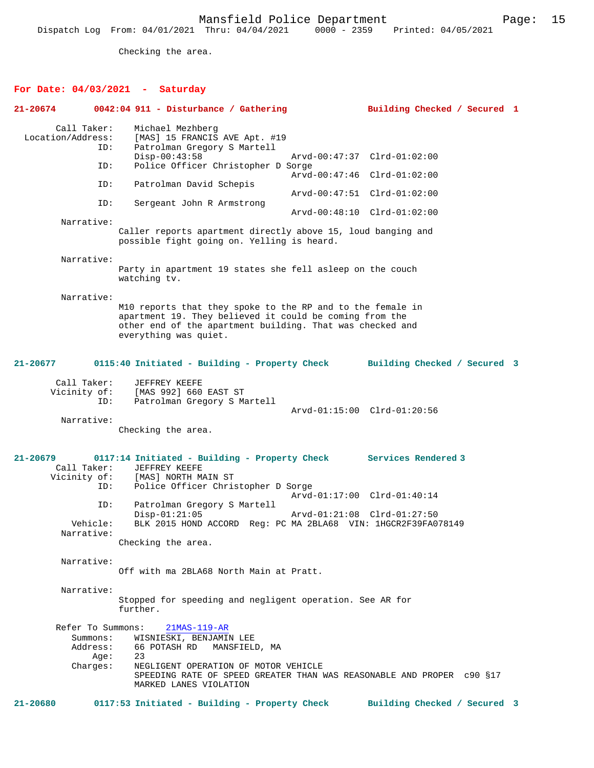Checking the area.

# **For Date: 04/03/2021 - Saturday**

| 21-20674          |                                    | $0042:04$ 911 - Disturbance / Gathering                                                                                                                                                                     | Building Checked / Secured 1                       |  |
|-------------------|------------------------------------|-------------------------------------------------------------------------------------------------------------------------------------------------------------------------------------------------------------|----------------------------------------------------|--|
| Location/Address: | Call Taker:<br>ID:<br>ID:          | Michael Mezhberg<br>[MAS] 15 FRANCIS AVE Apt. #19<br>Patrolman Gregory S Martell<br>$Disp-00:43:58$<br>Police Officer Christopher D Sorge                                                                   | Arvd-00:47:37 Clrd-01:02:00                        |  |
|                   | ID:                                | Patrolman David Schepis                                                                                                                                                                                     | Arvd-00:47:46 Clrd-01:02:00                        |  |
|                   | ID:                                |                                                                                                                                                                                                             | Arvd-00:47:51 Clrd-01:02:00                        |  |
|                   |                                    | Sergeant John R Armstrong                                                                                                                                                                                   | Arvd-00:48:10 Clrd-01:02:00                        |  |
|                   | Narrative:                         | Caller reports apartment directly above 15, loud banging and<br>possible fight going on. Yelling is heard.                                                                                                  |                                                    |  |
|                   | Narrative:                         |                                                                                                                                                                                                             |                                                    |  |
|                   |                                    | Party in apartment 19 states she fell asleep on the couch<br>watching tv.                                                                                                                                   |                                                    |  |
|                   | Narrative:                         | M10 reports that they spoke to the RP and to the female in<br>apartment 19. They believed it could be coming from the<br>other end of the apartment building. That was checked and<br>everything was quiet. |                                                    |  |
| $21 - 20677$      |                                    | 0115:40 Initiated - Building - Property Check                                                                                                                                                               | Building Checked / Secured 3                       |  |
|                   | Call Taker:<br>Vicinity of:<br>ID: | JEFFREY KEEFE<br>[MAS 992] 660 EAST ST<br>Patrolman Gregory S Martell                                                                                                                                       | Arvd-01:15:00 Clrd-01:20:56                        |  |
|                   | Narrative:                         | Checking the area.                                                                                                                                                                                          |                                                    |  |
| 21-20679          | Call Taker:<br>Vicinity of:<br>ID: | 0117:14 Initiated - Building - Property Check<br>JEFFREY KEEFE<br>[MAS] NORTH MAIN ST<br>Police Officer Christopher D Sorge                                                                                 | Services Rendered 3<br>Arvd-01:17:00 Clrd-01:40:14 |  |
|                   | ID:                                | Patrolman Gregory S Martell                                                                                                                                                                                 |                                                    |  |
|                   | Vehicle:<br>Narrative:             | $Disp-01:21:05$<br>BLK 2015 HOND ACCORD Req: PC MA 2BLA68 VIN: 1HGCR2F39FA078149                                                                                                                            | Arvd-01:21:08 Clrd-01:27:50                        |  |
|                   |                                    | Checking the area.                                                                                                                                                                                          |                                                    |  |
|                   | Narrative:                         | Off with ma 2BLA68 North Main at Pratt.                                                                                                                                                                     |                                                    |  |
|                   | Narrative:                         | Stopped for speeding and negligent operation. See AR for<br>further.                                                                                                                                        |                                                    |  |
|                   |                                    | Refer To Summons: 21MAS-119-AR                                                                                                                                                                              |                                                    |  |
|                   | Summons:<br>Address:<br>Aqe:       | WISNIESKI, BENJAMIN LEE<br>66 POTASH RD MANSFIELD, MA<br>23                                                                                                                                                 |                                                    |  |
|                   | Charges:                           | NEGLIGENT OPERATION OF MOTOR VEHICLE<br>SPEEDING RATE OF SPEED GREATER THAN WAS REASONABLE AND PROPER c90 §17<br>MARKED LANES VIOLATION                                                                     |                                                    |  |
| 21-20680          |                                    | 0117:53 Initiated - Building - Property Check                                                                                                                                                               | Building Checked / Secured 3                       |  |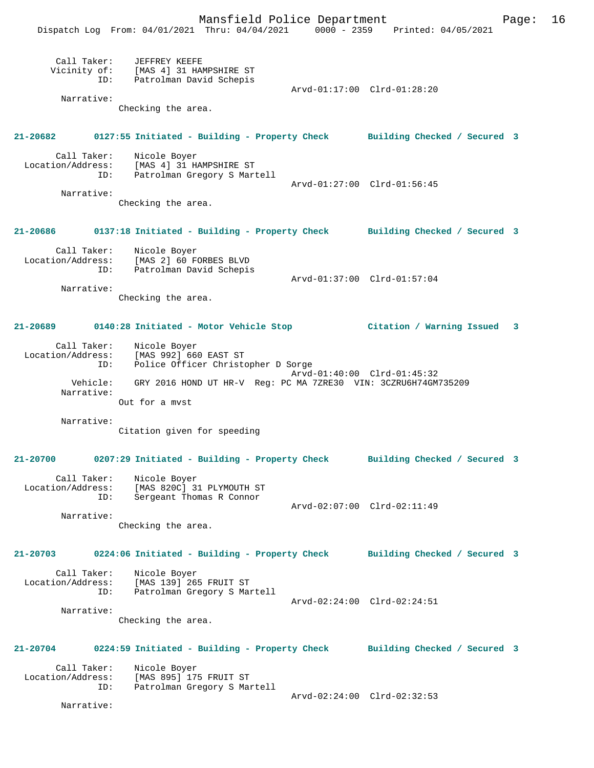Mansfield Police Department Fage: 16

|                   |                    | Dispatch Log From: 04/01/2021 Thru: 04/04/2021 0000 - 2359 Printed: 04/05/2021                                | - - -                       |                             |  |
|-------------------|--------------------|---------------------------------------------------------------------------------------------------------------|-----------------------------|-----------------------------|--|
|                   |                    | Call Taker: JEFFREY KEEFE<br>Vicinity of: [MAS 4] 31 HAMPSHIRE ST<br>ID: Patrolman David Schepis              |                             | Arvd-01:17:00 Clrd-01:28:20 |  |
|                   | Narrative:         |                                                                                                               |                             |                             |  |
|                   |                    | Checking the area.                                                                                            |                             |                             |  |
|                   |                    | 21-20682 0127:55 Initiated - Building - Property Check Building Checked / Secured 3                           |                             |                             |  |
|                   |                    | Call Taker: Nicole Boyer<br>Location/Address: [MAS 4] 31 HAMPSHIRE ST<br>ID: Patrolman Gregory S Martell      |                             | Arvd-01:27:00 Clrd-01:56:45 |  |
|                   | Narrative:         | Checking the area.                                                                                            |                             |                             |  |
|                   |                    | 21-20686 0137:18 Initiated - Building - Property Check Building Checked / Secured 3                           |                             |                             |  |
|                   |                    | ID: Patrolman David Schepis                                                                                   |                             |                             |  |
|                   | Narrative:         | Checking the area.                                                                                            |                             | Arvd-01:37:00 Clrd-01:57:04 |  |
|                   |                    | 21-20689 0140:28 Initiated - Motor Vehicle Stop Citation / Warning Issued 3                                   |                             |                             |  |
|                   |                    | Call Taker: Nicole Boyer<br>Location/Address: [MAS 992] 660 EAST ST<br>ID: Police Officer Christopher D Sorge | Arvd-01:40:00 Clrd-01:45:32 |                             |  |
|                   | Narrative:         | Vehicle: GRY 2016 HOND UT HR-V Reg: PC MA 7ZRE30 VIN: 3CZRU6H74GM735209<br>Out for a myst                     |                             |                             |  |
|                   | Narrative:         |                                                                                                               |                             |                             |  |
|                   |                    | Citation given for speeding                                                                                   |                             |                             |  |
| 21-20700          |                    | 0207:29 Initiated - Building - Property Check Building Checked / Secured 3                                    |                             |                             |  |
| Location/Address: | Call Taker:<br>ID: | Nicole Boyer<br>[MAS 820C] 31 PLYMOUTH ST<br>Sergeant Thomas R Connor                                         |                             |                             |  |
|                   | Narrative:         | Checking the area.                                                                                            |                             | Arvd-02:07:00 Clrd-02:11:49 |  |
| 21-20703          |                    | 0224:06 Initiated - Building - Property Check Building Checked / Secured 3                                    |                             |                             |  |
|                   | ID:                | Call Taker: Nicole Boyer<br>Location/Address: [MAS 139] 265 FRUIT ST<br>Patrolman Gregory S Martell           |                             |                             |  |
|                   | Narrative:         |                                                                                                               |                             | Arvd-02:24:00 Clrd-02:24:51 |  |
|                   |                    | Checking the area.                                                                                            |                             |                             |  |
|                   |                    | 21-20704 0224:59 Initiated - Building - Property Check Building Checked / Secured 3                           |                             |                             |  |
| Location/Address: | Call Taker:<br>ID: | Nicole Boyer<br>[MAS 895] 175 FRUIT ST<br>Patrolman Gregory S Martell                                         |                             |                             |  |
|                   | Narrative:         |                                                                                                               |                             | Arvd-02:24:00 Clrd-02:32:53 |  |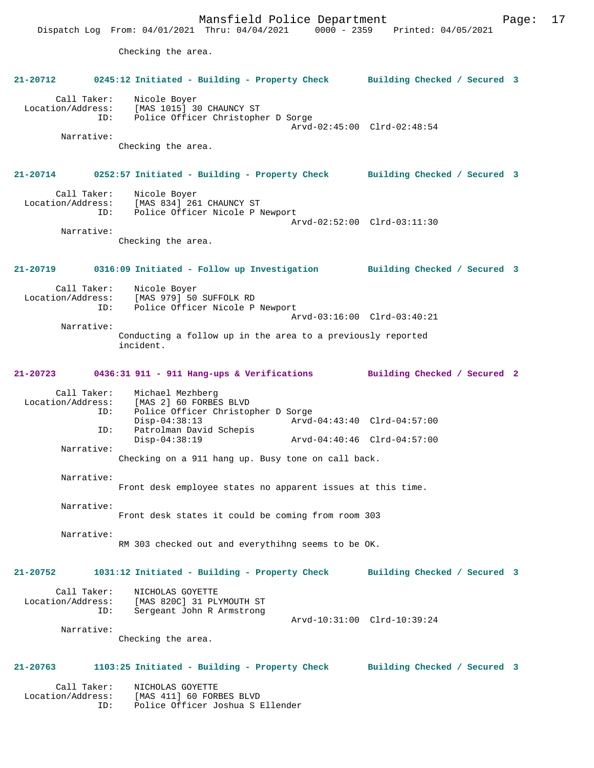Mansfield Police Department Fage: 17 Dispatch Log From: 04/01/2021 Thru: 04/04/2021 0000 - 2359 Printed: 04/05/2021 Checking the area. **21-20712 0245:12 Initiated - Building - Property Check Building Checked / Secured 3** Call Taker: Nicole Boyer Location/Address: [MAS 1015] 30 CHAUNCY ST Police Officer Christopher D Sorge Arvd-02:45:00 Clrd-02:48:54 Narrative: Checking the area. **21-20714 0252:57 Initiated - Building - Property Check Building Checked / Secured 3** Call Taker: Nicole Boyer Location/Address: [MAS 834] 261 CHAUNCY ST ID: Police Officer Nicole P Newport Arvd-02:52:00 Clrd-03:11:30 Narrative: Checking the area. **21-20719 0316:09 Initiated - Follow up Investigation Building Checked / Secured 3** Call Taker: Nicole Boyer<br>Location/Address: [MAS 979] 50 ess: [MAS 979] 50 SUFFOLK RD<br>ID: Police Officer Nicole P Police Officer Nicole P Newport Arvd-03:16:00 Clrd-03:40:21 Narrative: Conducting a follow up in the area to a previously reported incident. **21-20723 0436:31 911 - 911 Hang-ups & Verifications Building Checked / Secured 2** Call Taker: Michael Mezhberg<br>Location/Address: [MAS 2] 60 FORBE [MAS 2] 60 FORBES BLVD ID: Police Officer Christopher D Sorge Disp-04:38:13 <br>D: Patrolman David Schepis <br>D: Patrolman David Schepis Patrolman David Schepis Disp-04:38:19 Arvd-04:40:46 Clrd-04:57:00 Narrative: Checking on a 911 hang up. Busy tone on call back. Narrative: Front desk employee states no apparent issues at this time. Narrative: Front desk states it could be coming from room 303 Narrative: RM 303 checked out and everythihng seems to be OK. **21-20752 1031:12 Initiated - Building - Property Check Building Checked / Secured 3** Call Taker: NICHOLAS GOYETTE Location/Address: [MAS 820C] 31 PLYMOUTH ST ID: Sergeant John R Armstrong Arvd-10:31:00 Clrd-10:39:24 Narrative: Checking the area. **21-20763 1103:25 Initiated - Building - Property Check Building Checked / Secured 3** Call Taker: NICHOLAS GOYETTE<br>Location/Address: [MAS 411] 60 FOR: [MAS 411] 60 FORBES BLVD ID: Police Officer Joshua S Ellender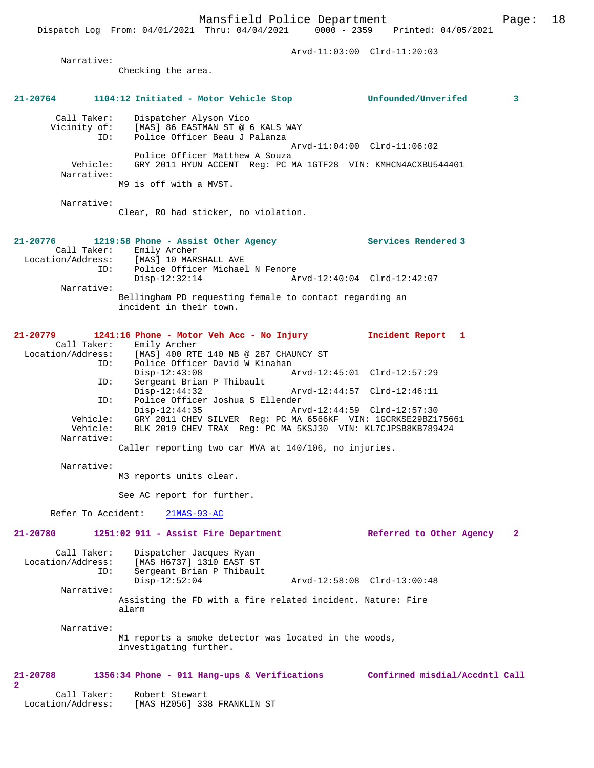Dispatch Log From: 04/01/2021 Thru: 04/04/2021 0000 - 2359 Printed: 04/05/2021

|                                         |                                                                                                                      | Arvd-11:03:00 Clrd-11:20:03    |              |
|-----------------------------------------|----------------------------------------------------------------------------------------------------------------------|--------------------------------|--------------|
| Narrative:                              |                                                                                                                      |                                |              |
|                                         | Checking the area.                                                                                                   |                                |              |
| 21-20764                                |                                                                                                                      |                                | 3            |
| Call Taker:<br>Vicinity of:             | Dispatcher Alyson Vico<br>[MAS] 86 EASTMAN ST @ 6 KALS WAY<br>Police Officer Beau J Palanza                          |                                |              |
| ID:                                     |                                                                                                                      | Arvd-11:04:00 Clrd-11:06:02    |              |
| Vehicle:<br>Narrative:                  | Police Officer Matthew A Souza<br>GRY 2011 HYUN ACCENT Reg: PC MA 1GTF28 VIN: KMHCN4ACXBU544401                      |                                |              |
|                                         | M9 is off with a MVST.                                                                                               |                                |              |
| Narrative:                              | Clear, RO had sticker, no violation.                                                                                 |                                |              |
| 21-20776                                | 1219:58 Phone - Assist Other Agency                                                                                  | Services Rendered 3            |              |
| Call Taker:<br>Location/Address:<br>ID: | Emily Archer<br>[MAS] 10 MARSHALL AVE<br>Police Officer Michael N Fenore                                             |                                |              |
| Narrative:                              | Disp-12:32:14                                                                                                        | Arvd-12:40:04 Clrd-12:42:07    |              |
|                                         | Bellingham PD requesting female to contact regarding an<br>incident in their town.                                   |                                |              |
| 21-20779<br>Call Taker:                 | 1241:16 Phone - Motor Veh Acc - No Injury<br>Emily Archer                                                            | Incident Report 1              |              |
| Location/Address:<br>ID:                | [MAS] 400 RTE 140 NB @ 287 CHAUNCY ST<br>Police Officer David W Kinahan<br>$Disp-12:43:08$                           |                                |              |
| ID:                                     | Sergeant Brian P Thibault<br>$Disp-12:44:32$                                                                         | Arvd-12:44:57 Clrd-12:46:11    |              |
| ID:<br>Vehicle:                         | Police Officer Joshua S Ellender<br>$Disp-12:44:35$<br>GRY 2011 CHEV SILVER Req: PC MA 6566KF VIN: 1GCRKSE29BZ175661 | Arvd-12:44:59 Clrd-12:57:30    |              |
| Vehicle:<br>Narrative:                  | BLK 2019 CHEV TRAX Req: PC MA 5KSJ30 VIN: KL7CJPSB8KB789424<br>Caller reporting two car MVA at 140/106, no injuries. |                                |              |
| Narrative:                              |                                                                                                                      |                                |              |
|                                         | M3 reports units clear.                                                                                              |                                |              |
|                                         | See AC report for further.                                                                                           |                                |              |
| Refer To Accident:                      | $21MAS-93-AC$                                                                                                        |                                |              |
| 21-20780                                | 1251:02 911 - Assist Fire Department                                                                                 | Referred to Other Agency       | $\mathbf{2}$ |
| Call Taker:<br>Location/Address:<br>ID: | Dispatcher Jacques Ryan<br>[MAS H6737] 1310 EAST ST<br>Sergeant Brian P Thibault                                     |                                |              |
| Narrative:                              | $Disp-12:52:04$                                                                                                      | Arvd-12:58:08 Clrd-13:00:48    |              |
|                                         | Assisting the FD with a fire related incident. Nature: Fire<br>alarm                                                 |                                |              |
| Narrative:                              |                                                                                                                      |                                |              |
|                                         | M1 reports a smoke detector was located in the woods,<br>investigating further.                                      |                                |              |
| 21-20788<br>$\overline{\mathbf{2}}$     | 1356:34 Phone - 911 Hang-ups & Verifications                                                                         | Confirmed misdial/Accdntl Call |              |
| Call Taker:<br>Location/Address:        | Robert Stewart<br>[MAS H2056] 338 FRANKLIN ST                                                                        |                                |              |

**2**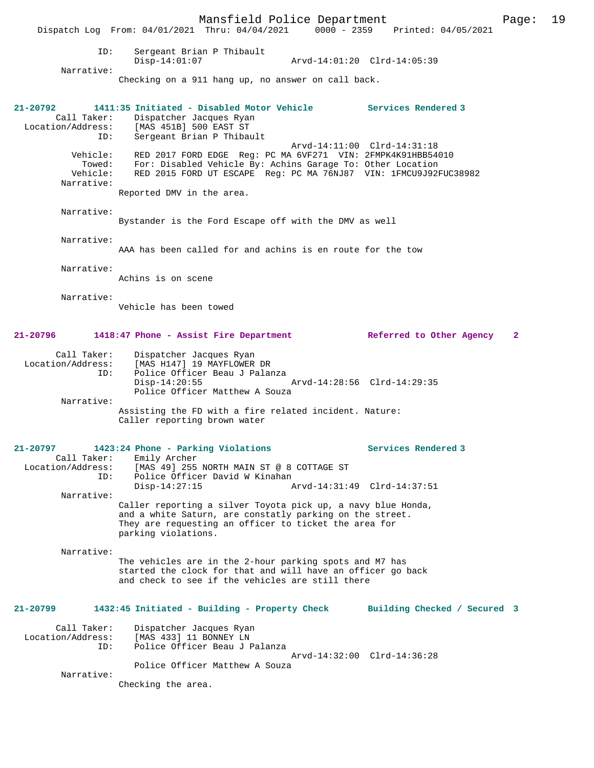|                                                     | Dispatch Log From: 04/01/2021 Thru: 04/04/2021 0000 - 2359 Printed: 04/05/2021                                                                                                                           | Mansfield Police Department                                                                                                                                                                   |                             |                     |                              | Page:        | 19 |
|-----------------------------------------------------|----------------------------------------------------------------------------------------------------------------------------------------------------------------------------------------------------------|-----------------------------------------------------------------------------------------------------------------------------------------------------------------------------------------------|-----------------------------|---------------------|------------------------------|--------------|----|
| ID:                                                 | Sergeant Brian P Thibault<br>$Disp-14:01:07$                                                                                                                                                             |                                                                                                                                                                                               | Arvd-14:01:20 Clrd-14:05:39 |                     |                              |              |    |
| Narrative:                                          | Checking on a 911 hang up, no answer on call back.                                                                                                                                                       |                                                                                                                                                                                               |                             |                     |                              |              |    |
| 21-20792<br>Call Taker:<br>Location/Address:<br>ID: | 1411:35 Initiated - Disabled Motor Vehicle<br>Dispatcher Jacques Ryan<br>[MAS 451B] 500 EAST ST<br>Sergeant Brian P Thibault                                                                             |                                                                                                                                                                                               |                             | Services Rendered 3 |                              |              |    |
| Vehicle:<br>Towed:<br>Vehicle:<br>Narrative:        |                                                                                                                                                                                                          | RED 2017 FORD EDGE Reg: PC MA 6VF271 VIN: 2FMPK4K91HBB54010<br>For: Disabled Vehicle By: Achins Garage To: Other Location<br>RED 2015 FORD UT ESCAPE Reg: PC MA 76NJ87 VIN: 1FMCU9J92FUC38982 | Arvd-14:11:00 Clrd-14:31:18 |                     |                              |              |    |
|                                                     | Reported DMV in the area.                                                                                                                                                                                |                                                                                                                                                                                               |                             |                     |                              |              |    |
| Narrative:                                          | Bystander is the Ford Escape off with the DMV as well                                                                                                                                                    |                                                                                                                                                                                               |                             |                     |                              |              |    |
| Narrative:                                          | AAA has been called for and achins is en route for the tow                                                                                                                                               |                                                                                                                                                                                               |                             |                     |                              |              |    |
| Narrative:                                          | Achins is on scene                                                                                                                                                                                       |                                                                                                                                                                                               |                             |                     |                              |              |    |
| Narrative:                                          | Vehicle has been towed                                                                                                                                                                                   |                                                                                                                                                                                               |                             |                     |                              |              |    |
| 21-20796                                            | 1418:47 Phone - Assist Fire Department                                                                                                                                                                   |                                                                                                                                                                                               |                             |                     | Referred to Other Agency     | $\mathbf{2}$ |    |
| Call Taker:<br>Location/Address:<br>ID:             | Dispatcher Jacques Ryan<br>[MAS H147] 19 MAYFLOWER DR<br>$Disp-14:20:55$                                                                                                                                 | Police Officer Beau J Palanza                                                                                                                                                                 | Arvd-14:28:56 Clrd-14:29:35 |                     |                              |              |    |
| Narrative:                                          | Assisting the FD with a fire related incident. Nature:<br>Caller reporting brown water                                                                                                                   | Police Officer Matthew A Souza                                                                                                                                                                |                             |                     |                              |              |    |
| 21-20797<br>Call Taker:<br>Location/Address:<br>ID: | 1423:24 Phone - Parking Violations<br>Emily Archer                                                                                                                                                       | [MAS 49] 255 NORTH MAIN ST @ 8 COTTAGE ST<br>Police Officer David W Kinahan                                                                                                                   |                             | Services Rendered 3 |                              |              |    |
| Narrative:                                          | $Disp-14:27:15$                                                                                                                                                                                          |                                                                                                                                                                                               | Arvd-14:31:49 Clrd-14:37:51 |                     |                              |              |    |
|                                                     | Caller reporting a silver Toyota pick up, a navy blue Honda,<br>and a white Saturn, are constatly parking on the street.<br>They are requesting an officer to ticket the area for<br>parking violations. |                                                                                                                                                                                               |                             |                     |                              |              |    |
| Narrative:                                          | The vehicles are in the 2-hour parking spots and M7 has<br>started the clock for that and will have an officer go back<br>and check to see if the vehicles are still there                               |                                                                                                                                                                                               |                             |                     |                              |              |    |
| 21-20799                                            | 1432:45 Initiated - Building - Property Check                                                                                                                                                            |                                                                                                                                                                                               |                             |                     | Building Checked / Secured 3 |              |    |
| Call Taker:<br>Location/Address:<br>ID:             | Dispatcher Jacques Ryan<br>[MAS 433] 11 BONNEY LN                                                                                                                                                        | Police Officer Beau J Palanza                                                                                                                                                                 |                             |                     |                              |              |    |
| Narrative:                                          | Checking the area.                                                                                                                                                                                       | Police Officer Matthew A Souza                                                                                                                                                                | Arvd-14:32:00 Clrd-14:36:28 |                     |                              |              |    |
|                                                     |                                                                                                                                                                                                          |                                                                                                                                                                                               |                             |                     |                              |              |    |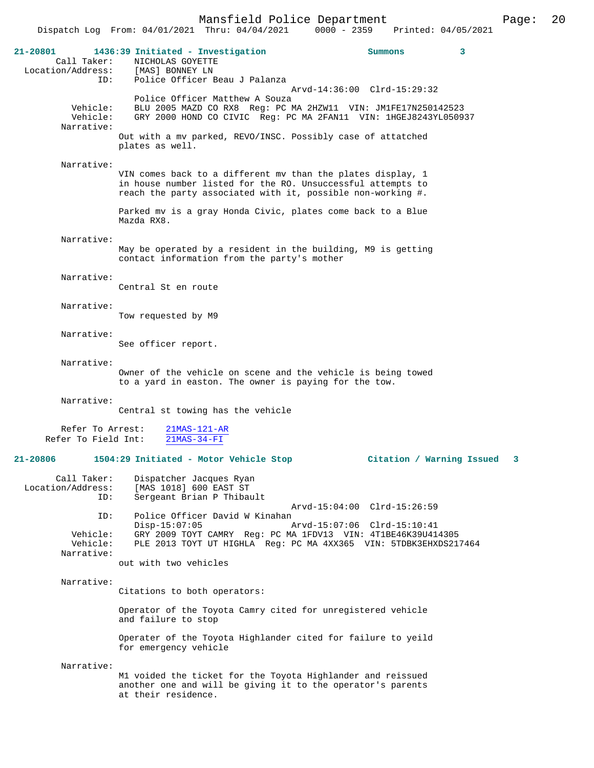| $21 - 20801$<br>Call Taker:<br>Location/Address: | 1436:39 Initiated - Investigation<br>NICHOLAS GOYETTE<br>[MAS] BONNEY LN                                                                                                                  | Summons                                                    | 3 |
|--------------------------------------------------|-------------------------------------------------------------------------------------------------------------------------------------------------------------------------------------------|------------------------------------------------------------|---|
| ID:                                              | Police Officer Beau J Palanza                                                                                                                                                             |                                                            |   |
| Vehicle:<br>Vehicle:<br>Narrative:               | Police Officer Matthew A Souza<br>BLU 2005 MAZD CO RX8 Req: PC MA 2HZW11 VIN: JM1FE17N250142523<br>GRY 2000 HOND CO CIVIC Reg: PC MA 2FAN11 VIN: 1HGEJ8243YL050937                        | Arvd-14:36:00 Clrd-15:29:32                                |   |
|                                                  | Out with a mv parked, REVO/INSC. Possibly case of attatched<br>plates as well.                                                                                                            |                                                            |   |
| Narrative:                                       | VIN comes back to a different mv than the plates display, 1<br>in house number listed for the RO. Unsuccessful attempts to<br>reach the party associated with it, possible non-working #. |                                                            |   |
|                                                  | Parked mv is a gray Honda Civic, plates come back to a Blue<br>Mazda RX8.                                                                                                                 |                                                            |   |
| Narrative:                                       |                                                                                                                                                                                           |                                                            |   |
|                                                  | May be operated by a resident in the building, M9 is getting<br>contact information from the party's mother                                                                               |                                                            |   |
| Narrative:                                       | Central St en route                                                                                                                                                                       |                                                            |   |
| Narrative:                                       |                                                                                                                                                                                           |                                                            |   |
|                                                  | Tow requested by M9                                                                                                                                                                       |                                                            |   |
| Narrative:                                       | See officer report.                                                                                                                                                                       |                                                            |   |
| Narrative:                                       |                                                                                                                                                                                           |                                                            |   |
|                                                  | Owner of the vehicle on scene and the vehicle is being towed<br>to a yard in easton. The owner is paying for the tow.                                                                     |                                                            |   |
| Narrative:                                       | Central st towing has the vehicle                                                                                                                                                         |                                                            |   |
|                                                  |                                                                                                                                                                                           |                                                            |   |
| Refer To Arrest:<br>Refer To Field Int:          | $21MAS-121-AR$<br>$21MAS-34-FI$                                                                                                                                                           |                                                            |   |
| 21-20806                                         | 1504:29 Initiated - Motor Vehicle Stop                                                                                                                                                    | Citation / Warning Issued                                  | 3 |
| Call Taker:<br>Location/Address:<br>ID:          | Dispatcher Jacques Ryan<br>[MAS 1018] 600 EAST ST<br>Sergeant Brian P Thibault                                                                                                            |                                                            |   |
| ID:                                              | Police Officer David W Kinahan<br>$Disp-15:07:05$                                                                                                                                         | Arvd-15:04:00 Clrd-15:26:59<br>Arvd-15:07:06 Clrd-15:10:41 |   |
| Vehicle:<br>Vehicle:<br>Narrative:               | GRY 2009 TOYT CAMRY Reg: PC MA 1FDV13 VIN: 4T1BE46K39U414305<br>PLE 2013 TOYT UT HIGHLA Req: PC MA 4XX365 VIN: 5TDBK3EHXDS217464                                                          |                                                            |   |
|                                                  | out with two vehicles                                                                                                                                                                     |                                                            |   |
| Narrative:                                       | Citations to both operators:                                                                                                                                                              |                                                            |   |
|                                                  | Operator of the Toyota Camry cited for unregistered vehicle<br>and failure to stop                                                                                                        |                                                            |   |
|                                                  | Operater of the Toyota Highlander cited for failure to yeild<br>for emergency vehicle                                                                                                     |                                                            |   |
| Narrative:                                       |                                                                                                                                                                                           |                                                            |   |
|                                                  | M1 voided the ticket for the Toyota Highlander and reissued<br>another one and will be giving it to the operator's parents<br>at their residence.                                         |                                                            |   |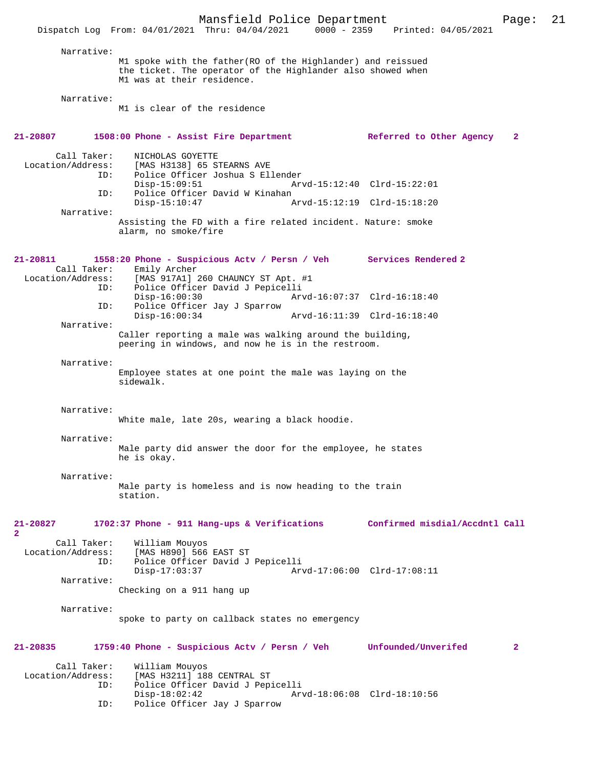|                                                  | Mansfield Police Department<br>Dispatch Log From: 04/01/2021 Thru: 04/04/2021                                                                             | 0000 - 2359 Printed: 04/05/2021 | Page:          | 21 |
|--------------------------------------------------|-----------------------------------------------------------------------------------------------------------------------------------------------------------|---------------------------------|----------------|----|
|                                                  |                                                                                                                                                           |                                 |                |    |
| Narrative:                                       | M1 spoke with the father (RO of the Highlander) and reissued<br>the ticket. The operator of the Highlander also showed when<br>M1 was at their residence. |                                 |                |    |
| Narrative:                                       |                                                                                                                                                           |                                 |                |    |
|                                                  | M1 is clear of the residence                                                                                                                              |                                 |                |    |
| 21-20807                                         | 1508:00 Phone - Assist Fire Department                                                                                                                    | Referred to Other Agency        | $\mathbf{2}$   |    |
| Call Taker:<br>Location/Address:<br>ID:          | NICHOLAS GOYETTE<br>[MAS H3138] 65 STEARNS AVE<br>Police Officer Joshua S Ellender<br>$Disp-15:09:51$                                                     | Arvd-15:12:40 Clrd-15:22:01     |                |    |
| ID:                                              | Police Officer David W Kinahan<br>$Disp-15:10:47$                                                                                                         | Arvd-15:12:19 Clrd-15:18:20     |                |    |
| Narrative:                                       | Assisting the FD with a fire related incident. Nature: smoke<br>alarm, no smoke/fire                                                                      |                                 |                |    |
| $21 - 20811$<br>Call Taker:<br>Location/Address: | 1558:20 Phone - Suspicious Actv / Persn / Veh Services Rendered 2<br>Emily Archer                                                                         |                                 |                |    |
| ID:                                              | [MAS 917A1] 260 CHAUNCY ST Apt. #1<br>Police Officer David J Pepicelli<br>$Disp-16:00:30$                                                                 | Arvd-16:07:37 Clrd-16:18:40     |                |    |
| ID:                                              | Police Officer Jay J Sparrow<br>$Disp-16:00:34$                                                                                                           | Arvd-16:11:39 Clrd-16:18:40     |                |    |
| Narrative:                                       | Caller reporting a male was walking around the building,<br>peering in windows, and now he is in the restroom.                                            |                                 |                |    |
| Narrative:                                       | Employee states at one point the male was laying on the<br>sidewalk.                                                                                      |                                 |                |    |
| Narrative:                                       | White male, late 20s, wearing a black hoodie.                                                                                                             |                                 |                |    |
| Narrative:                                       |                                                                                                                                                           |                                 |                |    |
|                                                  | Male party did answer the door for the employee, he states<br>he is okay.                                                                                 |                                 |                |    |
| Narrative:                                       | Male party is homeless and is now heading to the train                                                                                                    |                                 |                |    |
|                                                  | station.                                                                                                                                                  |                                 |                |    |
| $21 - 20827$<br>$\mathbf{2}$                     | 1702:37 Phone - 911 Hang-ups & Verifications                                                                                                              | Confirmed misdial/Accdntl Call  |                |    |
| Call Taker:<br>Location/Address:<br>ID:          | William Mouyos<br>[MAS H890] 566 EAST ST<br>Police Officer David J Pepicelli<br>$Disp-17:03:37$                                                           | Arvd-17:06:00 Clrd-17:08:11     |                |    |
| Narrative:                                       |                                                                                                                                                           |                                 |                |    |
|                                                  | Checking on a 911 hang up                                                                                                                                 |                                 |                |    |
| Narrative:                                       | spoke to party on callback states no emergency                                                                                                            |                                 |                |    |
| $21 - 20835$                                     | 1759:40 Phone - Suspicious Actv / Persn / Veh                                                                                                             | Unfounded/Unverifed             | $\overline{2}$ |    |
| Call Taker:<br>Location/Address:<br>ID:          | William Mouyos<br>[MAS H3211] 188 CENTRAL ST<br>Police Officer David J Pepicelli                                                                          |                                 |                |    |
| ID:                                              | $Disp-18:02:42$<br>Police Officer Jay J Sparrow                                                                                                           | Arvd-18:06:08 Clrd-18:10:56     |                |    |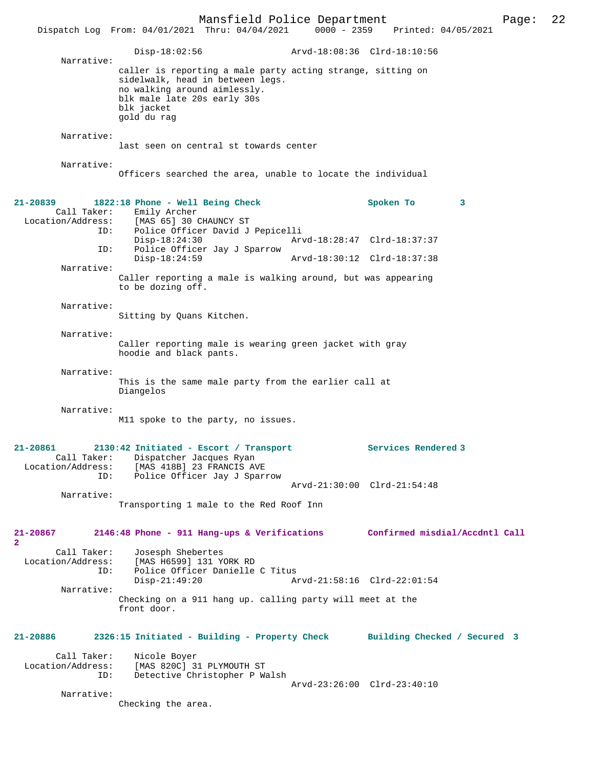Mansfield Police Department Page: 22 Dispatch Log From: 04/01/2021 Thru: 04/04/2021 Disp-18:02:56 Arvd-18:08:36 Clrd-18:10:56 Narrative: caller is reporting a male party acting strange, sitting on sidelwalk, head in between legs. no walking around aimlessly. blk male late 20s early 30s blk jacket gold du rag Narrative: last seen on central st towards center Narrative: Officers searched the area, unable to locate the individual **21-20839 1822:18 Phone - Well Being Check Spoken To 3**  Call Taker: Emily Archer Location/Address: [MAS 65] 30 CHAUNCY ST Police Officer David J Pepicelli<br>Disp-18:24:30 Arv Disp-18:24:30 Arvd-18:28:47 Clrd-18:37:37<br>ID: Police Officer Jav J Sparrow Police Officer Jay J Sparrow Disp-18:24:59 Arvd-18:30:12 Clrd-18:37:38 Narrative: Caller reporting a male is walking around, but was appearing to be dozing off. Narrative: Sitting by Quans Kitchen. Narrative: Caller reporting male is wearing green jacket with gray hoodie and black pants. Narrative: This is the same male party from the earlier call at Diangelos Narrative: M11 spoke to the party, no issues. **21-20861 2130:42 Initiated - Escort / Transport Services Rendered 3**  Call Taker: Dispatcher Jacques Ryan<br>Location/Address: [MAS 418B] 23 FRANCIS AV ess: [MAS 418B] 23 FRANCIS AVE<br>ID: Police Officer Jay J Spar: Police Officer Jay J Sparrow Arvd-21:30:00 Clrd-21:54:48 Narrative: Transporting 1 male to the Red Roof Inn **21-20867 2146:48 Phone - 911 Hang-ups & Verifications Confirmed misdial/Accdntl Call 2**  Call Taker: Josesph Shebertes<br>Location/Address: [MAS H6599] 131 Y ess: [MAS H6599] 131 YORK RD<br>ID: Police Officer Danielle ID: Police Officer Danielle C Titus Arvd-21:58:16 Clrd-22:01:54 Narrative: Checking on a 911 hang up. calling party will meet at the front door. **21-20886 2326:15 Initiated - Building - Property Check Building Checked / Secured 3** Call Taker: Nicole Boyer<br>Location/Address: [MAS 820C] 3 [MAS 820C] 31 PLYMOUTH ST ID: Detective Christopher P Walsh Arvd-23:26:00 Clrd-23:40:10 Narrative: Checking the area.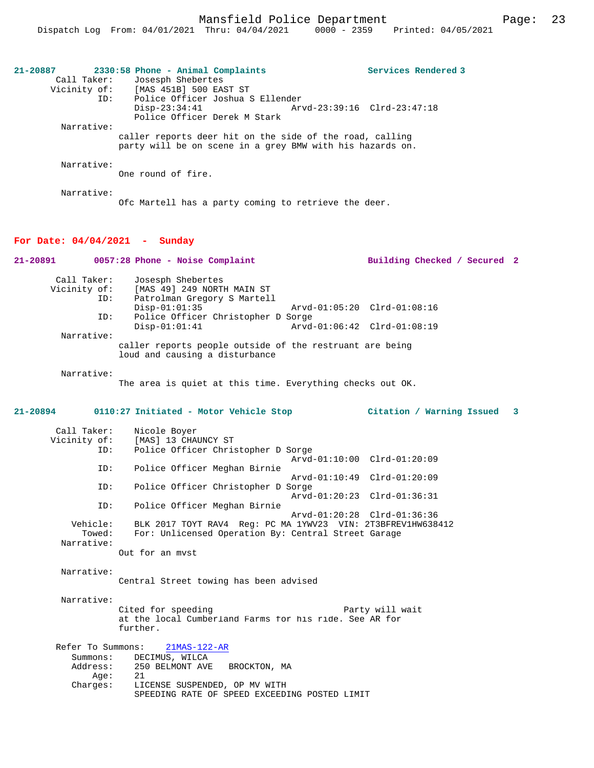|                                 | 2330:58 Phone - Animal Complaints                         |                             | Services Rendered 3          |  |
|---------------------------------|-----------------------------------------------------------|-----------------------------|------------------------------|--|
| Call Taker:                     | Josesph Shebertes                                         |                             |                              |  |
|                                 | Vicinity of: [MAS 451B] 500 EAST ST                       |                             |                              |  |
| ID:                             | Police Officer Joshua S Ellender                          |                             |                              |  |
|                                 | $Disp-23:34:41$                                           | Arvd-23:39:16 Clrd-23:47:18 |                              |  |
|                                 | Police Officer Derek M Stark                              |                             |                              |  |
| Narrative:                      |                                                           |                             |                              |  |
|                                 | caller reports deer hit on the side of the road, calling  |                             |                              |  |
|                                 | party will be on scene in a grey BMW with his hazards on. |                             |                              |  |
|                                 |                                                           |                             |                              |  |
| Narrative:                      |                                                           |                             |                              |  |
|                                 | One round of fire.                                        |                             |                              |  |
|                                 |                                                           |                             |                              |  |
| Narrative:                      |                                                           |                             |                              |  |
|                                 | Ofc Martell has a party coming to retrieve the deer.      |                             |                              |  |
|                                 |                                                           |                             |                              |  |
|                                 |                                                           |                             |                              |  |
|                                 |                                                           |                             |                              |  |
|                                 |                                                           |                             |                              |  |
| For Date: $04/04/2021$ - Sunday |                                                           |                             |                              |  |
| $21 - 20891$                    | 0057:28 Phone - Noise Complaint                           |                             | Building Checked / Secured 2 |  |
| Call Taker:                     |                                                           |                             |                              |  |
|                                 | Josesph Shebertes                                         |                             |                              |  |
| Vicinity of:<br>ID:             | [MAS 49] 249 NORTH MAIN ST                                |                             |                              |  |
|                                 | Patrolman Gregory S Martell<br>$Disp-01:01:35$            | Arvd-01:05:20 Clrd-01:08:16 |                              |  |
| ID:                             | Police Officer Christopher D Sorge                        |                             |                              |  |

Narrative:

caller reports people outside of the restruant are being loud and causing a disturbance

Narrative:

The area is quiet at this time. Everything checks out OK.

### **21-20894 0110:27 Initiated - Motor Vehicle Stop Citation / Warning Issued 3**

| Call Taker:  | Nicole Boyer                                                |
|--------------|-------------------------------------------------------------|
| Vicinity of: | [MAS] 13 CHAUNCY ST                                         |
| ID:          | Police Officer Christopher D Sorge                          |
|              | Arvd-01:10:00 Clrd-01:20:09                                 |
| ID:          | Police Officer Meghan Birnie                                |
|              | Arvd-01:10:49 Clrd-01:20:09                                 |
| ID:          | Police Officer Christopher D Sorge                          |
|              | Arvd-01:20:23 Clrd-01:36:31                                 |
| ID:          | Police Officer Meghan Birnie                                |
|              | Arvd-01:20:28 Clrd-01:36:36                                 |
| Vehicle:     | BLK 2017 TOYT RAV4 Req: PC MA 1YWV23 VIN: 2T3BFREV1HW638412 |
| Towed:       | For: Unlicensed Operation By: Central Street Garage         |
| Narrative:   |                                                             |
|              | Out for an myst                                             |
|              |                                                             |

Narrative:

Central Street towing has been advised

Narrative:

Cited for speeding extending the Party will wait at the local Cumberland Farms for his ride. See AR for further.

|          | Refer To Summons: 21MAS-122-AR                |
|----------|-----------------------------------------------|
| Summons: | DECIMUS, WILCA                                |
| Address: | 250 BELMONT AVE BROCKTON, MA                  |
| Aae:     | 21                                            |
| Charges: | LICENSE SUSPENDED, OP MV WITH                 |
|          | SPEEDING RATE OF SPEED EXCEEDING POSTED LIMIT |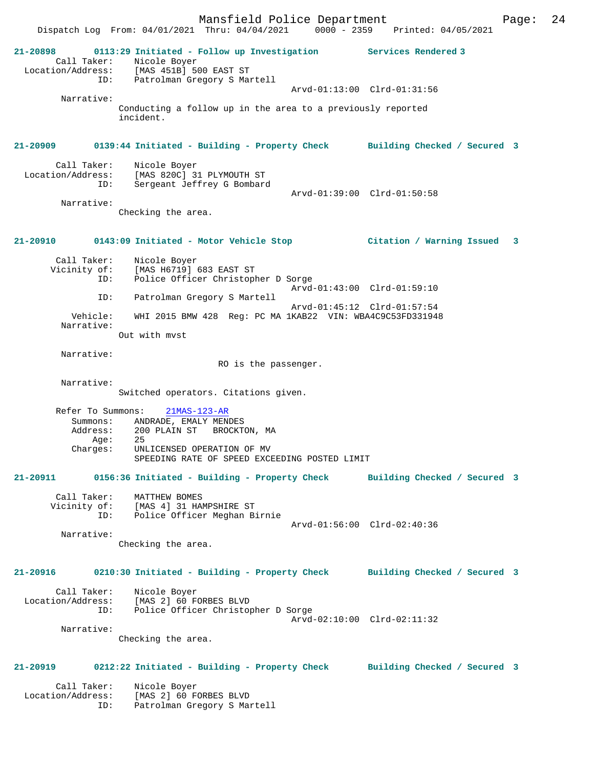Call Taker: Nicole Boyer Location/Address: [MAS 451B] 500 EAST ST ID: Patrolman Gregory S Martell Arvd-01:13:00 Clrd-01:31:56 Narrative: Conducting a follow up in the area to a previously reported incident. **21-20909 0139:44 Initiated - Building - Property Check Building Checked / Secured 3** Call Taker: Nicole Boyer<br>Location/Address: [MAS 820C] 3 ess: [MAS 820C] 31 PLYMOUTH ST<br>ID: Sergeant Jeffrey G Bombard Sergeant Jeffrey G Bombard Arvd-01:39:00 Clrd-01:50:58 Narrative: Checking the area. **21-20910 0143:09 Initiated - Motor Vehicle Stop Citation / Warning Issued 3** Call Taker: Nicole Boyer Vicinity of: [MAS H6719] 683 EAST ST ID: Police Officer Christopher D Sorge Arvd-01:43:00 Clrd-01:59:10<br>ID: Patrolman Gregory S Martell Patrolman Gregory S Martell Arvd-01:45:12 Clrd-01:57:54<br>Vehicle: WHI 2015 BMW 428 Req: PC MA 1KAB22 VIN: WBA4C9C53FD33194 WHI 2015 BMW 428 Reg: PC MA 1KAB22 VIN: WBA4C9C53FD331948 Narrative: Out with mvst Narrative: RO is the passenger. Narrative: Switched operators. Citations given. Refer To Summons: 21MAS-123-AR Summons: ANDRADE, EMALY MENDES<br>Address: 200 PLAIN ST BROCKT 200 PLAIN ST BROCKTON, MA<br>25 Age:<br>:Charges UNLICENSED OPERATION OF MV SPEEDING RATE OF SPEED EXCEEDING POSTED LIMIT **21-20911 0156:36 Initiated - Building - Property Check Building Checked / Secured 3** Call Taker: MATTHEW BOMES Vicinity of: [MAS 4] 31 HAMPSHIRE ST ID: Police Officer Meghan Birnie Arvd-01:56:00 Clrd-02:40:36 Narrative: Checking the area. **21-20916 0210:30 Initiated - Building - Property Check Building Checked / Secured 3** Call Taker: Nicole Boyer Location/Address: [MAS 2] 60 FORBES BLVD Police Officer Christopher D Sorge Arvd-02:10:00 Clrd-02:11:32 Narrative: Checking the area. **21-20919 0212:22 Initiated - Building - Property Check Building Checked / Secured 3**

 Call Taker: Nicole Boyer Location/Address: [MAS 2] 60 FORBES BLVD ID: Patrolman Gregory S Martell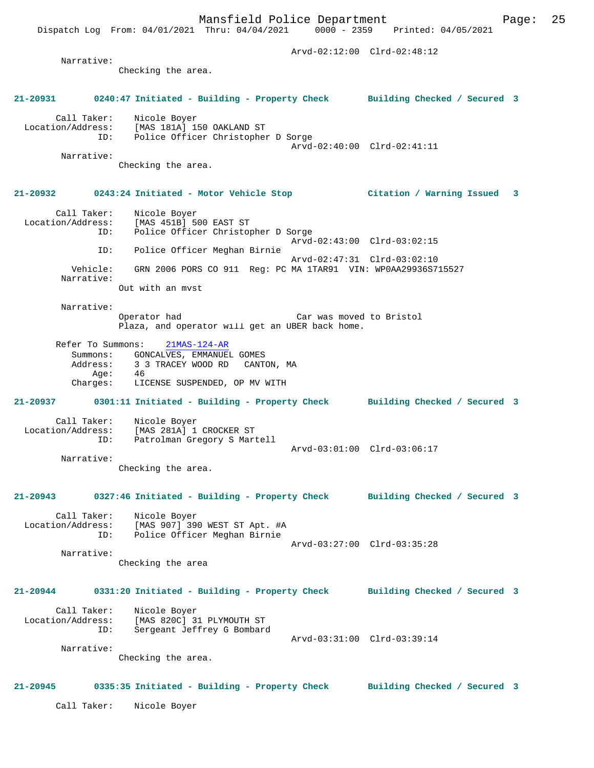Arvd-02:12:00 Clrd-02:48:12 Narrative: Checking the area. **21-20931 0240:47 Initiated - Building - Property Check Building Checked / Secured 3** Call Taker: Nicole Boyer Location/Address: [MAS 181A] 150 OAKLAND ST ID: Police Officer Christopher D Sorge Arvd-02:40:00 Clrd-02:41:11 Narrative: Checking the area. **21-20932 0243:24 Initiated - Motor Vehicle Stop Citation / Warning Issued 3** Call Taker: Nicole Boyer Location/Address: [MAS 451B] 500 EAST ST ID: Police Officer Christopher D Sorge Arvd-02:43:00 Clrd-03:02:15 ID: Police Officer Meghan Birnie Arvd-02:47:31 Clrd-03:02:10 Vehicle: GRN 2006 PORS CO 911 Reg: PC MA 1TAR91 VIN: WP0AA29936S715527 Narrative: Out with an mvst Narrative: Operator had Car was moved to Bristol Plaza, and operator will get an UBER back home. Refer To Summons: 21MAS-124-AR Summons: GONCALVES, EMMANUEL GOMES<br>Address: 3 3 TRACEY WOOD RD CANT 3 3 TRACEY WOOD RD CANTON, MA Age: 46 Charges: LICENSE SUSPENDED, OP MV WITH **21-20937 0301:11 Initiated - Building - Property Check Building Checked / Secured 3** Call Taker: Nicole Boyer Location/Address: [MAS 281A] 1 CROCKER ST ID: Patrolman Gregory S Martell Arvd-03:01:00 Clrd-03:06:17 Narrative: Checking the area. **21-20943 0327:46 Initiated - Building - Property Check Building Checked / Secured 3** Call Taker: Nicole Boyer Location/Address: [MAS 907] 390 WEST ST Apt. #A ID: Police Officer Meghan Birnie Arvd-03:27:00 Clrd-03:35:28 Narrative: Checking the area **21-20944 0331:20 Initiated - Building - Property Check Building Checked / Secured 3** Call Taker: Nicole Boyer Location/Address: [MAS 820C] 31 PLYMOUTH ST<br>ID: Sergeant Jeffrey G Bombard Sergeant Jeffrey G Bombard Arvd-03:31:00 Clrd-03:39:14 Narrative: Checking the area. **21-20945 0335:35 Initiated - Building - Property Check Building Checked / Secured 3**

Call Taker: Nicole Boyer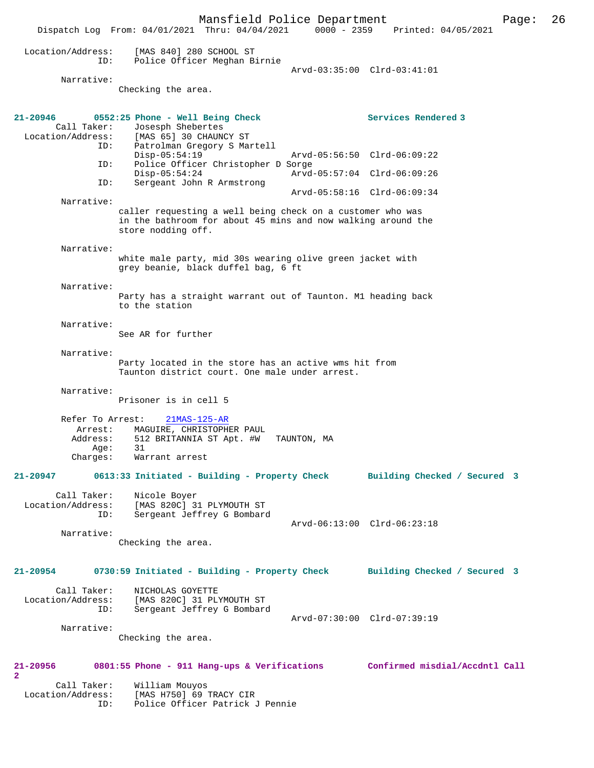Mansfield Police Department Page: 26 Dispatch Log From: 04/01/2021 Thru: 04/04/2021 Location/Address: [MAS 840] 280 SCHOOL ST ID: Police Officer Meghan Birnie Arvd-03:35:00 Clrd-03:41:01 Narrative: Checking the area. **21-20946 0552:25 Phone - Well Being Check Services Rendered 3**  Call Taker: Josesph Shebertes Location/Address: [MAS 65] 30 CHAUNCY ST ID: Patrolman Gregory S Martell Disp-05:54:19 Arvd-05:56:50 Clrd-06:09:22<br>ID: Police Officer Christopher D Sorge Police Officer Christopher D Sorge<br>Disp-05:54:24 Arvd Disp-05:54:24 Arvd-05:57:04 Clrd-06:09:26<br>ID: Sergeant John R Armstrong Sergeant John R Armstrong Arvd-05:58:16 Clrd-06:09:34 Narrative: caller requesting a well being check on a customer who was in the bathroom for about 45 mins and now walking around the store nodding off. Narrative: white male party, mid 30s wearing olive green jacket with grey beanie, black duffel bag, 6 ft Narrative: Party has a straight warrant out of Taunton. M1 heading back to the station Narrative: See AR for further Narrative: Party located in the store has an active wms hit from Taunton district court. One male under arrest. Narrative: Prisoner is in cell 5 Refer To Arrest: 21MAS-125-AR Arrest: MAGUIRE, CHRISTOPHER PAUL Address: 512 BRITANNIA ST Apt. #W TAUNTON, MA<br>Age: 31 Age:<br>Charges: Warrant arrest **21-20947 0613:33 Initiated - Building - Property Check Building Checked / Secured 3** Call Taker: Nicole Boyer<br>Location/Address: [MAS 820Cl 3 [MAS 820C] 31 PLYMOUTH ST ID: Sergeant Jeffrey G Bombard Arvd-06:13:00 Clrd-06:23:18 Narrative: Checking the area. **21-20954 0730:59 Initiated - Building - Property Check Building Checked / Secured 3** Call Taker: NICHOLAS GOYETTE<br>Location/Address: [MAS 820C] 31 PL [MAS 820C] 31 PLYMOUTH ST ID: Sergeant Jeffrey G Bombard Arvd-07:30:00 Clrd-07:39:19 Narrative: Checking the area. **21-20956 0801:55 Phone - 911 Hang-ups & Verifications Confirmed misdial/Accdntl Call 2**  Call Taker: William Mouyos<br>: Location/Address: [MAS H750] 69 ess: [MAS H750] 69 TRACY CIR<br>TD: Police Officer Patrick Police Officer Patrick J Pennie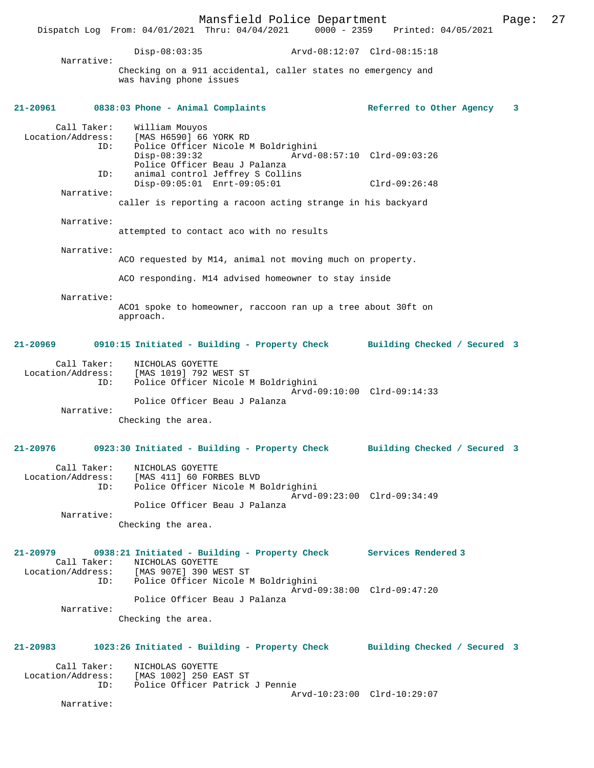Mansfield Police Department Page: 27 Dispatch Log From: 04/01/2021 Thru: 04/04/2021 Disp-08:03:35 Arvd-08:12:07 Clrd-08:15:18 Narrative: Checking on a 911 accidental, caller states no emergency and was having phone issues **21-20961 0838:03 Phone - Animal Complaints Referred to Other Agency 3** Call Taker: William Mouyos Location/Address: [MAS H6590] 66 YORK RD ID: Police Officer Nicole M Boldrighini Disp-08:39:32 Arvd-08:57:10 Clrd-09:03:26 Police Officer Beau J Palanza<br>ID: animal control Jeffrey S Colli animal control Jeffrey S Collins Disp-09:05:01 Enrt-09:05:01 Clrd-09:26:48 Narrative: caller is reporting a racoon acting strange in his backyard Narrative: attempted to contact aco with no results Narrative: ACO requested by M14, animal not moving much on property. ACO responding. M14 advised homeowner to stay inside Narrative: ACO1 spoke to homeowner, raccoon ran up a tree about 30ft on approach. **21-20969 0910:15 Initiated - Building - Property Check Building Checked / Secured 3** Call Taker: <br>Incation/Address: [MAS 1019] 792 WI [MAS 1019] 792 WEST ST ID: Police Officer Nicole M Boldrighini Arvd-09:10:00 Clrd-09:14:33 Police Officer Beau J Palanza Narrative: Checking the area. **21-20976 0923:30 Initiated - Building - Property Check Building Checked / Secured 3** Call Taker: NICHOLAS GOYETTE Location/Address: [MAS 411] 60 FORBES BLVD Police Officer Nicole M Boldrighini Arvd-09:23:00 Clrd-09:34:49 Police Officer Beau J Palanza Narrative: Checking the area. **21-20979 0938:21 Initiated - Building - Property Check Services Rendered 3**  Call Taker: NICHOLAS GOYETTE Location/Address: [MAS 907E] 390 WEST ST ID: Police Officer Nicole M Boldrighini Arvd-09:38:00 Clrd-09:47:20 Police Officer Beau J Palanza Narrative: Checking the area. **21-20983 1023:26 Initiated - Building - Property Check Building Checked / Secured 3** Call Taker: NICHOLAS GOYETTE<br>Location/Address: [MAS 1002] 250 E. [MAS 1002] 250 EAST ST ID: Police Officer Patrick J Pennie Arvd-10:23:00 Clrd-10:29:07 Narrative: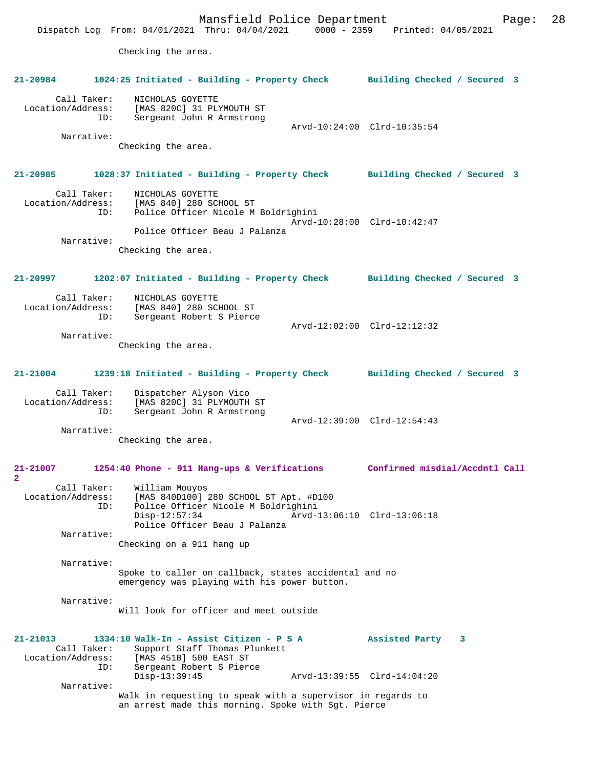Mansfield Police Department Fage: 28 Dispatch Log From: 04/01/2021 Thru: 04/04/2021 0000 - 2359 Printed: 04/05/2021 Checking the area. **21-20984 1024:25 Initiated - Building - Property Check Building Checked / Secured 3** Call Taker: NICHOLAS GOYETTE Location/Address: [MAS 820C] 31 PLYMOUTH ST<br>TD: Sergeant John R Armstrong Sergeant John R Armstrong Arvd-10:24:00 Clrd-10:35:54 Narrative: Checking the area. **21-20985 1028:37 Initiated - Building - Property Check Building Checked / Secured 3** Call Taker: NICHOLAS GOYETTE<br>Location/Address: [MAS 840] 280 SC [MAS 840] 280 SCHOOL ST ID: Police Officer Nicole M Boldrighini Arvd-10:28:00 Clrd-10:42:47 Police Officer Beau J Palanza Narrative: Checking the area. **21-20997 1202:07 Initiated - Building - Property Check Building Checked / Secured 3** Call Taker: NICHOLAS GOYETTE<br>Location/Address: [MAS 840] 280 SCI Location/Address: [MAS 840] 280 SCHOOL ST ID: Sergeant Robert S Pierce Arvd-12:02:00 Clrd-12:12:32 Narrative: Checking the area. **21-21004 1239:18 Initiated - Building - Property Check Building Checked / Secured 3** Call Taker: Dispatcher Alyson Vico<br>Location/Address: [MAS 820C] 31 PLYMOUTH ess: [MAS 820C] 31 PLYMOUTH ST<br>ID: Sergeant John R Armstrong Sergeant John R Armstrong Arvd-12:39:00 Clrd-12:54:43 Narrative: Checking the area. **21-21007 1254:40 Phone - 911 Hang-ups & Verifications Confirmed misdial/Accdntl Call 2**  Call Taker: William Mouyos Location/Address: [MAS 840D100] 280 SCHOOL ST Apt. #D100 Police Officer Nicole M Boldrighini<br>Disp-12:57:34 Arvd- Disp-12:57:34 Arvd-13:06:10 Clrd-13:06:18 Police Officer Beau J Palanza Narrative: Checking on a 911 hang up Narrative: Spoke to caller on callback, states accidental and no emergency was playing with his power button. Narrative: Will look for officer and meet outside **21-21013 1334:10 Walk-In - Assist Citizen - P S A Assisted Party 3**  Call Taker: Support Staff Thomas Plunkett<br>Location/Address: [MAS 451B] 500 EAST ST ess: [MAS 451B] 500 EAST ST<br>ID: Sergeant Robert S Pierd Sergeant Robert S Pierce<br>Disp-13:39:45 Disp-13:39:45 Arvd-13:39:55 Clrd-14:04:20 Narrative: Walk in requesting to speak with a supervisor in regards to an arrest made this morning. Spoke with Sgt. Pierce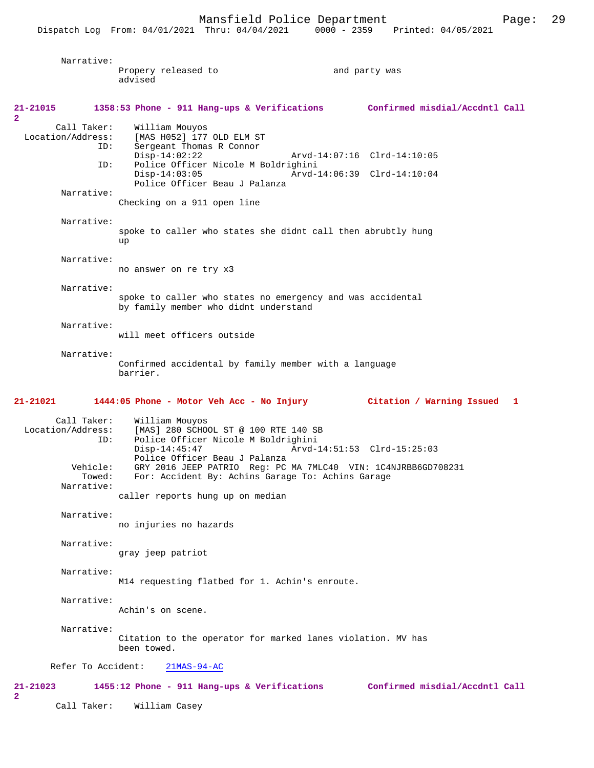Narrative: Propery released to and party was advised **21-21015 1358:53 Phone - 911 Hang-ups & Verifications Confirmed misdial/Accdntl Call** Call Taker: William Mouyos<br>Location/Address: [MAS H052] 177 ess: [MAS H052] 177 OLD ELM ST<br>ID: Sergeant Thomas R Connor Sergeant Thomas R Connor<br>Disp-14:02:22 Disp-14:02:22 Arvd-14:07:16 Clrd-14:10:05<br>ID: Police Officer Nicole M Boldrighini Police Officer Nicole M Boldrighini<br>Disp-14:03:05 Arvd- Disp-14:03:05 Arvd-14:06:39 Clrd-14:10:04 Police Officer Beau J Palanza Narrative: Checking on a 911 open line Narrative: spoke to caller who states she didnt call then abrubtly hung up Narrative: no answer on re try x3 Narrative: spoke to caller who states no emergency and was accidental by family member who didnt understand Narrative: will meet officers outside Narrative: Confirmed accidental by family member with a language barrier. **21-21021 1444:05 Phone - Motor Veh Acc - No Injury Citation / Warning Issued 1** Call Taker: William Mouyos<br>Location/Address: [MAS] 280 SCHO [MAS] 280 SCHOOL ST @ 100 RTE 140 SB ID: Police Officer Nicole M Boldrighini Arvd-14:51:53 Clrd-15:25:03 Police Officer Beau J Palanza<br>Vehicle: GRY 2016 JEEP PATRIO Reg: PC Vehicle: GRY 2016 JEEP PATRIO Reg: PC MA 7MLC40 VIN: 1C4NJRBB6GD708231 Towed: For: Accident By: Achins Garage To: Achins Garage Narrative: caller reports hung up on median Narrative: no injuries no hazards Narrative: gray jeep patriot Narrative: M14 requesting flatbed for 1. Achin's enroute. Narrative: Achin's on scene. Narrative: Citation to the operator for marked lanes violation. MV has been towed. Refer To Accident: 21MAS-94-AC **21-21023 1455:12 Phone - 911 Hang-ups & Verifications Confirmed misdial/Accdntl Call**

Call Taker: William Casey

**2** 

**2**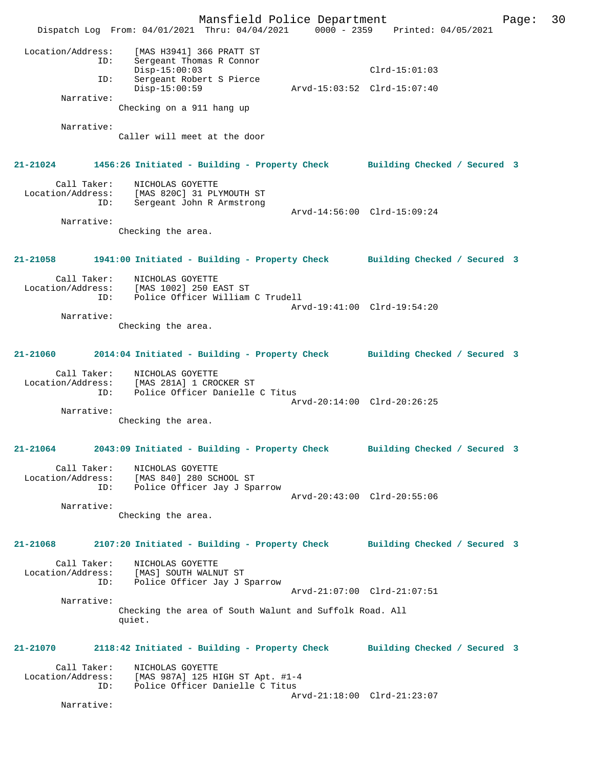|                                                       | Mansfield Police Department<br>Dispatch Log From: 04/01/2021 Thru: 04/04/2021                                          | 0000 - 2359 Printed: 04/05/2021                | Page: | 30 |
|-------------------------------------------------------|------------------------------------------------------------------------------------------------------------------------|------------------------------------------------|-------|----|
| Location/Address:<br>ID:<br>ID:                       | [MAS H3941] 366 PRATT ST<br>Sergeant Thomas R Connor<br>$Disp-15:00:03$<br>Sergeant Robert S Pierce<br>$Disp-15:00:59$ | $Clrd-15:01:03$<br>Arvd-15:03:52 Clrd-15:07:40 |       |    |
| Narrative:                                            |                                                                                                                        |                                                |       |    |
|                                                       | Checking on a 911 hang up                                                                                              |                                                |       |    |
| Narrative:                                            | Caller will meet at the door                                                                                           |                                                |       |    |
| 21-21024                                              | 1456:26 Initiated - Building - Property Check Building Checked / Secured 3                                             |                                                |       |    |
| Call Taker:<br>Location/Address:<br>ID:               | NICHOLAS GOYETTE<br>[MAS 820C] 31 PLYMOUTH ST<br>Sergeant John R Armstrong                                             | Arvd-14:56:00 Clrd-15:09:24                    |       |    |
| Narrative:                                            | Checking the area.                                                                                                     |                                                |       |    |
| 21-21058                                              | 1941:00 Initiated - Building - Property Check Building Checked / Secured 3                                             |                                                |       |    |
| Call Taker:<br>Location/Address:<br>ID:<br>Narrative: | NICHOLAS GOYETTE<br>[MAS 1002] 250 EAST ST<br>Police Officer William C Trudell                                         | Arvd-19:41:00 Clrd-19:54:20                    |       |    |
| 21-21060                                              | Checking the area.<br>2014:04 Initiated - Building - Property Check Building Checked / Secured 3                       |                                                |       |    |
| Call Taker:<br>Location/Address:<br>ID:<br>Narrative: | NICHOLAS GOYETTE<br>[MAS 281A] 1 CROCKER ST<br>Police Officer Danielle C Titus<br>Checking the area.                   | Arvd-20:14:00 Clrd-20:26:25                    |       |    |
|                                                       | 21-21064 2043:09 Initiated - Building - Property Check Building Checked / Secured 3                                    |                                                |       |    |
| Call Taker:<br>ID:                                    | NICHOLAS GOYETTE<br>Location/Address: [MAS 840] 280 SCHOOL ST<br>Police Officer Jay J Sparrow                          |                                                |       |    |
| Narrative:                                            | Checking the area.                                                                                                     | Arvd-20:43:00 Clrd-20:55:06                    |       |    |
| 21-21068                                              | 2107:20 Initiated - Building - Property Check Building Checked / Secured 3                                             |                                                |       |    |
| Call Taker:<br>ID:                                    | NICHOLAS GOYETTE<br>Location/Address: [MAS] SOUTH WALNUT ST<br>Police Officer Jay J Sparrow                            | Arvd-21:07:00 Clrd-21:07:51                    |       |    |
| Narrative:                                            | Checking the area of South Walunt and Suffolk Road. All<br>quiet.                                                      |                                                |       |    |
| 21-21070                                              | 2118:42 Initiated - Building - Property Check Building Checked / Secured 3                                             |                                                |       |    |
| Call Taker:<br>ID:                                    | NICHOLAS GOYETTE<br>Location/Address: [MAS 987A] 125 HIGH ST Apt. #1-4<br>Police Officer Danielle C Titus              |                                                |       |    |
| Narrative:                                            |                                                                                                                        | Arvd-21:18:00 Clrd-21:23:07                    |       |    |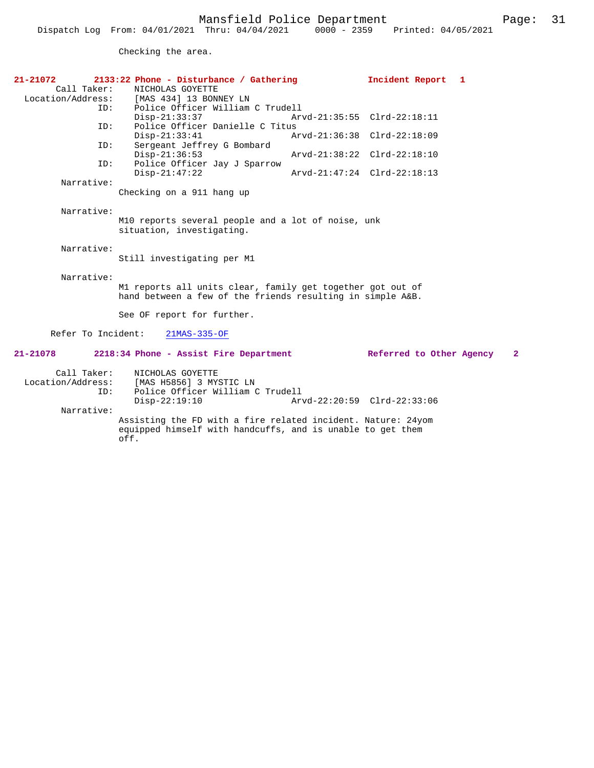Checking the area.

| $21 - 21072$       | 2133:22 Phone - Disturbance / Gathering                                         |                             | Incident Report             | -1           |
|--------------------|---------------------------------------------------------------------------------|-----------------------------|-----------------------------|--------------|
| Call Taker:        | NICHOLAS GOYETTE                                                                |                             |                             |              |
|                    | Location/Address: [MAS 434] 13 BONNEY LN                                        |                             |                             |              |
| ID:                | Police Officer William C Trudell                                                |                             |                             |              |
|                    | $Disp-21:33:37$                                                                 | Arvd-21:35:55 Clrd-22:18:11 |                             |              |
| ID:                | Police Officer Danielle C Titus<br>$Disp-21:33:41$                              | Arvd-21:36:38 Clrd-22:18:09 |                             |              |
| ID:                | Sergeant Jeffrey G Bombard                                                      |                             |                             |              |
|                    | $Disp-21:36:53$                                                                 |                             | Arvd-21:38:22 Clrd-22:18:10 |              |
| ID:                | Police Officer Jay J Sparrow                                                    |                             |                             |              |
|                    | $Disp-21:47:22$                                                                 |                             | Arvd-21:47:24 Clrd-22:18:13 |              |
| Narrative:         |                                                                                 |                             |                             |              |
|                    | Checking on a 911 hang up                                                       |                             |                             |              |
|                    |                                                                                 |                             |                             |              |
| Narrative:         |                                                                                 |                             |                             |              |
|                    | M10 reports several people and a lot of noise, unk<br>situation, investigating. |                             |                             |              |
|                    |                                                                                 |                             |                             |              |
| Narrative:         |                                                                                 |                             |                             |              |
|                    | Still investigating per M1                                                      |                             |                             |              |
|                    |                                                                                 |                             |                             |              |
| Narrative:         |                                                                                 |                             |                             |              |
|                    | M1 reports all units clear, family get together got out of                      |                             |                             |              |
|                    | hand between a few of the friends resulting in simple A&B.                      |                             |                             |              |
|                    |                                                                                 |                             |                             |              |
|                    | See OF report for further.                                                      |                             |                             |              |
| Refer To Incident: | $21MAS-335-OF$                                                                  |                             |                             |              |
|                    |                                                                                 |                             |                             |              |
| 21-21078           | 2218:34 Phone - Assist Fire Department                                          |                             | Referred to Other Agency    | $\mathbf{2}$ |
| Call Taker:        | NICHOLAS GOYETTE                                                                |                             |                             |              |
| Location/Address:  | [MAS H5856] 3 MYSTIC LN                                                         |                             |                             |              |
| ID:                | Police Officer William C Trudell                                                |                             |                             |              |
|                    | $Disp-22:19:10$                                                                 |                             | Arvd-22:20:59 Clrd-22:33:06 |              |
| Narrative:         |                                                                                 |                             |                             |              |
|                    | Assisting the FD with a fire related incident. Nature: 24yom                    |                             |                             |              |
|                    | equipped himself with handcuffs, and is unable to get them                      |                             |                             |              |

off.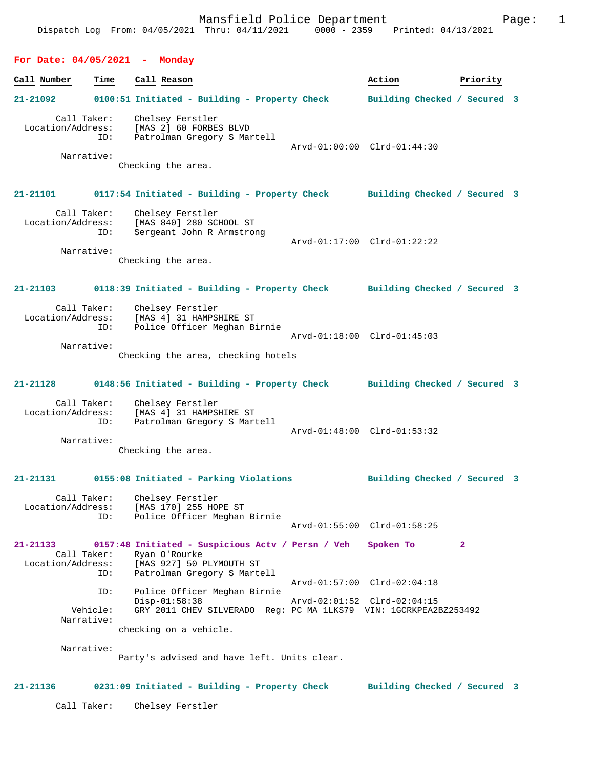#### **For Date: 04/05/2021 - Monday**

**Call Number Time Call Reason Action Priority 21-21092 0100:51 Initiated - Building - Property Check Building Checked / Secured 3** Call Taker: Chelsey Ferstler Location/Address: [MAS 2] 60 FORBES BLVD ID: Patrolman Gregory S Martell Arvd-01:00:00 Clrd-01:44:30 Narrative: Checking the area. **21-21101 0117:54 Initiated - Building - Property Check Building Checked / Secured 3** Call Taker: Chelsey Ferstler Location/Address: [MAS 840] 280 SCHOOL ST ID: Sergeant John R Armstrong Arvd-01:17:00 Clrd-01:22:22 Narrative: Checking the area. **21-21103 0118:39 Initiated - Building - Property Check Building Checked / Secured 3** Call Taker: Chelsey Ferstler<br>Location/Address: [MAS 4] 31 HAMPSI [MAS 4] 31 HAMPSHIRE ST ID: Police Officer Meghan Birnie Arvd-01:18:00 Clrd-01:45:03 Narrative: Checking the area, checking hotels **21-21128 0148:56 Initiated - Building - Property Check Building Checked / Secured 3** Call Taker: Chelsey Ferstler Location/Address: [MAS 4] 31 HAMPSHIRE ST ID: Patrolman Gregory S Martell Arvd-01:48:00 Clrd-01:53:32 Narrative: Checking the area. **21-21131 0155:08 Initiated - Parking Violations Building Checked / Secured 3** Call Taker: Chelsey Ferstler Location/Address: [MAS 170] 255 HOPE ST ID: Police Officer Meghan Birnie Arvd-01:55:00 Clrd-01:58:25 **21-21133 0157:48 Initiated - Suspicious Actv / Persn / Veh Spoken To 2**  Call Taker: Ryan O'Rourke<br>Location/Address: [MAS 927] 50 1 [MAS 927] 50 PLYMOUTH ST ID: Patrolman Gregory S Martell Arvd-01:57:00 Clrd-02:04:18 ID: Police Officer Meghan Birnie Arvd-02:01:52 Clrd-02:04:15 Vehicle: GRY 2011 CHEV SILVERADO Reg: PC MA 1LKS79 VIN: 1GCRKPEA2BZ253492 Narrative: checking on a vehicle. Narrative: Party's advised and have left. Units clear. **21-21136 0231:09 Initiated - Building - Property Check Building Checked / Secured 3**

Call Taker: Chelsey Ferstler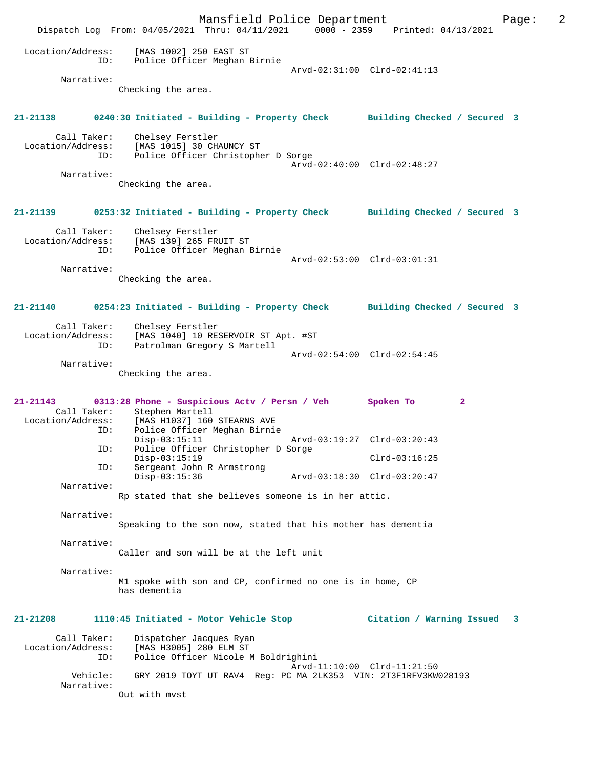Mansfield Police Department Page: 2 Dispatch Log From: 04/05/2021 Thru: 04/11/2021 0000 - 2359 Printed: 04/13/2021 Location/Address: [MAS 1002] 250 EAST ST ID: Police Officer Meghan Birnie Arvd-02:31:00 Clrd-02:41:13 Narrative: Checking the area. **21-21138 0240:30 Initiated - Building - Property Check Building Checked / Secured 3** Call Taker: Chelsey Ferstler Location/Address: [MAS 1015] 30 CHAUNCY ST ID: Police Officer Christopher D Sorge Arvd-02:40:00 Clrd-02:48:27 Narrative: Checking the area. **21-21139 0253:32 Initiated - Building - Property Check Building Checked / Secured 3** Call Taker: Chelsey Ferstler<br>Location/Address: [MAS 139] 265 FR Location (Additional Ses: [MAS 139] 265 FRUIT ST<br>TD: Police Officer Meghan P Police Officer Meghan Birnie Arvd-02:53:00 Clrd-03:01:31 Narrative: Checking the area. **21-21140 0254:23 Initiated - Building - Property Check Building Checked / Secured 3** Call Taker: Chelsey Ferstler Location/Address: [MAS 1040] 10 RESERVOIR ST Apt. #ST ID: Patrolman Gregory S Martell Arvd-02:54:00 Clrd-02:54:45 Narrative: Checking the area. **21-21143 0313:28 Phone - Suspicious Actv / Persn / Veh Spoken To 2**  Call Taker: Stephen Martell<br>Location/Address: [MAS H1037] 160 ess: [MAS H1037] 160 STEARNS AVE<br>ID: Police Officer Meghan Birnie Police Officer Meghan Birnie<br>Disp-03:15:11 Disp-03:15:11 Arvd-03:19:27 Clrd-03:20:43<br>ID: Police Officer Christopher D Sorge Police Officer Christopher D Sorge Disp-03:15:19 Clrd-03:16:25<br>ID: Sergeant John R Armstrong Sergeant John R Armstrong Disp-03:15:36 Arvd-03:18:30 Clrd-03:20:47 Narrative: Rp stated that she believes someone is in her attic. Narrative: Speaking to the son now, stated that his mother has dementia Narrative: Caller and son will be at the left unit Narrative: M1 spoke with son and CP, confirmed no one is in home, CP has dementia **21-21208 1110:45 Initiated - Motor Vehicle Stop Citation / Warning Issued 3** Call Taker: Dispatcher Jacques Ryan Location/Address: [MAS H3005] 280 ELM ST ID: Police Officer Nicole M Boldrighini Arvd-11:10:00 Clrd-11:21:50<br>Vehicle: GRY 2019 TOYT UT RAV4 Reg: PC MA 2LK353 VIN: 2T3F1RFV3KW GRY 2019 TOYT UT RAV4 Reg: PC MA 2LK353 VIN: 2T3F1RFV3KW028193 Narrative: Out with mvst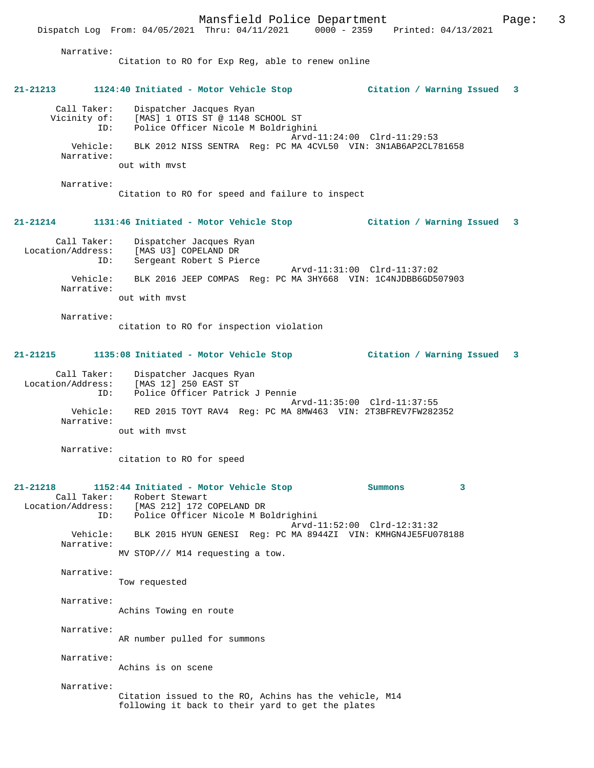Mansfield Police Department Fage: 3 Dispatch Log From: 04/05/2021 Thru: 04/11/2021 0000 - 2359 Printed: 04/13/2021 Narrative: Citation to RO for Exp Reg, able to renew online **21-21213 1124:40 Initiated - Motor Vehicle Stop Citation / Warning Issued 3** Call Taker: Dispatcher Jacques Ryan Vicinity of: [MAS] 1 OTIS ST @ 1148 SCHOOL ST ID: Police Officer Nicole M Boldrighini Arvd-11:24:00 Clrd-11:29:53 Vehicle: BLK 2012 NISS SENTRA Reg: PC MA 4CVL50 VIN: 3N1AB6AP2CL781658 Narrative: out with mvst Narrative: Citation to RO for speed and failure to inspect **21-21214 1131:46 Initiated - Motor Vehicle Stop Citation / Warning Issued 3** Call Taker: Dispatcher Jacques Ryan Location/Address: [MAS U3] COPELAND DR ID: Sergeant Robert S Pierce Arvd-11:31:00 Clrd-11:37:02 Vehicle: BLK 2016 JEEP COMPAS Reg: PC MA 3HY668 VIN: 1C4NJDBB6GD507903 Narrative: out with mvst

Narrative:

citation to RO for inspection violation

### **21-21215 1135:08 Initiated - Motor Vehicle Stop Citation / Warning Issued 3**

| Call Taker:       | Dispatcher Jacques Ryan                                     |
|-------------------|-------------------------------------------------------------|
| Location/Address: | [MAS 12] 250 EAST ST                                        |
| ID:               | Police Officer Patrick J Pennie                             |
| Vehicle:          | Arvd-11:35:00 Clrd-11:37:55                                 |
| Narrative:        | RED 2015 TOYT RAV4 Req: PC MA 8MW463 VIN: 2T3BFREV7FW282352 |
|                   | out with myst                                               |

Narrative:

citation to RO for speed

| $21 - 21218$ | 1152:44 Initiated - Motor Vehicle Stop                        | Summons | 3 |
|--------------|---------------------------------------------------------------|---------|---|
|              | Call Taker: Robert Stewart                                    |         |   |
|              | Location/Address: [MAS 212] 172 COPELAND DR                   |         |   |
|              | ID: Police Officer Nicole M Boldrighini                       |         |   |
|              | Arvd-11:52:00 Clrd-12:31:32                                   |         |   |
| Vehicle:     | BLK 2015 HYUN GENESI Req: PC MA 8944ZI VIN: KMHGN4JE5FU078188 |         |   |
| Narrative:   |                                                               |         |   |
|              | MV STOP/// M14 requesting a tow.                              |         |   |
| Narrative:   |                                                               |         |   |
|              | Tow requested                                                 |         |   |
|              |                                                               |         |   |
| Narrative:   |                                                               |         |   |
|              | Achins Towing en route                                        |         |   |
|              |                                                               |         |   |
| Narrative:   |                                                               |         |   |
|              | AR number pulled for summons                                  |         |   |
|              |                                                               |         |   |
| Narrative:   |                                                               |         |   |
|              | Achins is on scene                                            |         |   |
|              |                                                               |         |   |
| Narrative:   |                                                               |         |   |
|              | Citation issued to the RO, Achins has the vehicle, M14        |         |   |
|              | following it back to their yard to get the plates             |         |   |
|              |                                                               |         |   |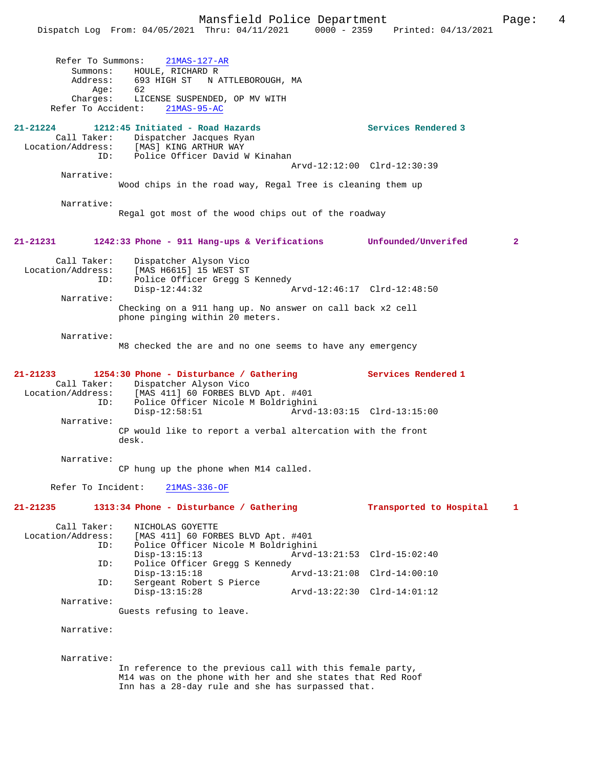Mansfield Police Department<br>Thru:  $04/11/2021$  0000 - 2359 Printed:  $04/13/2021$ Dispatch Log From: 04/05/2021 Thru: 04/11/2021 Refer To Summons: 21MAS-127-AR Summons: HOULE, RICHARD R Address: 693 HIGH ST N ATTLEBOROUGH, MA  $Age:$  Charges: LICENSE SUSPENDED, OP MV WITH Refer To Accident: 21MAS-95-AC **21-21224 1212:45 Initiated - Road Hazards Services Rendered 3**  Call Taker: Dispatcher Jacques Ryan<br>Location/Address: [MAS] KING ARTHUR WAY ess: [MAS] KING ARTHUR WAY<br>ID: Police Officer David W Police Officer David W Kinahan Arvd-12:12:00 Clrd-12:30:39 Narrative: Wood chips in the road way, Regal Tree is cleaning them up Narrative: Regal got most of the wood chips out of the roadway **21-21231 1242:33 Phone - 911 Hang-ups & Verifications Unfounded/Unverifed 2** Call Taker: Dispatcher Alyson Vico<br>Location/Address: [MAS H6615] 15 WEST ST ess: [MAS H6615] 15 WEST ST<br>ID: Police Officer Grega S Police Officer Gregg S Kennedy<br>Disp-12:44:32 Disp-12:44:32 Arvd-12:46:17 Clrd-12:48:50 Narrative: Checking on a 911 hang up. No answer on call back x2 cell phone pinging within 20 meters. Narrative: M8 checked the are and no one seems to have any emergency **21-21233 1254:30 Phone - Disturbance / Gathering Services Rendered 1**  Call Taker: Dispatcher Alyson Vico Location/Address: [MAS 411] 60 FORBES BLVD Apt. #401 Police Officer Nicole M Boldrighini<br>Disp-12:58:51 Arvd-Arvd-13:03:15 Clrd-13:15:00 Narrative: CP would like to report a verbal altercation with the front desk. Narrative: CP hung up the phone when M14 called. Refer To Incident: 21MAS-336-OF **21-21235 1313:34 Phone - Disturbance / Gathering Transported to Hospital 1** Call Taker: NICHOLAS GOYETTE<br>Location/Address: [MAS 411] 60 FOR ess: [MAS 411] 60 FORBES BLVD Apt. #401<br>ID: Police Officer Nicole M Boldrighin Police Officer Nicole M Boldrighini Disp-13:15:13 Arvd-13:21:53 Clrd-15:02:40<br>ID: Police Officer Gregg S Kennedy Police Officer Gregg S Kennedy<br>Disp-13:15:18 Disp-13:15:18 Arvd-13:21:08 Clrd-14:00:10 ID: Sergeant Robert S Pierce Disp-13:15:28 Arvd-13:22:30 Clrd-14:01:12 Narrative: Guests refusing to leave. Narrative: Narrative: In reference to the previous call with this female party, M14 was on the phone with her and she states that Red Roof Inn has a 28-day rule and she has surpassed that.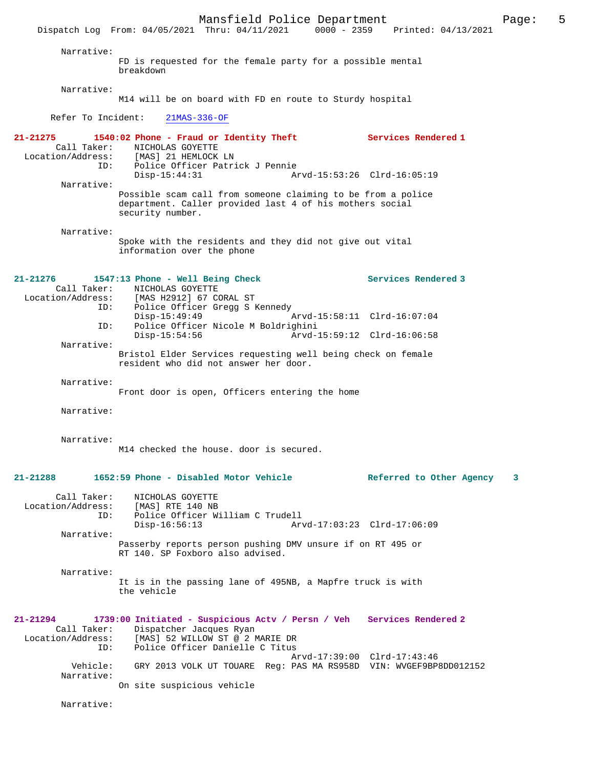Mansfield Police Department<br>Thru:  $04/11/2021$  0000 - 2359 Printed:  $04/13/2021$ Dispatch Log From: 04/05/2021 Thru: 04/11/2021 Narrative: FD is requested for the female party for a possible mental breakdown Narrative: M14 will be on board with FD en route to Sturdy hospital Refer To Incident: 21MAS-336-OF **21-21275 1540:02 Phone - Fraud or Identity Theft Services Rendered 1**  Call Taker: NICHOLAS GOYETTE<br>Location/Address: [MAS] 21 HEMLOCK ess: [MAS] 21 HEMLOCK LN<br>ID: Police Officer Patri ID: Police Officer Patrick J Pennie Disp-15:44:31 Arvd-15:53:26 Clrd-16:05:19 Narrative: Possible scam call from someone claiming to be from a police department. Caller provided last 4 of his mothers social security number. Narrative: Spoke with the residents and they did not give out vital information over the phone **21-21276 1547:13 Phone - Well Being Check Services Rendered 3**  Call Taker: NICHOLAS GOYETTE<br>Location/Address: [MAS H2912] 67 CO [MAS H2912] 67 CORAL ST ID: Police Officer Gregg S Kennedy Disp-15:49:49 Arvd-15:58:11 Clrd-16:07:04<br>TD: Police Officer Nicole M Boldrighini Police Officer Nicole M Boldrighini<br>Disp-15:54:56 Arvd- Disp-15:54:56 Arvd-15:59:12 Clrd-16:06:58 Narrative: Bristol Elder Services requesting well being check on female resident who did not answer her door. Narrative: Front door is open, Officers entering the home Narrative: Narrative: M14 checked the house. door is secured. **21-21288 1652:59 Phone - Disabled Motor Vehicle Referred to Other Agency 3** Call Taker: NICHOLAS GOYETTE<br>.on/Address: [MAS] RTE 140 NB Location/Address:<br>ID: Police Officer William C Trudell<br>Disp-16:56:13 Ar Disp-16:56:13 Arvd-17:03:23 Clrd-17:06:09 Narrative: Passerby reports person pushing DMV unsure if on RT 495 or RT 140. SP Foxboro also advised. Narrative: It is in the passing lane of 495NB, a Mapfre truck is with the vehicle **21-21294 1739:00 Initiated - Suspicious Actv / Persn / Veh Services Rendered 2**  Call Taker: Dispatcher Jacques Ryan<br>Location/Address: [MAS] 52 WILLOW ST @ 2 1 [MAS] 52 WILLOW ST @ 2 MARIE DR ID: Police Officer Danielle C Titus Arvd-17:39:00 Clrd-17:43:46<br>Vehicle: GRY 2013 VOLK UT TOUARE Reg: PAS MA RS958D VIN: WVGEF9BP GRY 2013 VOLK UT TOUARE Reg: PAS MA RS958D VIN: WVGEF9BP8DD012152 Narrative: On site suspicious vehicle Narrative: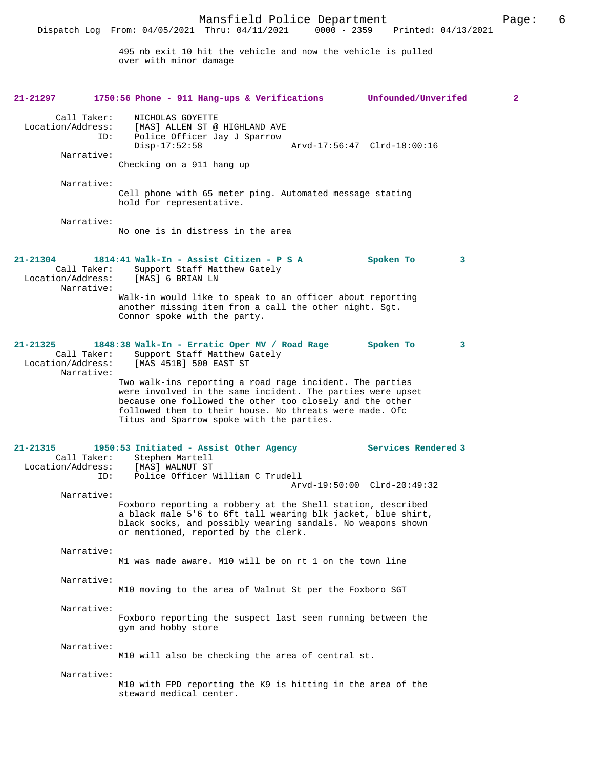Dispatch Log From: 04/05/2021 Thru: 04/11/2021 0000 - 2359 Printed: 04/13/2021

495 nb exit 10 hit the vehicle and now the vehicle is pulled over with minor damage

| 21-21297                                                       | 1750:56 Phone - 911 Hang-ups & Verifications                                                                                                                                                                                                                                               | Unfounded/Unverifed         | 2 |
|----------------------------------------------------------------|--------------------------------------------------------------------------------------------------------------------------------------------------------------------------------------------------------------------------------------------------------------------------------------------|-----------------------------|---|
| Call Taker:<br>Location/Address:<br>ID:<br>Narrative:          | NICHOLAS GOYETTE<br>[MAS] ALLEN ST @ HIGHLAND AVE<br>Police Officer Jay J Sparrow<br>$Disp-17:52:58$<br>Checking on a 911 hang up                                                                                                                                                          | Arvd-17:56:47 Clrd-18:00:16 |   |
| Narrative:                                                     | Cell phone with 65 meter ping. Automated message stating<br>hold for representative.                                                                                                                                                                                                       |                             |   |
| Narrative:                                                     | No one is in distress in the area                                                                                                                                                                                                                                                          |                             |   |
| $21 - 21304$<br>Call Taker:<br>Location/Address:<br>Narrative: | 1814:41 Walk-In - Assist Citizen - P S A<br>Support Staff Matthew Gately<br>[MAS] 6 BRIAN LN<br>Walk-in would like to speak to an officer about reporting                                                                                                                                  | Spoken To                   | 3 |
|                                                                | another missing item from a call the other night. Sgt.<br>Connor spoke with the party.                                                                                                                                                                                                     |                             |   |
| $21 - 21325$<br>Call Taker:<br>Location/Address:<br>Narrative: | 1848:38 Walk-In - Erratic Oper MV / Road Rage<br>Support Staff Matthew Gately<br>[MAS 451B] 500 EAST ST                                                                                                                                                                                    | Spoken To                   | 3 |
|                                                                | Two walk-ins reporting a road rage incident. The parties<br>were involved in the same incident. The parties were upset<br>because one followed the other too closely and the other<br>followed them to their house. No threats were made. Ofc<br>Titus and Sparrow spoke with the parties. |                             |   |
| $21 - 21315$<br>Call Taker:<br>Location/Address:<br>ID:        | 1950:53 Initiated - Assist Other Agency<br>Stephen Martell<br>[MAS] WALNUT ST<br>Police Officer William C Trudell                                                                                                                                                                          | Services Rendered 3         |   |
| Narrative:                                                     | Foxboro reporting a robbery at the Shell station, described<br>a black male 5'6 to 6ft tall wearing blk jacket, blue shirt,<br>black socks, and possibly wearing sandals. No weapons shown<br>or mentioned, reported by the clerk.                                                         | Arvd-19:50:00 Clrd-20:49:32 |   |
| Narrative:                                                     | M1 was made aware. M10 will be on rt 1 on the town line                                                                                                                                                                                                                                    |                             |   |
| Narrative:                                                     | M10 moving to the area of Walnut St per the Foxboro SGT                                                                                                                                                                                                                                    |                             |   |
| Narrative:                                                     | Foxboro reporting the suspect last seen running between the<br>gym and hobby store                                                                                                                                                                                                         |                             |   |
| Narrative:                                                     | M10 will also be checking the area of central st.                                                                                                                                                                                                                                          |                             |   |
| Narrative:                                                     | M10 with FPD reporting the K9 is hitting in the area of the<br>steward medical center.                                                                                                                                                                                                     |                             |   |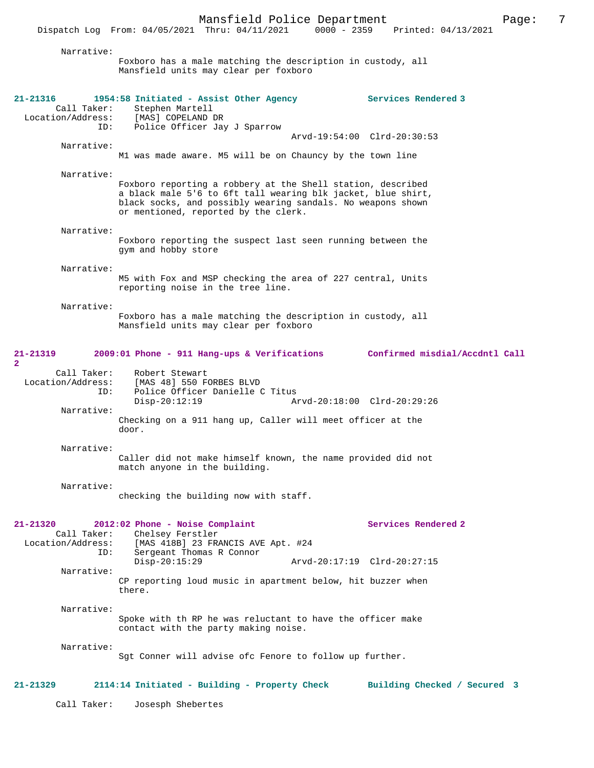Narrative: Foxboro has a male matching the description in custody, all Mansfield units may clear per foxboro **21-21316 1954:58 Initiated - Assist Other Agency Services Rendered 3**  Call Taker: Stephen Martell<br>.on/Address: [MAS] COPELAND DR Location/Address:<br>ID: Police Officer Jay J Sparrow Arvd-19:54:00 Clrd-20:30:53 Narrative: M1 was made aware. M5 will be on Chauncy by the town line Narrative: Foxboro reporting a robbery at the Shell station, described a black male 5'6 to 6ft tall wearing blk jacket, blue shirt, black socks, and possibly wearing sandals. No weapons shown or mentioned, reported by the clerk. Narrative: Foxboro reporting the suspect last seen running between the gym and hobby store Narrative: M5 with Fox and MSP checking the area of 227 central, Units reporting noise in the tree line. Narrative: Foxboro has a male matching the description in custody, all Mansfield units may clear per foxboro **21-21319 2009:01 Phone - 911 Hang-ups & Verifications Confirmed misdial/Accdntl Call 2**  Call Taker: Robert Stewart<br>Location/Address: [MAS 48] 550 F ess: [MAS 48] 550 FORBES BLVD<br>ID: Police Officer Danielle ( Police Officer Danielle C Titus Disp-20:12:19 Arvd-20:18:00 Clrd-20:29:26 Narrative: Checking on a 911 hang up, Caller will meet officer at the door. Narrative: Caller did not make himself known, the name provided did not match anyone in the building. Narrative: checking the building now with staff. **21-21320 2012:02 Phone - Noise Complaint Services Rendered 2**  Call Taker: Chelsey Ferstler<br>Location/Address: [MAS 418B] 23 FR. [MAS 418B] 23 FRANCIS AVE Apt. #24 ID: Sergeant Thomas R Connor Disp-20:15:29 Arvd-20:17:19 Clrd-20:27:15 Narrative: CP reporting loud music in apartment below, hit buzzer when there. Narrative: Spoke with th RP he was reluctant to have the officer make contact with the party making noise. Narrative: Sgt Conner will advise ofc Fenore to follow up further. **21-21329 2114:14 Initiated - Building - Property Check Building Checked / Secured 3** Call Taker: Josesph Shebertes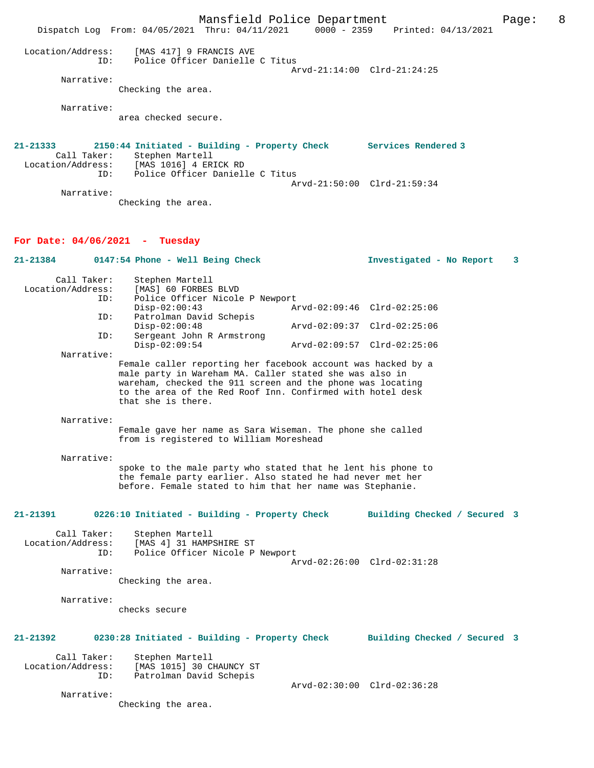Mansfield Police Department Page: 8 Dispatch Log From: 04/05/2021 Thru: 04/11/2021 0000 - 2359 Printed: 04/13/2021 Location/Address: [MAS 417] 9 FRANCIS AVE ID: Police Officer Danielle C Titus Arvd-21:14:00 Clrd-21:24:25 Narrative: Checking the area. Narrative: area checked secure. **21-21333 2150:44 Initiated - Building - Property Check Services Rendered 3**  Call Taker: Stephen Martell<br>Location/Address: [MAS 1016] 4 ER ess: [MAS 1016] 4 ERICK RD<br>ID: Police Officer Daniell Police Officer Danielle C Titus Arvd-21:50:00 Clrd-21:59:34 Narrative: Checking the area. **For Date: 04/06/2021 - Tuesday 21-21384 0147:54 Phone - Well Being Check Investigated - No Report 3** Call Taker: Stephen Martell<br>Location/Address: [MAS] 60 FORBES [MAS] 60 FORBES BLVD ID: Police Officer Nicole P Newport<br>Disp-02:00:43 Az Disp-02:00:43 Arvd-02:09:46 Clrd-02:25:06<br>ID: Patrolman David Schepis Patrolman David Schepis<br>Disp-02:00:48 Disp-02:00:48 Arvd-02:09:37 Clrd-02:25:06<br>TD: Sergeant John R Armstrong Sergeant John R Armstrong<br>Disp-02:09:54 Disp-02:09:54 Arvd-02:09:57 Clrd-02:25:06 Narrative: Female caller reporting her facebook account was hacked by a male party in Wareham MA. Caller stated she was also in wareham, checked the 911 screen and the phone was locating to the area of the Red Roof Inn. Confirmed with hotel desk that she is there. Narrative: Female gave her name as Sara Wiseman. The phone she called from is registered to William Moreshead Narrative: spoke to the male party who stated that he lent his phone to the female party earlier. Also stated he had never met her before. Female stated to him that her name was Stephanie. **21-21391 0226:10 Initiated - Building - Property Check Building Checked / Secured 3** Call Taker: Stephen Martell<br>Location/Address: [MAS 4] 31 HAMP ess: [MAS 4] 31 HAMPSHIRE ST<br>TD: Police Officer Nicole P Police Officer Nicole P Newport Arvd-02:26:00 Clrd-02:31:28 Narrative: Checking the area. Narrative: checks secure **21-21392 0230:28 Initiated - Building - Property Check Building Checked / Secured 3** Call Taker: Stephen Martell Location/Address: [MAS 1015] 30 CHAUNCY ST ID: Patrolman David Schepis Arvd-02:30:00 Clrd-02:36:28 Narrative: Checking the area.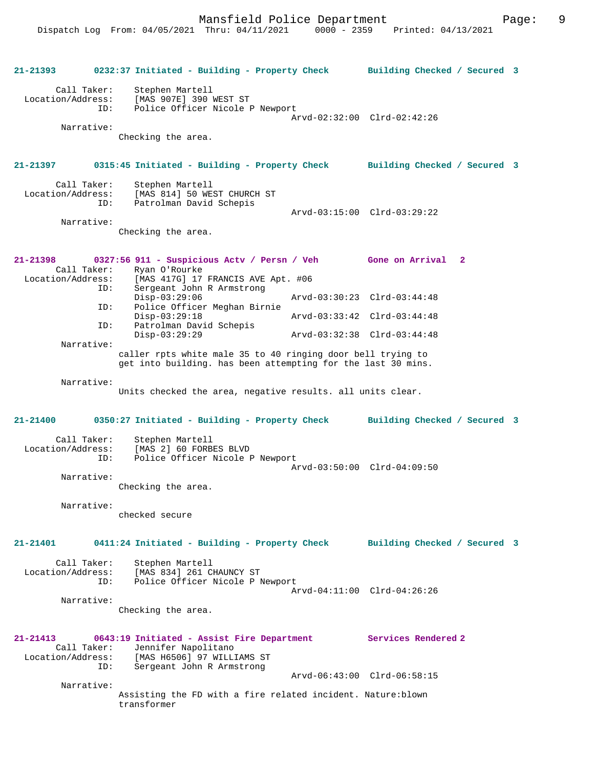**21-21393 0232:37 Initiated - Building - Property Check Building Checked / Secured 3** Call Taker: Stephen Martell Location/Address: [MAS 907E] 390 WEST ST Police Officer Nicole P Newport Arvd-02:32:00 Clrd-02:42:26 Narrative: Checking the area. **21-21397 0315:45 Initiated - Building - Property Check Building Checked / Secured 3** Call Taker: Stephen Martell<br>Location/Address: [MAS 814] 50 WE [MAS 814] 50 WEST CHURCH ST ID: Patrolman David Schepis Arvd-03:15:00 Clrd-03:29:22 Narrative: Checking the area. **21-21398 0327:56 911 - Suspicious Actv / Persn / Veh Gone on Arrival 2**  Call Taker: Ryan O'Rourke Location/Address: [MAS 417G] 17 FRANCIS AVE Apt. #06 ID: Sergeant John R Armstrong Disp-03:29:06 Arvd-03:30:23 Clrd-03:44:48<br>ID: Police Officer Meghan Birnie Police Officer Meghan Birnie Disp-03:29:18 Arvd-03:33:42 Clrd-03:44:48 ID: Patrolman David Schepis Disp-03:29:29 Arvd-03:32:38 Clrd-03:44:48 Narrative: caller rpts white male 35 to 40 ringing door bell trying to get into building. has been attempting for the last 30 mins. Narrative: Units checked the area, negative results. all units clear. **21-21400 0350:27 Initiated - Building - Property Check Building Checked / Secured 3** Call Taker: Stephen Martell Location/Address: [MAS 2] 60 FORBES BLVD Police Officer Nicole P Newport Arvd-03:50:00 Clrd-04:09:50 Narrative: Checking the area. Narrative: checked secure **21-21401 0411:24 Initiated - Building - Property Check Building Checked / Secured 3** Call Taker: Stephen Martell Location/Address: [MAS 834] 261 CHAUNCY ST Police Officer Nicole P Newport Arvd-04:11:00 Clrd-04:26:26 Narrative: Checking the area. **21-21413 0643:19 Initiated - Assist Fire Department Services Rendered 2**  Call Taker: Jennifer Napolitano Location/Address: [MAS H6506] 97 WILLIAMS ST Sergeant John R Armstrong Arvd-06:43:00 Clrd-06:58:15 Narrative: Assisting the FD with a fire related incident. Nature:blown transformer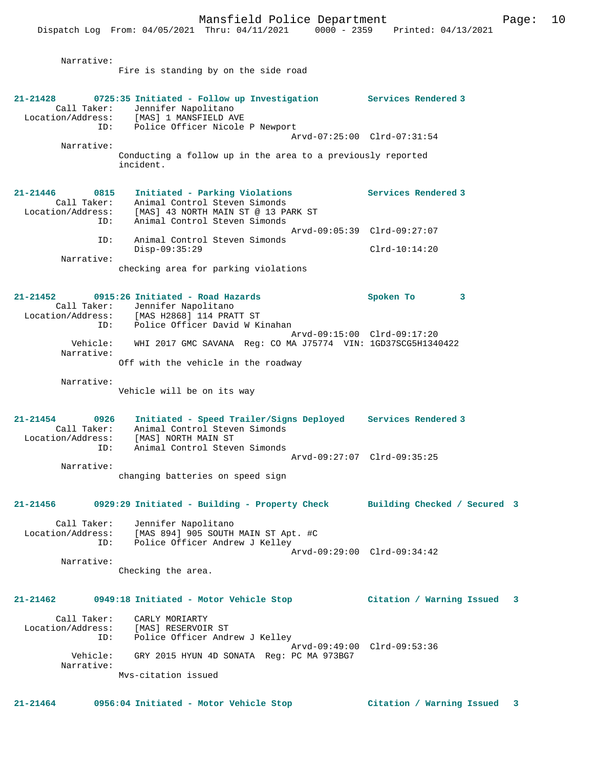Narrative:

Fire is standing by on the side road

| 21-21428                                                    | 0725:35 Initiated - Follow up Investigation Services Rendered 3<br>Call Taker: Jennifer Napolitano<br>Location/Address: [MAS] 1 MANSFIELD AVE<br>ID: Police Officer Nicole P Newport |                             |  |
|-------------------------------------------------------------|--------------------------------------------------------------------------------------------------------------------------------------------------------------------------------------|-----------------------------|--|
|                                                             | Arvd-07:25:00 Clrd-07:31:54                                                                                                                                                          |                             |  |
| Narrative:                                                  | Conducting a follow up in the area to a previously reported<br>incident.                                                                                                             |                             |  |
| 21-21446<br>0815<br>Call Taker:<br>Location/Address:<br>ID: | Initiated - Parking Violations<br>Animal Control Steven Simonds<br>[MAS] 43 NORTH MAIN ST @ 13 PARK ST<br>Animal Control Steven Simonds                                              | Services Rendered 3         |  |
| ID:                                                         | Arvd-09:05:39 Clrd-09:27:07<br>Animal Control Steven Simonds<br>$Disp-09:35:29$                                                                                                      | $Clrd-10:14:20$             |  |
| Narrative:                                                  |                                                                                                                                                                                      |                             |  |
|                                                             | checking area for parking violations                                                                                                                                                 |                             |  |
| $21 - 21452$<br>ID:                                         | 0915:26 Initiated - Road Hazards<br>Call Taker: Jennifer Napolitano<br>Location/Address: [MAS H2868] 114 PRATT ST<br>ID: Police Officer David W K<br>Police Officer David W Kinahan  | Spoken To<br>3              |  |
|                                                             | Arvd-09:15:00 Clrd-09:17:20                                                                                                                                                          |                             |  |
| Vehicle:<br>Narrative:                                      | WHI 2017 GMC SAVANA Req: CO MA J75774 VIN: 1GD37SCG5H1340422                                                                                                                         |                             |  |
|                                                             | Off with the vehicle in the roadway                                                                                                                                                  |                             |  |
| Narrative:                                                  | Vehicle will be on its way                                                                                                                                                           |                             |  |
| $21 - 21454$<br>0926<br>Call Taker:<br>ID:                  | Initiated - Speed Trailer/Signs Deployed Services Rendered 3<br>Animal Control Steven Simonds<br>Location/Address: [MAS] NORTH MAIN ST<br>Animal Control Steven Simonds              |                             |  |
|                                                             | Arvd-09:27:07 Clrd-09:35:25                                                                                                                                                          |                             |  |
| Narrative:                                                  | changing batteries on speed sign                                                                                                                                                     |                             |  |
|                                                             | 21-21456 0929:29 Initiated - Building - Property Check Building Checked / Secured 3                                                                                                  |                             |  |
| ID:                                                         | Call Taker: Jennifer Napolitano<br>Location/Address: [MAS 894] 905 SOUTH MAIN ST Apt. #C<br>Police Officer Andrew J Kelley<br>Arvd-09:29:00 Clrd-09:34:42                            |                             |  |
| Narrative:                                                  | Checking the area.                                                                                                                                                                   |                             |  |
| 21-21462                                                    | 0949:18 Initiated - Motor Vehicle Stop                                                                                                                                               | Citation / Warning Issued 3 |  |
| Call Taker:<br>Location/Address:<br>ID:                     | CARLY MORIARTY<br>[MAS] RESERVOIR ST<br>Police Officer Andrew J Kelley                                                                                                               |                             |  |
| Vehicle:<br>Narrative:                                      | Arvd-09:49:00 Clrd-09:53:36<br>GRY 2015 HYUN 4D SONATA Req: PC MA 973BG7                                                                                                             |                             |  |
|                                                             | Mys-citation issued                                                                                                                                                                  |                             |  |

**21-21464 0956:04 Initiated - Motor Vehicle Stop Citation / Warning Issued 3**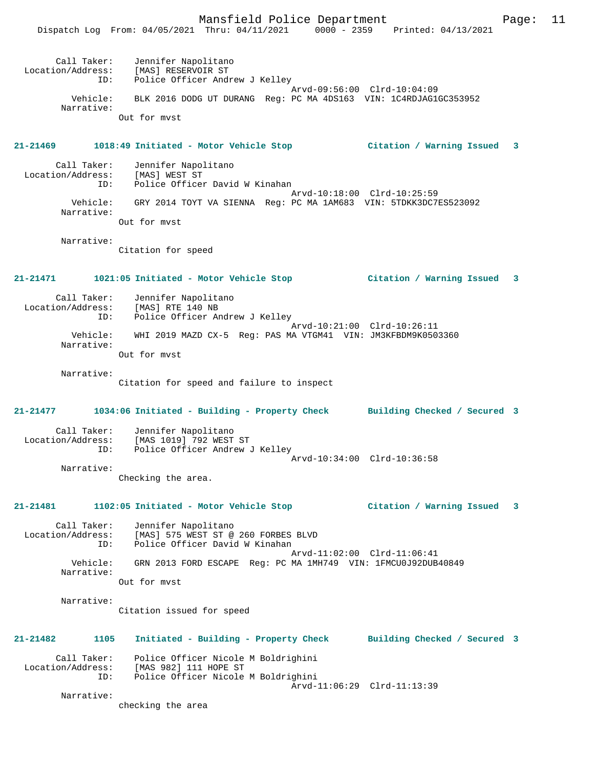Mansfield Police Department Page: 11 Dispatch Log From: 04/05/2021 Thru: 04/11/2021 0000 - 2359 Printed: 04/13/2021 Call Taker: Jennifer Napolitano Location/Address: [MAS] RESERVOIR ST ID: Police Officer Andrew J Kelley Arvd-09:56:00 Clrd-10:04:09 Vehicle: BLK 2016 DODG UT DURANG Reg: PC MA 4DS163 VIN: 1C4RDJAG1GC353952 Narrative: Out for mvst **21-21469 1018:49 Initiated - Motor Vehicle Stop Citation / Warning Issued 3** Call Taker: Jennifer Napolitano Location/Address: [MAS] WEST ST<br>ID: Police Officer Police Officer David W Kinahan Arvd-10:18:00 Clrd-10:25:59 Vehicle: GRY 2014 TOYT VA SIENNA Reg: PC MA 1AM683 VIN: 5TDKK3DC7ES523092 Narrative: Out for mvst Narrative: Citation for speed **21-21471 1021:05 Initiated - Motor Vehicle Stop Citation / Warning Issued 3** Call Taker: Jennifer Napolitano Location/Address: [MAS] RTE 140 NB ID: Police Officer Andrew J Kelley Arvd-10:21:00 Clrd-10:26:11 Vehicle: WHI 2019 MAZD CX-5 Reg: PAS MA VTGM41 VIN: JM3KFBDM9K0503360 Narrative: Out for mvst Narrative: Citation for speed and failure to inspect **21-21477 1034:06 Initiated - Building - Property Check Building Checked / Secured 3** Call Taker: Jennifer Napolitano<br>Location/Address: [MAS 1019] 792 WEST ST Location/Address: [MAS 1019] 792 WEST ST ID: Police Officer Andrew J Kelley Arvd-10:34:00 Clrd-10:36:58 Narrative: Checking the area. **21-21481 1102:05 Initiated - Motor Vehicle Stop Citation / Warning Issued 3** Call Taker: Jennifer Napolitano Location/Address: [MAS] 575 WEST ST @ 260 FORBES BLVD ID: Police Officer David W Kinahan Arvd-11:02:00 Clrd-11:06:41<br>Vehicle: GRN 2013 FORD ESCAPE Req: PC MA 1MH749 VIN: 1FMCU0J92DUB4 GRN 2013 FORD ESCAPE Reg: PC MA 1MH749 VIN: 1FMCU0J92DUB40849 Narrative: Out for mvst Narrative: Citation issued for speed **21-21482 1105 Initiated - Building - Property Check Building Checked / Secured 3** Call Taker: Police Officer Nicole M Boldrighini Location/Address: [MAS 982] 111 HOPE ST ID: Police Officer Nicole M Boldrighini Arvd-11:06:29 Clrd-11:13:39 Narrative: checking the area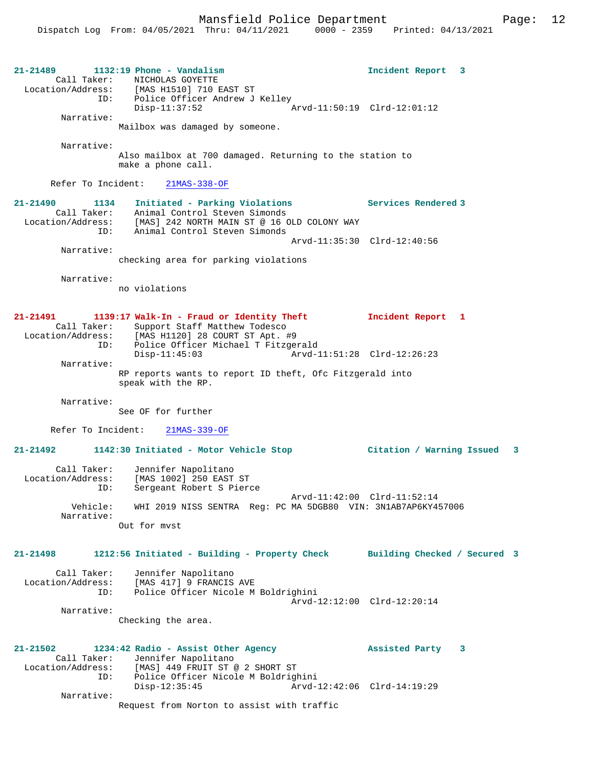**21-21489 1132:19 Phone - Vandalism Incident Report 3**  Call Taker: NICHOLAS GOYETTE Location/Address: [MAS H1510] 710 EAST ST ID: Police Officer Andrew J Kelley Disp-11:37:52 Arvd-11:50:19 Clrd-12:01:12 Narrative: Mailbox was damaged by someone. Narrative: Also mailbox at 700 damaged. Returning to the station to make a phone call. Refer To Incident: 21MAS-338-OF **21-21490 1134 Initiated - Parking Violations Services Rendered 3**  Call Taker: Animal Control Steven Simonds Location/Address: [MAS] 242 NORTH MAIN ST @ 16 OLD COLONY WAY ID: Animal Control Steven Simonds Arvd-11:35:30 Clrd-12:40:56 Narrative: checking area for parking violations Narrative: no violations **21-21491 1139:17 Walk-In - Fraud or Identity Theft Incident Report 1**  Call Taker: Support Staff Matthew Todesco Location/Address: [MAS H1120] 28 COURT ST Apt. #9 ID: Police Officer Michael T Fitzgerald Arvd-11:51:28 Clrd-12:26:23 Narrative: RP reports wants to report ID theft, Ofc Fitzgerald into speak with the RP. Narrative: See OF for further Refer To Incident: 21MAS-339-OF **21-21492 1142:30 Initiated - Motor Vehicle Stop Citation / Warning Issued 3** Call Taker: Jennifer Napolitano Location/Address: [MAS 1002] 250 EAST ST ID: Sergeant Robert S Pierce Arvd-11:42:00 Clrd-11:52:14 Vehicle: WHI 2019 NISS SENTRA Reg: PC MA 5DGB80 VIN: 3N1AB7AP6KY457006 Narrative: Out for mvst **21-21498 1212:56 Initiated - Building - Property Check Building Checked / Secured 3** Call Taker: Jennifer Napolitano<br>Location/Address: [MAS 417] 9 FRANCIS  $[MAS 417]$  9 FRANCIS AVE ID: Police Officer Nicole M Boldrighini Arvd-12:12:00 Clrd-12:20:14 Narrative: Checking the area. **21-21502 1234:42 Radio - Assist Other Agency Assisted Party 3**  Call Taker: Jennifer Napolitano<br>Location/Address: [MAS] 449 FRUIT ST [MAS] 449 FRUIT ST @ 2 SHORT ST ID: Police Officer Nicole M Boldrighini Disp-12:35:45 Arvd-12:42:06 Clrd-14:19:29 Narrative: Request from Norton to assist with traffic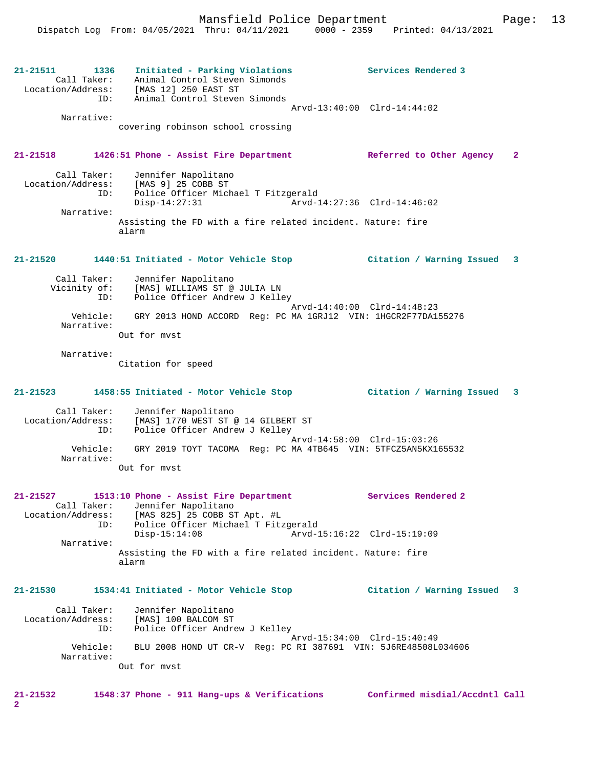**21-21511 1336 Initiated - Parking Violations Services Rendered 3**  Call Taker: Animal Control Steven Simonds Location/Address: [MAS 12] 250 EAST ST ID: Animal Control Steven Simonds Arvd-13:40:00 Clrd-14:44:02 Narrative: covering robinson school crossing **21-21518 1426:51 Phone - Assist Fire Department Referred to Other Agency 2** Call Taker: Jennifer Napolitano Location/Address: [MAS 9] 25 COBB ST ID: Police Officer Michael T Fitzgerald Disp-14:27:31 Arvd-14:27:36 Clrd-14:46:02 Narrative: Assisting the FD with a fire related incident. Nature: fire alarm **21-21520 1440:51 Initiated - Motor Vehicle Stop Citation / Warning Issued 3** Call Taker: Jennifer Napolitano Vicinity of: [MAS] WILLIAMS ST @ JULIA LN<br>ID: Police Officer Andrew J Kelle Police Officer Andrew J Kelley Arvd-14:40:00 Clrd-14:48:23 Vehicle: GRY 2013 HOND ACCORD Reg: PC MA 1GRJ12 VIN: 1HGCR2F77DA155276 Narrative: Out for mvst Narrative: Citation for speed **21-21523 1458:55 Initiated - Motor Vehicle Stop Citation / Warning Issued 3** Call Taker: Jennifer Napolitano Location/Address: [MAS] 1770 WEST ST @ 14 GILBERT ST ID: Police Officer Andrew J Kelley Arvd-14:58:00 Clrd-15:03:26 Vehicle: GRY 2019 TOYT TACOMA Reg: PC MA 4TB645 VIN: 5TFCZ5AN5KX165532 Narrative: Out for mvst **21-21527 1513:10 Phone - Assist Fire Department Services Rendered 2**  Call Taker: Jennifer Napolitano Location/Address: [MAS 825] 25 COBB ST Apt. #L ID: Police Officer Michael T Fitzgerald Disp-15:14:08 Arvd-15:16:22 Clrd-15:19:09 Narrative: Assisting the FD with a fire related incident. Nature: fire alarm **21-21530 1534:41 Initiated - Motor Vehicle Stop Citation / Warning Issued 3** Call Taker: Jennifer Napolitano Location/Address: [MAS] 100 BALCOM ST ID: Police Officer Andrew J Kelley Arvd-15:34:00 Clrd-15:40:49 Vehicle: BLU 2008 HOND UT CR-V Reg: PC RI 387691 VIN: 5J6RE48508L034606 Narrative: Out for mvst **21-21532 1548:37 Phone - 911 Hang-ups & Verifications Confirmed misdial/Accdntl Call**

**2**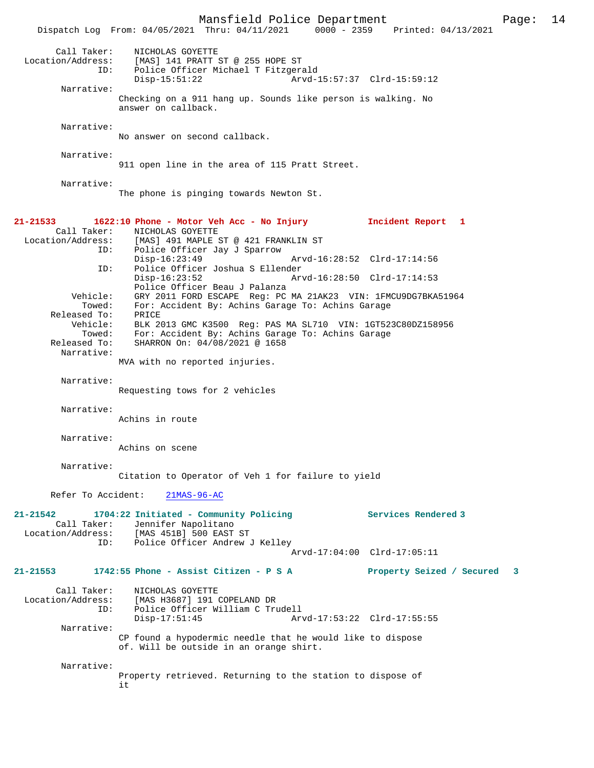Mansfield Police Department Page: 14 Dispatch Log From:  $04/05/2021$  Thru:  $04/11/2021$  0000 - 2359 Call Taker: NICHOLAS GOYETTE Location/Address: [MAS] 141 PRATT ST @ 255 HOPE ST<br>ID: Police Officer Michael T Fitzgers Police Officer Michael T Fitzgerald<br>Disp-15:51:22 Arvd-Arvd-15:57:37 Clrd-15:59:12 Narrative: Checking on a 911 hang up. Sounds like person is walking. No answer on callback. Narrative: No answer on second callback. Narrative: 911 open line in the area of 115 Pratt Street. Narrative: The phone is pinging towards Newton St. **21-21533 1622:10 Phone - Motor Veh Acc - No Injury Incident Report 1**  Call Taker: NICHOLAS GOYETTE<br>Location/Address: [MAS] 491 MAPLE 2 Location/Address: [MAS] 491 MAPLE ST @ 421 FRANKLIN ST ID: Police Officer Jay J Sparrow Disp-16:23:49 Arvd-16:28:52 Clrd-17:14:56<br>ID: Police Officer Joshua S Ellender Police Officer Joshua S Ellender Disp-16:23:52 Arvd-16:28:50 Clrd-17:14:53 Police Officer Beau J Palanza Vehicle: GRY 2011 FORD ESCAPE Reg: PC MA 21AK23 VIN: 1FMCU9DG7BKA51964 For: Accident By: Achins Garage To: Achins Garage<br>PRICE Released To: Vehicle: BLK 2013 GMC K3500 Reg: PAS MA SL710 VIN: 1GT523C80DZ158956 Towed: For: Accident By: Achins Garage To: Achins Garage Released To: SHARRON On: 04/08/2021 @ 1658 Narrative: MVA with no reported injuries. Narrative: Requesting tows for 2 vehicles Narrative: Achins in route Narrative: Achins on scene Narrative: Citation to Operator of Veh 1 for failure to yield Refer To Accident: 21MAS-96-AC **21-21542 1704:22 Initiated - Community Policing Services Rendered 3**  Call Taker: Jennifer Napolitano Location/Address: [MAS 451B] 500 EAST ST Police Officer Andrew J Kelley Arvd-17:04:00 Clrd-17:05:11 **21-21553 1742:55 Phone - Assist Citizen - P S A Property Seized / Secured 3** Call Taker: NICHOLAS GOYETTE<br>Location/Address: [MAS H3687] 191 [MAS H3687] 191 COPELAND DR ID: Police Officer William C Trudell Disp-17:51:45 Arvd-17:53:22 Clrd-17:55:55 Narrative: CP found a hypodermic needle that he would like to dispose of. Will be outside in an orange shirt. Narrative: Property retrieved. Returning to the station to dispose of it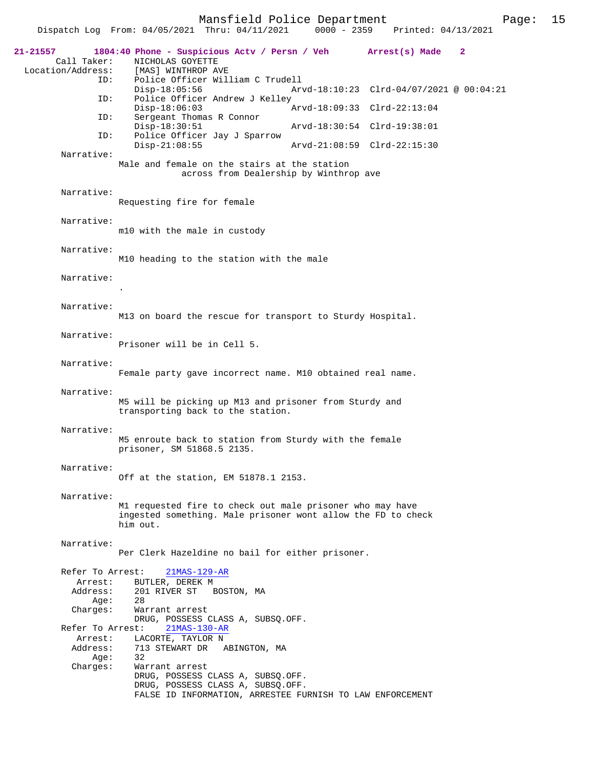Mansfield Police Department Fage: 15

|                                              | Dispatch Log From: 04/05/2021 Thru: 04/11/2021                                                                                                        | $0000 - 2359$ | Printed: 04/13/2021                      |              |
|----------------------------------------------|-------------------------------------------------------------------------------------------------------------------------------------------------------|---------------|------------------------------------------|--------------|
| 21-21557<br>Call Taker:<br>Location/Address: | 1804:40 Phone - Suspicious Actv / Persn / Veh Arrest(s) Made<br>NICHOLAS GOYETTE<br>[MAS] WINTHROP AVE                                                |               |                                          | $\mathbf{2}$ |
| ID:                                          | Police Officer William C Trudell<br>$Disp-18:05:56$                                                                                                   |               | Arvd-18:10:23 Clrd-04/07/2021 @ 00:04:21 |              |
| ID:<br>ID:                                   | Police Officer Andrew J Kelley<br>$Disp-18:06:03$<br>Sergeant Thomas R Connor                                                                         |               | Arvd-18:09:33 Clrd-22:13:04              |              |
| ID:                                          | $Disp-18:30:51$<br>Police Officer Jay J Sparrow                                                                                                       |               | Arvd-18:30:54 Clrd-19:38:01              |              |
| Narrative:                                   | $Disp-21:08:55$                                                                                                                                       |               | Arvd-21:08:59 Clrd-22:15:30              |              |
|                                              | Male and female on the stairs at the station<br>across from Dealership by Winthrop ave                                                                |               |                                          |              |
| Narrative:                                   | Requesting fire for female                                                                                                                            |               |                                          |              |
| Narrative:                                   | m10 with the male in custody                                                                                                                          |               |                                          |              |
| Narrative:                                   | M10 heading to the station with the male                                                                                                              |               |                                          |              |
| Narrative:                                   |                                                                                                                                                       |               |                                          |              |
| Narrative:                                   | M13 on board the rescue for transport to Sturdy Hospital.                                                                                             |               |                                          |              |
| Narrative:                                   | Prisoner will be in Cell 5.                                                                                                                           |               |                                          |              |
| Narrative:                                   | Female party gave incorrect name. M10 obtained real name.                                                                                             |               |                                          |              |
| Narrative:                                   | M5 will be picking up M13 and prisoner from Sturdy and<br>transporting back to the station.                                                           |               |                                          |              |
| Narrative:                                   | M5 enroute back to station from Sturdy with the female<br>prisoner, SM 51868.5 2135.                                                                  |               |                                          |              |
| Narrative:                                   | Off at the station, EM 51878.1 2153.                                                                                                                  |               |                                          |              |
| Narrative:                                   | M1 requested fire to check out male prisoner who may have<br>ingested something. Male prisoner wont allow the FD to check<br>him out.                 |               |                                          |              |
| Narrative:                                   | Per Clerk Hazeldine no bail for either prisoner.                                                                                                      |               |                                          |              |
| Refer To Arrest:                             | 21MAS-129-AR                                                                                                                                          |               |                                          |              |
| Arrest:<br>Address:                          | BUTLER, DEREK M<br>201 RIVER ST<br>BOSTON, MA                                                                                                         |               |                                          |              |
| Age:                                         | 28                                                                                                                                                    |               |                                          |              |
| Charges:                                     | Warrant arrest<br>DRUG, POSSESS CLASS A, SUBSQ.OFF.                                                                                                   |               |                                          |              |
| Refer To Arrest:<br>Arrest:                  | 21MAS-130-AR<br>LACORTE, TAYLOR N                                                                                                                     |               |                                          |              |
| Address:<br>Age:                             | 713 STEWART DR ABINGTON, MA<br>32                                                                                                                     |               |                                          |              |
| Charges:                                     | Warrant arrest<br>DRUG, POSSESS CLASS A, SUBSQ.OFF.<br>DRUG, POSSESS CLASS A, SUBSQ.OFF.<br>FALSE ID INFORMATION, ARRESTEE FURNISH TO LAW ENFORCEMENT |               |                                          |              |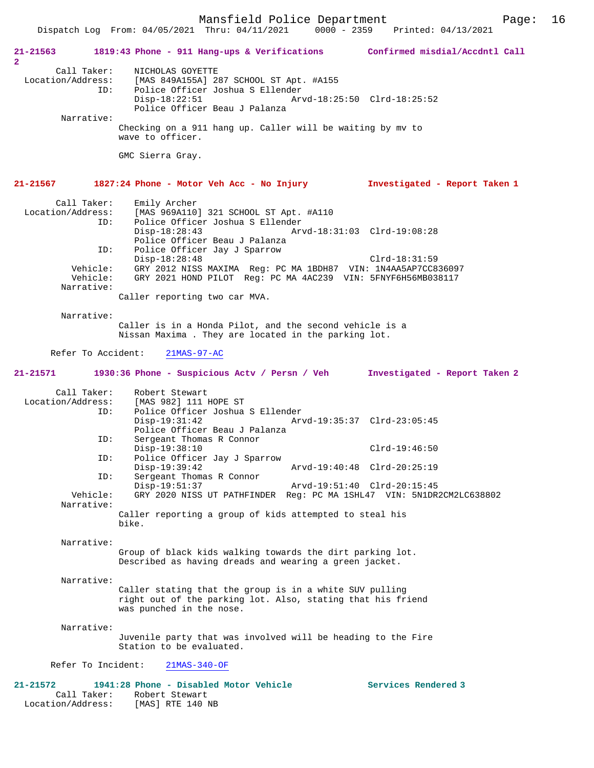Mansfield Police Department Page: 16 Dispatch Log From: 04/05/2021 Thru: 04/11/2021 **21-21563 1819:43 Phone - 911 Hang-ups & Verifications Confirmed misdial/Accdntl Call 2**  Call Taker: <br> NICHOLAS GOYETTE<br>
Location/Address: [MAS 849A155A] 2 [MAS 849A155A] 287 SCHOOL ST Apt. #A155 ID: Police Officer Joshua S Ellender Disp-18:22:51 Arvd-18:25:50 Clrd-18:25:52 Police Officer Beau J Palanza Narrative: Checking on a 911 hang up. Caller will be waiting by mv to wave to officer. GMC Sierra Gray. **21-21567 1827:24 Phone - Motor Veh Acc - No Injury Investigated - Report Taken 1** Call Taker: Emily Archer Location/Address: [MAS 969A110] 321 SCHOOL ST Apt. #A110 ID: Police Officer Joshua S Ellender Disp-18:28:43 Arvd-18:31:03 Clrd-19:08:28 Police Officer Beau J Palanza<br>ID: Police Officer Jay J Sparrow ID: Police Officer Jay J Sparrow Disp-18:28:48 Clrd-18:31:59 Vehicle: GRY 2012 NISS MAXIMA Reg: PC MA 1BDH87 VIN: 1N4AA5AP7CC836097<br>Vehicle: GRY 2021 HOND PILOT Reg: PC MA 4AC239 VIN: 5FNYF6H56MB038117 GRY 2021 HOND PILOT Reg: PC MA 4AC239 VIN: 5FNYF6H56MB038117 Narrative: Caller reporting two car MVA. Narrative: Caller is in a Honda Pilot, and the second vehicle is a Nissan Maxima . They are located in the parking lot. Refer To Accident: 21MAS-97-AC **21-21571 1930:36 Phone - Suspicious Actv / Persn / Veh Investigated - Report Taken 2** Call Taker: Robert Stewart<br>Location/Address: [MAS 982] 111 Location/Address: [MAS 982] 111 HOPE ST ID: Police Officer Joshua S Ellender Disp-19:31:42 Arvd-19:35:37 Clrd-23:05:45 Police Officer Beau J Palanza<br>ID: Sergeant Thomas R Connor Sergeant Thomas R Connor Disp-19:38:10 Clrd-19:46:50 ID: Police Officer Jay J Sparrow Disp-19:39:42 Arvd-19:40:48 Clrd-20:25:19<br>TD: Sergeant Thomas R Connor Sergeant Thomas R Connor<br>Disp-19:51:37 Disp-19:51:37 Arvd-19:51:40 Clrd-20:15:45<br>Vehicle: GRY 2020 NISS UT PATHFINDER Reg: PC MA 1SHL47 VIN: 5N1DR GRY 2020 NISS UT PATHFINDER Reg: PC MA 1SHL47 VIN: 5N1DR2CM2LC638802 Narrative: Caller reporting a group of kids attempted to steal his bike. Narrative: Group of black kids walking towards the dirt parking lot. Described as having dreads and wearing a green jacket. Narrative: Caller stating that the group is in a white SUV pulling right out of the parking lot. Also, stating that his friend was punched in the nose. Narrative: Juvenile party that was involved will be heading to the Fire Station to be evaluated. Refer To Incident: 21MAS-340-OF **21-21572 1941:28 Phone - Disabled Motor Vehicle Services Rendered 3**  Call Taker: Robert Stewart Location/Address: [MAS] RTE 140 NB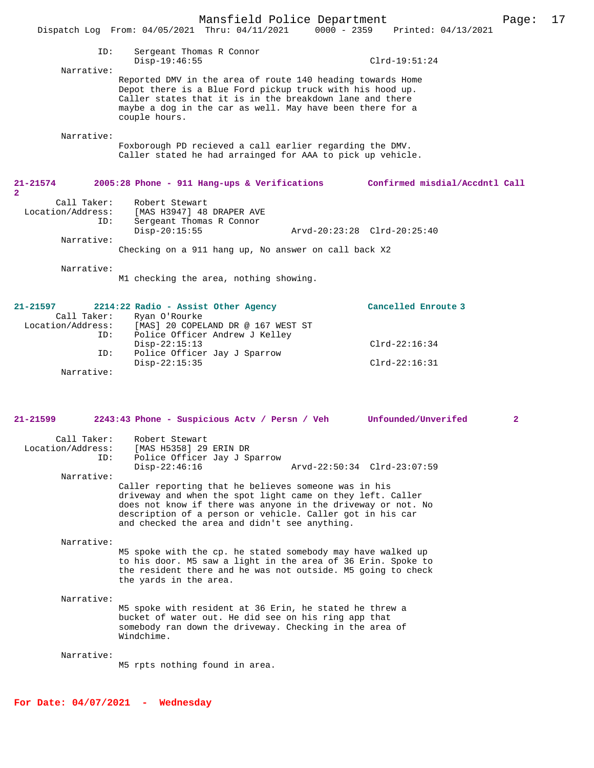|                                |                                                                                                                        | Mansfield Police Department |                                 | Page: | 17 |
|--------------------------------|------------------------------------------------------------------------------------------------------------------------|-----------------------------|---------------------------------|-------|----|
|                                | Dispatch Log From: $04/05/2021$ Thru: $04/11/2021$                                                                     |                             | 0000 - 2359 Printed: 04/13/2021 |       |    |
|                                |                                                                                                                        |                             |                                 |       |    |
| ID:                            | Sergeant Thomas R Connor                                                                                               |                             |                                 |       |    |
| Narrative:                     | $Disp-19:46:55$                                                                                                        |                             | $Clrd-19:51:24$                 |       |    |
|                                | Reported DMV in the area of route 140 heading towards Home                                                             |                             |                                 |       |    |
|                                | Depot there is a Blue Ford pickup truck with his hood up.                                                              |                             |                                 |       |    |
|                                | Caller states that it is in the breakdown lane and there                                                               |                             |                                 |       |    |
|                                | maybe a dog in the car as well. May have been there for a<br>couple hours.                                             |                             |                                 |       |    |
|                                |                                                                                                                        |                             |                                 |       |    |
| Narrative:                     |                                                                                                                        |                             |                                 |       |    |
|                                | Foxborough PD recieved a call earlier regarding the DMV.<br>Caller stated he had arrainged for AAA to pick up vehicle. |                             |                                 |       |    |
|                                |                                                                                                                        |                             |                                 |       |    |
|                                |                                                                                                                        |                             |                                 |       |    |
| $21 - 21574$<br>$\overline{a}$ | 2005:28 Phone - 911 Hang-ups & Verifications                                                                           |                             | Confirmed misdial/Accdntl Call  |       |    |
| Call Taker:                    | Robert Stewart                                                                                                         |                             |                                 |       |    |
| Location/Address:              | [MAS H3947] 48 DRAPER AVE                                                                                              |                             |                                 |       |    |
| ID:                            | Sergeant Thomas R Connor                                                                                               |                             |                                 |       |    |
| Narrative:                     | $Disp-20:15:55$                                                                                                        | Arvd-20:23:28 Clrd-20:25:40 |                                 |       |    |
|                                | Checking on a 911 hang up, No answer on call back X2                                                                   |                             |                                 |       |    |
|                                |                                                                                                                        |                             |                                 |       |    |
| Narrative:                     |                                                                                                                        |                             |                                 |       |    |
|                                | M1 checking the area, nothing showing.                                                                                 |                             |                                 |       |    |
|                                |                                                                                                                        |                             |                                 |       |    |
| 21.21E07                       | $2214.22 \text{ P}$                                                                                                    |                             | $Gansal1$ $Fansch2$             |       |    |

| 21-21597          |             | 2214:22 Radio - Assist Other Agency | Cancelled Enroute 3 |
|-------------------|-------------|-------------------------------------|---------------------|
|                   | Call Taker: | Ryan O'Rourke                       |                     |
| Location/Address: |             | [MAS] 20 COPELAND DR @ 167 WEST ST  |                     |
|                   | ID:         | Police Officer Andrew J Kelley      |                     |
|                   |             | $Disp-22:15:13$                     | $Clrd-22:16:34$     |
|                   | ID:         | Police Officer Jay J Sparrow        |                     |
|                   |             | $Disp-22:15:35$                     | $Clrd-22:16:31$     |
|                   | Narrative:  |                                     |                     |

| $21 - 21599$                     | 2243:43 Phone - Suspicious Acty / Persn / Veh<br>Unfounded/Unverifed                                                                                                                                                                                                                             | $\overline{2}$ |
|----------------------------------|--------------------------------------------------------------------------------------------------------------------------------------------------------------------------------------------------------------------------------------------------------------------------------------------------|----------------|
| Call Taker:<br>Location/Address: | Robert Stewart<br>[MAS H5358] 29 ERIN DR                                                                                                                                                                                                                                                         |                |
|                                  | Police Officer Jay J Sparrow<br>ID:                                                                                                                                                                                                                                                              |                |
|                                  | $Disp-22:46:16$<br>Arvd-22:50:34 Clrd-23:07:59                                                                                                                                                                                                                                                   |                |
| Narrative:                       |                                                                                                                                                                                                                                                                                                  |                |
|                                  | Caller reporting that he believes someone was in his<br>driveway and when the spot light came on they left. Caller<br>does not know if there was anyone in the driveway or not. No<br>description of a person or vehicle. Caller got in his car<br>and checked the area and didn't see anything. |                |
| Narrative:                       | M5 spoke with the cp. he stated somebody may have walked up                                                                                                                                                                                                                                      |                |

to his door. M5 saw a light in the area of 36 Erin. Spoke to the resident there and he was not outside. M5 going to check the yards in the area.

### Narrative:

M5 spoke with resident at 36 Erin, he stated he threw a bucket of water out. He did see on his ring app that somebody ran down the driveway. Checking in the area of Windchime.

#### Narrative:

M5 rpts nothing found in area.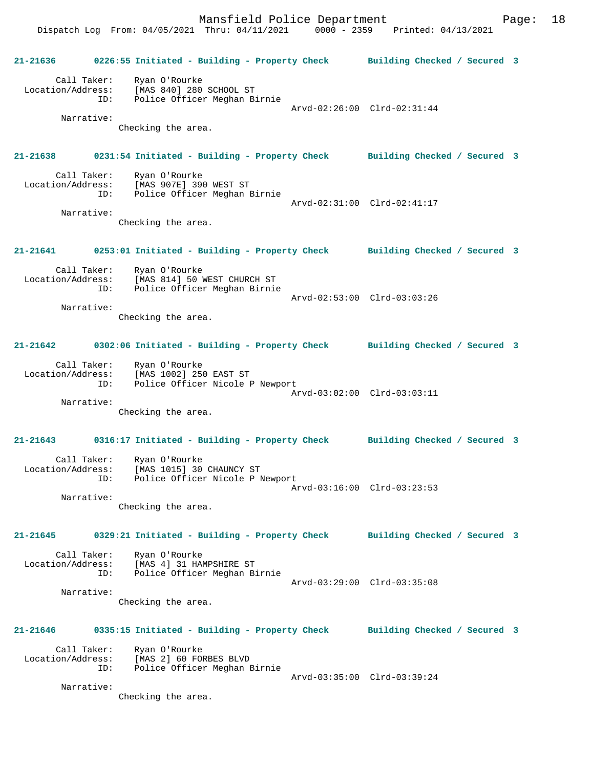**21-21636 0226:55 Initiated - Building - Property Check Building Checked / Secured 3** Call Taker: Ryan O'Rourke Location/Address: [MAS 840] 280 SCHOOL ST ID: Police Officer Meghan Birnie Arvd-02:26:00 Clrd-02:31:44 Narrative: Checking the area. **21-21638 0231:54 Initiated - Building - Property Check Building Checked / Secured 3** Call Taker: Ryan O'Rourke Location/Address: [MAS 907E] 390 WEST ST ID: Police Officer Meghan Birnie Arvd-02:31:00 Clrd-02:41:17 Narrative: Checking the area. **21-21641 0253:01 Initiated - Building - Property Check Building Checked / Secured 3** Call Taker: Ryan O'Rourke Location/Address: [MAS 814] 50 WEST CHURCH ST ID: Police Officer Meghan Birnie Arvd-02:53:00 Clrd-03:03:26 Narrative: Checking the area. **21-21642 0302:06 Initiated - Building - Property Check Building Checked / Secured 3** Call Taker: Ryan O'Rourke Location/Address: [MAS 1002] 250 EAST ST ID: Police Officer Nicole P Newport Arvd-03:02:00 Clrd-03:03:11 Narrative: Checking the area. **21-21643 0316:17 Initiated - Building - Property Check Building Checked / Secured 3** Call Taker: Ryan O'Rourke Location/Address: [MAS 1015] 30 CHAUNCY ST ID: Police Officer Nicole P Newport Arvd-03:16:00 Clrd-03:23:53 Narrative: Checking the area. **21-21645 0329:21 Initiated - Building - Property Check Building Checked / Secured 3** Call Taker: Ryan O'Rourke<br>Location/Address: [MAS 4] 31 HA Location/Address: [MAS 4] 31 HAMPSHIRE ST ID: Police Officer Meghan Birnie Arvd-03:29:00 Clrd-03:35:08 Narrative: Checking the area. **21-21646 0335:15 Initiated - Building - Property Check Building Checked / Secured 3** Call Taker: Ryan O'Rourke Location/Address: [MAS 2] 60 FORBES BLVD ID: Police Officer Meghan Birnie Arvd-03:35:00 Clrd-03:39:24 Narrative: Checking the area.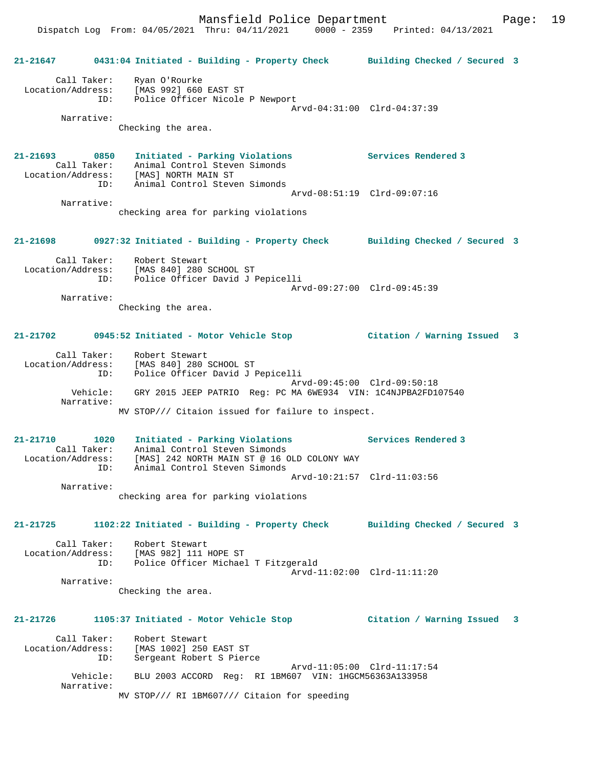Dispatch Log From: 04/05/2021 Thru: 04/11/2021 0000 - 2359 Printed: 04/13/2021

|                        |                                                                                                                                                           | 21-21647 0431:04 Initiated - Building - Property Check Building Checked / Secured 3 |
|------------------------|-----------------------------------------------------------------------------------------------------------------------------------------------------------|-------------------------------------------------------------------------------------|
|                        | Call Taker: Ryan O'Rourke<br>Location/Address: [MAS 992] 660 EAST ST<br>ID: Police Officer Nicole P Newport                                               | Arvd-04:31:00 Clrd-04:37:39                                                         |
| Narrative:             |                                                                                                                                                           |                                                                                     |
|                        | Checking the area.                                                                                                                                        |                                                                                     |
| 21-21693 0850          | Initiated - Parking Violations<br>Call Taker: Animal Control Steven Simonds<br>Location/Address: [MAS] NORTH MAIN ST<br>ID: Animal Control Steven Simonds | Services Rendered 3                                                                 |
| Narrative:             |                                                                                                                                                           | Arvd-08:51:19 Clrd-09:07:16                                                         |
|                        | checking area for parking violations                                                                                                                      |                                                                                     |
| 21-21698               |                                                                                                                                                           | 0927:32 Initiated - Building - Property Check Building Checked / Secured 3          |
|                        | Call Taker: Robert Stewart<br>Location/Address: [MAS 840] 280 SCHOOL ST<br>ID: Police Officer David J Pepicelli                                           |                                                                                     |
| Narrative:             |                                                                                                                                                           | Arvd-09:27:00 Clrd-09:45:39                                                         |
|                        | Checking the area.                                                                                                                                        |                                                                                     |
|                        |                                                                                                                                                           |                                                                                     |
|                        | 21-21702 0945:52 Initiated - Motor Vehicle Stop                                                                                                           | Citation / Warning Issued 3                                                         |
|                        | Call Taker: Robert Stewart<br>Location/Address: [MAS 840] 280 SCHOOL ST<br>ID: Police Officer David J Pepicelli                                           |                                                                                     |
| Narrative:             | Vehicle: GRY 2015 JEEP PATRIO Req: PC MA 6WE934 VIN: 1C4NJPBA2FD107540                                                                                    | Arvd-09:45:00 Clrd-09:50:18                                                         |
|                        | MV STOP/// Citaion issued for failure to inspect.                                                                                                         |                                                                                     |
|                        |                                                                                                                                                           |                                                                                     |
| 21-21710 1020          | Initiated - Parking Violations<br>Call Taker: Animal Control Steven Simonds                                                                               | <b>Services Rendered 3</b>                                                          |
|                        | Location/Address: [MAS] 242 NORTH MAIN ST @ 16 OLD COLONY WAY                                                                                             |                                                                                     |
|                        | Animal Control Steven Simonds<br>ID:                                                                                                                      | Arvd-10:21:57 Clrd-11:03:56                                                         |
| Narrative:             |                                                                                                                                                           |                                                                                     |
|                        | checking area for parking violations                                                                                                                      |                                                                                     |
| 21-21725               | 1102:22 Initiated - Building - Property Check                                                                                                             | Building Checked / Secured 3                                                        |
| Call Taker:            | Robert Stewart<br>Location/Address: [MAS 982] 111 HOPE ST                                                                                                 |                                                                                     |
|                        | Police Officer Michael T Fitzgerald<br>ID:                                                                                                                | Arvd-11:02:00 Clrd-11:11:20                                                         |
| Narrative:             |                                                                                                                                                           |                                                                                     |
|                        | Checking the area.                                                                                                                                        |                                                                                     |
| 21-21726               | 1105:37 Initiated - Motor Vehicle Stop                                                                                                                    | Citation / Warning Issued 3                                                         |
| Call Taker:            | Robert Stewart                                                                                                                                            |                                                                                     |
| Location/Address:      | [MAS 1002] 250 EAST ST<br>Sergeant Robert S Pierce<br>ID:                                                                                                 |                                                                                     |
| Vehicle:<br>Narrative: | BLU 2003 ACCORD Req: RI 1BM607 VIN: 1HGCM56363A133958                                                                                                     | Arvd-11:05:00 Clrd-11:17:54                                                         |
|                        | MV STOP/// RI 1BM607/// Citaion for speeding                                                                                                              |                                                                                     |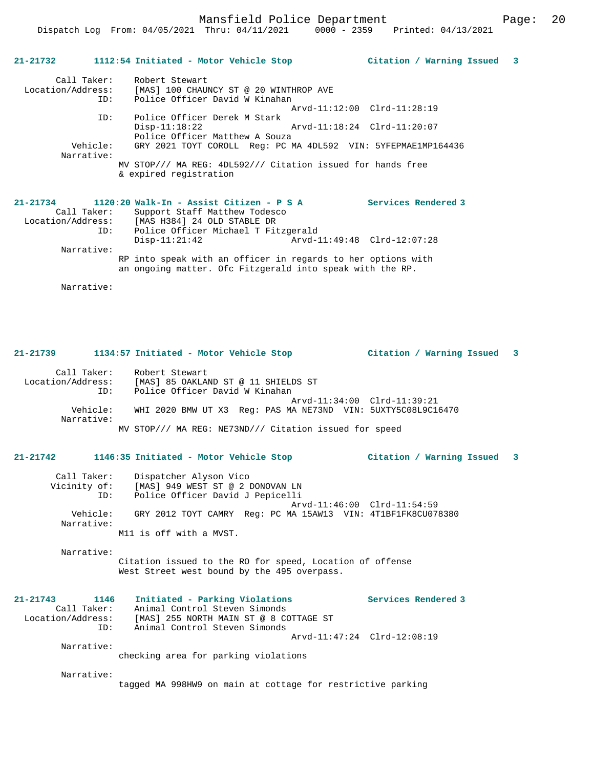## Dispatch Log From: 04/05/2021 Thru: 04/11/2021 0000 - 2359 Printed: 04/13/2021

## **21-21732 1112:54 Initiated - Motor Vehicle Stop Citation / Warning Issued 3**

| Call Taker:<br>Location/Address:<br>ID: | Robert Stewart<br>[MAS] 100 CHAUNCY ST @ 20 WINTHROP AVE<br>Police Officer David W Kinahan |
|-----------------------------------------|--------------------------------------------------------------------------------------------|
|                                         | Arvd-11:12:00 Clrd-11:28:19                                                                |
| ID:                                     | Police Officer Derek M Stark                                                               |
|                                         | Arvd-11:18:24 Clrd-11:20:07<br>$Disp-11:18:22$<br>Police Officer Matthew A Souza           |
| Vehicle:<br>Narrative:                  | GRY 2021 TOYT COROLL Req: PC MA 4DL592 VIN: 5YFEPMAE1MP164436                              |
|                                         | MV STOP/// MA REG: 4DL592/// Citation issued for hands free<br>& expired registration      |
|                                         |                                                                                            |

#### **21-21734 1120:20 Walk-In - Assist Citizen - P S A Services Rendered 3**  Call Taker: Support Staff Matthew Todesco

| Call lanti.       | Support Staff Matthew TodeSco                                                                                             |                             |  |
|-------------------|---------------------------------------------------------------------------------------------------------------------------|-----------------------------|--|
| Location/Address: | [MAS H384] 24 OLD STABLE DR                                                                                               |                             |  |
| ID:               | Police Officer Michael T Fitzgerald                                                                                       |                             |  |
|                   | $Disp-11:21:42$                                                                                                           | Arvd-11:49:48 Clrd-12:07:28 |  |
| Narrative:        |                                                                                                                           |                             |  |
|                   | RP into speak with an officer in regards to her options with<br>an ongoing matter. Ofc Fitzgerald into speak with the RP. |                             |  |
|                   |                                                                                                                           |                             |  |

Narrative:

## **21-21739 1134:57 Initiated - Motor Vehicle Stop Citation / Warning Issued 3**

 Call Taker: Robert Stewart Location/Address: [MAS] 85 OAKLAND ST @ 11 SHIELDS ST ID: Police Officer David W Kinahan Arvd-11:34:00 Clrd-11:39:21<br>Vehicle: WHI 2020 BMW UT X3 Reg: PAS MA NE73ND VIN: 5UXTY5C08L9C16 WHI 2020 BMW UT X3 Reg: PAS MA NE73ND VIN: 5UXTY5C08L9C16470 Narrative: MV STOP/// MA REG: NE73ND/// Citation issued for speed

### **21-21742 1146:35 Initiated - Motor Vehicle Stop Citation / Warning Issued 3**

| Call Taker:            | Dispatcher Alyson Vico                                                                                                 |
|------------------------|------------------------------------------------------------------------------------------------------------------------|
| Vicinity of:           | [MAS] 949 WEST ST @ 2 DONOVAN LN                                                                                       |
| ID:                    | Police Officer David J Pepicelli                                                                                       |
| Vehicle:<br>Narrative: | Arvd-11:46:00 Clrd-11:54:59<br>GRY 2012 TOYT CAMRY Req: PC MA 15AW13 VIN: 4T1BF1FK8CU078380<br>M11 is off with a MVST. |

Narrative:

Citation issued to the RO for speed, Location of offense West Street west bound by the 495 overpass.

| $21 - 21743$      | 1146        | Initiated - Parking Violations         | Services Rendered 3         |
|-------------------|-------------|----------------------------------------|-----------------------------|
|                   | Call Taker: | Animal Control Steven Simonds          |                             |
| Location/Address: |             | [MAS] 255 NORTH MAIN ST @ 8 COTTAGE ST |                             |
|                   | TD:         | Animal Control Steven Simonds          |                             |
|                   |             |                                        | Arvd-11:47:24 Clrd-12:08:19 |
|                   | Narrative:  |                                        |                             |

checking area for parking violations

Narrative:

tagged MA 998HW9 on main at cottage for restrictive parking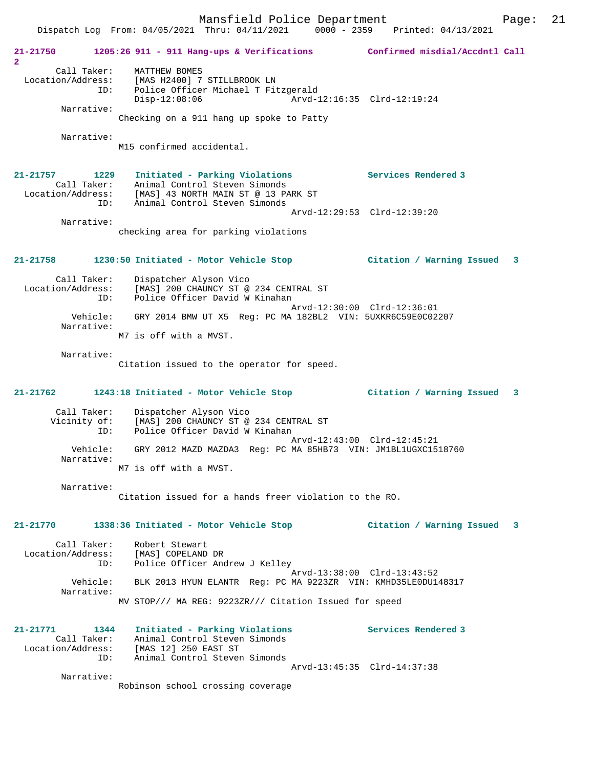Mansfield Police Department Fage: 21

 Dispatch Log From: 04/05/2021 Thru: 04/11/2021 0000 - 2359 Printed: 04/13/2021 **21-21750 1205:26 911 - 911 Hang-ups & Verifications Confirmed misdial/Accdntl Call 2**  Call Taker: MATTHEW BOMES Location/Address: [MAS H2400] 7 STILLBROOK LN ID: Police Officer Michael T Fitzgerald Disp-12:08:06 Arvd-12:16:35 Clrd-12:19:24 Narrative: Checking on a 911 hang up spoke to Patty Narrative: M15 confirmed accidental. **21-21757 1229 Initiated - Parking Violations Services Rendered 3**  Call Taker: Animal Control Steven Simonds Location/Address: [MAS] 43 NORTH MAIN ST @ 13 PARK ST ID: Animal Control Steven Simonds Arvd-12:29:53 Clrd-12:39:20 Narrative: checking area for parking violations **21-21758 1230:50 Initiated - Motor Vehicle Stop Citation / Warning Issued 3** Call Taker: Dispatcher Alyson Vico Location/Address: [MAS] 200 CHAUNCY ST @ 234 CENTRAL ST ID: Police Officer David W Kinahan Arvd-12:30:00 Clrd-12:36:01 Vehicle: GRY 2014 BMW UT X5 Reg: PC MA 182BL2 VIN: 5UXKR6C59E0C02207 Narrative: M7 is off with a MVST. Narrative: Citation issued to the operator for speed. **21-21762 1243:18 Initiated - Motor Vehicle Stop Citation / Warning Issued 3** Call Taker: Dispatcher Alyson Vico Vicinity of: [MAS] 200 CHAUNCY ST @ 234 CENTRAL ST ID: Police Officer David W Kinahan Arvd-12:43:00 Clrd-12:45:21 Vehicle: GRY 2012 MAZD MAZDA3 Reg: PC MA 85HB73 VIN: JM1BL1UGXC1518760 Narrative: M7 is off with a MVST. Narrative: Citation issued for a hands freer violation to the RO. **21-21770 1338:36 Initiated - Motor Vehicle Stop Citation / Warning Issued 3** Call Taker: Robert Stewart Location/Address: [MAS] COPELAND DR ID: Police Officer Andrew J Kelley Arvd-13:38:00 Clrd-13:43:52 Vehicle: BLK 2013 HYUN ELANTR Reg: PC MA 9223ZR VIN: KMHD35LE0DU148317 Narrative: MV STOP/// MA REG: 9223ZR/// Citation Issued for speed **21-21771 1344 Initiated - Parking Violations Services Rendered 3**  Call Taker: Animal Control Steven Simonds Location/Address: [MAS 12] 250 EAST ST ID: Animal Control Steven Simonds Arvd-13:45:35 Clrd-14:37:38 Narrative: Robinson school crossing coverage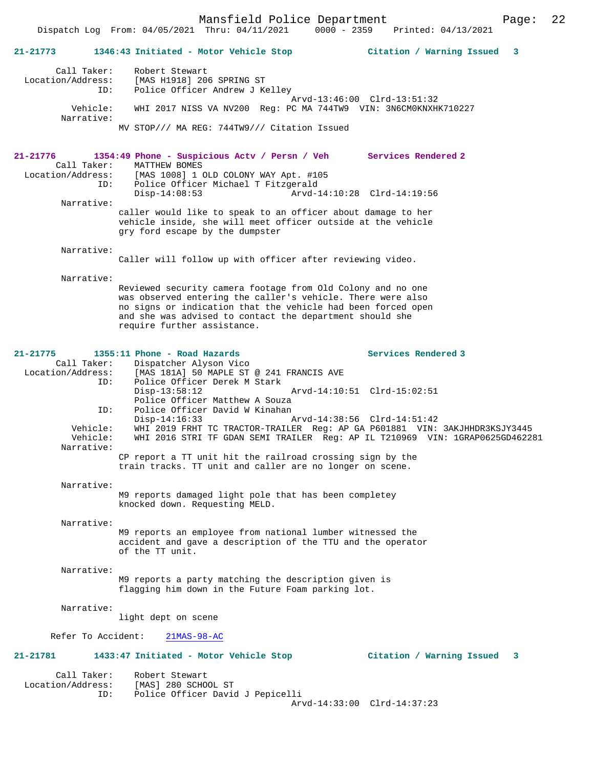## **21-21773 1346:43 Initiated - Motor Vehicle Stop Citation / Warning Issued 3** Call Taker: Robert Stewart<br>Location/Address: [MAS H1918] 20 [MAS H1918] 206 SPRING ST ID: Police Officer Andrew J Kelley Arvd-13:46:00 Clrd-13:51:32 Vehicle: WHI 2017 NISS VA NV200 Reg: PC MA 744TW9 VIN: 3N6CM0KNXHK710227 Narrative: MV STOP/// MA REG: 744TW9/// Citation Issued **21-21776 1354:49 Phone - Suspicious Actv / Persn / Veh Services Rendered 2**  Call Taker: MATTHEW BOMES<br>Location/Address: [MAS 1008] 1 [MAS 1008] 1 OLD COLONY WAY Apt. #105 ID: Police Officer Michael T Fitzgerald Disp-14:08:53 Arvd-14:10:28 Clrd-14:19:56 Narrative: caller would like to speak to an officer about damage to her vehicle inside, she will meet officer outside at the vehicle gry ford escape by the dumpster Narrative: Caller will follow up with officer after reviewing video. Narrative: Reviewed security camera footage from Old Colony and no one was observed entering the caller's vehicle. There were also no signs or indication that the vehicle had been forced open and she was advised to contact the department should she require further assistance. 21-21775 1355:11 Phone - Road Hazards<br>
Call Taker: Dispatcher Alyson Vico<br>
Call Taker: Dispatcher Alyson Vico Call Taker: Dispatcher Alyson Vico<br>Location/Address: [MAS 181A] 50 MAPLE ST ess: [MAS 181A] 50 MAPLE ST @ 241 FRANCIS AVE<br>ID: Police Officer Derek M Stark Police Officer Derek M Stark<br>Disp-13:58:12 Disp-13:58:12 Arvd-14:10:51 Clrd-15:02:51 Police Officer Matthew A Souza ID: Police Officer David W Kinahan Disp-14:16:33 Arvd-14:38:56 Clrd-14:51:42<br>Vehicle: WHI 2019 FRHT TC TRACTOR-TRAILER Req: AP GA P601881 VIN: Vehicle: WHI 2019 FRHT TC TRACTOR-TRAILER Reg: AP GA P601881 VIN: 3AKJHHDR3KSJY3445 Vehicle: WHI 2016 STRI TF GDAN SEMI TRAILER Reg: AP IL T210969 VIN: 1GRAP0625GD462281 Narrative: CP report a TT unit hit the railroad crossing sign by the train tracks. TT unit and caller are no longer on scene. Narrative: M9 reports damaged light pole that has been completey knocked down. Requesting MELD. Narrative: M9 reports an employee from national lumber witnessed the accident and gave a description of the TTU and the operator of the TT unit. Narrative: M9 reports a party matching the description given is flagging him down in the Future Foam parking lot. Narrative: light dept on scene Refer To Accident: 21MAS-98-AC **21-21781 1433:47 Initiated - Motor Vehicle Stop Citation / Warning Issued 3** Call Taker: Robert Stewart Location/Address: [MAS] 280 SCHOOL ST<br>TD: Police Officer David Police Officer David J Pepicelli Arvd-14:33:00 Clrd-14:37:23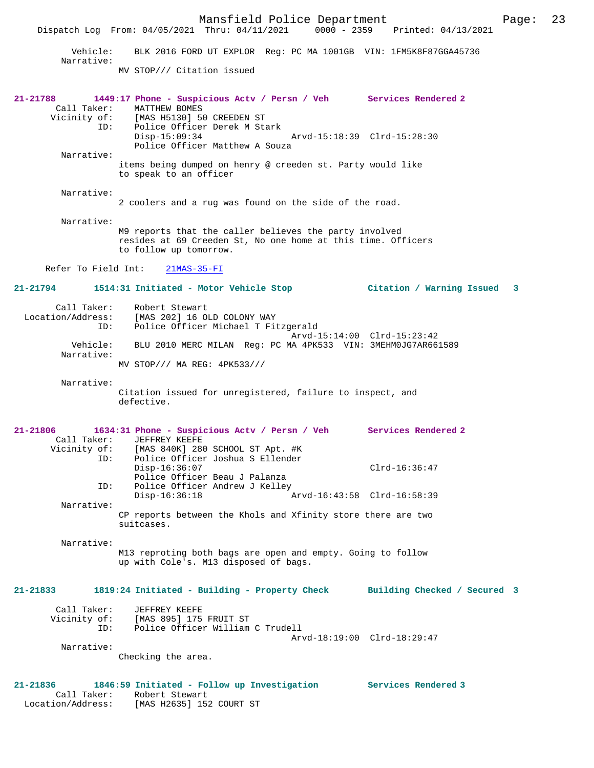Mansfield Police Department Page: 23 Dispatch Log From: 04/05/2021 Thru: 04/11/2021 0000 - 2359 Printed: 04/13/2021 Vehicle: BLK 2016 FORD UT EXPLOR Reg: PC MA 1001GB VIN: 1FM5K8F87GGA45736 Narrative: MV STOP/// Citation issued **21-21788 1449:17 Phone - Suspicious Actv / Persn / Veh Services Rendered 2**  Call Taker: MATTHEW BOMES<br>Vicinity of: [MAS H5130] 50 Vicinity of: [MAS H5130] 50 CREEDEN ST ID: Police Officer Derek M Stark Disp-15:09:34 Arvd-15:18:39 Clrd-15:28:30 Police Officer Matthew A Souza Narrative: items being dumped on henry @ creeden st. Party would like to speak to an officer Narrative: 2 coolers and a rug was found on the side of the road. Narrative: M9 reports that the caller believes the party involved resides at 69 Creeden St, No one home at this time. Officers to follow up tomorrow. Refer To Field Int: 21MAS-35-FI **21-21794 1514:31 Initiated - Motor Vehicle Stop Citation / Warning Issued 3** Call Taker: Robert Stewart<br>Location/Address: [MAS 202] 16 0 ess: [MAS 202] 16 OLD COLONY WAY<br>ID: Police Officer Michael T Fi .<br>Police Officer Michael T Fitzgerald Arvd-15:14:00 Clrd-15:23:42 Vehicle: BLU 2010 MERC MILAN Reg: PC MA 4PK533 VIN: 3MEHM0JG7AR661589 Narrative: MV STOP/// MA REG: 4PK533/// Narrative: Citation issued for unregistered, failure to inspect, and defective. **21-21806 1634:31 Phone - Suspicious Actv / Persn / Veh Services Rendered 2**  Call Taker: JEFFREY KEEFE Vicinity of: [MAS 840K] 280 SCHOOL ST Apt. #K ID: Police Officer Joshua S Ellender Disp-16:36:07 Clrd-16:36:47 Police Officer Beau J Palanza<br>TD: Police Officer Andrew J Kelley Police Officer Andrew J Kelley Disp-16:36:18 Arvd-16:43:58 Clrd-16:58:39 Narrative: CP reports between the Khols and Xfinity store there are two suitcases. Narrative: M13 reproting both bags are open and empty. Going to follow up with Cole's. M13 disposed of bags. **21-21833 1819:24 Initiated - Building - Property Check Building Checked / Secured 3** Call Taker: JEFFREY KEEFE Vicinity of: [MAS 895] 175 FRUIT ST Vicinity of: [MAS 895] 175 FRUIT ST<br>ID: Police Officer William C Trudell Arvd-18:19:00 Clrd-18:29:47 Narrative: Checking the area. **21-21836 1846:59 Initiated - Follow up Investigation Services Rendered 3**  Call Taker: Robert Stewart Location/Address: [MAS H2635] 152 COURT ST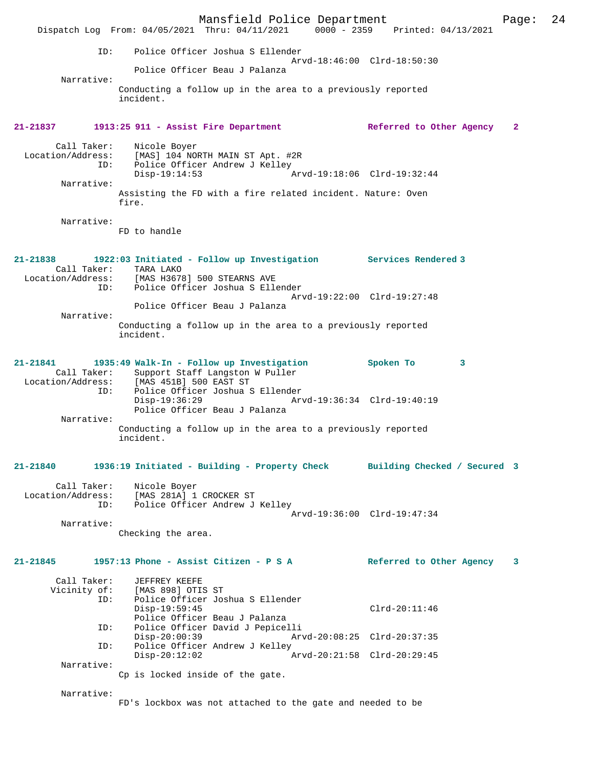Mansfield Police Department Fage: 24 Dispatch Log From: 04/05/2021 Thru: 04/11/2021 0000 - 2359 Printed: 04/13/2021 ID: Police Officer Joshua S Ellender Arvd-18:46:00 Clrd-18:50:30 Police Officer Beau J Palanza Narrative: Conducting a follow up in the area to a previously reported incident. **21-21837 1913:25 911 - Assist Fire Department Referred to Other Agency 2** Call Taker: Nicole Boyer<br>Location/Address: [MAS] 104 NO [MAS] 104 NORTH MAIN ST Apt. #2R ID: Police Officer Andrew J Kelley<br>Disp-19:14:53 A Disp-19:14:53 Arvd-19:18:06 Clrd-19:32:44 Narrative: Assisting the FD with a fire related incident. Nature: Oven fire. Narrative: FD to handle **21-21838 1922:03 Initiated - Follow up Investigation Services Rendered 3**  Call Taker: TARA LAKO<br>Location/Address: [MAS H367 [MAS H3678] 500 STEARNS AVE ID: Police Officer Joshua S Ellender Arvd-19:22:00 Clrd-19:27:48 Police Officer Beau J Palanza Narrative: Conducting a follow up in the area to a previously reported incident. **21-21841 1935:49 Walk-In - Follow up Investigation Spoken To 3**  Call Taker: Support Staff Langston W Puller Location/Address: [MAS 451B] 500 EAST ST ID: Police Officer Joshua S Ellender Disp-19:36:29 Arvd-19:36:34 Clrd-19:40:19 Police Officer Beau J Palanza Narrative: Conducting a follow up in the area to a previously reported incident. **21-21840 1936:19 Initiated - Building - Property Check Building Checked / Secured 3** Call Taker: Nicole Boyer Location/Address: [MAS 281A] 1 CROCKER ST ID: Police Officer Andrew J Kelley Arvd-19:36:00 Clrd-19:47:34 Narrative: Checking the area. **21-21845 1957:13 Phone - Assist Citizen - P S A Referred to Other Agency 3** Call Taker: JEFFREY KEEFE Vicinity of: [MAS 898] OTIS ST<br>ID: Police Officer Jos Police Officer Joshua S Ellender Disp-19:59:45 Clrd-20:11:46 Police Officer Beau J Palanza<br>ID: Police Officer David J Pepicel ID: Police Officer David J Pepicelli Disp-20:00:39 Arvd-20:08:25 Clrd-20:37:35<br>TD: Police Officer Andrew J Kelley Police Officer Andrew J Kelley<br>Disp-20:12:02 Disp-20:12:02 Arvd-20:21:58 Clrd-20:29:45 Narrative: Cp is locked inside of the gate. Narrative: FD's lockbox was not attached to the gate and needed to be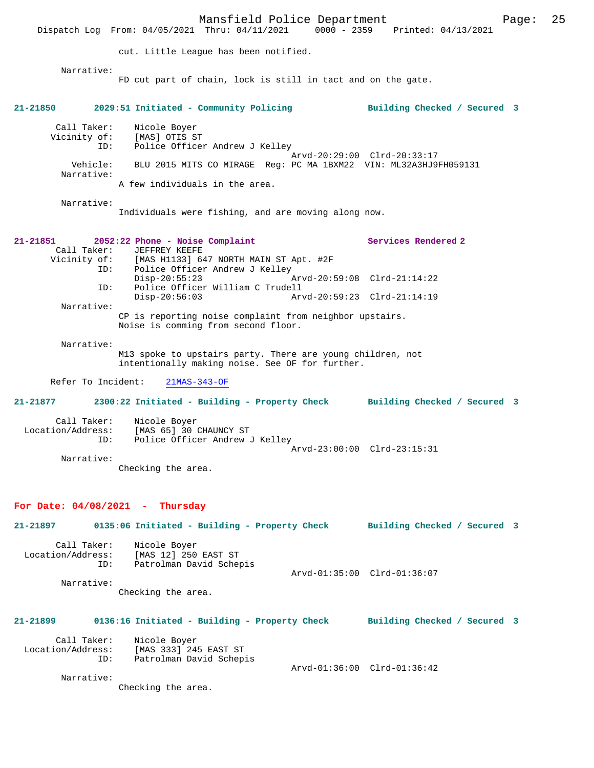Mansfield Police Department Fage: 25 Dispatch Log From: 04/05/2021 Thru: 04/11/2021 0000 - 2359 Printed: 04/13/2021 cut. Little League has been notified. Narrative: FD cut part of chain, lock is still in tact and on the gate. **21-21850 2029:51 Initiated - Community Policing Building Checked / Secured 3** Call Taker: Nicole Boyer<br>Vicinity of: [MAS] OTIS ST Vicinity of: ID: Police Officer Andrew J Kelley Arvd-20:29:00 Clrd-20:33:17 Vehicle: BLU 2015 MITS CO MIRAGE Reg: PC MA 1BXM22 VIN: ML32A3HJ9FH059131 Narrative: A few individuals in the area. Narrative: Individuals were fishing, and are moving along now. **21-21851 2052:22 Phone - Noise Complaint Services Rendered 2**  Call Taker: JEFFREY KEEFE Vicinity of: [MAS H1133] 647 NORTH MAIN ST Apt. #2F ID: Police Officer Andrew J Kelley<br>Disp-20:55:23 Disp-20:55:23 Arvd-20:59:08 Clrd-21:14:22 ID: Police Officer William C Trudell Disp-20:56:03 Arvd-20:59:23 Clrd-21:14:19 Narrative: CP is reporting noise complaint from neighbor upstairs. Noise is comming from second floor. Narrative: M13 spoke to upstairs party. There are young children, not intentionally making noise. See OF for further. Refer To Incident: 21MAS-343-OF **21-21877 2300:22 Initiated - Building - Property Check Building Checked / Secured 3** Call Taker: Nicole Boyer Location/Address: [MAS 65] 30 CHAUNCY ST ID: Police Officer Andrew J Kelley Arvd-23:00:00 Clrd-23:15:31 Narrative: Checking the area. **For Date: 04/08/2021 - Thursday 21-21897 0135:06 Initiated - Building - Property Check Building Checked / Secured 3** Call Taker: Nicole Boyer Location/Address: [MAS 12] 250 EAST ST Patrolman David Schepis Arvd-01:35:00 Clrd-01:36:07 Narrative: Checking the area. **21-21899 0136:16 Initiated - Building - Property Check Building Checked / Secured 3** Call Taker: Nicole Boyer Location/Address: [MAS 333] 245 EAST ST ID: Patrolman David Schepis Arvd-01:36:00 Clrd-01:36:42 Narrative: Checking the area.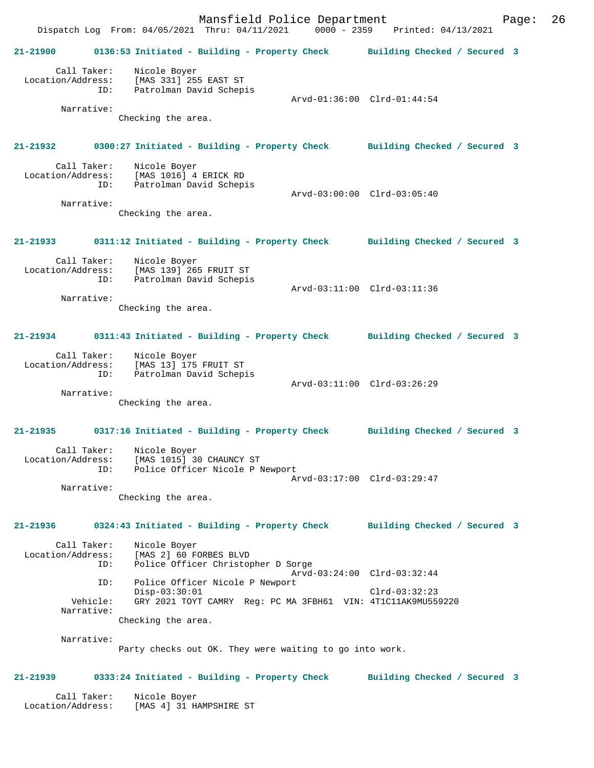Mansfield Police Department Form Page: 26 Dispatch Log From: 04/05/2021 Thru: 04/11/2021 0000 - 2359 Printed: 04/13/2021 **21-21900 0136:53 Initiated - Building - Property Check Building Checked / Secured 3** Call Taker: Nicole Boyer Location/Address: [MAS 331] 255 EAST ST ID: Patrolman David Schepis Arvd-01:36:00 Clrd-01:44:54 Narrative: Checking the area. **21-21932 0300:27 Initiated - Building - Property Check Building Checked / Secured 3** Call Taker: Nicole Boyer Location/Address: [MAS 1016] 4 ERICK RD ID: Patrolman David Schepis Arvd-03:00:00 Clrd-03:05:40 Narrative: Checking the area. **21-21933 0311:12 Initiated - Building - Property Check Building Checked / Secured 3** Call Taker: Nicole Boyer Location/Address: [MAS 139] 265 FRUIT ST ID: Patrolman David Schepis Arvd-03:11:00 Clrd-03:11:36 Narrative: Checking the area. **21-21934 0311:43 Initiated - Building - Property Check Building Checked / Secured 3** Call Taker: Nicole Boyer Location/Address: [MAS 13] 175 FRUIT ST ID: Patrolman David Schepis Arvd-03:11:00 Clrd-03:26:29 Narrative: Checking the area. **21-21935 0317:16 Initiated - Building - Property Check Building Checked / Secured 3** Call Taker: Nicole Boyer<br>ion/Address: 1 Location/Address: [MAS 1015] 30 CHAUNCY ST ID: Police Officer Nicole P Newport Arvd-03:17:00 Clrd-03:29:47 Narrative: Checking the area. **21-21936 0324:43 Initiated - Building - Property Check Building Checked / Secured 3** Call Taker: Nicole Boyer Location/Address: [MAS 2] 60 FORBES BLVD ID: Police Officer Christopher D Sorge Arvd-03:24:00 Clrd-03:32:44 ID: Police Officer Nicole P Newport Disp-03:30:01 Clrd-03:32:23<br>Vehicle: GRY 2021 TOYT CAMRY Reg: PC MA 3FBH61 VIN: 4T1C11AK9MU55 GRY 2021 TOYT CAMRY Reg: PC MA 3FBH61 VIN: 4T1C11AK9MU559220 Narrative: Checking the area. Narrative: Party checks out OK. They were waiting to go into work. **21-21939 0333:24 Initiated - Building - Property Check Building Checked / Secured 3** Call Taker: Nicole Boyer Location/Address: [MAS 4] 31 HAMPSHIRE ST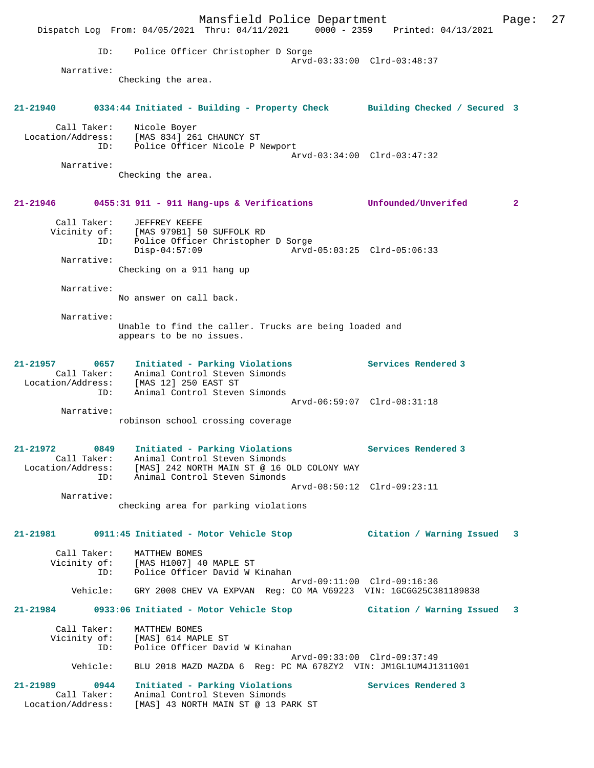|                                                   |                                                                   | Mansfield Police Department                                                                                                      |                             | Dispatch Log From: 04/05/2021 Thru: 04/11/2021 0000 - 2359 Printed: 04/13/2021            | Page: | 27 |
|---------------------------------------------------|-------------------------------------------------------------------|----------------------------------------------------------------------------------------------------------------------------------|-----------------------------|-------------------------------------------------------------------------------------------|-------|----|
| ID:                                               |                                                                   | Police Officer Christopher D Sorge                                                                                               |                             |                                                                                           |       |    |
| Narrative:                                        |                                                                   |                                                                                                                                  | Arvd-03:33:00 Clrd-03:48:37 |                                                                                           |       |    |
|                                                   | Checking the area.                                                |                                                                                                                                  |                             |                                                                                           |       |    |
| 21-21940                                          |                                                                   |                                                                                                                                  |                             | 0334:44 Initiated - Building - Property Check Building Checked / Secured 3                |       |    |
| Call Taker:                                       | Nicole Boyer                                                      | Location/Address: [MAS 834] 261 CHAUNCY ST<br>ID: Police Officer Nicole P Newport                                                | Arvd-03:34:00 Clrd-03:47:32 |                                                                                           |       |    |
| Narrative:                                        | Checking the area.                                                |                                                                                                                                  |                             |                                                                                           |       |    |
| 21-21946                                          |                                                                   | 0455:31 911 - 911 Hang-ups & Verifications Unfounded/Unverifed                                                                   |                             |                                                                                           | 2     |    |
| Call Taker:<br>Vicinity of:<br>ID:                | JEFFREY KEEFE<br>[MAS 979B1] 50 SUFFOLK RD<br>$Disp-04:57:09$     | Police Officer Christopher D Sorge                                                                                               | Arvd-05:03:25 Clrd-05:06:33 |                                                                                           |       |    |
| Narrative:                                        | Checking on a 911 hang up                                         |                                                                                                                                  |                             |                                                                                           |       |    |
| Narrative:                                        | No answer on call back.                                           |                                                                                                                                  |                             |                                                                                           |       |    |
| Narrative:                                        | appears to be no issues.                                          | Unable to find the caller. Trucks are being loaded and                                                                           |                             |                                                                                           |       |    |
| 21-21957<br>Location/Address:<br>ID:              | Call Taker: Animal Control Steven Simonds<br>[MAS 12] 250 EAST ST | 0657 Initiated - Parking Violations<br>Animal Control Steven Simonds                                                             |                             | Services Rendered 3                                                                       |       |    |
| Narrative:                                        |                                                                   | robinson school crossing coverage                                                                                                | Arvd-06:59:07 Clrd-08:31:18 |                                                                                           |       |    |
| 21-21972<br>0849<br>ID:                           | Call Taker: Animal Control Steven Simonds                         | Initiated - Parking Violations<br>Location/Address: [MAS] 242 NORTH MAIN ST @ 16 OLD COLONY WAY<br>Animal Control Steven Simonds |                             | Services Rendered 3                                                                       |       |    |
| Narrative:                                        |                                                                   | checking area for parking violations                                                                                             | Arvd-08:50:12 Clrd-09:23:11 |                                                                                           |       |    |
|                                                   |                                                                   |                                                                                                                                  |                             | 21-21981 0911:45 Initiated - Motor Vehicle Stop               Citation / Warning Issued 3 |       |    |
|                                                   | Call Taker: MATTHEW BOMES                                         | Vicinity of: [MAS H1007] 40 MAPLE ST<br>ID: Police Officer David W Kinahan                                                       | Arvd-09:11:00 Clrd-09:16:36 |                                                                                           |       |    |
|                                                   |                                                                   |                                                                                                                                  |                             | Vehicle: GRY 2008 CHEV VA EXPVAN Reg: CO MA V69223 VIN: 1GCGG25C381189838                 |       |    |
|                                                   |                                                                   |                                                                                                                                  |                             | 21-21984 0933:06 Initiated - Motor Vehicle Stop               Citation / Warning Issued 3 |       |    |
| ID:                                               | Call Taker: MATTHEW BOMES<br>Vicinity of: [MAS] 614 MAPLE ST      | Police Officer David W Kinahan                                                                                                   | Arvd-09:33:00 Clrd-09:37:49 |                                                                                           |       |    |
| Vehicle:                                          |                                                                   | BLU 2018 MAZD MAZDA 6 Reg: PC MA 678ZY2 VIN: JM1GL1UM4J1311001                                                                   |                             |                                                                                           |       |    |
| 21-21989 0944<br>Call Taker:<br>Location/Address: |                                                                   | Initiated - Parking Violations<br>Animal Control Steven Simonds<br>[MAS] 43 NORTH MAIN ST @ 13 PARK ST                           |                             | Services Rendered 3                                                                       |       |    |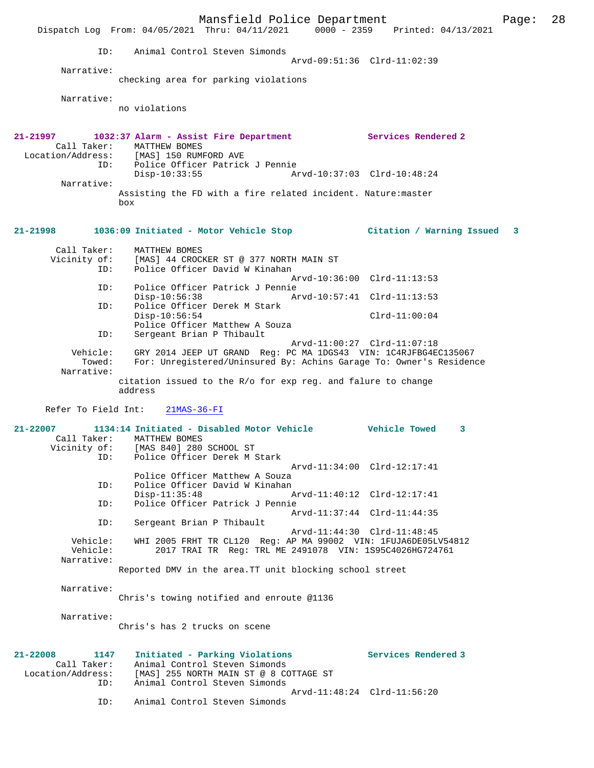Mansfield Police Department Page: 28 Dispatch Log From: 04/05/2021 Thru: 04/11/2021 0000 - 2359 Printed: 04/13/2021 ID: Animal Control Steven Simonds Arvd-09:51:36 Clrd-11:02:39 Narrative: checking area for parking violations Narrative: no violations **21-21997 1032:37 Alarm - Assist Fire Department Services Rendered 2**  Call Taker: MATTHEW BOMES<br>Location/Address: [MAS] 150 RUM [MAS] 150 RUMFORD AVE ID: Police Officer Patrick J Pennie Disp-10:33:55 Arvd-10:37:03 Clrd-10:48:24 Narrative: Assisting the FD with a fire related incident. Nature:master box **21-21998 1036:09 Initiated - Motor Vehicle Stop Citation / Warning Issued 3** Call Taker: MATTHEW BOMES<br>Vicinity of: [MAS] 44 CROCI [MAS] 44 CROCKER ST @ 377 NORTH MAIN ST ID: Police Officer David W Kinahan Arvd-10:36:00 Clrd-11:13:53 ID: Police Officer Patrick J Pennie Disp-10:56:38 Arvd-10:57:41 Clrd-11:13:53 Police Officer Derek M Stark Disp-10:56:54 Clrd-11:00:04 Police Officer Matthew A Souza ID: Sergeant Brian P Thibault Arvd-11:00:27 Clrd-11:07:18<br>Vehicle: GRY 2014 JEEP UT GRAND Reg: PC MA 1DGS43 VIN: 1C4RJFBG4E whicle: GRY 2014 JEEP UT GRAND Reg: PC MA 1DGS43 VIN: 1C4RJFBG4EC135067<br>Towed: For: Unregistered/Uninsured By: Achins Garage To: Owner's Residenc For: Unregistered/Uninsured By: Achins Garage To: Owner's Residence Narrative: citation issued to the R/o for exp reg. and falure to change address Refer To Field Int: 21MAS-36-FI **21-22007 1134:14 Initiated - Disabled Motor Vehicle Vehicle Towed 3**  Call Taker: MATTHEW BOMES Vicinity of: [MAS 840] 280 SCHOOL ST ID: Police Officer Derek M Stark Arvd-11:34:00 Clrd-12:17:41 Police Officer Matthew A Souza<br>ID: Police Officer David W Kinahan Police Officer David W Kinahan Disp-11:35:48 Arvd-11:40:12 Clrd-12:17:41 ID: Police Officer Patrick J Pennie  $Arvd-11:37:44 \text{ Clrd}-11:44:35$ <br>TD: Sergeant Brian P Thibault Sergeant Brian P Thibault Arvd-11:44:30 Clrd-11:48:45<br>Vehicle: WHI 2005 FRHT TR CL120 Reg: AP MA 99002 VIN: 1FUJA6DE05L Vehicle: WHI 2005 FRHT TR CL120 Reg: AP MA 99002 VIN: 1FUJA6DE05LV54812<br>Vehicle: 2017 TRAI TR Reg: TRL MR 2491078 VIN: 1S95C4026HG724761 2017 TRAI TR Reg: TRL ME 2491078 VIN: 1S95C4026HG724761 Narrative: Reported DMV in the area.TT unit blocking school street Narrative: Chris's towing notified and enroute @1136 Narrative: Chris's has 2 trucks on scene **21-22008 1147 Initiated - Parking Violations Services Rendered 3**  Call Taker: Animal Control Steven Simonds Location/Address: [MAS] 255 NORTH MAIN ST @ 8 COTTAGE ST ID: Animal Control Steven Simonds Arvd-11:48:24 Clrd-11:56:20<br>ID: Animal Control Steven Simonds Animal Control Steven Simonds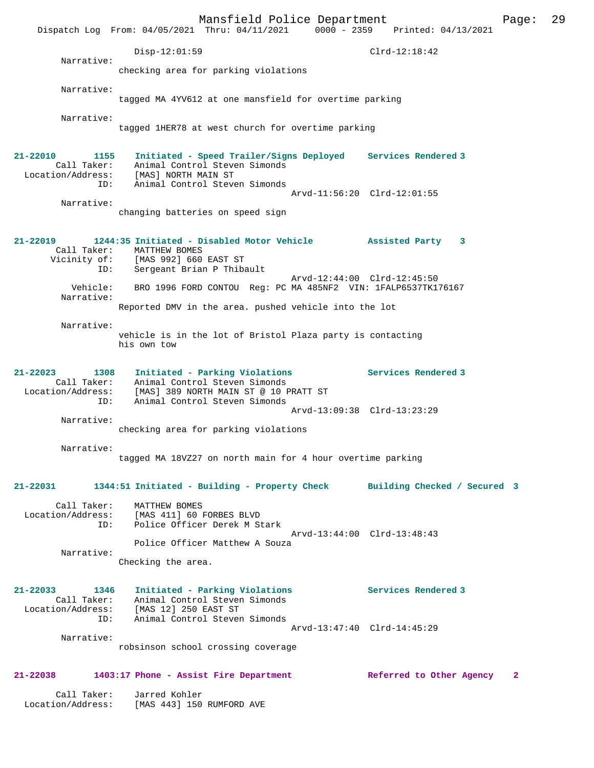Mansfield Police Department Fage: 29 Dispatch Log From: 04/05/2021 Thru: 04/11/2021 0000 - 2359 Printed: 04/13/2021 Disp-12:01:59 Clrd-12:18:42 Narrative: checking area for parking violations Narrative: tagged MA 4YV612 at one mansfield for overtime parking Narrative: tagged 1HER78 at west church for overtime parking **21-22010 1155 Initiated - Speed Trailer/Signs Deployed Services Rendered 3**  Call Taker: Animal Control Steven Simonds Location/Address: [MAS] NORTH MAIN ST ID: Animal Control Steven Simonds Arvd-11:56:20 Clrd-12:01:55 Narrative: changing batteries on speed sign **21-22019 1244:35 Initiated - Disabled Motor Vehicle Assisted Party 3**  Call Taker: MATTHEW BOMES Vicinity of: [MAS 992] 660 EAST ST ID: Sergeant Brian P Thibault Arvd-12:44:00 Clrd-12:45:50 Vehicle: BRO 1996 FORD CONTOU Reg: PC MA 485NF2 VIN: 1FALP6537TK176167 Narrative: Reported DMV in the area. pushed vehicle into the lot Narrative: vehicle is in the lot of Bristol Plaza party is contacting his own tow **21-22023 1308 Initiated - Parking Violations Services Rendered 3**  Call Taker: Animal Control Steven Simonds Location/Address: [MAS] 389 NORTH MAIN ST @ 10 PRATT ST ID: Animal Control Steven Simonds Arvd-13:09:38 Clrd-13:23:29 Narrative: checking area for parking violations Narrative: tagged MA 18VZ27 on north main for 4 hour overtime parking **21-22031 1344:51 Initiated - Building - Property Check Building Checked / Secured 3** Call Taker: MATTHEW BOMES Location/Address: [MAS 411] 60 FORBES BLVD ID: Police Officer Derek M Stark Arvd-13:44:00 Clrd-13:48:43 Police Officer Matthew A Souza Narrative: Checking the area. **21-22033 1346 Initiated - Parking Violations Services Rendered 3**  Call Taker: Animal Control Steven Simonds Location/Address: [MAS 12] 250 EAST ST ID: Animal Control Steven Simonds Arvd-13:47:40 Clrd-14:45:29 Narrative: robsinson school crossing coverage **21-22038 1403:17 Phone - Assist Fire Department Referred to Other Agency 2** Call Taker: Jarred Kohler Location/Address: [MAS 443] 150 RUMFORD AVE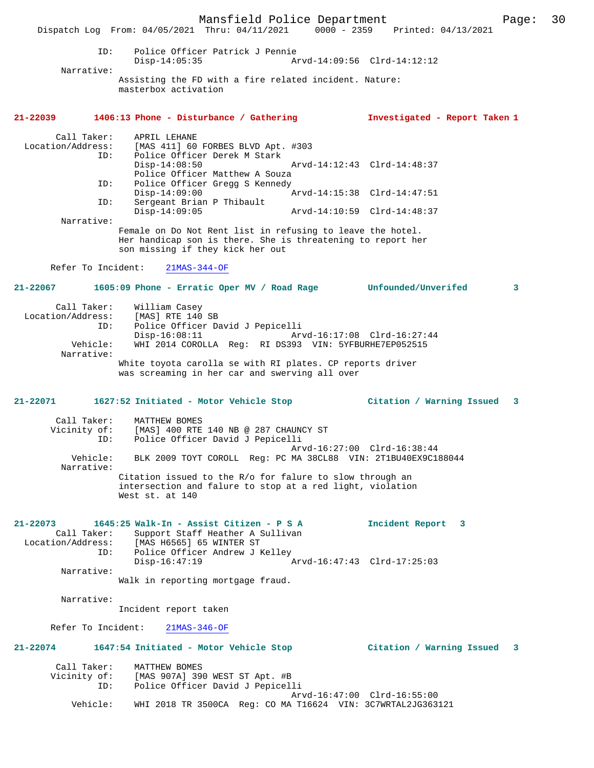Mansfield Police Department Page: 30 Dispatch Log From: 04/05/2021 Thru: 04/11/2021 0000 - 2359 Printed: 04/13/2021 ID: Police Officer Patrick J Pennie Disp-14:05:35 Arvd-14:09:56 Clrd-14:12:12 Narrative: Assisting the FD with a fire related incident. Nature: masterbox activation **21-22039 1406:13 Phone - Disturbance / Gathering Investigated - Report Taken 1** Call Taker: APRIL LEHANE Location/Address: [MAS 411] 60 FORBES BLVD Apt. #303 ID: Police Officer Derek M Stark Arvd-14:12:43 Clrd-14:48:37 Police Officer Matthew A Souza<br>ID: Police Officer Gregg S Kennedy Police Officer Gregg S Kennedy<br>Disp-14:09:00  $\frac{1}{2}$ Disp-14:09:00 <br>Th: Sergeant Brian P Thibault Sergeant Brian P Thibault<br>Disp-14:09:05 Disp-14:09:05 Arvd-14:10:59 Clrd-14:48:37 Narrative: Female on Do Not Rent list in refusing to leave the hotel. Her handicap son is there. She is threatening to report her son missing if they kick her out Refer To Incident: 21MAS-344-OF **21-22067 1605:09 Phone - Erratic Oper MV / Road Rage Unfounded/Unverifed 3** Call Taker: William Casey<br>ion/Address: [MAS] RTE 140 SB Location/Address: ID: Police Officer David J Pepicelli Disp-16:08:11 Arvd-16:17:08 Clrd-16:27:44 Vehicle: WHI 2014 COROLLA Reg: RI DS393 VIN: 5YFBURHE7EP052515 Narrative: White toyota carolla se with RI plates. CP reports driver was screaming in her car and swerving all over **21-22071 1627:52 Initiated - Motor Vehicle Stop Citation / Warning Issued 3** Call Taker: MATTHEW BOMES Vicinity of: [MAS] 400 RTE 140 NB @ 287 CHAUNCY ST ID: Police Officer David J Pepicelli Arvd-16:27:00 Clrd-16:38:44 Vehicle: BLK 2009 TOYT COROLL Reg: PC MA 38CL88 VIN: 2T1BU40EX9C188044 Narrative: Citation issued to the R/o for falure to slow through an intersection and falure to stop at a red light, violation West st. at 140 **21-22073 1645:25 Walk-In - Assist Citizen - P S A Incident Report 3**  Call Taker: Support Staff Heather A Sullivan<br>Location/Address: [MAS H6565] 65 WINTER ST ess: [MAS H6565] 65 WINTER ST<br>ID: Police Officer Andrew J P Police Officer Andrew J Kelley<br>Disp-16:47:19 *I*  Disp-16:47:19 Arvd-16:47:43 Clrd-17:25:03 Narrative: Walk in reporting mortgage fraud. Narrative: Incident report taken Refer To Incident: 21MAS-346-OF **21-22074 1647:54 Initiated - Motor Vehicle Stop Citation / Warning Issued 3** Call Taker: MATTHEW BOMES<br>Vicinity of: [MAS 907A] 390 of: [MAS 907A] 390 WEST ST Apt. #B<br>ID: Police Officer David J Pepicel Police Officer David J Pepicelli Arvd-16:47:00 Clrd-16:55:00<br>Vehicle: WHI 2018 TR 3500CA Reg: CO MA T16624 VIN: 3C7WRTAL2JG363 WHI 2018 TR 3500CA Reg: CO MA T16624 VIN: 3C7WRTAL2JG363121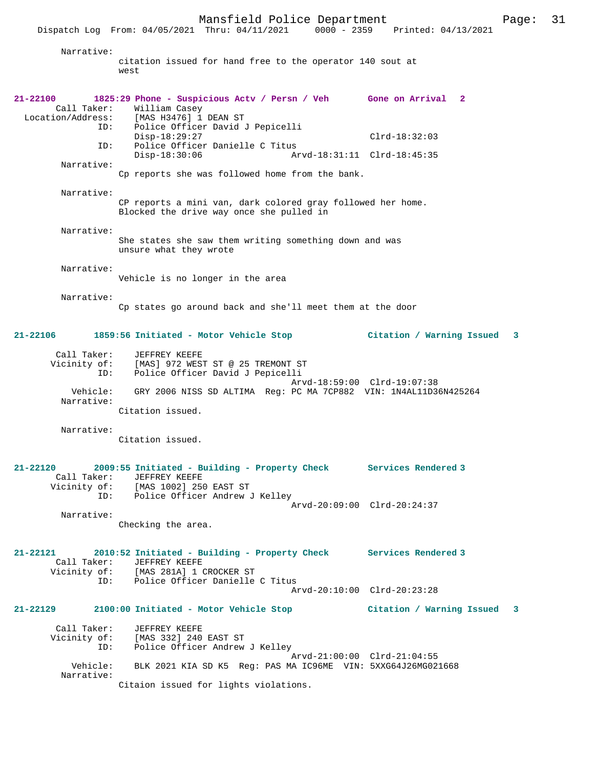Narrative:

citation issued for hand free to the operator 140 sout at west

**21-22100 1825:29 Phone - Suspicious Actv / Persn / Veh Gone on Arrival 2**  Call Taker: William Casey<br>Location/Address: [MAS H3476] 1 Location/Address: [MAS H3476] 1 DEAN ST ID: Police Officer David J Pepicelli Disp-18:29:27 Clrd-18:32:03 ID: Police Officer Danielle C Titus<br>Disp-18:30:06 Ar Disp-18:30:06 Arvd-18:31:11 Clrd-18:45:35 Narrative: Cp reports she was followed home from the bank. Narrative: CP reports a mini van, dark colored gray followed her home. Blocked the drive way once she pulled in Narrative: She states she saw them writing something down and was unsure what they wrote Narrative: Vehicle is no longer in the area Narrative: Cp states go around back and she'll meet them at the door **21-22106 1859:56 Initiated - Motor Vehicle Stop Citation / Warning Issued 3** Call Taker: JEFFREY KEEFE Vicinity of: [MAS] 972 WEST ST @ 25 TREMONT ST ID: Police Officer David J Pepicelli Arvd-18:59:00 Clrd-19:07:38 Vehicle: GRY 2006 NISS SD ALTIMA Reg: PC MA 7CP882 VIN: 1N4AL11D36N425264 Narrative: Citation issued. Narrative: Citation issued. **21-22120 2009:55 Initiated - Building - Property Check Services Rendered 3**  Call Taker: JEFFREY KEEFE<br>Vicinity of: [MAS 1002] 250 Vicinity of: [MAS 1002] 250 EAST ST ID: Police Officer Andrew J Kelley Arvd-20:09:00 Clrd-20:24:37 Narrative: Checking the area. **21-22121 2010:52 Initiated - Building - Property Check Services Rendered 3**  Call Taker: JEFFREY KEEFE<br>Vicinity of: [MAS 281A] 1 ( [MAS 281A] 1 CROCKER ST ID: Police Officer Danielle C Titus Arvd-20:10:00 Clrd-20:23:28 **21-22129 2100:00 Initiated - Motor Vehicle Stop Citation / Warning Issued 3** Call Taker: JEFFREY KEEFE Vicinity of: [MAS 332] 240 EAST ST ID: Police Officer Andrew J Kelley Arvd-21:00:00 Clrd-21:04:55 Vehicle: BLK 2021 KIA SD K5 Reg: PAS MA IC96ME VIN: 5XXG64J26MG021668 Narrative: Citaion issued for lights violations.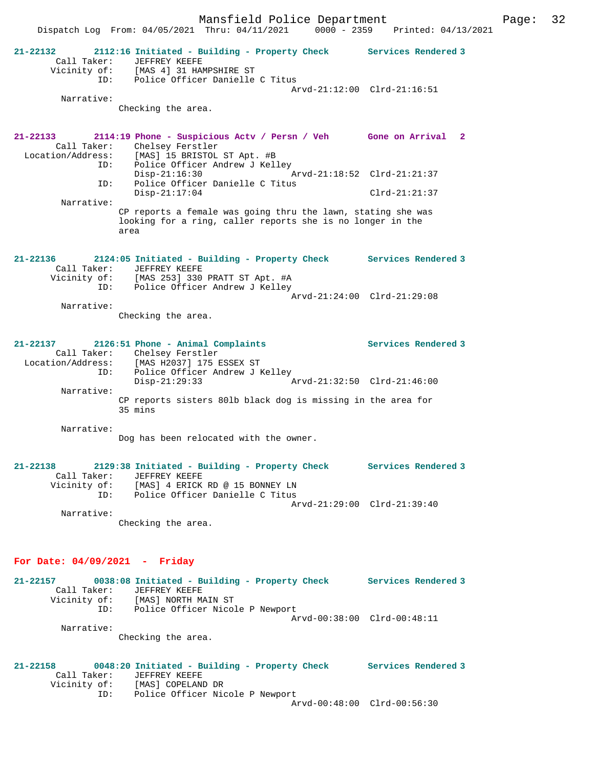Mansfield Police Department Form Page: 32 Dispatch Log From: 04/05/2021 Thru: 04/11/2021 0000 - 2359 Printed: 04/13/2021 **21-22132 2112:16 Initiated - Building - Property Check Services Rendered 3**  Call Taker: JEFFREY KEEFE<br>Vicinity of: [MAS 4] 31 HAI [MAS 4] 31 HAMPSHIRE ST ID: Police Officer Danielle C Titus Arvd-21:12:00 Clrd-21:16:51 Narrative: Checking the area. **21-22133 2114:19 Phone - Suspicious Actv / Persn / Veh Gone on Arrival 2**  Call Taker: Chelsey Ferstler<br>Location/Address: [MAS] 15 BRISTOL [MAS] 15 BRISTOL ST Apt. #B ID: Police Officer Andrew J Kelley Disp-21:16:30 Arvd-21:18:52 Clrd-21:21:37 ID: Police Officer Danielle C Titus Disp-21:17:04 Clrd-21:21:37 Narrative: CP reports a female was going thru the lawn, stating she was looking for a ring, caller reports she is no longer in the area **21-22136 2124:05 Initiated - Building - Property Check Services Rendered 3**  Call Taker: JEFFREY KEEFE Vicinity of: [MAS 253] 330 PRATT ST Apt. #A ID: Police Officer Andrew J Kelley Arvd-21:24:00 Clrd-21:29:08 Narrative: Checking the area. **21-22137 2126:51 Phone - Animal Complaints Services Rendered 3**  Call Taker: Chelsey Ferstler Location/Address: [MAS H2037] 175 ESSEX ST -<br>ID: Police Officer Andrew J Kelley<br>Disp-21:29:33 Disp-21:29:33 Arvd-21:32:50 Clrd-21:46:00 Narrative: CP reports sisters 80lb black dog is missing in the area for 35 mins Narrative: Dog has been relocated with the owner. **21-22138 2129:38 Initiated - Building - Property Check Services Rendered 3**  Call Taker: JEFFREY KEEFE Vicinity of: [MAS] 4 ERICK RD @ 15 BONNEY LN ID: Police Officer Danielle C Titus Arvd-21:29:00 Clrd-21:39:40 Narrative: Checking the area. **For Date: 04/09/2021 - Friday 21-22157 0038:08 Initiated - Building - Property Check Services Rendered 3** 

 Call Taker: JEFFREY KEEFE Vicinity of: [MAS] NORTH MAIN ST ID: Police Officer Nicole P Newport Arvd-00:38:00 Clrd-00:48:11 Narrative: Checking the area.

**21-22158 0048:20 Initiated - Building - Property Check Services Rendered 3**  Call Taker: JEFFREY KEEFE<br>Vicinity of: [MAS] COPELAND DR Vicinity of: ID: Police Officer Nicole P Newport Arvd-00:48:00 Clrd-00:56:30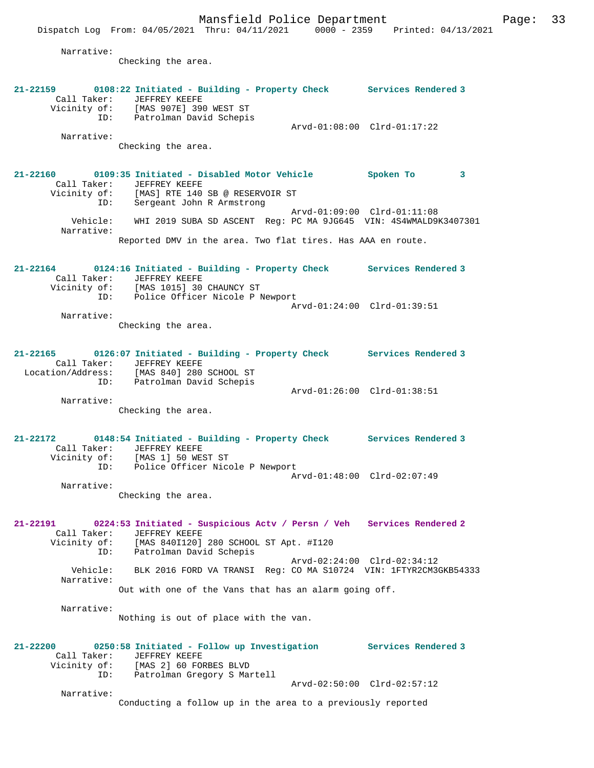Narrative: Checking the area. **21-22159 0108:22 Initiated - Building - Property Check Services Rendered 3**  Call Taker: JEFFREY KEEFE Vicinity of: [MAS 907E] 390 WEST ST ID: Patrolman David Schepis Arvd-01:08:00 Clrd-01:17:22 Narrative: Checking the area. **21-22160 0109:35 Initiated - Disabled Motor Vehicle Spoken To 3**  Call Taker: JEFFREY KEEFE Vicinity of: [MAS] RTE 140 SB @ RESERVOIR ST ID: Sergeant John R Armstrong Arvd-01:09:00 Clrd-01:11:08 Vehicle: WHI 2019 SUBA SD ASCENT Reg: PC MA 9JG645 VIN: 4S4WMALD9K3407301 Narrative: Reported DMV in the area. Two flat tires. Has AAA en route. **21-22164 0124:16 Initiated - Building - Property Check Services Rendered 3**  Call Taker: JEFFREY KEEFE Vicinity of: [MAS 1015] 30 CHAUNCY ST ID: Police Officer Nicole P Newport Arvd-01:24:00 Clrd-01:39:51 Narrative: Checking the area. **21-22165 0126:07 Initiated - Building - Property Check Services Rendered 3**  Call Taker: JEFFREY KEEFE Location/Address: [MAS 840] 280 SCHOOL ST ID: Patrolman David Schepis Arvd-01:26:00 Clrd-01:38:51 Narrative: Checking the area. **21-22172 0148:54 Initiated - Building - Property Check Services Rendered 3**  Call Taker: JEFFREY KEEFE Vicinity of: [MAS 1] 50 WEST ST ID: Police Officer Nicole P Newport Arvd-01:48:00 Clrd-02:07:49 Narrative: Checking the area. **21-22191 0224:53 Initiated - Suspicious Actv / Persn / Veh Services Rendered 2**  Call Taker: JEFFREY KEEFE<br>Vicinity of: [MAS 840I120] of: [MAS 840I120] 280 SCHOOL ST Apt. #I120<br>ID: Patrolman David Schepis Patrolman David Schepis Arvd-02:24:00 Clrd-02:34:12 Vehicle: BLK 2016 FORD VA TRANSI Reg: CO MA S10724 VIN: 1FTYR2CM3GKB54333 Narrative: Out with one of the Vans that has an alarm going off. Narrative: Nothing is out of place with the van. **21-22200 0250:58 Initiated - Follow up Investigation Services Rendered 3**  Call Taker: JEFFREY KEEFE<br>Vicinity of: [MAS 2] 60 FOI of: [MAS 2] 60 FORBES BLVD<br>ID: Patrolman Gregory S Man .<br>Patrolman Gregory S Martell Arvd-02:50:00 Clrd-02:57:12 Narrative: Conducting a follow up in the area to a previously reported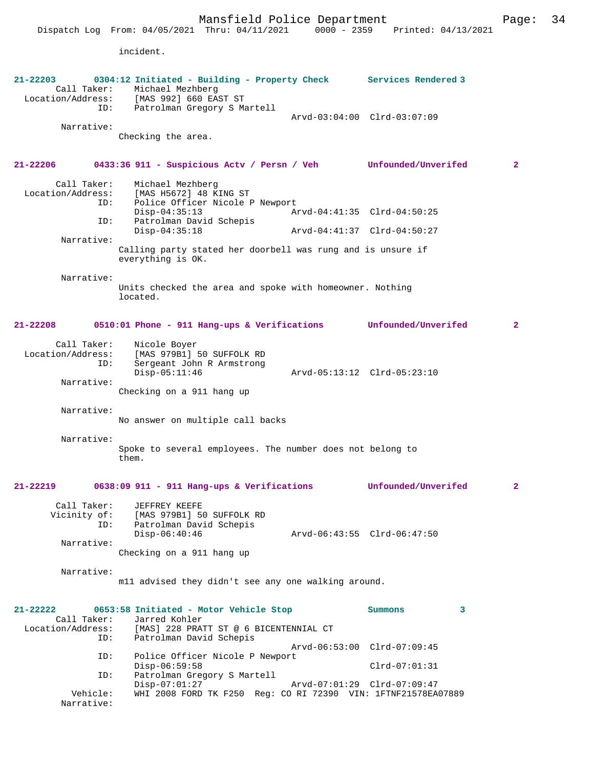Mansfield Police Department Fage: 34

|                             | Dispatch Log From: 04/05/2021 Thru: 04/11/2021                                                                                   | $0000 - 2359$ | Printed: 04/13/2021         |                |
|-----------------------------|----------------------------------------------------------------------------------------------------------------------------------|---------------|-----------------------------|----------------|
|                             | incident.                                                                                                                        |               |                             |                |
|                             |                                                                                                                                  |               |                             |                |
| $21 - 22203$<br>Call Taker: | 0304:12 Initiated - Building - Property Check Services Rendered 3<br>Michael Mezhberg<br>Location/Address: [MAS 992] 660 EAST ST |               |                             |                |
| ID:                         | Patrolman Gregory S Martell                                                                                                      |               | Arvd-03:04:00 Clrd-03:07:09 |                |
| Narrative:                  |                                                                                                                                  |               |                             |                |
|                             | Checking the area.                                                                                                               |               |                             |                |
|                             |                                                                                                                                  |               |                             |                |
| 21-22206                    | 0433:36 911 - Suspicious Actv / Persn / Veh Unfounded/Unverifed                                                                  |               |                             | $\overline{2}$ |
| Call Taker:                 | Michael Mezhberg                                                                                                                 |               |                             |                |
| Location/Address:<br>ID:    | [MAS H5672] 48 KING ST<br>Police Officer Nicole P Newport                                                                        |               |                             |                |
|                             | $Disp-04:35:13$                                                                                                                  |               | Arvd-04:41:35 Clrd-04:50:25 |                |
| ID:                         | Patrolman David Schepis<br>$Disp-04:35:18$                                                                                       |               | Arvd-04:41:37 Clrd-04:50:27 |                |
| Narrative:                  |                                                                                                                                  |               |                             |                |
|                             | Calling party stated her doorbell was rung and is unsure if<br>everything is OK.                                                 |               |                             |                |
| Narrative:                  |                                                                                                                                  |               |                             |                |
|                             | Units checked the area and spoke with homeowner. Nothing<br>located.                                                             |               |                             |                |
|                             |                                                                                                                                  |               |                             |                |
| $21 - 22208$                | 0510:01 Phone - 911 Hang-ups & Verifications                                                                                     |               | Unfounded/Unverifed         | $\overline{2}$ |
| Call Taker:                 | Nicole Boyer                                                                                                                     |               |                             |                |
| Location/Address:           | [MAS 979B1] 50 SUFFOLK RD                                                                                                        |               |                             |                |
| ID:                         | Sergeant John R Armstrong<br>$Disp-05:11:46$                                                                                     |               | Arvd-05:13:12 Clrd-05:23:10 |                |
| Narrative:                  |                                                                                                                                  |               |                             |                |
|                             | Checking on a 911 hang up                                                                                                        |               |                             |                |
| Narrative:                  |                                                                                                                                  |               |                             |                |
|                             | No answer on multiple call backs                                                                                                 |               |                             |                |
| Narrative:                  |                                                                                                                                  |               |                             |                |
|                             | Spoke to several employees. The number does not belong to<br>them.                                                               |               |                             |                |
|                             |                                                                                                                                  |               |                             |                |
| $21 - 22219$                | 0638:09 911 - 911 Hang-ups & Verifications                                                                                       |               | Unfounded/Unverifed         | $\overline{2}$ |
| Call Taker:                 | JEFFREY KEEFE                                                                                                                    |               |                             |                |
| ID:                         | Vicinity of: [MAS 979B1] 50 SUFFOLK RD<br>Patrolman David Schepis                                                                |               |                             |                |
|                             | $Disp-06:40:46$                                                                                                                  |               | Arvd-06:43:55 Clrd-06:47:50 |                |
| Narrative:                  |                                                                                                                                  |               |                             |                |
|                             | Checking on a 911 hang up                                                                                                        |               |                             |                |
| Narrative:                  |                                                                                                                                  |               |                             |                |
|                             | mll advised they didn't see any one walking around.                                                                              |               |                             |                |
|                             |                                                                                                                                  |               |                             |                |
| $21 - 22222$                | 0653:58 Initiated - Motor Vehicle Stop<br>Call Taker: Jarred Kohler                                                              |               | Summons<br>3                |                |
| ID:                         | Location/Address: [MAS] 228 PRATT ST @ 6 BICENTENNIAL CT<br>Patrolman David Schepis                                              |               |                             |                |
| ID:                         | Police Officer Nicole P Newport                                                                                                  |               | Arvd-06:53:00 Clrd-07:09:45 |                |
|                             | $Disp-06:59:58$                                                                                                                  |               | $Clrd-07:01:31$             |                |
| ID:                         | Patrolman Gregory S Martell                                                                                                      |               |                             |                |
| Vehicle:                    | $Disp-07:01:27$<br>WHI 2008 FORD TK F250 Req: CO RI 72390 VIN: 1FTNF21578EA07889                                                 |               | Arvd-07:01:29 Clrd-07:09:47 |                |
| Narrative:                  |                                                                                                                                  |               |                             |                |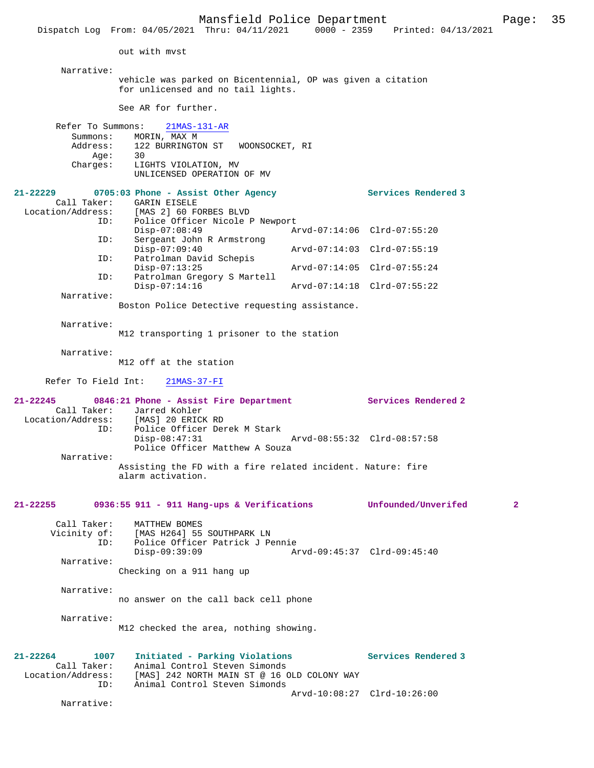|                                  | Dispatch Log From: 04/05/2021 Thru: 04/11/2021 0000 - 2359                                        | Printed: 04/13/2021         |              |
|----------------------------------|---------------------------------------------------------------------------------------------------|-----------------------------|--------------|
|                                  | out with myst                                                                                     |                             |              |
| Narrative:                       |                                                                                                   |                             |              |
|                                  | vehicle was parked on Bicentennial, OP was given a citation<br>for unlicensed and no tail lights. |                             |              |
|                                  | See AR for further.                                                                               |                             |              |
| Refer To Summons:                | $21MAS-131-AR$                                                                                    |                             |              |
| Summons:                         | MORIN, MAX M<br>Address: 122 BURRINGTON ST<br>WOONSOCKET, RI                                      |                             |              |
| Aqe:                             | 30                                                                                                |                             |              |
| Charges:                         | LIGHTS VIOLATION, MV<br>UNLICENSED OPERATION OF MV                                                |                             |              |
| 21-22229                         | 0705:03 Phone - Assist Other Agency                                                               | Services Rendered 3         |              |
| Call Taker:<br>Location/Address: | GARIN EISELE<br>[MAS 2] 60 FORBES BLVD                                                            |                             |              |
| ID:                              | Police Officer Nicole P Newport                                                                   |                             |              |
|                                  | $Disp-07:08:49$                                                                                   | Arvd-07:14:06 Clrd-07:55:20 |              |
| ID:                              | Sergeant John R Armstrong<br>$Disp-07:09:40$                                                      | Arvd-07:14:03 Clrd-07:55:19 |              |
| ID:                              | Patrolman David Schepis<br>$Disp-07:13:25$                                                        | Arvd-07:14:05 Clrd-07:55:24 |              |
| ID:                              | Patrolman Gregory S Martell                                                                       |                             |              |
| Narrative:                       | $Disp-07:14:16$                                                                                   | Arvd-07:14:18 Clrd-07:55:22 |              |
|                                  | Boston Police Detective requesting assistance.                                                    |                             |              |
| Narrative:                       |                                                                                                   |                             |              |
|                                  | M12 transporting 1 prisoner to the station                                                        |                             |              |
| Narrative:                       |                                                                                                   |                             |              |
|                                  | M12 off at the station                                                                            |                             |              |
| Refer To Field Int:              | $21MAS-37-FI$                                                                                     |                             |              |
| 21-22245                         | 0846:21 Phone - Assist Fire Department<br>Call Taker: Jarred Kohler                               | Services Rendered 2         |              |
|                                  | Location/Address: [MAS] 20 ERICK RD                                                               |                             |              |
| ID:                              | Police Officer Derek M Stark                                                                      |                             |              |
|                                  | $Disp-08:47:31$<br>Police Officer Matthew A Souza                                                 | Arvd-08:55:32 Clrd-08:57:58 |              |
| Narrative:                       |                                                                                                   |                             |              |
|                                  | Assisting the FD with a fire related incident. Nature: fire<br>alarm activation.                  |                             |              |
| 21-22255                         | 0936:55 911 - 911 Hang-ups & Verifications Unfounded/Unverifed                                    |                             | $\mathbf{2}$ |
| Call Taker:                      | MATTHEW BOMES                                                                                     |                             |              |
| Vicinity of:                     | [MAS H264] 55 SOUTHPARK LN                                                                        |                             |              |
| ID:                              | Police Officer Patrick J Pennie                                                                   |                             |              |
| Narrative:                       | $Disp-09:39:09$                                                                                   | Arvd-09:45:37 Clrd-09:45:40 |              |
|                                  | Checking on a 911 hang up                                                                         |                             |              |
| Narrative:                       |                                                                                                   |                             |              |
|                                  | no answer on the call back cell phone                                                             |                             |              |
| Narrative:                       |                                                                                                   |                             |              |
|                                  | M12 checked the area, nothing showing.                                                            |                             |              |
| 21-22264<br>1007                 | Initiated - Parking Violations                                                                    | Services Rendered 3         |              |
| Call Taker:                      | Animal Control Steven Simonds                                                                     |                             |              |
| ID:                              | Location/Address: [MAS] 242 NORTH MAIN ST @ 16 OLD COLONY WAY<br>Animal Control Steven Simonds    |                             |              |
|                                  |                                                                                                   | Arvd-10:08:27 Clrd-10:26:00 |              |
| Narrative:                       |                                                                                                   |                             |              |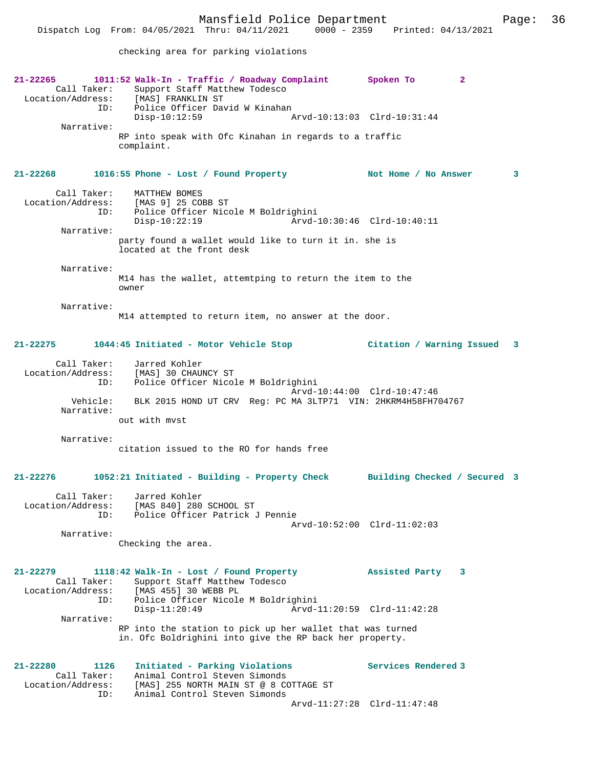Location/Address: [MAS] FRANKLIN ST<br>TD: Police Officer Day Police Officer David W Kinahan<br>Disp-10:12:59 Disp-10:12:59 Arvd-10:13:03 Clrd-10:31:44 Narrative: RP into speak with Ofc Kinahan in regards to a traffic complaint. **21-22268 1016:55 Phone - Lost / Found Property Not Home / No Answer 3** Call Taker: MATTHEW BOMES Location/Address: [MAS 9] 25 COBB ST ID: Police Officer Nicole M Boldrighini Disp-10:22:19 Arvd-10:30:46 Clrd-10:40:11 Narrative: party found a wallet would like to turn it in. she is located at the front desk Narrative: M14 has the wallet, attemtping to return the item to the owner Narrative: M14 attempted to return item, no answer at the door. **21-22275 1044:45 Initiated - Motor Vehicle Stop Citation / Warning Issued 3** Call Taker: Jarred Kohler<br>ion/Address: [MAS] 30 CHAUNCY ST Location/Address: ID: Police Officer Nicole M Boldrighini Arvd-10:44:00 Clrd-10:47:46 Vehicle: BLK 2015 HOND UT CRV Reg: PC MA 3LTP71 VIN: 2HKRM4H58FH704767 Narrative: out with mvst Narrative: citation issued to the RO for hands free **21-22276 1052:21 Initiated - Building - Property Check Building Checked / Secured 3** Call Taker: Jarred Kohler Location/Address: [MAS 840] 280 SCHOOL ST ID: Police Officer Patrick J Pennie Arvd-10:52:00 Clrd-11:02:03 Narrative: Checking the area. **21-22279 1118:42 Walk-In - Lost / Found Property Assisted Party 3**  Call Taker: Support Staff Matthew Todesco<br>Location/Address: [MAS 455] 30 WEBB PL ess: [MAS 455] 30 WEBB PL<br>ID: Police Officer Nicole Police Officer Nicole M Boldrighini<br>1-Disp-11:20:49 Arvd Disp-11:20:49 Arvd-11:20:59 Clrd-11:42:28 Narrative: RP into the station to pick up her wallet that was turned in. Ofc Boldrighini into give the RP back her property.

**21-22280 1126 Initiated - Parking Violations Services Rendered 3**  Animal Control Steven Simonds Location/Address: [MAS] 255 NORTH MAIN ST @ 8 COTTAGE ST ID: Animal Control Steven Simonds Arvd-11:27:28 Clrd-11:47:48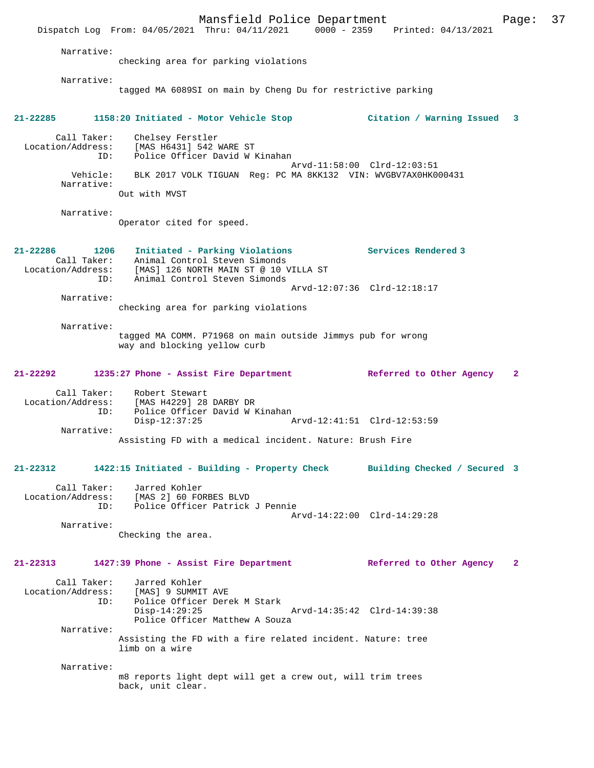Mansfield Police Department Page: 37 Dispatch Log From: 04/05/2021 Thru: 04/11/2021 0000 - 2359 Printed: 04/13/2021 Narrative: checking area for parking violations Narrative: tagged MA 6089SI on main by Cheng Du for restrictive parking **21-22285 1158:20 Initiated - Motor Vehicle Stop Citation / Warning Issued 3** Call Taker: Chelsey Ferstler Location/Address: [MAS H6431] 542 WARE ST ID: Police Officer David W Kinahan Arvd-11:58:00 Clrd-12:03:51 Vehicle: BLK 2017 VOLK TIGUAN Reg: PC MA 8KK132 VIN: WVGBV7AX0HK000431 Narrative: Out with MVST Narrative: Operator cited for speed. **21-22286 1206 Initiated - Parking Violations Services Rendered 3**  Call Taker: Animal Control Steven Simonds Location/Address: [MAS] 126 NORTH MAIN ST @ 10 VILLA ST ID: Animal Control Steven Simonds Arvd-12:07:36 Clrd-12:18:17 Narrative: checking area for parking violations Narrative: tagged MA COMM. P71968 on main outside Jimmys pub for wrong way and blocking yellow curb **21-22292 1235:27 Phone - Assist Fire Department Referred to Other Agency 2** Call Taker: Robert Stewart Location/Address: [MAS H4229] 28 DARBY DR ID: Police Officer David W Kinahan<br>Disp-12:37:25 Arvd-12:41:51 Clrd-12:53:59 Narrative: Assisting FD with a medical incident. Nature: Brush Fire **21-22312 1422:15 Initiated - Building - Property Check Building Checked / Secured 3** Call Taker: Jarred Kohler Location/Address: [MAS 2] 60 FORBES BLVD ID: Police Officer Patrick J Pennie Arvd-14:22:00 Clrd-14:29:28 Narrative: Checking the area. **21-22313 1427:39 Phone - Assist Fire Department Referred to Other Agency 2** Call Taker: Jarred Kohler<br>Location/Address: [MAS] 9 SUMMI ess: [MAS] 9 SUMMIT AVE<br>ID: Police Officer Dere Police Officer Derek M Stark Disp-14:29:25 Arvd-14:35:42 Clrd-14:39:38 Police Officer Matthew A Souza Narrative: Assisting the FD with a fire related incident. Nature: tree limb on a wire Narrative: m8 reports light dept will get a crew out, will trim trees back, unit clear.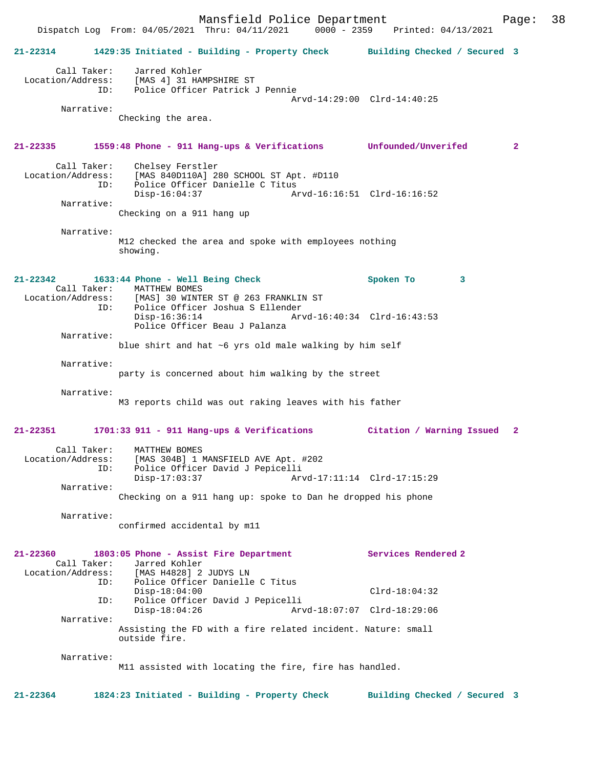Mansfield Police Department Page: 38 Dispatch Log From: 04/05/2021 Thru: 04/11/2021 **21-22314 1429:35 Initiated - Building - Property Check Building Checked / Secured 3** Call Taker: Jarred Kohler Location/Address: [MAS 4] 31 HAMPSHIRE ST ID: Police Officer Patrick J Pennie Arvd-14:29:00 Clrd-14:40:25 Narrative: Checking the area. **21-22335 1559:48 Phone - 911 Hang-ups & Verifications Unfounded/Unverifed 2** Call Taker: Chelsey Ferstler<br>Location/Address: [MAS 840D110A] 2 ess: [MAS 840D110A] 280 SCHOOL ST Apt. #D110<br>ID: Police Officer Danielle C Titus Police Officer Danielle C Titus<br>Disp-16:04:37 Am Disp-16:04:37 Arvd-16:16:51 Clrd-16:16:52 Narrative: Checking on a 911 hang up Narrative: M12 checked the area and spoke with employees nothing showing. **21-22342 1633:44 Phone - Well Being Check Spoken To 3**  Call Taker: MATTHEW BOMES<br>Location/Address: [MAS] 30 WINT [MAS] 30 WINTER ST @ 263 FRANKLIN ST ID: Police Officer Joshua S Ellender Disp-16:36:14 Arvd-16:40:34 Clrd-16:43:53 Police Officer Beau J Palanza Narrative: blue shirt and hat ~6 yrs old male walking by him self Narrative: party is concerned about him walking by the street Narrative: M3 reports child was out raking leaves with his father **21-22351 1701:33 911 - 911 Hang-ups & Verifications Citation / Warning Issued 2** Call Taker: MATTHEW BOMES Location/Address: [MAS 304B] 1 MANSFIELD AVE Apt. #202 ID: Police Officer David J Pepicelli Arvd-17:11:14 Clrd-17:15:29 Narrative: Checking on a 911 hang up: spoke to Dan he dropped his phone Narrative: confirmed accidental by m11 **21-22360 1803:05 Phone - Assist Fire Department Services Rendered 2**  Call Taker: Jarred Kohler Location/Address: [MAS H4828] 2 JUDYS LN Police Officer Danielle C Titus Disp-18:04:00 Clrd-18:04:32<br>TD: Police Officer David J Pepicelli Police Officer David J Pepicelli Disp-18:04:26 Arvd-18:07:07 Clrd-18:29:06 Narrative: Assisting the FD with a fire related incident. Nature: small outside fire. Narrative: M11 assisted with locating the fire, fire has handled. **21-22364 1824:23 Initiated - Building - Property Check Building Checked / Secured 3**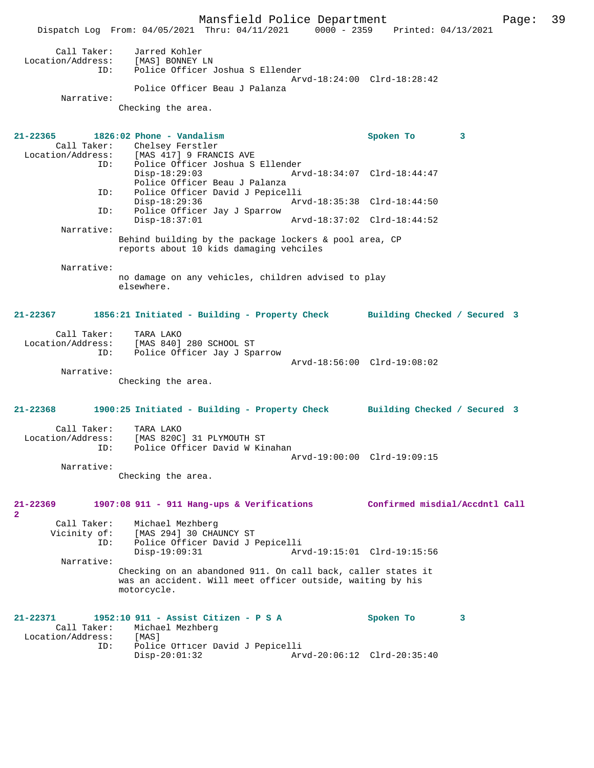Mansfield Police Department Page: 39 Dispatch Log From: 04/05/2021 Thru: 04/11/2021 0000 - 2359 Printed: 04/13/2021 Call Taker: Jarred Kohler Location/Address: [MAS] BONNEY LN ID: Police Officer Joshua S Ellender Arvd-18:24:00 Clrd-18:28:42 Police Officer Beau J Palanza Narrative: Checking the area. **21-22365 1826:02 Phone - Vandalism Spoken To 3**  Call Taker: Chelsey Ferstler<br>Location/Address: [MAS 417] 9 FRAN ess: [MAS 417] 9 FRANCIS AVE<br>ID: Police Officer Joshua S Police Officer Joshua S Ellender<br>Disp-18:29:03 Ary Disp-18:29:03 Arvd-18:34:07 Clrd-18:44:47 Police Officer Beau J Palanza ID: Police Officer David J Pepicelli Disp-18:29:36 Arvd-18:35:38 Clrd-18:44:50<br>ID: Police Officer Jav J Sparrow Police Officer Jay J Sparrow<br>Disp-18:37:01 Disp-18:37:01 Arvd-18:37:02 Clrd-18:44:52 Narrative: Behind building by the package lockers & pool area, CP reports about 10 kids damaging vehciles Narrative: no damage on any vehicles, children advised to play elsewhere. **21-22367 1856:21 Initiated - Building - Property Check Building Checked / Secured 3** Call Taker: TARA LAKO<br>Location/Address: [MAS 840] Location/Address: [MAS 840] 280 SCHOOL ST ID: Police Officer Jay J Sparrow Arvd-18:56:00 Clrd-19:08:02 Narrative: Checking the area. **21-22368 1900:25 Initiated - Building - Property Check Building Checked / Secured 3** Call Taker: TARA LAKO Location/Address: [MAS 820C] 31 PLYMOUTH ST ID: Police Officer David W Kinahan Arvd-19:00:00 Clrd-19:09:15 Narrative: Checking the area. **21-22369 1907:08 911 - 911 Hang-ups & Verifications Confirmed misdial/Accdntl Call 2**  Call Taker: Michael Mezhberg Vicinity of: [MAS 294] 30 CHAUNCY ST ID: Police Officer David J Pepicelli Disp-19:09:31 Arvd-19:15:01 Clrd-19:15:56 Narrative: Checking on an abandoned 911. On call back, caller states it was an accident. Will meet officer outside, waiting by his motorcycle. **21-22371 1952:10 911 - Assist Citizen - P S A Spoken To 3**  Call Taker: Michael Mezhberg Location/Address: [MAS]<br>Dolice TD: Police Police Officer David J Pepicelli Disp-20:01:32 Arvd-20:06:12 Clrd-20:35:40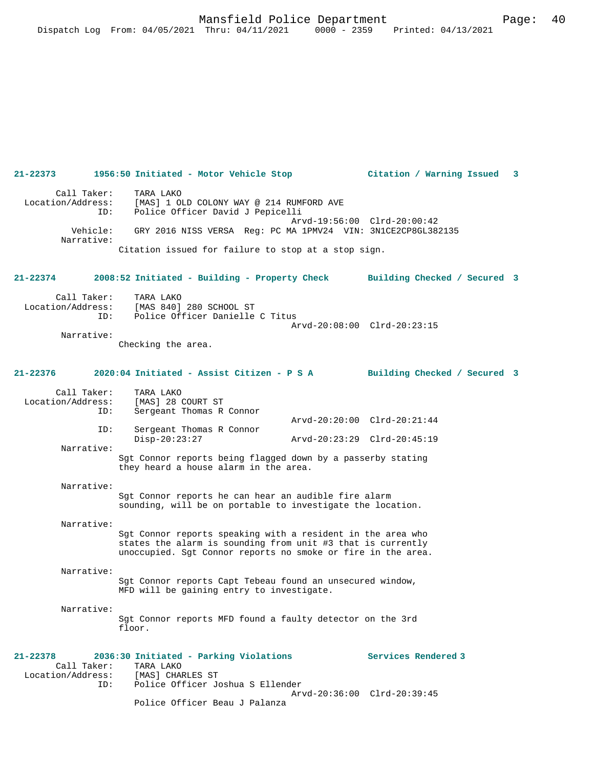# **21-22373 1956:50 Initiated - Motor Vehicle Stop Citation / Warning Issued 3** Call Taker: TARA LAKO Location/Address: [MAS] 1 OLD COLONY WAY @ 214 RUMFORD AVE ID: Police Officer David J Pepicelli Arvd-19:56:00 Clrd-20:00:42 Vehicle: GRY 2016 NISS VERSA Reg: PC MA 1PMV24 VIN: 3N1CE2CP8GL382135 Narrative: Citation issued for failure to stop at a stop sign. **21-22374 2008:52 Initiated - Building - Property Check Building Checked / Secured 3** Call Taker: TARA LAKO<br>Location/Address: [MAS 840] [MAS 840] 280 SCHOOL ST ID: Police Officer Danielle C Titus Arvd-20:08:00 Clrd-20:23:15 Narrative: Checking the area. **21-22376 2020:04 Initiated - Assist Citizen - P S A Building Checked / Secured 3** Call Taker: TARA LAKO<br>.on/Address: [MAS] 28 COURT ST Location/Address:<br>TD: Sergeant Thomas R Connor Arvd-20:20:00 Clrd-20:21:44<br>ID: Sergeant Thomas R Connor Sergeant Thomas R Connor<br>Disp-20:23:27 Disp-20:23:27 Arvd-20:23:29 Clrd-20:45:19 Narrative: Sgt Connor reports being flagged down by a passerby stating they heard a house alarm in the area. Narrative: Sgt Connor reports he can hear an audible fire alarm sounding, will be on portable to investigate the location. Narrative: Sgt Connor reports speaking with a resident in the area who states the alarm is sounding from unit #3 that is currently unoccupied. Sgt Connor reports no smoke or fire in the area. Narrative: Sgt Connor reports Capt Tebeau found an unsecured window, MFD will be gaining entry to investigate. Narrative: Sgt Connor reports MFD found a faulty detector on the 3rd floor. **21-22378 2036:30 Initiated - Parking Violations Services Rendered 3**  Call Taker: TARA LAKO<br>ion/Address: [MAS] CHARLES ST Location/Address:<br>ID: Police Officer Joshua S Ellender Arvd-20:36:00 Clrd-20:39:45 Police Officer Beau J Palanza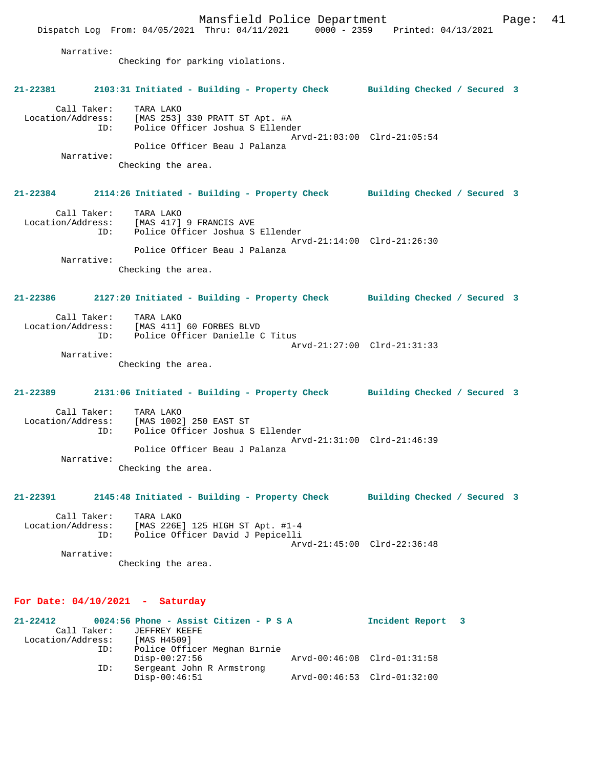Mansfield Police Department Fage: 41 Dispatch Log From: 04/05/2021 Thru: 04/11/2021 0000 - 2359 Printed: 04/13/2021 Narrative: Checking for parking violations. **21-22381 2103:31 Initiated - Building - Property Check Building Checked / Secured 3** Call Taker: TARA LAKO Location/Address: [MAS 253] 330 PRATT ST Apt. #A ID: Police Officer Joshua S Ellender Arvd-21:03:00 Clrd-21:05:54 Police Officer Beau J Palanza Narrative: Checking the area. **21-22384 2114:26 Initiated - Building - Property Check Building Checked / Secured 3** Call Taker: TARA LAKO Location/Address: [MAS 417] 9 FRANCIS AVE ID: Police Officer Joshua S Ellender Arvd-21:14:00 Clrd-21:26:30 Police Officer Beau J Palanza Narrative: Checking the area. **21-22386 2127:20 Initiated - Building - Property Check Building Checked / Secured 3** Call Taker: TARA LAKO Location/Address: [MAS 411] 60 FORBES BLVD ID: Police Officer Danielle C Titus Arvd-21:27:00 Clrd-21:31:33 Narrative: Checking the area. **21-22389 2131:06 Initiated - Building - Property Check Building Checked / Secured 3** Call Taker: TARA LAKO Location/Address: [MAS 1002] 250 EAST ST ID: Police Officer Joshua S Ellender Arvd-21:31:00 Clrd-21:46:39 Police Officer Beau J Palanza Narrative: Checking the area. **21-22391 2145:48 Initiated - Building - Property Check Building Checked / Secured 3** Call Taker: TARA LAKO Location/Address: [MAS 226E] 125 HIGH ST Apt. #1-4 ID: Police Officer David J Pepicelli Arvd-21:45:00 Clrd-22:36:48 Narrative: Checking the area.

### **For Date: 04/10/2021 - Saturday**

| $21 - 22412$      |             | 0024:56 Phone - Assist Citizen - P S A |                             | Incident Report 3 |  |
|-------------------|-------------|----------------------------------------|-----------------------------|-------------------|--|
|                   | Call Taker: | JEFFREY KEEFE                          |                             |                   |  |
| Location/Address: |             | [MAS H4509]                            |                             |                   |  |
|                   | ID:         | Police Officer Meghan Birnie           |                             |                   |  |
|                   |             | $Disp-00:27:56$                        | Arvd-00:46:08 Clrd-01:31:58 |                   |  |
|                   | ID:         | Sergeant John R Armstrong              |                             |                   |  |
|                   |             | $Disp-00:46:51$                        | Arvd-00:46:53 Clrd-01:32:00 |                   |  |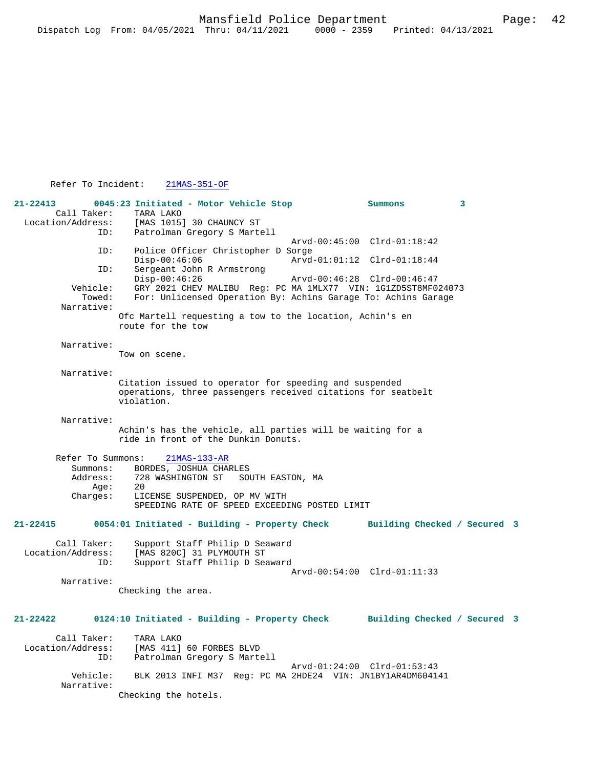# Refer To Incident: 21MAS-351-OF

| $21 - 22413$<br>Call Taker:<br>Location/Address:<br>ID:       | 0045:23 Initiated - Motor Vehicle Stop<br>TARA LAKO<br>[MAS 1015] 30 CHAUNCY ST                                                                                           |                                                                                                                                 | Summons                      | 3 |  |
|---------------------------------------------------------------|---------------------------------------------------------------------------------------------------------------------------------------------------------------------------|---------------------------------------------------------------------------------------------------------------------------------|------------------------------|---|--|
| ID:<br>ID:                                                    | $Disp-00:46:06$<br>Sergeant John R Armstrong                                                                                                                              | Patrolman Gregory S Martell<br>Arvd-00:45:00 Clrd-01:18:42<br>Police Officer Christopher D Sorge<br>Arvd-01:01:12 Clrd-01:18:44 |                              |   |  |
| Vehicle:<br>Towed:<br>Narrative:                              | $Disp-00:46:26$<br>GRY 2021 CHEV MALIBU Req: PC MA 1MLX77 VIN: 1G1ZD5ST8MF024073<br>For: Unlicensed Operation By: Achins Garage To: Achins Garage                         |                                                                                                                                 | Arvd-00:46:28 Clrd-00:46:47  |   |  |
|                                                               | Ofc Martell requesting a tow to the location, Achin's en<br>route for the tow                                                                                             |                                                                                                                                 |                              |   |  |
| Narrative:                                                    | Tow on scene.                                                                                                                                                             |                                                                                                                                 |                              |   |  |
| Narrative:                                                    | Citation issued to operator for speeding and suspended<br>operations, three passengers received citations for seatbelt<br>violation.                                      |                                                                                                                                 |                              |   |  |
| Narrative:                                                    | Achin's has the vehicle, all parties will be waiting for a<br>ride in front of the Dunkin Donuts.                                                                         |                                                                                                                                 |                              |   |  |
| Refer To Summons:<br>Summons:<br>Address:<br>Aqe:<br>Charges: | $21MAS-133-AR$<br>BORDES, JOSHUA CHARLES<br>728 WASHINGTON ST<br>SOUTH EASTON, MA<br>20<br>LICENSE SUSPENDED, OP MV WITH<br>SPEEDING RATE OF SPEED EXCEEDING POSTED LIMIT |                                                                                                                                 |                              |   |  |
| 21-22415                                                      | 0054:01 Initiated - Building - Property Check                                                                                                                             |                                                                                                                                 | Building Checked / Secured 3 |   |  |
| Call Taker:<br>Location/Address:<br>ID:                       | Support Staff Philip D Seaward<br>[MAS 820C] 31 PLYMOUTH ST<br>Support Staff Philip D Seaward                                                                             |                                                                                                                                 | Arvd-00:54:00 Clrd-01:11:33  |   |  |
| Narrative:                                                    | Checking the area.                                                                                                                                                        |                                                                                                                                 |                              |   |  |
| $21 - 22422$                                                  | 0124:10 Initiated - Building - Property Check                                                                                                                             |                                                                                                                                 | Building Checked / Secured 3 |   |  |
| Call Taker:<br>Location/Address:<br>ID:                       | TARA LAKO<br>[MAS 411] 60 FORBES BLVD<br>Patrolman Gregory S Martell                                                                                                      |                                                                                                                                 | Arvd-01:24:00 Clrd-01:53:43  |   |  |
| Vehicle:<br>Narrative:                                        | BLK 2013 INFI M37 Req: PC MA 2HDE24 VIN: JN1BY1AR4DM604141<br>Checking the hotels.                                                                                        |                                                                                                                                 |                              |   |  |
|                                                               |                                                                                                                                                                           |                                                                                                                                 |                              |   |  |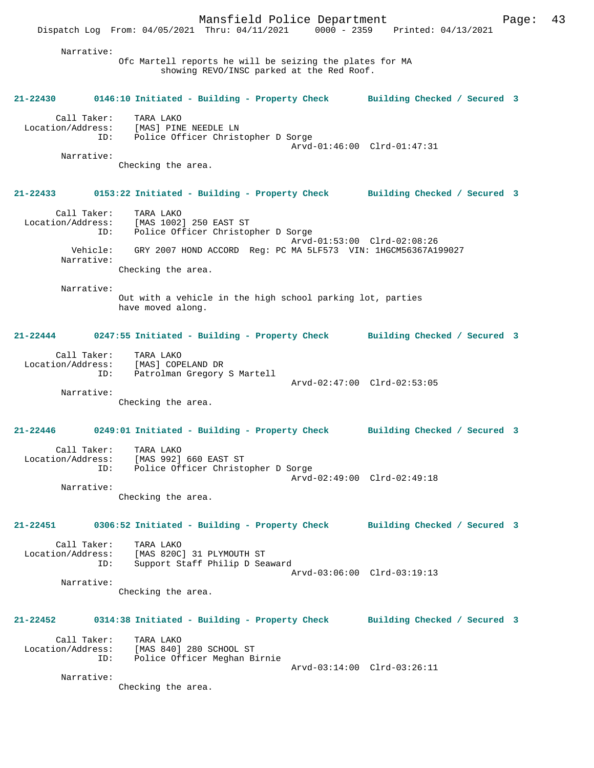Mansfield Police Department Page: 43 Dispatch Log From: 04/05/2021 Thru: 04/11/2021 0000 - 2359 Printed: 04/13/2021 Narrative: Ofc Martell reports he will be seizing the plates for MA showing REVO/INSC parked at the Red Roof. **21-22430 0146:10 Initiated - Building - Property Check Building Checked / Secured 3** Call Taker: TARA LAKO Location/Address: [MAS] PINE NEEDLE LN ID: Police Officer Christopher D Sorge Arvd-01:46:00 Clrd-01:47:31 Narrative: Checking the area. **21-22433 0153:22 Initiated - Building - Property Check Building Checked / Secured 3** Call Taker: TARA LAKO Location/Address: [MAS 1002] 250 EAST ST ID: Police Officer Christopher D Sorge Arvd-01:53:00 Clrd-02:08:26 Vehicle: GRY 2007 HOND ACCORD Reg: PC MA 5LF573 VIN: 1HGCM56367A199027 Narrative: Checking the area. Narrative: Out with a vehicle in the high school parking lot, parties have moved along. **21-22444 0247:55 Initiated - Building - Property Check Building Checked / Secured 3** Call Taker: TARA LAKO Location/Address: [MAS] COPELAND DR ID: Patrolman Gregory S Martell Arvd-02:47:00 Clrd-02:53:05 Narrative: Checking the area. **21-22446 0249:01 Initiated - Building - Property Check Building Checked / Secured 3** Call Taker: TARA LAKO<br>ion/Address: [MAS 992] 660 EAST ST Location/Address: ID: Police Officer Christopher D Sorge Arvd-02:49:00 Clrd-02:49:18 Narrative: Checking the area. **21-22451 0306:52 Initiated - Building - Property Check Building Checked / Secured 3** Call Taker: TARA LAKO Location/Address: [MAS 820C] 31 PLYMOUTH ST Support Staff Philip D Seaward Arvd-03:06:00 Clrd-03:19:13 Narrative: Checking the area. **21-22452 0314:38 Initiated - Building - Property Check Building Checked / Secured 3** Call Taker: TARA LAKO<br>Location/Address: [MAS 840] TARA LANO<br>[MAS 840] 280 SCHOOL ST ID: Police Officer Meghan Birnie Arvd-03:14:00 Clrd-03:26:11 Narrative: Checking the area.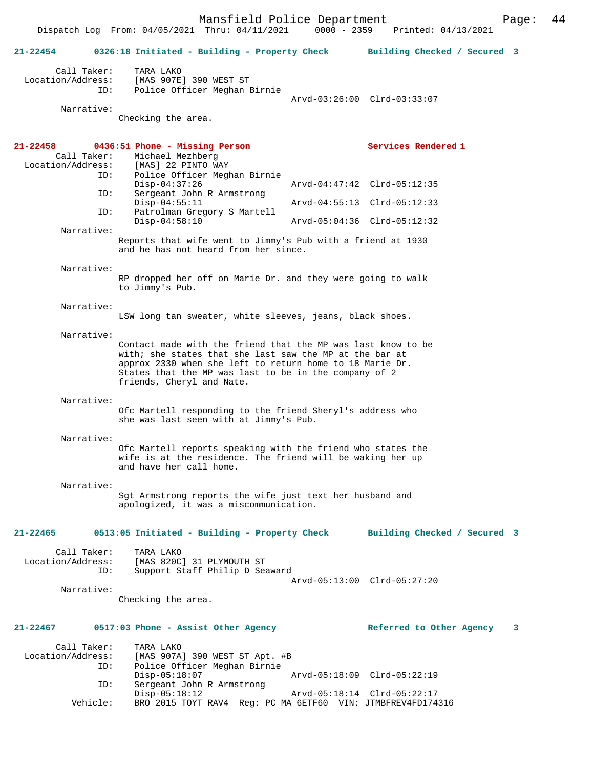Dispatch Log From: 04/05/2021 Thru: 04/11/2021 0000 - 2359 Printed: 04/13/2021

| $21 - 22454$                                     | 0326:18 Initiated - Building - Property Check Building Checked / Secured 3                                                                                                                                                                                                |                              |                            |
|--------------------------------------------------|---------------------------------------------------------------------------------------------------------------------------------------------------------------------------------------------------------------------------------------------------------------------------|------------------------------|----------------------------|
| Call Taker:<br>Location/Address:<br>ID:          | TARA LAKO<br>[MAS 907E] 390 WEST ST<br>Police Officer Meghan Birnie                                                                                                                                                                                                       |                              |                            |
|                                                  |                                                                                                                                                                                                                                                                           | Arvd-03:26:00 Clrd-03:33:07  |                            |
| Narrative:                                       | Checking the area.                                                                                                                                                                                                                                                        |                              |                            |
| $21 - 22458$<br>Call Taker:<br>Location/Address: | 0436:51 Phone - Missing Person<br>Michael Mezhberg<br>[MAS] 22 PINTO WAY                                                                                                                                                                                                  | Services Rendered 1          |                            |
| ID:                                              | Police Officer Meghan Birnie<br>$Disp-04:37:26$                                                                                                                                                                                                                           | Arvd-04:47:42 Clrd-05:12:35  |                            |
| ID:                                              | Sergeant John R Armstrong<br>$Disp-04:55:11$                                                                                                                                                                                                                              | Arvd-04:55:13 Clrd-05:12:33  |                            |
| ID:                                              | Patrolman Gregory S Martell<br>$Disp-04:58:10$                                                                                                                                                                                                                            | Arvd-05:04:36 Clrd-05:12:32  |                            |
| Narrative:                                       | Reports that wife went to Jimmy's Pub with a friend at 1930<br>and he has not heard from her since.                                                                                                                                                                       |                              |                            |
| Narrative:                                       | RP dropped her off on Marie Dr. and they were going to walk<br>to Jimmy's Pub.                                                                                                                                                                                            |                              |                            |
| Narrative:                                       | LSW long tan sweater, white sleeves, jeans, black shoes.                                                                                                                                                                                                                  |                              |                            |
| Narrative:                                       |                                                                                                                                                                                                                                                                           |                              |                            |
|                                                  | Contact made with the friend that the MP was last know to be<br>with; she states that she last saw the MP at the bar at<br>approx 2330 when she left to return home to 18 Marie Dr.<br>States that the MP was last to be in the company of 2<br>friends, Cheryl and Nate. |                              |                            |
| Narrative:                                       |                                                                                                                                                                                                                                                                           |                              |                            |
|                                                  | Ofc Martell responding to the friend Sheryl's address who<br>she was last seen with at Jimmy's Pub.                                                                                                                                                                       |                              |                            |
| Narrative:                                       |                                                                                                                                                                                                                                                                           |                              |                            |
|                                                  | Ofc Martell reports speaking with the friend who states the<br>wife is at the residence. The friend will be waking her up<br>and have her call home.                                                                                                                      |                              |                            |
| Narrative:                                       |                                                                                                                                                                                                                                                                           |                              |                            |
|                                                  | Sgt Armstrong reports the wife just text her husband and<br>apologized, it was a miscommunication.                                                                                                                                                                        |                              |                            |
| 21-22465                                         | 0513:05 Initiated - Building - Property Check                                                                                                                                                                                                                             | Building Checked / Secured 3 |                            |
| Call Taker:<br>Location/Address:<br>ID:          | TARA LAKO<br>[MAS 820C] 31 PLYMOUTH ST<br>Support Staff Philip D Seaward                                                                                                                                                                                                  | Arvd-05:13:00 Clrd-05:27:20  |                            |
| Narrative:                                       | Checking the area.                                                                                                                                                                                                                                                        |                              |                            |
| $21 - 22467$                                     | 0517:03 Phone - Assist Other Agency                                                                                                                                                                                                                                       | Referred to Other Agency     | $\overline{\phantom{a}}$ 3 |
| Call Taker:<br>Location/Address:                 | TARA LAKO<br>[MAS 907A] 390 WEST ST Apt. #B                                                                                                                                                                                                                               |                              |                            |
| ID:                                              | Police Officer Meghan Birnie<br>$Disp-05:18:07$                                                                                                                                                                                                                           | Arvd-05:18:09 Clrd-05:22:19  |                            |
| ID:                                              | Sergeant John R Armstrong<br>$Disp-05:18:12$                                                                                                                                                                                                                              |                              |                            |
| Vehicle:                                         | BRO 2015 TOYT RAV4 Req: PC MA 6ETF60 VIN: JTMBFREV4FD174316                                                                                                                                                                                                               |                              |                            |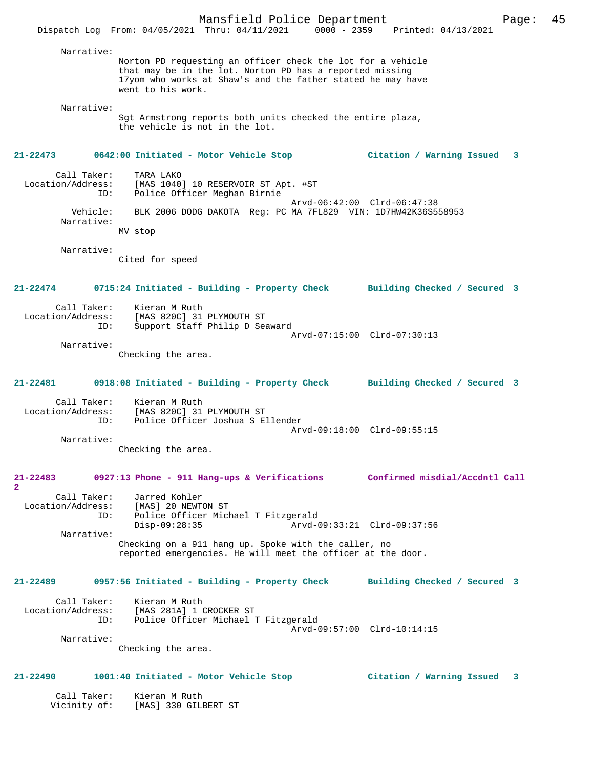Narrative: Norton PD requesting an officer check the lot for a vehicle that may be in the lot. Norton PD has a reported missing 17yom who works at Shaw's and the father stated he may have went to his work. Narrative: Sgt Armstrong reports both units checked the entire plaza, the vehicle is not in the lot. **21-22473 0642:00 Initiated - Motor Vehicle Stop Citation / Warning Issued 3** Call Taker: TARA LAKO Location/Address: [MAS 1040] 10 RESERVOIR ST Apt. #ST ID: Police Officer Meghan Birnie Arvd-06:42:00 Clrd-06:47:38 Vehicle: BLK 2006 DODG DAKOTA Reg: PC MA 7FL829 VIN: 1D7HW42K36S558953 Narrative: MV stop Narrative: Cited for speed **21-22474 0715:24 Initiated - Building - Property Check Building Checked / Secured 3** Call Taker: Kieran M Ruth Location/Address: [MAS 820C] 31 PLYMOUTH ST<br>:D: Support Staff Philin D Se .<br>Support Staff Philip D Seaward Arvd-07:15:00 Clrd-07:30:13 Narrative: Checking the area. **21-22481 0918:08 Initiated - Building - Property Check Building Checked / Secured 3** Call Taker: Kieran M Ruth Location/Address: [MAS 820C] 31 PLYMOUTH ST Police Officer Joshua S Ellender Arvd-09:18:00 Clrd-09:55:15 Narrative: Checking the area. **21-22483 0927:13 Phone - 911 Hang-ups & Verifications Confirmed misdial/Accdntl Call 2**  Call Taker: Jarred Kohler<br>Location/Address: [MAS] 20 NEWT ess: [MAS] 20 NEWTON ST<br>ID: Police Officer Mich ID: Police Officer Michael T Fitzgerald Disp-09:28:35 Arvd-09:33:21 Clrd-09:37:56 Narrative: Checking on a 911 hang up. Spoke with the caller, no reported emergencies. He will meet the officer at the door. **21-22489 0957:56 Initiated - Building - Property Check Building Checked / Secured 3** Call Taker: Kieran M Ruth Location/Address: [MAS 281A] 1 CROCKER ST Police Officer Michael T Fitzgerald Arvd-09:57:00 Clrd-10:14:15 Narrative: Checking the area. **21-22490 1001:40 Initiated - Motor Vehicle Stop Citation / Warning Issued 3** Call Taker: Kieran M Ruth

Vicinity of: [MAS] 330 GILBERT ST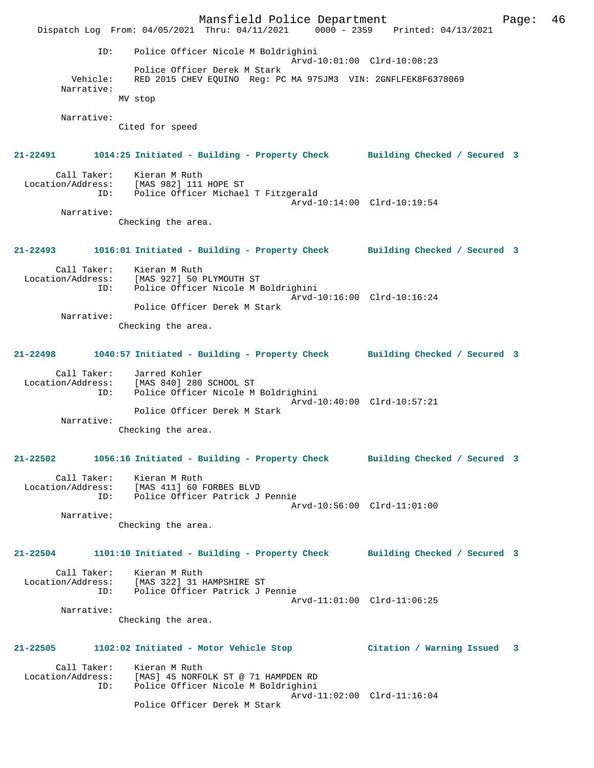Mansfield Police Department Fage: 46 Dispatch Log From: 04/05/2021 Thru: 04/11/2021 0000 - 2359 Printed: 04/13/2021 ID: Police Officer Nicole M Boldrighini Arvd-10:01:00 Clrd-10:08:23 Police Officer Derek M Stark Vehicle: RED 2015 CHEV EQUINO Reg: PC MA 975JM3 VIN: 2GNFLFEK8F6378069 Narrative: MV stop Narrative: Cited for speed **21-22491 1014:25 Initiated - Building - Property Check Building Checked / Secured 3** Call Taker: Kieran M Ruth Location/Address: [MAS 982] 111 HOPE ST ID: Police Officer Michael T Fitzgerald Arvd-10:14:00 Clrd-10:19:54 Narrative: Checking the area. **21-22493 1016:01 Initiated - Building - Property Check Building Checked / Secured 3** Call Taker: Kieran M Ruth Location/Address: [MAS 927] 50 PLYMOUTH ST ID: Police Officer Nicole M Boldrighini Arvd-10:16:00 Clrd-10:16:24 Police Officer Derek M Stark Narrative: Checking the area. **21-22498 1040:57 Initiated - Building - Property Check Building Checked / Secured 3** Call Taker: Jarred Kohler Location/Address: [MAS 840] 280 SCHOOL ST ESS. THE OTOL 200 DONOOL 2.<br>ID: Police Officer Nicole M Boldrighini Arvd-10:40:00 Clrd-10:57:21 Police Officer Derek M Stark Narrative: Checking the area. **21-22502 1056:16 Initiated - Building - Property Check Building Checked / Secured 3** Call Taker: Kieran M Ruth Location/Address: [MAS 411] 60 FORBES BLVD ID: Police Officer Patrick J Pennie Arvd-10:56:00 Clrd-11:01:00 Narrative: Checking the area. **21-22504 1101:10 Initiated - Building - Property Check Building Checked / Secured 3** Call Taker: Kieran M Ruth Location/Address: [MAS 322] 31 HAMPSHIRE ST ID: Police Officer Patrick J Pennie Arvd-11:01:00 Clrd-11:06:25 Narrative: Checking the area. **21-22505 1102:02 Initiated - Motor Vehicle Stop Citation / Warning Issued 3** Call Taker: Kieran M Ruth Location/Address: [MAS] 45 NORFOLK ST @ 71 HAMPDEN RD Police Officer Nicole M Boldrighini Arvd-11:02:00 Clrd-11:16:04 Police Officer Derek M Stark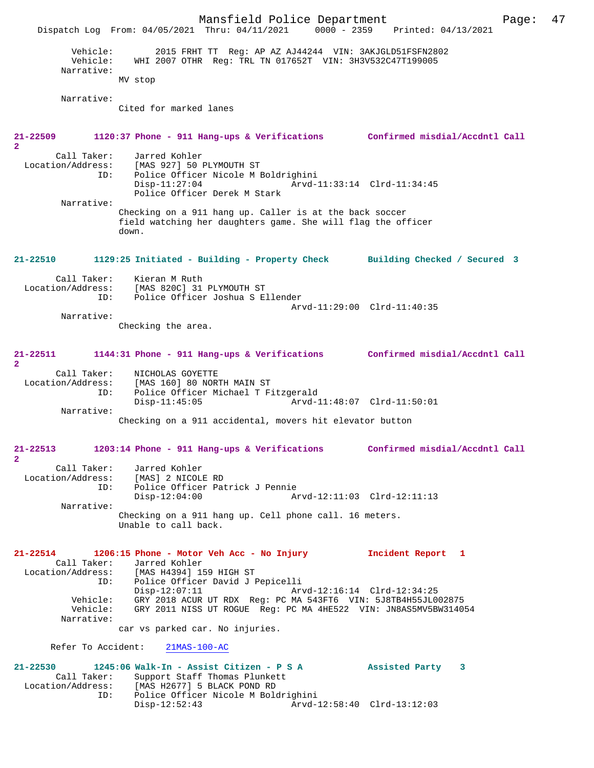Mansfield Police Department Page: 47 Dispatch Log From: 04/05/2021 Thru: 04/11/2021 0000 - 2359 Printed: 04/13/2021 Vehicle: 2015 FRHT TT Reg: AP AZ AJ44244 VIN: 3AKJGLD51FSFN2802 Vehicle: WHI 2007 OTHR Reg: TRL TN 017652T VIN: 3H3V532C47T199005 Narrative: MV stop Narrative: Cited for marked lanes **21-22509 1120:37 Phone - 911 Hang-ups & Verifications Confirmed misdial/Accdntl Call 2**  Call Taker: Jarred Kohler Location/Address: [MAS 927] 50 PLYMOUTH ST Police Officer Nicole M Boldrighini<br>Disp-11:27:04 Arvd- Disp-11:27:04 Arvd-11:33:14 Clrd-11:34:45 Police Officer Derek M Stark Narrative: Checking on a 911 hang up. Caller is at the back soccer field watching her daughters game. She will flag the officer down. **21-22510 1129:25 Initiated - Building - Property Check Building Checked / Secured 3** Call Taker: Kieran M Ruth Location/Address: [MAS 820C] 31 PLYMOUTH ST<br>ID: Police Officer Joshua S E Police Officer Joshua S Ellender Arvd-11:29:00 Clrd-11:40:35 Narrative: Checking the area. **21-22511 1144:31 Phone - 911 Hang-ups & Verifications Confirmed misdial/Accdntl Call 2**  Call Taker: NICHOLAS GOYETTE<br>Location/Address: [MAS 160] 80 NOR ess: [MAS 160] 80 NORTH MAIN ST<br>ID: Police Officer Michael T Fi ID: Police Officer Michael T Fitzgerald Disp-11:45:05 Arvd-11:48:07 Clrd-11:50:01 Narrative: Checking on a 911 accidental, movers hit elevator button **21-22513 1203:14 Phone - 911 Hang-ups & Verifications Confirmed misdial/Accdntl Call 2**  Call Taker: Jarred Kohler Location/Address: [MAS] 2 NICOLE RD<br>ID: Police Officer Pat Police Officer Patrick J Pennie<br>Disp-12:04:00 Ar Disp-12:04:00 Arvd-12:11:03 Clrd-12:11:13 Narrative: Checking on a 911 hang up. Cell phone call. 16 meters. Unable to call back. **21-22514 1206:15 Phone - Motor Veh Acc - No Injury Incident Report 1**  Call Taker: Jarred Kohler Location/Address: [MAS H4394] 159 HIGH ST ID: Police Officer David J Pepicelli Disp-12:07:11 Arvd-12:16:14 Clrd-12:34:25<br>Vehicle: GRY 2018 ACUR UT RDX Req: PC MA 543FT6 VIN: 5J8TB4H55JL0 Vehicle: GRY 2018 ACUR UT RDX Reg: PC MA 543FT6 VIN: 5J8TB4H55JL002875 GRY 2011 NISS UT ROGUE Reg: PC MA 4HE522 VIN: JN8AS5MV5BW314054 Narrative: car vs parked car. No injuries. Refer To Accident: 21MAS-100-AC **21-22530 1245:06 Walk-In - Assist Citizen - P S A Assisted Party 3**  Call Taker: Support Staff Thomas Plunkett<br>Location/Address: [MAS H2677] 5 BLACK POND RD ess: [MAS H2677] 5 BLACK POND RD<br>ID: Police Officer Nicole M Bolo Police Officer Nicole M Boldrighini<br>Disp-12:52:43 Arvd-1 Disp-12:52:43 Arvd-12:58:40 Clrd-13:12:03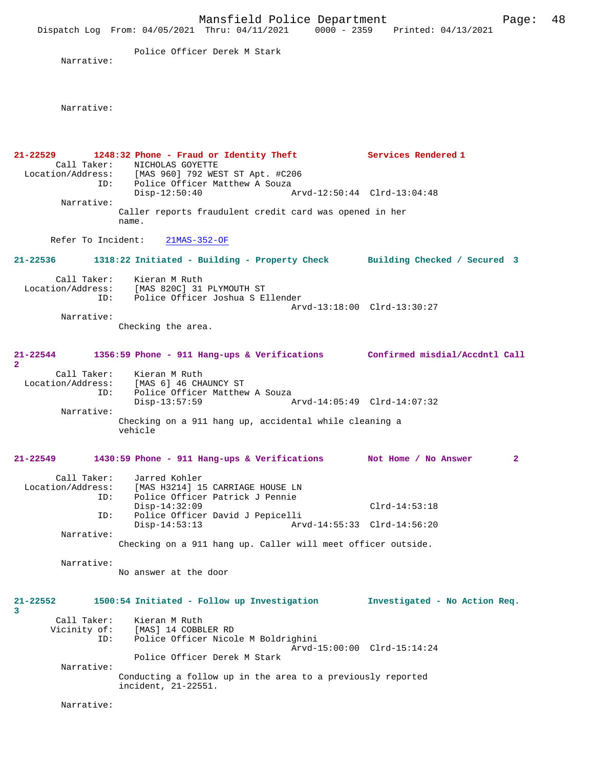Police Officer Derek M Stark

Narrative:

Narrative:

**21-22529 1248:32 Phone - Fraud or Identity Theft Services Rendered 1**  Call Taker: NICHOLAS GOYETTE<br>Location/Address: [MAS 960] 792 WES Location/Address: [MAS 960] 792 WEST ST Apt. #C206 ID: Police Officer Matthew A Souza Disp-12:50:40 Arvd-12:50:44 Clrd-13:04:48 Narrative: Caller reports fraudulent credit card was opened in her name. Refer To Incident: 21MAS-352-OF **21-22536 1318:22 Initiated - Building - Property Check Building Checked / Secured 3** Call Taker: Kieran M Ruth Location/Address: [MAS 820C] 31 PLYMOUTH ST ID: Police Officer Joshua S Ellender Arvd-13:18:00 Clrd-13:30:27 Narrative: Checking the area. **21-22544 1356:59 Phone - 911 Hang-ups & Verifications Confirmed misdial/Accdntl Call 2**  Call Taker: Kieran M Ruth<br>Location/Address: [MAS 6] 46 CH. ess: [MAS 6] 46 CHAUNCY ST<br>ID: Police Officer Matthew Police Officer Matthew A Souza<br>Disp-13:57:59 Disp-13:57:59 Arvd-14:05:49 Clrd-14:07:32 Narrative: Checking on a 911 hang up, accidental while cleaning a vehicle **21-22549 1430:59 Phone - 911 Hang-ups & Verifications Not Home / No Answer 2** Call Taker: Jarred Kohler<br>Location/Address: [MAS H3214] 19 ess: [MAS H3214] 15 CARRIAGE HOUSE LN<br>ID: Police Officer Patrick J Pennie Police Officer Patrick J Pennie<br>Disp-14:32:09 Disp-14:32:09 Clrd-14:53:18<br>TD: Police Officer David J Pepicelli ID: Police Officer David J Pepicelli Disp-14:53:13 Arvd-14:55:33 Clrd-14:56:20 Narrative: Checking on a 911 hang up. Caller will meet officer outside. Narrative: No answer at the door **21-22552 1500:54 Initiated - Follow up Investigation Investigated - No Action Req. 3**  Call Taker: Kieran M Ruth<br>Vicinity of: [MAS] 14 COBBI Vicinity of: [MAS] 14 COBBLER RD ID: Police Officer Nicole M Boldrighini Arvd-15:00:00 Clrd-15:14:24 Police Officer Derek M Stark Narrative: Conducting a follow up in the area to a previously reported incident, 21-22551. Narrative: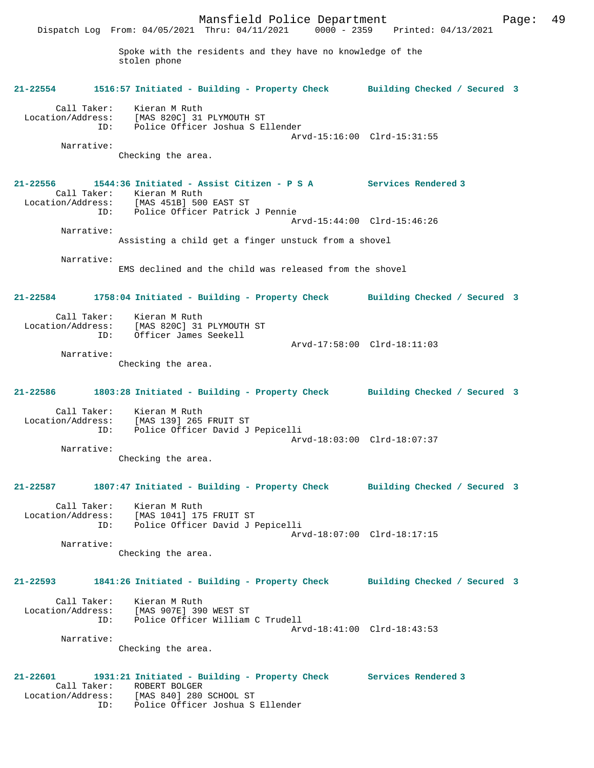Mansfield Police Department Fage: 49 Dispatch Log From: 04/05/2021 Thru: 04/11/2021 0000 - 2359 Printed: 04/13/2021 Spoke with the residents and they have no knowledge of the stolen phone **21-22554 1516:57 Initiated - Building - Property Check Building Checked / Secured 3** Call Taker: Kieran M Ruth Location/Address: [MAS 820C] 31 PLYMOUTH ST ID: Police Officer Joshua S Ellender Arvd-15:16:00 Clrd-15:31:55 Narrative: Checking the area. **21-22556 1544:36 Initiated - Assist Citizen - P S A Services Rendered 3**  Call Taker: Kieran M Ruth Location/Address: [MAS 451B] 500 EAST ST ID: Police Officer Patrick J Pennie Arvd-15:44:00 Clrd-15:46:26 Narrative: Assisting a child get a finger unstuck from a shovel Narrative: EMS declined and the child was released from the shovel **21-22584 1758:04 Initiated - Building - Property Check Building Checked / Secured 3** Call Taker: Kieran M Ruth Location/Address: [MAS 820C] 31 PLYMOUTH ST ID: Officer James Seekell Arvd-17:58:00 Clrd-18:11:03 Narrative: Checking the area. **21-22586 1803:28 Initiated - Building - Property Check Building Checked / Secured 3** Call Taker: Kieran M Ruth Location/Address: [MAS 139] 265 FRUIT ST ID: Police Officer David J Pepicelli Arvd-18:03:00 Clrd-18:07:37 Narrative: Checking the area. **21-22587 1807:47 Initiated - Building - Property Check Building Checked / Secured 3** Call Taker: Kieran M Ruth Location/Address: [MAS 1041] 175 FRUIT ST ID: Police Officer David J Pepicelli Arvd-18:07:00 Clrd-18:17:15 Narrative: Checking the area. **21-22593 1841:26 Initiated - Building - Property Check Building Checked / Secured 3** Call Taker: Kieran M Ruth Location/Address: [MAS 907E] 390 WEST ST ID: Police Officer William C Trudell Arvd-18:41:00 Clrd-18:43:53 Narrative: Checking the area. **21-22601 1931:21 Initiated - Building - Property Check Services Rendered 3**  Call Taker: ROBERT BOLGER Location/Address: [MAS 840] 280 SCHOOL ST

ID: Police Officer Joshua S Ellender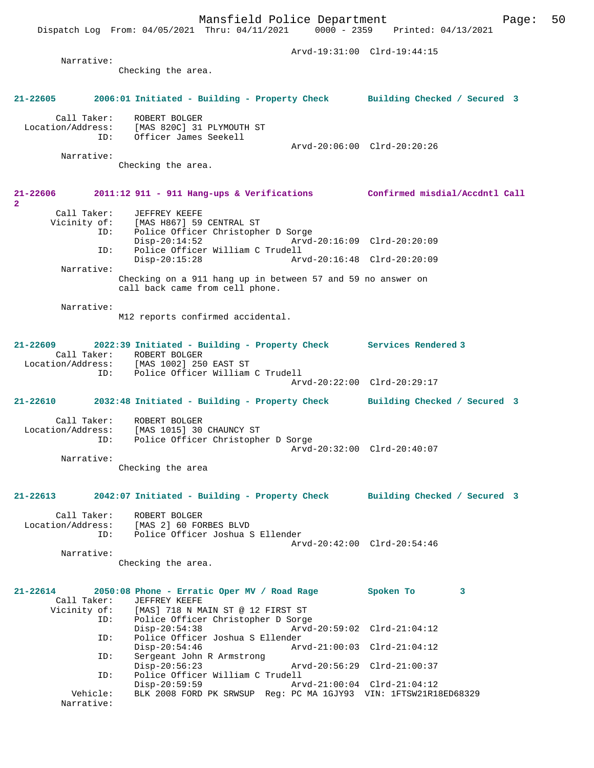Dispatch Log From: 04/05/2021 Thru: 04/11/2021 0000 - 2359 Printed: 04/13/2021 Arvd-19:31:00 Clrd-19:44:15 Narrative: Checking the area. **21-22605 2006:01 Initiated - Building - Property Check Building Checked / Secured 3** Call Taker: ROBERT BOLGER Location/Address: [MAS 820C] 31 PLYMOUTH ST ID: Officer James Seekell Arvd-20:06:00 Clrd-20:20:26 Narrative: Checking the area. **21-22606 2011:12 911 - 911 Hang-ups & Verifications Confirmed misdial/Accdntl Call 2**  Call Taker: JEFFREY KEEFE Vicinity of: [MAS H867] 59 CENTRAL ST ID: Police Officer Christopher D Sorge Disp-20:14:52 Arvd-20:16:09 Clrd-20:20:09 ID: Police Officer William C Trudell Disp-20:15:28 Arvd-20:16:48 Clrd-20:20:09 Narrative: Checking on a 911 hang up in between 57 and 59 no answer on call back came from cell phone. Narrative: M12 reports confirmed accidental. **21-22609 2022:39 Initiated - Building - Property Check Services Rendered 3**  Call Taker: ROBERT BOLGER<br>Location/Address: [MAS 1002] 250 Location/Address: [MAS 1002] 250 EAST ST ID: Police Officer William C Trudell Arvd-20:22:00 Clrd-20:29:17 **21-22610 2032:48 Initiated - Building - Property Check Building Checked / Secured 3** Call Taker: ROBERT BOLGER Location/Address: [MAS 1015] 30 CHAUNCY ST ID: Police Officer Christopher D Sorge Arvd-20:32:00 Clrd-20:40:07 Narrative: Checking the area **21-22613 2042:07 Initiated - Building - Property Check Building Checked / Secured 3** Call Taker: ROBERT BOLGER Location/Address: [MAS 2] 60 FORBES BLVD ID: Police Officer Joshua S Ellender Arvd-20:42:00 Clrd-20:54:46 Narrative: Checking the area. **21-22614 2050:08 Phone - Erratic Oper MV / Road Rage Spoken To 3**  Call Taker: JEFFREY KEEFE<br>Vicinity of: [MAS] 718 N MA [MAS] 718 N MAIN ST @ 12 FIRST ST ID: Police Officer Christopher D Sorge Disp-20:54:38 Arvd-20:59:02 Clrd-21:04:12 ID: Police Officer Joshua S Ellender Disp-20:54:46 Arvd-21:00:03 Clrd-21:04:12 ID: Sergeant John R Armstrong<br>Disp-20:56:23 Disp-20:56:23 Arvd-20:56:29 Clrd-21:00:37<br>ID: Police Officer William C Trudell Police Officer William C Trudell<br>Disp-20:59:59 Ar Disp-20:59:59 Arvd-21:00:04 Clrd-21:04:12<br>Vehicle: BLK 2008 FORD PK SRWSUP Reg: PC MA 1GJY93 VIN: 1FTSW21R14

BLK 2008 FORD PK SRWSUP Reg: PC MA 1GJY93 VIN: 1FTSW21R18ED68329

Narrative: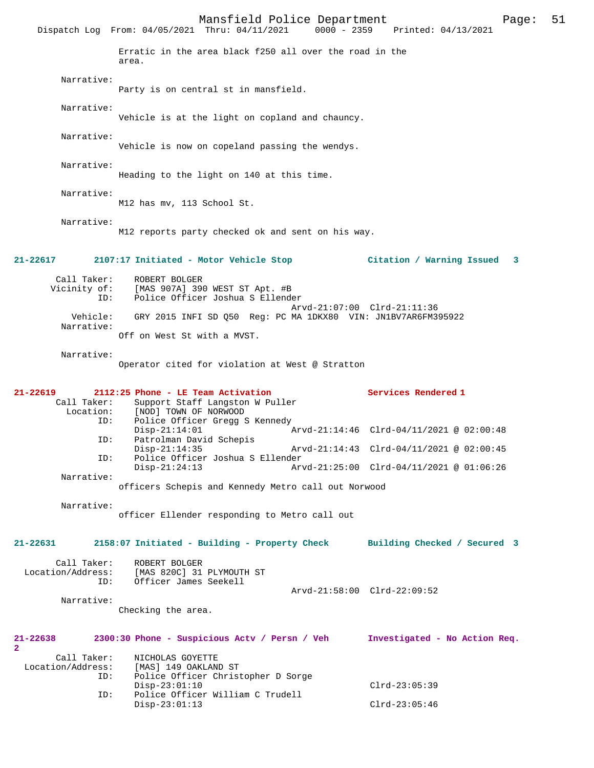Mansfield Police Department Page: 51 Dispatch Log From: 04/05/2021 Thru: 04/11/2021 Erratic in the area black f250 all over the road in the area. Narrative: Party is on central st in mansfield. Narrative: Vehicle is at the light on copland and chauncy. Narrative: Vehicle is now on copeland passing the wendys. Narrative: Heading to the light on 140 at this time. Narrative: M12 has mv, 113 School St. Narrative: M12 reports party checked ok and sent on his way. **21-22617 2107:17 Initiated - Motor Vehicle Stop Citation / Warning Issued 3** Call Taker: ROBERT BOLGER<br>Vicinity of: [MAS 907A] 39 of: [MAS 907A] 390 WEST ST Apt. #B<br>ID: Police Officer Joshua S Ellende Police Officer Joshua S Ellender Arvd-21:07:00 Clrd-21:11:36 Vehicle: GRY 2015 INFI SD Q50 Reg: PC MA 1DKX80 VIN: JN1BV7AR6FM395922 Narrative: Off on West St with a MVST. Narrative: Operator cited for violation at West @ Stratton **21-22619 2112:25 Phone - LE Team Activation Services Rendered 1**  Call Taker: Support Staff Langston W Puller<br>Location: [NOD] TOWN OF NORWOOD [NOD] TOWN OF NORWOOD ID: Police Officer Gregg S Kennedy<br>Disp-21:14:01 / Disp-21:14:01 Arvd-21:14:46 Clrd-04/11/2021 @ 02:00:48 ID: Patrolman David Schepis Disp-21:14:35 Arvd-21:14:43 Clrd-04/11/2021 @ 02:00:45<br>TD: Police Officer Joshua S Ellender Police Officer Joshua S Ellender<br>Disp-21:24:13 Ar Arvd-21:25:00 Clrd-04/11/2021 @ 01:06:26 Narrative: officers Schepis and Kennedy Metro call out Norwood Narrative: officer Ellender responding to Metro call out **21-22631 2158:07 Initiated - Building - Property Check Building Checked / Secured 3** Call Taker: ROBERT BOLGER Location/Address: [MAS 820C] 31 PLYMOUTH ST ID: Officer James Seekell Arvd-21:58:00 Clrd-22:09:52 Narrative: Checking the area. **21-22638 2300:30 Phone - Suspicious Actv / Persn / Veh Investigated - No Action Req.** Call Taker: NICHOLAS GOYETTE Location/Address: [MAS] 149 OAKLAND ST Police Officer Christopher D Sorge Disp-23:01:10 Clrd-23:05:39 ID: Police Officer William C Trudell Disp-23:01:13 Clrd-23:05:46

**2**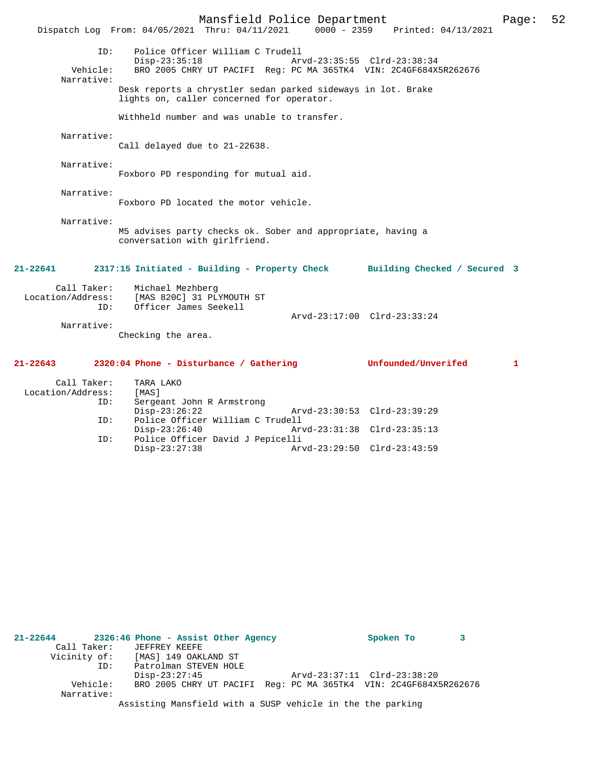Mansfield Police Department Page: 52 Dispatch Log From: 04/05/2021 Thru: 04/11/2021 ID: Police Officer William C Trudell Disp-23:35:18 Arvd-23:35:55 Clrd-23:38:34 Vehicle: BRO 2005 CHRY UT PACIFI Reg: PC MA 365TK4 VIN: 2C4GF684X5R262676 Narrative: Desk reports a chrystler sedan parked sideways in lot. Brake lights on, caller concerned for operator. Withheld number and was unable to transfer. Narrative: Call delayed due to 21-22638. Narrative: Foxboro PD responding for mutual aid. Narrative: Foxboro PD located the motor vehicle. Narrative: M5 advises party checks ok. Sober and appropriate, having a conversation with girlfriend. **21-22641 2317:15 Initiated - Building - Property Check Building Checked / Secured 3** Call Taker: Michael Mezhberg<br>Location/Address: [MAS 820C] 31 PL ess: [MAS 820C] 31 PLYMOUTH ST<br>ID: Officer James Seekell Officer James Seekell Arvd-23:17:00 Clrd-23:33:24 Narrative: Checking the area. **21-22643 2320:04 Phone - Disturbance / Gathering Unfounded/Unverifed 1** Call Taker: TARA LAKO Location/Address: [MAS]<br>ID: Sergea Sergeant John R Armstrong<br>Disp-23:26:22 Disp-23:26:22 Arvd-23:30:53 Clrd-23:39:29<br>ID: Police Officer William C Trudell Police Officer William C Trudell<br>Disp-23:26:40 Ar Arvd-23:31:38 Clrd-23:35:13

Disp-23:27:38 Arvd-23:29:50 Clrd-23:43:59

| 21-22644     |     | 2326:46 Phone - Assist Other Agency                        |  |  |  | Spoken To                                                        | 3 |
|--------------|-----|------------------------------------------------------------|--|--|--|------------------------------------------------------------------|---|
| Call Taker:  |     | JEFFREY KEEFE                                              |  |  |  |                                                                  |   |
| Vicinity of: |     | [MAS] 149 OAKLAND ST                                       |  |  |  |                                                                  |   |
|              | ID: | Patrolman STEVEN HOLE                                      |  |  |  |                                                                  |   |
|              |     | $Disp-23:27:45$                                            |  |  |  | Arvd-23:37:11 Clrd-23:38:20                                      |   |
| Vehicle:     |     |                                                            |  |  |  | BRO 2005 CHRY UT PACIFI Req: PC MA 365TK4 VIN: 2C4GF684X5R262676 |   |
| Narrative:   |     |                                                            |  |  |  |                                                                  |   |
|              |     | Assisting Mansfield with a SUSP vehicle in the the parking |  |  |  |                                                                  |   |

ID: Police Officer David J Pepicelli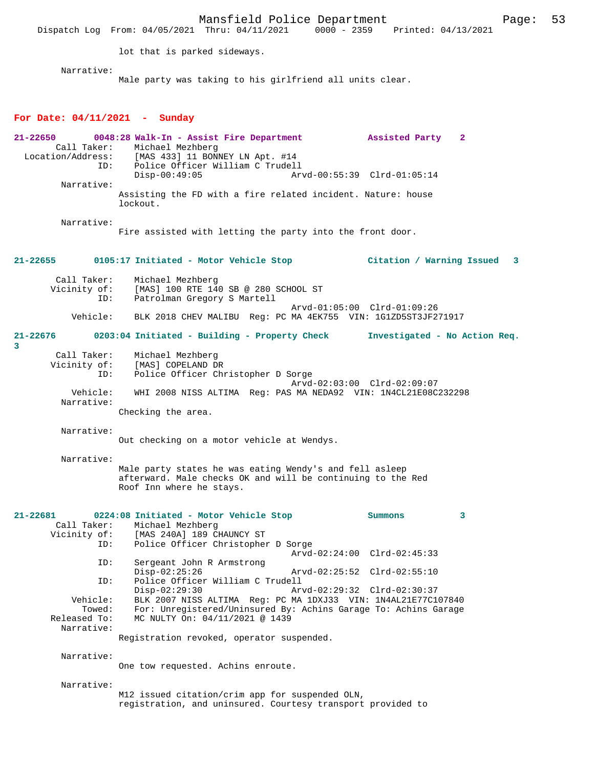Mansfield Police Department<br>Thru:  $04/11/2021$  0000 - 2359 Printed:  $04/13/2021$ Dispatch Log From: 04/05/2021 Thru: 04/11/2021 lot that is parked sideways. Narrative: Male party was taking to his girlfriend all units clear. **For Date: 04/11/2021 - Sunday 21-22650 0048:28 Walk-In - Assist Fire Department Assisted Party 2**  Call Taker: Michael Mezhberg<br>Location/Address: [MAS 433] 11 BON ess: [MAS 433] 11 BONNEY LN Apt. #14<br>ID: Police Officer William C Trudell Police Officer William C Trudell<br>Disp-00:49:05 Ary Arvd-00:55:39 Clrd-01:05:14 Narrative: Assisting the FD with a fire related incident. Nature: house lockout. Narrative: Fire assisted with letting the party into the front door. **21-22655 0105:17 Initiated - Motor Vehicle Stop Citation / Warning Issued 3** Call Taker: Michael Mezhberg Vicinity of: [MAS] 100 RTE 140 SB @ 280 SCHOOL ST<br>TD: Patrolman Gregory S Martell Patrolman Gregory S Martell Arvd-01:05:00 Clrd-01:09:26<br>Vehicle: BLK 2018 CHEV MALIBU Reg: PC MA 4EK755 VIN: 1G1ZD5ST3JF2 BLK 2018 CHEV MALIBU Reg: PC MA 4EK755 VIN: 1G1ZD5ST3JF271917 **21-22676 0203:04 Initiated - Building - Property Check Investigated - No Action Req. 3**  Call Taker: Michael Mezhberg Vicinity of: [MAS] COPELAND DR<br>TD: Police Officer Ch Police Officer Christopher D Sorge Arvd-02:03:00 Clrd-02:09:07<br>Vebicle: WHI 2008 NISS ALTIMA Reg: DAS MA NEDA92 VIN: 1N4CL21E08C WHI 2008 NISS ALTIMA Reg: PAS MA NEDA92 VIN: 1N4CL21E08C232298 Narrative: Checking the area. Narrative: Out checking on a motor vehicle at Wendys. Narrative: Male party states he was eating Wendy's and fell asleep afterward. Male checks OK and will be continuing to the Red Roof Inn where he stays. **21-22681 0224:08 Initiated - Motor Vehicle Stop Summons 3**  Call Taker: Michael Mezhberg<br>Vicinity of: [MAS 240A] 189 C of: [MAS 240A] 189 CHAUNCY ST<br>ID: Police Officer Christophe: Police Officer Christopher D Sorge Arvd-02:24:00 Clrd-02:45:33 ID: Sergeant John R Armstrong Disp-02:25:26 Arvd-02:25:52 Clrd-02:55:10<br>TD: Police Officer William C Trudell Police Officer William C Trudell<br>Disp-02:29:30 Arv Disp-02:29:30 Arvd-02:29:32 Clrd-02:30:37 Vehicle: BLK 2007 NISS ALTIMA Reg: PC MA 1DXJ33 VIN: 1N4AL21E77C107840 Towed: For: Unregistered/Uninsured By: Achins Garage To: Achins Garage Released To: MC NULTY On: 04/11/2021 @ 1439 MC NULTY On: 04/11/2021 @ 1439 Narrative: Registration revoked, operator suspended. Narrative: One tow requested. Achins enroute. Narrative: M12 issued citation/crim app for suspended OLN, registration, and uninsured. Courtesy transport provided to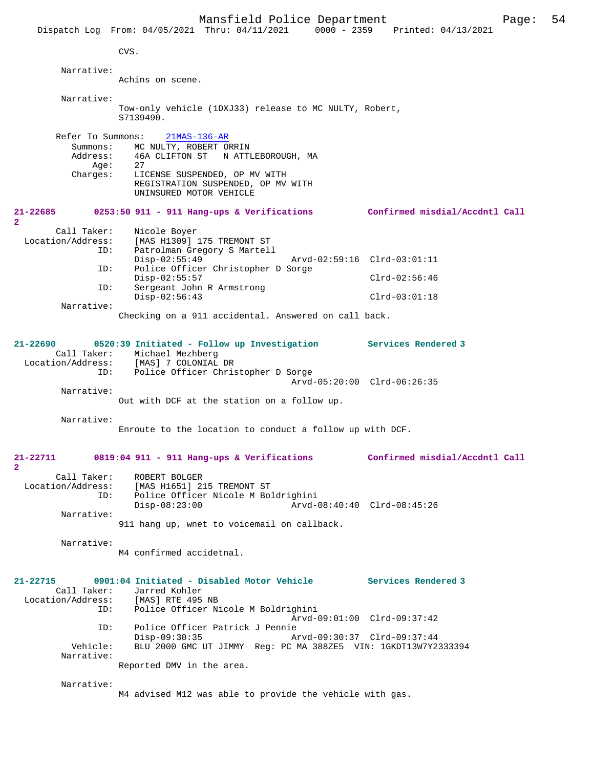CVS.

**2** 

**2** 

 Narrative: Achins on scene. Narrative: Tow-only vehicle (1DXJ33) release to MC NULTY, Robert, S7139490. Refer To Summons: 21MAS-136-AR Summons: MC NULTY, ROBERT ORRIN Address: 46A CLIFTON ST N ATTLEBOROUGH, MA<br>Aqe: 27 Age:<br>:Charges LICENSE SUSPENDED, OP MV WITH REGISTRATION SUSPENDED, OP MV WITH UNINSURED MOTOR VEHICLE **21-22685 0253:50 911 - 911 Hang-ups & Verifications Confirmed misdial/Accdntl Call** Call Taker: Nicole Boyer<br>Location/Address: [MAS H1309] Location/Address: [MAS H1309] 175 TREMONT ST ID: Patrolman Gregory S Martell Disp-02:55:49 Arvd-02:59:16 Clrd-03:01:11 ID: Police Officer Christopher D Sorge Disp-02:55:57 Clrd-02:56:46<br>TD: Sergeant John R Armstrong Sergeant John R Armstrong Disp-02:56:43 Clrd-03:01:18 Narrative: Checking on a 911 accidental. Answered on call back. **21-22690 0520:39 Initiated - Follow up Investigation Services Rendered 3**  Call Taker: Michael Mezhberg Location/Address: [MAS] 7 COLONIAL DR ID: Police Officer Christopher D Sorge Arvd-05:20:00 Clrd-06:26:35 Narrative: Out with DCF at the station on a follow up. Narrative: Enroute to the location to conduct a follow up with DCF. **21-22711 0819:04 911 - 911 Hang-ups & Verifications Confirmed misdial/Accdntl Call** Call Taker: ROBERT BOLGER<br>Location/Address: [MAS H1651] 21  $[MAS H1651]$  215 TREMONT ST ID: Police Officer Nicole M Boldrighini Disp-08:23:00 Arvd-08:40:40 Clrd-08:45:26 Narrative: 911 hang up, wnet to voicemail on callback. Narrative: M4 confirmed accidetnal. **21-22715 0901:04 Initiated - Disabled Motor Vehicle Services Rendered 3**  Call Taker: Jarred Kohler<br>Location/Address: [MAS] RTE 495 [MAS] RTE 495 NB ID: Police Officer Nicole M Boldrighini Arvd-09:01:00 Clrd-09:37:42 ID: Police Officer Patrick J Pennie Disp-09:30:35 Arvd-09:30:37 Clrd-09:37:44 Vehicle: BLU 2000 GMC UT JIMMY Reg: PC MA 388ZE5 VIN: 1GKDT13W7Y2333394 Narrative: Reported DMV in the area. Narrative: M4 advised M12 was able to provide the vehicle with gas.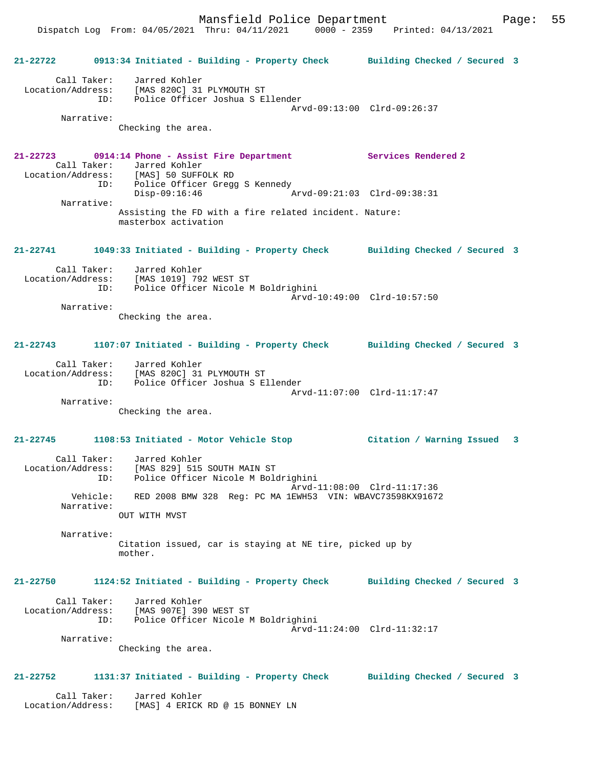Dispatch Log From: 04/05/2021 Thru: 04/11/2021 0000 - 2359 Printed: 04/13/2021

|                                  | 21-22722 0913:34 Initiated - Building - Property Check Building Checked / Secured 3                                                       |                             |  |
|----------------------------------|-------------------------------------------------------------------------------------------------------------------------------------------|-----------------------------|--|
| Location/Address:                | Call Taker: Jarred Kohler<br>[MAS 820C] 31 PLYMOUTH ST<br>ID: Police Officer Joshua S Ellender                                            |                             |  |
| Narrative:                       | Checking the area.                                                                                                                        | Arvd-09:13:00 Clrd-09:26:37 |  |
|                                  | 21-22723 0914:14 Phone - Assist Fire Department Services Rendered 2<br>Call Taker: Jarred Kohler<br>Location/Address: [MAS] 50 SUFFOLK RD |                             |  |
| Narrative:                       | ID: Police Officer Gregg S Kennedy<br>$Disp-09:16:46$                                                                                     |                             |  |
|                                  | Assisting the FD with a fire related incident. Nature:<br>masterbox activation                                                            |                             |  |
| 21-22741                         | 1049:33 Initiated - Building - Property Check Building Checked / Secured 3                                                                |                             |  |
|                                  | Call Taker: Jarred Kohler<br>Location/Address: [MAS 1019] 792 WEST ST<br>ID: Police Officer Nicole M Boldrighini                          |                             |  |
| Narrative:                       | Checking the area.                                                                                                                        | Arvd-10:49:00 Clrd-10:57:50 |  |
|                                  |                                                                                                                                           |                             |  |
| 21-22743                         | 1107:07 Initiated - Building - Property Check Building Checked / Secured 3                                                                |                             |  |
|                                  | Call Taker: Jarred Kohler<br>Location/Address: [MAS 820C] 31 PLYMOUTH ST<br>ID: Police Officer Joshua S Ellender                          |                             |  |
| Narrative:                       |                                                                                                                                           | Arvd-11:07:00 Clrd-11:17:47 |  |
|                                  | Checking the area.                                                                                                                        |                             |  |
|                                  | 21-22745 1108:53 Initiated - Motor Vehicle Stop                                                                                           | Citation / Warning Issued 3 |  |
| Location/Address:                | Call Taker: Jarred Kohler<br>[MAS 829] 515 SOUTH MAIN ST<br>Police Officer Nicole M Boldrighini<br>ID:                                    |                             |  |
| Vehicle:<br>Narrative:           | RED 2008 BMW 328 Req: PC MA 1EWH53 VIN: WBAVC73598KX91672                                                                                 | Arvd-11:08:00 Clrd-11:17:36 |  |
|                                  | OUT WITH MVST                                                                                                                             |                             |  |
| Narrative:                       | Citation issued, car is staying at NE tire, picked up by<br>mother.                                                                       |                             |  |
| 21-22750                         | 1124:52 Initiated - Building - Property Check Building Checked / Secured 3                                                                |                             |  |
| Call Taker:                      | Jarred Kohler<br>Location/Address: [MAS 907E] 390 WEST ST<br>Police Officer Nicole M Boldrighini<br>ID:                                   |                             |  |
| Narrative:                       | Checking the area.                                                                                                                        | Arvd-11:24:00 Clrd-11:32:17 |  |
| 21-22752                         | 1131:37 Initiated - Building - Property Check Building Checked / Secured 3                                                                |                             |  |
| Call Taker:<br>Location/Address: | Jarred Kohler<br>[MAS] 4 ERICK RD @ 15 BONNEY LN                                                                                          |                             |  |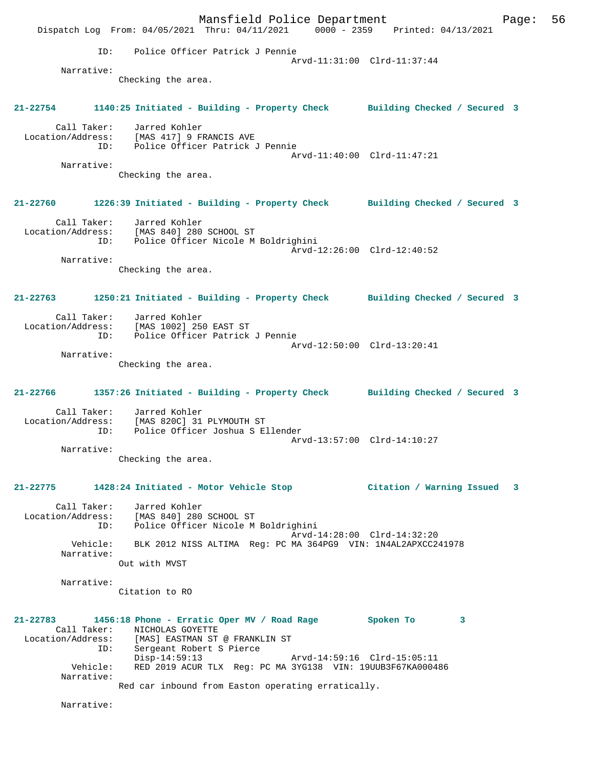Mansfield Police Department Form Page: 56 Dispatch Log From: 04/05/2021 Thru: 04/11/2021 0000 - 2359 Printed: 04/13/2021 ID: Police Officer Patrick J Pennie Arvd-11:31:00 Clrd-11:37:44 Narrative: Checking the area. **21-22754 1140:25 Initiated - Building - Property Check Building Checked / Secured 3** Call Taker: Jarred Kohler Location/Address: [MAS 417] 9 FRANCIS AVE ID: Police Officer Patrick J Pennie Arvd-11:40:00 Clrd-11:47:21 Narrative: Checking the area. **21-22760 1226:39 Initiated - Building - Property Check Building Checked / Secured 3** Call Taker: Jarred Kohler Location/Address: [MAS 840] 280 SCHOOL ST ID: Police Officer Nicole M Boldrighini Arvd-12:26:00 Clrd-12:40:52 Narrative: Checking the area. **21-22763 1250:21 Initiated - Building - Property Check Building Checked / Secured 3** Call Taker: Jarred Kohler Location/Address: [MAS 1002] 250 EAST ST ID: Police Officer Patrick J Pennie Arvd-12:50:00 Clrd-13:20:41 Narrative: Checking the area. **21-22766 1357:26 Initiated - Building - Property Check Building Checked / Secured 3** Call Taker: Jarred Kohler Location/Address: [MAS 820C] 31 PLYMOUTH ST Police Officer Joshua S Ellender Arvd-13:57:00 Clrd-14:10:27 Narrative: Checking the area. **21-22775 1428:24 Initiated - Motor Vehicle Stop Citation / Warning Issued 3** Call Taker: Jarred Kohler Location/Address: [MAS 840] 280 SCHOOL ST ID: Police Officer Nicole M Boldrighini Arvd-14:28:00 Clrd-14:32:20 Vehicle: BLK 2012 NISS ALTIMA Reg: PC MA 364PG9 VIN: 1N4AL2APXCC241978 Narrative: Out with MVST Narrative: Citation to RO **21-22783 1456:18 Phone - Erratic Oper MV / Road Rage Spoken To 3**  Call Taker: NICHOLAS GOYETTE Location/Address: [MAS] EASTMAN ST @ FRANKLIN ST ID: Sergeant Robert S Pierce Disp-14:59:13 Arvd-14:59:16 Clrd-15:05:11 Vehicle: RED 2019 ACUR TLX Reg: PC MA 3YG138 VIN: 19UUB3F67KA000486 Narrative: Red car inbound from Easton operating erratically. Narrative: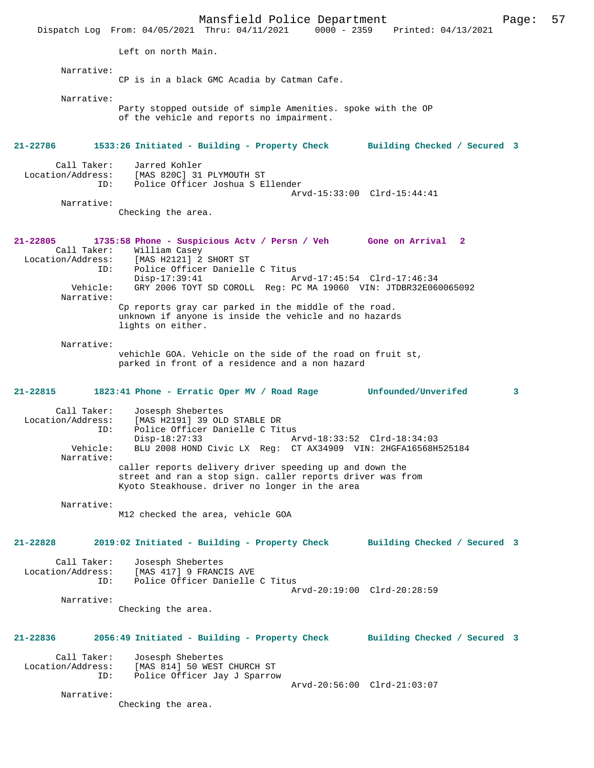Mansfield Police Department Form Page: 57 Dispatch Log From: 04/05/2021 Thru: 04/11/2021 0000 - 2359 Printed: 04/13/2021 Left on north Main. Narrative: CP is in a black GMC Acadia by Catman Cafe. Narrative: Party stopped outside of simple Amenities. spoke with the OP of the vehicle and reports no impairment. **21-22786 1533:26 Initiated - Building - Property Check Building Checked / Secured 3** Call Taker: Jarred Kohler<br>Location/Address: [MAS 820C] 31 لاس المحتمد بين المحتمد بين المحتمد بين المحتمد بين المحتمد بين المحتمد بين المحتمد بين المحتمد بين المحتمد ب<br>LD: Police Officer Joshua S E Police Officer Joshua S Ellender Arvd-15:33:00 Clrd-15:44:41 Narrative: Checking the area. **21-22805 1735:58 Phone - Suspicious Actv / Persn / Veh Gone on Arrival 2**  Call Taker: William Casey Location/Address: [MAS H2121] 2 SHORT ST ID: Police Officer Danielle C Titus<br>Disp-17:39:41 A Disp-17:39:41 Arvd-17:45:54 Clrd-17:46:34 Vehicle: GRY 2006 TOYT SD COROLL Reg: PC MA 19060 VIN: JTDBR32E060065092 Narrative: Cp reports gray car parked in the middle of the road. unknown if anyone is inside the vehicle and no hazards lights on either. Narrative: vehichle GOA. Vehicle on the side of the road on fruit st, parked in front of a residence and a non hazard **21-22815 1823:41 Phone - Erratic Oper MV / Road Rage Unfounded/Unverifed 3** Call Taker: Josesph Shebertes<br>Location/Address: [MAS H2191] 39 OLI ess: [MAS H2191] 39 OLD STABLE DR<br>ID: Police Officer Danielle C Tit Police Officer Danielle C Titus<br>Disp-18:27:33 A Disp-18:27:33 Arvd-18:33:52 Clrd-18:34:03<br>Vehicle: BLU 2008 HOND Civic LX Reg: CT AX34909 VIN: 2HGFA16568H! BLU 2008 HOND Civic LX Reg: CT AX34909 VIN: 2HGFA16568H525184 Narrative: caller reports delivery driver speeding up and down the street and ran a stop sign. caller reports driver was from Kyoto Steakhouse. driver no longer in the area Narrative: M12 checked the area, vehicle GOA **21-22828 2019:02 Initiated - Building - Property Check Building Checked / Secured 3** Call Taker: Josesph Shebertes Location/Address: [MAS 417] 9 FRANCIS AVE ID: Police Officer Danielle C Titus Arvd-20:19:00 Clrd-20:28:59 Narrative: Checking the area. **21-22836 2056:49 Initiated - Building - Property Check Building Checked / Secured 3** Call Taker: Josesph Shebertes<br>Location/Address: [MAS 814] 50 WEST ess: [MAS 814] 50 WEST CHURCH ST<br>TD: Police Officer Jay J Sparrow Police Officer Jay J Sparrow Arvd-20:56:00 Clrd-21:03:07 Narrative: Checking the area.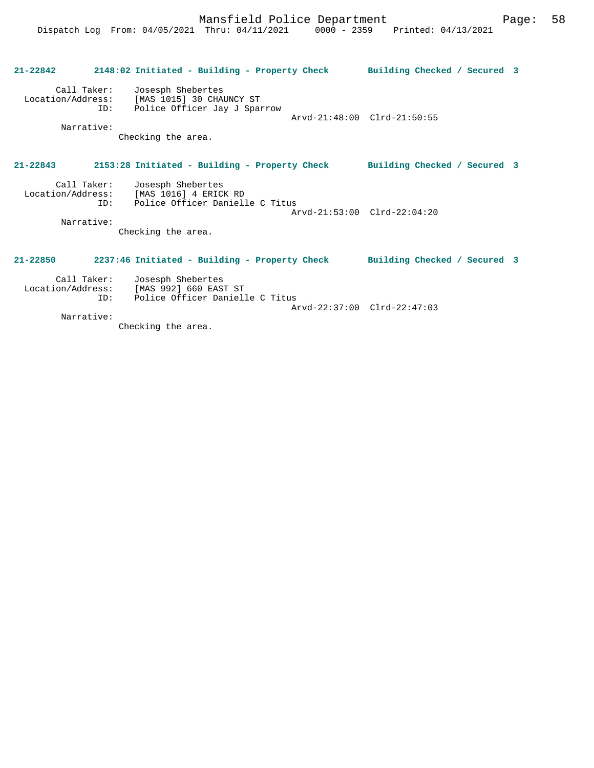| $21 - 22842$ | 2148:02 Initiated - Building - Property Check                                                                   | Building Checked / Secured 3 |  |
|--------------|-----------------------------------------------------------------------------------------------------------------|------------------------------|--|
| Narrative:   | Call Taker: Josesph Shebertes<br>Location/Address: [MAS 1015] 30 CHAUNCY ST<br>ID: Police Officer Jay J Sparrow | Arvd-21:48:00 Clrd-21:50:55  |  |
|              | Checking the area.                                                                                              |                              |  |
| $21 - 22843$ | 2153:28 Initiated - Building - Property Check                                                                   | Building Checked / Secured 3 |  |
| TD:          | Call Taker: Josesph Shebertes<br>Location/Address: [MAS 1016] 4 ERICK RD<br>Police Officer Danielle C Titus     | Arvd-21:53:00 Clrd-22:04:20  |  |
| Narrative:   | Checking the area.                                                                                              |                              |  |
| $21 - 22850$ | 2237:46 Initiated - Building - Property Check                                                                   | Building Checked / Secured 3 |  |
| TD:          | Call Taker: Josesph Shebertes<br>Location/Address: [MAS 992] 660 EAST ST<br>Police Officer Danielle C Titus     | Arvd-22:37:00 Clrd-22:47:03  |  |
| Narrative:   |                                                                                                                 |                              |  |

Checking the area.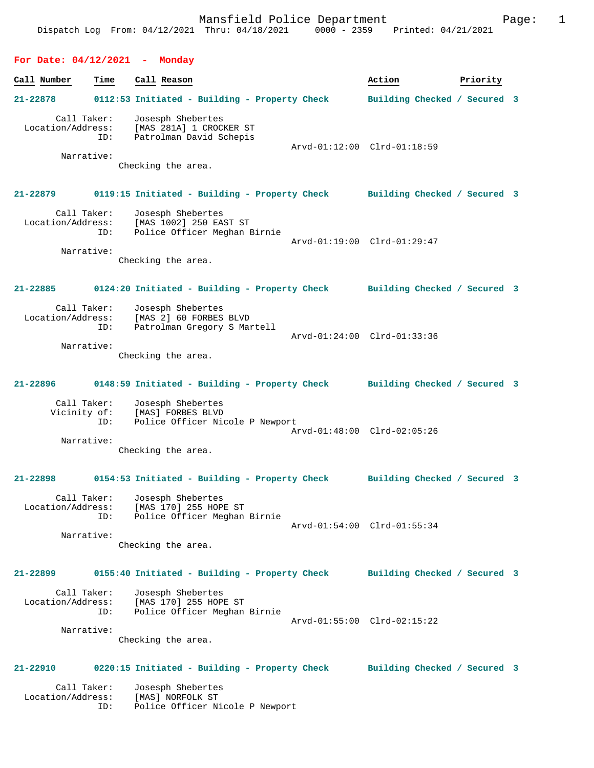## **For Date: 04/12/2021 - Monday**

| Call Number                      | Time                             | Call Reason                                                                                                         | Action                       | Priority |  |
|----------------------------------|----------------------------------|---------------------------------------------------------------------------------------------------------------------|------------------------------|----------|--|
| 21-22878                         |                                  | 0112:53 Initiated - Building - Property Check                                                                       | Building Checked / Secured 3 |          |  |
| Call Taker:<br>Location/Address: | ID:<br>Narrative:                | Josesph Shebertes<br>[MAS 281A] 1 CROCKER ST<br>Patrolman David Schepis<br>Checking the area.                       | Arvd-01:12:00 Clrd-01:18:59  |          |  |
| 21-22879                         |                                  | 0119:15 Initiated - Building - Property Check Building Checked / Secured 3                                          |                              |          |  |
| Call Taker:                      | ID:<br>Narrative:                | Josesph Shebertes<br>Location/Address: [MAS 1002] 250 EAST ST<br>Police Officer Meghan Birnie<br>Checking the area. | Arvd-01:19:00 Clrd-01:29:47  |          |  |
| 21-22885                         |                                  | 0124:20 Initiated - Building - Property Check Building Checked / Secured 3                                          |                              |          |  |
| Location/Address:                | Call Taker:<br>ID:<br>Narrative: | Josesph Shebertes<br>[MAS 2] 60 FORBES BLVD<br>Patrolman Gregory S Martell<br>Checking the area.                    | Arvd-01:24:00 Clrd-01:33:36  |          |  |
| 21-22896                         |                                  | 0148:59 Initiated - Building - Property Check                                                                       | Building Checked / Secured 3 |          |  |
| Call Taker:<br>Vicinity of:      | ID:<br>Narrative:                | Josesph Shebertes<br>[MAS] FORBES BLVD<br>Police Officer Nicole P Newport<br>Checking the area.                     | Arvd-01:48:00 Clrd-02:05:26  |          |  |
| 21-22898                         |                                  | 0154:53 Initiated - Building - Property Check                                                                       | Building Checked / Secured 3 |          |  |
| Location/Address:                | Call Taker:<br>ID:<br>Narrative: | Josesph Shebertes<br>[MAS 170] 255 HOPE ST<br>Police Officer Meghan Birnie<br>Checking the area.                    | Arvd-01:54:00 Clrd-01:55:34  |          |  |
| $21 - 22899$                     |                                  | 0155:40 Initiated - Building - Property Check                                                                       | Building Checked / Secured 3 |          |  |
| Call Taker:<br>Location/Address: | ID:<br>Narrative:                | Josesph Shebertes<br>[MAS 170] 255 HOPE ST<br>Police Officer Meghan Birnie<br>Checking the area.                    | Arvd-01:55:00 Clrd-02:15:22  |          |  |
| 21-22910                         |                                  | 0220:15 Initiated - Building - Property Check                                                                       | Building Checked / Secured 3 |          |  |
| Call Taker:<br>Location/Address: |                                  | Josesph Shebertes<br>[MAS] NORFOLK ST                                                                               |                              |          |  |

ID: Police Officer Nicole P Newport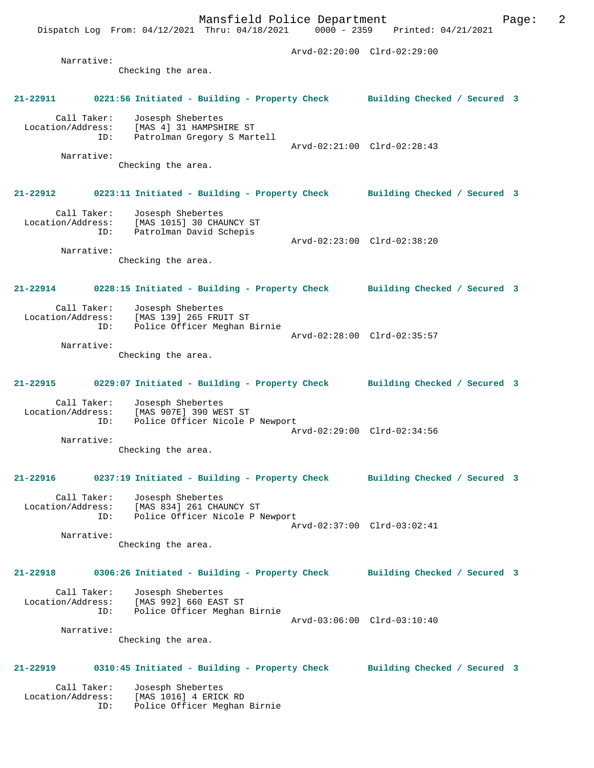Mansfield Police Department Form Page: 2 Dispatch Log From: 04/12/2021 Thru: 04/18/2021 0000 - 2359 Printed: 04/21/2021 Arvd-02:20:00 Clrd-02:29:00 Narrative: Checking the area. **21-22911 0221:56 Initiated - Building - Property Check Building Checked / Secured 3** Call Taker: Josesph Shebertes Location/Address: [MAS 4] 31 HAMPSHIRE ST ID: Patrolman Gregory S Martell Arvd-02:21:00 Clrd-02:28:43 Narrative: Checking the area. **21-22912 0223:11 Initiated - Building - Property Check Building Checked / Secured 3** Call Taker: Josesph Shebertes Location/Address: [MAS 1015] 30 CHAUNCY ST ID: Patrolman David Schepis Arvd-02:23:00 Clrd-02:38:20 Narrative: Checking the area. **21-22914 0228:15 Initiated - Building - Property Check Building Checked / Secured 3** Call Taker: Josesph Shebertes<br>Location/Address: [MAS 139] 265 FRUIT ST Location/Address: [MAS 139] 265 FRUIT ST ID: Police Officer Meghan Birnie Arvd-02:28:00 Clrd-02:35:57 Narrative: Checking the area. **21-22915 0229:07 Initiated - Building - Property Check Building Checked / Secured 3** Call Taker: Josesph Shebertes Location/Address: [MAS 907E] 390 WEST ST ID: Police Officer Nicole P Newport Arvd-02:29:00 Clrd-02:34:56 Narrative: Checking the area.

## **21-22916 0237:19 Initiated - Building - Property Check Building Checked / Secured 3**

 Call Taker: Josesph Shebertes Location/Address: [MAS 834] 261 CHAUNCY ST ID: Police Officer Nicole P Newport Arvd-02:37:00 Clrd-03:02:41 Narrative:

Checking the area.

#### **21-22918 0306:26 Initiated - Building - Property Check Building Checked / Secured 3**

| Call Taker:       | Josesph Shebertes            |                             |  |
|-------------------|------------------------------|-----------------------------|--|
| Location/Address: | [MAS 992] 660 EAST ST        |                             |  |
| ID:               | Police Officer Meghan Birnie |                             |  |
|                   |                              | Arvd-03:06:00 Clrd-03:10:40 |  |
| Narrative:        |                              |                             |  |

Checking the area.

### **21-22919 0310:45 Initiated - Building - Property Check Building Checked / Secured 3**

 Call Taker: Josesph Shebertes Location/Address: [MAS 1016] 4 ERICK RD ID: Police Officer Meghan Birnie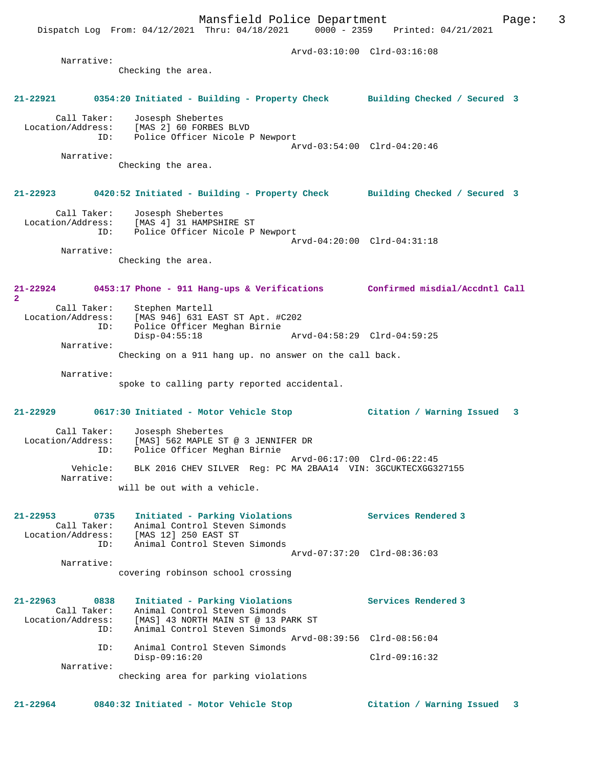Dispatch Log From: 04/12/2021 Thru: 04/18/2021 0000 - 2359 Printed: 04/21/2021 Arvd-03:10:00 Clrd-03:16:08 Narrative: Checking the area. **21-22921 0354:20 Initiated - Building - Property Check Building Checked / Secured 3** Call Taker: Josesph Shebertes Location/Address: [MAS 2] 60 FORBES BLVD ID: Police Officer Nicole P Newport Arvd-03:54:00 Clrd-04:20:46 Narrative: Checking the area. **21-22923 0420:52 Initiated - Building - Property Check Building Checked / Secured 3** Call Taker: Josesph Shebertes Location/Address: [MAS 4] 31 HAMPSHIRE ST ID: Police Officer Nicole P Newport Arvd-04:20:00 Clrd-04:31:18 Narrative: Checking the area. **21-22924 0453:17 Phone - 911 Hang-ups & Verifications Confirmed misdial/Accdntl Call** Call Taker: Stephen Martell<br>Location/Address: [MAS 946] 631 E. [MAS 946] 631 EAST ST Apt. #C202 ESS. The Sive Company of The Birnie<br>ID: Police Officer Meghan Birnie<br>Disp-04:55:18 Disp-04:55:18 Arvd-04:58:29 Clrd-04:59:25 Narrative: Checking on a 911 hang up. no answer on the call back. Narrative: spoke to calling party reported accidental. **21-22929 0617:30 Initiated - Motor Vehicle Stop Citation / Warning Issued 3** Call Taker: Josesph Shebertes<br>Location/Address: [MAS] 562 MAPLE S Location/Address: [MAS] 562 MAPLE ST @ 3 JENNIFER DR ID: Police Officer Meghan Birnie Arvd-06:17:00 Clrd-06:22:45<br>Vehicle: BLK 2016 CHEV SILVER Reg: PC MA 2BAA14 VIN: 3GCUKTECXGG3 BLK 2016 CHEV SILVER Reg: PC MA 2BAA14 VIN: 3GCUKTECXGG327155 Narrative: will be out with a vehicle. **21-22953 0735 Initiated - Parking Violations Services Rendered 3**  Call Taker: Animal Control Steven Simonds Location/Address: [MAS 12] 250 EAST ST ID: Animal Control Steven Simonds Arvd-07:37:20 Clrd-08:36:03 Narrative: covering robinson school crossing **21-22963 0838 Initiated - Parking Violations Services Rendered 3**  Call Taker: Animal Control Steven Simonds<br>Location/Address: [MAS] 43 NORTH MAIN ST @ 13 PA Location/Address: [MAS] 43 NORTH MAIN ST @ 13 PARK ST ID: Animal Control Steven Simonds Arvd-08:39:56 Clrd-08:56:04 ID: Animal Control Steven Simonds Disp-09:16:20 Clrd-09:16:32 Narrative: checking area for parking violations

**21-22964 0840:32 Initiated - Motor Vehicle Stop Citation / Warning Issued 3**

**2**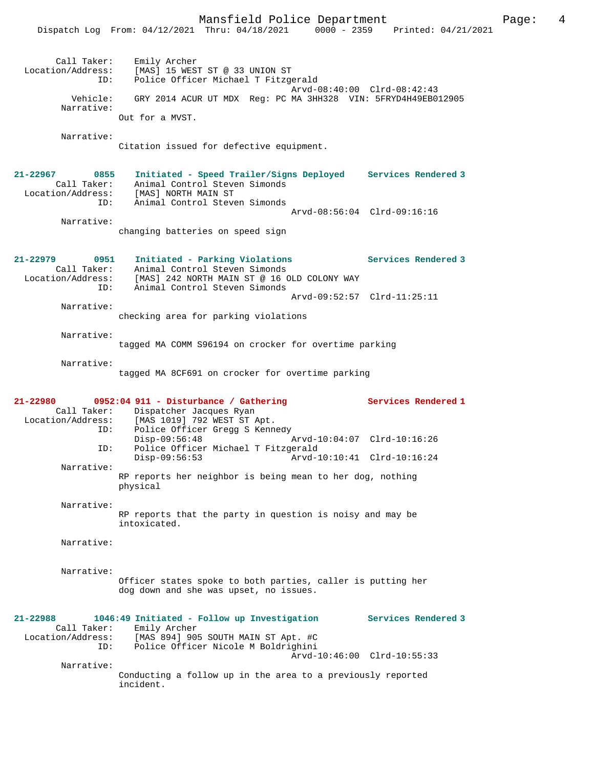Mansfield Police Department Page: 4 Dispatch Log From: 04/12/2021 Thru: 04/18/2021 0000 - 2359 Printed: 04/21/2021 Call Taker: Emily Archer Location/Address: [MAS] 15 WEST ST @ 33 UNION ST ID: Police Officer Michael T Fitzgerald Arvd-08:40:00 Clrd-08:42:43 Vehicle: GRY 2014 ACUR UT MDX Reg: PC MA 3HH328 VIN: 5FRYD4H49EB012905 Narrative: Out for a MVST. Narrative: Citation issued for defective equipment. **21-22967 0855 Initiated - Speed Trailer/Signs Deployed Services Rendered 3**  Call Taker: Animal Control Steven Simonds Location/Address: [MAS] NORTH MAIN ST ID: Animal Control Steven Simonds Arvd-08:56:04 Clrd-09:16:16 Narrative: changing batteries on speed sign **21-22979 0951 Initiated - Parking Violations Services Rendered 3**  Call Taker: Animal Control Steven Simonds Location/Address: [MAS] 242 NORTH MAIN ST @ 16 OLD COLONY WAY ID: Animal Control Steven Simonds Arvd-09:52:57 Clrd-11:25:11 Narrative: checking area for parking violations Narrative: tagged MA COMM S96194 on crocker for overtime parking Narrative: tagged MA 8CF691 on crocker for overtime parking **21-22980 0952:04 911 - Disturbance / Gathering Services Rendered 1**  Call Taker: Dispatcher Jacques Ryan<br>Location/Address: [MAS 1019] 792 WEST ST 1 ess: [MAS 1019] 792 WEST ST Apt.<br>ID: Police Officer Gregg S Kenn. Police Officer Gregg S Kennedy<br>Disp-09:56:48 Arvd-10:04:07 Clrd-10:16:26 ID: Police Officer Michael T Fitzgerald<br>Disp-09:56:53 Arvd-1 Arvd-10:10:41 Clrd-10:16:24 Narrative: RP reports her neighbor is being mean to her dog, nothing physical Narrative: RP reports that the party in question is noisy and may be intoxicated. Narrative: Narrative: Officer states spoke to both parties, caller is putting her dog down and she was upset, no issues. **21-22988 1046:49 Initiated - Follow up Investigation Services Rendered 3**  Call Taker: Emily Archer Location/Address: [MAS 894] 905 SOUTH MAIN ST Apt. #C ID: Police Officer Nicole M Boldrighini Arvd-10:46:00 Clrd-10:55:33 Narrative: Conducting a follow up in the area to a previously reported incident.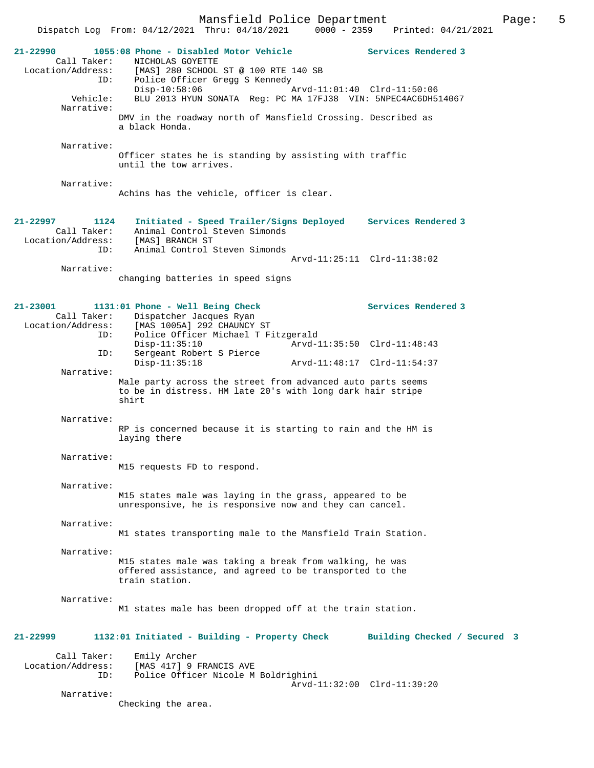Mansfield Police Department<br>Thru:  $04/18/2021$  0000 - 2359 Printed:  $04/21/2021$ Dispatch Log From:  $04/12/2021$  Thru:  $04/18/2021$  0000 - 2359 **21-22990 1055:08 Phone - Disabled Motor Vehicle Services Rendered 3**  Call Taker: NICHOLAS GOYETTE Location/Address: [MAS] 280 SCHOOL ST @ 100 RTE 140 SB ID: Police Officer Gregg S Kennedy<br>Disp-10:58:06 Disp-10:58:06 Arvd-11:01:40 Clrd-11:50:06 Vehicle: BLU 2013 HYUN SONATA Reg: PC MA 17FJ38 VIN: 5NPEC4AC6DH514067 Narrative: DMV in the roadway north of Mansfield Crossing. Described as a black Honda. Narrative: Officer states he is standing by assisting with traffic until the tow arrives. Narrative: Achins has the vehicle, officer is clear. **21-22997 1124 Initiated - Speed Trailer/Signs Deployed Services Rendered 3**  Call Taker: Animal Control Steven Simonds<br>Location/Address: [MAS] BRANCH ST Location/Address: [MAS] BRANCH ST ID: Animal Control Steven Simonds Arvd-11:25:11 Clrd-11:38:02 Narrative: changing batteries in speed signs **21-23001 1131:01 Phone - Well Being Check Services Rendered 3**  Call Taker: Dispatcher Jacques Ryan<br>Location/Address: [MAS 1005A] 292 CHAUNCY ess: [MAS 1005A] 292 CHAUNCY ST<br>ID: Police Officer Michael T Fi Police Officer Michael T Fitzgerald<br>Disp-11:35:10 Arvd-1 Disp-11:35:10 Arvd-11:35:50 Clrd-11:48:43<br>TD: Sergeant Robert S Pierce Sergeant Robert S Pierce<br>Disp-11:35:18 Disp-11:35:18 Arvd-11:48:17 Clrd-11:54:37 Narrative: Male party across the street from advanced auto parts seems to be in distress. HM late 20's with long dark hair stripe shirt Narrative: RP is concerned because it is starting to rain and the HM is laying there Narrative: M15 requests FD to respond. Narrative: M15 states male was laying in the grass, appeared to be unresponsive, he is responsive now and they can cancel. Narrative: M1 states transporting male to the Mansfield Train Station. Narrative: M15 states male was taking a break from walking, he was offered assistance, and agreed to be transported to the train station. Narrative: M1 states male has been dropped off at the train station. **21-22999 1132:01 Initiated - Building - Property Check Building Checked / Secured 3** Call Taker: Emily Archer<br>Location/Address: [MAS 417] 9 1 [MAS 417] 9 FRANCIS AVE ID: Police Officer Nicole M Boldrighini Arvd-11:32:00 Clrd-11:39:20 Narrative: Checking the area.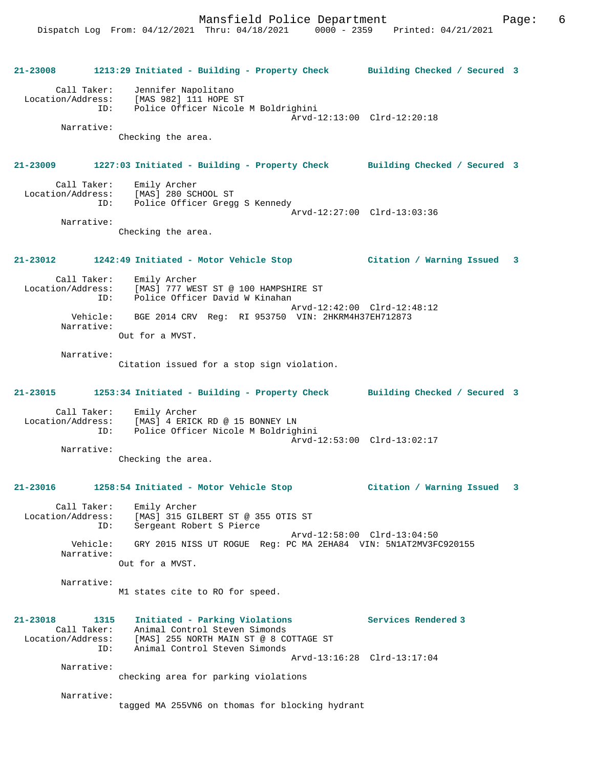Mansfield Police Department Fage: 6 Dispatch Log From: 04/12/2021 Thru: 04/18/2021 0000 - 2359 Printed: 04/21/2021 **21-23008 1213:29 Initiated - Building - Property Check Building Checked / Secured 3** Call Taker: Jennifer Napolitano Location/Address: [MAS 982] 111 HOPE ST ID: Police Officer Nicole M Boldrighini Arvd-12:13:00 Clrd-12:20:18 Narrative: Checking the area. **21-23009 1227:03 Initiated - Building - Property Check Building Checked / Secured 3** Call Taker: Emily Archer Location/Address: [MAS] 280 SCHOOL ST ID: Police Officer Gregg S Kennedy Arvd-12:27:00 Clrd-13:03:36 Narrative: Checking the area. **21-23012 1242:49 Initiated - Motor Vehicle Stop Citation / Warning Issued 3** Call Taker: Emily Archer Location/Address: [MAS] 777 WEST ST @ 100 HAMPSHIRE ST ID: Police Officer David W Kinahan Arvd-12:42:00 Clrd-12:48:12 Vehicle: BGE 2014 CRV Reg: RI 953750 VIN: 2HKRM4H37EH712873 Narrative: Out for a MVST. Narrative: Citation issued for a stop sign violation. **21-23015 1253:34 Initiated - Building - Property Check Building Checked / Secured 3** Call Taker: Emily Archer Location/Address: [MAS] 4 ERICK RD @ 15 BONNEY LN ID: Police Officer Nicole M Boldrighini Arvd-12:53:00 Clrd-13:02:17 Narrative: Checking the area.

## **21-23016 1258:54 Initiated - Motor Vehicle Stop Citation / Warning Issued 3**

 Call Taker: Emily Archer Location/Address: [MAS] 315 GILBERT ST @ 355 OTIS ST ID: Sergeant Robert S Pierce Arvd-12:58:00 Clrd-13:04:50 Vehicle: GRY 2015 NISS UT ROGUE Reg: PC MA 2EHA84 VIN: 5N1AT2MV3FC920155 Narrative: Out for a MVST.

Narrative:

M1 states cite to RO for speed.

### **21-23018 1315 Initiated - Parking Violations Services Rendered 3**  Call Taker: Animal Control Steven Simonds Location/Address: [MAS] 255 NORTH MAIN ST @ 8 COTTAGE ST ID: Animal Control Steven Simonds Arvd-13:16:28 Clrd-13:17:04 Narrative:

checking area for parking violations

Narrative:

tagged MA 255VN6 on thomas for blocking hydrant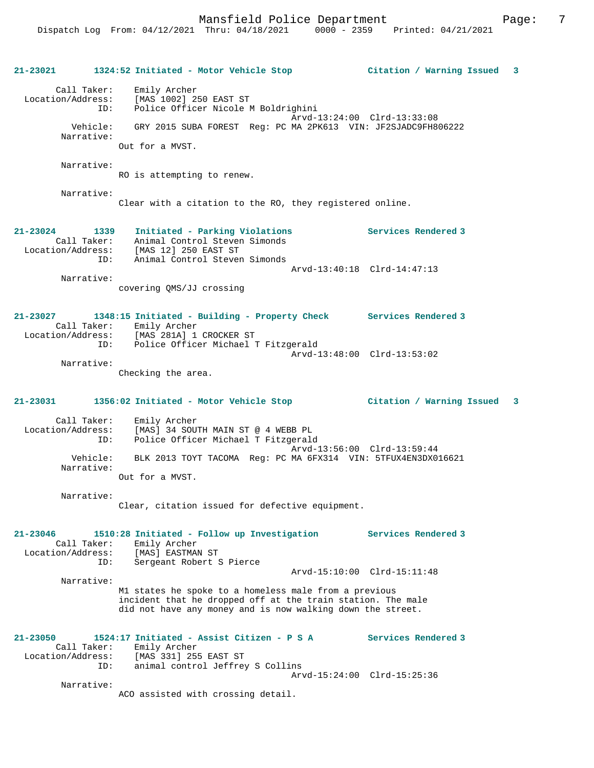| 21-23021                                                | 1324:52 Initiated - Motor Vehicle Stop                                                                                                                                             | Citation / Warning Issued<br>3                     |
|---------------------------------------------------------|------------------------------------------------------------------------------------------------------------------------------------------------------------------------------------|----------------------------------------------------|
| Call Taker:                                             | Emily Archer<br>Location/Address: [MAS 1002] 250 EAST ST<br>Police Officer Nicole M Boldrighini<br>ID:                                                                             | Arvd-13:24:00 Clrd-13:33:08                        |
| Narrative:                                              | Vehicle: GRY 2015 SUBA FOREST Reg: PC MA 2PK613 VIN: JF2SJADC9FH806222<br>Out for a MVST.                                                                                          |                                                    |
| Narrative:                                              | RO is attempting to renew.                                                                                                                                                         |                                                    |
| Narrative:                                              | Clear with a citation to the RO, they registered online.                                                                                                                           |                                                    |
| 21-23024 1339<br>Call Taker:                            | Initiated - Parking Violations<br>Animal Control Steven Simonds<br>Location/Address: [MAS 12] 250 EAST ST<br>Animal Control Steven Simonds<br>ID:                                  | <b>Services Rendered 3</b>                         |
| Narrative:                                              | covering QMS/JJ crossing                                                                                                                                                           | Arvd-13:40:18 Clrd-14:47:13                        |
| 21-23027<br>Location/Address:                           | 1348:15 Initiated - Building - Property Check Services Rendered 3<br>Call Taker: Emily Archer<br>[MAS 281A] 1 CROCKER ST<br>ID: Police Officer Michael T Fitzgerald                |                                                    |
| Narrative:                                              | Checking the area.                                                                                                                                                                 | Arvd-13:48:00 Clrd-13:53:02                        |
|                                                         |                                                                                                                                                                                    |                                                    |
| 21-23031                                                |                                                                                                                                                                                    | $\overline{\mathbf{3}}$                            |
| Call Taker:<br>Location/Address:<br>ID:                 | Emily Archer<br>[MAS] 34 SOUTH MAIN ST @ 4 WEBB PL<br>Police Officer Michael T Fitzgerald                                                                                          |                                                    |
| Vehicle:<br>Narrative:                                  | BLK 2013 TOYT TACOMA Reg: PC MA 6FX314 VIN: 5TFUX4EN3DX016621<br>Out for a MVST.                                                                                                   | Arvd-13:56:00 Clrd-13:59:44                        |
| Narrative:                                              | Clear, citation issued for defective equipment.                                                                                                                                    |                                                    |
| 21-23046<br>Call Taker:<br>Location/Address:            | 1510:28 Initiated - Follow up Investigation<br>Emily Archer<br>[MAS] EASTMAN ST                                                                                                    | Services Rendered 3                                |
| ID:                                                     | Sergeant Robert S Pierce                                                                                                                                                           | Arvd-15:10:00 Clrd-15:11:48                        |
| Narrative:                                              | M1 states he spoke to a homeless male from a previous<br>incident that he dropped off at the train station. The male<br>did not have any money and is now walking down the street. |                                                    |
| $21 - 23050$<br>Call Taker:<br>Location/Address:<br>ID: | 1524:17 Initiated - Assist Citizen - P S A<br>Emily Archer<br>[MAS 331] 255 EAST ST<br>animal control Jeffrey S Collins                                                            | Services Rendered 3<br>Arvd-15:24:00 Clrd-15:25:36 |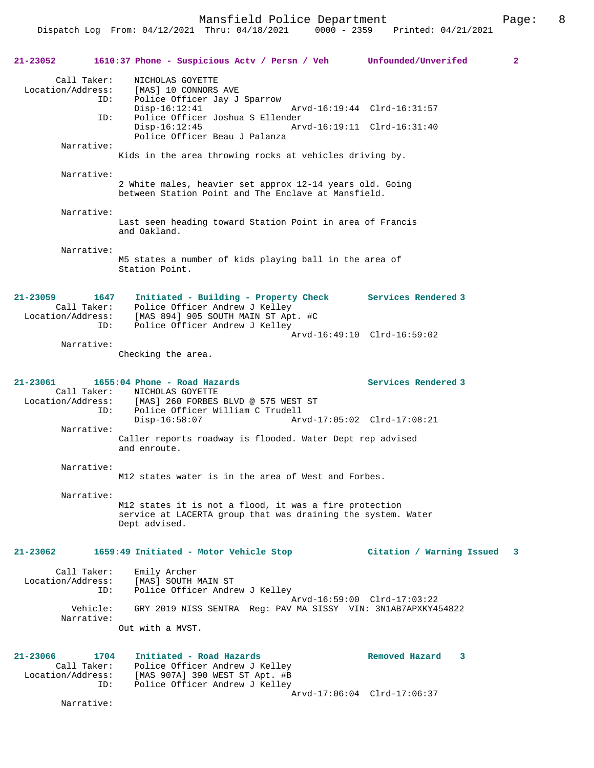Mansfield Police Department The Page: 8

| $21 - 23052$                                                | 1610:37 Phone - Suspicious Actv / Persn / Veh Unfounded/Unverifed                                                                                                                                                                    |                                                    | $\mathbf{2}$ |
|-------------------------------------------------------------|--------------------------------------------------------------------------------------------------------------------------------------------------------------------------------------------------------------------------------------|----------------------------------------------------|--------------|
| Call Taker:<br>ID:<br>ID:                                   | NICHOLAS GOYETTE<br>Location/Address: [MAS] 10 CONNORS AVE<br>Police Officer Jay J Sparrow<br>$Disp-16:12:41$<br>Police Officer Joshua S Ellender<br>$Disp-16:12:45$<br>Arvd-16:19:11 Clrd-16:31:40<br>Police Officer Beau J Palanza | Arvd-16:19:44 Clrd-16:31:57                        |              |
| Narrative:                                                  | Kids in the area throwing rocks at vehicles driving by.                                                                                                                                                                              |                                                    |              |
| Narrative:                                                  | 2 White males, heavier set approx 12-14 years old. Going<br>between Station Point and The Enclave at Mansfield.                                                                                                                      |                                                    |              |
| Narrative:                                                  | Last seen heading toward Station Point in area of Francis<br>and Oakland.                                                                                                                                                            |                                                    |              |
| Narrative:                                                  | M5 states a number of kids playing ball in the area of<br>Station Point.                                                                                                                                                             |                                                    |              |
| $21 - 23059$<br>1647<br>ID:                                 | Initiated - Building - Property Check Services Rendered 3<br>Call Taker: Police Officer Andrew J Kelley<br>Location/Address: [MAS 894] 905 SOUTH MAIN ST Apt. #C<br>Police Officer Andrew J Kelley                                   |                                                    |              |
| Narrative:                                                  | Checking the area.                                                                                                                                                                                                                   | Arvd-16:49:10 Clrd-16:59:02                        |              |
| 21-23061<br>ID:                                             | 1655:04 Phone - Road Hazards<br>Call Taker: NICHOLAS GOYETTE<br>Location/Address: [MAS] 260 FORBES BLVD @ 575 WEST ST<br>Police Officer William C Trudell<br>$Disp-16:58:07$                                                         | Services Rendered 3<br>Arvd-17:05:02 Clrd-17:08:21 |              |
| Narrative:                                                  | Caller reports roadway is flooded. Water Dept rep advised<br>and enroute.                                                                                                                                                            |                                                    |              |
| Narrative:                                                  | M12 states water is in the area of West and Forbes.                                                                                                                                                                                  |                                                    |              |
| Narrative:                                                  | M12 states it is not a flood, it was a fire protection<br>service at LACERTA group that was draining the system. Water<br>Dept advised.                                                                                              |                                                    |              |
| 21-23062                                                    | 1659:49 Initiated - Motor Vehicle Stop                                                                                                                                                                                               | Citation / Warning Issued<br>3                     |              |
| Call Taker:<br>Location/Address:<br>ID:                     | Emily Archer<br>[MAS] SOUTH MAIN ST<br>Police Officer Andrew J Kelley                                                                                                                                                                | Arvd-16:59:00 Clrd-17:03:22                        |              |
| Vehicle:<br>Narrative:                                      | GRY 2019 NISS SENTRA Req: PAV MA SISSY VIN: 3N1AB7APXKY454822<br>Out with a MVST.                                                                                                                                                    |                                                    |              |
| 21-23066<br>1704<br>Call Taker:<br>Location/Address:<br>ID: | Initiated - Road Hazards<br>Police Officer Andrew J Kelley<br>[MAS 907A] 390 WEST ST Apt. #B<br>Police Officer Andrew J Kelley                                                                                                       | Removed Hazard<br>3<br>Arvd-17:06:04 Clrd-17:06:37 |              |

Narrative: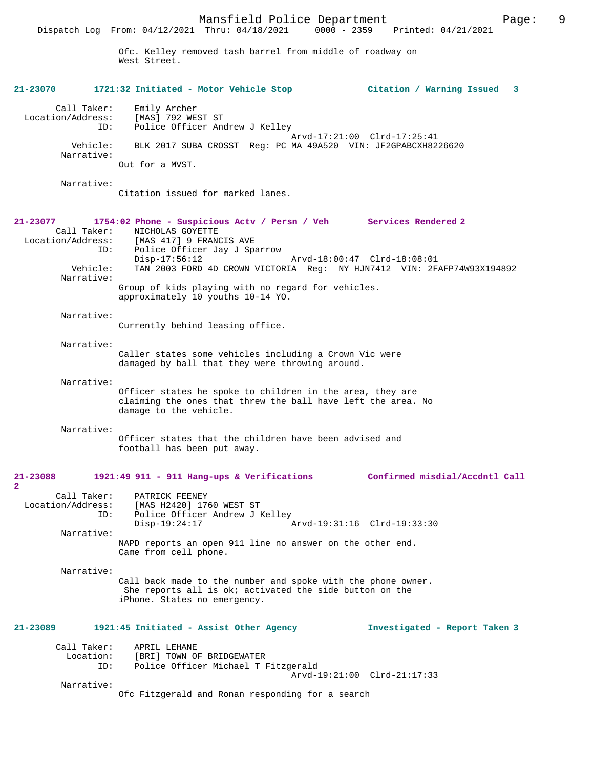Ofc. Kelley removed tash barrel from middle of roadway on West Street.

**21-23070 1721:32 Initiated - Motor Vehicle Stop Citation / Warning Issued 3** Call Taker: Emily Archer<br>.on/Address: [MAS] 792 WEST ST Location/Address:<br>TD: Police Officer Andrew J Kelley Arvd-17:21:00 Clrd-17:25:41 Vehicle: BLK 2017 SUBA CROSST Reg: PC MA 49A520 VIN: JF2GPABCXH8226620 Narrative: Out for a MVST. Narrative: Citation issued for marked lanes. **21-23077 1754:02 Phone - Suspicious Actv / Persn / Veh Services Rendered 2**  Call Taker: NICHOLAS GOYETTE<br>Location/Address: [MAS 417] 9 FRAN [MAS 417] 9 FRANCIS AVE ID: Police Officer Jay J Sparrow Disp-17:56:12 Arvd-18:00:47 Clrd-18:08:01<br>Vehicle: TAN 2003 FORD 4D CROWN VICTORIA Req: NY HJN7412 VIN: 2F. TAN 2003 FORD 4D CROWN VICTORIA Reg: NY HJN7412 VIN: 2FAFP74W93X194892 Narrative: Group of kids playing with no regard for vehicles. approximately 10 youths 10-14 YO. Narrative: Currently behind leasing office. Narrative: Caller states some vehicles including a Crown Vic were damaged by ball that they were throwing around. Narrative: Officer states he spoke to children in the area, they are claiming the ones that threw the ball have left the area. No damage to the vehicle. Narrative: Officer states that the children have been advised and football has been put away. **21-23088 1921:49 911 - 911 Hang-ups & Verifications Confirmed misdial/Accdntl Call 2**  Call Taker: PATRICK FEENEY<br>Location/Address: [MAS H2420] 17 [MAS H2420] 1760 WEST ST ID: Police Officer Andrew J Kelley Disp-19:24:17 Arvd-19:31:16 Clrd-19:33:30 Narrative: NAPD reports an open 911 line no answer on the other end. Came from cell phone. Narrative: Call back made to the number and spoke with the phone owner. She reports all is ok; activated the side button on the iPhone. States no emergency. **21-23089 1921:45 Initiated - Assist Other Agency Investigated - Report Taken 3** Call Taker: APRIL LEHANE Location: [BRI] TOWN OF BRIDGEWATER<br>ID: Police Officer Michael T I Police Officer Michael T Fitzgerald Arvd-19:21:00 Clrd-21:17:33 Narrative: Ofc Fitzgerald and Ronan responding for a search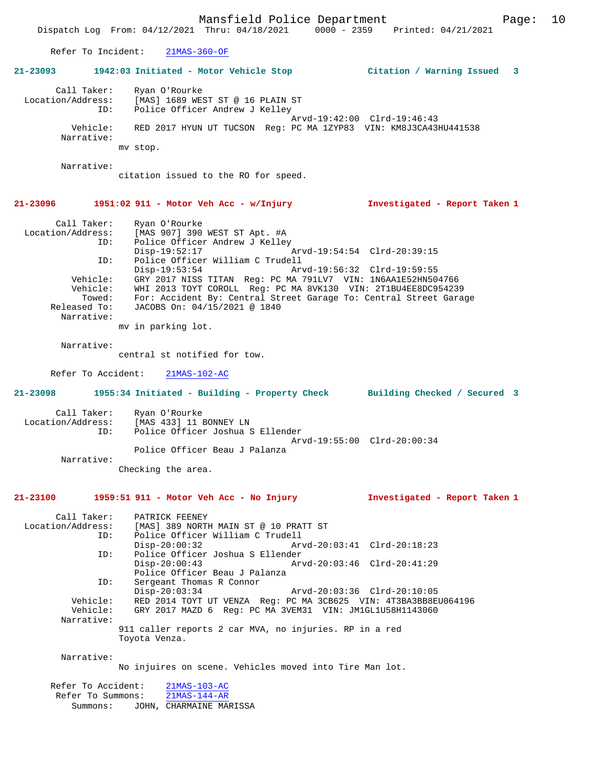Mansfield Police Department Form Page: 10 Dispatch Log From: 04/12/2021 Thru: 04/18/2021 0000 - 2359 Printed: 04/21/2021 Refer To Incident: 21MAS-360-OF **21-23093 1942:03 Initiated - Motor Vehicle Stop Citation / Warning Issued 3** Call Taker: Ryan O'Rourke Location/Address: [MAS] 1689 WEST ST @ 16 PLAIN ST ID: Police Officer Andrew J Kelley Arvd-19:42:00 Clrd-19:46:43 Vehicle: RED 2017 HYUN UT TUCSON Reg: PC MA 1ZYP83 VIN: KM8J3CA43HU441538 Narrative: mv stop. Narrative: citation issued to the RO for speed. **21-23096 1951:02 911 - Motor Veh Acc - w/Injury Investigated - Report Taken 1** Call Taker: Ryan O'Rourke Location/Address: [MAS 907] 390 WEST ST Apt. #A ID: Police Officer Andrew J Kelley Disp-19:52:17 Arvd-19:54:54 Clrd-20:39:15 ID: Police Officer William C Trudell Disp-19:53:54 Arvd-19:56:32 Clrd-19:59:55 Vehicle: GRY 2017 NISS TITAN Reg: PC MA 791LV7 VIN: 1N6AA1E52HN504766 Vehicle: WHI 2013 TOYT COROLL Reg: PC MA 8VK130 VIN: 2T1BU4EE8DC954239 Towed: For: Accident By: Central Street Garage To: Central Street Garage Released To: JACOBS On: 04/15/2021 @ 1840 Narrative: mv in parking lot. Narrative: central st notified for tow. Refer To Accident: 21MAS-102-AC **21-23098 1955:34 Initiated - Building - Property Check Building Checked / Secured 3** Call Taker: Ryan O'Rourke Location/Address: [MAS 433] 11 BONNEY LN ID: Police Officer Joshua S Ellender Arvd-19:55:00 Clrd-20:00:34 Police Officer Beau J Palanza Narrative: Checking the area. **21-23100 1959:51 911 - Motor Veh Acc - No Injury Investigated - Report Taken 1** Call Taker: PATRICK FEENEY Location/Address: [MAS] 389 NORTH MAIN ST @ 10 PRATT ST ID: Police Officer William C Trudell<br>Disp-20:00:32 Arv Disp-20:00:32 Arvd-20:03:41 Clrd-20:18:23 ID: Police Officer Joshua S Ellender Disp-20:00:43 Arvd-20:03:46 Clrd-20:41:29 Police Officer Beau J Palanza<br>ID: Sergeant Thomas R Connor Sergeant Thomas R Connor<br>Disp-20:03:34 Disp-20:03:34 Arvd-20:03:36 Clrd-20:10:05<br>Vehicle: RED 2014 TOYT UT VENZA Req: PC MA 3CB625 VIN: 4T3BA3BB8E RED 2014 TOYT UT VENZA Reg: PC MA 3CB625 VIN: 4T3BA3BB8EU064196 Vehicle: GRY 2017 MAZD 6 Reg: PC MA 3VEM31 VIN: JM1GL1U58H1143060 Narrative: 911 caller reports 2 car MVA, no injuries. RP in a red Toyota Venza. Narrative: No injuires on scene. Vehicles moved into Tire Man lot. Refer To Accident: 21MAS-103-AC

Refer To Summons: 21MAS-144-AR Summons: JOHN, CHARMAINE MARISSA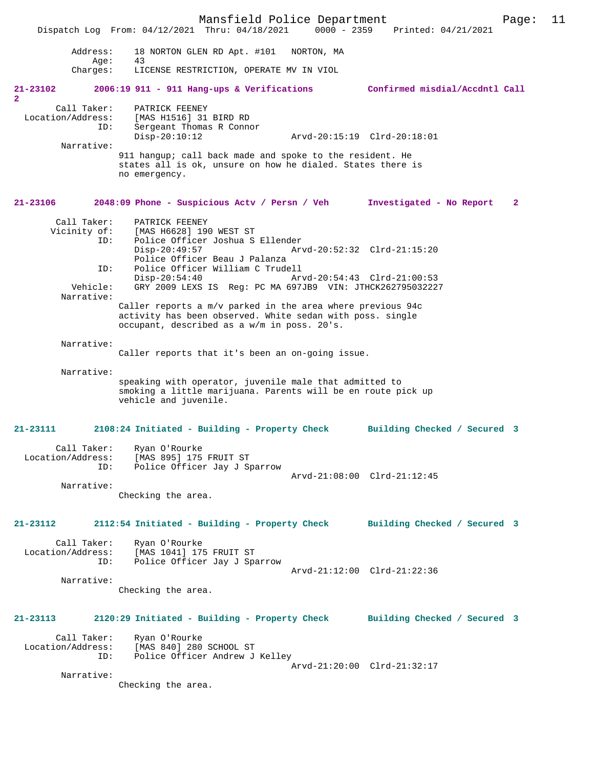Mansfield Police Department Page: 11 Dispatch Log From: 04/12/2021 Thru: 04/18/2021 Address: 18 NORTON GLEN RD Apt. #101 NORTON, MA Age: 43<br>Charges: LI LICENSE RESTRICTION, OPERATE MV IN VIOL **21-23102 2006:19 911 - 911 Hang-ups & Verifications Confirmed misdial/Accdntl Call 2**  Call Taker: PATRICK FEENEY<br>Location/Address: [MAS H1516] 31 ess: [MAS H1516] 31 BIRD RD<br>ID: Sergeant Thomas R Conno Sergeant Thomas R Connor Disp-20:10:12 Arvd-20:15:19 Clrd-20:18:01 Narrative: 911 hangup; call back made and spoke to the resident. He states all is ok, unsure on how he dialed. States there is no emergency. **21-23106 2048:09 Phone - Suspicious Actv / Persn / Veh Investigated - No Report 2** Call Taker: PATRICK FEENEY<br>Vicinity of: [MAS H6628] 190 of: [MAS H6628] 190 WEST ST<br>ID: Police Officer Joshua S Police Officer Joshua S Ellender Disp-20:49:57 Arvd-20:52:32 Clrd-21:15:20 Police Officer Beau J Palanza<br>ID: Police Officer William C Trude ID: Police Officer William C Trudell Disp-20:54:40 Arvd-20:54:43 Clrd-21:00:53<br>Vehicle: GRY 2009 LEXS IS Reg: PC MA 697JB9 VIN: JTHCK26279503222 GRY 2009 LEXS IS Reg: PC MA 697JB9 VIN: JTHCK262795032227 Narrative: Caller reports a m/v parked in the area where previous 94c activity has been observed. White sedan with poss. single occupant, described as a w/m in poss. 20's. Narrative: Caller reports that it's been an on-going issue. Narrative: speaking with operator, juvenile male that admitted to smoking a little marijuana. Parents will be en route pick up vehicle and juvenile. **21-23111 2108:24 Initiated - Building - Property Check Building Checked / Secured 3** Call Taker: Ryan O'Rourke<br>Location/Address: [MAS 895] 175 ess: [MAS 895] 175 FRUIT ST<br>TD: Police Officer Jav J St Police Officer Jay J Sparrow Arvd-21:08:00 Clrd-21:12:45 Narrative: Checking the area. **21-23112 2112:54 Initiated - Building - Property Check Building Checked / Secured 3** Call Taker: Ryan O'Rourke<br>Location/Address: [MAS 1041] 179 [MAS 1041] 175 FRUIT ST ID: Police Officer Jay J Sparrow Arvd-21:12:00 Clrd-21:22:36 Narrative: Checking the area. **21-23113 2120:29 Initiated - Building - Property Check Building Checked / Secured 3** Call Taker: Ryan O'Rourke<br>Location/Address: [MAS 840] 280 Location/Address: [MAS 840] 280 SCHOOL ST ID: Police Officer Andrew J Kelley Arvd-21:20:00 Clrd-21:32:17 Narrative: Checking the area.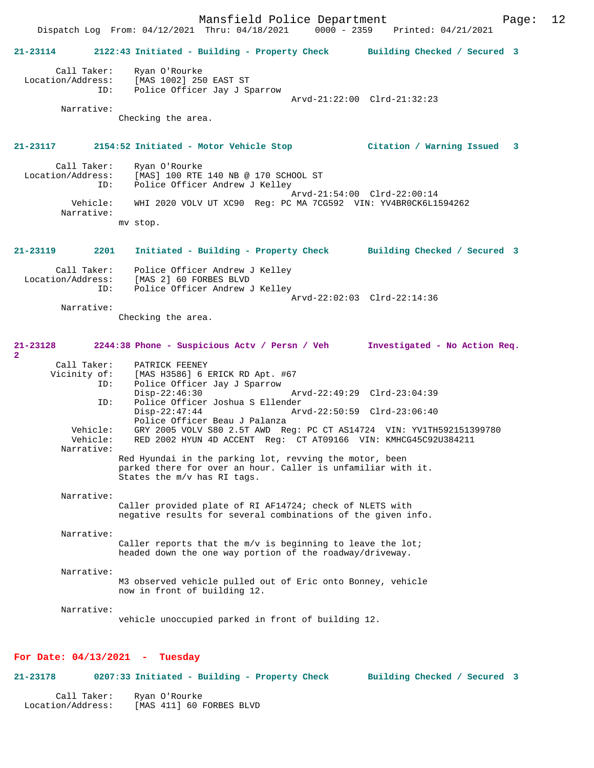Mansfield Police Department Page: 12 Dispatch Log From: 04/12/2021 Thru: 04/18/2021 **21-23114 2122:43 Initiated - Building - Property Check Building Checked / Secured 3** Call Taker: Ryan O'Rourke Location/Address: [MAS 1002] 250 EAST ST ID: Police Officer Jay J Sparrow Arvd-21:22:00 Clrd-21:32:23 Narrative: Checking the area. **21-23117 2154:52 Initiated - Motor Vehicle Stop Citation / Warning Issued 3** Call Taker: Ryan O'Rourke<br>Location/Address: [MAS] 100 RTE ess: [MAS] 100 RTE 140 NB @ 170 SCHOOL ST Police Officer Andrew J Kelley Arvd-21:54:00 Clrd-22:00:14 Vehicle: WHI 2020 VOLV UT XC90 Reg: PC MA 7CG592 VIN: YV4BR0CK6L1594262 Narrative: mv stop. **21-23119 2201 Initiated - Building - Property Check Building Checked / Secured 3** Call Taker: Police Officer Andrew J Kelley Location/Address: [MAS 2] 60 FORBES BLVD ID: Police Officer Andrew J Kelley Arvd-22:02:03 Clrd-22:14:36 Narrative: Checking the area. **21-23128 2244:38 Phone - Suspicious Actv / Persn / Veh Investigated - No Action Req. 2**  Call Taker: PATRICK FEENEY<br>Vicinity of: [MAS H3586] 6 B [MAS H3586] 6 ERICK RD Apt. #67 ID: Police Officer Jay J Sparrow Disp-22:46:30 Arvd-22:49:29 Clrd-23:04:39<br>TD: Police Officer Joshua S Ellender ID: Police Officer Joshua S Ellender Disp-22:47:44 Arvd-22:50:59 Clrd-23:06:40 Police Officer Beau J Palanza<br>Vehicle: GRY 2005 VOLV S80 2.5T AWD Re Vehicle: GRY 2005 VOLV S80 2.5T AWD Reg: PC CT AS14724 VIN: YV1TH592151399780 Vehicle: RED 2002 HYUN 4D ACCENT Reg: CT AT09166 VIN: KMHCG45C92U384211 Narrative: Red Hyundai in the parking lot, revving the motor, been parked there for over an hour. Caller is unfamiliar with it. States the m/v has RI tags. Narrative: Caller provided plate of RI AF14724; check of NLETS with negative results for several combinations of the given info. Narrative: Caller reports that the  $m/v$  is beginning to leave the lot; headed down the one way portion of the roadway/driveway. Narrative: M3 observed vehicle pulled out of Eric onto Bonney, vehicle now in front of building 12. Narrative: vehicle unoccupied parked in front of building 12. **For Date: 04/13/2021 - Tuesday**

 Call Taker: Ryan O'Rourke Location/Address: [MAS 411] 60 FORBES BLVD

**21-23178 0207:33 Initiated - Building - Property Check Building Checked / Secured 3**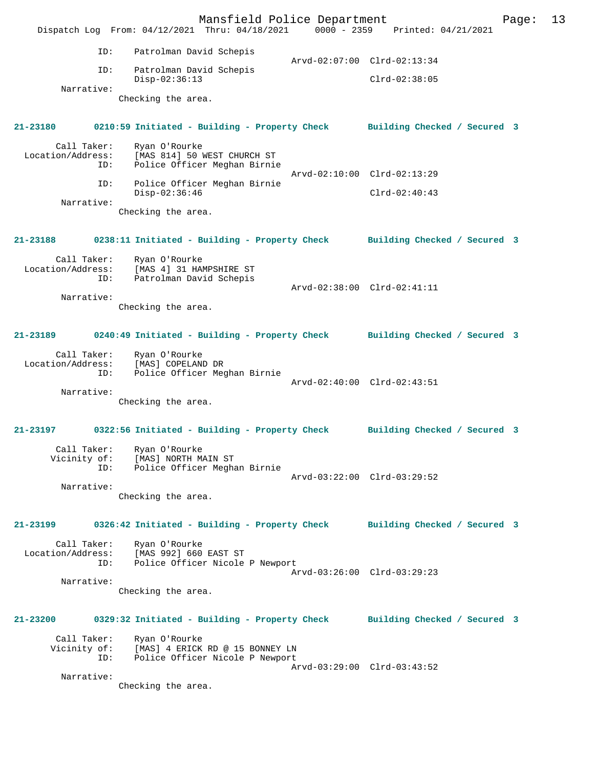Mansfield Police Department Page: 13 Dispatch Log From: 04/12/2021 Thru: 04/18/2021 0000 - 2359 Printed: 04/21/2021 ID: Patrolman David Schepis Arvd-02:07:00 Clrd-02:13:34 ID: Patrolman David Schepis Disp-02:36:13 Clrd-02:38:05 Narrative: Checking the area. **21-23180 0210:59 Initiated - Building - Property Check Building Checked / Secured 3** Call Taker: Ryan O'Rourke<br>Location/Address: [MAS 814] 50 1 [MAS 814] 50 WEST CHURCH ST ID: Police Officer Meghan Birnie Arvd-02:10:00 Clrd-02:13:29 ID: Police Officer Meghan Birnie Disp-02:36:46 Clrd-02:40:43 Narrative: Checking the area. **21-23188 0238:11 Initiated - Building - Property Check Building Checked / Secured 3** Call Taker: Ryan O'Rourke Location/Address: [MAS 4] 31 HAMPSHIRE ST ID: Patrolman David Schepis Arvd-02:38:00 Clrd-02:41:11 Narrative: Checking the area. **21-23189 0240:49 Initiated - Building - Property Check Building Checked / Secured 3** Call Taker: Ryan O'Rourke Location/Address: [MAS] COPELAND DR ID: Police Officer Meghan Birnie Arvd-02:40:00 Clrd-02:43:51 Narrative: Checking the area. **21-23197 0322:56 Initiated - Building - Property Check Building Checked / Secured 3** Call Taker: Ryan O'Rourke Vicinity of: [MAS] NORTH MAIN ST ID: Police Officer Meghan Birnie Arvd-03:22:00 Clrd-03:29:52 Narrative: Checking the area. **21-23199 0326:42 Initiated - Building - Property Check Building Checked / Secured 3** Call Taker: Ryan O'Rourke Location/Address: [MAS 992] 660 EAST ST<br>ID: Police Officer Nicole Police Officer Nicole P Newport Arvd-03:26:00 Clrd-03:29:23 Narrative: Checking the area. **21-23200 0329:32 Initiated - Building - Property Check Building Checked / Secured 3** Call Taker: Ryan O'Rourke Vicinity of: [MAS] 4 ERICK RD @ 15 BONNEY LN ID: Police Officer Nicole P Newport Arvd-03:29:00 Clrd-03:43:52 Narrative: Checking the area.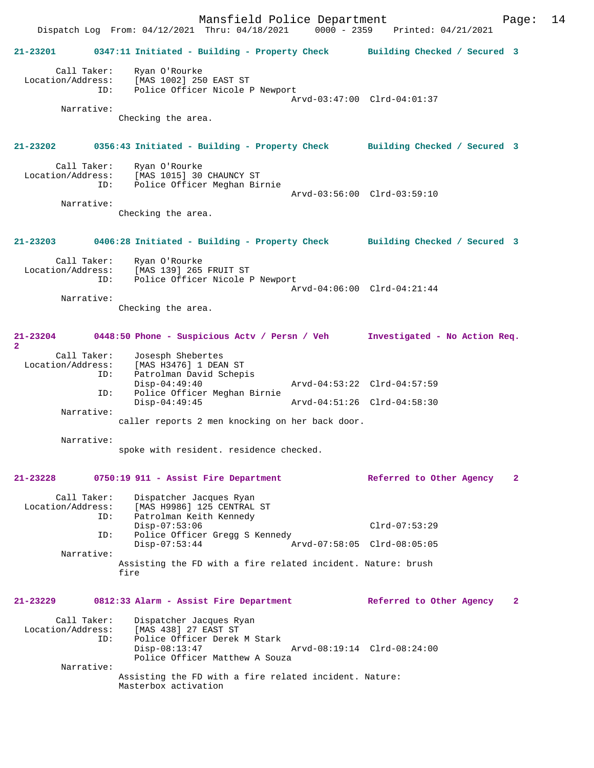|                                                | Dispatch Log From: 04/12/2021 Thru: 04/18/2021 0000 - 2359 Printed: 04/21/2021                                            | Mansfield Police Department                                                                                                  |                                                            |                 |                               | Page:        | 14 |
|------------------------------------------------|---------------------------------------------------------------------------------------------------------------------------|------------------------------------------------------------------------------------------------------------------------------|------------------------------------------------------------|-----------------|-------------------------------|--------------|----|
| 21-23201                                       | 0347:11 Initiated - Building - Property Check Building Checked / Secured 3                                                |                                                                                                                              |                                                            |                 |                               |              |    |
| Call Taker:<br>Location/Address:<br>Narrative: | Ryan O'Rourke<br>[MAS 1002] 250 EAST ST<br>ID:<br>Checking the area.                                                      | Police Officer Nicole P Newport                                                                                              | Arvd-03:47:00 Clrd-04:01:37                                |                 |                               |              |    |
| 21-23202                                       | 0356:43 Initiated - Building - Property Check Building Checked / Secured 3                                                |                                                                                                                              |                                                            |                 |                               |              |    |
| Call Taker:<br>Location/Address:<br>Narrative: | Ryan O'Rourke<br>[MAS 1015] 30 CHAUNCY ST<br>ID:<br>Checking the area.                                                    | Police Officer Meghan Birnie                                                                                                 | Arvd-03:56:00 Clrd-03:59:10                                |                 |                               |              |    |
|                                                | 21-23203 0406:28 Initiated - Building - Property Check Building Checked / Secured 3                                       |                                                                                                                              |                                                            |                 |                               |              |    |
| Call Taker:<br>Location/Address:<br>Narrative: | Ryan O'Rourke<br>[MAS 139] 265 FRUIT ST<br>ID:<br>Checking the area.                                                      | Police Officer Nicole P Newport                                                                                              | Arvd-04:06:00 Clrd-04:21:44                                |                 |                               |              |    |
| $\overline{a}$                                 | 21-23204 0448:50 Phone - Suspicious Actv / Persn / Veh                                                                    |                                                                                                                              |                                                            |                 | Investigated - No Action Req. |              |    |
| Call Taker:<br>Location/Address:<br>Narrative: | Josesph Shebertes<br>[MAS H3476] 1 DEAN ST<br>ID:<br>Patrolman David Schepis<br>$Disp-04:49:40$<br>ID:<br>$Disp-04:49:45$ | Police Officer Meghan Birnie                                                                                                 | Arvd-04:53:22 Clrd-04:57:59<br>Arvd-04:51:26 Clrd-04:58:30 |                 |                               |              |    |
| Narrative:                                     |                                                                                                                           | caller reports 2 men knocking on her back door.<br>spoke with resident. residence checked.                                   |                                                            |                 |                               |              |    |
| 21-23228                                       | 0750:19 911 - Assist Fire Department                                                                                      |                                                                                                                              |                                                            |                 | Referred to Other Agency      | $\mathbf{2}$ |    |
| Call Taker:<br>Location/Address:<br>Narrative: | Dispatcher Jacques Ryan<br>ID:<br>Patrolman Keith Kennedy<br>$Disp-07:53:06$<br>ID:<br>$Disp-07:53:44$<br>fire            | [MAS H9986] 125 CENTRAL ST<br>Police Officer Gregg S Kennedy<br>Assisting the FD with a fire related incident. Nature: brush | Arvd-07:58:05 Clrd-08:05:05                                | $Clrd-07:53:29$ |                               |              |    |
| 21-23229                                       | 0812:33 Alarm - Assist Fire Department                                                                                    |                                                                                                                              |                                                            |                 | Referred to Other Agency      | $\mathbf{2}$ |    |
| Call Taker:<br>Location/Address:               | Dispatcher Jacques Ryan<br>[MAS 438] 27 EAST ST<br>ID:<br>$Disp-08:13:47$                                                 | Police Officer Derek M Stark<br>Police Officer Matthew A Souza                                                               | Arvd-08:19:14 Clrd-08:24:00                                |                 |                               |              |    |
| Narrative:                                     | Masterbox activation                                                                                                      | Assisting the FD with a fire related incident. Nature:                                                                       |                                                            |                 |                               |              |    |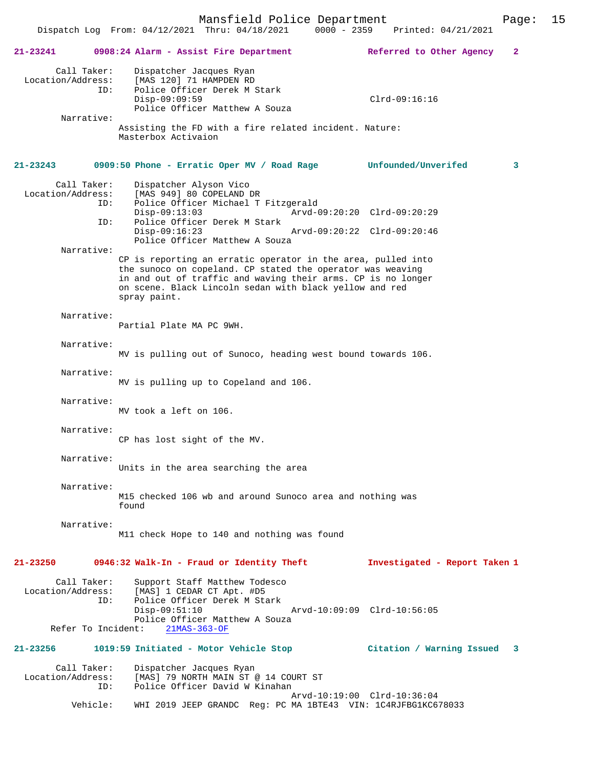| 21-23241                                               |            | 0908:24 Alarm - Assist Fire Department                                                                                                                                                                                                                                | Referred to Other Agency<br>$\mathbf{2}$                   |
|--------------------------------------------------------|------------|-----------------------------------------------------------------------------------------------------------------------------------------------------------------------------------------------------------------------------------------------------------------------|------------------------------------------------------------|
| Call Taker:<br>Location/Address:                       | ID:        | Dispatcher Jacques Ryan<br>[MAS 120] 71 HAMPDEN RD<br>Police Officer Derek M Stark<br>$Disp-09:09:59$<br>Police Officer Matthew A Souza                                                                                                                               | $Clrd-09:16:16$                                            |
| Narrative:                                             |            | Assisting the FD with a fire related incident. Nature:<br>Masterbox Activaion                                                                                                                                                                                         |                                                            |
| $21 - 23243$                                           |            | 0909:50 Phone - Erratic Oper MV / Road Rage                                                                                                                                                                                                                           | Unfounded/Unverifed<br>3                                   |
| Call Taker:<br>Location/Address:<br>Narrative:         | ID:<br>ID: | Dispatcher Alyson Vico<br>[MAS 949] 80 COPELAND DR<br>Police Officer Michael T Fitzgerald<br>$Disp-09:13:03$<br>Police Officer Derek M Stark<br>$Disp-09:16:23$<br>Police Officer Matthew A Souza                                                                     | Arvd-09:20:20 Clrd-09:20:29<br>Arvd-09:20:22 Clrd-09:20:46 |
|                                                        |            | CP is reporting an erratic operator in the area, pulled into<br>the sunoco on copeland. CP stated the operator was weaving<br>in and out of traffic and waving their arms. CP is no longer<br>on scene. Black Lincoln sedan with black yellow and red<br>spray paint. |                                                            |
| Narrative:                                             |            | Partial Plate MA PC 9WH.                                                                                                                                                                                                                                              |                                                            |
| Narrative:                                             |            | MV is pulling out of Sunoco, heading west bound towards 106.                                                                                                                                                                                                          |                                                            |
| Narrative:                                             |            | MV is pulling up to Copeland and 106.                                                                                                                                                                                                                                 |                                                            |
| Narrative:                                             |            | MV took a left on 106.                                                                                                                                                                                                                                                |                                                            |
| Narrative:                                             |            | CP has lost sight of the MV.                                                                                                                                                                                                                                          |                                                            |
| Narrative:                                             |            | Units in the area searching the area                                                                                                                                                                                                                                  |                                                            |
| Narrative:                                             |            | M15 checked 106 wb and around Sunoco area and nothing was<br>found                                                                                                                                                                                                    |                                                            |
| Narrative:                                             |            | M11 check Hope to 140 and nothing was found                                                                                                                                                                                                                           |                                                            |
| $21 - 23250$                                           |            | 0946:32 Walk-In - Fraud or Identity Theft                                                                                                                                                                                                                             | Investigated - Report Taken 1                              |
| Call Taker:<br>Location/Address:<br>Refer To Incident: | ID:        | Support Staff Matthew Todesco<br>[MAS] 1 CEDAR CT Apt. #D5<br>Police Officer Derek M Stark<br>$Disp-09:51:10$<br>Police Officer Matthew A Souza<br>$21MAS-363-OF$                                                                                                     | Arvd-10:09:09 Clrd-10:56:05                                |
| 21-23256                                               |            | 1019:59 Initiated - Motor Vehicle Stop                                                                                                                                                                                                                                | Citation / Warning Issued<br>3                             |
| Call Taker:<br>Location/Address:                       | ID:        | Dispatcher Jacques Ryan<br>[MAS] 79 NORTH MAIN ST @ 14 COURT ST<br>Police Officer David W Kinahan                                                                                                                                                                     |                                                            |
|                                                        | Vehicle:   | WHI 2019 JEEP GRANDC Req: PC MA 1BTE43 VIN: 1C4RJFBG1KC678033                                                                                                                                                                                                         | Arvd-10:19:00 Clrd-10:36:04                                |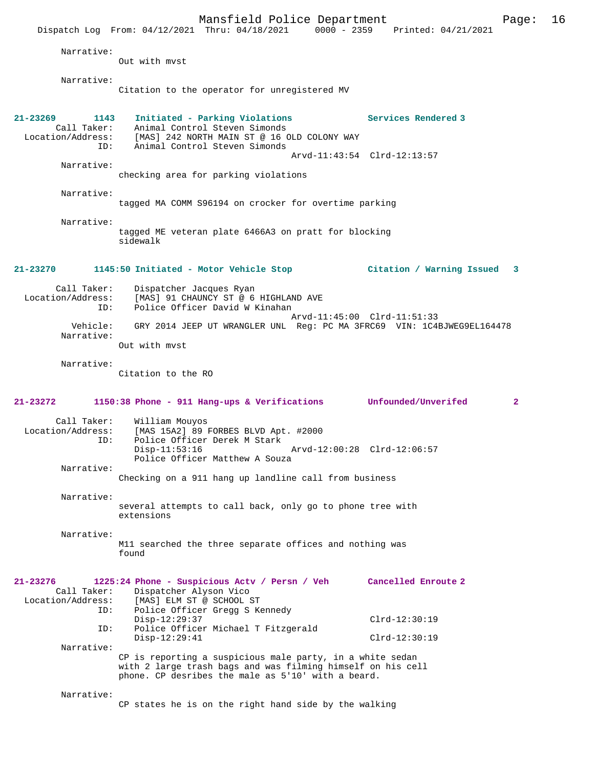Mansfield Police Department Page: 16 Dispatch Log From:  $04/12/2021$  Thru:  $04/18/2021$  0000 - 2359 Narrative: Out with mvst Narrative: Citation to the operator for unregistered MV **21-23269 1143 Initiated - Parking Violations Services Rendered 3**  Call Taker: Animal Control Steven Simonds<br>Location/Address: [MAS] 242 NORTH MAIN ST @ 16 0 Cer: Animal Control محتجم المستدين<br>Sas: [MAS] 242 NORTH MAIN ST @ 16 OLD COLONY WAY<br>TD: Animal Control Steven Simonds Animal Control Steven Simonds Arvd-11:43:54 Clrd-12:13:57 Narrative: checking area for parking violations Narrative: tagged MA COMM S96194 on crocker for overtime parking Narrative: tagged ME veteran plate 6466A3 on pratt for blocking sidewalk **21-23270 1145:50 Initiated - Motor Vehicle Stop Citation / Warning Issued 3** Call Taker: Dispatcher Jacques Ryan<br>Location/Address: [MAS] 91 CHAUNCY ST @ 6 SSS: [MAS] 91 CHAUNCY ST @ 6 HIGHLAND AVE Police Officer David W Kinahan Arvd-11:45:00 Clrd-11:51:33<br>Vebicle: GRY 2014 JEEP UT WRANGLER UNL. Reg: PC MA 3ERC69 VIN: 104 Vehicle: GRY 2014 JEEP UT WRANGLER UNL Reg: PC MA 3FRC69 VIN: 1C4BJWEG9EL164478 Narrative: Out with mvst Narrative: Citation to the RO **21-23272 1150:38 Phone - 911 Hang-ups & Verifications Unfounded/Unverifed 2** Call Taker: William Mouyos<br>Location/Address: [MAS 15A2] 89 I ess: [MAS 15A2] 89 FORBES BLVD Apt. #2000<br>ID: Police Officer Derek M Stark Police Officer Derek M Stark Disp-11:53:16 Arvd-12:00:28 Clrd-12:06:57 Police Officer Matthew A Souza Narrative: Checking on a 911 hang up landline call from business Narrative: several attempts to call back, only go to phone tree with extensions Narrative: M11 searched the three separate offices and nothing was found **21-23276 1225:24 Phone - Suspicious Actv / Persn / Veh Cancelled Enroute 2**  Call Taker: Dispatcher Alyson Vico<br>Location/Address: [MAS] ELM ST @ SCHOOL { [MAS] ELM ST @ SCHOOL ST ID: Police Officer Gregg S Kennedy Disp-12:29:37 Clrd-12:30:19<br>Th: Police Officer Michael T Fitzgerald Police Officer Michael T Fitzgerald Disp-12:29:41 Clrd-12:30:19 Narrative: CP is reporting a suspicious male party, in a white sedan with 2 large trash bags and was filming himself on his cell phone. CP desribes the male as 5'10' with a beard. Narrative: CP states he is on the right hand side by the walking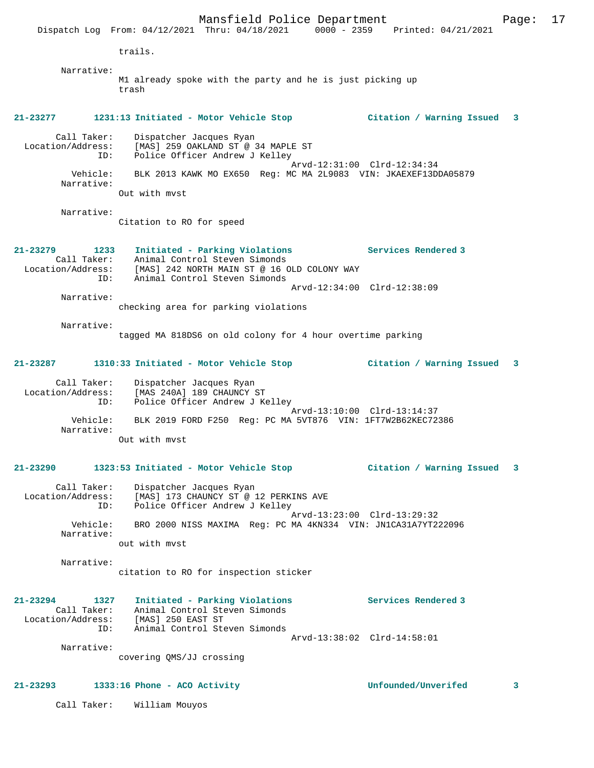Mansfield Police Department Page: 17 Dispatch Log From: 04/12/2021 Thru: 04/18/2021 0000 - 2359 Printed: 04/21/2021 trails. Narrative: M1 already spoke with the party and he is just picking up trash **21-23277 1231:13 Initiated - Motor Vehicle Stop Citation / Warning Issued 3** Call Taker: Dispatcher Jacques Ryan Location/Address: [MAS] 259 OAKLAND ST @ 34 MAPLE ST ID: Police Officer Andrew J Kelley Arvd-12:31:00 Clrd-12:34:34 Vehicle: BLK 2013 KAWK MO EX650 Reg: MC MA 2L9083 VIN: JKAEXEF13DDA05879 Narrative: Out with mvst Narrative: Citation to RO for speed **21-23279 1233 Initiated - Parking Violations Services Rendered 3**  Call Taker: Animal Control Steven Simonds Location/Address: [MAS] 242 NORTH MAIN ST @ 16 OLD COLONY WAY ID: Animal Control Steven Simonds Arvd-12:34:00 Clrd-12:38:09 Narrative: checking area for parking violations Narrative: tagged MA 818DS6 on old colony for 4 hour overtime parking **21-23287 1310:33 Initiated - Motor Vehicle Stop Citation / Warning Issued 3** Call Taker: Dispatcher Jacques Ryan Location/Address: [MAS 240A] 189 CHAUNCY ST ID: Police Officer Andrew J Kelley Arvd-13:10:00 Clrd-13:14:37 Vehicle: BLK 2019 FORD F250 Reg: PC MA 5VT876 VIN: 1FT7W2B62KEC72386 Narrative: Out with mvst **21-23290 1323:53 Initiated - Motor Vehicle Stop Citation / Warning Issued 3** Call Taker: Dispatcher Jacques Ryan<br>Location/Address: [MAS] 173 CHAUNCY ST @ 1 Location/Address: [MAS] 173 CHAUNCY ST @ 12 PERKINS AVE ID: Police Officer Andrew J Kelley Arvd-13:23:00 Clrd-13:29:32 Vehicle: BRO 2000 NISS MAXIMA Reg: PC MA 4KN334 VIN: JN1CA31A7YT222096 Narrative: out with mvst Narrative: citation to RO for inspection sticker **21-23294 1327 Initiated - Parking Violations Services Rendered 3**  Call Taker: Animal Control Steven Simonds Location/Address: [MAS] 250 EAST ST ID: Animal Control Steven Simonds Arvd-13:38:02 Clrd-14:58:01 Narrative: covering QMS/JJ crossing **21-23293 1333:16 Phone - ACO Activity Unfounded/Unverifed 3**

Call Taker: William Mouyos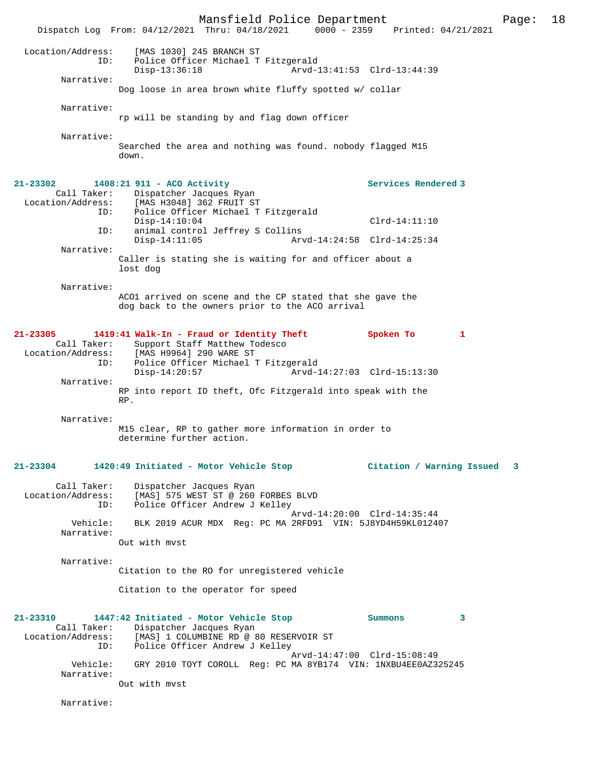Mansfield Police Department Page: 18 Dispatch Log From:  $04/12/2021$  Thru:  $04/18/2021$  0000 - 2359 Location/Address: [MAS 1030] 245 BRANCH ST ID: Police Officer Michael T Fitzgerald Disp-13:36:18 Arvd-13:41:53 Clrd-13:44:39 Narrative: Dog loose in area brown white fluffy spotted w/ collar Narrative: rp will be standing by and flag down officer Narrative: Searched the area and nothing was found. nobody flagged M15 down. **21-23302 1408:21 911 - ACO Activity Services Rendered 3**  Call Taker: Dispatcher Jacques Ryan<br>Location/Address: [MAS H3048] 362 FRUIT ST [MAS H3048] 362 FRUIT ST ID: Police Officer Michael T Fitzgerald Disp-14:10:04 Clrd-14:11:10<br>TD: animal control Jeffrey S Collins animal control Jeffrey S Collins<br>Disp-14:11:05 Ary Arvd-14:24:58 Clrd-14:25:34 Narrative: Caller is stating she is waiting for and officer about a lost dog Narrative: ACO1 arrived on scene and the CP stated that she gave the dog back to the owners prior to the ACO arrival **21-23305 1419:41 Walk-In - Fraud or Identity Theft Spoken To 1**  Call Taker: Support Staff Matthew Todesco<br>Location/Address: [MAS H9964] 290 WARE ST ess: [MAS H9964] 290 WARE ST<br>ID: Police Officer Michael' Police Officer Michael T Fitzgerald Disp-14:20:57 Arvd-14:27:03 Clrd-15:13:30 Narrative: RP into report ID theft, Ofc Fitzgerald into speak with the RP. Narrative: M15 clear, RP to gather more information in order to determine further action. **21-23304 1420:49 Initiated - Motor Vehicle Stop Citation / Warning Issued 3** Call Taker: Dispatcher Jacques Ryan<br>Location/Address: [MAS] 575 WEST ST @ 260 ess: [MAS] 575 WEST ST @ 260 FORBES BLVD<br>ID: Police Officer Andrew J Kelley Police Officer Andrew J Kelley Arvd-14:20:00 Clrd-14:35:44<br>Vehicle: BLK 2019 ACUR MDX Reg: PC MA 2RFD91 VIN: 5J8YD4H59KL0124 BLK 2019 ACUR MDX Reg: PC MA 2RFD91 VIN: 5J8YD4H59KL012407 Narrative: Out with mvst Narrative: Citation to the RO for unregistered vehicle Citation to the operator for speed **21-23310 1447:42 Initiated - Motor Vehicle Stop Summons 3**  Call Taker: Dispatcher Jacques Ryan Location/Address: [MAS] 1 COLUMBINE RD @ 80 RESERVOIR ST<br>TD: Police Officer Andrew J Kelley Police Officer Andrew J Kelley Arvd-14:47:00 Clrd-15:08:49<br>Vehicle: GRY 2010 TOYT COROLL Req: PC MA 8YB174 VIN: 1NXBU4EE0AZ3 GRY 2010 TOYT COROLL Reg: PC MA 8YB174 VIN: 1NXBU4EE0AZ325245 Narrative: Out with mvst

Narrative: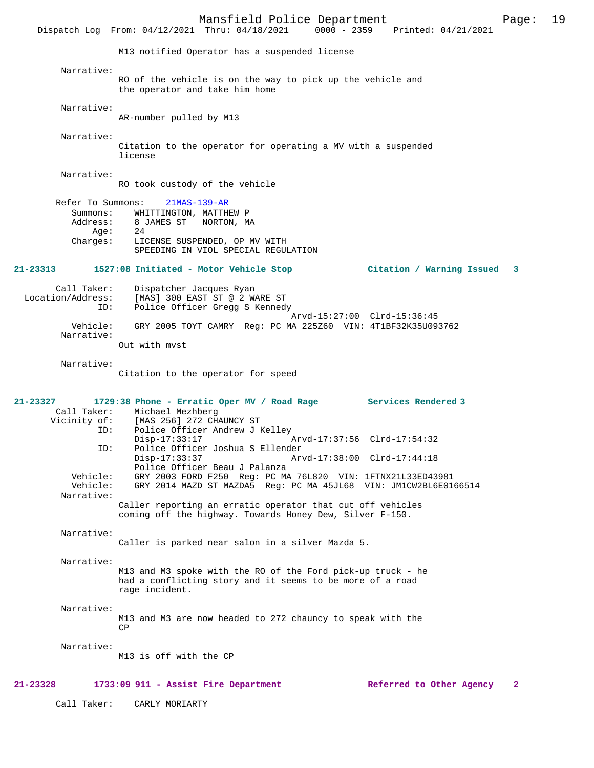Mansfield Police Department Page: 19 Dispatch Log From: 04/12/2021 Thru: 04/18/2021 M13 notified Operator has a suspended license Narrative: RO of the vehicle is on the way to pick up the vehicle and the operator and take him home Narrative: AR-number pulled by M13 Narrative: Citation to the operator for operating a MV with a suspended license Narrative: RO took custody of the vehicle Refer To Summons: 21MAS-139-AR Summons: WHITTINGTON, MATTHEW P Address: 8 JAMES ST NORTON, MA<br>Age: 24 Age:<br>:Charges LICENSE SUSPENDED, OP MV WITH SPEEDING IN VIOL SPECIAL REGULATION **21-23313 1527:08 Initiated - Motor Vehicle Stop Citation / Warning Issued 3** Call Taker: Dispatcher Jacques Ryan<br>Location/Address: [MAS] 300 EAST ST @ 2 W.  $[MAS]$  300 EAST ST @ 2 WARE ST ID: Police Officer Gregg S Kennedy Arvd-15:27:00 Clrd-15:36:45<br>Vehicle: GRY 2005 TOYT CAMRY Reg: PC MA 225Z60 VIN: 4T1BF32K35U09 GRY 2005 TOYT CAMRY Reg: PC MA 225Z60 VIN: 4T1BF32K35U093762 Narrative: Out with mvst Narrative: Citation to the operator for speed **21-23327 1729:38 Phone - Erratic Oper MV / Road Rage Services Rendered 3**  Call Taker: Michael Mezhberg<br>Vicinity of: [MAS 256] 272 CH. of: [MAS 256] 272 CHAUNCY ST<br>TD: Police Officer Andrew J E Police Officer Andrew J Kelley Disp-17:33:17 Arvd-17:37:56 Clrd-17:54:32<br>TD: Police Officer Joshua S Ellender ID: Police Officer Joshua S Ellender Disp-17:33:37 Arvd-17:38:00 Clrd-17:44:18 Police Officer Beau J Palanza<br>Vehicle: GRY 2003 FORD F250 Reg: PC MA Vehicle: GRY 2003 FORD F250 Reg: PC MA 76L820 VIN: 1FTNX21L33ED43981 Vehicle: GRY 2014 MAZD ST MAZDA5 Reg: PC MA 45JL68 VIN: JM1CW2BL6E0166514 Narrative: Caller reporting an erratic operator that cut off vehicles coming off the highway. Towards Honey Dew, Silver F-150. Narrative: Caller is parked near salon in a silver Mazda 5. Narrative: M13 and M3 spoke with the RO of the Ford pick-up truck - he had a conflicting story and it seems to be more of a road rage incident. Narrative: M13 and M3 are now headed to 272 chauncy to speak with the CP Narrative: M13 is off with the CP **21-23328 1733:09 911 - Assist Fire Department Referred to Other Agency 2**

Call Taker: CARLY MORIARTY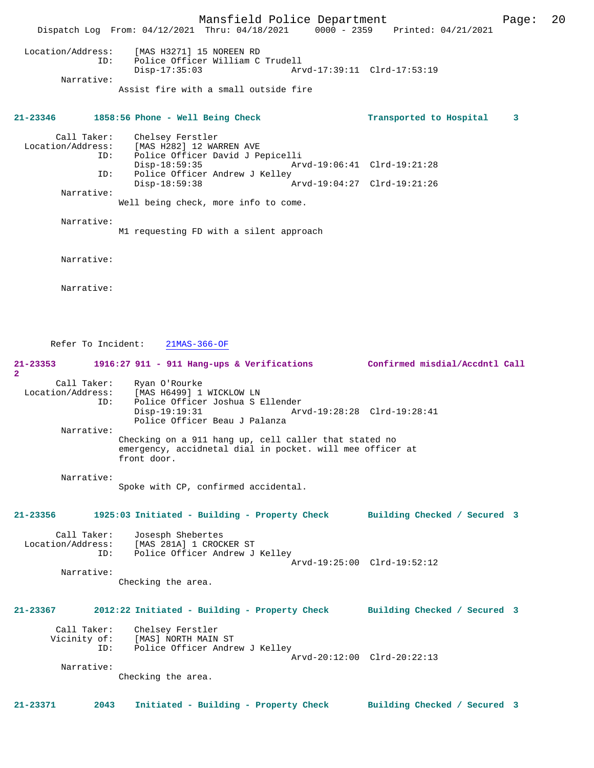Mansfield Police Department Page: 20 Dispatch Log From: 04/12/2021 Thru: 04/18/2021 0000 - 2359 Printed: 04/21/2021 Location/Address: [MAS H3271] 15 NOREEN RD ID: Police Officer William C Trudell Disp-17:35:03 Arvd-17:39:11 Clrd-17:53:19 Narrative: Assist fire with a small outside fire **21-23346 1858:56 Phone - Well Being Check Transported to Hospital 3** Call Taker: Chelsey Ferstler<br>Location/Address: [MAS H282] 12 WA ess: [MAS H282] 12 WARREN AVE<br>ID: Police Officer David J Pe ID: Police Officer David J Pepicelli Disp-18:59:35 Arvd-19:06:41 Clrd-19:21:28<br>ID: Police Officer Andrew J Kelley Police Officer Andrew J Kelley Disp-18:59:38 Arvd-19:04:27 Clrd-19:21:26 Narrative: Well being check, more info to come. Narrative: M1 requesting FD with a silent approach Narrative: Narrative: Refer To Incident: 21MAS-366-OF **21-23353 1916:27 911 - 911 Hang-ups & Verifications Confirmed misdial/Accdntl Call 2**  Call Taker: Ryan O'Rourke<br>Location/Address: [MAS H6499] 1 ess: [MAS H6499] 1 WICKLOW LN<br>TD: Police Officer Joshua S B Police Officer Joshua S Ellender Disp-19:19:31 Arvd-19:28:28 Clrd-19:28:41 Police Officer Beau J Palanza Narrative: Checking on a 911 hang up, cell caller that stated no emergency, accidnetal dial in pocket. will mee officer at front door. Narrative: Spoke with CP, confirmed accidental. **21-23356 1925:03 Initiated - Building - Property Check Building Checked / Secured 3** Call Taker: Josesph Shebertes<br>Location/Address: [MAS 281A] 1 CROC ess: [MAS 281A] 1 CROCKER ST<br>ID: Police Officer Andrew J Police Officer Andrew J Kelley Arvd-19:25:00 Clrd-19:52:12 Narrative: Checking the area. **21-23367 2012:22 Initiated - Building - Property Check Building Checked / Secured 3** Call Taker: Chelsey Ferstler<br>Vicinity of: [MAS] NORTH MAIN of: [MAS] NORTH MAIN ST<br>ID: Police Officer Andr Police Officer Andrew J Kelley Arvd-20:12:00 Clrd-20:22:13 Narrative: Checking the area. **21-23371 2043 Initiated - Building - Property Check Building Checked / Secured 3**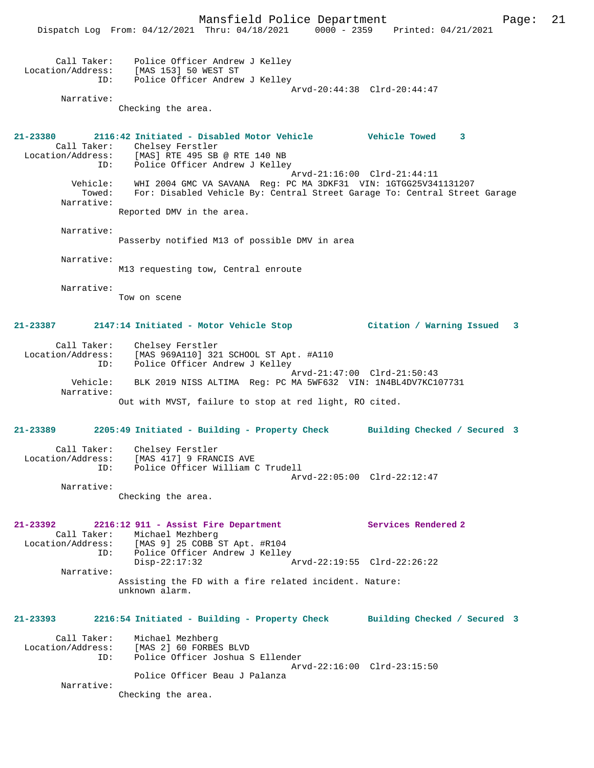Mansfield Police Department Page: 21 Dispatch Log From: 04/12/2021 Thru: 04/18/2021 0000 - 2359 Printed: 04/21/2021 Call Taker: Police Officer Andrew J Kelley Location/Address: [MAS 153] 50 WEST ST ID: Police Officer Andrew J Kelley Arvd-20:44:38 Clrd-20:44:47 Narrative: Checking the area. **21-23380 2116:42 Initiated - Disabled Motor Vehicle Vehicle Towed 3**  Call Taker: Chelsey Ferstler<br>Location/Address: [MAS] RTE 495 SB [MAS] RTE 495 SB @ RTE 140 NB ID: Police Officer Andrew J Kelley Arvd-21:16:00 Clrd-21:44:11 Vehicle: WHI 2004 GMC VA SAVANA Reg: PC MA 3DKF31 VIN: 1GTGG25V341131207 Towed: For: Disabled Vehicle By: Central Street Garage To: Central Street Garage Narrative: Reported DMV in the area. Narrative: Passerby notified M13 of possible DMV in area Narrative: M13 requesting tow, Central enroute Narrative: Tow on scene **21-23387 2147:14 Initiated - Motor Vehicle Stop Citation / Warning Issued 3** Call Taker: Chelsey Ferstler Location/Address: [MAS 969A110] 321 SCHOOL ST Apt. #A110 ID: Police Officer Andrew J Kelley Arvd-21:47:00 Clrd-21:50:43 Vehicle: BLK 2019 NISS ALTIMA Reg: PC MA 5WF632 VIN: 1N4BL4DV7KC107731 Narrative: Out with MVST, failure to stop at red light, RO cited. **21-23389 2205:49 Initiated - Building - Property Check Building Checked / Secured 3** Call Taker: Chelsey Ferstler Location/Address: [MAS 417] 9 FRANCIS AVE ID: Police Officer William C Trudell Arvd-22:05:00 Clrd-22:12:47 Narrative: Checking the area. **21-23392 2216:12 911 - Assist Fire Department Services Rendered 2**  Call Taker: Michael Mezhberg Location/Address: [MAS 9] 25 COBB ST Apt. #R104 ID: Police Officer Andrew J Kelley Disp-22:17:32 Arvd-22:19:55 Clrd-22:26:22 Narrative: Assisting the FD with a fire related incident. Nature: unknown alarm. **21-23393 2216:54 Initiated - Building - Property Check Building Checked / Secured 3** Call Taker: Michael Mezhberg Location/Address: [MAS 2] 60 FORBES BLVD ID: Police Officer Joshua S Ellender Arvd-22:16:00 Clrd-23:15:50 Police Officer Beau J Palanza Narrative: Checking the area.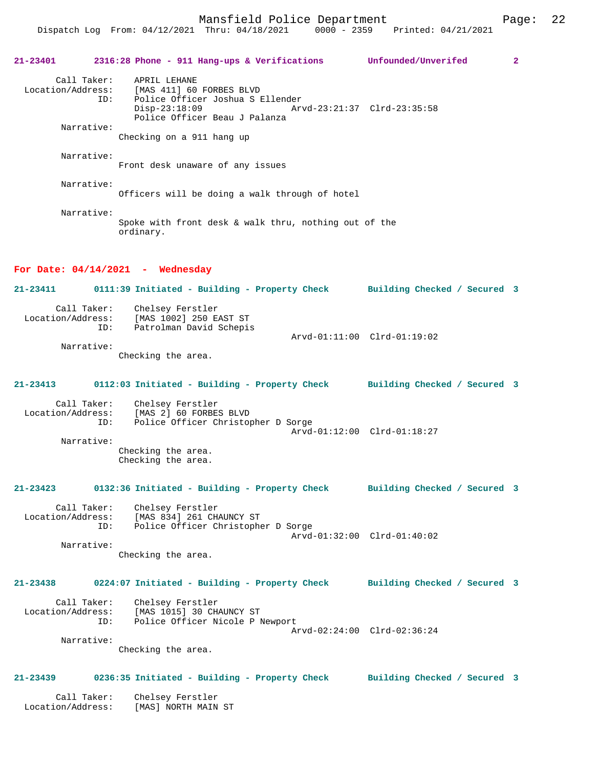Mansfield Police Department Fage: 22 Dispatch Log From: 04/12/2021 Thru: 04/18/2021 0000 - 2359 Printed: 04/21/2021 **21-23401 2316:28 Phone - 911 Hang-ups & Verifications Unfounded/Unverifed 2** Call Taker: APRIL LEHANE<br>Location/Address: [MAS 411] 60 [MAS 411] 60 FORBES BLVD ID: Police Officer Joshua S Ellender Disp-23:18:09 Arvd-23:21:37 Clrd-23:35:58 Police Officer Beau J Palanza Narrative: Checking on a 911 hang up Narrative: Front desk unaware of any issues Narrative: Officers will be doing a walk through of hotel Narrative: Spoke with front desk & walk thru, nothing out of the ordinary. **For Date: 04/14/2021 - Wednesday 21-23411 0111:39 Initiated - Building - Property Check Building Checked / Secured 3** Call Taker: Chelsey Ferstler<br>Location/Address: [MAS 1002] 250 E ess: [MAS 1002] 250 EAST ST<br>ID: Patrolman David Schepis Patrolman David Schepis Arvd-01:11:00 Clrd-01:19:02 Narrative: Checking the area. **21-23413 0112:03 Initiated - Building - Property Check Building Checked / Secured 3** Call Taker: Chelsey Ferstler<br>Location/Address: [MAS 2] 60 FORBE ess: [MAS 2] 60 FORBES BLVD<br>ID: Police Officer Christop Police Officer Christopher D Sorge Arvd-01:12:00 Clrd-01:18:27 Narrative: Checking the area.

Checking the area.

### **21-23423 0132:36 Initiated - Building - Property Check Building Checked / Secured 3**

Call Taker: Chelsey Ferstler<br>Location/Address: [MAS 834] 261 CH ess: [MAS 834] 261 CHAUNCY ST<br>ID: Police Officer Christophe Police Officer Christopher D Sorge Arvd-01:32:00 Clrd-01:40:02 Narrative:

Checking the area.

## **21-23438 0224:07 Initiated - Building - Property Check Building Checked / Secured 3**

 Call Taker: Chelsey Ferstler Location/Address: [MAS 1015] 30 CHAUNCY ST ID: Police Officer Nicole P Newport Arvd-02:24:00 Clrd-02:36:24 Narrative:

Checking the area.

## **21-23439 0236:35 Initiated - Building - Property Check Building Checked / Secured 3**

 Call Taker: Chelsey Ferstler Location/Address: [MAS] NORTH MAIN ST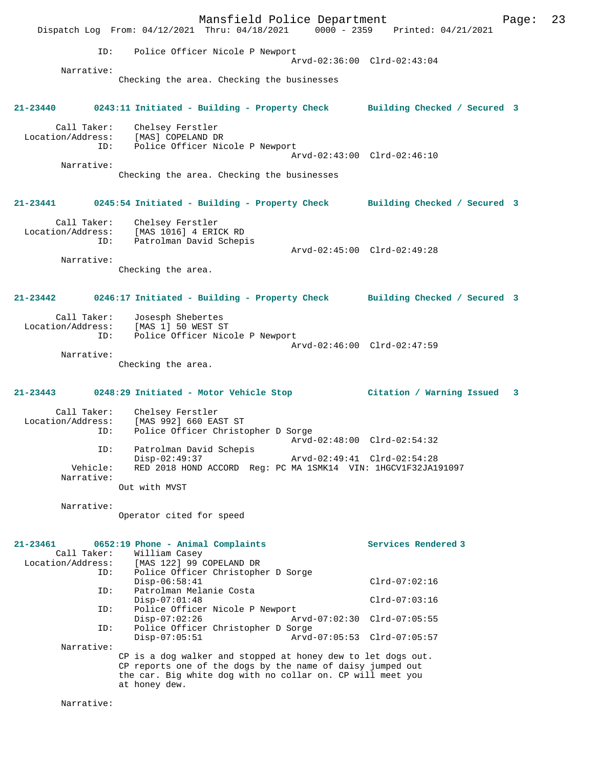Mansfield Police Department Fage: 23 Dispatch Log From: 04/12/2021 Thru: 04/18/2021 0000 - 2359 Printed: 04/21/2021 ID: Police Officer Nicole P Newport Arvd-02:36:00 Clrd-02:43:04 Narrative: Checking the area. Checking the businesses **21-23440 0243:11 Initiated - Building - Property Check Building Checked / Secured 3** Call Taker: Chelsey Ferstler Location/Address: [MAS] COPELAND DR ID: Police Officer Nicole P Newport Arvd-02:43:00 Clrd-02:46:10 Narrative: Checking the area. Checking the businesses **21-23441 0245:54 Initiated - Building - Property Check Building Checked / Secured 3** Call Taker: Chelsey Ferstler Location/Address: [MAS 1016] 4 ERICK RD ID: Patrolman David Schepis Arvd-02:45:00 Clrd-02:49:28 Narrative: Checking the area. **21-23442 0246:17 Initiated - Building - Property Check Building Checked / Secured 3** Call Taker: Josesph Shebertes Location/Address: [MAS 1] 50 WEST ST ID: Police Officer Nicole P Newport Arvd-02:46:00 Clrd-02:47:59 Narrative: Checking the area. **21-23443 0248:29 Initiated - Motor Vehicle Stop Citation / Warning Issued 3** Call Taker: Chelsey Ferstler Location/Address: [MAS 992] 660 EAST ST Police Officer Christopher D Sorge Arvd-02:48:00 Clrd-02:54:32 ID: Patrolman David Schepis Disp-02:49:37 Arvd-02:49:41 Clrd-02:54:28 Vehicle: RED 2018 HOND ACCORD Reg: PC MA 1SMK14 VIN: 1HGCV1F32JA191097 Narrative: Out with MVST Narrative: Operator cited for speed **21-23461 0652:19 Phone - Animal Complaints Services Rendered 3**  Call Taker: William Casey<br>Location/Address: [MAS 122] 99 ( ess: [MAS 122] 99 COPELAND DR<br>ID: Police Officer Christophe ID: Police Officer Christopher D Sorge Disp-06:58:41 Clrd-07:02:16<br>TD: Patrolman Melanie Costa Patrolman Melanie Costa Disp-07:01:48 Clrd-07:03:16<br>TD: Police Officer Nicole P Newport Police Officer Nicole P Newport<br>Disp-07:02:26 Ar Disp-07:02:26 Arvd-07:02:30 Clrd-07:05:55<br>ID: Police Officer Christopher D Sorge Police Officer Christopher D Sorge<br>Disp-07:05:51 Arvd Disp-07:05:51 Arvd-07:05:53 Clrd-07:05:57 Narrative: CP is a dog walker and stopped at honey dew to let dogs out. CP reports one of the dogs by the name of daisy jumped out the car. Big white dog with no collar on. CP will meet you at honey dew.

Narrative: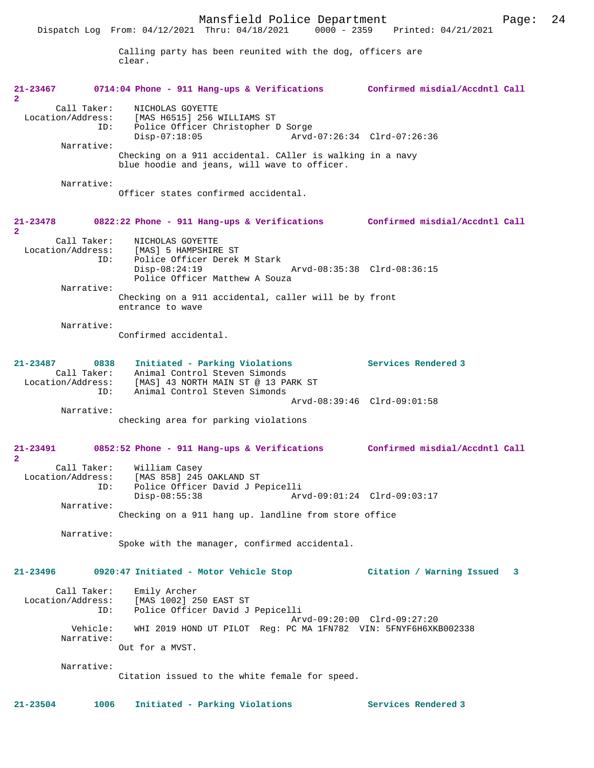|                                         | Dispatch Log From: 04/12/2021 Thru: 04/18/2021<br>0000 - 2359                                                                                                                 | Printed: 04/21/2021                       |
|-----------------------------------------|-------------------------------------------------------------------------------------------------------------------------------------------------------------------------------|-------------------------------------------|
|                                         | Calling party has been reunited with the dog, officers are<br>clear.                                                                                                          |                                           |
| 21-23467<br>2                           | 0714:04 Phone - 911 Hang-ups & Verifications Confirmed misdial/Accdntl Call                                                                                                   |                                           |
| Call Taker:<br>ID:                      | NICHOLAS GOYETTE<br>Location/Address: [MAS H6515] 256 WILLIAMS ST<br>Police Officer Christopher D Sorge                                                                       |                                           |
| Narrative:                              | $Disp-07:18:05$<br>Arvd-07:26:34 Clrd-07:26:36<br>Checking on a 911 accidental. CAller is walking in a navy                                                                   |                                           |
|                                         | blue hoodie and jeans, will wave to officer.                                                                                                                                  |                                           |
| Narrative:                              | Officer states confirmed accidental.                                                                                                                                          |                                           |
| 21-23478<br>$\mathbf{2}$                | 0822:22 Phone - 911 Hang-ups & Verifications Confirmed misdial/Accdntl Call                                                                                                   |                                           |
| ID:                                     | Call Taker: NICHOLAS GOYETTE<br>Location/Address: [MAS] 5 HAMPSHIRE ST<br>Police Officer Derek M Stark                                                                        |                                           |
| Narrative:                              | $Disp-08:24:19$<br>Arvd-08:35:38 Clrd-08:36:15<br>Police Officer Matthew A Souza                                                                                              |                                           |
|                                         | Checking on a 911 accidental, caller will be by front<br>entrance to wave                                                                                                     |                                           |
| Narrative:                              | Confirmed accidental.                                                                                                                                                         |                                           |
| 21-23487<br>ID:                         | Initiated - Parking Violations<br>0838<br>Call Taker: Animal Control Steven Simonds<br>Location/Address: [MAS] 43 NORTH MAIN ST @ 13 PARK ST<br>Animal Control Steven Simonds | Services Rendered 3                       |
| Narrative:                              | Arvd-08:39:46 Clrd-09:01:58                                                                                                                                                   |                                           |
|                                         | checking area for parking violations                                                                                                                                          |                                           |
| 21-23491<br>2                           | 0852:52 Phone - 911 Hang-ups & Verifications Confirmed misdial/Accdntl Call                                                                                                   |                                           |
| Call Taker:<br>Location/Address:<br>ID: | William Casey<br>[MAS 858] 245 OAKLAND ST<br>Police Officer David J Pepicelli<br>Arvd-09:01:24 Clrd-09:03:17<br>$Disp-08:55:38$                                               |                                           |
| Narrative:                              | Checking on a 911 hang up. landline from store office                                                                                                                         |                                           |
| Narrative:                              | Spoke with the manager, confirmed accidental.                                                                                                                                 |                                           |
| 21-23496                                | 0920:47 Initiated - Motor Vehicle Stop                                                                                                                                        | Citation / Warning Issued<br>$\mathbf{3}$ |
| Call Taker:<br>Location/Address:<br>ID: | Emily Archer<br>[MAS 1002] 250 EAST ST<br>Police Officer David J Pepicelli<br>Arvd-09:20:00 Clrd-09:27:20                                                                     |                                           |
| Vehicle:<br>Narrative:                  | WHI 2019 HOND UT PILOT Reg: PC MA 1FN782 VIN: 5FNYF6H6XKB002338<br>Out for a MVST.                                                                                            |                                           |
| Narrative:                              |                                                                                                                                                                               |                                           |
|                                         | Citation issued to the white female for speed.                                                                                                                                |                                           |

**21-23504 1006 Initiated - Parking Violations Services Rendered 3**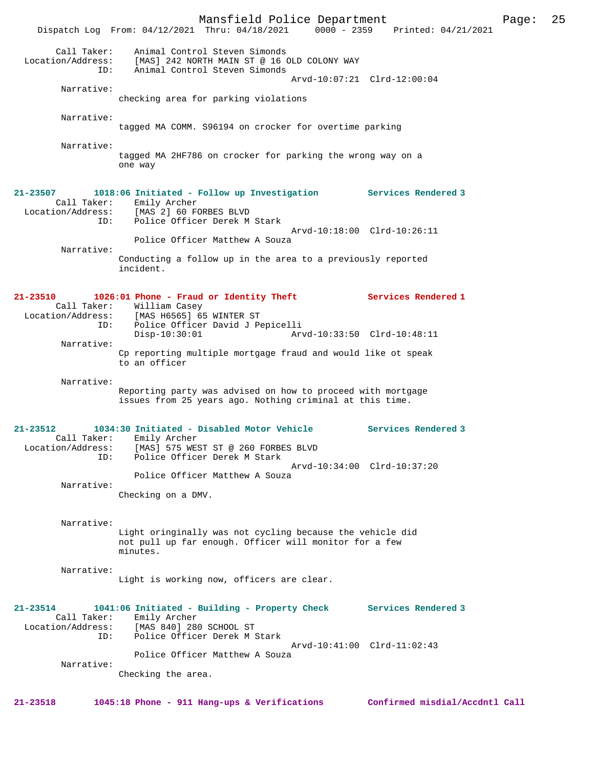Mansfield Police Department Page: 25 Dispatch Log From: 04/12/2021 Thru: 04/18/2021 Call Taker: Animal Control Steven Simonds Location/Address: [MAS] 242 NORTH MAIN ST @ 16 OLD COLONY WAY Animal Control Steven Simonds Arvd-10:07:21 Clrd-12:00:04 Narrative: checking area for parking violations Narrative: tagged MA COMM. S96194 on crocker for overtime parking Narrative: tagged MA 2HF786 on crocker for parking the wrong way on a one way **21-23507 1018:06 Initiated - Follow up Investigation Services Rendered 3**  Call Taker: Emily Archer Location/Address: [MAS 2] 60 FORBES BLVD Police Officer Derek M Stark Arvd-10:18:00 Clrd-10:26:11 Police Officer Matthew A Souza Narrative: Conducting a follow up in the area to a previously reported incident. **21-23510 1026:01 Phone - Fraud or Identity Theft Services Rendered 1**  Call Taker: William Casey<br>Location/Address: [MAS H6565] 6! [MAS H6565] 65 WINTER ST ID: Police Officer David J Pepicelli Disp-10:30:01 Arvd-10:33:50 Clrd-10:48:11 Narrative: Cp reporting multiple mortgage fraud and would like ot speak to an officer Narrative: Reporting party was advised on how to proceed with mortgage issues from 25 years ago. Nothing criminal at this time. **21-23512 1034:30 Initiated - Disabled Motor Vehicle Services Rendered 3**  Call Taker: Emily Archer Location/Address: [MAS] 575 WEST ST @ 260 FORBES BLVD ID: Police Officer Derek M Stark Arvd-10:34:00 Clrd-10:37:20 Police Officer Matthew A Souza Narrative: Checking on a DMV. Narrative: Light oringinally was not cycling because the vehicle did not pull up far enough. Officer will monitor for a few minutes. Narrative: Light is working now, officers are clear. **21-23514 1041:06 Initiated - Building - Property Check Services Rendered 3**  Call Taker: Emily Archer Location/Address: [MAS 840] 280 SCHOOL ST ID: Police Officer Derek M Stark Arvd-10:41:00 Clrd-11:02:43 Police Officer Matthew A Souza Narrative: Checking the area.

**21-23518 1045:18 Phone - 911 Hang-ups & Verifications Confirmed misdial/Accdntl Call**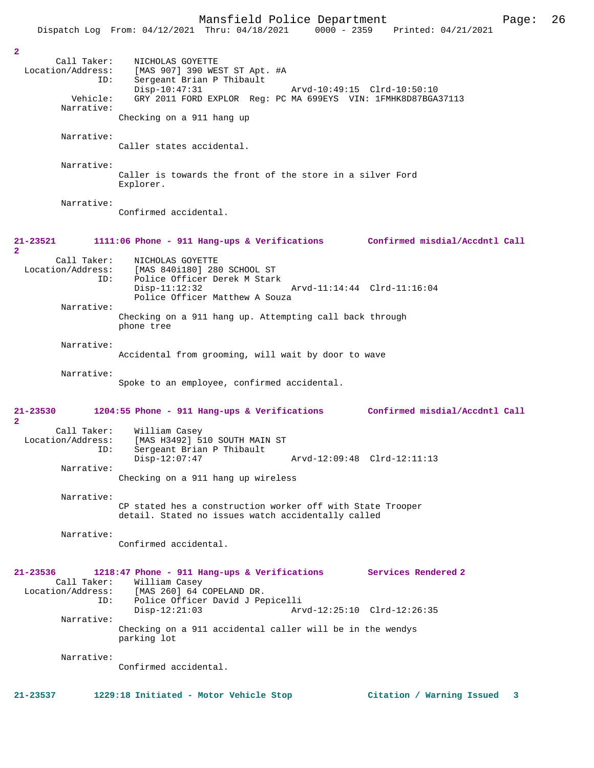Mansfield Police Department Page: 26 Dispatch Log From: 04/12/2021 Thru: 04/18/2021 Call Taker: NICHOLAS GOYETTE Location/Address: [MAS 907] 390 WEST ST Apt. #A ID: Sergeant Brian P Thibault Disp-10:47:31 Arvd-10:49:15 Clrd-10:50:10 Vehicle: GRY 2011 FORD EXPLOR Reg: PC MA 699EYS VIN: 1FMHK8D87BGA37113 Narrative: Checking on a 911 hang up Narrative: Caller states accidental. Narrative: Caller is towards the front of the store in a silver Ford Explorer. Narrative: Confirmed accidental. **21-23521 1111:06 Phone - 911 Hang-ups & Verifications Confirmed misdial/Accdntl Call** Call Taker: NICHOLAS GOYETTE<br>Location/Address: [MAS 840i180] 28 [MAS 840i180] 280 SCHOOL ST ID: Police Officer Derek M Stark Disp-11:12:32 Arvd-11:14:44 Clrd-11:16:04 Police Officer Matthew A Souza Narrative: Checking on a 911 hang up. Attempting call back through phone tree Narrative: Accidental from grooming, will wait by door to wave Narrative: Spoke to an employee, confirmed accidental. **21-23530 1204:55 Phone - 911 Hang-ups & Verifications Confirmed misdial/Accdntl Call** Call Taker: William Casey<br>Location/Address: [MAS H3492] 5 [MAS H3492] 510 SOUTH MAIN ST ID: Sergeant Brian P Thibault Disp-12:07:47 Arvd-12:09:48 Clrd-12:11:13 Narrative: Checking on a 911 hang up wireless

> CP stated hes a construction worker off with State Trooper detail. Stated no issues watch accidentally called

Narrative:

Narrative:

**2** 

**2** 

**2** 

Confirmed accidental.

**21-23536 1218:47 Phone - 911 Hang-ups & Verifications Services Rendered 2**  Call Taker: William Casey<br>Location/Address: [MAS 260] 64 ( ess: [MAS 260] 64 COPELAND DR.<br>ID: Police Officer David J Pe Police Officer David J Pepicelli<br>Disp-12:21:03 Ar Arvd-12:25:10 Clrd-12:26:35 Narrative: Checking on a 911 accidental caller will be in the wendys parking lot

Narrative:

Confirmed accidental.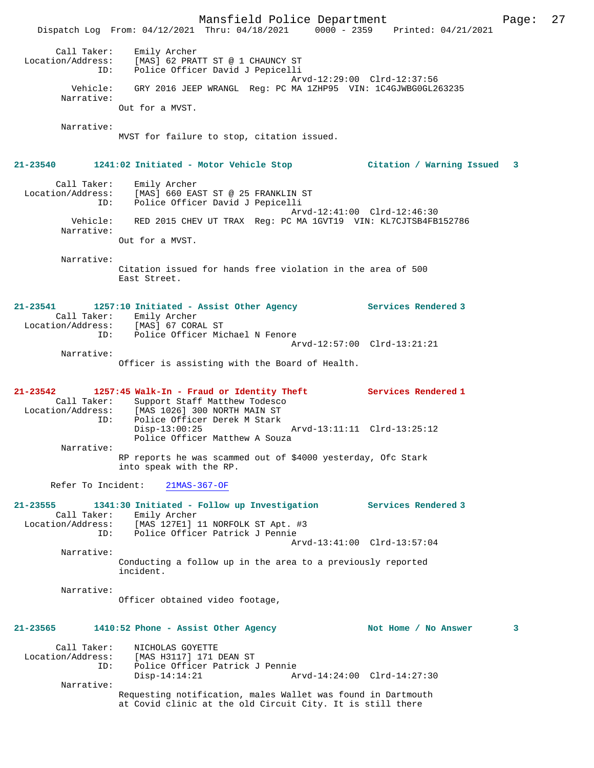Mansfield Police Department Page: 27 Dispatch Log From: 04/12/2021 Thru: 04/18/2021 0000 - 2359 Printed: 04/21/2021 Call Taker: Emily Archer Location/Address: [MAS] 62 PRATT ST @ 1 CHAUNCY ST ID: Police Officer David J Pepicelli Arvd-12:29:00 Clrd-12:37:56 Vehicle: GRY 2016 JEEP WRANGL Reg: PC MA 1ZHP95 VIN: 1C4GJWBG0GL263235 Narrative: Out for a MVST. Narrative: MVST for failure to stop, citation issued. **21-23540 1241:02 Initiated - Motor Vehicle Stop Citation / Warning Issued 3** Call Taker: Emily Archer Location/Address: [MAS] 660 EAST ST @ 25 FRANKLIN ST ID: Police Officer David J Pepicelli Arvd-12:41:00 Clrd-12:46:30 Vehicle: RED 2015 CHEV UT TRAX Reg: PC MA 1GVT19 VIN: KL7CJTSB4FB152786 Narrative: Out for a MVST. Narrative: Citation issued for hands free violation in the area of 500 East Street. **21-23541 1257:10 Initiated - Assist Other Agency Services Rendered 3**  Call Taker: Emily Archer Location/Address: [MAS] 67 CORAL ST ID: Police Officer Michael N Fenore Arvd-12:57:00 Clrd-13:21:21 Narrative: Officer is assisting with the Board of Health. **21-23542 1257:45 Walk-In - Fraud or Identity Theft Services Rendered 1**  Call Taker: Support Staff Matthew Todesco<br>Location/Address: [MAS 1026] 300 NORTH MAIN ST Experiment Pattlew Todescorn<br>Address: [MAS 1026] 300 NORTH MAIN ST<br>TD: Police Officer Derek M Stark Police Officer Derek M Stark<br>Disp-13:00:25 Disp-13:00:25 Arvd-13:11:11 Clrd-13:25:12 Police Officer Matthew A Souza Narrative: RP reports he was scammed out of \$4000 yesterday, Ofc Stark into speak with the RP. Refer To Incident: 21MAS-367-OF **21-23555 1341:30 Initiated - Follow up Investigation Services Rendered 3**  Call Taker: Emily Archer<br>Location/Address: [MAS 127E1] [MAS 127E1] 11 NORFOLK ST Apt. #3 ID: Police Officer Patrick J Pennie Arvd-13:41:00 Clrd-13:57:04 Narrative: Conducting a follow up in the area to a previously reported incident. Narrative: Officer obtained video footage, 21-23565 1410:52 Phone - Assist Other Agency **Not Home / No Answer** 3 Call Taker: NICHOLAS GOYETTE Location/Address: [MAS H3117] 171 DEAN ST ID: Police Officer Patrick J Pennie Disp-14:14:21 Arvd-14:24:00 Clrd-14:27:30 Narrative: Requesting notification, males Wallet was found in Dartmouth at Covid clinic at the old Circuit City. It is still there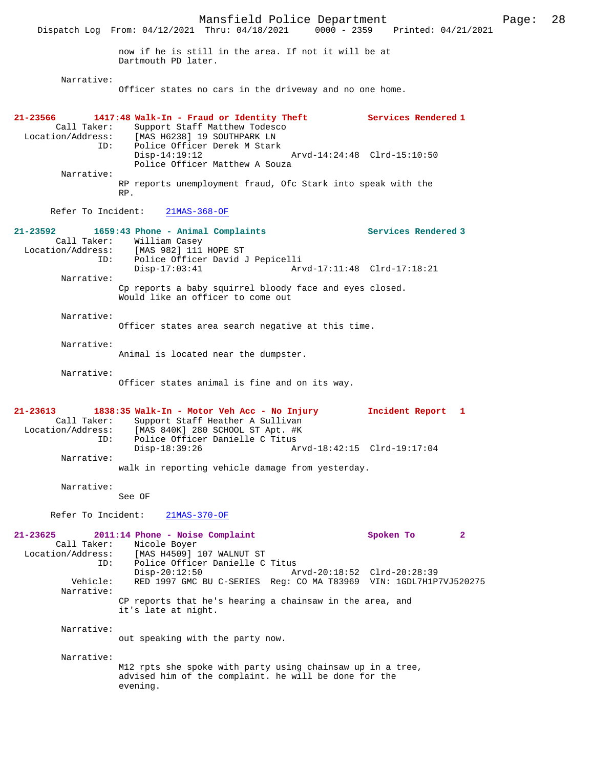Dartmouth PD later.

Narrative:

Officer states no cars in the driveway and no one home.

| 21-23566<br>Call Taker:<br>Location/Address:<br>ID: | 1417:48 Walk-In - Fraud or Identity Theft<br>Support Staff Matthew Todesco<br>[MAS H6238] 19 SOUTHPARK LN<br>Police Officer Derek M Stark                                                   | Services Rendered 1                                 |
|-----------------------------------------------------|---------------------------------------------------------------------------------------------------------------------------------------------------------------------------------------------|-----------------------------------------------------|
| Narrative:                                          | $Disp-14:19:12$<br>Police Officer Matthew A Souza                                                                                                                                           | Arvd-14:24:48 Clrd-15:10:50                         |
|                                                     | RP reports unemployment fraud, Ofc Stark into speak with the<br>RP.                                                                                                                         |                                                     |
| Refer To Incident:                                  | $21MAS-368-OF$                                                                                                                                                                              |                                                     |
| $21 - 23592$<br>ID:                                 | 1659:43 Phone - Animal Complaints<br>Call Taker: William Casey<br>Location/Address: [MAS 982] 111 HOPE ST<br>Police Officer David J Pepicelli                                               | Services Rendered 3                                 |
| Narrative:                                          | $Disp-17:03:41$                                                                                                                                                                             | Arvd-17:11:48 Clrd-17:18:21                         |
|                                                     | Cp reports a baby squirrel bloody face and eyes closed.<br>Would like an officer to come out                                                                                                |                                                     |
| Narrative:                                          | Officer states area search negative at this time.                                                                                                                                           |                                                     |
| Narrative:                                          | Animal is located near the dumpster.                                                                                                                                                        |                                                     |
| Narrative:                                          | Officer states animal is fine and on its way.                                                                                                                                               |                                                     |
| 21-23613<br>Call Taker:<br>ID:<br>Narrative:        | 1838:35 Walk-In - Motor Veh Acc - No Injury<br>Support Staff Heather A Sullivan<br>Location/Address: [MAS 840K] 280 SCHOOL ST Apt. #K<br>Police Officer Danielle C Titus<br>$Disp-18:39:26$ | Incident Report<br>1<br>Arvd-18:42:15 Clrd-19:17:04 |
|                                                     | walk in reporting vehicle damage from yesterday.                                                                                                                                            |                                                     |
| Narrative:                                          | See OF                                                                                                                                                                                      |                                                     |
| Refer To Incident:                                  | $21MAS-370-OF$                                                                                                                                                                              |                                                     |
| 21-23625<br>Call Taker:<br>Location/Address:<br>ID: | 2011:14 Phone - Noise Complaint<br>Nicole Boyer<br>[MAS H4509] 107 WALNUT ST<br>Police Officer Danielle C Titus                                                                             | Spoken To<br>$\mathbf{2}$                           |
| Vehicle:<br>Narrative:                              | $Disp-20:12:50$<br>RED 1997 GMC BU C-SERIES Reg: CO MA T83969 VIN: 1GDL7H1P7VJ520275                                                                                                        | Arvd-20:18:52 Clrd-20:28:39                         |
|                                                     | CP reports that he's hearing a chainsaw in the area, and<br>it's late at night.                                                                                                             |                                                     |
| Narrative:                                          | out speaking with the party now.                                                                                                                                                            |                                                     |
| Narrative:                                          | M12 rpts she spoke with party using chainsaw up in a tree,<br>advised him of the complaint. he will be done for the<br>evening.                                                             |                                                     |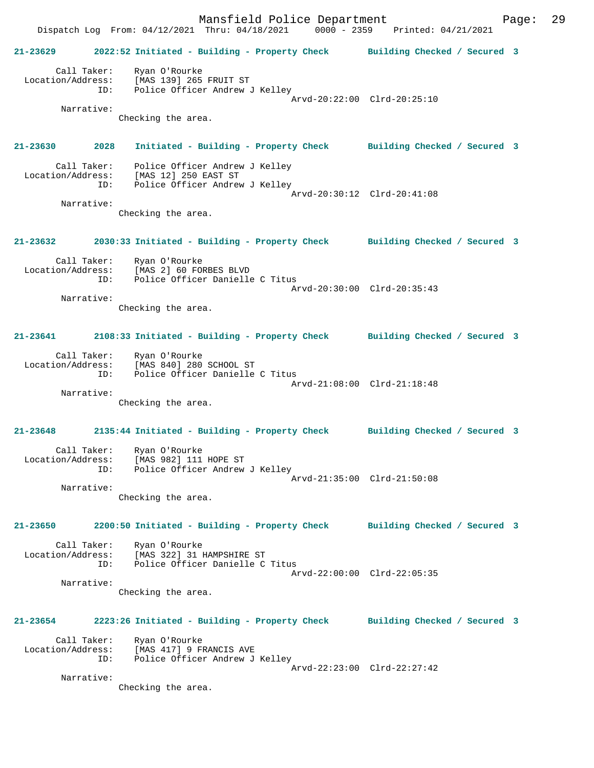Mansfield Police Department Page: 29 Dispatch Log From: 04/12/2021 Thru: 04/18/2021 0000 - 2359 Printed: 04/21/2021 **21-23629 2022:52 Initiated - Building - Property Check Building Checked / Secured 3** Call Taker: Ryan O'Rourke Location/Address: [MAS 139] 265 FRUIT ST ID: Police Officer Andrew J Kelley Arvd-20:22:00 Clrd-20:25:10 Narrative: Checking the area. **21-23630 2028 Initiated - Building - Property Check Building Checked / Secured 3** Call Taker: Police Officer Andrew J Kelley Location/Address: [MAS 12] 250 EAST ST Police Officer Andrew J Kelley Arvd-20:30:12 Clrd-20:41:08 Narrative: Checking the area. **21-23632 2030:33 Initiated - Building - Property Check Building Checked / Secured 3** Call Taker: Ryan O'Rourke Location/Address: [MAS 2] 60 FORBES BLVD ID: Police Officer Danielle C Titus Arvd-20:30:00 Clrd-20:35:43 Narrative: Checking the area. **21-23641 2108:33 Initiated - Building - Property Check Building Checked / Secured 3** Call Taker: Ryan O'Rourke Location/Address: [MAS 840] 280 SCHOOL ST ID: Police Officer Danielle C Titus Arvd-21:08:00 Clrd-21:18:48 Narrative: Checking the area. **21-23648 2135:44 Initiated - Building - Property Check Building Checked / Secured 3** Call Taker: Ryan O'Rourke Location/Address: [MAS 982] 111 HOPE ST ID: Police Officer Andrew J Kelley Arvd-21:35:00 Clrd-21:50:08 Narrative: Checking the area. **21-23650 2200:50 Initiated - Building - Property Check Building Checked / Secured 3** Call Taker: Ryan O'Rourke Location/Address: [MAS 322] 31 HAMPSHIRE ST ID: Police Officer Danielle C Titus Arvd-22:00:00 Clrd-22:05:35 Narrative: Checking the area. **21-23654 2223:26 Initiated - Building - Property Check Building Checked / Secured 3** Call Taker: Ryan O'Rourke Location/Address: [MAS 417] 9 FRANCIS AVE ID: Police Officer Andrew J Kelley Arvd-22:23:00 Clrd-22:27:42 Narrative: Checking the area.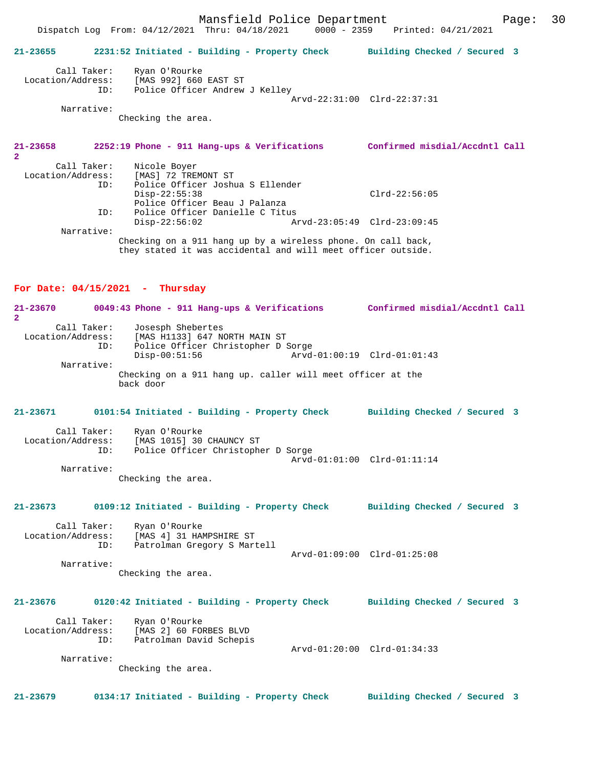# **21-23655 2231:52 Initiated - Building - Property Check Building Checked / Secured 3** Call Taker: Ryan O'Rourke Location/Address: [MAS 992] 660 EAST ST ID: Police Officer Andrew J Kelley Arvd-22:31:00 Clrd-22:37:31 Narrative: Checking the area. **21-23658 2252:19 Phone - 911 Hang-ups & Verifications Confirmed misdial/Accdntl Call**

| $\overline{2}$    |                                                              |  |
|-------------------|--------------------------------------------------------------|--|
| Call Taker:       | Nicole Boyer                                                 |  |
| Location/Address: | [MAS] 72 TREMONT ST                                          |  |
| ID:               | Police Officer Joshua S Ellender                             |  |
|                   | $Clrd-22:56:05$<br>$Disp-22:55:38$                           |  |
|                   | Police Officer Beau J Palanza                                |  |
| ID:               | Police Officer Danielle C Titus                              |  |
|                   | Arvd-23:05:49 Clrd-23:09:45<br>$Disp-22:56:02$               |  |
| Narrative:        |                                                              |  |
|                   | Checking on a 911 hang up by a wireless phone. On call back, |  |

they stated it was accidental and will meet officer outside.

### **For Date: 04/15/2021 - Thursday**

**21-23670 0049:43 Phone - 911 Hang-ups & Verifications Confirmed misdial/Accdntl Call 2**  Call Taker: Josesph Shebertes Location/Address: [MAS H1133] 647 NORTH MAIN ST ID: Police Officer Christopher D Sorge Arvd-01:00:19 Clrd-01:01:43 Narrative: Checking on a 911 hang up. caller will meet officer at the back door **21-23671 0101:54 Initiated - Building - Property Check Building Checked / Secured 3** Call Taker: Ryan O'Rourke Location/Address: [MAS 1015] 30 CHAUNCY ST ID: Police Officer Christopher D Sorge Arvd-01:01:00 Clrd-01:11:14 Narrative: Checking the area. **21-23673 0109:12 Initiated - Building - Property Check Building Checked / Secured 3** Call Taker: Ryan O'Rourke<br>Location/Address: [MAS 4] 31 HA [MAS 4] 31 HAMPSHIRE ST ID: Patrolman Gregory S Martell Arvd-01:09:00 Clrd-01:25:08 Narrative: Checking the area. **21-23676 0120:42 Initiated - Building - Property Check Building Checked / Secured 3** Call Taker: Ryan O'Rourke Location/Address: [MAS 2] 60 FORBES BLVD Patrolman David Schepis Arvd-01:20:00 Clrd-01:34:33 Narrative: Checking the area.

**21-23679 0134:17 Initiated - Building - Property Check Building Checked / Secured 3**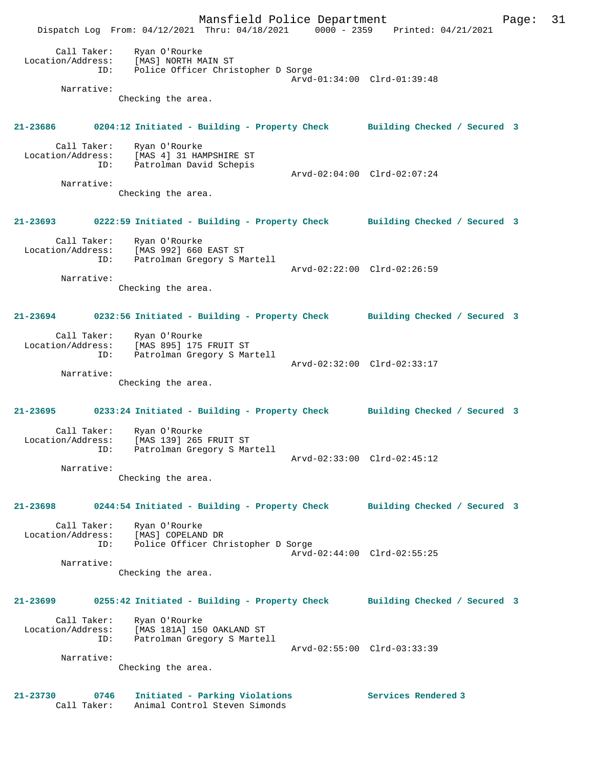Mansfield Police Department Page: 31 Dispatch Log From: 04/12/2021 Thru: 04/18/2021 0000 - 2359 Printed: 04/21/2021 Call Taker: Ryan O'Rourke Location/Address: [MAS] NORTH MAIN ST ID: Police Officer Christopher D Sorge Arvd-01:34:00 Clrd-01:39:48 Narrative: Checking the area. **21-23686 0204:12 Initiated - Building - Property Check Building Checked / Secured 3** Call Taker: Ryan O'Rourke Location/Address: [MAS 4] 31 HAMPSHIRE ST ID: Patrolman David Schepis Arvd-02:04:00 Clrd-02:07:24 Narrative: Checking the area. **21-23693 0222:59 Initiated - Building - Property Check Building Checked / Secured 3** Call Taker: Ryan O'Rourke Location/Address: [MAS 992] 660 EAST ST ID: Patrolman Gregory S Martell Arvd-02:22:00 Clrd-02:26:59 Narrative: Checking the area. **21-23694 0232:56 Initiated - Building - Property Check Building Checked / Secured 3** Call Taker: Ryan O'Rourke Location/Address: [MAS 895] 175 FRUIT ST ID: Patrolman Gregory S Martell Arvd-02:32:00 Clrd-02:33:17 Narrative: Checking the area. **21-23695 0233:24 Initiated - Building - Property Check Building Checked / Secured 3** Call Taker: Ryan O'Rourke Location/Address: [MAS 139] 265 FRUIT ST ID: Patrolman Gregory S Martell Arvd-02:33:00 Clrd-02:45:12 Narrative: Checking the area. **21-23698 0244:54 Initiated - Building - Property Check Building Checked / Secured 3** Call Taker: Ryan O'Rourke Location/Address: [MAS] COPELAND DR ID: Police Officer Christopher D Sorge Arvd-02:44:00 Clrd-02:55:25 Narrative: Checking the area. **21-23699 0255:42 Initiated - Building - Property Check Building Checked / Secured 3** Call Taker: Ryan O'Rourke Location/Address: [MAS 181A] 150 OAKLAND ST ID: Patrolman Gregory S Martell Arvd-02:55:00 Clrd-03:33:39 Narrative: Checking the area. Initiated - Parking Violations Services Rendered 3 21-23730 0746 Initiated - Parking Violations<br>Call Taker: Animal Control Steven Simonds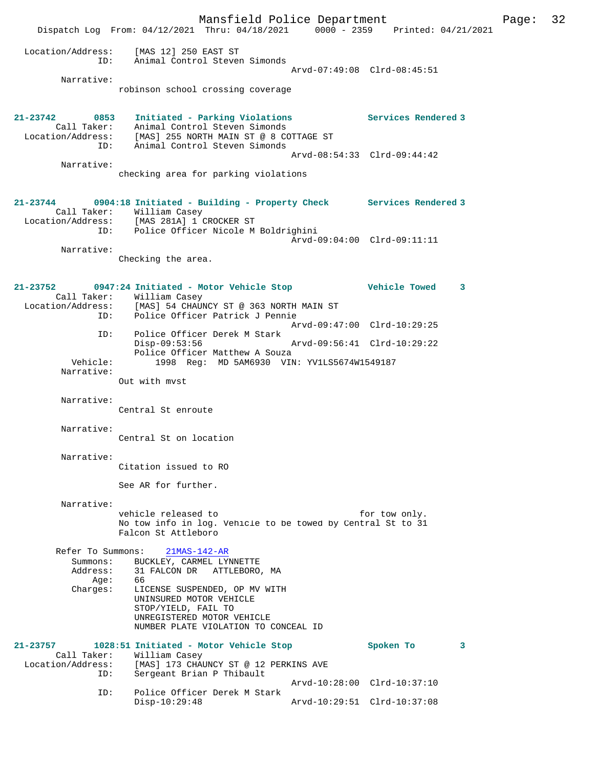Mansfield Police Department Page: 32 Dispatch Log From: 04/12/2021 Thru: 04/18/2021 0000 - 2359 Printed: 04/21/2021 Location/Address: [MAS 12] 250 EAST ST ID: Animal Control Steven Simonds Arvd-07:49:08 Clrd-08:45:51 Narrative: robinson school crossing coverage **21-23742 0853 Initiated - Parking Violations Services Rendered 3**  Call Taker: Animal Control Steven Simonds Location/Address: [MAS] 255 NORTH MAIN ST @ 8 COTTAGE ST ID: Animal Control Steven Simonds Arvd-08:54:33 Clrd-09:44:42 Narrative: checking area for parking violations **21-23744 0904:18 Initiated - Building - Property Check Services Rendered 3**  Call Taker: William Casey Location/Address: [MAS 281A] 1 CROCKER ST ID: Police Officer Nicole M Boldrighini Arvd-09:04:00 Clrd-09:11:11 Narrative: Checking the area. **21-23752 0947:24 Initiated - Motor Vehicle Stop Vehicle Towed 3**  Call Taker: William Casey Location/Address: [MAS] 54 CHAUNCY ST @ 363 NORTH MAIN ST ID: Police Officer Patrick J Pennie Arvd-09:47:00 Clrd-10:29:25 ID: Police Officer Derek M Stark Disp-09:53:56 Arvd-09:56:41 Clrd-10:29:22 Police Officer Matthew A Souza Vehicle: 1998 Reg: MD 5AM6930 VIN: YV1LS5674W1549187 Narrative: Out with mvst Narrative: Central St enroute Narrative: Central St on location Narrative: Citation issued to RO See AR for further. Narrative: vehicle released to for tow only. No tow info in log. Vehicle to be towed by Central St to 31 Falcon St Attleboro Refer To Summons: 21MAS-142-AR Summons: BUCKLEY, CARMEL LYNNETTE Address: 31 FALCON DR ATTLEBORO, MA Age: 66<br>Charges: LIC LICENSE SUSPENDED, OP MV WITH UNINSURED MOTOR VEHICLE STOP/YIELD, FAIL TO UNREGISTERED MOTOR VEHICLE NUMBER PLATE VIOLATION TO CONCEAL ID **21-23757 1028:51 Initiated - Motor Vehicle Stop Spoken To 3**  Call Taker: William Casey<br>Location/Address: [MAS] 173 CHA [MAS] 173 CHAUNCY ST @ 12 PERKINS AVE ID: Sergeant Brian P Thibault Arvd-10:28:00 Clrd-10:37:10 ID: Police Officer Derek M Stark Disp-10:29:48 Arvd-10:29:51 Clrd-10:37:08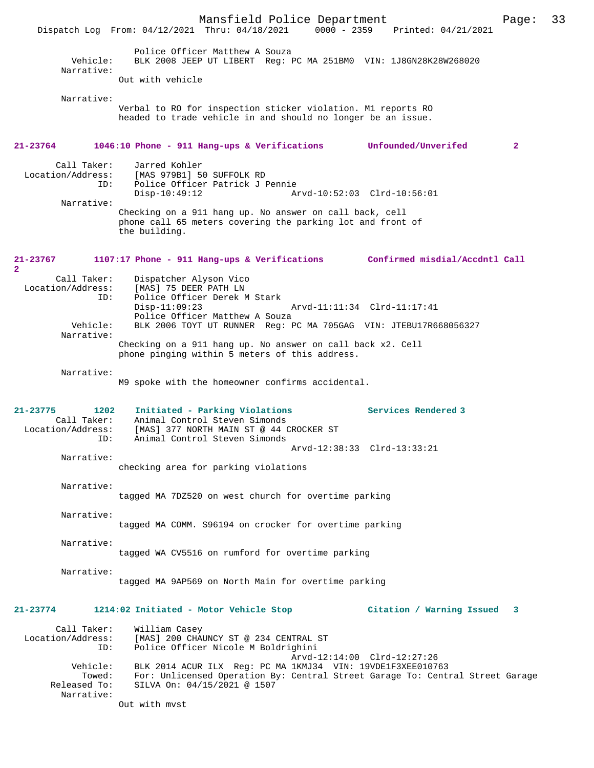Mansfield Police Department Page: 33 Dispatch Log From: 04/12/2021 Thru: 04/18/2021 Police Officer Matthew A Souza Vehicle: BLK 2008 JEEP UT LIBERT Reg: PC MA 251BM0 VIN: 1J8GN28K28W268020 Narrative: Out with vehicle Narrative: Verbal to RO for inspection sticker violation. M1 reports RO headed to trade vehicle in and should no longer be an issue. **21-23764 1046:10 Phone - 911 Hang-ups & Verifications Unfounded/Unverifed 2** Call Taker: Jarred Kohler<br>Location/Address: [MAS 979B1] 5 ess: [MAS 979B1] 50 SUFFOLK RD<br>ID: Police Officer Patrick J I Police Officer Patrick J Pennie<br>Disp-10:49:12 Ar Arvd-10:52:03 Clrd-10:56:01 Narrative: Checking on a 911 hang up. No answer on call back, cell phone call 65 meters covering the parking lot and front of the building. **21-23767 1107:17 Phone - 911 Hang-ups & Verifications Confirmed misdial/Accdntl Call** Call Taker: Dispatcher Alyson Vico Location/Address: [MAS] 75 DEER PATH LN<br>ID: Police Officer Derek M Police Officer Derek M Stark<br>Disp-11:09:23 Disp-11:09:23 Arvd-11:11:34 Clrd-11:17:41 Police Officer Matthew A Souza Vehicle: BLK 2006 TOYT UT RUNNER Reg: PC MA 705GAG VIN: JTEBU17R668056327 Narrative: Checking on a 911 hang up. No answer on call back x2. Cell phone pinging within 5 meters of this address. Narrative: M9 spoke with the homeowner confirms accidental. **21-23775 1202 Initiated - Parking Violations Services Rendered 3**  Call Taker: Animal Control Steven Simonds<br>Location/Address: [MAS] 377 NORTH MAIN ST @ 44 C ess: [MAS] 377 NORTH MAIN ST @ 44 CROCKER ST<br>ID: Animal Control Steven Simonds Animal Control Steven Simonds Arvd-12:38:33 Clrd-13:33:21 Narrative: checking area for parking violations Narrative: tagged MA 7DZ520 on west church for overtime parking Narrative: tagged MA COMM. S96194 on crocker for overtime parking Narrative: tagged WA CV5516 on rumford for overtime parking Narrative: tagged MA 9AP569 on North Main for overtime parking **21-23774 1214:02 Initiated - Motor Vehicle Stop Citation / Warning Issued 3** Call Taker: William Casey<br>Location/Address: [MAS] 200 CHA ess: [MAS] 200 CHAUNCY ST @ 234 CENTRAL ST<br>ID: Police Officer Nicole M Boldrighini Police Officer Nicole M Boldrighini Arvd-12:14:00 Clrd-12:27:26 Vehicle: BLK 2014 ACUR ILX Reg: PC MA 1KMJ34 VIN: 19VDE1F3XEE010763 Towed: For: Unlicensed Operation By: Central Street Garage To: Central Street Garage Released To: SILVA On: 04/15/2021 @ 1507 Narrative: Out with mvst

**2**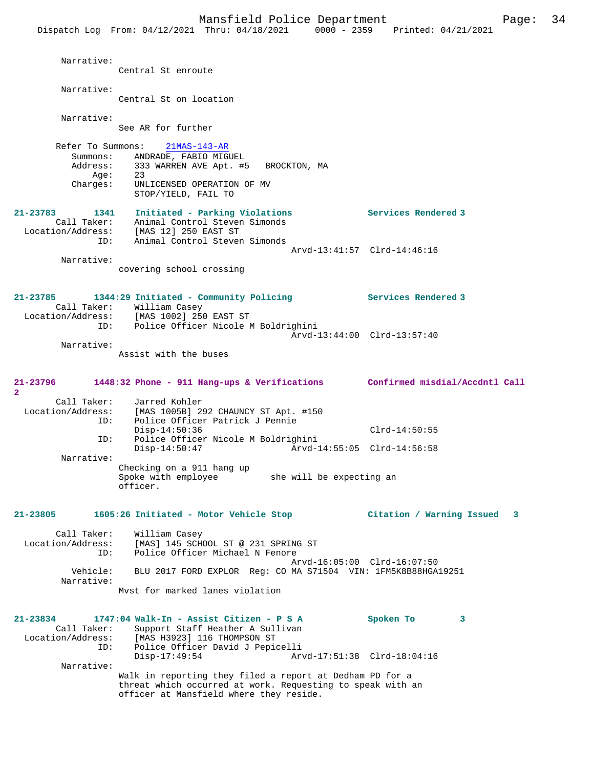Mansfield Police Department Page: 34 Dispatch Log From: 04/12/2021 Thru: 04/18/2021 0000 - 2359 Printed: 04/21/2021 Narrative: Central St enroute Narrative: Central St on location Narrative: See AR for further Refer To Summons: 21MAS-143-AR Summons: ANDRADE, FABIO MIGUEL<br>Address: 333 WARREN AVE Apt. #5 333 WARREN AVE Apt. #5 BROCKTON, MA Age: 23<br>Charges: UNI UNLICENSED OPERATION OF MV STOP/YIELD, FAIL TO **21-23783 1341 Initiated - Parking Violations Services Rendered 3**  Call Taker: Animal Control Steven Simonds Location/Address: [MAS 12] 250 EAST ST ID: Animal Control Steven Simonds Arvd-13:41:57 Clrd-14:46:16 Narrative: covering school crossing **21-23785 1344:29 Initiated - Community Policing Services Rendered 3**  Call Taker: William Casey Location/Address: [MAS 1002] 250 EAST ST ID: Police Officer Nicole M Boldrighini Arvd-13:44:00 Clrd-13:57:40 Narrative: Assist with the buses **21-23796 1448:32 Phone - 911 Hang-ups & Verifications Confirmed misdial/Accdntl Call 2**  Call Taker: Jarred Kohler<br>Location/Address: [MAS 1005B] 2 ess: [MAS 1005B] 292 CHAUNCY ST Apt. #150<br>ID: Police Officer Patrick J Pennie Police Officer Patrick J Pennie Disp-14:50:36 Clrd-14:50:55<br>ID: Police Officer Nicole M Boldrighini ID: Police Officer Nicole M Boldrighini Disp-14:50:47 Arvd-14:55:05 Clrd-14:56:58 Narrative: Checking on a 911 hang up Spoke with employee she will be expecting an officer. **21-23805 1605:26 Initiated - Motor Vehicle Stop Citation / Warning Issued 3** Call Taker: William Casey Location/Address: [MAS] 145 SCHOOL ST @ 231 SPRING ST Police Officer Michael N Fenore Arvd-16:05:00 Clrd-16:07:50<br>Vehicle: BLU 2017 FORD EXPLOR Reg: CO MA S71504 VIN: 1FM5K8B88HGA BLU 2017 FORD EXPLOR Reg: CO MA S71504 VIN: 1FM5K8B88HGA19251 Narrative: Mvst for marked lanes violation **21-23834 1747:04 Walk-In - Assist Citizen - P S A Spoken To 3**  Call Taker: Support Staff Heather A Sullivan<br>Location/Address: [MAS H3923] 116 THOMPSON ST Location/Address: [MAS H3923] 116 THOMPSON ST ID: Police Officer David J Pepicelli Disp-17:49:54 Arvd-17:51:38 Clrd-18:04:16 Narrative: Walk in reporting they filed a report at Dedham PD for a threat which occurred at work. Requesting to speak with an officer at Mansfield where they reside.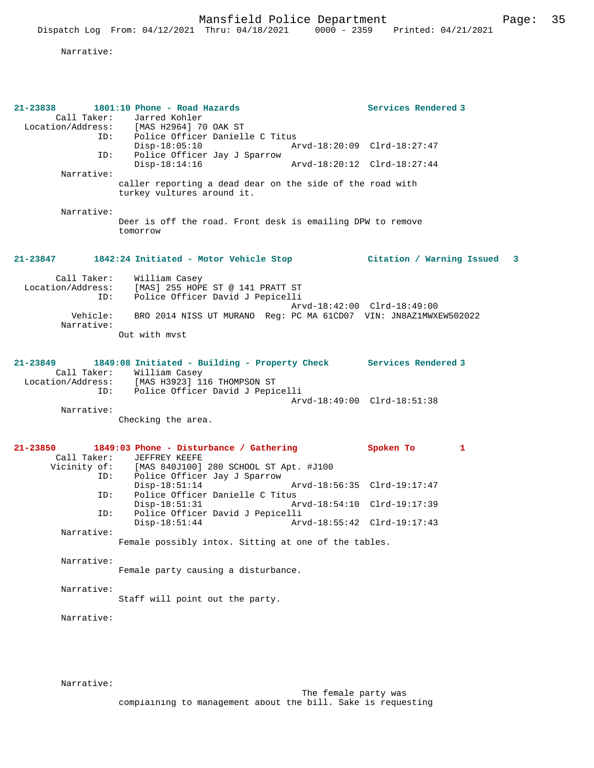Narrative:

| 21-23838<br>Call Taker:<br>Location/Address:<br>ID:<br>Narrative:<br>Narrative: | 1801:10 Phone - Road Hazards<br>Jarred Kohler<br>[MAS H2964] 70 OAK ST<br>ID: Police Officer Danielle C Titus<br>$Disp-18:05:10$<br>Police Officer Jay J Sparrow<br>$Disp-18:14:16$<br>caller reporting a dead dear on the side of the road with<br>turkey vultures around it.<br>Deer is off the road. Front desk is emailing DPW to remove<br>tomorrow | Services Rendered 3<br>Arvd-18:20:09 Clrd-18:27:47<br>Arvd-18:20:12 Clrd-18:27:44                      |   |
|---------------------------------------------------------------------------------|----------------------------------------------------------------------------------------------------------------------------------------------------------------------------------------------------------------------------------------------------------------------------------------------------------------------------------------------------------|--------------------------------------------------------------------------------------------------------|---|
| 21-23847                                                                        | 1842:24 Initiated - Motor Vehicle Stop (Citation / Warning Issued 3                                                                                                                                                                                                                                                                                      |                                                                                                        |   |
| Call Taker:<br>Location/Address:<br>ID:<br>Vehicle:<br>Narrative:               | William Casey<br>[MAS] 255 HOPE ST @ 141 PRATT ST<br>Police Officer David J Pepicelli<br>BRO 2014 NISS UT MURANO Req: PC MA 61CD07 VIN: JN8AZ1MWXEW502022<br>Out with myst                                                                                                                                                                               | Arvd-18:42:00 Clrd-18:49:00                                                                            |   |
| $21 - 23849$<br>Location/Address:<br>ID:<br>Narrative:                          | 1849:08 Initiated - Building - Property Check Services Rendered 3<br>Call Taker: William Casey<br>[MAS H3923] 116 THOMPSON ST<br>Police Officer David J Pepicelli<br>Checking the area.                                                                                                                                                                  | Arvd-18:49:00 Clrd-18:51:38                                                                            |   |
| 21-23850<br>Call Taker:<br>ID:<br>ID:<br>ID:<br>Narrative:                      | 1849:03 Phone - Disturbance / Gathering<br>JEFFREY KEEFE<br>Vicinity of: [MAS 840J100] 280 SCHOOL ST Apt. #J100<br>Police Officer Jay J Sparrow<br>$Disp-18:51:14$<br>Police Officer Danielle C Titus<br>$Disp-18:51:31$<br>Police Officer David J Pepicelli<br>$Disp-18:51:44$<br>Female possibly intox. Sitting at one of the tables.                  | Spoken To<br>Arvd-18:56:35 Clrd-19:17:47<br>Arvd-18:54:10 Clrd-19:17:39<br>Arvd-18:55:42 Clrd-19:17:43 | 1 |
| Narrative:<br>Narrative:                                                        | Female party causing a disturbance.<br>Staff will point out the party.                                                                                                                                                                                                                                                                                   |                                                                                                        |   |
| Narrative:                                                                      |                                                                                                                                                                                                                                                                                                                                                          |                                                                                                        |   |

Narrative: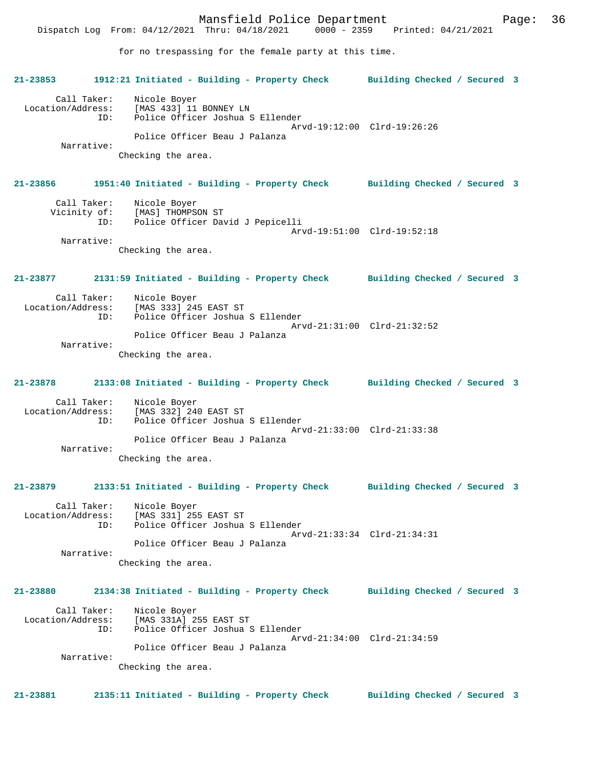Mansfield Police Department Page: 36 Dispatch Log From: 04/12/2021 Thru: 04/18/2021 for no trespassing for the female party at this time. **21-23853 1912:21 Initiated - Building - Property Check Building Checked / Secured 3** Call Taker: Nicole Boyer<br>Location/Address: [MAS 433] 11 ess: [MAS 433] 11 BONNEY LN:<br>ID: Police Officer Joshua S Police Officer Joshua S Ellender Arvd-19:12:00 Clrd-19:26:26 Police Officer Beau J Palanza Narrative: Checking the area. **21-23856 1951:40 Initiated - Building - Property Check Building Checked / Secured 3** Call Taker: Nicole Boyer<br>Vicinity of: [MAS] THOMPS of: [MAS] THOMPSON ST<br>ID: Police Officer Day Police Officer David J Pepicelli Arvd-19:51:00 Clrd-19:52:18 Narrative: Checking the area. **21-23877 2131:59 Initiated - Building - Property Check Building Checked / Secured 3** Call Taker: Nicole Boyer<br>Location/Address: [MAS 333] 249 [MAS 333] 245 EAST ST ID: Police Officer Joshua S Ellender Arvd-21:31:00 Clrd-21:32:52 Police Officer Beau J Palanza Narrative: Checking the area. **21-23878 2133:08 Initiated - Building - Property Check Building Checked / Secured 3**

Call Taker: Nicole Boyer<br>Location/Address: [MAS 332] 24 Location/Address: [MAS 332] 240 EAST ST ID: Police Officer Joshua S Ellender Arvd-21:33:00 Clrd-21:33:38 Police Officer Beau J Palanza Narrative: Checking the area.

**21-23879 2133:51 Initiated - Building - Property Check Building Checked / Secured 3**

Call Taker: Nicole Boyer<br>Location/Address: [MAS 331] 25 ess: [MAS 331] 255 EAST ST<br>TD: Police Officer Joshua Police Officer Joshua S Ellender Arvd-21:33:34 Clrd-21:34:31 Police Officer Beau J Palanza Narrative:

Police Officer Beau J Palanza

Checking the area.

# **21-23880 2134:38 Initiated - Building - Property Check Building Checked / Secured 3** Call Taker: Nicole Boyer<br>Location/Address: [MAS 331A] 2 ess: [MAS 331A] 255 EAST ST<br>ID: Police Officer Joshua S Police Officer Joshua S Ellender Arvd-21:34:00 Clrd-21:34:59

Narrative:

Checking the area.

**21-23881 2135:11 Initiated - Building - Property Check Building Checked / Secured 3**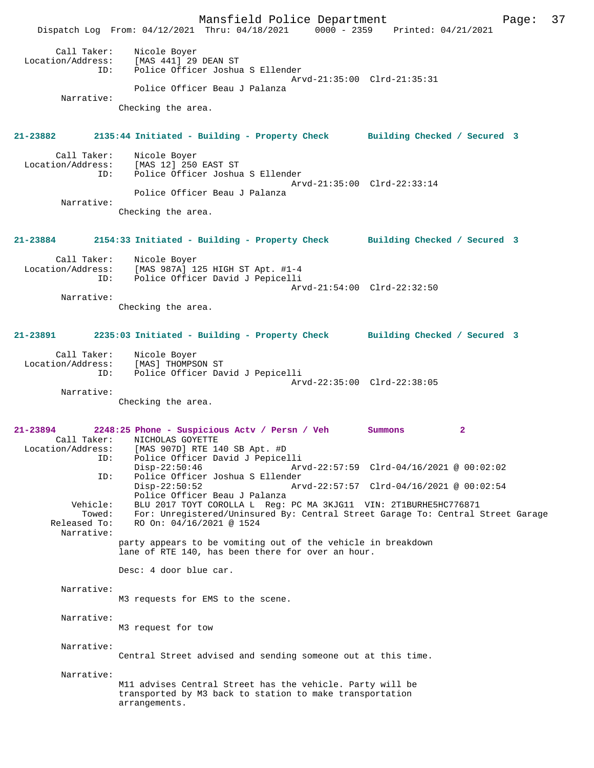Mansfield Police Department Page: 37 Dispatch Log From: 04/12/2021 Thru: 04/18/2021 0000 - 2359 Printed: 04/21/2021 Call Taker: Nicole Boyer Location/Address: [MAS 441] 29 DEAN ST ID: Police Officer Joshua S Ellender Arvd-21:35:00 Clrd-21:35:31 Police Officer Beau J Palanza Narrative: Checking the area. **21-23882 2135:44 Initiated - Building - Property Check Building Checked / Secured 3** Call Taker: Nicole Boyer Location/Address: [MAS 12] 250 EAST ST Police Officer Joshua S Ellender Arvd-21:35:00 Clrd-22:33:14 Police Officer Beau J Palanza Narrative: Checking the area. **21-23884 2154:33 Initiated - Building - Property Check Building Checked / Secured 3** Call Taker: Nicole Boyer Location/Address: [MAS 987A] 125 HIGH ST Apt. #1-4 ID: Police Officer David J Pepicelli Arvd-21:54:00 Clrd-22:32:50 Narrative: Checking the area. **21-23891 2235:03 Initiated - Building - Property Check Building Checked / Secured 3** Call Taker: Nicole Boyer<br>Location/Address: [MAS] THOMPS Location/Address: [MAS] THOMPSON ST ID: Police Officer David J Pepicelli Arvd-22:35:00 Clrd-22:38:05 Narrative: Checking the area. **21-23894 2248:25 Phone - Suspicious Actv / Persn / Veh Summons 2**  Call Taker: <br>
MICHOLAS GOYETTE<br>
Location/Address: [MAS 907D] RTE 1 ess: [MAS 907D] RTE 140 SB Apt. #D<br>TD: Police Officer David J Pepice ID: Police Officer David J Pepicelli Disp-22:50:46 Arvd-22:57:59 Clrd-04/16/2021 @ 00:02:02 ID: Police Officer Joshua S Ellender Disp-22:50:52 Arvd-22:57:57 Clrd-04/16/2021 @ 00:02:54 Police Officer Beau J Palanza<br>Vehicle: BLU 2017 TOYT COROLLA L Reg: BLU 2017 TOYT COROLLA L Reg: PC MA 3KJG11 VIN: 2T1BURHE5HC776871 Towed: For: Unregistered/Uninsured By: Central Street Garage To: Central Street Garage Released To: RO On: 04/16/2021 @ 1524 Narrative: party appears to be vomiting out of the vehicle in breakdown lane of RTE 140, has been there for over an hour. Desc: 4 door blue car. Narrative: M3 requests for EMS to the scene. Narrative: M3 request for tow Narrative: Central Street advised and sending someone out at this time. Narrative: M11 advises Central Street has the vehicle. Party will be transported by M3 back to station to make transportation arrangements.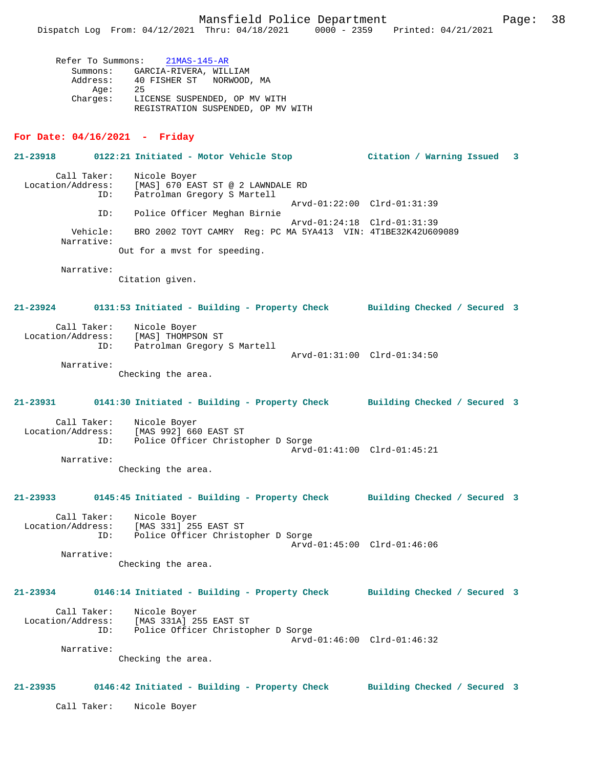Refer To Summons: 21MAS-145-AR Summons: GARCIA-RIVERA, WILLIAM Address: 40 FISHER ST NORWOOD, MA Age: 25 Charges: LICENSE SUSPENDED, OP MV WITH REGISTRATION SUSPENDED, OP MV WITH

### **For Date: 04/16/2021 - Friday**

**21-23918 0122:21 Initiated - Motor Vehicle Stop Citation / Warning Issued 3** Call Taker: Nicole Boyer<br>Location/Address: [MAS] 670 EAS [MAS] 670 EAST ST @ 2 LAWNDALE RD ID: Patrolman Gregory S Martell Arvd-01:22:00 Clrd-01:31:39<br>TD: Police Officer Meghan Birnie Police Officer Meghan Birnie Arvd-01:24:18 Clrd-01:31:39 Vehicle: BRO 2002 TOYT CAMRY Reg: PC MA 5YA413 VIN: 4T1BE32K42U609089 Narrative: Out for a mvst for speeding.

Narrative:

Citation given.

**21-23924 0131:53 Initiated - Building - Property Check Building Checked / Secured 3**

Arvd-01:31:00 Clrd-01:34:50

| Call Taker:       | Nicole Boyer                |
|-------------------|-----------------------------|
| Location/Address: | [MAS] THOMPSON ST           |
| TD:               | Patrolman Gregory S Martell |

Narrative:

Checking the area.

**21-23931 0141:30 Initiated - Building - Property Check Building Checked / Secured 3** Call Taker: Nicole Boyer Location/Address: [MAS 992] 660 EAST ST Police Officer Christopher D Sorge Arvd-01:41:00 Clrd-01:45:21

 Narrative: Checking the area.

**21-23933 0145:45 Initiated - Building - Property Check Building Checked / Secured 3**

 Call Taker: Nicole Boyer Location/Address: [MAS 331] 255 EAST ST ID: IMAS المحمد دده المدد Police Officer Christopher D Sorge Arvd-01:45:00 Clrd-01:46:06 Narrative:

Checking the area.

# **21-23934 0146:14 Initiated - Building - Property Check Building Checked / Secured 3**

 Call Taker: Nicole Boyer Location/Address: [MAS 331A] 255 EAST ST Police Officer Christopher D Sorge Arvd-01:46:00 Clrd-01:46:32

Checking the area.

### **21-23935 0146:42 Initiated - Building - Property Check Building Checked / Secured 3**

Call Taker: Nicole Boyer

Narrative: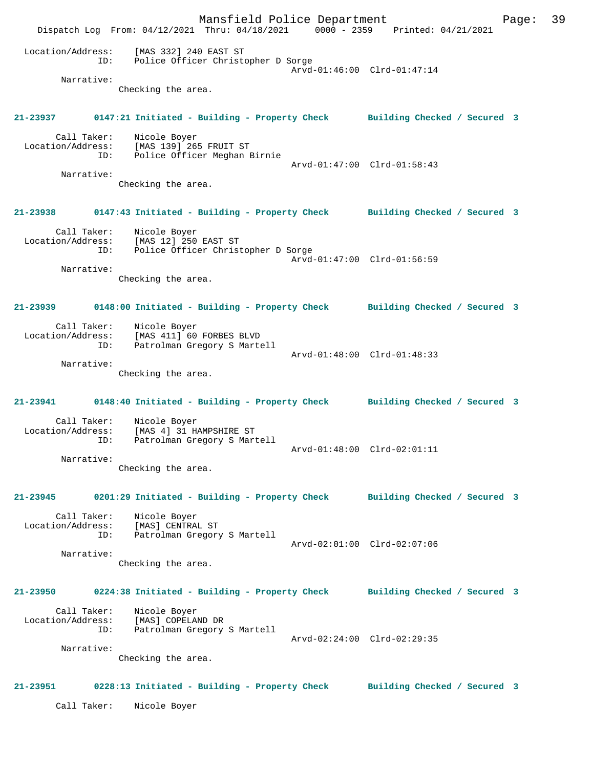Mansfield Police Department Page: 39 Dispatch Log From: 04/12/2021 Thru: 04/18/2021 0000 - 2359 Printed: 04/21/2021 Location/Address: [MAS 332] 240 EAST ST ID: Police Officer Christopher D Sorge Arvd-01:46:00 Clrd-01:47:14 Narrative: Checking the area. **21-23937 0147:21 Initiated - Building - Property Check Building Checked / Secured 3** Call Taker: Nicole Boyer Location/Address: [MAS 139] 265 FRUIT ST ID: Police Officer Meghan Birnie Arvd-01:47:00 Clrd-01:58:43 Narrative: Checking the area. **21-23938 0147:43 Initiated - Building - Property Check Building Checked / Secured 3** Call Taker: Nicole Boyer Location/Address: [MAS 12] 250 EAST ST ID: Police Officer Christopher D Sorge Arvd-01:47:00 Clrd-01:56:59 Narrative: Checking the area. **21-23939 0148:00 Initiated - Building - Property Check Building Checked / Secured 3** Call Taker: Nicole Boyer Location/Address: [MAS 411] 60 FORBES BLVD ID: Patrolman Gregory S Martell Arvd-01:48:00 Clrd-01:48:33 Narrative: Checking the area. **21-23941 0148:40 Initiated - Building - Property Check Building Checked / Secured 3** Call Taker: Nicole Boyer Location/Address: [MAS 4] 31 HAMPSHIRE ST Patrolman Gregory S Martell Arvd-01:48:00 Clrd-02:01:11 Narrative: Checking the area. **21-23945 0201:29 Initiated - Building - Property Check Building Checked / Secured 3** Call Taker: Nicole Boyer Location/Address: [MAS] CENTRAL ST ID: Patrolman Gregory S Martell Arvd-02:01:00 Clrd-02:07:06 Narrative: Checking the area. **21-23950 0224:38 Initiated - Building - Property Check Building Checked / Secured 3** Call Taker: Nicole Boyer Location/Address: [MAS] COPELAND DR ID: Patrolman Gregory S Martell Arvd-02:24:00 Clrd-02:29:35 Narrative: Checking the area. **21-23951 0228:13 Initiated - Building - Property Check Building Checked / Secured 3** Call Taker: Nicole Boyer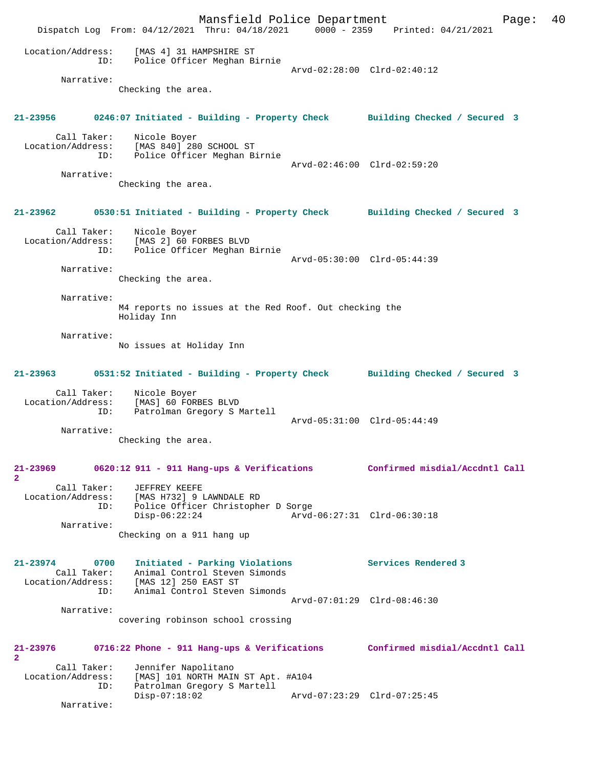Mansfield Police Department Form Page: 40 Dispatch Log From: 04/12/2021 Thru: 04/18/2021 0000 - 2359 Printed: 04/21/2021 Location/Address: [MAS 4] 31 HAMPSHIRE ST ID: Police Officer Meghan Birnie Arvd-02:28:00 Clrd-02:40:12 Narrative: Checking the area. **21-23956 0246:07 Initiated - Building - Property Check Building Checked / Secured 3** Call Taker: Nicole Boyer Location/Address: [MAS 840] 280 SCHOOL ST ID: Police Officer Meghan Birnie Arvd-02:46:00 Clrd-02:59:20 Narrative: Checking the area. **21-23962 0530:51 Initiated - Building - Property Check Building Checked / Secured 3** Call Taker: Nicole Boyer Location/Address: [MAS 2] 60 FORBES BLVD ID: Police Officer Meghan Birnie Arvd-05:30:00 Clrd-05:44:39 Narrative: Checking the area. Narrative: M4 reports no issues at the Red Roof. Out checking the Holiday Inn Narrative: No issues at Holiday Inn **21-23963 0531:52 Initiated - Building - Property Check Building Checked / Secured 3** Call Taker: Nicole Boyer Location/Address: [MAS] 60 FORBES BLVD ID: Patrolman Gregory S Martell Arvd-05:31:00 Clrd-05:44:49 Narrative: Checking the area. **21-23969 0620:12 911 - 911 Hang-ups & Verifications Confirmed misdial/Accdntl Call 2**  Call Taker: JEFFREY KEEFE Location/Address: [MAS H732] 9 LAWNDALE RD Police Officer Christopher D Sorge<br>Disp-06:22:24 Arvd Disp-06:22:24 Arvd-06:27:31 Clrd-06:30:18 Narrative: Checking on a 911 hang up **21-23974 0700 Initiated - Parking Violations Services Rendered 3**  Call Taker: Animal Control Steven Simonds Location/Address: [MAS 12] 250 EAST ST ID: Animal Control Steven Simonds Arvd-07:01:29 Clrd-08:46:30 Narrative: covering robinson school crossing **21-23976 0716:22 Phone - 911 Hang-ups & Verifications Confirmed misdial/Accdntl Call 2**  Call Taker: Jennifer Napolitano<br>Location/Address: [MAS] 101 NORTH MAI ess: [MAS] 101 NORTH MAIN ST Apt. #A104<br>ID: Patrolman Gregory S Martell Patrolman Gregory S Martell Disp-07:18:02 Arvd-07:23:29 Clrd-07:25:45 Narrative: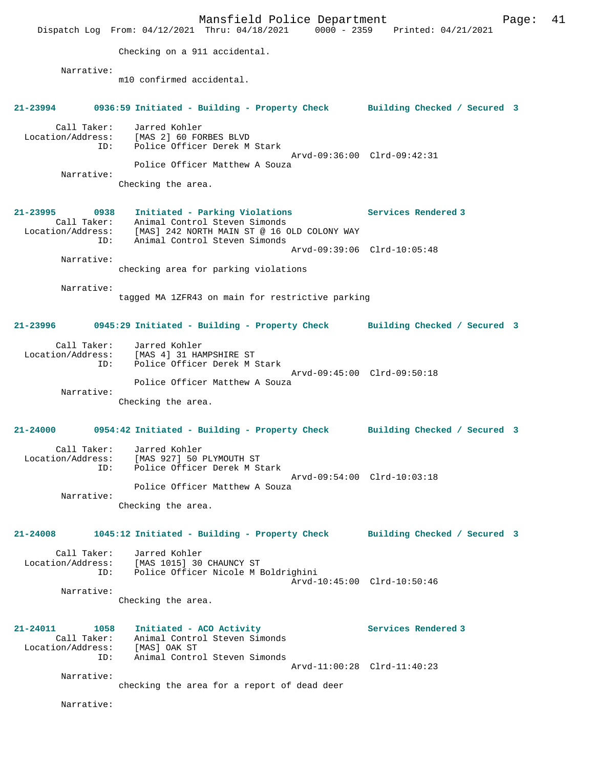Mansfield Police Department Fage: 41 Dispatch Log From: 04/12/2021 Thru: 04/18/2021 0000 - 2359 Printed: 04/21/2021 Checking on a 911 accidental. Narrative: m10 confirmed accidental. **21-23994 0936:59 Initiated - Building - Property Check Building Checked / Secured 3** Call Taker: Jarred Kohler Location/Address: [MAS 2] 60 FORBES BLVD ID: Police Officer Derek M Stark Arvd-09:36:00 Clrd-09:42:31 Police Officer Matthew A Souza Narrative: Checking the area. **21-23995 0938 Initiated - Parking Violations Services Rendered 3**  Call Taker: Animal Control Steven Simonds Location/Address: [MAS] 242 NORTH MAIN ST @ 16 OLD COLONY WAY ID: Animal Control Steven Simonds Arvd-09:39:06 Clrd-10:05:48 Narrative: checking area for parking violations Narrative: tagged MA 1ZFR43 on main for restrictive parking **21-23996 0945:29 Initiated - Building - Property Check Building Checked / Secured 3** Call Taker: Jarred Kohler Location/Address: [MAS 4] 31 HAMPSHIRE ST ID: Police Officer Derek M Stark Arvd-09:45:00 Clrd-09:50:18 Police Officer Matthew A Souza Narrative: Checking the area. **21-24000 0954:42 Initiated - Building - Property Check Building Checked / Secured 3** Call Taker: Jarred Kohler Location/Address: [MAS 927] 50 PLYMOUTH ST ID: Police Officer Derek M Stark Arvd-09:54:00 Clrd-10:03:18 Police Officer Matthew A Souza Narrative: Checking the area. **21-24008 1045:12 Initiated - Building - Property Check Building Checked / Secured 3** Call Taker: Jarred Kohler Location/Address: [MAS 1015] 30 CHAUNCY ST ID: Police Officer Nicole M Boldrighini Arvd-10:45:00 Clrd-10:50:46 Narrative: Checking the area. **21-24011 1058 Initiated - ACO Activity Services Rendered 3**  Call Taker: Animal Control Steven Simonds Location/Address: [MAS] OAK ST ID: Animal Control Steven Simonds Arvd-11:00:28 Clrd-11:40:23 Narrative: checking the area for a report of dead deer Narrative: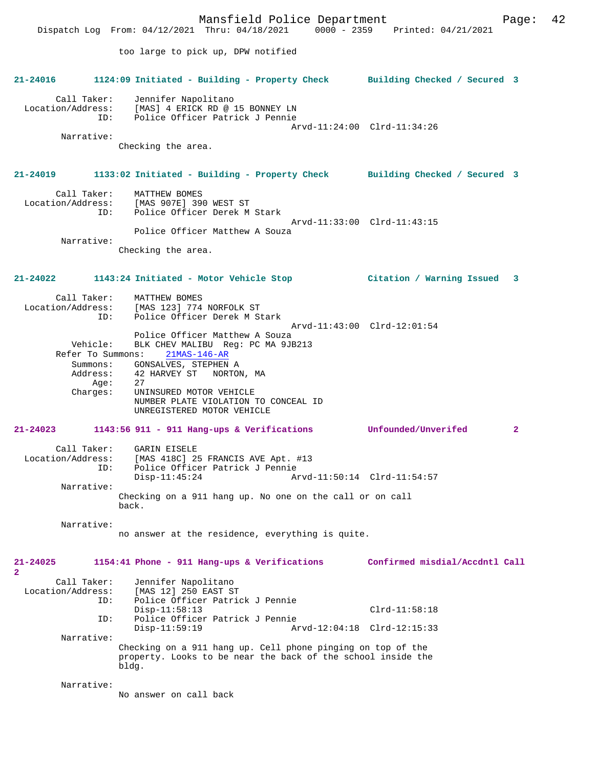Mansfield Police Department Page: 42 Dispatch Log From: 04/12/2021 Thru: 04/18/2021 too large to pick up, DPW notified **21-24016 1124:09 Initiated - Building - Property Check Building Checked / Secured 3** Call Taker: Jennifer Napolitano Location/Address: [MAS] 4 ERICK RD @ 15 BONNEY LN<br>TD: Police Officer Patrick J Pennie Police Officer Patrick J Pennie Arvd-11:24:00 Clrd-11:34:26 Narrative: Checking the area. **21-24019 1133:02 Initiated - Building - Property Check Building Checked / Secured 3** Call Taker: MATTHEW BOMES<br>Location/Address: [MAS 907E] 39 [MAS 907E] 390 WEST ST ID: Police Officer Derek M Stark Arvd-11:33:00 Clrd-11:43:15 Police Officer Matthew A Souza Narrative: Checking the area. **21-24022 1143:24 Initiated - Motor Vehicle Stop Citation / Warning Issued 3** Call Taker: MATTHEW BOMES<br>Location/Address: [MAS 123] 774 [MAS 123] 774 NORFOLK ST ID: Police Officer Derek M Stark Arvd-11:43:00 Clrd-12:01:54 Police Officer Matthew A Souza Vehicle: BLK CHEV MALIBU Reg: PC MA 9JB213 Refer To Summons: 21MAS-146-AR Summons: GONSALVES, STEPHEN A Address: 42 HARVEY ST NORTON, MA<br>Age: 27 Age: Charges: UNINSURED MOTOR VEHICLE NUMBER PLATE VIOLATION TO CONCEAL ID UNREGISTERED MOTOR VEHICLE **21-24023 1143:56 911 - 911 Hang-ups & Verifications Unfounded/Unverifed 2** Call Taker: GARIN EISELE<br>Location/Address: [MAS 418C] 29 ess: [MAS 418C] 25 FRANCIS AVE Apt. #13<br>ID: Police Officer Patrick J Pennie Police Officer Patrick J Pennie<br>Disp-11:45:24 Ar Disp-11:45:24 Arvd-11:50:14 Clrd-11:54:57 Narrative: Checking on a 911 hang up. No one on the call or on call back. Narrative: no answer at the residence, everything is quite. **21-24025 1154:41 Phone - 911 Hang-ups & Verifications Confirmed misdial/Accdntl Call 2**  Call Taker: Jennifer Napolitano<br>Location/Address: [MAS 12] 250 EAST ST [MAS 12] 250 EAST ST ID: Police Officer Patrick J Pennie Disp-11:58:13 Clrd-11:58:18<br>ID: Police Officer Patrick J Pennie Police Officer Patrick J Pennie<br>Disp-11:59:19 Ar Arvd-12:04:18 Clrd-12:15:33 Narrative: Checking on a 911 hang up. Cell phone pinging on top of the property. Looks to be near the back of the school inside the bldg. Narrative: No answer on call back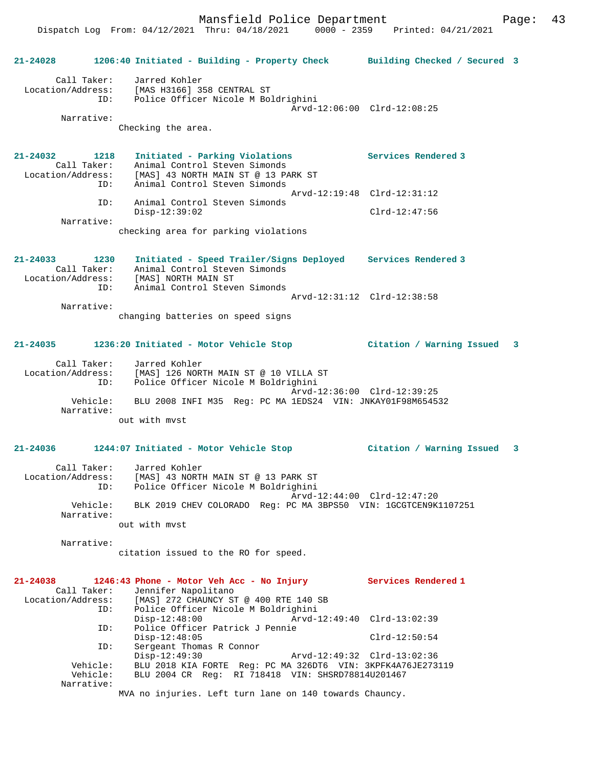**21-24028 1206:40 Initiated - Building - Property Check Building Checked / Secured 3** Call Taker: Jarred Kohler Location/Address: [MAS H3166] 358 CENTRAL ST ID: Police Officer Nicole M Boldrighini Arvd-12:06:00 Clrd-12:08:25 Narrative: Checking the area. **21-24032 1218 Initiated - Parking Violations Services Rendered 3**  Call Taker: Animal Control Steven Simonds Location/Address: [MAS] 43 NORTH MAIN ST @ 13 PARK ST ID: Animal Control Steven Simonds Arvd-12:19:48 Clrd-12:31:12 ID: Animal Control Steven Simonds Disp-12:39:02 Clrd-12:47:56 Narrative: checking area for parking violations **21-24033 1230 Initiated - Speed Trailer/Signs Deployed Services Rendered 3**  Call Taker: Animal Control Steven Simonds Location/Address: [MAS] NORTH MAIN ST ID: Animal Control Steven Simonds Arvd-12:31:12 Clrd-12:38:58 Narrative: changing batteries on speed signs **21-24035 1236:20 Initiated - Motor Vehicle Stop Citation / Warning Issued 3** Call Taker: Jarred Kohler Location/Address: [MAS] 126 NORTH MAIN ST @ 10 VILLA ST ID: Police Officer Nicole M Boldrighini Arvd-12:36:00 Clrd-12:39:25 Vehicle: BLU 2008 INFI M35 Reg: PC MA 1EDS24 VIN: JNKAY01F98M654532 Narrative: out with mvst **21-24036 1244:07 Initiated - Motor Vehicle Stop Citation / Warning Issued 3** Call Taker: Jarred Kohler Location/Address: [MAS] 43 NORTH MAIN ST @ 13 PARK ST ID: Police Officer Nicole M Boldrighini Arvd-12:44:00 Clrd-12:47:20 Vehicle: BLK 2019 CHEV COLORADO Reg: PC MA 3BPS50 VIN: 1GCGTCEN9K1107251 Narrative: out with mvst Narrative: citation issued to the RO for speed. **21-24038 1246:43 Phone - Motor Veh Acc - No Injury Services Rendered 1**  Call Taker: Jennifer Napolitano<br>Location/Address: [MAS] 272 CHAUNCY ST ess: [MAS] 272 CHAUNCY ST @ 400 RTE 140 SB<br>ID: Police Officer Nicole M Boldrighini Police Officer Nicole M Boldrighini<br>Disp-12:48:00 Arvd-1 Disp-12:48:00 Arvd-12:49:40 Clrd-13:02:39 ID: Police Officer Patrick J Pennie Disp-12:48:05 Clrd-12:50:54 ID: Sergeant Thomas R Connor Disp-12:49:30 Arvd-12:49:32 Clrd-13:02:36 Vehicle: BLU 2018 KIA FORTE Reg: PC MA 326DT6 VIN: 3KPFK4A76JE273119 Vehicle: BLU 2004 CR Reg: RI 718418 VIN: SHSRD78814U201467 Narrative: MVA no injuries. Left turn lane on 140 towards Chauncy.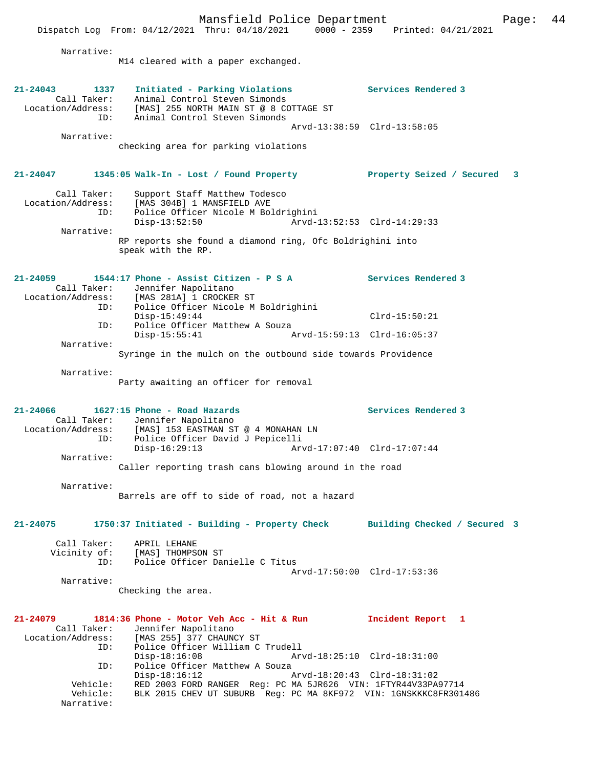Dispatch Log From: 04/12/2021 Thru: 04/18/2021 0000 - 2359 Printed: 04/21/2021 Narrative: M14 cleared with a paper exchanged. **21-24043 1337 Initiated - Parking Violations Services Rendered 3**  Call Taker: Animal Control Steven Simonds Location/Address: [MAS] 255 NORTH MAIN ST @ 8 COTTAGE ST ID: Animal Control Steven Simonds Arvd-13:38:59 Clrd-13:58:05 Narrative: checking area for parking violations **21-24047 1345:05 Walk-In - Lost / Found Property Property Seized / Secured 3** Call Taker: Support Staff Matthew Todesco Location/Address: [MAS 304B] 1 MANSFIELD AVE ID: Police Officer Nicole M Boldrighini Disp-13:52:50 Arvd-13:52:53 Clrd-14:29:33 Narrative: RP reports she found a diamond ring, Ofc Boldrighini into speak with the RP. **21-24059 1544:17 Phone - Assist Citizen - P S A Services Rendered 3**  Call Taker: Jennifer Napolitano<br>Location/Address: [MAS 281A] 1 CROCKEE Committed Mapolitano وss: [MAS 281A] 1 CROCKER ST<br>ID: Police Officer Nicole M Police Officer Nicole M Boldrighini Disp-15:49:44 Clrd-15:50:21 ID: Police Officer Matthew A Souza<br>Disp-15:55:41 A Disp-15:55:41 Arvd-15:59:13 Clrd-16:05:37 Narrative: Syringe in the mulch on the outbound side towards Providence Narrative: Party awaiting an officer for removal **21-24066 1627:15 Phone - Road Hazards Services Rendered 3**  Call Taker: Jennifer Napolitano<br>Location/Address: [MAS] 153 EASTMAN ST [MAS] 153 EASTMAN ST @ 4 MONAHAN LN ess: المطلق على المطلق العدة<br>ID: Police Officer David J Pepicelli<br>Disp-16:29:13 Art Disp-16:29:13 Arvd-17:07:40 Clrd-17:07:44 Narrative: Caller reporting trash cans blowing around in the road Narrative: Barrels are off to side of road, not a hazard **21-24075 1750:37 Initiated - Building - Property Check Building Checked / Secured 3** Call Taker: APRIL LEHANE<br>Vicinity of: [MAS] THOMPSON ST Vicinity of: [MAS] THOMPSON ST ID: Police Officer Danielle C Titus Arvd-17:50:00 Clrd-17:53:36 Narrative: Checking the area. **21-24079 1814:36 Phone - Motor Veh Acc - Hit & Run Incident Report 1**  Call Taker: Jennifer Napolitano<br>Location/Address: [MAS 255] 377 CHAUN <code>[MAS 255] 377 CHAUNCY ST</code> ID: Police Officer William C Trudell Disp-18:16:08 Arvd-18:25:10 Clrd-18:31:00 ID: Police Officer Matthew A Souza<br>Disp-18:16:12 Disp-18:16:12 Arvd-18:20:43 Clrd-18:31:02 Vehicle: RED 2003 FORD RANGER Reg: PC MA 5JR626 VIN: 1FTYR44V33PA97714 Vehicle: BLK 2015 CHEV UT SUBURB Reg: PC MA 8KF972 VIN: 1GNSKKKC8FR301486

Narrative:

Mansfield Police Department Page: 44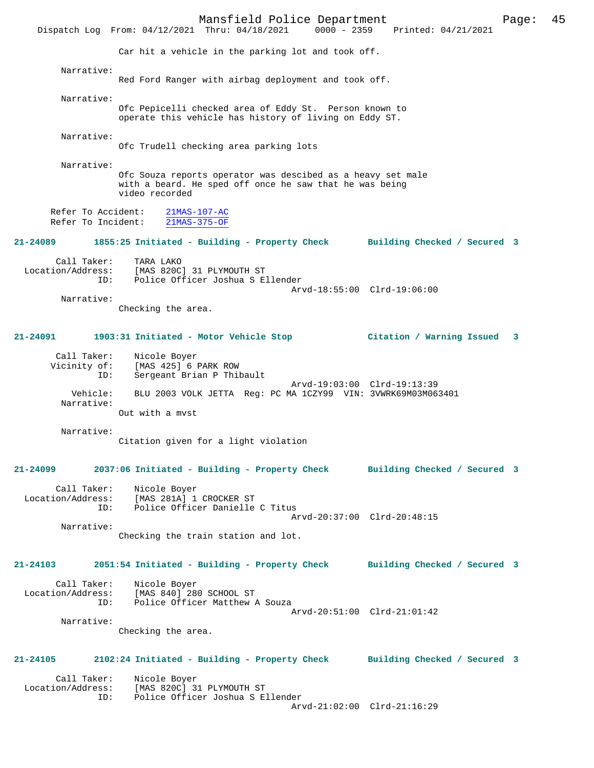Mansfield Police Department Page: 45 Dispatch Log From: 04/12/2021 Thru: 04/18/2021 Car hit a vehicle in the parking lot and took off. Narrative: Red Ford Ranger with airbag deployment and took off. Narrative: Ofc Pepicelli checked area of Eddy St. Person known to operate this vehicle has history of living on Eddy ST. Narrative: Ofc Trudell checking area parking lots Narrative: Ofc Souza reports operator was descibed as a heavy set male with a beard. He sped off once he saw that he was being video recorded Refer To Accident: 21MAS-107-AC Refer To Incident: 21MAS-375-OF **21-24089 1855:25 Initiated - Building - Property Check Building Checked / Secured 3** Call Taker: TARA LAKO<br>Location/Address: [MAS 820C ess: [MAS 820C] 31 PLYMOUTH ST<br>ID: Police Officer Joshua S E Police Officer Joshua S Ellender Arvd-18:55:00 Clrd-19:06:00 Narrative: Checking the area. **21-24091 1903:31 Initiated - Motor Vehicle Stop Citation / Warning Issued 3** Call Taker: Nicole Boyer Vicinity of: [MAS 425] 6 PARK ROW ID: Sergeant Brian P Thibault Arvd-19:03:00 Clrd-19:13:39 Vehicle: BLU 2003 VOLK JETTA Reg: PC MA 1CZY99 VIN: 3VWRK69M03M063401 Narrative: Out with a mvst Narrative: Citation given for a light violation **21-24099 2037:06 Initiated - Building - Property Check Building Checked / Secured 3** Call Taker: Nicole Boyer Location/Address: [MAS 281A] 1 CROCKER ST Police Officer Danielle C Titus Arvd-20:37:00 Clrd-20:48:15 Narrative: Checking the train station and lot. **21-24103 2051:54 Initiated - Building - Property Check Building Checked / Secured 3** Call Taker: Nicole Boyer<br>Location/Address: [MAS 840] 28 ess: [MAS 840] 280 SCHOOL ST<br>ID: Police Officer Matthew Police Officer Matthew A Souza Arvd-20:51:00 Clrd-21:01:42 Narrative: Checking the area. **21-24105 2102:24 Initiated - Building - Property Check Building Checked / Secured 3** Call Taker: Nicole Boyer<br>Location/Address: [MAS 820C] 3 ess: [MAS 820C] 31 PLYMOUTH ST<br>ID: Police Officer Joshua S.E Police Officer Joshua S Ellender Arvd-21:02:00 Clrd-21:16:29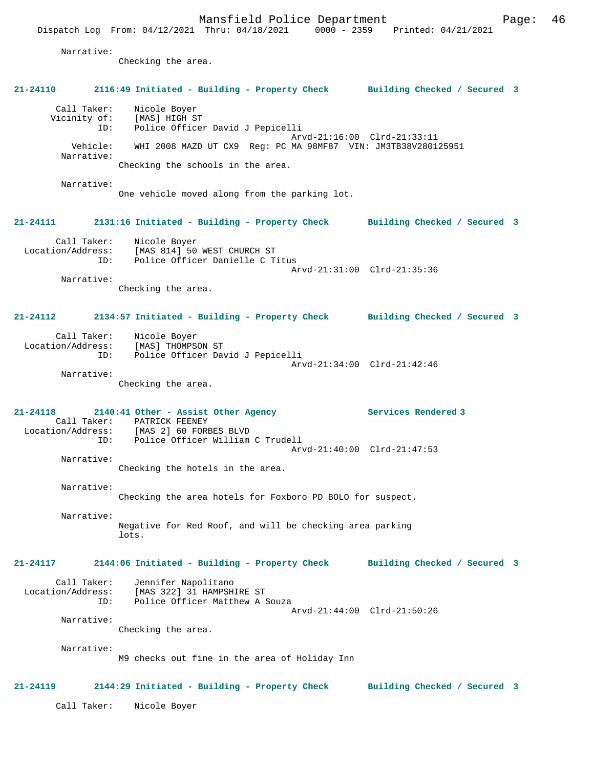Dispatch Log From: 04/12/2021 Thru: 04/18/2021 0000 - 2359 Printed: 04/21/2021 Narrative: Checking the area. **21-24110 2116:49 Initiated - Building - Property Check Building Checked / Secured 3** Call Taker: Nicole Boyer Vicinity of: [MAS] HIGH ST ID: Police Officer David J Pepicelli Arvd-21:16:00 Clrd-21:33:11 Vehicle: WHI 2008 MAZD UT CX9 Reg: PC MA 98MF87 VIN: JM3TB38V280125951 Narrative: Checking the schools in the area. Narrative: One vehicle moved along from the parking lot. **21-24111 2131:16 Initiated - Building - Property Check Building Checked / Secured 3** Call Taker: Nicole Boyer Location/Address: [MAS 814] 50 WEST CHURCH ST ID: Police Officer Danielle C Titus Arvd-21:31:00 Clrd-21:35:36 Narrative: Checking the area. **21-24112 2134:57 Initiated - Building - Property Check Building Checked / Secured 3** Call Taker: Nicole Boyer Location/Address: [MAS] THOMPSON ST ID: Police Officer David J Pepicelli Arvd-21:34:00 Clrd-21:42:46 Narrative: Checking the area. **21-24118 2140:41 Other - Assist Other Agency Services Rendered 3**  Call Taker: PATRICK FEENEY<br>Location/Address: [MAS 2] 60 FOR [MAS 2] 60 FORBES BLVD ID: Police Officer William C Trudell Arvd-21:40:00 Clrd-21:47:53 Narrative: Checking the hotels in the area. Narrative: Checking the area hotels for Foxboro PD BOLO for suspect. Narrative: Negative for Red Roof, and will be checking area parking lots. **21-24117 2144:06 Initiated - Building - Property Check Building Checked / Secured 3** Call Taker: Jennifer Napolitano Location/Address: [MAS 322] 31 HAMPSHIRE ST ID: Police Officer Matthew A Souza Arvd-21:44:00 Clrd-21:50:26 Narrative: Checking the area. Narrative: M9 checks out fine in the area of Holiday Inn **21-24119 2144:29 Initiated - Building - Property Check Building Checked / Secured 3** Call Taker: Nicole Boyer

Mansfield Police Department Form Page: 46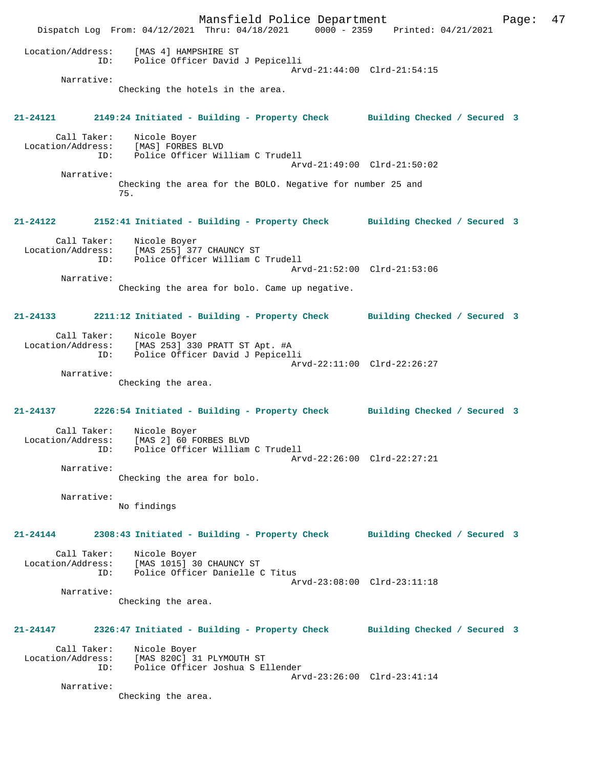Mansfield Police Department Fage: 47 Dispatch Log From: 04/12/2021 Thru: 04/18/2021 0000 - 2359 Printed: 04/21/2021 Location/Address: [MAS 4] HAMPSHIRE ST<br>TD: Police Officer David ID: Police Officer David J Pepicelli Arvd-21:44:00 Clrd-21:54:15 Narrative: Checking the hotels in the area. **21-24121 2149:24 Initiated - Building - Property Check Building Checked / Secured 3** Call Taker: Nicole Boyer Location/Address: [MAS] FORBES BLVD ID: Police Officer William C Trudell Arvd-21:49:00 Clrd-21:50:02 Narrative: Checking the area for the BOLO. Negative for number 25 and 75. **21-24122 2152:41 Initiated - Building - Property Check Building Checked / Secured 3** Call Taker: Nicole Boyer<br>Location/Address: [MAS 255] 377 CHAUNCY ST Location/Address: [MAS 255] 377 CHAUNCY ST ID: Police Officer William C Trudell Arvd-21:52:00 Clrd-21:53:06 Narrative: Checking the area for bolo. Came up negative. **21-24133 2211:12 Initiated - Building - Property Check Building Checked / Secured 3** Call Taker: Nicole Boyer Location/Address: [MAS 253] 330 PRATT ST Apt. #A ID: Police Officer David J Pepicelli Arvd-22:11:00 Clrd-22:26:27 Narrative: Checking the area. **21-24137 2226:54 Initiated - Building - Property Check Building Checked / Secured 3** Call Taker: Nicole Boyer<br>Location/Address: [MAS 2] 60 F [MAS 2] 60 FORBES BLVD ID: Police Officer William C Trudell Arvd-22:26:00 Clrd-22:27:21 Narrative: Checking the area for bolo. Narrative: No findings **21-24144 2308:43 Initiated - Building - Property Check Building Checked / Secured 3** Call Taker: Nicole Boyer<br>Location/Address: [MAS 1015] 30  $[MAS 1015]$  30 CHAUNCY ST ID: Police Officer Danielle C Titus Arvd-23:08:00 Clrd-23:11:18 Narrative: Checking the area. **21-24147 2326:47 Initiated - Building - Property Check Building Checked / Secured 3** Call Taker: Nicole Boyer Location/Address: [MAS 820C] 31 PLYMOUTH ST ID: Police Officer Joshua S Ellender Arvd-23:26:00 Clrd-23:41:14 Narrative: Checking the area.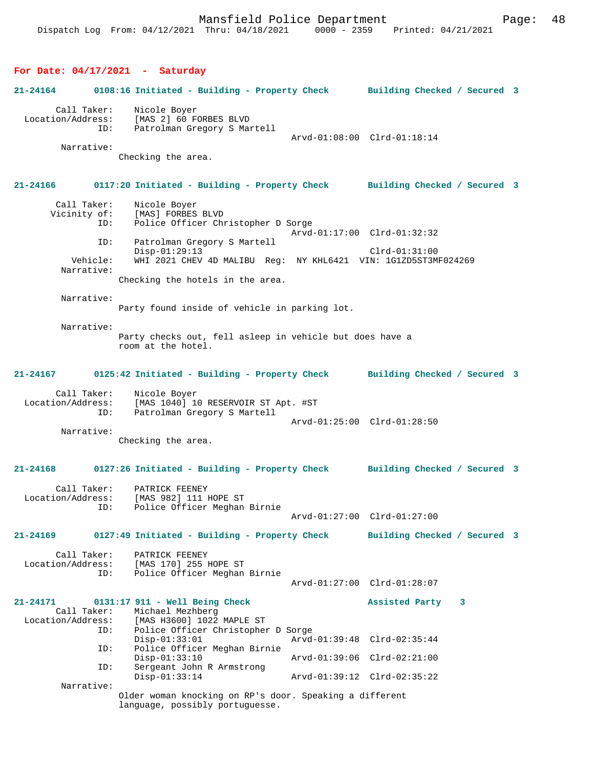#### **For Date: 04/17/2021 - Saturday**

**21-24164 0108:16 Initiated - Building - Property Check Building Checked / Secured 3** Call Taker: Nicole Boyer Location/Address: [MAS 2] 60 FORBES BLVD Patrolman Gregory S Martell Arvd-01:08:00 Clrd-01:18:14 Narrative: Checking the area. **21-24166 0117:20 Initiated - Building - Property Check Building Checked / Secured 3** Call Taker: Nicole Boyer Vicinity of: [MAS] FORBES BLVD<br>TD: Police Officer Ch Police Officer Christopher D Sorge Arvd-01:17:00 Clrd-01:32:32 ID: Patrolman Gregory S Martell Disp-01:29:13 Clrd-01:31:00<br>Vehicle: WHI 2021 CHEV 4D MALIBU Reg: NY KHL6421 VIN: 1G1ZD5ST3M WHI 2021 CHEV 4D MALIBU Reg: NY KHL6421 VIN: 1G1ZD5ST3MF024269 Narrative: Checking the hotels in the area. Narrative: Party found inside of vehicle in parking lot. Narrative: Party checks out, fell asleep in vehicle but does have a room at the hotel. **21-24167 0125:42 Initiated - Building - Property Check Building Checked / Secured 3** Call Taker: Nicole Boyer Location/Address: [MAS 1040] 10 RESERVOIR ST Apt. #ST Patrolman Gregory S Martell Arvd-01:25:00 Clrd-01:28:50 Narrative: Checking the area. **21-24168 0127:26 Initiated - Building - Property Check Building Checked / Secured 3** Call Taker: PATRICK FEENEY Location/Address: [MAS 982] 111 HOPE ST Police Officer Meghan Birnie Arvd-01:27:00 Clrd-01:27:00 **21-24169 0127:49 Initiated - Building - Property Check Building Checked / Secured 3** Call Taker: PATRICK FEENEY<br>Location/Address: [MAS 170] 255 1 ess: [MAS 170] 255 HOPE ST<br>ID: Police Officer Meghan Police Officer Meghan Birnie Arvd-01:27:00 Clrd-01:28:07 **21-24171 0131:17 911 - Well Being Check Assisted Party 3**  Call Taker: Michael Mezhberg<br>Location/Address: [MAS H3600] 1022 ess: [MAS H3600] 1022 MAPLE ST<br>TD: Police Officer Christophe Police Officer Christopher D Sorge<br>Disp-01:33:01 Arvd Disp-01:33:01 Arvd-01:39:48 Clrd-02:35:44 Police Officer Meghan Birnie<br>Disp-01:33:10 Disp-01:33:10 Arvd-01:39:06 Clrd-02:21:00 ID: Sergeant John R Armstrong Disp-01:33:14 Arvd-01:39:12 Clrd-02:35:22 Narrative: Older woman knocking on RP's door. Speaking a different language, possibly portuguesse.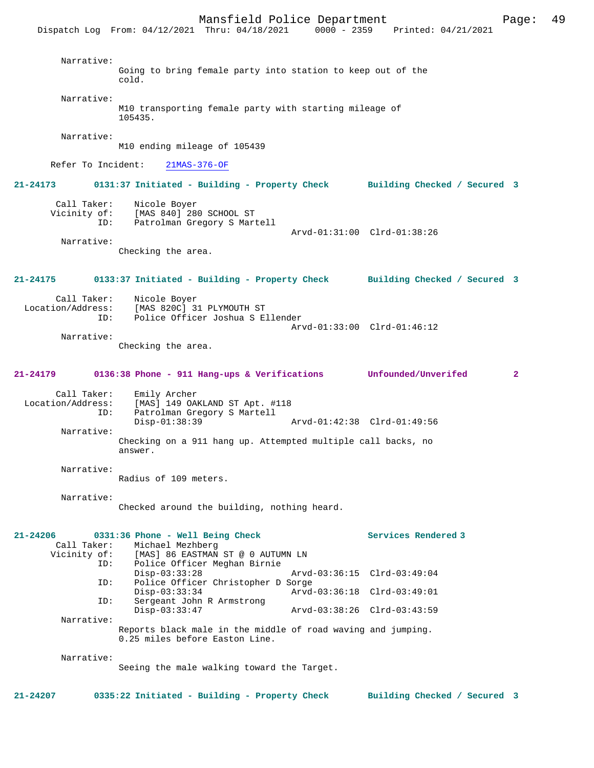|                                                | Dispatch Log From: 04/12/2021 Thru: 04/18/2021                                                                            |                                                            | $0000 - 2359$ Printed: $04/21/2021$ |                |
|------------------------------------------------|---------------------------------------------------------------------------------------------------------------------------|------------------------------------------------------------|-------------------------------------|----------------|
| Narrative:                                     | Going to bring female party into station to keep out of the<br>cold.                                                      |                                                            |                                     |                |
| Narrative:                                     | M10 transporting female party with starting mileage of<br>105435.                                                         |                                                            |                                     |                |
| Narrative:                                     | M10 ending mileage of 105439                                                                                              |                                                            |                                     |                |
| Refer To Incident:                             | $21MAS-376-OF$                                                                                                            |                                                            |                                     |                |
| 21-24173                                       | 0131:37 Initiated - Building - Property Check Building Checked / Secured 3                                                |                                                            |                                     |                |
| Call Taker:<br>Vicinity of:<br>ID:             | Nicole Boyer<br>[MAS 840] 280 SCHOOL ST<br>Patrolman Gregory S Martell                                                    | Arvd-01:31:00 Clrd-01:38:26                                |                                     |                |
| Narrative:                                     | Checking the area.                                                                                                        |                                                            |                                     |                |
| 21-24175                                       | 0133:37 Initiated - Building - Property Check Building Checked / Secured 3                                                |                                                            |                                     |                |
| Call Taker:<br>Location/Address:<br>ID:        | Nicole Boyer<br>[MAS 820C] 31 PLYMOUTH ST<br>Police Officer Joshua S Ellender                                             | Arvd-01:33:00 Clrd-01:46:12                                |                                     |                |
| Narrative:                                     | Checking the area.                                                                                                        |                                                            |                                     |                |
| 21-24179                                       | 0136:38 Phone - 911 Hang-ups & Verifications Unfounded/Unverifed                                                          |                                                            |                                     | $\overline{a}$ |
| Call Taker:<br>Location/Address:<br>ID:        | Emily Archer<br>[MAS] 149 OAKLAND ST Apt. #118<br>Patrolman Gregory S Martell<br>$Disp-01:38:39$                          | Arvd-01:42:38 Clrd-01:49:56                                |                                     |                |
| Narrative:                                     | Checking on a 911 hang up. Attempted multiple call backs, no<br>answer.                                                   |                                                            |                                     |                |
| Narrative:                                     | Radius of 109 meters.                                                                                                     |                                                            |                                     |                |
| Narrative:                                     | Checked around the building, nothing heard.                                                                               |                                                            |                                     |                |
| 21-24206<br>Call Taker:<br>Vicinity of:<br>ID: | 0331:36 Phone - Well Being Check<br>Michael Mezhberg<br>[MAS] 86 EASTMAN ST @ 0 AUTUMN LN<br>Police Officer Meghan Birnie |                                                            | Services Rendered 3                 |                |
| ID:                                            | $Disp-03:33:28$<br>Police Officer Christopher D Sorge                                                                     | Arvd-03:36:15 Clrd-03:49:04                                |                                     |                |
| ID:                                            | $Disp-03:33:34$<br>Sergeant John R Armstrong<br>Disp-03:33:47                                                             | Arvd-03:36:18 Clrd-03:49:01<br>Arvd-03:38:26 Clrd-03:43:59 |                                     |                |
| Narrative:                                     | Reports black male in the middle of road waving and jumping.<br>0.25 miles before Easton Line.                            |                                                            |                                     |                |
| Narrative:                                     |                                                                                                                           |                                                            |                                     |                |

Seeing the male walking toward the Target.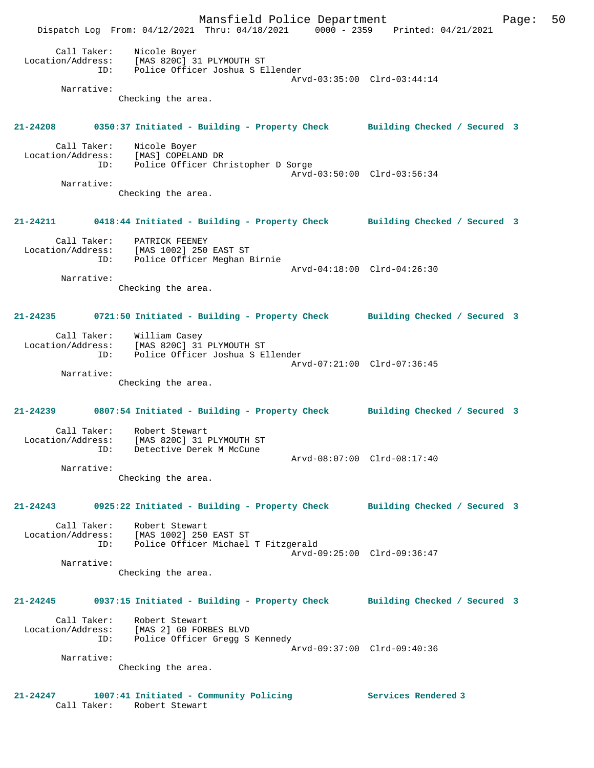Mansfield Police Department Form Page: 50 Dispatch Log From: 04/12/2021 Thru: 04/18/2021 0000 - 2359 Printed: 04/21/2021 Call Taker: Nicole Boyer Location/Address: [MAS 820C] 31 PLYMOUTH ST ID: Police Officer Joshua S Ellender Arvd-03:35:00 Clrd-03:44:14 Narrative: Checking the area. **21-24208 0350:37 Initiated - Building - Property Check Building Checked / Secured 3** Call Taker: Nicole Boyer Location/Address: [MAS] COPELAND DR ID: Police Officer Christopher D Sorge Arvd-03:50:00 Clrd-03:56:34 Narrative: Checking the area. **21-24211 0418:44 Initiated - Building - Property Check Building Checked / Secured 3** Call Taker: PATRICK FEENEY Location/Address: [MAS 1002] 250 EAST ST ID: Police Officer Meghan Birnie Arvd-04:18:00 Clrd-04:26:30 Narrative: Checking the area. **21-24235 0721:50 Initiated - Building - Property Check Building Checked / Secured 3** Call Taker: William Casey Location/Address: [MAS 820C] 31 PLYMOUTH ST ID: Police Officer Joshua S Ellender Arvd-07:21:00 Clrd-07:36:45 Narrative: Checking the area. **21-24239 0807:54 Initiated - Building - Property Check Building Checked / Secured 3** Call Taker: Robert Stewart Location/Address: [MAS 820C] 31 PLYMOUTH ST ID: Detective Derek M McCune Arvd-08:07:00 Clrd-08:17:40 Narrative: Checking the area. **21-24243 0925:22 Initiated - Building - Property Check Building Checked / Secured 3** Call Taker: Robert Stewart Location/Address: [MAS 1002] 250 EAST ST ID: Police Officer Michael T Fitzgerald Arvd-09:25:00 Clrd-09:36:47 Narrative: Checking the area. **21-24245 0937:15 Initiated - Building - Property Check Building Checked / Secured 3** Call Taker: Robert Stewart Location/Address: [MAS 2] 60 FORBES BLVD ID: Police Officer Gregg S Kennedy Arvd-09:37:00 Clrd-09:40:36 Narrative: Checking the area. **21-24247 1007:41 Initiated - Community Policing Services Rendered 3**  Call Taker: Robert Stewart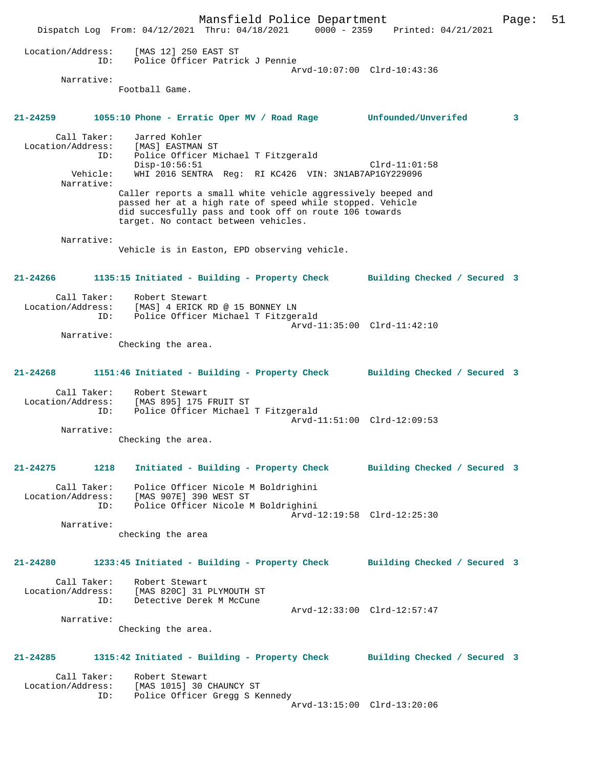Mansfield Police Department Page: 51 Dispatch Log From: 04/12/2021 Thru: 04/18/2021 0000 - 2359 Printed: 04/21/2021 Location/Address: [MAS 12] 250 EAST ST ID: Police Officer Patrick J Pennie Arvd-10:07:00 Clrd-10:43:36 Narrative: Football Game. **21-24259 1055:10 Phone - Erratic Oper MV / Road Rage Unfounded/Unverifed 3** Call Taker: Jarred Kohler Location/Address: [MAS] EASTMAN ST ID: Police Officer Michael T Fitzgerald Disp-10:56:51 Clrd-11:01:58<br>Vehicle: WHI 2016 SENTRA Req: RI KC426 VIN: 3N1AB7AP1GY229096 WHI 2016 SENTRA Reg: RI KC426 VIN: 3N1AB7AP1GY229096 Narrative: Caller reports a small white vehicle aggressively beeped and passed her at a high rate of speed while stopped. Vehicle did succesfully pass and took off on route 106 towards target. No contact between vehicles. Narrative: Vehicle is in Easton, EPD observing vehicle. **21-24266 1135:15 Initiated - Building - Property Check Building Checked / Secured 3** Call Taker: Robert Stewart Location/Address: [MAS] 4 ERICK RD @ 15 BONNEY LN Police Officer Michael T Fitzgerald Arvd-11:35:00 Clrd-11:42:10 Narrative: Checking the area. **21-24268 1151:46 Initiated - Building - Property Check Building Checked / Secured 3** Call Taker: Robert Stewart<br>Location/Address: [MAS 895] 175 Location/Address: [MAS 895] 175 FRUIT ST ID: Police Officer Michael T Fitzgerald Arvd-11:51:00 Clrd-12:09:53 Narrative: Checking the area. **21-24275 1218 Initiated - Building - Property Check Building Checked / Secured 3** Call Taker: Police Officer Nicole M Boldrighini Location/Address: [MAS 907E] 390 WEST ST ID: Police Officer Nicole M Boldrighini Arvd-12:19:58 Clrd-12:25:30 Narrative: checking the area **21-24280 1233:45 Initiated - Building - Property Check Building Checked / Secured 3** Call Taker: Robert Stewart Location/Address: [MAS 820C] 31 PLYMOUTH ST<br>TD: Detective Derek M McCune Detective Derek M McCune Arvd-12:33:00 Clrd-12:57:47 Narrative: Checking the area. **21-24285 1315:42 Initiated - Building - Property Check Building Checked / Secured 3** Call Taker: Robert Stewart<br>Location/Address: [MAS 1015] 30 [MAS 1015] 30 CHAUNCY ST ID: Police Officer Gregg S Kennedy Arvd-13:15:00 Clrd-13:20:06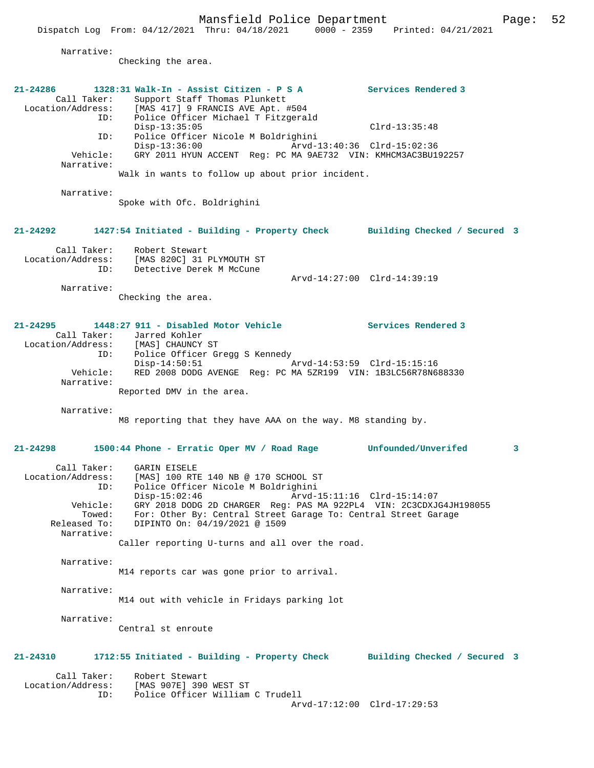Narrative:

Checking the area.

| 21-24286<br>Call Taker:<br>Location/Address:<br>ID:<br>ID:<br>Vehicle:<br>Narrative:<br>Narrative: | 1328:31 Walk-In - Assist Citizen - P S A<br>Support Staff Thomas Plunkett<br>[MAS 417] 9 FRANCIS AVE Apt. #504<br>Police Officer Michael T Fitzgerald<br>$Disp-13:35:05$<br>Police Officer Nicole M Boldrighini<br>$Disp-13:36:00$<br>GRY 2011 HYUN ACCENT Reg: PC MA 9AE732 VIN: KMHCM3AC3BU192257<br>Walk in wants to follow up about prior incident.<br>Spoke with Ofc. Boldrighini | Services Rendered 3<br>$Clrd-13:35:48$<br>Arvd-13:40:36 Clrd-15:02:36 |
|----------------------------------------------------------------------------------------------------|----------------------------------------------------------------------------------------------------------------------------------------------------------------------------------------------------------------------------------------------------------------------------------------------------------------------------------------------------------------------------------------|-----------------------------------------------------------------------|
| 21-24292                                                                                           | 1427:54 Initiated - Building - Property Check Building Checked / Secured 3                                                                                                                                                                                                                                                                                                             |                                                                       |
| Call Taker:<br>ID:                                                                                 | Robert Stewart<br>Location/Address: [MAS 820C] 31 PLYMOUTH ST<br>Detective Derek M McCune                                                                                                                                                                                                                                                                                              | Arvd-14:27:00 Clrd-14:39:19                                           |
| Narrative:                                                                                         | Checking the area.                                                                                                                                                                                                                                                                                                                                                                     |                                                                       |
| 21-24295<br>Call Taker:<br>ID:<br>Vehicle:<br>Narrative:                                           | 1448:27 911 - Disabled Motor Vehicle<br>Jarred Kohler<br>Location/Address: [MAS] CHAUNCY ST<br>Police Officer Gregg S Kennedy<br>$Disp-14:50:51$<br>RED 2008 DODG AVENGE Req: PC MA 5ZR199 VIN: 1B3LC56R78N688330<br>Reported DMV in the area.                                                                                                                                         | Services Rendered 3<br>Arvd-14:53:59 Clrd-15:15:16                    |
| Narrative:                                                                                         |                                                                                                                                                                                                                                                                                                                                                                                        |                                                                       |
|                                                                                                    | M8 reporting that they have AAA on the way. M8 standing by.                                                                                                                                                                                                                                                                                                                            |                                                                       |
| 21-24298                                                                                           | 1500:44 Phone - Erratic Oper MV / Road Rage Unfounded/Unverifed                                                                                                                                                                                                                                                                                                                        | $\mathbf{3}$                                                          |
| Call Taker:<br>Location/Address:<br>ID:<br>Vehicle:<br>Towed:<br>Released To:<br>Narrative:        | GARIN EISELE<br>[MAS] 100 RTE 140 NB @ 170 SCHOOL ST<br>Police Officer Nicole M Boldrighini<br>$Disp-15:02:46$<br>GRY 2018 DODG 2D CHARGER Reg: PAS MA 922PL4 VIN: 2C3CDXJG4JH198055<br>For: Other By: Central Street Garage To: Central Street Garage<br>DIPINTO On: 04/19/2021 @ 1509<br>Caller reporting U-turns and all over the road.                                             | Arvd-15:11:16 Clrd-15:14:07                                           |
| Narrative:                                                                                         | M14 reports car was gone prior to arrival.                                                                                                                                                                                                                                                                                                                                             |                                                                       |
| Narrative:                                                                                         | M14 out with vehicle in Fridays parking lot                                                                                                                                                                                                                                                                                                                                            |                                                                       |
| Narrative:                                                                                         | Central st enroute                                                                                                                                                                                                                                                                                                                                                                     |                                                                       |
| 21-24310                                                                                           | 1712:55 Initiated - Building - Property Check                                                                                                                                                                                                                                                                                                                                          | Building Checked / Secured 3                                          |
| Call Taker:<br>Location/Address:<br>ID:                                                            | Robert Stewart<br>[MAS 907E] 390 WEST ST<br>Police Officer William C Trudell                                                                                                                                                                                                                                                                                                           | Arvd-17:12:00 Clrd-17:29:53                                           |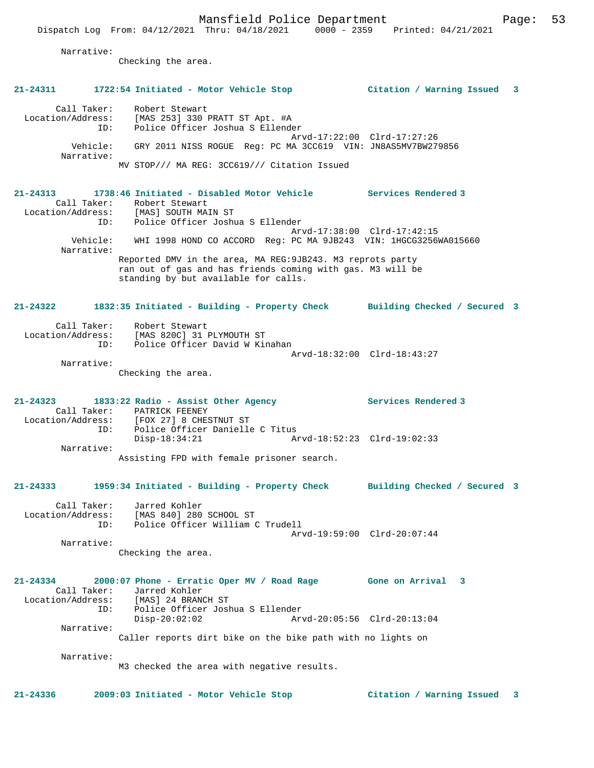Narrative:

Checking the area.

| 21-24311                                                   |     | 1722:54 Initiated - Motor Vehicle Stop                                                                                                                                                               | Citation / Warning Issued 3 |   |
|------------------------------------------------------------|-----|------------------------------------------------------------------------------------------------------------------------------------------------------------------------------------------------------|-----------------------------|---|
| Call Taker:<br>Location/Address:<br>Vehicle:<br>Narrative: | ID: | Robert Stewart<br>[MAS 253] 330 PRATT ST Apt. #A<br>Police Officer Joshua S Ellender<br>GRY 2011 NISS ROGUE Reg: PC MA 3CC619 VIN: JN8AS5MV7BW279856<br>MV STOP/// MA REG: 3CC619/// Citation Issued | Arvd-17:22:00 Clrd-17:27:26 |   |
| Call Taker:<br>Location/Address:                           |     | 21-24313 1738:46 Initiated - Disabled Motor Vehicle Services Rendered 3<br>Robert Stewart<br>[MAS] SOUTH MAIN ST<br>ID: Police Officer Joshua S Ellender                                             |                             |   |
| Narrative:                                                 |     | Vehicle: WHI 1998 HOND CO ACCORD Req: PC MA 9JB243 VIN: 1HGCG3256WA015660                                                                                                                            | Arvd-17:38:00 Clrd-17:42:15 |   |
|                                                            |     | Reported DMV in the area, MA REG: 9JB243. M3 reprots party<br>ran out of gas and has friends coming with gas. M3 will be<br>standing by but available for calls.                                     |                             |   |
| 21-24322                                                   |     | 1832:35 Initiated - Building - Property Check Building Checked / Secured 3                                                                                                                           |                             |   |
| Call Taker:                                                |     | Robert Stewart<br>Location/Address: [MAS 820C] 31 PLYMOUTH ST<br>ID: Police Officer David W Kinahan                                                                                                  |                             |   |
| Narrative:                                                 |     | Checking the area.                                                                                                                                                                                   | Arvd-18:32:00 Clrd-18:43:27 |   |
| $21 - 24323$<br>Location/Address:                          | ID: | 1833:22 Radio - Assist Other Agency<br>Call Taker: PATRICK FEENEY<br>[FOX 27] 8 CHESTNUT ST<br>Police Officer Danielle C Titus                                                                       | <b>Services Rendered 3</b>  |   |
| Narrative:                                                 |     | $Disp-18:34:21$<br>Assisting FPD with female prisoner search.                                                                                                                                        | Arvd-18:52:23 Clrd-19:02:33 |   |
|                                                            |     |                                                                                                                                                                                                      |                             |   |
| $21 - 24333$                                               |     | 1959:34 Initiated - Building - Property Check Building Checked / Secured 3                                                                                                                           |                             |   |
| Call Taker:<br>Location/Address:                           | ID: | Jarred Kohler<br>[MAS 840] 280 SCHOOL ST<br>Police Officer William C Trudell                                                                                                                         | Arvd-19:59:00 Clrd-20:07:44 |   |
| Narrative:                                                 |     | Checking the area.                                                                                                                                                                                   |                             |   |
| 21-24334<br>Call Taker:<br>Location/Address:               | ID: | 2000:07 Phone - Erratic Oper MV / Road Rage Gone on Arrival 3<br>Jarred Kohler<br>[MAS] 24 BRANCH ST<br>Police Officer Joshua S Ellender                                                             |                             |   |
| Narrative:                                                 |     | $Disp-20:02:02$                                                                                                                                                                                      | Arvd-20:05:56 Clrd-20:13:04 |   |
|                                                            |     | Caller reports dirt bike on the bike path with no lights on                                                                                                                                          |                             |   |
| Narrative:                                                 |     | M3 checked the area with negative results.                                                                                                                                                           |                             |   |
| $21 - 24336$                                               |     | 2009:03 Initiated - Motor Vehicle Stop                                                                                                                                                               | Citation / Warning Issued   | 3 |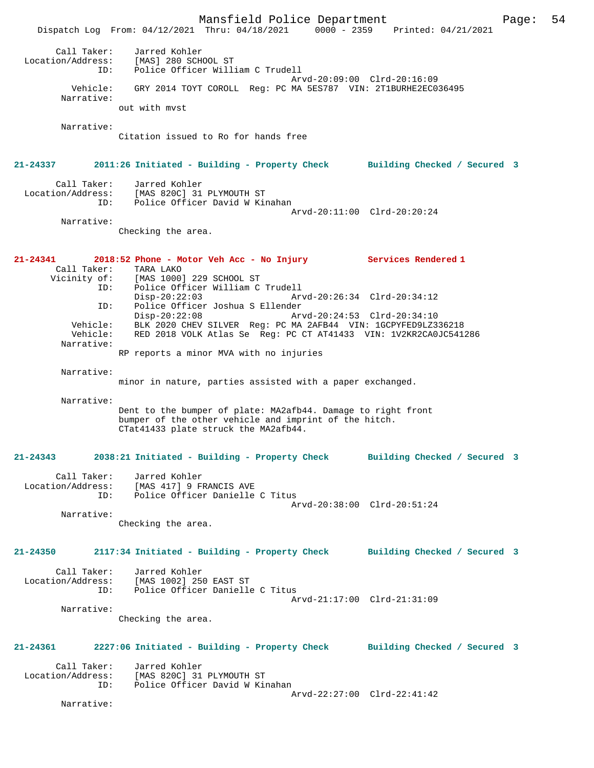Mansfield Police Department Page: 54 Dispatch Log From: 04/12/2021 Thru: 04/18/2021 0000 - 2359 Printed: 04/21/2021 Call Taker: Jarred Kohler Location/Address: [MAS] 280 SCHOOL ST ID: Police Officer William C Trudell Arvd-20:09:00 Clrd-20:16:09 Vehicle: GRY 2014 TOYT COROLL Reg: PC MA 5ES787 VIN: 2T1BURHE2EC036495 Narrative: out with mvst Narrative: Citation issued to Ro for hands free **21-24337 2011:26 Initiated - Building - Property Check Building Checked / Secured 3** Call Taker: Jarred Kohler Location/Address: [MAS 820C] 31 PLYMOUTH ST ID: Police Officer David W Kinahan Arvd-20:11:00 Clrd-20:20:24 Narrative: Checking the area. **21-24341 2018:52 Phone - Motor Veh Acc - No Injury Services Rendered 1**  Call Taker: TARA LAKO<br>Vicinity of: [MAS 1000 [MAS 1000] 229 SCHOOL ST ID: Police Officer William C Trudell Disp-20:22:03 Arvd-20:26:34 Clrd-20:34:12 ID: Police Officer Joshua S Ellender Disp-20:22:08 Arvd-20:24:53 Clrd-20:34:10 Vehicle: BLK 2020 CHEV SILVER Reg: PC MA 2AFB44 VIN: 1GCPYFED9LZ336218 Vehicle: RED 2018 VOLK Atlas Se Reg: PC CT AT41433 VIN: 1V2KR2CA0JC541286 Narrative: RP reports a minor MVA with no injuries Narrative: minor in nature, parties assisted with a paper exchanged. Narrative: Dent to the bumper of plate: MA2afb44. Damage to right front bumper of the other vehicle and imprint of the hitch. CTat41433 plate struck the MA2afb44. **21-24343 2038:21 Initiated - Building - Property Check Building Checked / Secured 3** Call Taker: Jarred Kohler Location/Address: [MAS 417] 9 FRANCIS AVE ID: Police Officer Danielle C Titus Arvd-20:38:00 Clrd-20:51:24 Narrative: Checking the area. **21-24350 2117:34 Initiated - Building - Property Check Building Checked / Secured 3** Call Taker: Jarred Kohler Location/Address: [MAS 1002] 250 EAST ST ID: Police Officer Danielle C Titus Arvd-21:17:00 Clrd-21:31:09 Narrative: Checking the area. **21-24361 2227:06 Initiated - Building - Property Check Building Checked / Secured 3** Call Taker: Jarred Kohler<br>Location/Address: [MAS 820C] 31 ess: [MAS 820C] 31 PLYMOUTH ST<br>ID: Police Officer David W Ki Police Officer David W Kinahan Arvd-22:27:00 Clrd-22:41:42 Narrative: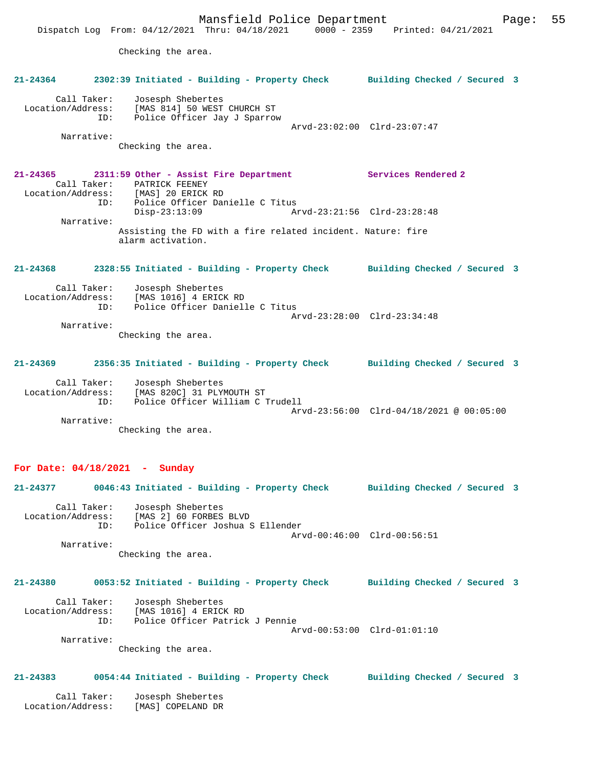Narrative:

Checking the area.

**21-24365 2311:59 Other - Assist Fire Department Services Rendered 2**  Call Taker: PATRICK FEENEY Location/Address: [MAS] 20 ERICK RD ID: Police Officer Danielle C Titus Disp-23:13:09 Arvd-23:21:56 Clrd-23:28:48 Narrative: Assisting the FD with a fire related incident. Nature: fire alarm activation.

# **21-24368 2328:55 Initiated - Building - Property Check Building Checked / Secured 3**

| Call Taker:       | Josesph Shebertes               |  |
|-------------------|---------------------------------|--|
| Location/Address: | [MAS 1016] 4 ERICK RD           |  |
| TD:               | Police Officer Danielle C Titus |  |
|                   | Arvd-23:28:00 Clrd-23:34:48     |  |
| Narrative:        |                                 |  |

Checking the area.

### **21-24369 2356:35 Initiated - Building - Property Check Building Checked / Secured 3**

| Call Taker:       | Josesph Shebertes                |                                                                            |
|-------------------|----------------------------------|----------------------------------------------------------------------------|
| Location/Address: | [MAS 820C] 31 PLYMOUTH ST        |                                                                            |
| ID:               | Police Officer William C Trudell |                                                                            |
|                   |                                  | $Arvd-23:56:00 \quad Clrd-04/18/2021 \quad \textcircled{a} \quad 00:05:00$ |
| Narrative:        |                                  |                                                                            |

Checking the area.

#### **For Date: 04/18/2021 - Sunday**

|                                  | 21-24377 0046:43 Initiated - Building - Property Check Building Checked / Secured 3                                                     |                              |  |
|----------------------------------|-----------------------------------------------------------------------------------------------------------------------------------------|------------------------------|--|
| Narrative:                       | Call Taker: Josesph Shebertes<br>Location/Address: [MAS 2] 60 FORBES BLVD<br>ID: Police Officer Joshua S Ellender<br>Checking the area. | Arvd-00:46:00 Clrd-00:56:51  |  |
| $21 - 24380$                     | 0053:52 Initiated - Building - Property Check                                                                                           | Building Checked / Secured 3 |  |
|                                  | Call Taker: Josesph Shebertes<br>Location/Address: [MAS 1016] 4 ERICK RD<br>ID: Police Officer Patrick J Pennie                         | Arvd-00:53:00 Clrd-01:01:10  |  |
| Narrative:                       | Checking the area.                                                                                                                      |                              |  |
| $21 - 24383$                     | 0054:44 Initiated - Building - Property Check Building Checked / Secured 3                                                              |                              |  |
| Call Taker:<br>Location/Address: | Josesph Shebertes<br>[MAS] COPELAND DR                                                                                                  |                              |  |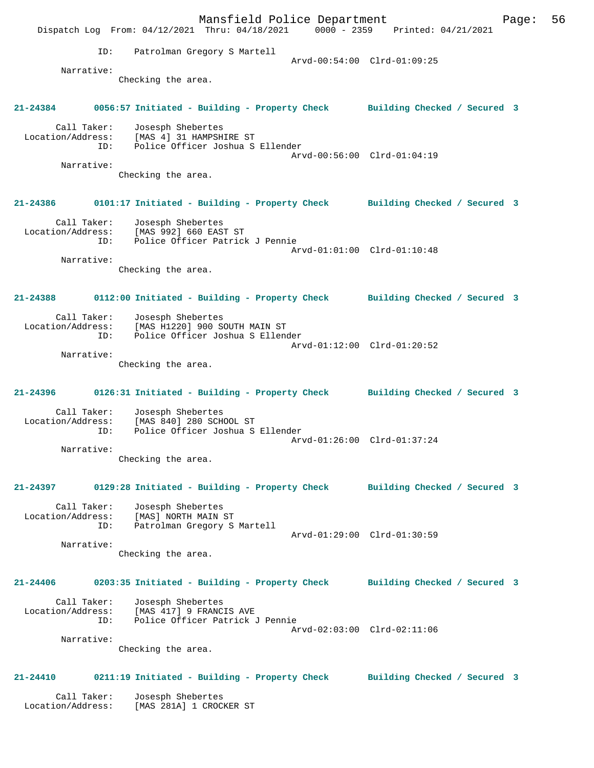Mansfield Police Department Form Page: 56 Dispatch Log From: 04/12/2021 Thru: 04/18/2021 0000 - 2359 Printed: 04/21/2021 ID: Patrolman Gregory S Martell Arvd-00:54:00 Clrd-01:09:25 Narrative: Checking the area. **21-24384 0056:57 Initiated - Building - Property Check Building Checked / Secured 3** Call Taker: Josesph Shebertes Location/Address: [MAS 4] 31 HAMPSHIRE ST ID: Police Officer Joshua S Ellender Arvd-00:56:00 Clrd-01:04:19 Narrative: Checking the area. **21-24386 0101:17 Initiated - Building - Property Check Building Checked / Secured 3** Call Taker: Josesph Shebertes Location/Address: [MAS 992] 660 EAST ST ID: Police Officer Patrick J Pennie Arvd-01:01:00 Clrd-01:10:48 Narrative: Checking the area. **21-24388 0112:00 Initiated - Building - Property Check Building Checked / Secured 3** Call Taker: Josesph Shebertes Location/Address: [MAS H1220] 900 SOUTH MAIN ST ID: Police Officer Joshua S Ellender Arvd-01:12:00 Clrd-01:20:52 Narrative: Checking the area. **21-24396 0126:31 Initiated - Building - Property Check Building Checked / Secured 3** Call Taker: Josesph Shebertes Location/Address: [MAS 840] 280 SCHOOL ST<br>ID: Police Officer Joshua S Police Officer Joshua S Ellender Arvd-01:26:00 Clrd-01:37:24 Narrative: Checking the area. **21-24397 0129:28 Initiated - Building - Property Check Building Checked / Secured 3** Call Taker: Josesph Shebertes Location/Address: [MAS] NORTH MAIN ST ID: Patrolman Gregory S Martell Arvd-01:29:00 Clrd-01:30:59 Narrative: Checking the area. **21-24406 0203:35 Initiated - Building - Property Check Building Checked / Secured 3** Call Taker: Josesph Shebertes Location/Address: [MAS 417] 9 FRANCIS AVE ID: Police Officer Patrick J Pennie Arvd-02:03:00 Clrd-02:11:06 Narrative: Checking the area. **21-24410 0211:19 Initiated - Building - Property Check Building Checked / Secured 3** Call Taker: Josesph Shebertes Location/Address: [MAS 281A] 1 CROCKER ST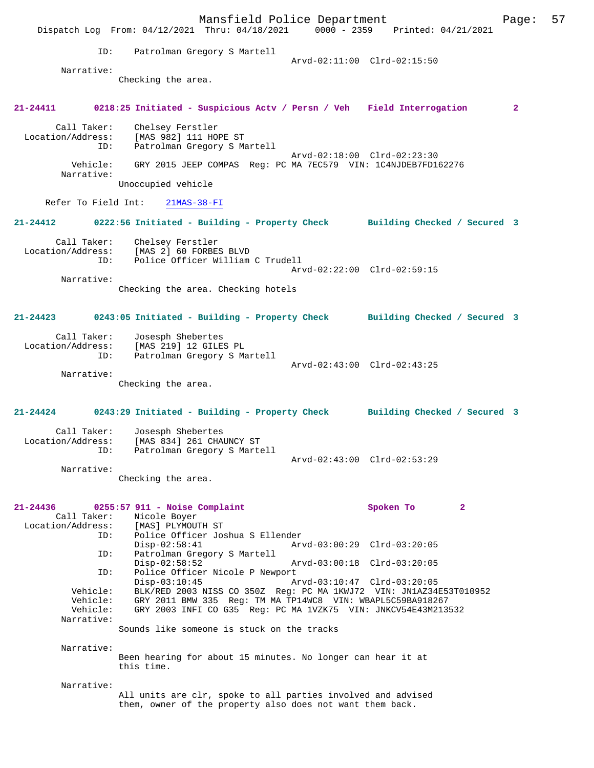Mansfield Police Department Form Page: 57 Dispatch Log From: 04/12/2021 Thru: 04/18/2021 0000 - 2359 Printed: 04/21/2021 ID: Patrolman Gregory S Martell Arvd-02:11:00 Clrd-02:15:50 Narrative: Checking the area. **21-24411 0218:25 Initiated - Suspicious Actv / Persn / Veh Field Interrogation 2** Call Taker: Chelsey Ferstler Location/Address: [MAS 982] 111 HOPE ST ID: Patrolman Gregory S Martell Arvd-02:18:00 Clrd-02:23:30<br>Vehicle: GRY 2015 JEEP COMPAS Reg: PC MA 7EC579 VIN: 1C4NJDEB7FD16 GRY 2015 JEEP COMPAS Reg: PC MA 7EC579 VIN: 1C4NJDEB7FD162276 Narrative: Unoccupied vehicle Refer To Field Int: 21MAS-38-FI **21-24412 0222:56 Initiated - Building - Property Check Building Checked / Secured 3** Call Taker: Chelsey Ferstler Location/Address: [MAS 2] 60 FORBES BLVD<br>TD: Police Officer William Police Officer William C Trudell Arvd-02:22:00 Clrd-02:59:15 Narrative: Checking the area. Checking hotels **21-24423 0243:05 Initiated - Building - Property Check Building Checked / Secured 3** Call Taker: Josesph Shebertes Location/Address: [MAS 219] 12 GILES PL ID: Patrolman Gregory S Martell Arvd-02:43:00 Clrd-02:43:25 Narrative: Checking the area. **21-24424 0243:29 Initiated - Building - Property Check Building Checked / Secured 3** Call Taker: Josesph Shebertes<br>Location/Address: [MAS 834] 261 CHA ess: [MAS 834] 261 CHAUNCY ST<br>ID: Patrolman Gregory S Marte Patrolman Gregory S Martell Arvd-02:43:00 Clrd-02:53:29 Narrative: Checking the area. **21-24436 0255:57 911 - Noise Complaint Spoken To 2**  Call Taker: Nicole Boyer Location/Address: [MAS] PLYMOUTH ST ID: Police Officer Joshua S Ellender Arvd-03:00:29 Clrd-03:20:05 ID: Patrolman Gregory S Martell Disp-02:58:52 Arvd-03:00:18 Clrd-03:20:05<br>ID: Police Officer Nicole P Newport Police Officer Nicole P Newport<br>Disp-03:10:45 A Disp-03:10:45 Arvd-03:10:47 Clrd-03:20:05<br>Vehicle: BLK/RED 2003 NISS CO 350Z Reg: PC MA 1KWJ72 VIN: JN1AZ348 Vehicle: BLK/RED 2003 NISS CO 350Z Reg: PC MA 1KWJ72 VIN: JN1AZ34E53T010952 Vehicle: GRY 2011 BMW 335 Reg: TM MA TP14WC8 VIN: WBAPL5C59BA918267<br>Vehicle: GRY 2003 INFI CO G35 Reg: PC MA 1VZK75 VIN: JNKCV54E43M213 GRY 2003 INFI CO G35 Reg: PC MA 1VZK75 VIN: JNKCV54E43M213532 Narrative: Sounds like someone is stuck on the tracks Narrative: Been hearing for about 15 minutes. No longer can hear it at this time. Narrative: All units are clr, spoke to all parties involved and advised them, owner of the property also does not want them back.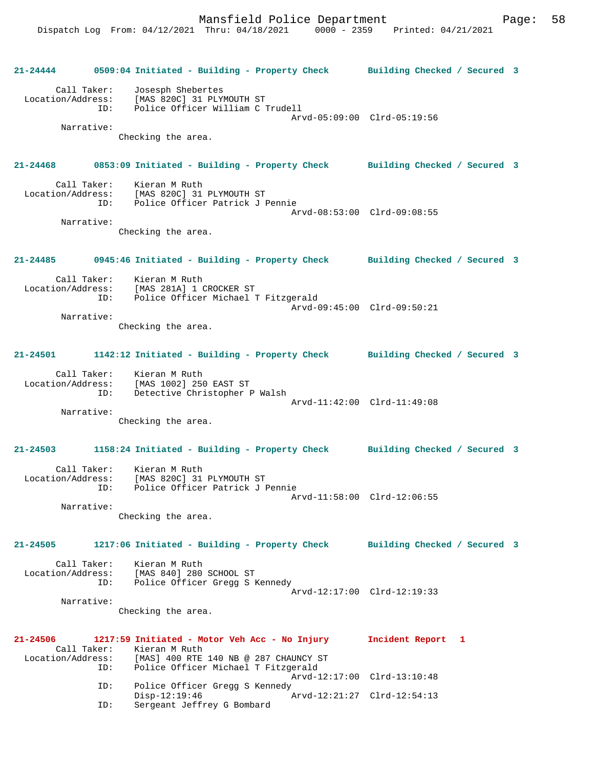|                             |            |                                                                                      | 21-24444 0509:04 Initiated - Building - Property Check Building Checked / Secured 3 |  |
|-----------------------------|------------|--------------------------------------------------------------------------------------|-------------------------------------------------------------------------------------|--|
| Call Taker:                 |            | Josesph Shebertes                                                                    |                                                                                     |  |
|                             |            | Location/Address: [MAS 820C] 31 PLYMOUTH ST                                          |                                                                                     |  |
|                             |            | ID: Police Officer William C Trudell                                                 |                                                                                     |  |
|                             |            |                                                                                      | Arvd-05:09:00 Clrd-05:19:56                                                         |  |
| Narrative:                  |            |                                                                                      |                                                                                     |  |
|                             |            | Checking the area.                                                                   |                                                                                     |  |
|                             |            |                                                                                      |                                                                                     |  |
|                             |            |                                                                                      | 21-24468 0853:09 Initiated - Building - Property Check Building Checked / Secured 3 |  |
|                             |            |                                                                                      |                                                                                     |  |
|                             |            | Call Taker: Kieran M Ruth<br>Location/Address: [MAS 820C] 31 PLYMOUTH ST             |                                                                                     |  |
|                             |            | ID: Police Officer Patrick J Pennie                                                  |                                                                                     |  |
|                             |            |                                                                                      | Arvd-08:53:00 Clrd-09:08:55                                                         |  |
| Narrative:                  |            |                                                                                      |                                                                                     |  |
|                             |            | Checking the area.                                                                   |                                                                                     |  |
|                             |            |                                                                                      |                                                                                     |  |
|                             |            |                                                                                      | 21-24485 0945:46 Initiated - Building - Property Check Building Checked / Secured 3 |  |
|                             |            |                                                                                      |                                                                                     |  |
|                             |            | Call Taker: Kieran M Ruth                                                            |                                                                                     |  |
|                             |            | Location/Address: [MAS 281A] 1 CROCKER ST<br>ID: Police Officer Michael T Fitzgerald |                                                                                     |  |
|                             |            |                                                                                      | Arvd-09:45:00 Clrd-09:50:21                                                         |  |
| Narrative:                  |            |                                                                                      |                                                                                     |  |
|                             |            | Checking the area.                                                                   |                                                                                     |  |
|                             |            |                                                                                      |                                                                                     |  |
|                             |            |                                                                                      | 21-24501 1142:12 Initiated - Building - Property Check Building Checked / Secured 3 |  |
|                             |            |                                                                                      |                                                                                     |  |
|                             |            | Call Taker: Kieran M Ruth                                                            |                                                                                     |  |
|                             |            | Location/Address: [MAS 1002] 250 EAST ST                                             |                                                                                     |  |
|                             |            | ID: Detective Christopher P Walsh                                                    |                                                                                     |  |
| Narrative:                  |            |                                                                                      | Arvd-11:42:00 Clrd-11:49:08                                                         |  |
|                             |            | Checking the area.                                                                   |                                                                                     |  |
|                             |            |                                                                                      |                                                                                     |  |
|                             |            |                                                                                      | 21-24503 1158:24 Initiated - Building - Property Check Building Checked / Secured 3 |  |
|                             |            |                                                                                      |                                                                                     |  |
| Call Taker:                 |            | Kieran M Ruth                                                                        |                                                                                     |  |
|                             |            | Location/Address: [MAS 820C] 31 PLYMOUTH ST                                          |                                                                                     |  |
|                             | ID:        | Police Officer Patrick J Pennie                                                      |                                                                                     |  |
|                             | Narrative: |                                                                                      | Arvd-11:58:00 Clrd-12:06:55                                                         |  |
|                             |            | Checking the area.                                                                   |                                                                                     |  |
|                             |            |                                                                                      |                                                                                     |  |
|                             |            |                                                                                      |                                                                                     |  |
| 21-24505                    |            | 1217:06 Initiated - Building - Property Check                                        | Building Checked / Secured 3                                                        |  |
| Call Taker:                 |            | Kieran M Ruth                                                                        |                                                                                     |  |
| Location/Address:           |            | [MAS 840] 280 SCHOOL ST                                                              |                                                                                     |  |
|                             | ID:        | Police Officer Gregg S Kennedy                                                       |                                                                                     |  |
| Narrative:                  |            |                                                                                      | Arvd-12:17:00 Clrd-12:19:33                                                         |  |
|                             |            | Checking the area.                                                                   |                                                                                     |  |
|                             |            |                                                                                      |                                                                                     |  |
|                             |            |                                                                                      |                                                                                     |  |
| $21 - 24506$<br>Call Taker: |            | 1217:59 Initiated - Motor Veh Acc - No Injury<br>Kieran M Ruth                       | Incident Report 1                                                                   |  |
| Location/Address:           |            | [MAS] 400 RTE 140 NB @ 287 CHAUNCY ST                                                |                                                                                     |  |
|                             | ID:        | Police Officer Michael T Fitzgerald                                                  |                                                                                     |  |
|                             |            |                                                                                      | Arvd-12:17:00 Clrd-13:10:48                                                         |  |
|                             | ID:        | Police Officer Gregg S Kennedy                                                       |                                                                                     |  |
|                             | ID:        | $Disp-12:19:46$<br>Sergeant Jeffrey G Bombard                                        | Arvd-12:21:27 Clrd-12:54:13                                                         |  |
|                             |            |                                                                                      |                                                                                     |  |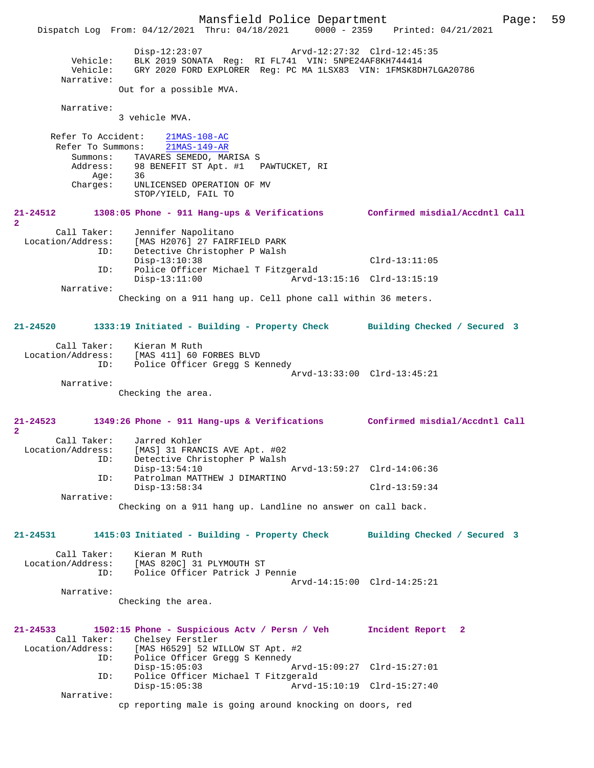Mansfield Police Department Page: 59 Dispatch Log From: 04/12/2021 Thru: 04/18/2021 0000 - 2359 Printed: 04/21/2021 Disp-12:23:07 Arvd-12:27:32 Clrd-12:45:35 Vehicle: BLK 2019 SONATA Reg: RI FL741 VIN: 5NPE24AF8KH744414 Vehicle: GRY 2020 FORD EXPLORER Reg: PC MA 1LSX83 VIN: 1FMSK8DH7LGA20786 Narrative: Out for a possible MVA. Narrative: 3 vehicle MVA. Refer To Accident: 21MAS-108-AC<br>Refer To Summons: 21MAS-149-AR Refer To Summons: Summons: TAVARES SEMEDO, MARISA S Address: 98 BENEFIT ST Apt. #1 PAWTUCKET, RI<br>Age: 36 Age:<br>:Charges UNLICENSED OPERATION OF MV STOP/YIELD, FAIL TO **21-24512 1308:05 Phone - 911 Hang-ups & Verifications Confirmed misdial/Accdntl Call 2**  Call Taker: Jennifer Napolitano<br>Location/Address: [MAS H2076] 27 FAIRI ess: [MAS H2076] 27 FAIRFIELD PARK<br>ID: Detective Christopher P Walsh Detective Christopher P Walsh Disp-13:10:38 Clrd-13:11:05<br>TD: Police Officer Michael T Fitzgerald ID: Police Officer Michael T Fitzgerald Arvd-13:15:16 Clrd-13:15:19 Narrative: Checking on a 911 hang up. Cell phone call within 36 meters. **21-24520 1333:19 Initiated - Building - Property Check Building Checked / Secured 3** Call Taker: Kieran M Ruth Location/Address: [MAS 411] 60 FORBES BLVD Police Officer Gregg S Kennedy Arvd-13:33:00 Clrd-13:45:21 Narrative: Checking the area. **21-24523 1349:26 Phone - 911 Hang-ups & Verifications Confirmed misdial/Accdntl Call 2**  Call Taker: Jarred Kohler<br>Location/Address: [MAS] 31 FRAN ess: [MAS] 31 FRANCIS AVE Apt. #02<br>ID: Detective Christopher P Walsh Detective Christopher P Walsh<br>Disp-13:54:10 Disp-13:54:10 Arvd-13:59:27 Clrd-14:06:36<br>TD: Patrolman MATTHEW J DIMARTINO Patrolman MATTHEW J DIMARTINO Disp-13:58:34 Clrd-13:59:34 Narrative: Checking on a 911 hang up. Landline no answer on call back. **21-24531 1415:03 Initiated - Building - Property Check Building Checked / Secured 3** Call Taker: Kieran M Ruth<br>Location/Address: [MAS 820C] 31 [MAS 820C] 31 PLYMOUTH ST ID: Police Officer Patrick J Pennie Arvd-14:15:00 Clrd-14:25:21 Narrative: Checking the area. **21-24533 1502:15 Phone - Suspicious Actv / Persn / Veh Incident Report 2**  Call Taker: Chelsey Ferstler<br>Location/Address: [MAS H6529] 52 W [MAS H6529] 52 WILLOW ST Apt. #2 ID: Police Officer Gregg S Kennedy<br>Disp-15:05:03 Disp-15:05:03 Arvd-15:09:27 Clrd-15:27:01<br>TD: Police Officer Michael T Fitzgerald Police Officer Michael T Fitzgerald<br>Disp-15:05:38 Arvd-1 Arvd-15:10:19 Clrd-15:27:40 Narrative: cp reporting male is going around knocking on doors, red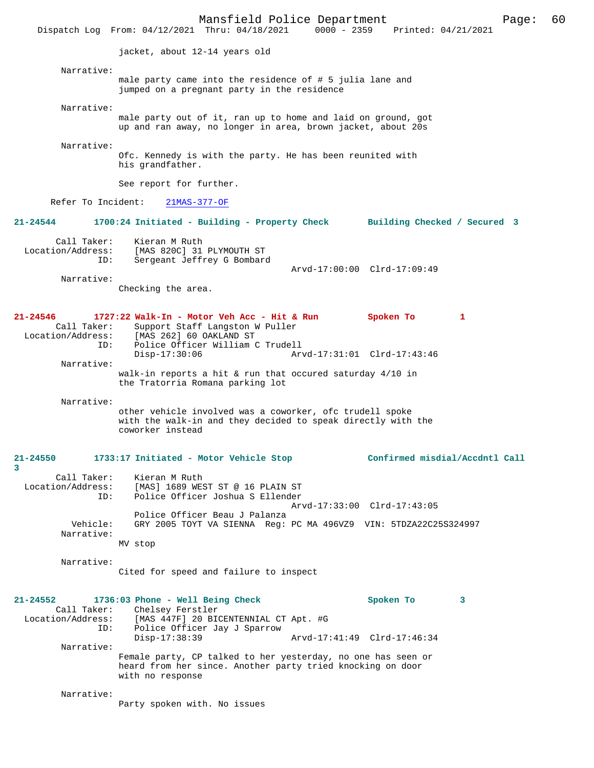|                                                         | Mansfield Police Department<br>Dispatch Log From: 04/12/2021 Thru: 04/18/2021                                                                                    | $0000 - 2359$ | Printed: 04/21/2021                      |   | Page: | 60 |
|---------------------------------------------------------|------------------------------------------------------------------------------------------------------------------------------------------------------------------|---------------|------------------------------------------|---|-------|----|
|                                                         | jacket, about 12-14 years old                                                                                                                                    |               |                                          |   |       |    |
| Narrative:                                              |                                                                                                                                                                  |               |                                          |   |       |    |
|                                                         | male party came into the residence of # 5 julia lane and<br>jumped on a pregnant party in the residence                                                          |               |                                          |   |       |    |
| Narrative:                                              | male party out of it, ran up to home and laid on ground, got<br>up and ran away, no longer in area, brown jacket, about 20s                                      |               |                                          |   |       |    |
| Narrative:                                              | Ofc. Kennedy is with the party. He has been reunited with<br>his grandfather.                                                                                    |               |                                          |   |       |    |
|                                                         | See report for further.                                                                                                                                          |               |                                          |   |       |    |
| Refer To Incident:                                      | $21MAS-377-OF$                                                                                                                                                   |               |                                          |   |       |    |
| $21 - 24544$                                            | 1700:24 Initiated - Building - Property Check                                                                                                                    |               | Building Checked / Secured 3             |   |       |    |
| Call Taker:<br>Location/Address:<br>ID:                 | Kieran M Ruth<br>[MAS 820C] 31 PLYMOUTH ST<br>Sergeant Jeffrey G Bombard                                                                                         |               |                                          |   |       |    |
| Narrative:                                              |                                                                                                                                                                  |               | Arvd-17:00:00 Clrd-17:09:49              |   |       |    |
|                                                         | Checking the area.                                                                                                                                               |               |                                          |   |       |    |
| $21 - 24546$<br>Call Taker:<br>Location/Address:<br>ID: | 1727:22 Walk-In - Motor Veh Acc - Hit & Run<br>Support Staff Langston W Puller<br>[MAS 262] 60 OAKLAND ST<br>Police Officer William C Trudell<br>$Disp-17:30:06$ |               | Spoken To<br>Arvd-17:31:01 Clrd-17:43:46 | 1 |       |    |
| Narrative:                                              | walk-in reports a hit & run that occured saturday $4/10$ in                                                                                                      |               |                                          |   |       |    |
|                                                         | the Tratorria Romana parking lot                                                                                                                                 |               |                                          |   |       |    |
| Narrative:                                              | other vehicle involved was a coworker, ofc trudell spoke<br>with the walk-in and they decided to speak directly with the<br>coworker instead                     |               |                                          |   |       |    |
| $21 - 24550$<br>3                                       | 1733:17 Initiated - Motor Vehicle Stop                                                                                                                           |               | Confirmed misdial/Accdntl Call           |   |       |    |
| Call Taker:<br>Location/Address:<br>ID:                 | Kieran M Ruth<br>[MAS] 1689 WEST ST @ 16 PLAIN ST<br>Police Officer Joshua S Ellender                                                                            |               |                                          |   |       |    |
|                                                         | Police Officer Beau J Palanza                                                                                                                                    |               | Arvd-17:33:00 Clrd-17:43:05              |   |       |    |
| Vehicle:<br>Narrative:                                  | GRY 2005 TOYT VA SIENNA Reg: PC MA 496VZ9 VIN: 5TDZA22C25S324997<br>MV stop                                                                                      |               |                                          |   |       |    |
| Narrative:                                              | Cited for speed and failure to inspect                                                                                                                           |               |                                          |   |       |    |
| $21 - 24552$<br>Call Taker:<br>Location/Address:<br>ID: | 1736:03 Phone - Well Being Check<br>Chelsey Ferstler<br>[MAS 447F] 20 BICENTENNIAL CT Apt. #G<br>Police Officer Jay J Sparrow<br>$Disp-17:38:39$                 |               | Spoken To<br>Arvd-17:41:49 Clrd-17:46:34 | 3 |       |    |
| Narrative:                                              | Female party, CP talked to her yesterday, no one has seen or<br>heard from her since. Another party tried knocking on door<br>with no response                   |               |                                          |   |       |    |
| Narrative:                                              | Party spoken with. No issues                                                                                                                                     |               |                                          |   |       |    |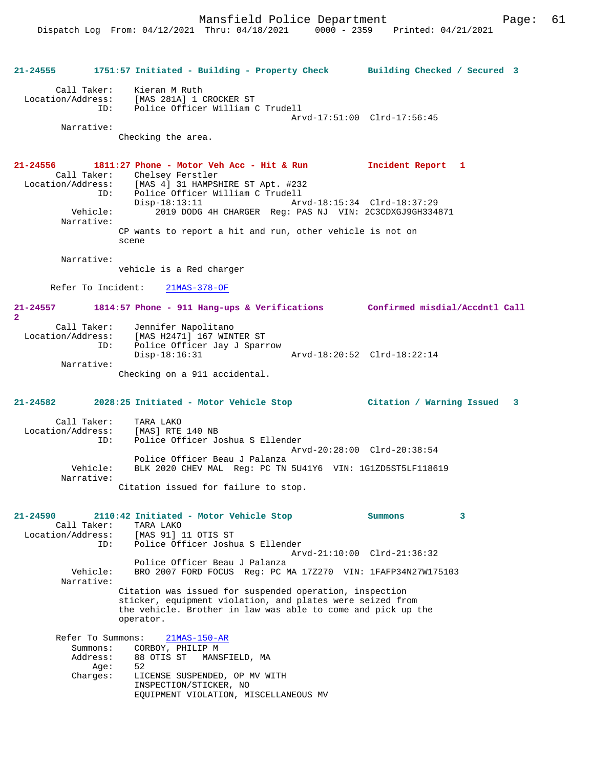Mansfield Police Department Page: 61

**21-24555 1751:57 Initiated - Building - Property Check Building Checked / Secured 3** Call Taker: Kieran M Ruth Location/Address: [MAS 281A] 1 CROCKER ST Police Officer William C Trudell Arvd-17:51:00 Clrd-17:56:45 Narrative: Checking the area. **21-24556 1811:27 Phone - Motor Veh Acc - Hit & Run Incident Report 1**  Call Taker: Chelsey Ferstler<br>Location/Address: [MAS 4] 31 HAMPSI [MAS 4] 31 HAMPSHIRE ST Apt. #232 ESS: INN 11 J1 MARCHI<br>ID: Police Officer William C Trudell<br>Disp-18:13:11 Ar Disp-18:13:11 Arvd-18:15:34 Clrd-18:37:29<br>Vehicle: 2019 DODG 4H CHARGER Reg: PAS NJ VIN: 2C3CDXGJ9GH334 2019 DODG 4H CHARGER Reg: PAS NJ VIN: 2C3CDXGJ9GH334871 Narrative: CP wants to report a hit and run, other vehicle is not on scene Narrative: vehicle is a Red charger Refer To Incident: 21MAS-378-OF **21-24557 1814:57 Phone - 911 Hang-ups & Verifications Confirmed misdial/Accdntl Call 2**  Call Taker: Jennifer Napolitano Location/Address: [MAS H2471] 167 WINTER ST ID: Police Officer Jay J Sparrow Disp-18:16:31 Arvd-18:20:52 Clrd-18:22:14 Narrative: Checking on a 911 accidental. **21-24582 2028:25 Initiated - Motor Vehicle Stop Citation / Warning Issued 3** Call Taker: TARA LAKO Location/Address: [MAS] RTE 140 NB ID: Police Officer Joshua S Ellender Arvd-20:28:00 Clrd-20:38:54 Police Officer Beau J Palanza<br>Vehicle: BLK 2020 CHEV MAL, Reg: PC TN BLK 2020 CHEV MAL Reg: PC TN 5U41Y6 VIN: 1G1ZD5ST5LF118619 Narrative: Citation issued for failure to stop. **21-24590 2110:42 Initiated - Motor Vehicle Stop Summons 3**  Call Taker: TARA LAKO<br>[MAS 91] : Location/Address: [MAS 91] [MAS 91] 11 OTIS ST ID: Police Officer Joshua S Ellender Arvd-21:10:00 Clrd-21:36:32 Police Officer Beau J Palanza<br>Vehicle: BRO 2007 FORD FOCUS Req: PC M BRO 2007 FORD FOCUS Reg: PC MA 17Z270 VIN: 1FAFP34N27W175103 Narrative: Citation was issued for suspended operation, inspection sticker, equipment violation, and plates were seized from the vehicle. Brother in law was able to come and pick up the operator. Refer To Summons: 21MAS-150-AR Summons: CORBOY, PHILIP M<br>Address: 88 OTIS ST MANS 88 OTIS ST – MANSFIELD, MA<br>52 Age:<br>:Charqes LICENSE SUSPENDED, OP MV WITH INSPECTION/STICKER, NO EQUIPMENT VIOLATION, MISCELLANEOUS MV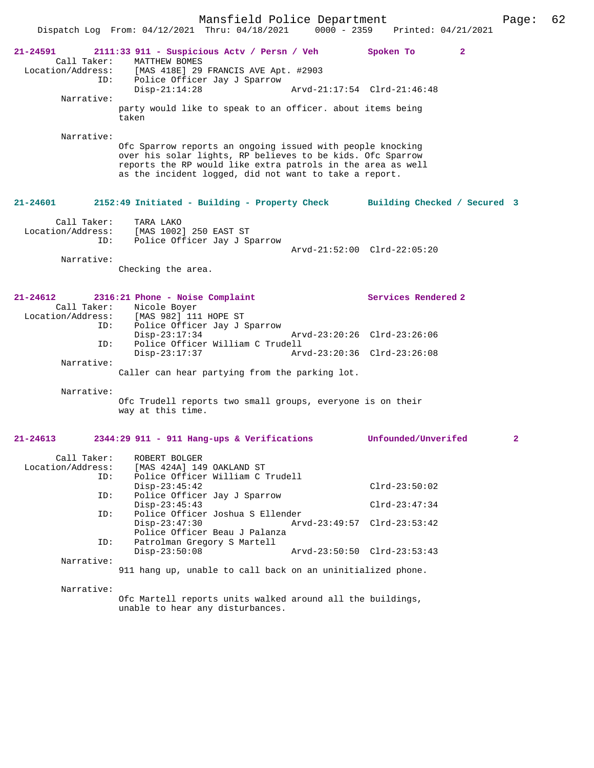|                                                       | Mansfield Police Department<br>Dispatch Log From: 04/12/2021 Thru: 04/18/2021                                                                                                                                                                     | $0000 - 2359$               | Printed: 04/21/2021         | Page:        | 62 |
|-------------------------------------------------------|---------------------------------------------------------------------------------------------------------------------------------------------------------------------------------------------------------------------------------------------------|-----------------------------|-----------------------------|--------------|----|
| 21-24591<br>Call Taker:                               | 2111:33 911 - Suspicious Actv / Persn / Veh<br>MATTHEW BOMES<br>Location/Address: [MAS 418E] 29 FRANCIS AVE Apt. #2903                                                                                                                            |                             | $\overline{2}$<br>Spoken To |              |    |
| ID:                                                   | Police Officer Jay J Sparrow<br>$Disp-21:14:28$                                                                                                                                                                                                   | Arvd-21:17:54 Clrd-21:46:48 |                             |              |    |
| Narrative:                                            | party would like to speak to an officer. about items being<br>taken                                                                                                                                                                               |                             |                             |              |    |
| Narrative:                                            | Ofc Sparrow reports an ongoing issued with people knocking<br>over his solar lights, RP believes to be kids. Ofc Sparrow<br>reports the RP would like extra patrols in the area as well<br>as the incident logged, did not want to take a report. |                             |                             |              |    |
| 21-24601                                              | 2152:49 Initiated - Building - Property Check Building Checked / Secured 3                                                                                                                                                                        |                             |                             |              |    |
| Call Taker:<br>Location/Address:<br>ID:<br>Narrative: | TARA LAKO<br>[MAS 1002] 250 EAST ST<br>Police Officer Jay J Sparrow                                                                                                                                                                               | Arvd-21:52:00 Clrd-22:05:20 |                             |              |    |
|                                                       | Checking the area.                                                                                                                                                                                                                                |                             |                             |              |    |
| 21-24612<br>Call Taker:<br>ID:                        | 2316:21 Phone - Noise Complaint<br>Nicole Boyer<br>Location/Address: [MAS 982] 111 HOPE ST<br>Police Officer Jay J Sparrow                                                                                                                        | Arvd-23:20:26 Clrd-23:26:06 | Services Rendered 2         |              |    |
| ID:                                                   | $Disp-23:17:34$<br>Police Officer William C Trudell                                                                                                                                                                                               |                             |                             |              |    |
| Narrative:                                            | $Disp-23:17:37$<br>Caller can hear partying from the parking lot.                                                                                                                                                                                 | Arvd-23:20:36 Clrd-23:26:08 |                             |              |    |
| Narrative:                                            | Ofc Trudell reports two small groups, everyone is on their<br>way at this time.                                                                                                                                                                   |                             |                             |              |    |
| $21 - 24613$                                          | 2344:29 911 - 911 Hang-ups & Verifications                                                                                                                                                                                                        |                             | Unfounded/Unverifed         | $\mathbf{2}$ |    |
| Call Taker:<br>Location/Address:<br>ID:               | ROBERT BOLGER<br>[MAS 424A] 149 OAKLAND ST<br>Police Officer William C Trudell                                                                                                                                                                    |                             | $Clrd-23:50:02$             |              |    |
| ID:                                                   | $Disp-23:45:42$<br>Police Officer Jay J Sparrow                                                                                                                                                                                                   |                             |                             |              |    |
| ID:                                                   | $Disp-23:45:43$<br>Police Officer Joshua S Ellender                                                                                                                                                                                               |                             | $Clrd-23:47:34$             |              |    |
| ID:                                                   | $Disp-23:47:30$<br>Police Officer Beau J Palanza<br>Patrolman Gregory S Martell                                                                                                                                                                   | Arvd-23:49:57 Clrd-23:53:42 |                             |              |    |
| Narrative:                                            | $Disp-23:50:08$                                                                                                                                                                                                                                   | Arvd-23:50:50 Clrd-23:53:43 |                             |              |    |
|                                                       | 911 hang up, unable to call back on an uninitialized phone.                                                                                                                                                                                       |                             |                             |              |    |
| Narrative:                                            | Mortall reports units unlied around all the buildings                                                                                                                                                                                             |                             |                             |              |    |

Ofc Martell reports units walked around all the buildings, unable to hear any disturbances.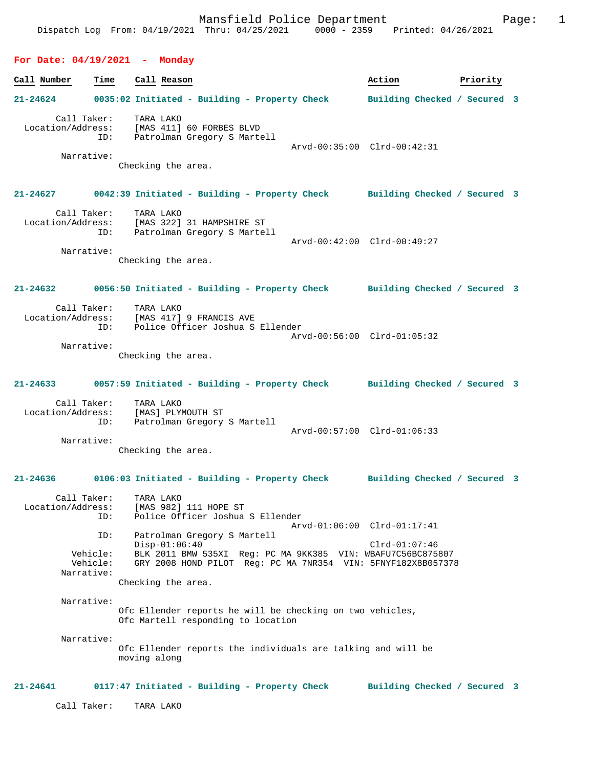### **For Date: 04/19/2021 - Monday**

**Call Number Time Call Reason Action Priority 21-24624 0035:02 Initiated - Building - Property Check Building Checked / Secured 3** Call Taker: TARA LAKO<br>Location/Address: [MAS 411] ESS: [MAS 411] 60 FORBES BLVD<br>ID: Patrolman Gregory S Marte Patrolman Gregory S Martell Arvd-00:35:00 Clrd-00:42:31 Narrative: Checking the area. **21-24627 0042:39 Initiated - Building - Property Check Building Checked / Secured 3** Call Taker: TARA LAKO Location/Address: [MAS 322] 31 HAMPSHIRE ST ID: Patrolman Gregory S Martell Arvd-00:42:00 Clrd-00:49:27 Narrative: Checking the area. **21-24632 0056:50 Initiated - Building - Property Check Building Checked / Secured 3** Call Taker: TARA LAKO<br>Location/Address: [MAS 417] [MAS 417] 9 FRANCIS AVE ID: Police Officer Joshua S Ellender Arvd-00:56:00 Clrd-01:05:32 Narrative: Checking the area. **21-24633 0057:59 Initiated - Building - Property Check Building Checked / Secured 3** Call Taker: TARA LAKO Location/Address: [MAS] PLYMOUTH ST<br>ID: Patrolman Gregory Patrolman Gregory S Martell Arvd-00:57:00 Clrd-01:06:33 Narrative: Checking the area. **21-24636 0106:03 Initiated - Building - Property Check Building Checked / Secured 3** Call Taker: TARA LAKO Location/Address: [MAS 982] 111 HOPE ST<br>
TD: Police Officer Joshua Police Officer Joshua S Ellender Arvd-01:06:00 Clrd-01:17:41 ID: Patrolman Gregory S Martell Disp-01:06:40 Clrd-01:07:46 Vehicle: BLK 2011 BMW 535XI Reg: PC MA 9KK385 VIN: WBAFU7C56BC875807 GRY 2008 HOND PILOT Reg: PC MA 7NR354 VIN: 5FNYF182X8B057378 Narrative: Checking the area. Narrative: Ofc Ellender reports he will be checking on two vehicles, Ofc Martell responding to location Narrative: Ofc Ellender reports the individuals are talking and will be moving along **21-24641 0117:47 Initiated - Building - Property Check Building Checked / Secured 3** Call Taker: TARA LAKO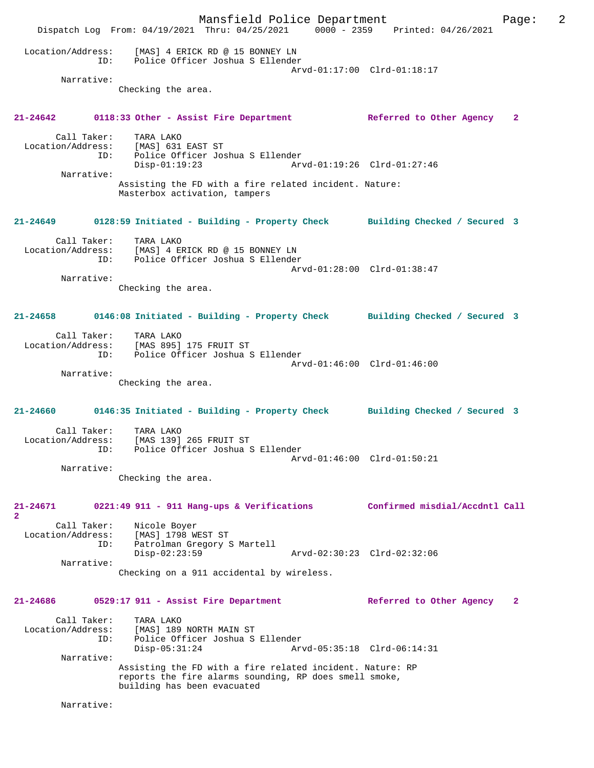Mansfield Police Department Page: 2 Dispatch Log From: 04/19/2021 Thru: 04/25/2021 0000 - 2359 Printed: 04/26/2021 Location/Address: [MAS] 4 ERICK RD @ 15 BONNEY LN ID: Police Officer Joshua S Ellender Arvd-01:17:00 Clrd-01:18:17 Narrative: Checking the area. **21-24642 0118:33 Other - Assist Fire Department Referred to Other Agency 2** Call Taker: TARA LAKO Location/Address: [MAS] 631 EAST ST ID: Police Officer Joshua S Ellender Arvd-01:19:26 Clrd-01:27:46 Narrative: Assisting the FD with a fire related incident. Nature: Masterbox activation, tampers **21-24649 0128:59 Initiated - Building - Property Check Building Checked / Secured 3** Call Taker: TARA LAKO Location/Address: [MAS] 4 ERICK RD @ 15 BONNEY LN ID: Police Officer Joshua S Ellender Arvd-01:28:00 Clrd-01:38:47 Narrative: Checking the area. **21-24658 0146:08 Initiated - Building - Property Check Building Checked / Secured 3** Call Taker: TARA LAKO Location/Address: [MAS 895] 175 FRUIT ST ID: Police Officer Joshua S Ellender Arvd-01:46:00 Clrd-01:46:00 Narrative: Checking the area. **21-24660 0146:35 Initiated - Building - Property Check Building Checked / Secured 3** Call Taker: TARA LAKO<br>Location/Address: [MAS 139] [MAS 139] 265 FRUIT ST ID: Police Officer Joshua S Ellender Arvd-01:46:00 Clrd-01:50:21 Narrative: Checking the area. **21-24671 0221:49 911 - 911 Hang-ups & Verifications Confirmed misdial/Accdntl Call 2**  Call Taker: Nicole Boyer Location/Address: [MAS] 1798 WEST ST ID: Patrolman Gregory S Martell Disp-02:23:59 Arvd-02:30:23 Clrd-02:32:06 Narrative: Checking on a 911 accidental by wireless. **21-24686 0529:17 911 - Assist Fire Department Referred to Other Agency 2** Call Taker: TARA LAKO<br>Location/Address: [MAS] 189 ess: [MAS] 189 NORTH MAIN ST<br>ID: Police Officer Joshua S Police Officer Joshua S Ellender<br>Disp-05:31:24 Arv Arvd-05:35:18 Clrd-06:14:31 Narrative: Assisting the FD with a fire related incident. Nature: RP reports the fire alarms sounding, RP does smell smoke, building has been evacuated Narrative: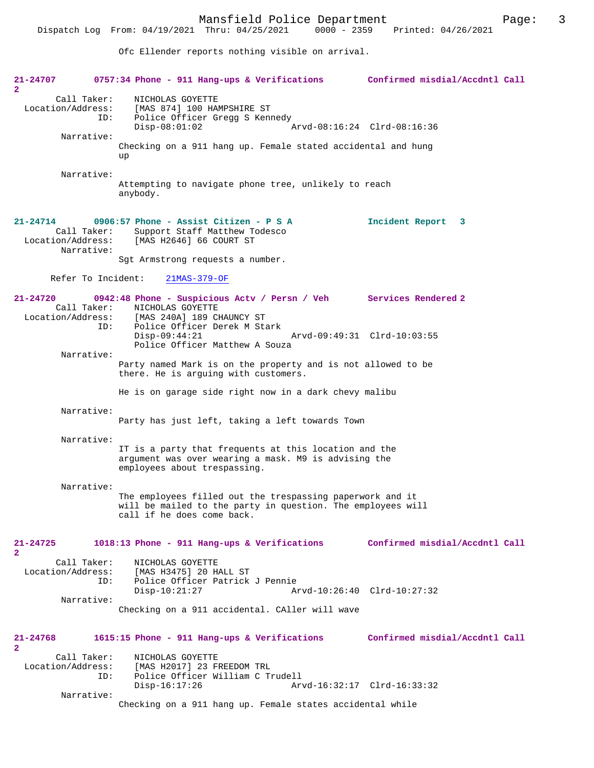Ofc Ellender reports nothing visible on arrival.

| 21-24707<br>$\mathbf{2}$                            | 0757:34 Phone - 911 Hang-ups & Verifications Confirmed misdial/Accdntl Call                                                                                |                                |
|-----------------------------------------------------|------------------------------------------------------------------------------------------------------------------------------------------------------------|--------------------------------|
| Call Taker:<br>Location/Address:<br>ID:             | NICHOLAS GOYETTE<br>[MAS 874] 100 HAMPSHIRE ST<br>Police Officer Gregg S Kennedy<br>$Disp-08:01:02$                                                        | Arvd-08:16:24 Clrd-08:16:36    |
| Narrative:                                          | Checking on a 911 hang up. Female stated accidental and hung<br>up                                                                                         |                                |
| Narrative:                                          | Attempting to navigate phone tree, unlikely to reach<br>anybody.                                                                                           |                                |
| $21 - 24714$<br>Call Taker:<br>Narrative:           | $0906:57$ Phone - Assist Citizen - P S A<br>Support Staff Matthew Todesco<br>Location/Address: [MAS H2646] 66 COURT ST<br>Sgt Armstrong requests a number. | Incident Report 3              |
|                                                     | Refer To Incident: 21MAS-379-OF                                                                                                                            |                                |
| 21-24720<br>Call Taker:<br>Location/Address:<br>ID: | 0942:48 Phone - Suspicious Actv / Persn / Veh Services Rendered 2<br>NICHOLAS GOYETTE<br>[MAS 240A] 189 CHAUNCY ST<br>Police Officer Derek M Stark         |                                |
|                                                     | $Disp-09:44:21$<br>Police Officer Matthew A Souza                                                                                                          | Arvd-09:49:31 Clrd-10:03:55    |
| Narrative:                                          | Party named Mark is on the property and is not allowed to be<br>there. He is arguing with customers.                                                       |                                |
|                                                     | He is on garage side right now in a dark chevy malibu                                                                                                      |                                |
| Narrative:                                          | Party has just left, taking a left towards Town                                                                                                            |                                |
| Narrative:                                          | IT is a party that frequents at this location and the<br>argument was over wearing a mask. M9 is advising the<br>employees about trespassing.              |                                |
| Narrative:                                          | The employees filled out the trespassing paperwork and it<br>will be mailed to the party in question. The employees will<br>call if he does come back.     |                                |
|                                                     |                                                                                                                                                            |                                |
| 21-24725<br>$\mathbf{2}$<br>Call Taker:             | 1018:13 Phone - 911 Hang-ups & Verifications Confirmed misdial/Accdntl Call<br>NICHOLAS GOYETTE                                                            |                                |
| Location/Address:<br>ID:                            | [MAS H3475] 20 HALL ST<br>Police Officer Patrick J Pennie<br>$Disp-10:21:27$                                                                               | Arvd-10:26:40 Clrd-10:27:32    |
| Narrative:                                          | Checking on a 911 accidental. CAller will wave                                                                                                             |                                |
| 21-24768<br>2                                       | 1615:15 Phone - 911 Hang-ups & Verifications                                                                                                               | Confirmed misdial/Accdntl Call |
| Call Taker:<br>Location/Address:<br>ID:             | NICHOLAS GOYETTE<br>[MAS H2017] 23 FREEDOM TRL<br>Police Officer William C Trudell<br>$Disp-16:17:26$                                                      | Arvd-16:32:17 Clrd-16:33:32    |
| Narrative:                                          | Checking on a 911 hang up. Female states accidental while                                                                                                  |                                |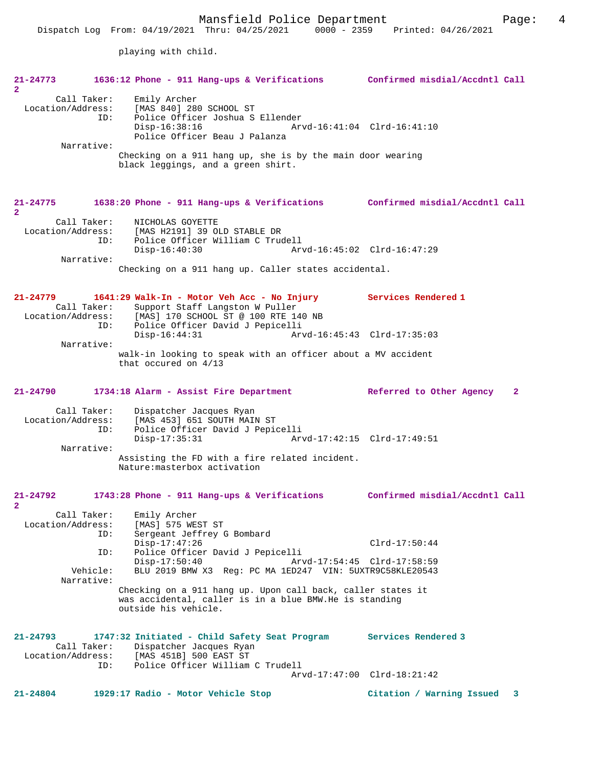playing with child.

| $21 - 24773$<br>$\mathbf{2}$      |                                  | 1636:12 Phone - 911 Hang-ups & Verifications Confirmed misdial/Accdntl Call                                                                                                                     |                                                                                     |
|-----------------------------------|----------------------------------|-------------------------------------------------------------------------------------------------------------------------------------------------------------------------------------------------|-------------------------------------------------------------------------------------|
| Location/Address:                 | Call Taker:<br>ID:               | Emily Archer<br>[MAS 840] 280 SCHOOL ST<br>Police Officer Joshua S Ellender<br>$Disp-16:38:16$<br>Police Officer Beau J Palanza                                                                 | Arvd-16:41:04 Clrd-16:41:10                                                         |
|                                   | Narrative:                       | Checking on a 911 hang up, she is by the main door wearing<br>black leggings, and a green shirt.                                                                                                |                                                                                     |
| 21-24775<br>$\mathbf{2}$          |                                  | 1638:20 Phone - 911 Hang-ups & Verifications Confirmed misdial/Accdntl Call                                                                                                                     |                                                                                     |
| Location/Address:                 | Call Taker:<br>ID:               | NICHOLAS GOYETTE<br>[MAS H2191] 39 OLD STABLE DR<br>Police Officer William C Trudell                                                                                                            |                                                                                     |
|                                   | Narrative:                       | $Disp-16:40:30$<br>Arvd-16:45:02 Clrd-16:47:29                                                                                                                                                  |                                                                                     |
|                                   |                                  | Checking on a 911 hang up. Caller states accidental.                                                                                                                                            |                                                                                     |
| $21 - 24779$<br>Location/Address: | Call Taker:<br>ID:               | 1641:29 Walk-In - Motor Veh Acc - No Injury<br>Support Staff Langston W Puller<br>[MAS] 170 SCHOOL ST @ 100 RTE 140 NB<br>Police Officer David J Pepicelli                                      | Services Rendered 1                                                                 |
|                                   | Narrative:                       | $Disp-16:44:31$                                                                                                                                                                                 | Arvd-16:45:43 Clrd-17:35:03                                                         |
|                                   |                                  | walk-in looking to speak with an officer about a MV accident<br>that occured on $4/13$                                                                                                          |                                                                                     |
|                                   |                                  |                                                                                                                                                                                                 |                                                                                     |
| $21 - 24790$                      |                                  | 1734:18 Alarm - Assist Fire Department                                                                                                                                                          | Referred to Other Agency<br>$\mathbf{2}$                                            |
| Location/Address:                 | Call Taker:<br>ID:<br>Narrative: | Dispatcher Jacques Ryan<br>[MAS 453] 651 SOUTH MAIN ST<br>Police Officer David J Pepicelli<br>$Disp-17:35:31$<br>Assisting the FD with a fire related incident.<br>Nature: masterbox activation | Arvd-17:42:15 Clrd-17:49:51                                                         |
| $21 - 24792$                      |                                  | 1743:28 Phone - 911 Hang-ups & Verifications                                                                                                                                                    | Confirmed misdial/Accdntl Call                                                      |
| $2^{\circ}$<br>Location/Address:  | Call Taker:<br>ID:               | Emily Archer<br>[MAS] 575 WEST ST<br>Sergeant Jeffrey G Bombard                                                                                                                                 |                                                                                     |
|                                   | ID:                              | $Disp-17:47:26$<br>Police Officer David J Pepicelli                                                                                                                                             | $Clrd-17:50:44$                                                                     |
|                                   | Vehicle:                         | $Disp-17:50:40$<br>BLU 2019 BMW X3 Reg: PC MA 1ED247 VIN: 5UXTR9C58KLE20543                                                                                                                     | Arvd-17:54:45 Clrd-17:58:59                                                         |
|                                   | Narrative:                       | Checking on a 911 hang up. Upon call back, caller states it<br>was accidental, caller is in a blue BMW. He is standing<br>outside his vehicle.                                                  |                                                                                     |
| $21 - 24793$<br>Location/Address: | Call Taker:<br>ID:               | 1747:32 Initiated - Child Safety Seat Program<br>Dispatcher Jacques Ryan<br>[MAS 451B] 500 EAST ST<br>Police Officer William C Trudell                                                          | Services Rendered 3                                                                 |
| $21 - 24804$                      |                                  | 1929:17 Radio - Motor Vehicle Stop                                                                                                                                                              | Arvd-17:47:00 Clrd-18:21:42<br>Citation / Warning Issued<br>$\overline{\mathbf{3}}$ |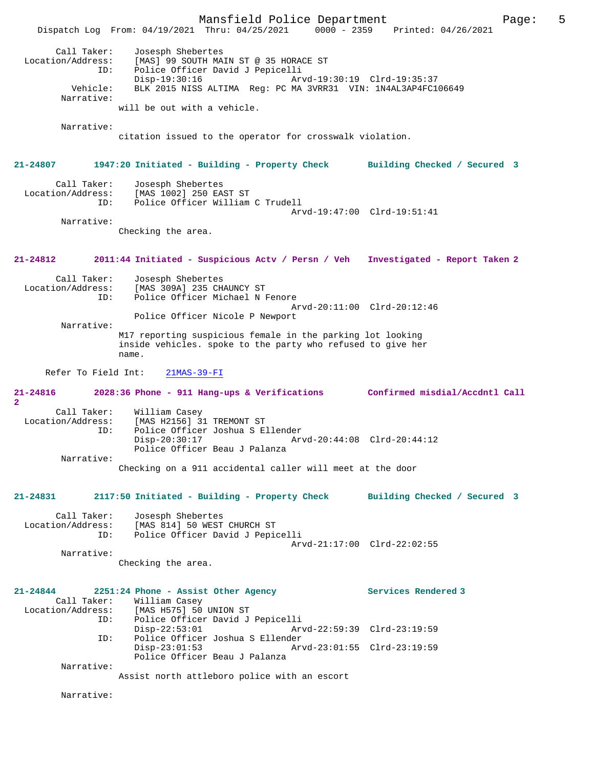|                                                            |                                                                                       | Mansfield Police Department<br>Dispatch Log From: 04/19/2021 Thru: 04/25/2021 0000 - 2359 Printed: 04/26/2021                              |                                                            |                                | 5<br>Page: |
|------------------------------------------------------------|---------------------------------------------------------------------------------------|--------------------------------------------------------------------------------------------------------------------------------------------|------------------------------------------------------------|--------------------------------|------------|
| Call Taker:<br>Location/Address:<br>Vehicle:<br>Narrative: | Josesph Shebertes<br>ID:<br>$Disp-19:30:16$                                           | [MAS] 99 SOUTH MAIN ST @ 35 HORACE ST<br>Police Officer David J Pepicelli<br>BLK 2015 NISS ALTIMA Reg: PC MA 3VRR31 VIN: 1N4AL3AP4FC106649 | Arvd-19:30:19 Clrd-19:35:37                                |                                |            |
|                                                            | will be out with a vehicle.                                                           |                                                                                                                                            |                                                            |                                |            |
| Narrative:                                                 |                                                                                       | citation issued to the operator for crosswalk violation.                                                                                   |                                                            |                                |            |
| 21-24807                                                   |                                                                                       | 1947:20 Initiated - Building - Property Check                                                                                              |                                                            | Building Checked / Secured 3   |            |
| Call Taker:<br>Location/Address:                           | Josesph Shebertes<br>[MAS 1002] 250 EAST ST<br>ID:                                    | Police Officer William C Trudell                                                                                                           | Arvd-19:47:00 Clrd-19:51:41                                |                                |            |
| Narrative:                                                 | Checking the area.                                                                    |                                                                                                                                            |                                                            |                                |            |
| 21-24812                                                   |                                                                                       | 2011:44 Initiated - Suspicious Actv / Persn / Veh Investigated - Report Taken 2                                                            |                                                            |                                |            |
| Call Taker:<br>Location/Address:                           | Josesph Shebertes<br>[MAS 309A] 235 CHAUNCY ST<br>ID:                                 | Police Officer Michael N Fenore                                                                                                            | Arvd-20:11:00 Clrd-20:12:46                                |                                |            |
|                                                            |                                                                                       | Police Officer Nicole P Newport                                                                                                            |                                                            |                                |            |
| Narrative:                                                 | name.                                                                                 | M17 reporting suspicious female in the parking lot looking<br>inside vehicles. spoke to the party who refused to give her                  |                                                            |                                |            |
| Refer To Field Int:                                        | $21MAS-39-FI$                                                                         |                                                                                                                                            |                                                            |                                |            |
| 21-24816<br>$\overline{2}$                                 |                                                                                       | 2028:36 Phone - 911 Hang-ups & Verifications                                                                                               |                                                            | Confirmed misdial/Accdntl Call |            |
| Call Taker:<br>Location/Address:<br>Narrative:             | William Casey<br>[MAS H2156] 31 TREMONT ST<br>ID:<br>$Disp-20:30:17$                  | Police Officer Joshua S Ellender<br>Police Officer Beau J Palanza                                                                          | Arvd-20:44:08 Clrd-20:44:12                                |                                |            |
|                                                            |                                                                                       | Checking on a 911 accidental caller will meet at the door                                                                                  |                                                            |                                |            |
| 21-24831                                                   |                                                                                       | 2117:50 Initiated - Building - Property Check Building Checked / Secured 3                                                                 |                                                            |                                |            |
| Call Taker:<br>Location/Address:                           | Josesph Shebertes<br>[MAS 814] 50 WEST CHURCH ST<br>ID:                               | Police Officer David J Pepicelli                                                                                                           | Arvd-21:17:00 Clrd-22:02:55                                |                                |            |
| Narrative:                                                 | Checking the area.                                                                    |                                                                                                                                            |                                                            |                                |            |
| $21 - 24844$<br>Call Taker:<br>Location/Address:           | 2251:24 Phone - Assist Other Agency<br>William Casey<br>[MAS H575] 50 UNION ST<br>ID: | Police Officer David J Pepicelli                                                                                                           |                                                            | Services Rendered 3            |            |
|                                                            | $Disp-22:53:01$<br>ID:<br>$Disp-23:01:53$                                             | Police Officer Joshua S Ellender                                                                                                           | Arvd-22:59:39 Clrd-23:19:59<br>Arvd-23:01:55 Clrd-23:19:59 |                                |            |
| Narrative:                                                 |                                                                                       | Police Officer Beau J Palanza<br>Assist north attleboro police with an escort                                                              |                                                            |                                |            |
| Narrative:                                                 |                                                                                       |                                                                                                                                            |                                                            |                                |            |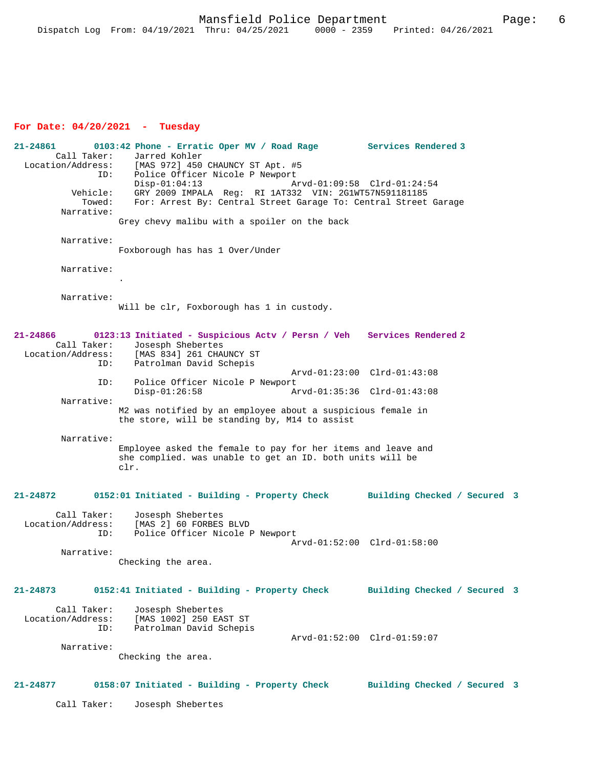# **For Date: 04/20/2021 - Tuesday**

**21-24861 0103:42 Phone - Erratic Oper MV / Road Rage Services Rendered 3**  Call Taker: Jarred Kohler<br>Location/Address: [MAS 972] 450 ess: [MAS 972] 450 CHAUNCY ST Apt. #5<br>ID: Police Officer Nicole P Newport Police Officer Nicole P Newport<br>Disp-01:04:13 A Disp-01:04:13 Arvd-01:09:58 Clrd-01:24:54<br>Vehicle: GRY 2009 IMPALA Req: RI 1AT332 VIN: 2G1WT57N591181185 ehicle: GRY 2009 IMPALA Reg: RI 1AT332 VIN: 2G1WT57N591181185<br>Towed: For: Arrest By: Central Street Garage To: Central Street For: Arrest By: Central Street Garage To: Central Street Garage Narrative: Grey chevy malibu with a spoiler on the back Narrative: Foxborough has has 1 Over/Under Narrative: . Narrative: Will be clr, Foxborough has 1 in custody. **21-24866 0123:13 Initiated - Suspicious Actv / Persn / Veh Services Rendered 2**  Call Taker: Josesph Shebertes<br>Location/Address: [MAS 834] 261 CHA ess: [MAS 834] 261 CHAUNCY ST<br>ID: Patrolman David Schepis Patrolman David Schepis Arvd-01:23:00 Clrd-01:43:08 ID: Police Officer Nicole P Newport<br>Disp-01:26:58 Am Disp-01:26:58 Arvd-01:35:36 Clrd-01:43:08 Narrative: M2 was notified by an employee about a suspicious female in the store, will be standing by, M14 to assist Narrative: Employee asked the female to pay for her items and leave and she complied. was unable to get an ID. both units will be clr. **21-24872 0152:01 Initiated - Building - Property Check Building Checked / Secured 3** Call Taker: Josesph Shebertes<br>Location/Address: [MAS 2] 60 FORBES [MAS 2] 60 FORBES BLVD ID: Police Officer Nicole P Newport Arvd-01:52:00 Clrd-01:58:00 Narrative: Checking the area. **21-24873 0152:41 Initiated - Building - Property Check Building Checked / Secured 3** Call Taker: Josesph Shebertes<br>Location/Address: [MAS 1002] 250 EA ess: [MAS 1002] 250 EAST ST<br>ID: Patrolman David Schepis Patrolman David Schepis Arvd-01:52:00 Clrd-01:59:07 Narrative: Checking the area. **21-24877 0158:07 Initiated - Building - Property Check Building Checked / Secured 3** Call Taker: Josesph Shebertes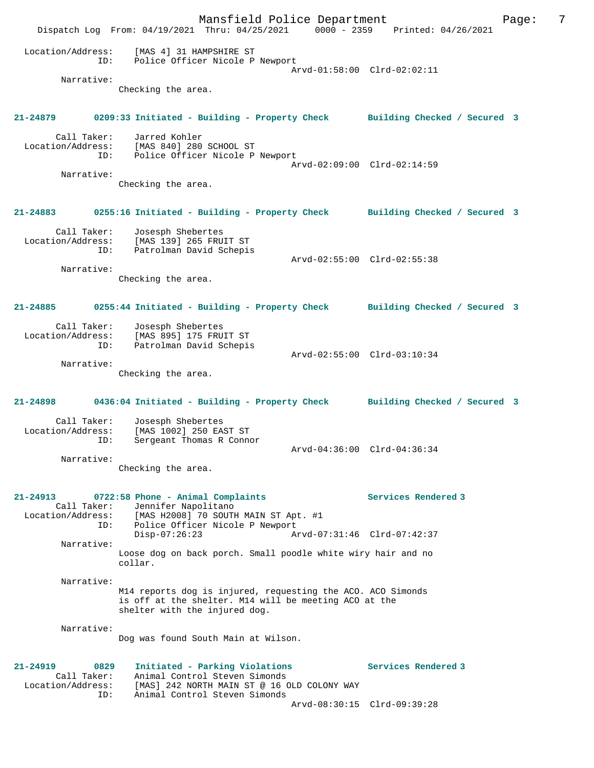Mansfield Police Department Form Page: 7 Dispatch Log From: 04/19/2021 Thru: 04/25/2021 0000 - 2359 Printed: 04/26/2021 Location/Address: [MAS 4] 31 HAMPSHIRE ST ID: Police Officer Nicole P Newport Arvd-01:58:00 Clrd-02:02:11 Narrative: Checking the area. **21-24879 0209:33 Initiated - Building - Property Check Building Checked / Secured 3** Call Taker: Jarred Kohler Location/Address: [MAS 840] 280 SCHOOL ST ID: Police Officer Nicole P Newport Arvd-02:09:00 Clrd-02:14:59 Narrative: Checking the area. **21-24883 0255:16 Initiated - Building - Property Check Building Checked / Secured 3** Call Taker: Josesph Shebertes Location/Address: [MAS 139] 265 FRUIT ST ID: Patrolman David Schepis Arvd-02:55:00 Clrd-02:55:38 Narrative: Checking the area. **21-24885 0255:44 Initiated - Building - Property Check Building Checked / Secured 3** Call Taker: Josesph Shebertes Location/Address: [MAS 895] 175 FRUIT ST ID: Patrolman David Schepis Arvd-02:55:00 Clrd-03:10:34 Narrative: Checking the area. **21-24898 0436:04 Initiated - Building - Property Check Building Checked / Secured 3** Call Taker: Josesph Shebertes Location/Address: [MAS 1002] 250 EAST ST Sergeant Thomas R Connor Arvd-04:36:00 Clrd-04:36:34 Narrative: Checking the area. **21-24913 0722:58 Phone - Animal Complaints Services Rendered 3**  Call Taker: Jennifer Napolitano Location/Address: [MAS H2008] 70 SOUTH MAIN ST Apt. #1 ID: Police Officer Nicole P Newport<br>Disp-07:26:23 Ar Disp-07:26:23 Arvd-07:31:46 Clrd-07:42:37 Narrative: Loose dog on back porch. Small poodle white wiry hair and no collar. Narrative: M14 reports dog is injured, requesting the ACO. ACO Simonds is off at the shelter. M14 will be meeting ACO at the shelter with the injured dog. Narrative: Dog was found South Main at Wilson. **21-24919 0829 Initiated - Parking Violations Services Rendered 3**  Call Taker: Animal Control Steven Simonds<br>Location/Address: [MAS] 242 NORTH MAIN ST @ 16 C ess: [MAS] 242 NORTH MAIN ST @ 16 OLD COLONY WAY<br>ID: Animal Control Steven Simonds Animal Control Steven Simonds Arvd-08:30:15 Clrd-09:39:28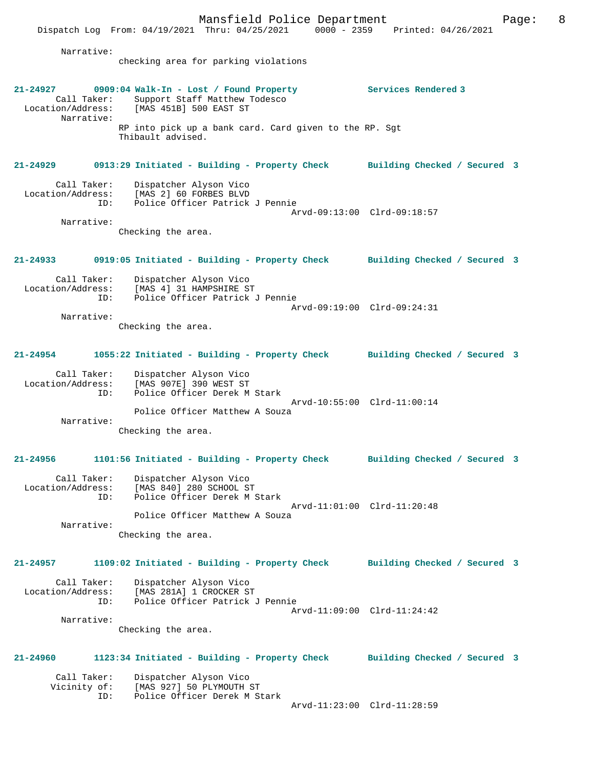Mansfield Police Department Page: 8 Dispatch Log From: 04/19/2021 Thru: 04/25/2021 Narrative: checking area for parking violations **21-24927 0909:04 Walk-In - Lost / Found Property Services Rendered 3**  Call Taker: Support Staff Matthew Todesco<br>Location/Address: [MAS 451B] 500 EAST ST  $IMAS$  451B] 500 EAST ST Narrative: RP into pick up a bank card. Card given to the RP. Sgt Thibault advised. **21-24929 0913:29 Initiated - Building - Property Check Building Checked / Secured 3** Call Taker: Dispatcher Alyson Vico<br>Location/Address: [MAS 2] 60 FORBES BLVD [MAS 2] 60 FORBES BLVD ID: Police Officer Patrick J Pennie Arvd-09:13:00 Clrd-09:18:57 Narrative: Checking the area. **21-24933 0919:05 Initiated - Building - Property Check Building Checked / Secured 3** Call Taker: Dispatcher Alyson Vico<br>Location/Address: [MAS 4] 31 HAMPSHIRE S' ess: [MAS 4] 31 HAMPSHIRE ST<br>ID: Police Officer Patrick Police Officer Patrick J Pennie Arvd-09:19:00 Clrd-09:24:31 Narrative: Checking the area. **21-24954 1055:22 Initiated - Building - Property Check Building Checked / Secured 3** Call Taker: Dispatcher Alyson Vico Location/Address: [MAS 907E] 390 WEST ST ID: Police Officer Derek M Stark Arvd-10:55:00 Clrd-11:00:14 Police Officer Matthew A Souza Narrative: Checking the area. **21-24956 1101:56 Initiated - Building - Property Check Building Checked / Secured 3** Call Taker: Dispatcher Alyson Vico Location/Address: [MAS 840] 280 SCHOOL ST<br>ID: Police Officer Derek M 9 Police Officer Derek M Stark Arvd-11:01:00 Clrd-11:20:48 Police Officer Matthew A Souza Narrative: Checking the area. **21-24957 1109:02 Initiated - Building - Property Check Building Checked / Secured 3** Call Taker: Dispatcher Alyson Vico Location/Address: [MAS 281A] 1 CROCKER ST ID: Police Officer Patrick J Pennie Arvd-11:09:00 Clrd-11:24:42 Narrative: Checking the area. **21-24960 1123:34 Initiated - Building - Property Check Building Checked / Secured 3** Call Taker: Dispatcher Alyson Vico<br>Vicinity of: [MAS 927] 50 PLYMOUTH of: [MAS 927] 50 PLYMOUTH ST<br>ID: Police Officer Derek M St

Police Officer Derek M Stark

Arvd-11:23:00 Clrd-11:28:59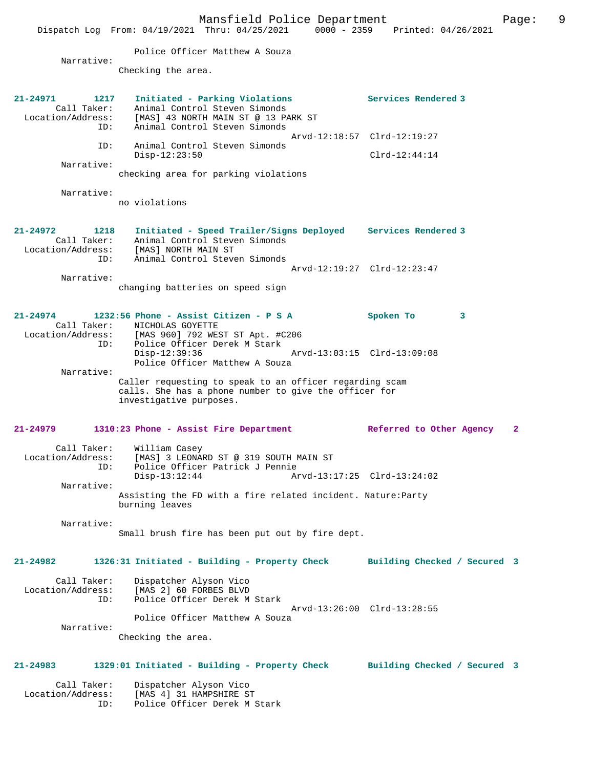Mansfield Police Department Page: 9 Dispatch Log From:  $04/19/2021$  Thru:  $04/25/2021$  0000 - 2359 Police Officer Matthew A Souza Narrative: Checking the area. **21-24971 1217 Initiated - Parking Violations Services Rendered 3**  Call Taker: Animal Control Steven Simonds<br>Location/Address: [MAS] 43 NORTH MAIN ST @ 13 PA Location/Address: [MAS] 43 NORTH MAIN ST @ 13 PARK ST ID: Animal Control Steven Simonds Arvd-12:18:57 Clrd-12:19:27 ID: Animal Control Steven Simonds<br>Disp-12:23:50 Disp-12:23:50 Clrd-12:44:14 Narrative: checking area for parking violations Narrative: no violations **21-24972 1218 Initiated - Speed Trailer/Signs Deployed Services Rendered 3**  Call Taker: Animal Control Steven Simonds Location/Address: [MAS] NORTH MAIN ST ID: Animal Control Steven Simonds Arvd-12:19:27 Clrd-12:23:47 Narrative: changing batteries on speed sign **21-24974 1232:56 Phone - Assist Citizen - P S A Spoken To 3**  Call Taker: NICHOLAS GOYETTE<br>Location/Address: [MAS 960] 792 WES ess: [MAS 960] 792 WEST ST Apt. #C206<br>ID: Police Officer Derek M Stark Police Officer Derek M Stark<br>Disp-12:39:36 Disp-12:39:36 Arvd-13:03:15 Clrd-13:09:08 Police Officer Matthew A Souza Narrative: Caller requesting to speak to an officer regarding scam calls. She has a phone number to give the officer for investigative purposes. **21-24979 1310:23 Phone - Assist Fire Department Referred to Other Agency 2** Call Taker: William Casey Location/Address: [MAS] 3 LEONARD ST @ 319 SOUTH MAIN ST ID: Police Officer Patrick J Pennie Disp-13:12:44 Arvd-13:17:25 Clrd-13:24:02 Narrative: Assisting the FD with a fire related incident. Nature:Party burning leaves Narrative: Small brush fire has been put out by fire dept. **21-24982 1326:31 Initiated - Building - Property Check Building Checked / Secured 3** Call Taker: Dispatcher Alyson Vico Location/Address: [MAS 2] 60 FORBES BLVD Police Officer Derek M Stark

> Arvd-13:26:00 Clrd-13:28:55 Police Officer Matthew A Souza

Narrative:

Checking the area.

## **21-24983 1329:01 Initiated - Building - Property Check Building Checked / Secured 3**

 Call Taker: Dispatcher Alyson Vico Location/Address: [MAS 4] 31 HAMPSHIRE ST ID: Police Officer Derek M Stark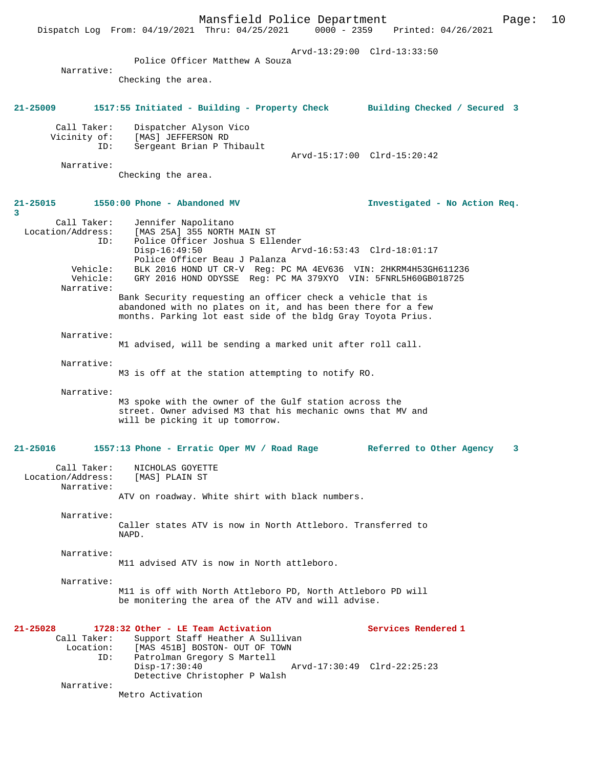Mansfield Police Department Page: 10 Dispatch Log From: 04/19/2021 Thru: 04/25/2021 Arvd-13:29:00 Clrd-13:33:50 Police Officer Matthew A Souza Narrative: Checking the area. **21-25009 1517:55 Initiated - Building - Property Check Building Checked / Secured 3** Call Taker: Dispatcher Alyson Vico Vicinity of: [MAS] JEFFERSON RD ID: Sergeant Brian P Thibault Arvd-15:17:00 Clrd-15:20:42 Narrative: Checking the area. **21-25015 1550:00 Phone - Abandoned MV Investigated - No Action Req.** Call Taker: Jennifer Napolitano Location/Address: [MAS 25A] 355 NORTH MAIN ST ID: Police Officer Joshua S Ellender Disp-16:49:50 Arvd-16:53:43 Clrd-18:01:17 Police Officer Beau J Palanza Vehicle: BLK 2016 HOND UT CR-V Reg: PC MA 4EV636 VIN: 2HKRM4H53GH611236 Vehicle: GRY 2016 HOND ODYSSE Reg: PC MA 379XYO VIN: 5FNRL5H60GB018725 Narrative: Bank Security requesting an officer check a vehicle that is abandoned with no plates on it, and has been there for a few months. Parking lot east side of the bldg Gray Toyota Prius. Narrative: M1 advised, will be sending a marked unit after roll call. Narrative: M3 is off at the station attempting to notify RO. Narrative: M3 spoke with the owner of the Gulf station across the street. Owner advised M3 that his mechanic owns that MV and will be picking it up tomorrow. **21-25016 1557:13 Phone - Erratic Oper MV / Road Rage Referred to Other Agency 3** Call Taker: NICHOLAS GOYETTE<br>ion/Address: [MAS] PLAIN ST Location/Address: Narrative: ATV on roadway. White shirt with black numbers. Narrative: Caller states ATV is now in North Attleboro. Transferred to NAPD. Narrative: M11 advised ATV is now in North attleboro. Narrative: M11 is off with North Attleboro PD, North Attleboro PD will be monitering the area of the ATV and will advise. **21-25028 1728:32 Other - LE Team Activation Services Rendered 1**  Call Taker: Support Staff Heather A Sullivan<br>Location: [MAS 451B] BOSTON- OUT OF TOWN [MAS 451B] BOSTON- OUT OF TOWN ID: Patrolman Gregory S Martell Disp-17:30:40 Arvd-17:30:49 Clrd-22:25:23 Detective Christopher P Walsh Narrative: Metro Activation

**3**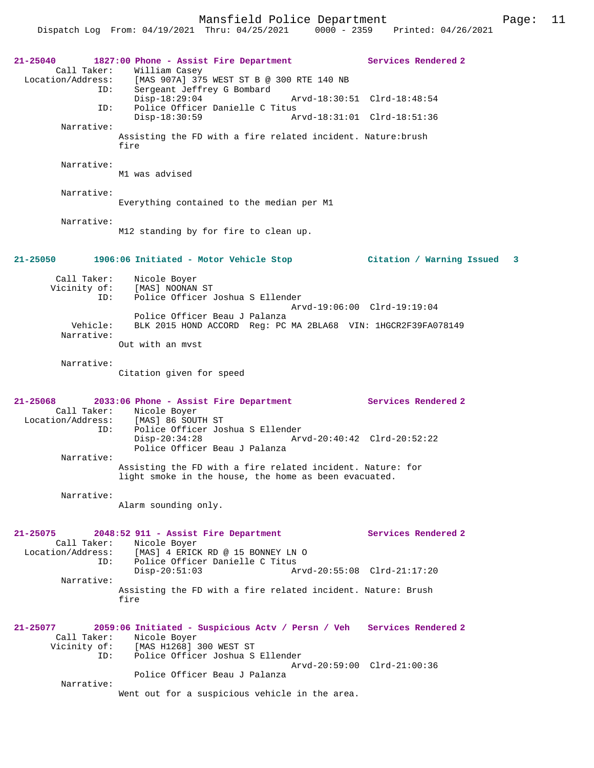Mansfield Police Department Page: 11

Dispatch Log From:  $04/19/2021$  Thru:  $04/25/2021$  0000 - 2359

**21-25040 1827:00 Phone - Assist Fire Department Services Rendered 2**  Call Taker: William Casey<br>Location/Address: [MAS 907A] 379 ess: [MAS 907A] 375 WEST ST B @ 300 RTE 140 NB<br>ID: Sergeant Jeffrey G Bombard Sergeant Jeffrey G Bombard Disp-18:29:04 Arvd-18:30:51 Clrd-18:48:54<br>TD: Police Officer Danielle C Titus Police Officer Danielle C Titus<br>Disp-18:30:59 Am Disp-18:30:59 Arvd-18:31:01 Clrd-18:51:36 Narrative: Assisting the FD with a fire related incident. Nature:brush fire Narrative: M1 was advised Narrative: Everything contained to the median per M1 Narrative: M12 standing by for fire to clean up. **21-25050 1906:06 Initiated - Motor Vehicle Stop Citation / Warning Issued 3** Call Taker: Nicole Boyer Vicinity of: [MAS] NOONAN ST<br>ID: Police Officer Police Officer Joshua S Ellender Arvd-19:06:00 Clrd-19:19:04 Police Officer Beau J Palanza Vehicle: BLK 2015 HOND ACCORD Reg: PC MA 2BLA68 VIN: 1HGCR2F39FA078149 Narrative: Out with an mvst Narrative: Citation given for speed **21-25068 2033:06 Phone - Assist Fire Department Services Rendered 2**  Call Taker: Nicole Boyer<br>Location/Address: [MAS] 86 SOU ess: [MAS] 86 SOUTH ST:<br>ID: Police Officer Jos Police Officer Joshua S Ellender Disp-20:34:28 Arvd-20:40:42 Clrd-20:52:22 Police Officer Beau J Palanza Narrative: Assisting the FD with a fire related incident. Nature: for light smoke in the house, the home as been evacuated. Narrative: Alarm sounding only. **21-25075 2048:52 911 - Assist Fire Department Services Rendered 2**  Call Taker: Nicole Boyer<br>Location/Address: [MAS] 4 ERICI ess: [MAS] 4 ERICK RD @ 15 BONNEY LN O<br>ID: Police Officer Danielle C Titus .<br>Police Officer Danielle C Titus<br>Disp-20:51:03 Ar Disp-20:51:03 Arvd-20:55:08 Clrd-21:17:20 Narrative: Assisting the FD with a fire related incident. Nature: Brush fire **21-25077 2059:06 Initiated - Suspicious Actv / Persn / Veh Services Rendered 2**  Call Taker: Nicole Boyer<br>Vicinity of: [MAS H1268] of: [MAS H1268] 300 WEST ST<br>ID: Police Officer Joshua S Police Officer Joshua S Ellender Arvd-20:59:00 Clrd-21:00:36 Police Officer Beau J Palanza Narrative: Went out for a suspicious vehicle in the area.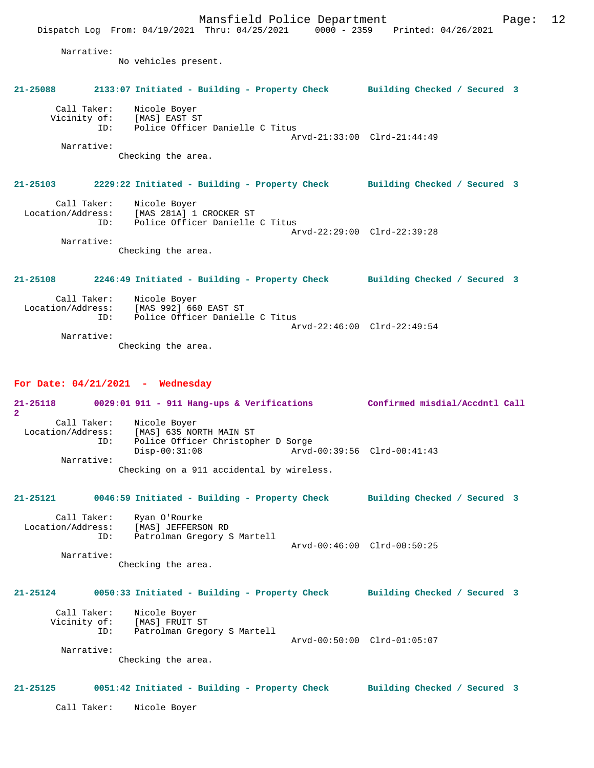Checking the area.

## **21-25103 2229:22 Initiated - Building - Property Check Building Checked / Secured 3**

| Call Taker:       | Nicole Boyer                    |  |
|-------------------|---------------------------------|--|
| Location/Address: | [MAS 281A] 1 CROCKER ST         |  |
| TD:               | Police Officer Danielle C Titus |  |
|                   | Arvd-22:29:00 Clrd-22:39:28     |  |
| Narrative:        |                                 |  |

Checking the area.

# **21-25108 2246:49 Initiated - Building - Property Check Building Checked / Secured 3** Call Taker: Nicole Boyer Location/Address: [MAS 992] 660 EAST ST Police Officer Danielle C Titus

 Arvd-22:46:00 Clrd-22:49:54 Narrative: Checking the area.

## **For Date: 04/21/2021 - Wednesday**

**21-25118 0029:01 911 - 911 Hang-ups & Verifications Confirmed misdial/Accdntl Call 2**  Call Taker: Nicole Boyer Location/Address: [MAS] 635 NORTH MAIN ST ID: Police Officer Christopher D Sorge Disp-00:31:08 Arvd-00:39:56 Clrd-00:41:43 Narrative: Checking on a 911 accidental by wireless.

# **21-25121 0046:59 Initiated - Building - Property Check Building Checked / Secured 3**

Call Taker: Ryan O'Rourke<br>Location/Address: [MAS] JEFFERS Location/Address: [MAS] JEFFERSON RD ID: Patrolman Gregory S Martell Arvd-00:46:00 Clrd-00:50:25 Narrative:

Checking the area.

# **21-25124 0050:33 Initiated - Building - Property Check Building Checked / Secured 3**

 Call Taker: Nicole Boyer Vicinity of: [MAS] FRUIT ST ID: Patrolman Gregory S Martell Arvd-00:50:00 Clrd-01:05:07

Narrative:

Checking the area.

#### **21-25125 0051:42 Initiated - Building - Property Check Building Checked / Secured 3**

Call Taker: Nicole Boyer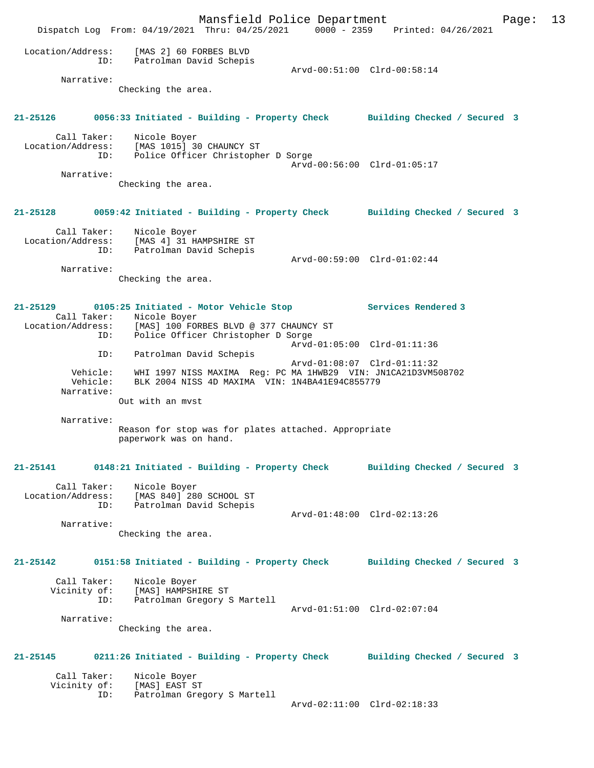Mansfield Police Department Page: 13 Dispatch Log From: 04/19/2021 Thru: 04/25/2021 0000 - 2359 Printed: 04/26/2021 Location/Address: [MAS 2] 60 FORBES BLVD ID: Patrolman David Schepis Patrolman David Schepis<br>Arvd-00:51:00 Clrd-00:58:14 Narrative: Checking the area. **21-25126 0056:33 Initiated - Building - Property Check Building Checked / Secured 3** Call Taker: Nicole Boyer Location/Address: [MAS 1015] 30 CHAUNCY ST ID: Police Officer Christopher D Sorge Arvd-00:56:00 Clrd-01:05:17 Narrative: Checking the area. **21-25128 0059:42 Initiated - Building - Property Check Building Checked / Secured 3** Call Taker: Nicole Boyer Location/Address: [MAS 4] 31 HAMPSHIRE ST ID: Patrolman David Schepis Arvd-00:59:00 Clrd-01:02:44 Narrative: Checking the area. **21-25129 0105:25 Initiated - Motor Vehicle Stop Services Rendered 3**  Call Taker: Nicole Boyer Location/Address: [MAS] 100 FORBES BLVD @ 377 CHAUNCY ST ID: Police Officer Christopher D Sorge Arvd-01:05:00 Clrd-01:11:36 ID: Patrolman David Schepis Arvd-01:08:07 Clrd-01:11:32 Vehicle: WHI 1997 NISS MAXIMA Reg: PC MA 1HWB29 VIN: JN1CA21D3VM508702 Vehicle: BLK 2004 NISS 4D MAXIMA VIN: 1N4BA41E94C855779 Narrative: Out with an mvst Narrative: Reason for stop was for plates attached. Appropriate paperwork was on hand. **21-25141 0148:21 Initiated - Building - Property Check Building Checked / Secured 3** Call Taker: Nicole Boyer Location/Address: [MAS 840] 280 SCHOOL ST ID: Patrolman David Schepis Arvd-01:48:00 Clrd-02:13:26 Narrative: Checking the area. **21-25142 0151:58 Initiated - Building - Property Check Building Checked / Secured 3** Call Taker: Nicole Boyer Vicinity of: [MAS] HAMPSHIRE ST ID: Patrolman Gregory S Martell Arvd-01:51:00 Clrd-02:07:04 Narrative: Checking the area. **21-25145 0211:26 Initiated - Building - Property Check Building Checked / Secured 3** Call Taker: Nicole Boyer<br>Vicinity of: [MAS] EAST ST Vicinity of:<br>ID: .<br>Patrolman Gregory S Martell Arvd-02:11:00 Clrd-02:18:33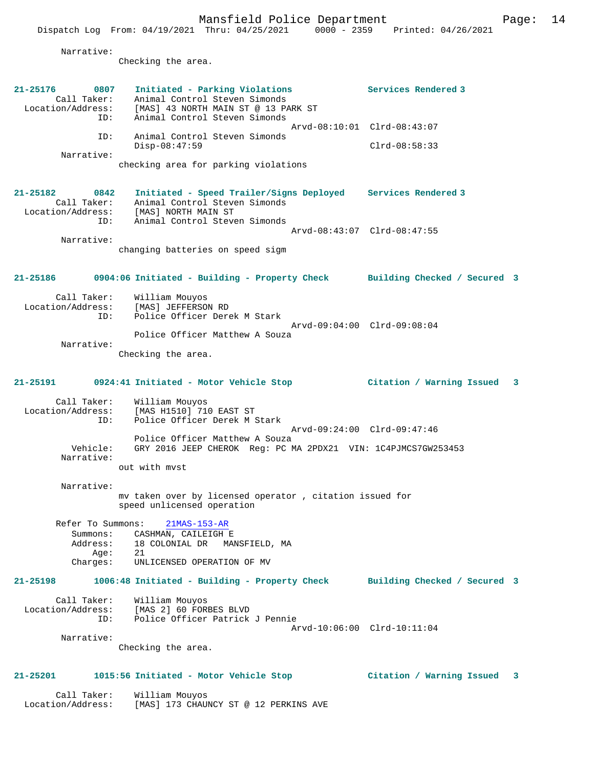Narrative:

Checking the area.

| 21-25176<br>0807<br>Call Taker:<br>Location/Address:<br>ID: | Initiated - Parking Violations<br>Animal Control Steven Simonds<br>[MAS] 43 NORTH MAIN ST @ 13 PARK ST<br>Animal Control Steven Simonds               | Services Rendered 3          |   |
|-------------------------------------------------------------|-------------------------------------------------------------------------------------------------------------------------------------------------------|------------------------------|---|
| ID:                                                         | Animal Control Steven Simonds                                                                                                                         | Arvd-08:10:01 Clrd-08:43:07  |   |
| Narrative:                                                  | $Disp-08:47:59$                                                                                                                                       | $Clrd-08:58:33$              |   |
|                                                             | checking area for parking violations                                                                                                                  |                              |   |
| 21-25182<br>0842<br>Call Taker:<br>Location/Address:<br>ID: | Initiated - Speed Trailer/Signs Deployed Services Rendered 3<br>Animal Control Steven Simonds<br>[MAS] NORTH MAIN ST<br>Animal Control Steven Simonds |                              |   |
| Narrative:                                                  |                                                                                                                                                       | Arvd-08:43:07 Clrd-08:47:55  |   |
|                                                             | changing batteries on speed sigm                                                                                                                      |                              |   |
| 21-25186                                                    | 0904:06 Initiated - Building - Property Check Building Checked / Secured 3                                                                            |                              |   |
| Call Taker:<br>Location/Address:<br>ID:                     | William Mouyos<br>[MAS] JEFFERSON RD<br>Police Officer Derek M Stark                                                                                  |                              |   |
|                                                             | Police Officer Matthew A Souza                                                                                                                        | Arvd-09:04:00 Clrd-09:08:04  |   |
| Narrative:                                                  | Checking the area.                                                                                                                                    |                              |   |
| 21-25191                                                    | 0924:41 Initiated - Motor Vehicle Stop                                                                                                                | Citation / Warning Issued    | 3 |
| Call Taker:<br>Location/Address:<br>ID:                     | William Mouyos<br>[MAS H1510] 710 EAST ST<br>Police Officer Derek M Stark                                                                             |                              |   |
| Vehicle:<br>Narrative:                                      | Police Officer Matthew A Souza<br>GRY 2016 JEEP CHEROK Reg: PC MA 2PDX21 VIN: 1C4PJMCS7GW253453<br>out with myst                                      | Arvd-09:24:00 Clrd-09:47:46  |   |
| Narrative:                                                  |                                                                                                                                                       |                              |   |
|                                                             | mv taken over by licensed operator, citation issued for<br>speed unlicensed operation                                                                 |                              |   |
| Refer To Summons:<br>Summons:<br>Address:<br>Age:           | $21MAS-153-AR$<br>CASHMAN, CAILEIGH E<br>18 COLONIAL DR MANSFIELD, MA<br>21                                                                           |                              |   |
| Charges:                                                    | UNLICENSED OPERATION OF MV                                                                                                                            |                              |   |
| 21-25198                                                    | 1006:48 Initiated - Building - Property Check                                                                                                         | Building Checked / Secured 3 |   |
| ID:                                                         | Call Taker: William Mouyos<br>Location/Address: [MAS 2] 60 FORBES BLVD<br>Police Officer Patrick J Pennie                                             | Arvd-10:06:00 Clrd-10:11:04  |   |
| Narrative:                                                  |                                                                                                                                                       |                              |   |
|                                                             | Checking the area.                                                                                                                                    |                              |   |
| 21-25201                                                    | 1015:56 Initiated - Motor Vehicle Stop                                                                                                                | Citation / Warning Issued    | 3 |

 Call Taker: William Mouyos Location/Address: [MAS] 173 CHAUNCY ST @ 12 PERKINS AVE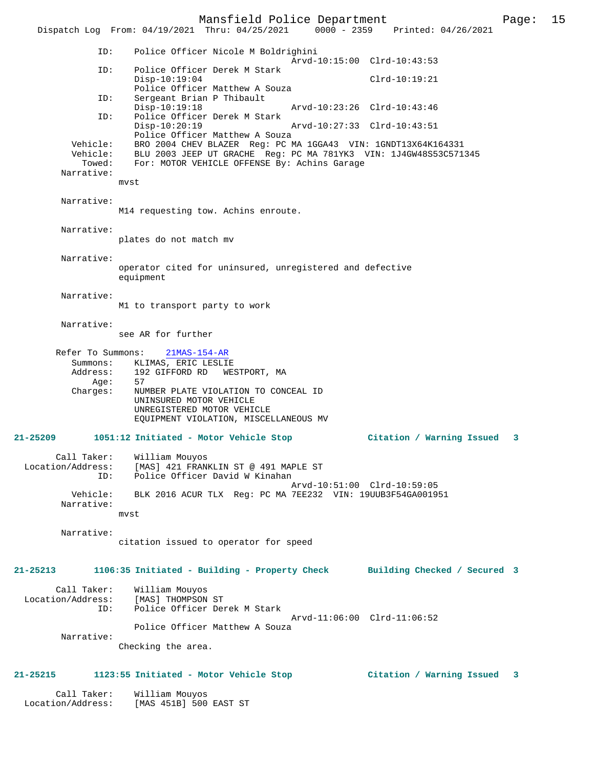Mansfield Police Department Page: 15 Dispatch Log From:  $04/19/2021$  Thru:  $04/25/2021$  0000 - 2359 ID: Police Officer Nicole M Boldrighini Arvd-10:15:00 Clrd-10:43:53<br>TD: Police Officer Derek M Stark Police Officer Derek M Stark Disp-10:19:04 Clrd-10:19:21 Police Officer Matthew A Souza<br>ID: Sergeant Brian P Thibault Sergeant Brian P Thibault Disp-10:19:18 Arvd-10:23:26 Clrd-10:43:46 Police Officer Derek M Stark<br>Disp-10:20:19 Disp-10:20:19 Arvd-10:27:33 Clrd-10:43:51 Police Officer Matthew A Souza Vehicle: BRO 2004 CHEV BLAZER Reg: PC MA 1GGA43 VIN: 1GNDT13X64K164331 Vehicle: BLU 2003 JEEP UT GRACHE Reg: PC MA 781YK3 VIN: 1J4GW48S53C571345 Towed: For: MOTOR VEHICLE OFFENSE By: Achins Garage Narrative: mvst Narrative: M14 requesting tow. Achins enroute. Narrative: plates do not match mv Narrative: operator cited for uninsured, unregistered and defective equipment Narrative: M1 to transport party to work Narrative: see AR for further Refer To Summons: 21MAS-154-AR Summons: KLIMAS, ERIC LESLIE<br>Address: 192 GIFFORD RD WE 192 GIFFORD RD WESTPORT, MA<br>57  $A$ ae: Charges: NUMBER PLATE VIOLATION TO CONCEAL ID UNINSURED MOTOR VEHICLE UNREGISTERED MOTOR VEHICLE EQUIPMENT VIOLATION, MISCELLANEOUS MV **21-25209 1051:12 Initiated - Motor Vehicle Stop Citation / Warning Issued 3** Call Taker: William Mouyos Location/Address: [MAS] 421 FRANKLIN ST @ 491 MAPLE ST ID: Police Officer David W Kinahan Arvd-10:51:00 Clrd-10:59:05<br>Vehicle: BLK 2016 ACUR TLX Reg: PC MA 7EE232 VIN: 19UUB3F54GA0019 BLK 2016 ACUR TLX Reg: PC MA 7EE232 VIN: 19UUB3F54GA001951 Narrative: mvst Narrative: citation issued to operator for speed **21-25213 1106:35 Initiated - Building - Property Check Building Checked / Secured 3** Call Taker: William Mouyos<br>Location/Address: [MAS] THOMPSON ss: [MAS] THOMPSON ST:<br>ID: Police Officer De Police Officer Derek M Stark Arvd-11:06:00 Clrd-11:06:52 Police Officer Matthew A Souza Narrative: Checking the area. **21-25215 1123:55 Initiated - Motor Vehicle Stop Citation / Warning Issued 3** Call Taker: William Mouyos

Location/Address: [MAS 451B] 500 EAST ST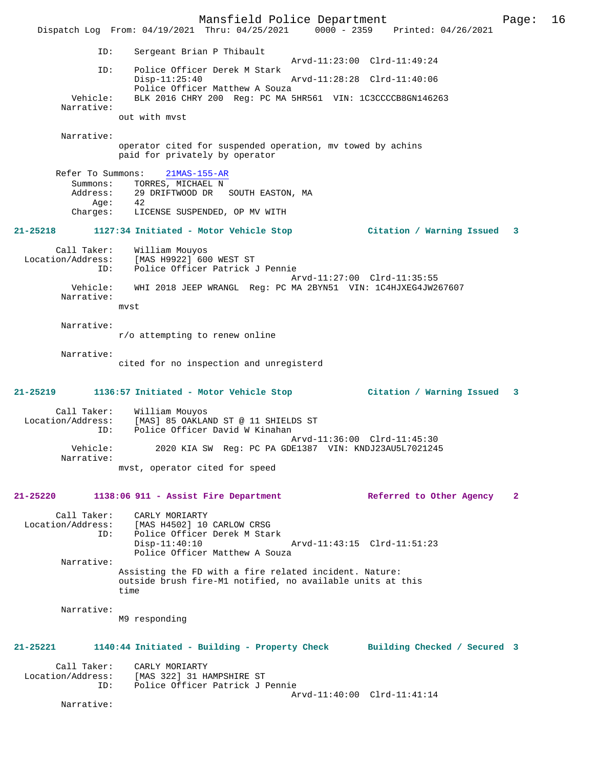Mansfield Police Department Page: 16 Dispatch Log From: 04/19/2021 Thru: 04/25/2021 0000 - 2359 Printed: 04/26/2021 ID: Sergeant Brian P Thibault Arvd-11:23:00 Clrd-11:49:24<br>TD: Police Officer Derek M Stark Police Officer Derek M Stark<br>Disp-11:25:40 Disp-11:25:40 Arvd-11:28:28 Clrd-11:40:06 Police Officer Matthew A Souza<br>Vehicle: BLK 2016 CHRY 200 Reg: PC MA! BLK 2016 CHRY 200 Reg: PC MA 5HR561 VIN: 1C3CCCCB8GN146263 Narrative: out with mvst Narrative: operator cited for suspended operation, mv towed by achins paid for privately by operator Refer To Summons: 21MAS-155-AR Summons: TORRES, MICHAEL N Address: 29 DRIFTWOOD DR SOUTH EASTON, MA Age: 42 Charges: LICENSE SUSPENDED, OP MV WITH **21-25218 1127:34 Initiated - Motor Vehicle Stop Citation / Warning Issued 3** Call Taker: William Mouyos Location/Address: [MAS H9922] 600 WEST ST ID: Police Officer Patrick J Pennie Arvd-11:27:00 Clrd-11:35:55<br>Vehicle: WHI 2018 JEEP WRANGL Req: PC MA 2BYN51 VIN: 1C4HJXEG4JW20 Vehicle: WHI 2018 JEEP WRANGL Reg: PC MA 2BYN51 VIN: 1C4HJXEG4JW267607 Narrative: mvst Narrative: r/o attempting to renew online Narrative: cited for no inspection and unregisterd **21-25219 1136:57 Initiated - Motor Vehicle Stop Citation / Warning Issued 3** Call Taker: William Mouyos Location/Address: [MAS] 85 OAKLAND ST @ 11 SHIELDS ST ID: Police Officer David W Kinahan Arvd-11:36:00 Clrd-11:45:30<br>Vehicle: 2020 KTA SW Reg: PC PA GDE1387 VIN: KNDJ23AU5L7021249 2020 KIA SW Reg: PC PA GDE1387 VIN: KNDJ23AU5L7021245 Narrative: mvst, operator cited for speed **21-25220 1138:06 911 - Assist Fire Department Referred to Other Agency 2** Call Taker: CARLY MORIARTY Location/Address: [MAS H4502] 10 CARLOW CRSG ID: Police Officer Derek M Stark Disp-11:40:10 Arvd-11:43:15 Clrd-11:51:23 Police Officer Matthew A Souza Narrative: Assisting the FD with a fire related incident. Nature: outside brush fire-M1 notified, no available units at this time Narrative: M9 responding **21-25221 1140:44 Initiated - Building - Property Check Building Checked / Secured 3** Call Taker: CARLY MORIARTY<br>Location/Address: [MAS 322] 31 H [MAS 322] 31 HAMPSHIRE ST ID: Police Officer Patrick J Pennie Arvd-11:40:00 Clrd-11:41:14 Narrative: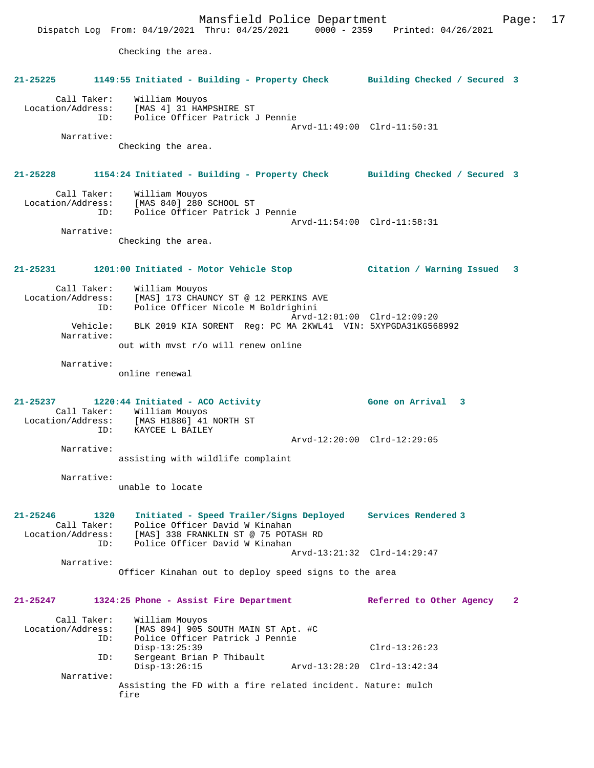|                                                             | Mansfield Police Department<br>Dispatch Log From: 04/19/2021 Thru: 04/25/2021 0000 - 2359 Printed: 04/26/2021                                                            |                              | 17<br>Page:    |
|-------------------------------------------------------------|--------------------------------------------------------------------------------------------------------------------------------------------------------------------------|------------------------------|----------------|
|                                                             | Checking the area.                                                                                                                                                       |                              |                |
| $21 - 25225$                                                | 1149:55 Initiated - Building - Property Check                                                                                                                            | Building Checked / Secured 3 |                |
| Call Taker:<br>Location/Address:<br>ID:                     | William Mouyos<br>[MAS 4] 31 HAMPSHIRE ST<br>Police Officer Patrick J Pennie                                                                                             | Arvd-11:49:00 Clrd-11:50:31  |                |
| Narrative:                                                  | Checking the area.                                                                                                                                                       |                              |                |
| 21-25228                                                    | 1154:24 Initiated - Building - Property Check                                                                                                                            | Building Checked / Secured 3 |                |
| Call Taker:<br>Location/Address:<br>ID:                     | William Mouyos<br>[MAS 840] 280 SCHOOL ST<br>Police Officer Patrick J Pennie                                                                                             | Arvd-11:54:00 Clrd-11:58:31  |                |
| Narrative:                                                  |                                                                                                                                                                          |                              |                |
|                                                             | Checking the area.                                                                                                                                                       |                              |                |
| 21-25231                                                    | 1201:00 Initiated - Motor Vehicle Stop                                                                                                                                   | Citation / Warning Issued    | 3              |
| Call Taker:<br>Location/Address:<br>ID:                     | William Mouyos<br>[MAS] 173 CHAUNCY ST @ 12 PERKINS AVE<br>Police Officer Nicole M Boldrighini                                                                           | Arvd-12:01:00 Clrd-12:09:20  |                |
| Vehicle:<br>Narrative:                                      | BLK 2019 KIA SORENT Reg: PC MA 2KWL41 VIN: 5XYPGDA31KG568992<br>out with myst r/o will renew online                                                                      |                              |                |
| Narrative:                                                  | online renewal                                                                                                                                                           |                              |                |
| 21-25237<br>ID:                                             | 1220:44 Initiated - ACO Activity<br>Call Taker: William Mouyos<br>Location/Address: [MAS H1886] 41 NORTH ST<br>KAYCEE L BAILEY                                           | Gone on Arrival 3            |                |
|                                                             |                                                                                                                                                                          | Arvd-12:20:00 Clrd-12:29:05  |                |
| Narrative:                                                  | assisting with wildlife complaint                                                                                                                                        |                              |                |
| Narrative:                                                  | unable to locate                                                                                                                                                         |                              |                |
| 21-25246<br>1320<br>Call Taker:<br>Location/Address:<br>ID: | Initiated - Speed Trailer/Signs Deployed Services Rendered 3<br>Police Officer David W Kinahan<br>[MAS] 338 FRANKLIN ST @ 75 POTASH RD<br>Police Officer David W Kinahan |                              |                |
|                                                             |                                                                                                                                                                          | Arvd-13:21:32 Clrd-14:29:47  |                |
| Narrative:                                                  | Officer Kinahan out to deploy speed signs to the area                                                                                                                    |                              |                |
| 21-25247                                                    | 1324:25 Phone - Assist Fire Department                                                                                                                                   | Referred to Other Agency     | $\overline{2}$ |
| Call Taker:<br>Location/Address:<br>ID:                     | William Mouyos<br>[MAS 894] 905 SOUTH MAIN ST Apt. #C<br>Police Officer Patrick J Pennie                                                                                 |                              |                |
| ID:                                                         | $Disp-13:25:39$<br>Sergeant Brian P Thibault                                                                                                                             | $Clrd-13:26:23$              |                |
|                                                             | $Disp-13:26:15$                                                                                                                                                          | Arvd-13:28:20 Clrd-13:42:34  |                |
| Narrative:                                                  | Assisting the FD with a fire related incident. Nature: mulch<br>fire                                                                                                     |                              |                |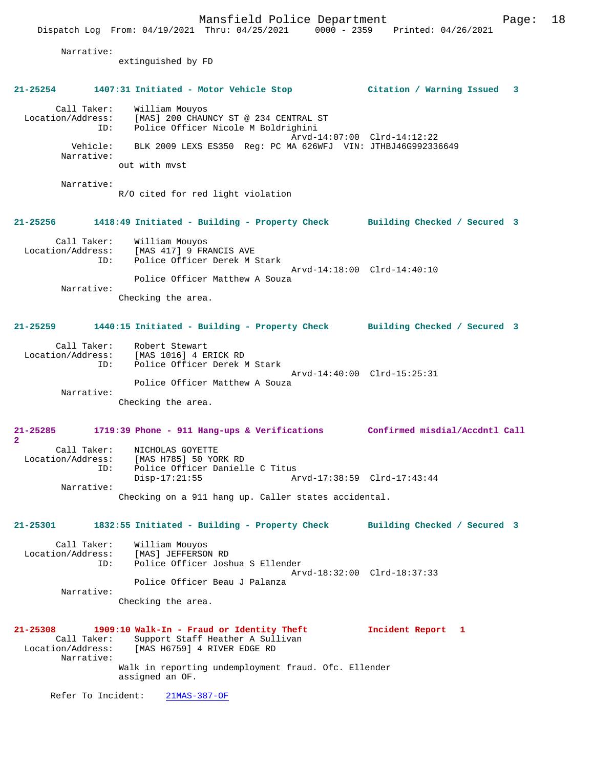Mansfield Police Department Page: 18 Dispatch Log From: 04/19/2021 Thru: 04/25/2021 0000 - 2359 Printed: 04/26/2021 Narrative: extinguished by FD **21-25254 1407:31 Initiated - Motor Vehicle Stop Citation / Warning Issued 3** Call Taker: William Mouyos Location/Address: [MAS] 200 CHAUNCY ST @ 234 CENTRAL ST ID: Police Officer Nicole M Boldrighini Arvd-14:07:00 Clrd-14:12:22 Vehicle: BLK 2009 LEXS ES350 Reg: PC MA 626WFJ VIN: JTHBJ46G992336649 Narrative: out with mvst Narrative: R/O cited for red light violation **21-25256 1418:49 Initiated - Building - Property Check Building Checked / Secured 3** Call Taker: William Mouyos<br>Location/Address: [MAS 417] 9 FR Location/Address: [MAS 417] 9 FRANCIS AVE ID: Police Officer Derek M Stark Arvd-14:18:00 Clrd-14:40:10 Police Officer Matthew A Souza Narrative: Checking the area. **21-25259 1440:15 Initiated - Building - Property Check Building Checked / Secured 3** Call Taker: Robert Stewart Location/Address: [MAS 1016] 4 ERICK RD Police Officer Derek M Stark Arvd-14:40:00 Clrd-15:25:31 Police Officer Matthew A Souza Narrative: Checking the area. **21-25285 1719:39 Phone - 911 Hang-ups & Verifications Confirmed misdial/Accdntl Call 2**  Call Taker: NICHOLAS GOYETTE Location/Address: [MAS H785] 50 YORK RD Police Officer Danielle C Titus<br>Disp-17:21:55 Ar Disp-17:21:55 Arvd-17:38:59 Clrd-17:43:44 Narrative: Checking on a 911 hang up. Caller states accidental. **21-25301 1832:55 Initiated - Building - Property Check Building Checked / Secured 3** Call Taker: William Mouyos Location/Address: [MAS] JEFFERSON RD<br>TD: Police Officer Josh Police Officer Joshua S Ellender Arvd-18:32:00 Clrd-18:37:33 Police Officer Beau J Palanza Narrative: Checking the area. **21-25308 1909:10 Walk-In - Fraud or Identity Theft Incident Report 1**  Call Taker: Support Staff Heather A Sullivan<br>Location/Address: [MAS H6759] 4 RIVER EDGE RD [MAS H6759] 4 RIVER EDGE RD Narrative: Walk in reporting undemployment fraud. Ofc. Ellender assigned an OF. Refer To Incident: 21MAS-387-OF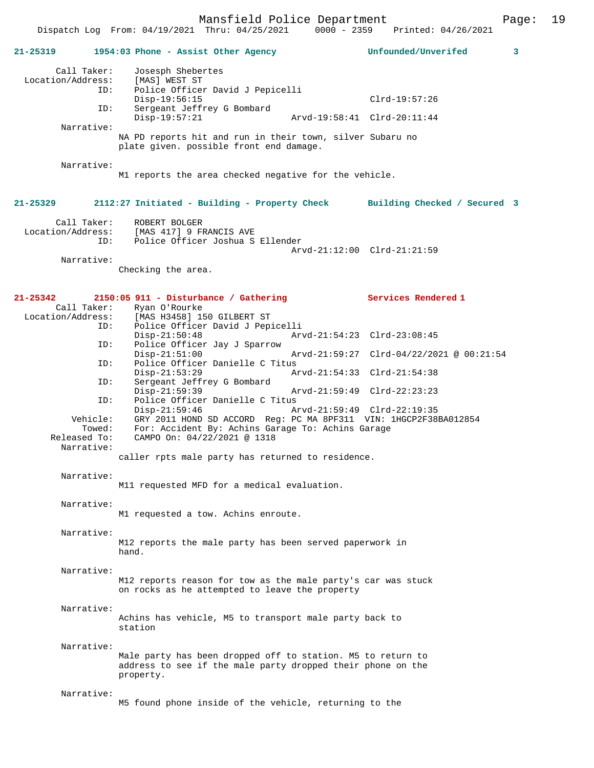Dispatch Log From: 04/19/2021 Thru: 04/25/2021 0000 - 2359 Printed: 04/26/2021

| 21-25319     |                                         | 1954:03 Phone - Assist Other Agency                                                                                                                  |                             | Unfounded/Unverifed                      | 3 |
|--------------|-----------------------------------------|------------------------------------------------------------------------------------------------------------------------------------------------------|-----------------------------|------------------------------------------|---|
|              | Call Taker:<br>Location/Address:<br>ID: | Josesph Shebertes<br>[MAS] WEST ST<br>Police Officer David J Pepicelli<br>Disp-19:56:15                                                              |                             | $Clrd-19:57:26$                          |   |
|              | ID:                                     | Sergeant Jeffrey G Bombard<br>$Disp-19:57:21$                                                                                                        | Arvd-19:58:41 Clrd-20:11:44 |                                          |   |
|              | Narrative:                              | NA PD reports hit and run in their town, silver Subaru no<br>plate given. possible front end damage.                                                 |                             |                                          |   |
|              | Narrative:                              | M1 reports the area checked negative for the vehicle.                                                                                                |                             |                                          |   |
| 21-25329     |                                         | 2112:27 Initiated - Building - Property Check                                                                                                        |                             | Building Checked / Secured 3             |   |
|              | Call Taker:<br>ID:                      | ROBERT BOLGER<br>Location/Address: [MAS 417] 9 FRANCIS AVE<br>Police Officer Joshua S Ellender                                                       | Arvd-21:12:00 Clrd-21:21:59 |                                          |   |
|              | Narrative:                              | Checking the area.                                                                                                                                   |                             |                                          |   |
| $21 - 25342$ | Call Taker:                             | $2150:05$ 911 - Disturbance / Gathering<br>Ryan O'Rourke                                                                                             |                             | Services Rendered 1                      |   |
|              | Location/Address:<br>ID:                | [MAS H3458] 150 GILBERT ST<br>Police Officer David J Pepicelli<br>$Disp-21:50:48$                                                                    | Arvd-21:54:23 Clrd-23:08:45 |                                          |   |
|              | ID:                                     | Police Officer Jay J Sparrow<br>$Disp-21:51:00$                                                                                                      |                             | Arvd-21:59:27 Clrd-04/22/2021 @ 00:21:54 |   |
|              | ID:                                     | Police Officer Danielle C Titus<br>$Disp-21:53:29$                                                                                                   | Arvd-21:54:33 Clrd-21:54:38 |                                          |   |
|              | ID:                                     | Sergeant Jeffrey G Bombard<br>$Disp-21:59:39$                                                                                                        | Arvd-21:59:49 Clrd-22:23:23 |                                          |   |
|              | ID:                                     | Police Officer Danielle C Titus<br>$Disp-21:59:46$                                                                                                   | Arvd-21:59:49 Clrd-22:19:35 |                                          |   |
|              | Vehicle:<br>Towed:<br>Released To:      | GRY 2011 HOND SD ACCORD Req: PC MA 8PF311 VIN: 1HGCP2F38BA012854<br>For: Accident By: Achins Garage To: Achins Garage<br>CAMPO On: 04/22/2021 @ 1318 |                             |                                          |   |
|              | Narrative:                              | caller rpts male party has returned to residence.                                                                                                    |                             |                                          |   |
|              | Narrative:                              | M11 requested MFD for a medical evaluation.                                                                                                          |                             |                                          |   |
|              | Narrative:                              | M1 requested a tow. Achins enroute.                                                                                                                  |                             |                                          |   |
|              | Narrative:                              | M12 reports the male party has been served paperwork in<br>hand.                                                                                     |                             |                                          |   |
|              | Narrative:                              | M12 reports reason for tow as the male party's car was stuck<br>on rocks as he attempted to leave the property                                       |                             |                                          |   |
|              | Narrative:                              | Achins has vehicle, M5 to transport male party back to<br>station                                                                                    |                             |                                          |   |
|              | Narrative:                              | Male party has been dropped off to station. M5 to return to<br>address to see if the male party dropped their phone on the<br>property.              |                             |                                          |   |
|              | Narrative:                              | M5 found phone inside of the vehicle, returning to the                                                                                               |                             |                                          |   |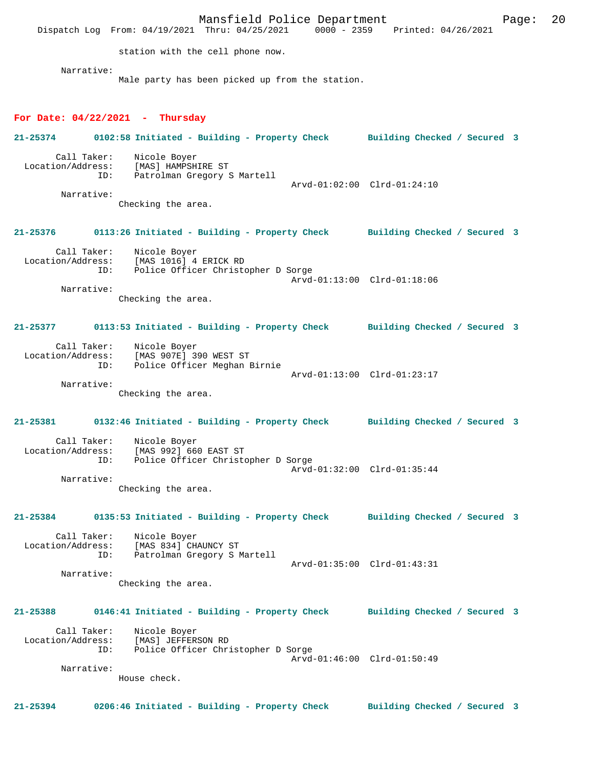Mansfield Police Department Page: 20 Dispatch Log From: 04/19/2021 Thru: 04/25/2021 station with the cell phone now. Narrative: Male party has been picked up from the station. **For Date: 04/22/2021 - Thursday 21-25374 0102:58 Initiated - Building - Property Check Building Checked / Secured 3** Call Taker: Nicole Boyer<br>Location/Address: [MAS] HAMPSH ess: [MAS] HAMPSHIRE ST<br>ID: Patrolman Gregory S Patrolman Gregory S Martell Arvd-01:02:00 Clrd-01:24:10 Narrative: Checking the area. **21-25376 0113:26 Initiated - Building - Property Check Building Checked / Secured 3** Call Taker: Nicole Boyer<br>Location/Address: [MAS 1016] 4 Location/Address: [MAS 1016] 4 ERICK RD ID: Police Officer Christopher D Sorge Arvd-01:13:00 Clrd-01:18:06 Narrative: Checking the area. **21-25377 0113:53 Initiated - Building - Property Check Building Checked / Secured 3** Call Taker: Nicole Boyer Location/Address: [MAS 907E] 390 WEST ST ID: Police Officer Meghan Birnie Arvd-01:13:00 Clrd-01:23:17 Narrative: Checking the area. **21-25381 0132:46 Initiated - Building - Property Check Building Checked / Secured 3** Call Taker: Nicole Boyer<br>Location/Address: [MAS 992] 660 ess: [MAS 992] 660 EAST ST<br>ID: Police Officer Christo Police Officer Christopher D Sorge Arvd-01:32:00 Clrd-01:35:44 Narrative: Checking the area. **21-25384 0135:53 Initiated - Building - Property Check Building Checked / Secured 3** Call Taker: Nicole Boyer<br>Location/Address: [MAS 834] CH. [MAS 834] CHAUNCY ST ID: Patrolman Gregory S Martell Arvd-01:35:00 Clrd-01:43:31 Narrative: Checking the area. **21-25388 0146:41 Initiated - Building - Property Check Building Checked / Secured 3** Call Taker: Nicole Boyer<br>Location/Address: [MAS] JEFFER ess: [MAS] JEFFERSON RD<br>ID: Police Officer Chr Police Officer Christopher D Sorge Arvd-01:46:00 Clrd-01:50:49 Narrative: House check. **21-25394 0206:46 Initiated - Building - Property Check Building Checked / Secured 3**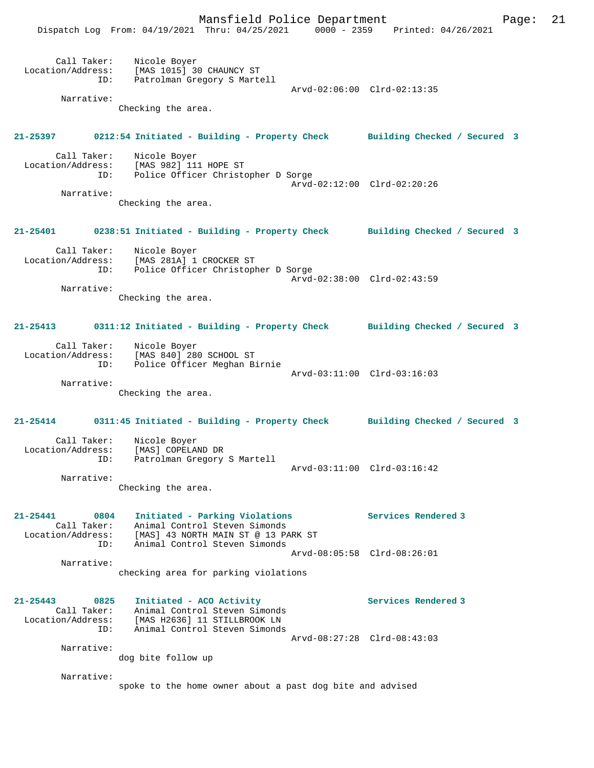Mansfield Police Department Page: 21

|                                                             | Mansileiu Folice Depalcment<br>Dispatch Log From: 04/19/2021 Thru: 04/25/2021 0000 - 2359 Printed: 04/26/2021                                             | rayc.                       |
|-------------------------------------------------------------|-----------------------------------------------------------------------------------------------------------------------------------------------------------|-----------------------------|
| Call Taker:                                                 | Nicole Boyer<br>Location/Address: [MAS 1015] 30 CHAUNCY ST<br>ID: Patrolman Gregory S Martell                                                             | Arvd-02:06:00 Clrd-02:13:35 |
| Narrative:                                                  | Checking the area.                                                                                                                                        |                             |
|                                                             | 21-25397 0212:54 Initiated - Building - Property Check Building Checked / Secured 3                                                                       |                             |
|                                                             | Call Taker: Nicole Boyer<br>Location/Address: [MAS 982] 111 HOPE ST<br>ID: Police Officer Christopher D Sorge                                             | Arvd-02:12:00 Clrd-02:20:26 |
| Narrative:                                                  | Checking the area.                                                                                                                                        |                             |
|                                                             | 21-25401 0238:51 Initiated - Building - Property Check Building Checked / Secured 3                                                                       |                             |
|                                                             | Call Taker: Nicole Boyer<br>Location/Address: [MAS 281A] 1 CROCKER ST<br>ID: Police Officer Christopher D Sorge                                           | Arvd-02:38:00 Clrd-02:43:59 |
| Narrative:                                                  | Checking the area.                                                                                                                                        |                             |
|                                                             | 21-25413 0311:12 Initiated - Building - Property Check Building Checked / Secured 3                                                                       |                             |
| ID:                                                         | Call Taker: Nicole Boyer<br>Location/Address: [MAS 840] 280 SCHOOL ST<br>Police Officer Meghan Birnie                                                     | Arvd-03:11:00 Clrd-03:16:03 |
| Narrative:                                                  | Checking the area.                                                                                                                                        |                             |
|                                                             | 21-25414 0311:45 Initiated - Building - Property Check Building Checked / Secured 3                                                                       |                             |
| Call Taker:<br>ID:                                          | Nicole Boyer<br>Location/Address: [MAS] COPELAND DR<br>Patrolman Gregory S Martell                                                                        | Arvd-03:11:00 Clrd-03:16:42 |
| Narrative:                                                  | Checking the area.                                                                                                                                        |                             |
| $21 - 25441$<br>0804<br>Call Taker:<br>ID:                  | Initiated - Parking Violations<br>Animal Control Steven Simonds<br>Location/Address: [MAS] 43 NORTH MAIN ST @ 13 PARK ST<br>Animal Control Steven Simonds | Services Rendered 3         |
| Narrative:                                                  | checking area for parking violations                                                                                                                      | Arvd-08:05:58 Clrd-08:26:01 |
| 21-25443<br>0825<br>Call Taker:<br>Location/Address:<br>ID: | Initiated - ACO Activity<br>Animal Control Steven Simonds<br>[MAS H2636] 11 STILLBROOK LN<br>Animal Control Steven Simonds                                | Services Rendered 3         |
| Narrative:                                                  | dog bite follow up                                                                                                                                        | Arvd-08:27:28 Clrd-08:43:03 |
| Narrative:                                                  | spoke to the home owner about a past dog bite and advised                                                                                                 |                             |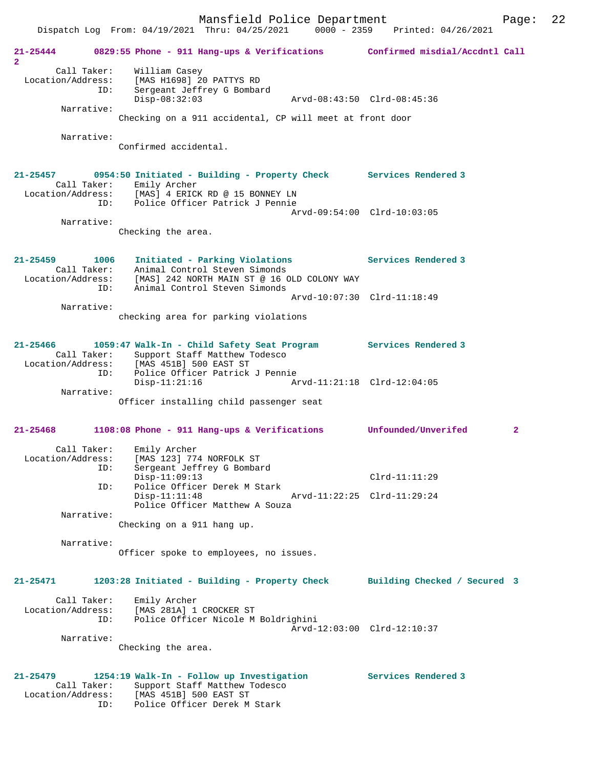Mansfield Police Department Page: 22 Dispatch Log From: 04/19/2021 Thru: 04/25/2021 0000 - 2359 Printed: 04/26/2021 **21-25444 0829:55 Phone - 911 Hang-ups & Verifications Confirmed misdial/Accdntl Call 2**  Call Taker: William Casey Location/Address: [MAS H1698] 20 PATTYS RD ID: Sergeant Jeffrey G Bombard Disp-08:32:03 Arvd-08:43:50 Clrd-08:45:36 Narrative: Checking on a 911 accidental, CP will meet at front door Narrative: Confirmed accidental. **21-25457 0954:50 Initiated - Building - Property Check Services Rendered 3**  Call Taker: Emily Archer<br>Location/Address: [MAS] 4 ERICH [MAS] 4 ERICK RD @ 15 BONNEY LN ID: Police Officer Patrick J Pennie Arvd-09:54:00 Clrd-10:03:05 Narrative: Checking the area. **21-25459 1006 Initiated - Parking Violations Services Rendered 3**  Call Taker: Animal Control Steven Simonds Location/Address: [MAS] 242 NORTH MAIN ST @ 16 OLD COLONY WAY ID: Animal Control Steven Simonds Arvd-10:07:30 Clrd-11:18:49 Narrative: checking area for parking violations **21-25466 1059:47 Walk-In - Child Safety Seat Program Services Rendered 3**  Call Taker: Support Staff Matthew Todesco<br>Location/Address: [MAS 451B] 500 EAST ST Location/Address: [MAS 451B] 500 EAST ST ID: Police Officer Patrick J Pennie Disp-11:21:16 Arvd-11:21:18 Clrd-12:04:05 Narrative: Officer installing child passenger seat **21-25468 1108:08 Phone - 911 Hang-ups & Verifications Unfounded/Unverifed 2** Call Taker: Emily Archer Location/Address: [MAS 123] 774 NORFOLK ST ID: Sergeant Jeffrey G Bombard Disp-11:09:13 Clrd-11:11:29 ID: Police Officer Derek M Stark Disp-11:11:48 Arvd-11:22:25 Clrd-11:29:24 Police Officer Matthew A Souza Narrative: Checking on a 911 hang up. Narrative: Officer spoke to employees, no issues. **21-25471 1203:28 Initiated - Building - Property Check Building Checked / Secured 3** Call Taker: Emily Archer Location/Address: [MAS 281A] 1 CROCKER ST ID: Police Officer Nicole M Boldrighini Arvd-12:03:00 Clrd-12:10:37

Narrative:

Checking the area.

# **21-25479 1254:19 Walk-In - Follow up Investigation Services Rendered 3**

 Call Taker: Support Staff Matthew Todesco Location/Address: [MAS 451B] 500 EAST ST ID: Police Officer Derek M Stark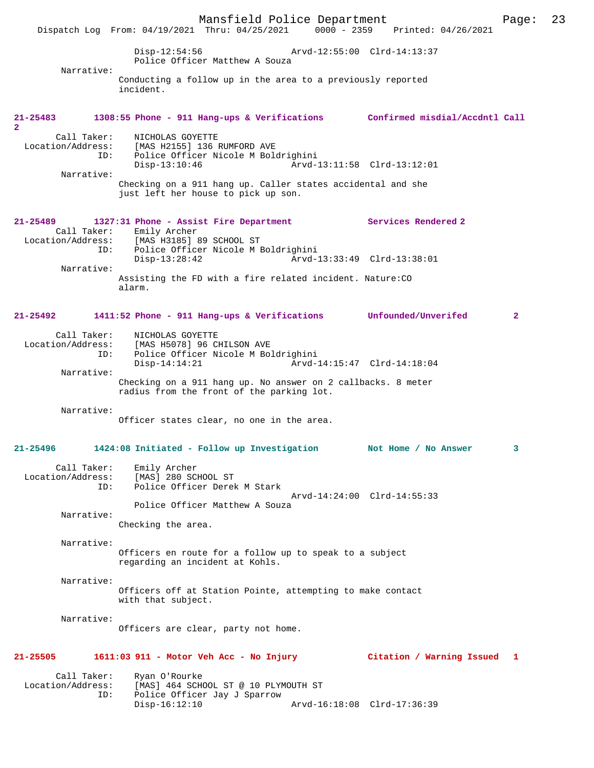Mansfield Police Department Page: 23 Dispatch Log From: 04/19/2021 Thru: 04/25/2021 Disp-12:54:56 Arvd-12:55:00 Clrd-14:13:37 Police Officer Matthew A Souza Narrative: Conducting a follow up in the area to a previously reported incident. **21-25483 1308:55 Phone - 911 Hang-ups & Verifications Confirmed misdial/Accdntl Call 2**  Call Taker: NICHOLAS GOYETTE Location/Address: [MAS H2155] 136 RUMFORD AVE ID: Police Officer Nicole M Boldrighini Disp-13:10:46 Arvd-13:11:58 Clrd-13:12:01 Narrative: Checking on a 911 hang up. Caller states accidental and she just left her house to pick up son. **21-25489 1327:31 Phone - Assist Fire Department Services Rendered 2**  Call Taker: Emily Archer<br>Location/Address: [MAS H3185] 8 [MAS H3185] 89 SCHOOL ST ID: Police Officer Nicole M Boldrighini Disp-13:28:42 Arvd-13:33:49 Clrd-13:38:01 Narrative: Assisting the FD with a fire related incident. Nature:CO alarm. **21-25492 1411:52 Phone - 911 Hang-ups & Verifications Unfounded/Unverifed 2** Call Taker: NICHOLAS GOYETTE<br>Location/Address: [MAS H5078] 96 CI ess: [MAS H5078] 96 CHILSON AVE<br>ID: Police Officer Nicole M Bol Police Officer Nicole M Boldrighini Disp-14:14:21 Arvd-14:15:47 Clrd-14:18:04 Narrative: Checking on a 911 hang up. No answer on 2 callbacks. 8 meter radius from the front of the parking lot. Narrative: Officer states clear, no one in the area. **21-25496 1424:08 Initiated - Follow up Investigation Not Home / No Answer 3** Call Taker: Emily Archer Location/Address: [MAS] 280 SCHOOL ST ID: Police Officer Derek M Stark Arvd-14:24:00 Clrd-14:55:33 Police Officer Matthew A Souza Narrative: Checking the area. Narrative: Officers en route for a follow up to speak to a subject regarding an incident at Kohls. Narrative: Officers off at Station Pointe, attempting to make contact with that subject. Narrative: Officers are clear, party not home. **21-25505 1611:03 911 - Motor Veh Acc - No Injury Citation / Warning Issued 1** Call Taker: Ryan O'Rourke<br>Location/Address: [MAS] 464 SCH [MAS] 464 SCHOOL ST @ 10 PLYMOUTH ST ID: Police Officer Jay J Sparrow Disp-16:12:10 Arvd-16:18:08 Clrd-17:36:39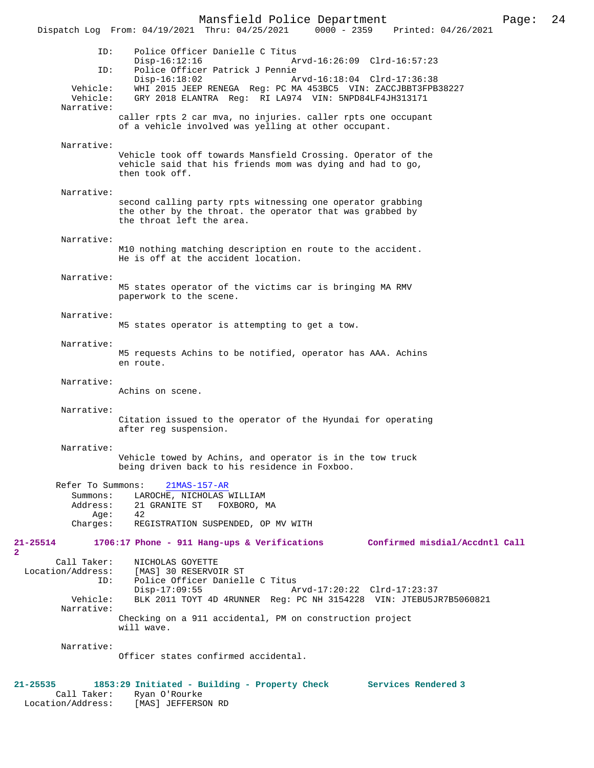Mansfield Police Department Page: 24 Dispatch Log From: 04/19/2021 Thru: 04/25/2021 ID: Police Officer Danielle C Titus Disp-16:12:16 Arvd-16:26:09 Clrd-16:57:23<br>TD: Police Officer Patrick J Pennie Police Officer Patrick J Pennie<br>Disp-16:18:02 A Disp-16:18:02 Arvd-16:18:04 Clrd-17:36:38<br>Vehicle: WHI 2015 JEEP RENEGA Reg: PC MA 453RC5 VIN: ZACCJBBT3FPB Vehicle: WHI 2015 JEEP RENEGA Reg: PC MA 453BC5 VIN: ZACCJBBT3FPB38227 GRY 2018 ELANTRA Reg: RI LA974 VIN: 5NPD84LF4JH313171 caller rpts 2 car mva, no injuries. caller rpts one occupant of a vehicle involved was yelling at other occupant. Vehicle took off towards Mansfield Crossing. Operator of the vehicle said that his friends mom was dying and had to go, second calling party rpts witnessing one operator grabbing the other by the throat. the operator that was grabbed by the throat left the area.

#### Narrative:

Narrative:

Narrative:

Narrative:

M10 nothing matching description en route to the accident. He is off at the accident location.

#### Narrative:

M5 states operator of the victims car is bringing MA RMV paperwork to the scene.

#### Narrative:

M5 states operator is attempting to get a tow.

#### Narrative:

M5 requests Achins to be notified, operator has AAA. Achins en route.

#### Narrative:

Achins on scene.

then took off.

#### Narrative:

Citation issued to the operator of the Hyundai for operating after reg suspension.

#### Narrative:

Vehicle towed by Achins, and operator is in the tow truck being driven back to his residence in Foxboo.

|          | Refer To Summons: 21MAS-157-AR     |
|----------|------------------------------------|
| Summons: | LAROCHE, NICHOLAS WILLIAM          |
| Address: | 21 GRANITE ST FOXBORO, MA          |
| Age:     | 42                                 |
| Charges: | REGISTRATION SUSPENDED, OP MV WITH |

## **21-25514 1706:17 Phone - 911 Hang-ups & Verifications Confirmed misdial/Accdntl Call**

**2** 

 Call Taker: NICHOLAS GOYETTE Location/Address: [MAS] 30 RESERVOIR ST ID: Police Officer Danielle C Titus<br>Disp-17:09:55 A Disp-17:09:55 Arvd-17:20:22 Clrd-17:23:37<br>Vehicle: BLK 2011 TOYT 4D 4RUNNER Reg: PC NH 3154228 VIN: JTEBU5J BLK 2011 TOYT 4D 4RUNNER Reg: PC NH 3154228 VIN: JTEBU5JR7B5060821 Narrative: Checking on a 911 accidental, PM on construction project will wave.

#### Narrative:

Officer states confirmed accidental.

# **21-25535 1853:29 Initiated - Building - Property Check Services Rendered 3**

Call Taker: Ryan O'Rourke<br>Location/Address: [MAS] JEFFERS [MAS] JEFFERSON RD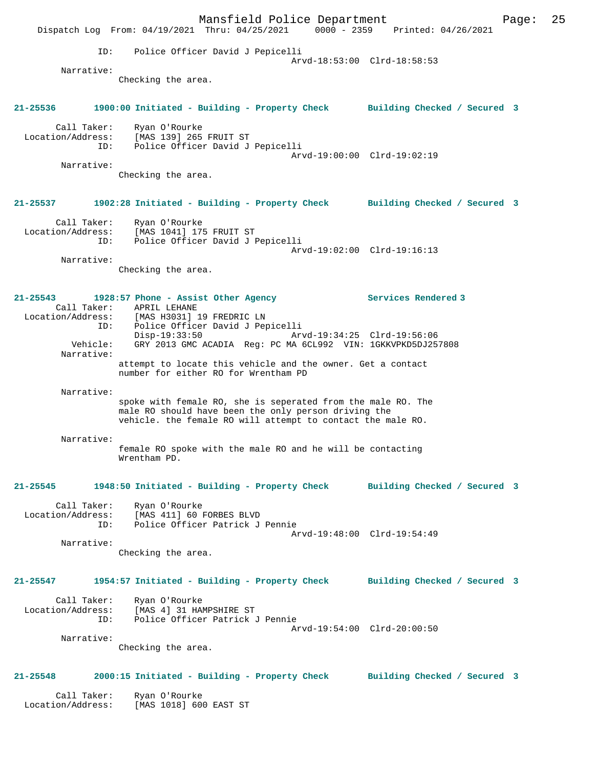Mansfield Police Department Page: 25 Dispatch Log From: 04/19/2021 Thru: 04/25/2021 0000 - 2359 Printed: 04/26/2021 ID: Police Officer David J Pepicelli Arvd-18:53:00 Clrd-18:58:53 Narrative: Checking the area. **21-25536 1900:00 Initiated - Building - Property Check Building Checked / Secured 3** Call Taker: Ryan O'Rourke Location/Address: [MAS 139] 265 FRUIT ST ID: Police Officer David J Pepicelli Arvd-19:00:00 Clrd-19:02:19 Narrative: Checking the area. **21-25537 1902:28 Initiated - Building - Property Check Building Checked / Secured 3** Call Taker: Ryan O'Rourke Location/Address: [MAS 1041] 175 FRUIT ST ID: Police Officer David J Pepicelli Arvd-19:02:00 Clrd-19:16:13 Narrative: Checking the area. **21-25543 1928:57 Phone - Assist Other Agency Services Rendered 3**  Call Taker: APRIL LEHANE Location/Address: [MAS H3031] 19 FREDRIC LN ID: Police Officer David J Pepicelli<br>Disp-19:33:50 Arv Disp-19:33:50 Arvd-19:34:25 Clrd-19:56:06 Vehicle: GRY 2013 GMC ACADIA Reg: PC MA 6CL992 VIN: 1GKKVPKD5DJ257808 Narrative: attempt to locate this vehicle and the owner. Get a contact number for either RO for Wrentham PD Narrative: spoke with female RO, she is seperated from the male RO. The male RO should have been the only person driving the vehicle. the female RO will attempt to contact the male RO. Narrative: female RO spoke with the male RO and he will be contacting Wrentham PD. **21-25545 1948:50 Initiated - Building - Property Check Building Checked / Secured 3** Call Taker: Ryan O'Rourke Location/Address: [MAS 411] 60 FORBES BLVD ID: Police Officer Patrick J Pennie Arvd-19:48:00 Clrd-19:54:49 Narrative: Checking the area. **21-25547 1954:57 Initiated - Building - Property Check Building Checked / Secured 3** Call Taker: Ryan O'Rourke Location/Address: [MAS 4] 31 HAMPSHIRE ST ID: Police Officer Patrick J Pennie Arvd-19:54:00 Clrd-20:00:50 Narrative: Checking the area. **21-25548 2000:15 Initiated - Building - Property Check Building Checked / Secured 3** Call Taker: Ryan O'Rourke Location/Address: [MAS 1018] 600 EAST ST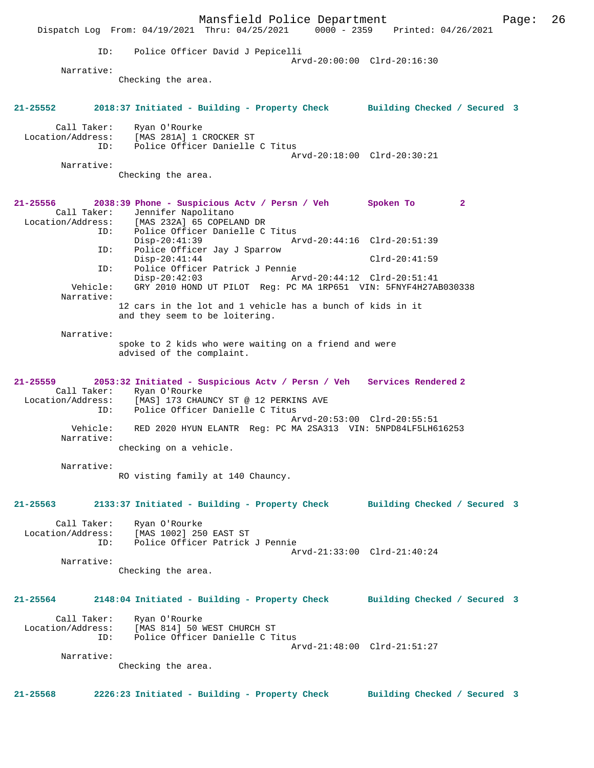Mansfield Police Department Page: 26 Dispatch Log From: 04/19/2021 Thru: 04/25/2021 0000 - 2359 Printed: 04/26/2021 ID: Police Officer David J Pepicelli Arvd-20:00:00 Clrd-20:16:30 Narrative: Checking the area. **21-25552 2018:37 Initiated - Building - Property Check Building Checked / Secured 3** Call Taker: Ryan O'Rourke Location/Address: [MAS 281A] 1 CROCKER ST ID: Police Officer Danielle C Titus Arvd-20:18:00 Clrd-20:30:21 Narrative: Checking the area. **21-25556 2038:39 Phone - Suspicious Actv / Persn / Veh Spoken To 2**  Call Taker: Jennifer Napolitano<br>Location/Address: [MAS 232A] 65 COPELA ess: [MAS 232A] 65 COPELAND DR<br>ID: Police Officer Danielle C Police Officer Danielle C Titus<br>Disp-20:41:39 Ar Disp-20:41:39 Arvd-20:44:16 Clrd-20:51:39 ID: Police Officer Jay J Sparrow Disp-20:41:44 Clrd-20:41:59 ID: Police Officer Patrick J Pennie Disp-20:42:03 Arvd-20:44:12 Clrd-20:51:41<br>Vehicle: GRY 2010 HOND UT PILOT Reg: PC MA 1RP651 VIN: 5FNYF4H27A GRY 2010 HOND UT PILOT Reg: PC MA 1RP651 VIN: 5FNYF4H27AB030338 Narrative: 12 cars in the lot and 1 vehicle has a bunch of kids in it and they seem to be loitering. Narrative: spoke to 2 kids who were waiting on a friend and were advised of the complaint. **21-25559 2053:32 Initiated - Suspicious Actv / Persn / Veh Services Rendered 2**  Call Taker: Ryan O'Rourke Location/Address: [MAS] 173 CHAUNCY ST @ 12 PERKINS AVE<br>ID: Police Officer Danielle C Titus Police Officer Danielle C Titus Arvd-20:53:00 Clrd-20:55:51 Vehicle: RED 2020 HYUN ELANTR Reg: PC MA 2SA313 VIN: 5NPD84LF5LH616253 Narrative: checking on a vehicle. Narrative: RO visting family at 140 Chauncy. **21-25563 2133:37 Initiated - Building - Property Check Building Checked / Secured 3** Call Taker: Ryan O'Rourke Location/Address: [MAS 1002] 250 EAST ST Police Officer Patrick J Pennie Arvd-21:33:00 Clrd-21:40:24 Narrative: Checking the area. **21-25564 2148:04 Initiated - Building - Property Check Building Checked / Secured 3** Call Taker: Ryan O'Rourke Location/Address: [MAS 814] 50 WEST CHURCH ST ID: Police Officer Danielle C Titus Arvd-21:48:00 Clrd-21:51:27 Narrative: Checking the area. **21-25568 2226:23 Initiated - Building - Property Check Building Checked / Secured 3**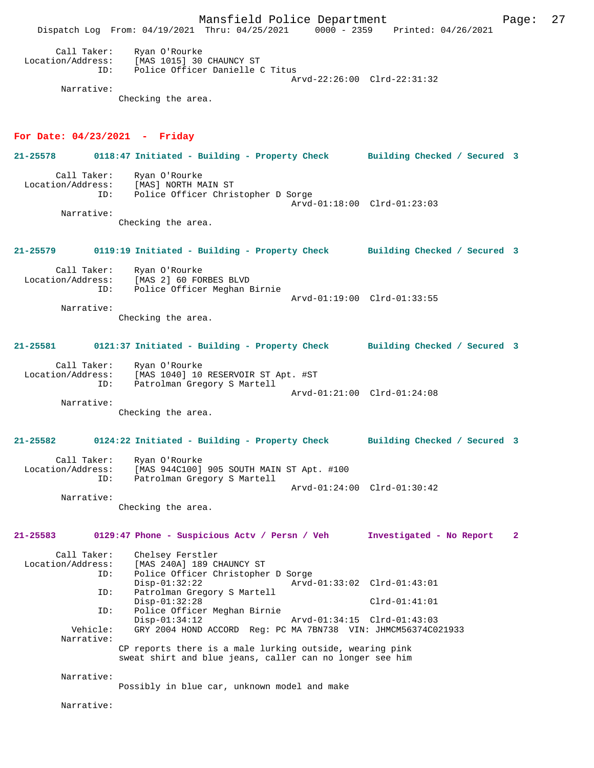Mansfield Police Department Fage: 27 Dispatch Log From: 04/19/2021 Thru: 04/25/2021 0000 - 2359 Printed: 04/26/2021 Call Taker: Ryan O'Rourke<br>Location/Address: [MAS 1015] 30 ess: [MAS 1015] 30 CHAUNCY ST<br>ID: Police Officer Danielle Police Officer Danielle C Titus Arvd-22:26:00 Clrd-22:31:32 Narrative: Checking the area. **For Date: 04/23/2021 - Friday 21-25578 0118:47 Initiated - Building - Property Check Building Checked / Secured 3** Call Taker: Ryan O'Rourke<br>Location/Address: [MAS] NORTH M Location/Address: [MAS] NORTH MAIN ST Police Officer Christopher D Sorge Arvd-01:18:00 Clrd-01:23:03 Narrative: Checking the area. **21-25579 0119:19 Initiated - Building - Property Check Building Checked / Secured 3** Call Taker: Ryan O'Rourke Location/Address: [MAS 2] 60 FORBES BLVD ID: Police Officer Meghan Birnie Arvd-01:19:00 Clrd-01:33:55 Narrative: Checking the area. **21-25581 0121:37 Initiated - Building - Property Check Building Checked / Secured 3** Call Taker: Ryan O'Rourke Location/Address: [MAS 1040] 10 RESERVOIR ST Apt. #ST<br>TD: Patrolman Gregory S Martell Patrolman Gregory S Martell Arvd-01:21:00 Clrd-01:24:08 Narrative: Checking the area. **21-25582 0124:22 Initiated - Building - Property Check Building Checked / Secured 3** Call Taker: Ryan O'Rourke Location/Address: [MAS 944C100] 905 SOUTH MAIN ST Apt. #100 ID: Patrolman Gregory S Martell Arvd-01:24:00 Clrd-01:30:42 Narrative: Checking the area. **21-25583 0129:47 Phone - Suspicious Actv / Persn / Veh Investigated - No Report 2** Call Taker: Chelsey Ferstler<br>Location/Address: [MAS 240A] 189 C ess: [MAS 240A] 189 CHAUNCY ST<br>ID: Police Officer Christopher Police Officer Christopher D Sorge Disp-01:32:22 Arvd-01:33:02 Clrd-01:43:01<br>TD: Patrolman Gregory S Martell Patrolman Gregory S Martell Disp-01:32:28 Clrd-01:41:01 ID: Police Officer Meghan Birnie Disp-01:34:12 Arvd-01:34:15 Clrd-01:43:03 Vehicle: GRY 2004 HOND ACCORD Reg: PC MA 7BN738 VIN: JHMCM56374C021933 Narrative: CP reports there is a male lurking outside, wearing pink sweat shirt and blue jeans, caller can no longer see him Narrative: Possibly in blue car, unknown model and make Narrative: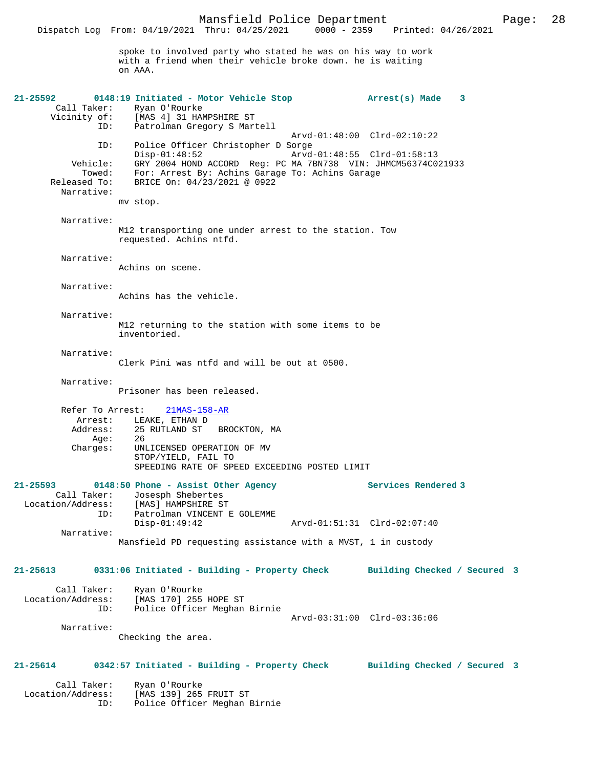Mansfield Police Department Page: 28 Dispatch Log From:  $04/19/2021$  Thru:  $04/25/2021$ spoke to involved party who stated he was on his way to work with a friend when their vehicle broke down. he is waiting on AAA. **21-25592 0148:19 Initiated - Motor Vehicle Stop Arrest(s) Made 3**  Call Taker: Ryan O'Rourke<br>Vicinity of: [MAS 4] 31 HA of: [MAS 4] 31 HAMPSHIRE ST<br>ID: Patrolman Gregory S Mary Patrolman Gregory S Martell Arvd-01:48:00 Clrd-02:10:22 ID: Police Officer Christopher D Sorge Disp-01:48:52 <br>Vehicle: GRY 2004 HOND ACCORD Reg: PC MA 7BN738 VIN: JHMCM56374C0 GRY 2004 HOND ACCORD Reg: PC MA 7BN738 VIN: JHMCM56374C021933 Towed: For: Arrest By: Achins Garage To: Achins Garage Released To: BRICE On: 04/23/2021 @ 0922 Narrative: mv stop. Narrative: M12 transporting one under arrest to the station. Tow requested. Achins ntfd. Narrative: Achins on scene. Narrative: Achins has the vehicle. Narrative: M12 returning to the station with some items to be inventoried. Narrative: Clerk Pini was ntfd and will be out at 0500. Narrative: Prisoner has been released. Refer To Arrest: 21MAS-158-AR Arrest: LEAKE, ETHAN D Address: 25 RUTLAND ST BROCKTON, MA<br>Age: 26 Age:<br>:Charges UNLICENSED OPERATION OF MV STOP/YIELD, FAIL TO

| 21-25593          |     |                                                              | 0148:50 Phone - Assist Other Agency |  |                             |  | Services Rendered 3 |
|-------------------|-----|--------------------------------------------------------------|-------------------------------------|--|-----------------------------|--|---------------------|
| Call Taker:       |     |                                                              | Josesph Shebertes                   |  |                             |  |                     |
| Location/Address: |     |                                                              | [MAS] HAMPSHIRE ST                  |  |                             |  |                     |
|                   | ID: |                                                              | Patrolman VINCENT E GOLEMME         |  |                             |  |                     |
|                   |     | $Disp-01:49:42$                                              |                                     |  | Arvd-01:51:31 Clrd-02:07:40 |  |                     |
| Narrative:        |     |                                                              |                                     |  |                             |  |                     |
|                   |     | Mansfield PD requesting assistance with a MVST, 1 in custody |                                     |  |                             |  |                     |

SPEEDING RATE OF SPEED EXCEEDING POSTED LIMIT

## **21-25613 0331:06 Initiated - Building - Property Check Building Checked / Secured 3** Call Taker: Ryan O'Rourke<br>Location/Address: [MAS 170] 255 ess: [MAS 170] 255 HOPE ST<br>ID: Police Officer Meghan Police Officer Meghan Birnie Arvd-03:31:00 Clrd-03:36:06 Narrative: Checking the area.

## **21-25614 0342:57 Initiated - Building - Property Check Building Checked / Secured 3**

 Call Taker: Ryan O'Rourke Location/Address: [MAS 139] 265 FRUIT ST<br>ID: Police Officer Meghan 1 Police Officer Meghan Birnie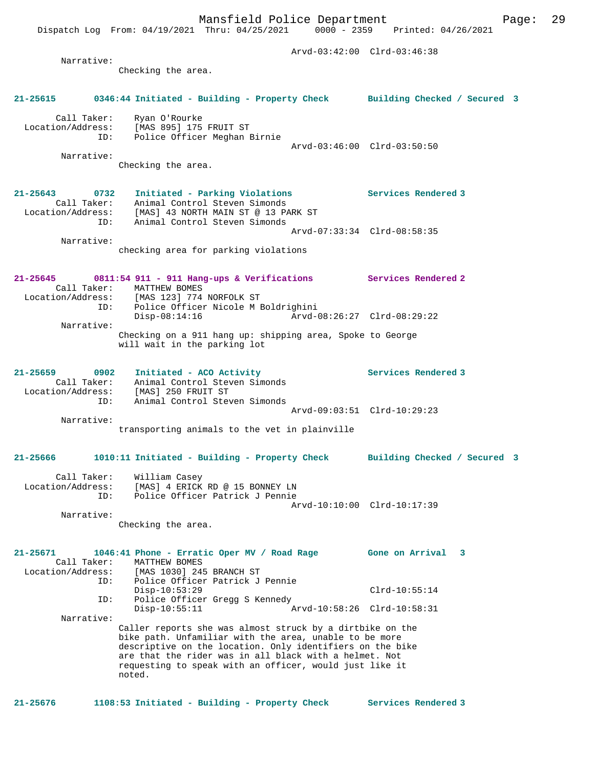Dispatch Log From: 04/19/2021 Thru: 04/25/2021 0000 - 2359 Printed: 04/26/2021

| Narrative:                                          | Checking the area.                                                                                                                                                                                                                                                                                              | Arvd-03:42:00 Clrd-03:46:38                |
|-----------------------------------------------------|-----------------------------------------------------------------------------------------------------------------------------------------------------------------------------------------------------------------------------------------------------------------------------------------------------------------|--------------------------------------------|
| 21-25615                                            | 0346:44 Initiated - Building - Property Check Building Checked / Secured 3                                                                                                                                                                                                                                      |                                            |
| Call Taker:                                         | Ryan O'Rourke<br>Location/Address: [MAS 895] 175 FRUIT ST<br>Police Officer Meghan Birnie<br>ID:                                                                                                                                                                                                                | Arvd-03:46:00 Clrd-03:50:50                |
| Narrative:                                          | Checking the area.                                                                                                                                                                                                                                                                                              |                                            |
| 21-25643 0732<br>Call Taker:<br>ID:                 | Initiated - Parking Violations Services Rendered 3<br>Animal Control Steven Simonds<br>Location/Address: [MAS] 43 NORTH MAIN ST @ 13 PARK ST<br>Animal Control Steven Simonds                                                                                                                                   |                                            |
| Narrative:                                          | checking area for parking violations                                                                                                                                                                                                                                                                            | Arvd-07:33:34 Clrd-08:58:35                |
| $21 - 25645$                                        | 0811:54 911 - 911 Hang-ups & Verifications Services Rendered 2<br>Call Taker: MATTHEW BOMES<br>Location/Address: [MAS 123] 774 NORFOLK ST                                                                                                                                                                       |                                            |
|                                                     | ID: Police Officer Nicole M Boldrighini<br>$Disp-08:14:16$                                                                                                                                                                                                                                                      | Arvd-08:26:27 Clrd-08:29:22                |
| Narrative:                                          | Checking on a 911 hang up: shipping area, Spoke to George<br>will wait in the parking lot                                                                                                                                                                                                                       |                                            |
| $21 - 25659$<br>0902                                | Initiated - ACO Activity<br>Call Taker: Animal Control Steven Simonds<br>Location/Address: [MAS] 250 FRUIT ST                                                                                                                                                                                                   | Services Rendered 3                        |
| ID:<br>Narrative:                                   | Animal Control Steven Simonds<br>transporting animals to the vet in plainville                                                                                                                                                                                                                                  | Arvd-09:03:51 Clrd-10:29:23                |
| 21-25666                                            | 1010:11 Initiated - Building - Property Check                                                                                                                                                                                                                                                                   | Building Checked / Secured 3               |
| Call Taker:<br>Location/Address:<br>ID:             | William Casey<br>[MAS] 4 ERICK RD @ 15 BONNEY LN<br>Police Officer Patrick J Pennie                                                                                                                                                                                                                             |                                            |
| Narrative:                                          |                                                                                                                                                                                                                                                                                                                 | Arvd-10:10:00 Clrd-10:17:39                |
|                                                     | Checking the area.                                                                                                                                                                                                                                                                                              |                                            |
| 21-25671<br>Call Taker:<br>Location/Address:<br>ID: | 1046:41 Phone - Erratic Oper MV / Road Rage<br>MATTHEW BOMES<br>[MAS 1030] 245 BRANCH ST<br>Police Officer Patrick J Pennie                                                                                                                                                                                     | Gone on Arrival<br>$\overline{\mathbf{3}}$ |
| ID:                                                 | $Disp-10:53:29$<br>Police Officer Gregg S Kennedy                                                                                                                                                                                                                                                               | $Clrd-10:55:14$                            |
| Narrative:                                          | $Disp-10:55:11$                                                                                                                                                                                                                                                                                                 | Arvd-10:58:26 Clrd-10:58:31                |
|                                                     | Caller reports she was almost struck by a dirtbike on the<br>bike path. Unfamiliar with the area, unable to be more<br>descriptive on the location. Only identifiers on the bike<br>are that the rider was in all black with a helmet. Not<br>requesting to speak with an officer, would just like it<br>noted. |                                            |
| $21 - 25676$                                        | 1108:53 Initiated - Building - Property Check                                                                                                                                                                                                                                                                   | Services Rendered 3                        |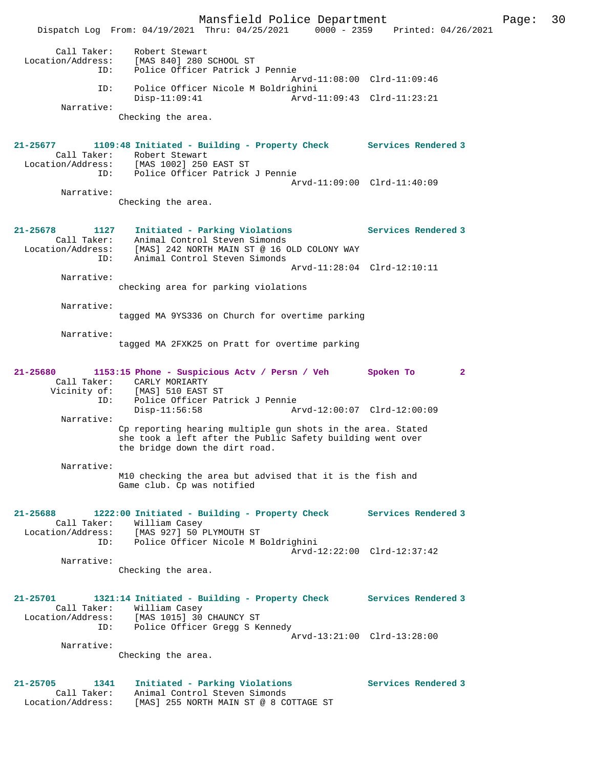Mansfield Police Department Page: 30 Dispatch Log From: 04/19/2021 Thru: 04/25/2021 0000 - 2359 Printed: 04/26/2021 Call Taker: Robert Stewart Location/Address: [MAS 840] 280 SCHOOL ST ID: Police Officer Patrick J Pennie Arvd-11:08:00 Clrd-11:09:46 ID: Police Officer Nicole M Boldrighini Disp-11:09:41 Arvd-11:09:43 Clrd-11:23:21 Narrative: Checking the area. **21-25677 1109:48 Initiated - Building - Property Check Services Rendered 3**  Call Taker: Robert Stewart Location/Address: [MAS 1002] 250 EAST ST ID: Police Officer Patrick J Pennie Arvd-11:09:00 Clrd-11:40:09 Narrative: Checking the area. **21-25678 1127 Initiated - Parking Violations Services Rendered 3**  Call Taker: Animal Control Steven Simonds Location/Address: [MAS] 242 NORTH MAIN ST @ 16 OLD COLONY WAY ID: Animal Control Steven Simonds Arvd-11:28:04 Clrd-12:10:11 Narrative: checking area for parking violations Narrative: tagged MA 9YS336 on Church for overtime parking Narrative: tagged MA 2FXK25 on Pratt for overtime parking **21-25680 1153:15 Phone - Suspicious Actv / Persn / Veh Spoken To 2**  Call Taker: CARLY MORIARTY Vicinity of: [MAS] 510 EAST ST ID: Police Officer Patrick J Pennie Disp-11:56:58 Arvd-12:00:07 Clrd-12:00:09 Narrative: Cp reporting hearing multiple gun shots in the area. Stated she took a left after the Public Safety building went over the bridge down the dirt road. Narrative: M10 checking the area but advised that it is the fish and Game club. Cp was notified **21-25688 1222:00 Initiated - Building - Property Check Services Rendered 3**  Call Taker: William Casey<br>Location/Address: [MAS 927] 50 PLYMOUTH ST Location/Address: [MAS 927] 50 PLYMOUTH ST ID: Police Officer Nicole M Boldrighini Arvd-12:22:00 Clrd-12:37:42 Narrative: Checking the area. **21-25701 1321:14 Initiated - Building - Property Check Services Rendered 3**  Call Taker: William Casey Location/Address: [MAS 1015] 30 CHAUNCY ST ID: Police Officer Gregg S Kennedy Arvd-13:21:00 Clrd-13:28:00 Narrative: Checking the area. **21-25705 1341 Initiated - Parking Violations Services Rendered 3**  Call Taker: Animal Control Steven Simonds Location/Address: [MAS] 255 NORTH MAIN ST @ 8 COTTAGE ST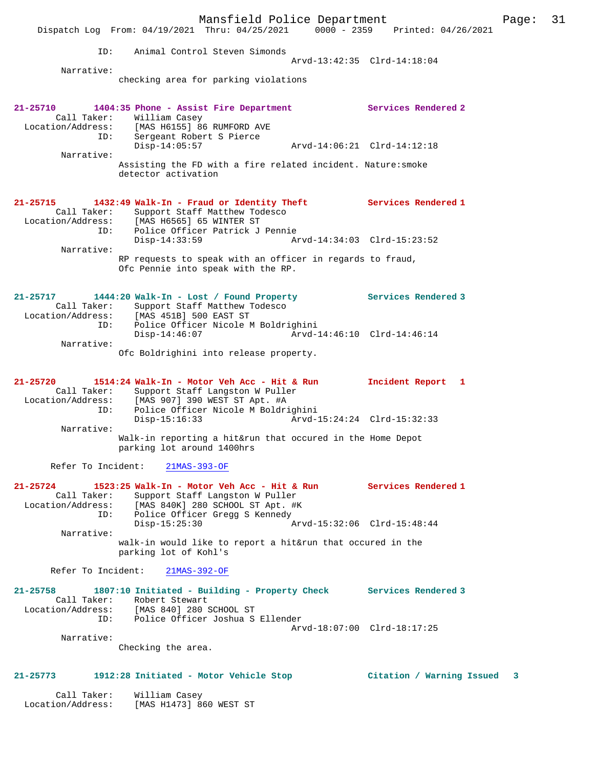Mansfield Police Department Page: 31 Dispatch Log From: 04/19/2021 Thru: 04/25/2021 0000 - 2359 Printed: 04/26/2021 ID: Animal Control Steven Simonds Arvd-13:42:35 Clrd-14:18:04 Narrative: checking area for parking violations **21-25710 1404:35 Phone - Assist Fire Department Services Rendered 2**  Call Taker: William Casey Location/Address: [MAS H6155] 86 RUMFORD AVE ID: Sergeant Robert S Pierce Disp-14:05:57 Arvd-14:06:21 Clrd-14:12:18 Narrative: Assisting the FD with a fire related incident. Nature:smoke detector activation **21-25715 1432:49 Walk-In - Fraud or Identity Theft Services Rendered 1**  Call Taker: Support Staff Matthew Todesco<br>Location/Address: [MAS H6565] 65 WINTER ST<br>ID: Police Officer Patrick J Penni Location/Address: [MAS H6565] 65 WINTER ST ID: Police Officer Patrick J Pennie Disp-14:33:59 Arvd-14:34:03 Clrd-15:23:52 Narrative: RP requests to speak with an officer in regards to fraud, Ofc Pennie into speak with the RP. **21-25717 1444:20 Walk-In - Lost / Found Property Services Rendered 3**  Call Taker: Support Staff Matthew Todesco Location/Address: [MAS 451B] 500 EAST ST ID: Police Officer Nicole M Boldrighini Disp-14:46:07 Arvd-14:46:10 Clrd-14:46:14 Narrative: Ofc Boldrighini into release property. **21-25720 1514:24 Walk-In - Motor Veh Acc - Hit & Run Incident Report 1**  Call Taker: Support Staff Langston W Puller Location/Address: [MAS 907] 390 WEST ST Apt. #A ID: Police Officer Nicole M Boldrighini Disp-15:16:33 Arvd-15:24:24 Clrd-15:32:33 Narrative: Walk-in reporting a hit&run that occured in the Home Depot parking lot around 1400hrs Refer To Incident: 21MAS-393-OF **21-25724 1523:25 Walk-In - Motor Veh Acc - Hit & Run Services Rendered 1**  Call Taker: Support Staff Langston W Puller Location/Address: [MAS 840K] 280 SCHOOL ST Apt. #K ID: Police Officer Gregg S Kennedy<br>Disp-15:25:30 A: Disp-15:25:30 Arvd-15:32:06 Clrd-15:48:44 Narrative: walk-in would like to report a hit&run that occured in the parking lot of Kohl's Refer To Incident: 21MAS-392-OF **21-25758 1807:10 Initiated - Building - Property Check Services Rendered 3**  Call Taker: Robert Stewart<br>Location/Address: [MAS 840] 280 9 Location/Address: [MAS 840] 280 SCHOOL ST ID: Police Officer Joshua S Ellender Arvd-18:07:00 Clrd-18:17:25 Narrative: Checking the area. **21-25773 1912:28 Initiated - Motor Vehicle Stop Citation / Warning Issued 3**

 Call Taker: William Casey Location/Address: [MAS H1473] 860 WEST ST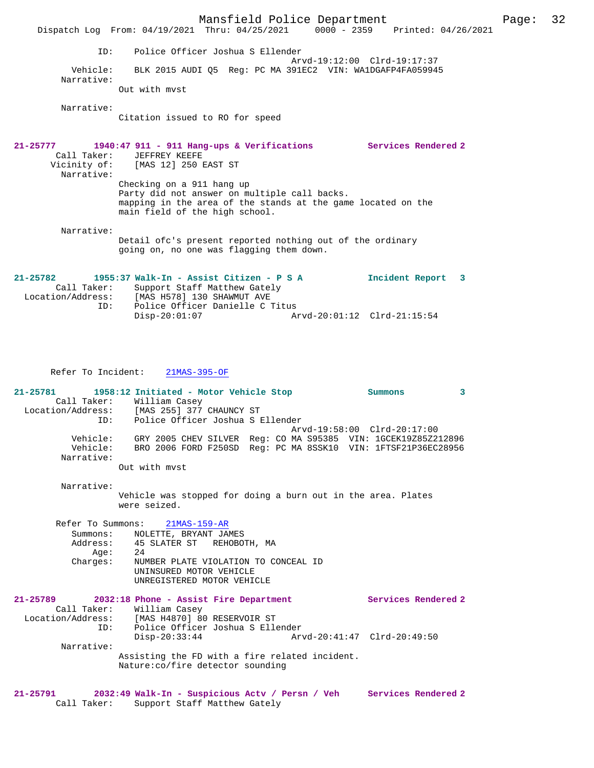Mansfield Police Department Page: 32 Dispatch Log From: 04/19/2021 Thru: 04/25/2021 0000 - 2359 Printed: 04/26/2021 ID: Police Officer Joshua S Ellender Arvd-19:12:00 Clrd-19:17:37<br>Vehicle: BLK 2015 AUDI 05 Reg: PC MA 391EC2 VIN: WA1DGAFP4FA05994! BLK 2015 AUDI Q5 Reg: PC MA 391EC2 VIN: WA1DGAFP4FA059945 Narrative: Out with mvst Narrative: Citation issued to RO for speed **21-25777 1940:47 911 - 911 Hang-ups & Verifications Services Rendered 2**  Call Taker: JEFFREY KEEFE<br>Vicinity of: [MAS 12] 250 B [MAS 12] 250 EAST ST Narrative: Checking on a 911 hang up Party did not answer on multiple call backs. mapping in the area of the stands at the game located on the main field of the high school. Narrative: Detail ofc's present reported nothing out of the ordinary going on, no one was flagging them down. **21-25782 1955:37 Walk-In - Assist Citizen - P S A Incident Report 3**  Call Taker: Support Staff Matthew Gately<br>Location/Address: [MAS H578] 130 SHAWMUT AVE Location/Address: [MAS H578] 130 SHAWMUT AVE ID: Police Officer Danielle C Titus Disp-20:01:07 Arvd-20:01:12 Clrd-21:15:54 Refer To Incident: 21MAS-395-OF **21-25781 1958:12 Initiated - Motor Vehicle Stop Summons 3**  Call Taker: William Casey Location/Address: [MAS 255] 377 CHAUNCY ST Police Officer Joshua S Ellender

 Arvd-19:58:00 Clrd-20:17:00 Vehicle: GRY 2005 CHEV SILVER Reg: CO MA S95385 VIN: 1GCEK19Z85Z212896 Vehicle: BRO 2006 FORD F250SD Reg: PC MA 8SSK10 VIN: 1FTSF21P36EC28956 Narrative:

Out with mvst

 Narrative: Vehicle was stopped for doing a burn out in the area. Plates were seized.

 Refer To Summons: 21MAS-159-AR Summons: NOLETTE, BRYANT JAMES<br>Address: 45 SLATER ST REHOBOT 45 SLATER ST REHOBOTH, MA<br>24 Age:<br>:Charges Charges: NUMBER PLATE VIOLATION TO CONCEAL ID UNINSURED MOTOR VEHICLE UNREGISTERED MOTOR VEHICLE

| $21 - 25789$      | 2032:18 Phone - Assist Fire Department |                                  |                                                |                             | Services Rendered 2 |
|-------------------|----------------------------------------|----------------------------------|------------------------------------------------|-----------------------------|---------------------|
| Call Taker:       | William Casey                          |                                  |                                                |                             |                     |
| Location/Address: |                                        | [MAS H4870] 80 RESERVOIR ST      |                                                |                             |                     |
|                   | ID:                                    |                                  | Police Officer Joshua S Ellender               |                             |                     |
|                   | $Disp-20:33:44$                        |                                  |                                                | Arvd-20:41:47 Clrd-20:49:50 |                     |
| Narrative:        |                                        |                                  |                                                |                             |                     |
|                   |                                        | Nature:co/fire detector sounding | Assisting the FD with a fire related incident. |                             |                     |

### **21-25791 2032:49 Walk-In - Suspicious Actv / Persn / Veh Services Rendered 2**  Call Taker: Support Staff Matthew Gately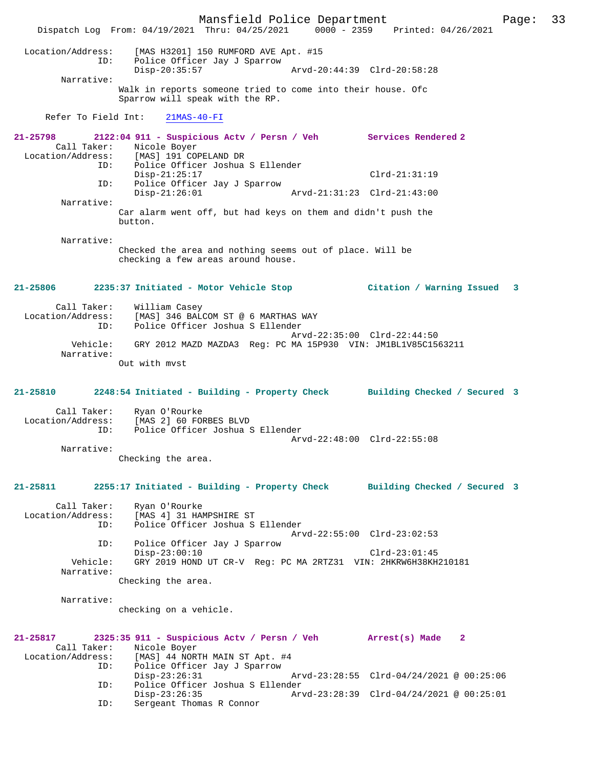Mansfield Police Department Page: 33 Dispatch Log From: 04/19/2021 Thru: 04/25/2021 0000 - 2359 Printed: 04/26/2021 Location/Address: [MAS H3201] 150 RUMFORD AVE Apt. #15 ID: Police Officer Jay J Sparrow Disp-20:35:57 Arvd-20:44:39 Clrd-20:58:28 Narrative: Walk in reports someone tried to come into their house. Ofc Sparrow will speak with the RP. Refer To Field Int: 21MAS-40-FI **21-25798 2122:04 911 - Suspicious Actv / Persn / Veh Services Rendered 2**  Call Taker: Nicole Boyer<br>Location/Address: [MAS] 191 CO [MAS] 191 COPELAND DR ID: Police Officer Joshua S Ellender Disp-21:25:17 Clrd-21:31:19<br>ID: Police Officer Jay J Sparrow Police Officer Jay J Sparrow<br>Disp-21:26:01 Disp-21:26:01 Arvd-21:31:23 Clrd-21:43:00 Narrative: Car alarm went off, but had keys on them and didn't push the button. Narrative: Checked the area and nothing seems out of place. Will be checking a few areas around house. **21-25806 2235:37 Initiated - Motor Vehicle Stop Citation / Warning Issued 3** Call Taker: William Casey<br>Location/Address: [MAS] 346 BAL [MAS] 346 BALCOM ST @ 6 MARTHAS WAY ID: Police Officer Joshua S Ellender Arvd-22:35:00 Clrd-22:44:50 Vehicle: GRY 2012 MAZD MAZDA3 Reg: PC MA 15P930 VIN: JM1BL1V85C1563211 Narrative: Out with mvst **21-25810 2248:54 Initiated - Building - Property Check Building Checked / Secured 3** Call Taker: Ryan O'Rourke<br>Location/Address: [MAS 2] 60 FOI ess: [MAS 2] 60 FORBES BLVD<br>ID: Police Officer Joshua S Police Officer Joshua S Ellender Arvd-22:48:00 Clrd-22:55:08 Narrative: Checking the area. **21-25811 2255:17 Initiated - Building - Property Check Building Checked / Secured 3** Call Taker: Ryan O'Rourke Location/Address: [MAS 4] 31 HAMPSHIRE ST ID: Police Officer Joshua S Ellender Arvd-22:55:00 Clrd-23:02:53<br>TD: Police Officer Jav J Sparrow Police Officer Jay J Sparrow Disp-23:00:10 Clrd-23:01:45 Vehicle: GRY 2019 HOND UT CR-V Reg: PC MA 2RTZ31 VIN: 2HKRW6H38KH210181 Narrative: Checking the area. Narrative: checking on a vehicle. **21-25817 2325:35 911 - Suspicious Actv / Persn / Veh Arrest(s) Made 2**  Call Taker: Nicole Boyer<br>Location/Address: [MAS] 44 NOR ess: [MAS] 44 NORTH MAIN ST Apt. #4<br>ID: Police Officer Jay J Sparrow Police Officer Jay J Sparrow<br>Disp-23:26:31 Disp-23:26:31 Arvd-23:28:55 Clrd-04/24/2021 @ 00:25:06<br>ID: Police Officer Joshua S Ellender ID: Police Officer Joshua S Ellender Disp-23:26:35 Arvd-23:28:39 Clrd-04/24/2021 @ 00:25:01<br>ID: Sergeant Thomas R Connor Sergeant Thomas R Connor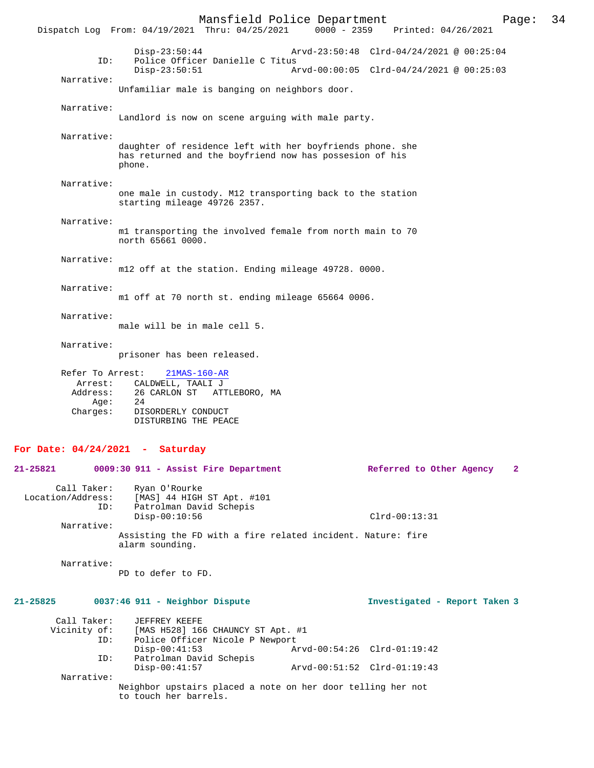Mansfield Police Department Page: 34 Dispatch Log From: 04/19/2021 Thru: 04/25/2021 Disp-23:50:44 Arvd-23:50:48 Clrd-04/24/2021 @ 00:25:04 ID: Police Officer Danielle C Titus<br>Disp-23:50:51 A  $Arvd-00:00:05$  Clrd-04/24/2021 @ 00:25:03 Narrative: Unfamiliar male is banging on neighbors door. Narrative: Landlord is now on scene arguing with male party. Narrative: daughter of residence left with her boyfriends phone. she has returned and the boyfriend now has possesion of his phone. Narrative: one male in custody. M12 transporting back to the station starting mileage 49726 2357. Narrative: m1 transporting the involved female from north main to 70 north 65661 0000. Narrative: m12 off at the station. Ending mileage 49728. 0000. Narrative: m1 off at 70 north st. ending mileage 65664 0006. Narrative: male will be in male cell 5. Narrative: prisoner has been released. Refer To Arrest: 21MAS-160-AR Arrest: CALDWELL, TAALI J<br>Address: 26 CARLON ST ATT 26 CARLON ST ATTLEBORO, MA Age: Charges: DISORDERLY CONDUCT DISTURBING THE PEACE **For Date: 04/24/2021 - Saturday 21-25821 0009:30 911 - Assist Fire Department Referred to Other Agency 2** Call Taker: Ryan O'Rourke<br>Location/Address: [MAS] 44 HIGH ess: [MAS] 44 HIGH ST Apt. #101<br>ID: Patrolman David Schepis Patrolman David Schepis Disp-00:10:56 Clrd-00:13:31

Narrative:

Assisting the FD with a fire related incident. Nature: fire alarm sounding.

Narrative:

PD to defer to FD.

### **21-25825 0037:46 911 - Neighbor Dispute Investigated - Report Taken 3**

| Call Taker:<br>Vicinity of:<br>ID: | JEFFREY KEEFE<br>[MAS H528] 166 CHAUNCY ST Apt. #1<br>Police Officer Nicole P Newport |                             |  |
|------------------------------------|---------------------------------------------------------------------------------------|-----------------------------|--|
|                                    | $Disp-00:41:53$                                                                       | Arvd-00:54:26 Clrd-01:19:42 |  |
| ID:                                | Patrolman David Schepis                                                               |                             |  |
|                                    | $Disp-00:41:57$                                                                       | Arvd-00:51:52 Clrd-01:19:43 |  |
| Narrative:                         |                                                                                       |                             |  |
|                                    | Neighbor upstairs placed a note on her door telling her not<br>to touch her barrels.  |                             |  |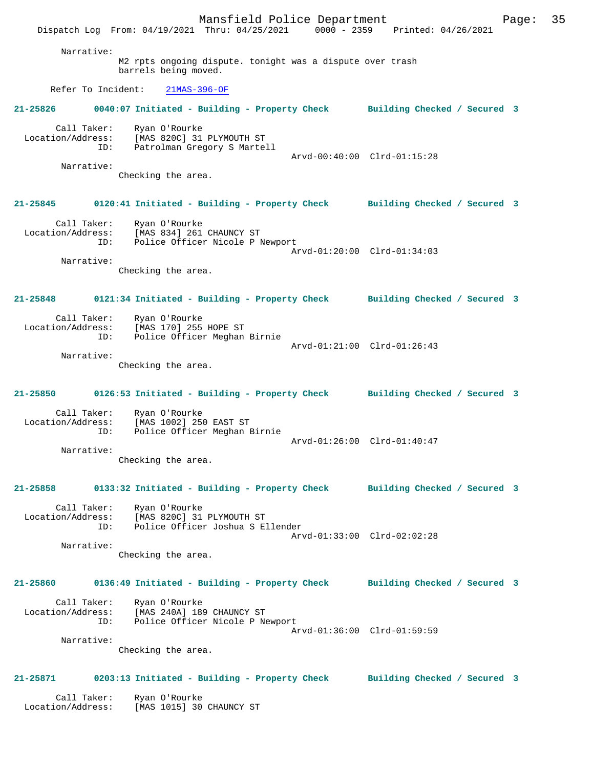Mansfield Police Department Page: 35 Dispatch Log From: 04/19/2021 Thru: 04/25/2021 0000 - 2359 Printed: 04/26/2021 Narrative: M2 rpts ongoing dispute. tonight was a dispute over trash barrels being moved. Refer To Incident: 21MAS-396-OF **21-25826 0040:07 Initiated - Building - Property Check Building Checked / Secured 3** Call Taker: Ryan O'Rourke Location/Address: [MAS 820C] 31 PLYMOUTH ST ID: Patrolman Gregory S Martell Arvd-00:40:00 Clrd-01:15:28 Narrative: Checking the area. **21-25845 0120:41 Initiated - Building - Property Check Building Checked / Secured 3** Call Taker: Ryan O'Rourke Location/Address: [MAS 834] 261 CHAUNCY ST ID: Police Officer Nicole P Newport Arvd-01:20:00 Clrd-01:34:03 Narrative: Checking the area. **21-25848 0121:34 Initiated - Building - Property Check Building Checked / Secured 3** Call Taker: Ryan O'Rourke Location/Address: [MAS 170] 255 HOPE ST ID: Police Officer Meghan Birnie Arvd-01:21:00 Clrd-01:26:43 Narrative: Checking the area. **21-25850 0126:53 Initiated - Building - Property Check Building Checked / Secured 3** Call Taker: Ryan O'Rourke Location/Address: [MAS 1002] 250 EAST ST ID: Police Officer Meghan Birnie Arvd-01:26:00 Clrd-01:40:47 Narrative: Checking the area. **21-25858 0133:32 Initiated - Building - Property Check Building Checked / Secured 3** Call Taker: Ryan O'Rourke Location/Address: [MAS 820C] 31 PLYMOUTH ST ID: Police Officer Joshua S Ellender Arvd-01:33:00 Clrd-02:02:28 Narrative: Checking the area. **21-25860 0136:49 Initiated - Building - Property Check Building Checked / Secured 3** Call Taker: Ryan O'Rourke Location/Address: [MAS 240A] 189 CHAUNCY ST ID: Police Officer Nicole P Newport Arvd-01:36:00 Clrd-01:59:59 Narrative: Checking the area. **21-25871 0203:13 Initiated - Building - Property Check Building Checked / Secured 3** Call Taker: Ryan O'Rourke Location/Address: [MAS 1015] 30 CHAUNCY ST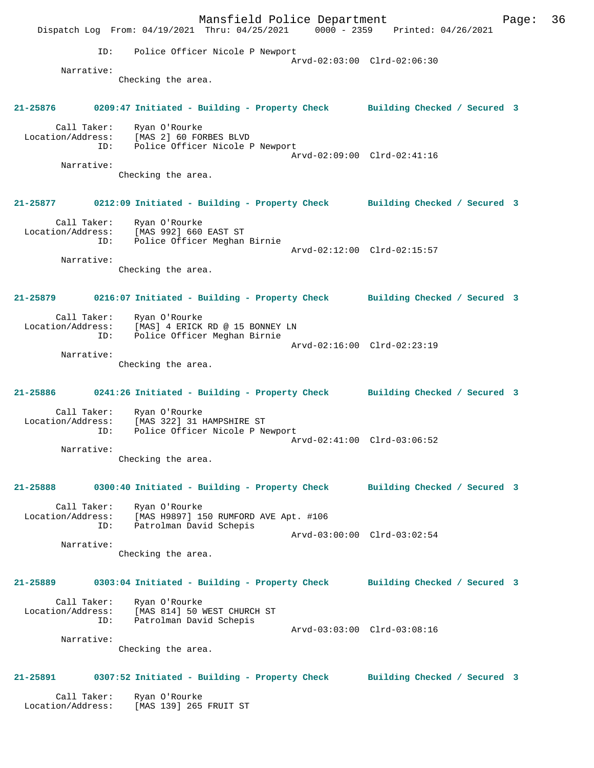Mansfield Police Department Page: 36 Dispatch Log From: 04/19/2021 Thru: 04/25/2021 0000 - 2359 Printed: 04/26/2021 ID: Police Officer Nicole P Newport Arvd-02:03:00 Clrd-02:06:30 Narrative: Checking the area. **21-25876 0209:47 Initiated - Building - Property Check Building Checked / Secured 3** Call Taker: Ryan O'Rourke Location/Address: [MAS 2] 60 FORBES BLVD ID: Police Officer Nicole P Newport Arvd-02:09:00 Clrd-02:41:16 Narrative: Checking the area. **21-25877 0212:09 Initiated - Building - Property Check Building Checked / Secured 3** Call Taker: Ryan O'Rourke Location/Address: [MAS 992] 660 EAST ST ID: Police Officer Meghan Birnie Arvd-02:12:00 Clrd-02:15:57 Narrative: Checking the area. **21-25879 0216:07 Initiated - Building - Property Check Building Checked / Secured 3** Call Taker: Ryan O'Rourke Location/Address: [MAS] 4 ERICK RD @ 15 BONNEY LN ID: Police Officer Meghan Birnie Arvd-02:16:00 Clrd-02:23:19 Narrative: Checking the area. **21-25886 0241:26 Initiated - Building - Property Check Building Checked / Secured 3** Call Taker: Ryan O'Rourke Location/Address: [MAS 322] 31 HAMPSHIRE ST ID: Police Officer Nicole P Newport Arvd-02:41:00 Clrd-03:06:52 Narrative: Checking the area. **21-25888 0300:40 Initiated - Building - Property Check Building Checked / Secured 3** Call Taker: Ryan O'Rourke Location/Address: [MAS H9897] 150 RUMFORD AVE Apt. #106 ID: Patrolman David Schepis Arvd-03:00:00 Clrd-03:02:54 Narrative: Checking the area. **21-25889 0303:04 Initiated - Building - Property Check Building Checked / Secured 3** Call Taker: Ryan O'Rourke Location/Address: [MAS 814] 50 WEST CHURCH ST ID: Patrolman David Schepis Arvd-03:03:00 Clrd-03:08:16 Narrative: Checking the area. **21-25891 0307:52 Initiated - Building - Property Check Building Checked / Secured 3** Call Taker: Ryan O'Rourke Location/Address: [MAS 139] 265 FRUIT ST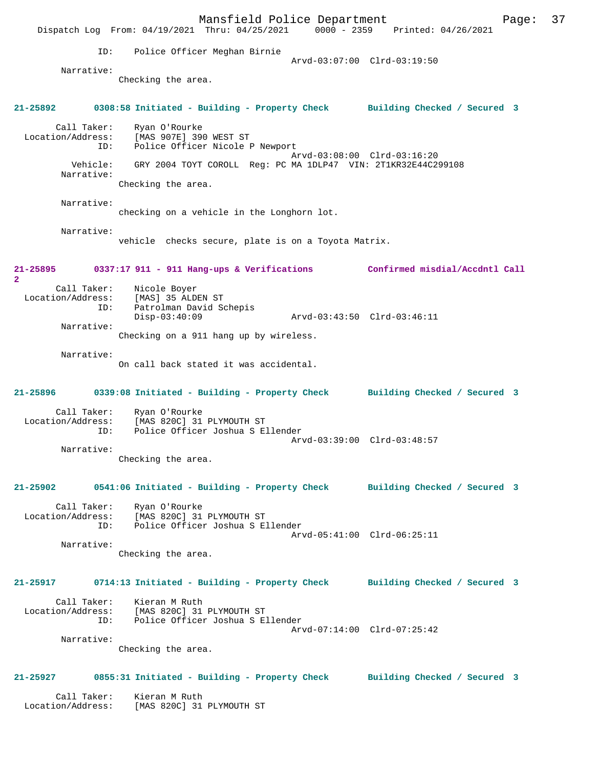Mansfield Police Department Fage: 37 Dispatch Log From: 04/19/2021 Thru: 04/25/2021 0000 - 2359 Printed: 04/26/2021 ID: Police Officer Meghan Birnie Arvd-03:07:00 Clrd-03:19:50 Narrative: Checking the area. **21-25892 0308:58 Initiated - Building - Property Check Building Checked / Secured 3** Call Taker: Ryan O'Rourke Location/Address: [MAS 907E] 390 WEST ST ID: Police Officer Nicole P Newport Arvd-03:08:00 Clrd-03:16:20 Vehicle: GRY 2004 TOYT COROLL Reg: PC MA 1DLP47 VIN: 2T1KR32E44C299108 Narrative: Checking the area. Narrative: checking on a vehicle in the Longhorn lot. Narrative: vehicle checks secure, plate is on a Toyota Matrix. **21-25895 0337:17 911 - 911 Hang-ups & Verifications Confirmed misdial/Accdntl Call 2**  Call Taker: Nicole Boyer Location/Address: [MAS] 35 ALDEN ST ID: Patrolman David Schepis Disp-03:40:09 Arvd-03:43:50 Clrd-03:46:11 Narrative: Checking on a 911 hang up by wireless. Narrative: On call back stated it was accidental. **21-25896 0339:08 Initiated - Building - Property Check Building Checked / Secured 3** Call Taker: Ryan O'Rourke Location/Address: [MAS 820C] 31 PLYMOUTH ST ID: Police Officer Joshua S Ellender Arvd-03:39:00 Clrd-03:48:57 Narrative: Checking the area. **21-25902 0541:06 Initiated - Building - Property Check Building Checked / Secured 3** Call Taker: Ryan O'Rourke Location/Address: [MAS 820C] 31 PLYMOUTH ST ID: Police Officer Joshua S Ellender Arvd-05:41:00 Clrd-06:25:11 Narrative: Checking the area. **21-25917 0714:13 Initiated - Building - Property Check Building Checked / Secured 3** Call Taker: Kieran M Ruth Location/Address: [MAS 820C] 31 PLYMOUTH ST ID: Police Officer Joshua S Ellender Arvd-07:14:00 Clrd-07:25:42 Narrative: Checking the area. **21-25927 0855:31 Initiated - Building - Property Check Building Checked / Secured 3** Call Taker: Kieran M Ruth Location/Address: [MAS 820C] 31 PLYMOUTH ST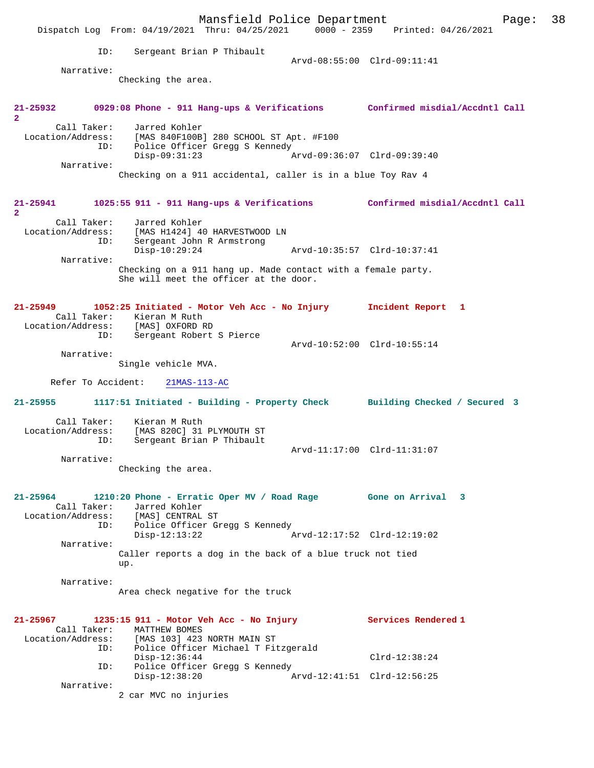|                                                     | Mansfield Police Department<br>Dispatch Log From: 04/19/2021 Thru: 04/25/2021                                                               | 0000 - 2359 Printed: 04/26/2021 | 38<br>Page: |
|-----------------------------------------------------|---------------------------------------------------------------------------------------------------------------------------------------------|---------------------------------|-------------|
| ID:                                                 | Sergeant Brian P Thibault                                                                                                                   | Arvd-08:55:00 Clrd-09:11:41     |             |
| Narrative:                                          | Checking the area.                                                                                                                          |                                 |             |
| 21-25932<br>$\overline{2}$                          | 0929:08 Phone - 911 Hang-ups & Verifications Confirmed misdial/Accdntl Call                                                                 |                                 |             |
| Call Taker:<br>ID:                                  | Jarred Kohler<br>Location/Address: [MAS 840F100B] 280 SCHOOL ST Apt. #F100<br>Police Officer Gregg S Kennedy                                |                                 |             |
| Narrative:                                          | Disp-09:31:23<br>Checking on a 911 accidental, caller is in a blue Toy Rav 4                                                                | Arvd-09:36:07 Clrd-09:39:40     |             |
| 21-25941                                            | 1025:55 911 - 911 Hang-ups & Verifications Confirmed misdial/Accdntl Call                                                                   |                                 |             |
| $\overline{a}$<br>Call Taker:<br>Location/Address:  | Jarred Kohler<br>[MAS H1424] 40 HARVESTWOOD LN                                                                                              |                                 |             |
| ID:                                                 | Sergeant John R Armstrong<br>$Disp-10:29:24$                                                                                                | Arvd-10:35:57 Clrd-10:37:41     |             |
| Narrative:                                          | Checking on a 911 hang up. Made contact with a female party.<br>She will meet the officer at the door.                                      |                                 |             |
| 21-25949<br>ID:                                     | 1052:25 Initiated - Motor Veh Acc - No Injury<br>Call Taker: Kieran M Ruth<br>Location/Address: [MAS] OXFORD RD<br>Sergeant Robert S Pierce | Incident Report 1               |             |
| Narrative:                                          |                                                                                                                                             | Arvd-10:52:00 Clrd-10:55:14     |             |
|                                                     | Single vehicle MVA.                                                                                                                         |                                 |             |
| Refer To Accident:                                  | $21MAS-113-AC$                                                                                                                              |                                 |             |
| $21 - 25955$                                        | 1117:51 Initiated - Building - Property Check Building Checked / Secured 3                                                                  |                                 |             |
| Call Taker:<br>Location/Address:<br>ID:             | Kieran M Ruth<br>[MAS 820C] 31 PLYMOUTH ST<br>Sergeant Brian P Thibault                                                                     | Arvd-11:17:00 Clrd-11:31:07     |             |
| Narrative:                                          | Checking the area.                                                                                                                          |                                 |             |
|                                                     |                                                                                                                                             |                                 |             |
| 21-25964<br>Call Taker:<br>Location/Address:<br>ID: | 1210:20 Phone - Erratic Oper MV / Road Rage<br>Jarred Kohler<br>[MAS] CENTRAL ST<br>Police Officer Gregg S Kennedy                          | Gone on Arrival 3               |             |
| Narrative:                                          | $Disp-12:13:22$<br>Caller reports a dog in the back of a blue truck not tied<br>up.                                                         | Arvd-12:17:52 Clrd-12:19:02     |             |
| Narrative:                                          | Area check negative for the truck                                                                                                           |                                 |             |
| 21-25967<br>Call Taker:                             | 1235:15 911 - Motor Veh Acc - No Injury<br>MATTHEW BOMES                                                                                    | Services Rendered 1             |             |
| ID:                                                 | Location/Address: [MAS 103] 423 NORTH MAIN ST<br>Police Officer Michael T Fitzgerald<br>$Disp-12:36:44$                                     | $Clrd-12:38:24$                 |             |
| ID:                                                 | Police Officer Gregg S Kennedy<br>$Disp-12:38:20$                                                                                           | Arvd-12:41:51 Clrd-12:56:25     |             |
| Narrative:                                          | 2 car MVC no injuries                                                                                                                       |                                 |             |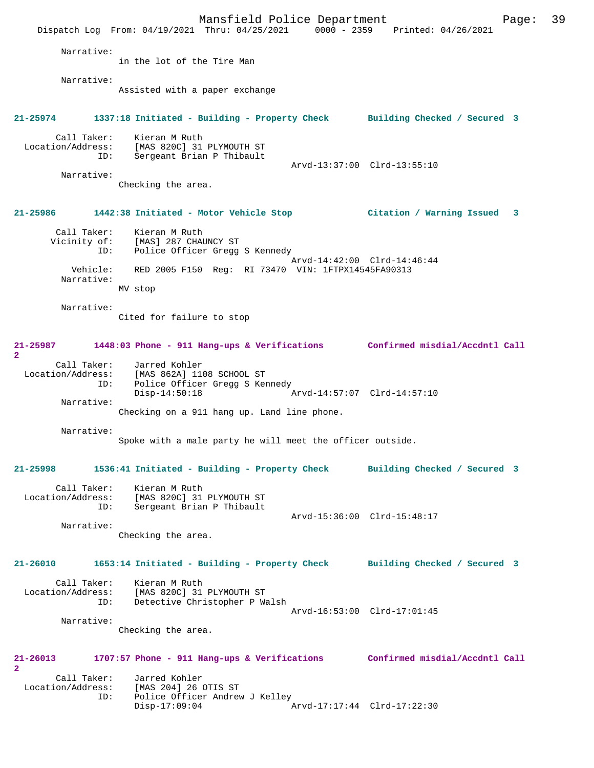|                            |                                         |                                                                         | Mansfield Police Department                        |                             | Dispatch Log From: 04/19/2021 Thru: 04/25/2021 0000 - 2359 Printed: 04/26/2021       | Page: | 39 |
|----------------------------|-----------------------------------------|-------------------------------------------------------------------------|----------------------------------------------------|-----------------------------|--------------------------------------------------------------------------------------|-------|----|
|                            | Narrative:                              |                                                                         |                                                    |                             |                                                                                      |       |    |
|                            |                                         | in the lot of the Tire Man                                              |                                                    |                             |                                                                                      |       |    |
|                            | Narrative:                              | Assisted with a paper exchange                                          |                                                    |                             |                                                                                      |       |    |
| 21-25974                   |                                         |                                                                         |                                                    |                             | 1337:18 Initiated - Building - Property Check Building Checked / Secured 3           |       |    |
|                            | Call Taker:<br>Location/Address:<br>ID: | Kieran M Ruth<br>[MAS 820C] 31 PLYMOUTH ST<br>Sergeant Brian P Thibault |                                                    |                             |                                                                                      |       |    |
|                            | Narrative:                              |                                                                         |                                                    | Arvd-13:37:00 Clrd-13:55:10 |                                                                                      |       |    |
|                            |                                         | Checking the area.                                                      |                                                    |                             |                                                                                      |       |    |
| 21-25986                   |                                         |                                                                         |                                                    |                             |                                                                                      |       |    |
|                            | Call Taker:<br>Vicinity of:<br>ID:      | Kieran M Ruth<br>[MAS] 287 CHAUNCY ST                                   | Police Officer Gregg S Kennedy                     |                             |                                                                                      |       |    |
|                            | Vehicle:<br>Narrative:                  |                                                                         | RED 2005 F150 Reg: RI 73470 VIN: 1FTPX14545FA90313 | Arvd-14:42:00 Clrd-14:46:44 |                                                                                      |       |    |
|                            |                                         | MV stop                                                                 |                                                    |                             |                                                                                      |       |    |
|                            | Narrative:                              |                                                                         |                                                    |                             |                                                                                      |       |    |
|                            |                                         | Cited for failure to stop                                               |                                                    |                             |                                                                                      |       |    |
| $\overline{2}$             |                                         |                                                                         |                                                    |                             | 21-25987 1448:03 Phone - 911 Hang-ups & Verifications Confirmed misdial/Accdntl Call |       |    |
|                            | Call Taker:<br>Location/Address:<br>ID: | Jarred Kohler<br>[MAS 862A] 1108 SCHOOL ST<br>$Disp-14:50:18$           | Police Officer Gregg S Kennedy                     | Arvd-14:57:07 Clrd-14:57:10 |                                                                                      |       |    |
|                            | Narrative:                              | Checking on a 911 hang up. Land line phone.                             |                                                    |                             |                                                                                      |       |    |
|                            | Narrative:                              | Spoke with a male party he will meet the officer outside.               |                                                    |                             |                                                                                      |       |    |
| $21 - 25998$               |                                         | 1536:41 Initiated - Building - Property Check                           |                                                    |                             | Building Checked / Secured 3                                                         |       |    |
|                            | Call Taker:<br>Location/Address:<br>ID: | Kieran M Ruth<br>[MAS 820C] 31 PLYMOUTH ST<br>Sergeant Brian P Thibault |                                                    |                             |                                                                                      |       |    |
|                            | Narrative:                              |                                                                         |                                                    | Arvd-15:36:00 Clrd-15:48:17 |                                                                                      |       |    |
|                            |                                         | Checking the area.                                                      |                                                    |                             |                                                                                      |       |    |
| 21-26010                   |                                         | 1653:14 Initiated - Building - Property Check                           |                                                    |                             | Building Checked / Secured 3                                                         |       |    |
|                            | Call Taker:<br>Location/Address:<br>ID: | Kieran M Ruth<br>[MAS 820C] 31 PLYMOUTH ST                              | Detective Christopher P Walsh                      |                             |                                                                                      |       |    |
|                            | Narrative:                              |                                                                         |                                                    | Arvd-16:53:00 Clrd-17:01:45 |                                                                                      |       |    |
|                            |                                         | Checking the area.                                                      |                                                    |                             |                                                                                      |       |    |
| 21-26013<br>$\overline{2}$ |                                         |                                                                         |                                                    |                             | 1707:57 Phone - 911 Hang-ups & Verifications Confirmed misdial/Accdntl Call          |       |    |
|                            | Call Taker:<br>Location/Address:<br>ID: | Jarred Kohler<br>[MAS 204] 26 OTIS ST                                   | Police Officer Andrew J Kelley                     |                             |                                                                                      |       |    |
|                            |                                         | $Disp-17:09:04$                                                         |                                                    | Arvd-17:17:44 Clrd-17:22:30 |                                                                                      |       |    |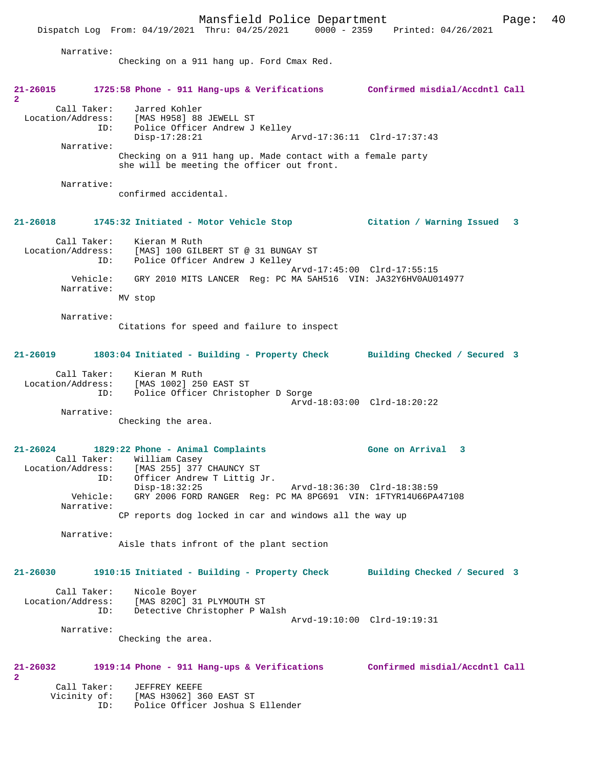Dispatch Log From: 04/19/2021 Thru: 04/25/2021 0000 - 2359 Printed: 04/26/2021

 Narrative: Checking on a 911 hang up. Ford Cmax Red. **21-26015 1725:58 Phone - 911 Hang-ups & Verifications Confirmed misdial/Accdntl Call 2**  Call Taker: Jarred Kohler<br>Location/Address: [MAS H958] 88 [MAS H958] 88 JEWELL ST ID: Police Officer Andrew J Kelley<br>Disp-17:28:21 Disp-17:28:21 Arvd-17:36:11 Clrd-17:37:43 Narrative: Checking on a 911 hang up. Made contact with a female party she will be meeting the officer out front. Narrative: confirmed accidental. **21-26018 1745:32 Initiated - Motor Vehicle Stop Citation / Warning Issued 3** Call Taker: Kieran M Ruth<br>Location/Address: [MAS] 100 GILE Location/Address: [MAS] 100 GILBERT ST @ 31 BUNGAY ST ID: Police Officer Andrew J Kelley ID: Police Officer Andrew J Kelley<br>Arvd-17:45:00 Clrd-17:55:15 Vehicle: GRY 2010 MITS LANCER Reg: PC MA 5AH516 VIN: JA32Y6HV0AU014977 Narrative: MV stop Narrative: Citations for speed and failure to inspect **21-26019 1803:04 Initiated - Building - Property Check Building Checked / Secured 3** Call Taker: Kieran M Ruth Location/Address: [MAS 1002] 250 EAST ST ID: Police Officer Christopher D Sorge Arvd-18:03:00 Clrd-18:20:22 Narrative: Checking the area. **21-26024 1829:22 Phone - Animal Complaints Gone on Arrival 3**  Call Taker: William Casey Location/Address: [MAS 255] 377 CHAUNCY ST ID: Officer Andrew T Littig Jr.<br>Disp-18:32:25 Disp-18:32:25 Arvd-18:36:30 Clrd-18:38:59 Vehicle: GRY 2006 FORD RANGER Reg: PC MA 8PG691 VIN: 1FTYR14U66PA47108 Narrative: CP reports dog locked in car and windows all the way up Narrative: Aisle thats infront of the plant section **21-26030 1910:15 Initiated - Building - Property Check Building Checked / Secured 3** Call Taker: Nicole Boyer Location/Address: [MAS 820C] 31 PLYMOUTH ST ID: Detective Christopher P Walsh Arvd-19:10:00 Clrd-19:19:31 Narrative: Checking the area. **21-26032 1919:14 Phone - 911 Hang-ups & Verifications Confirmed misdial/Accdntl Call 2**  Call Taker: JEFFREY KEEFE<br>Vicinity of: [MAS H3062] 36 [MAS H3062] 360 EAST ST ID: Police Officer Joshua S Ellender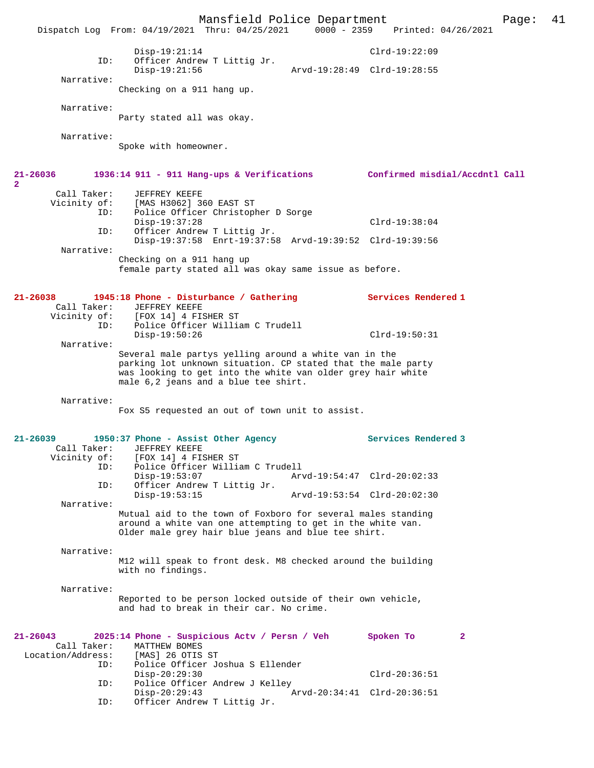Mansfield Police Department Page: 41 Dispatch Log From: 04/19/2021 Thru: 04/25/2021 Disp-19:21:14 Clrd-19:22:09 ID: Officer Andrew T Littig Jr. Arvd-19:28:49 Clrd-19:28:55 Narrative: Checking on a 911 hang up. Narrative: Party stated all was okay. Narrative: Spoke with homeowner. **21-26036 1936:14 911 - 911 Hang-ups & Verifications Confirmed misdial/Accdntl Call 2**  Call Taker: JEFFREY KEEFE Vicinity of: [MAS H3062] 360 EAST ST<br>TD: Police Officer Christopl Police Officer Christopher D Sorge Disp-19:37:28 Clrd-19:38:04<br>TD: Officer Andrew T Littig Jr. Officer Andrew T Littig Jr. Disp-19:37:58 Enrt-19:37:58 Arvd-19:39:52 Clrd-19:39:56 Narrative: Checking on a 911 hang up female party stated all was okay same issue as before. **21-26038 1945:18 Phone - Disturbance / Gathering Services Rendered 1**  Call Taker: JEFFREY KEEFE Vicinity of: [FOX 14] 4 FISHER ST<br>ID: Police Officer Willia Police Officer William C Trudell Disp-19:50:26 Clrd-19:50:31 Narrative: Several male partys yelling around a white van in the parking lot unknown situation. CP stated that the male party was looking to get into the white van older grey hair white male 6,2 jeans and a blue tee shirt. Narrative: Fox S5 requested an out of town unit to assist. **21-26039 1950:37 Phone - Assist Other Agency Services Rendered 3**  Call Taker: JEFFREY KEEFE<br>Vicinity of: [FOX 14] 4 FIS of: [FOX 14] 4 FISHER ST<br>ID: Police Officer Willia Police Officer William C Trudell<br>Disp-19:53:07 Art Disp-19:53:07 Arvd-19:54:47 Clrd-20:02:33 ID: Officer Andrew T Littig Jr. Disp-19:53:15 Arvd-19:53:54 Clrd-20:02:30 Narrative: Mutual aid to the town of Foxboro for several males standing around a white van one attempting to get in the white van. Older male grey hair blue jeans and blue tee shirt. Narrative: M12 will speak to front desk. M8 checked around the building with no findings. Narrative: Reported to be person locked outside of their own vehicle, and had to break in their car. No crime. **21-26043 2025:14 Phone - Suspicious Actv / Persn / Veh Spoken To 2**  Call Taker: MATTHEW BOMES<br>ion/Address: [MAS] 26 OTIS ST Location/Address:<br>ID: Police Officer Joshua S Ellender Disp-20:29:30 Clrd-20:36:51 ID: Police Officer Andrew J Kelley Disp-20:29:43 <br>
D: Officer Andrew T Littig Jr. <br>
D: Officer Andrew T Littig Jr. Officer Andrew T Littig Jr.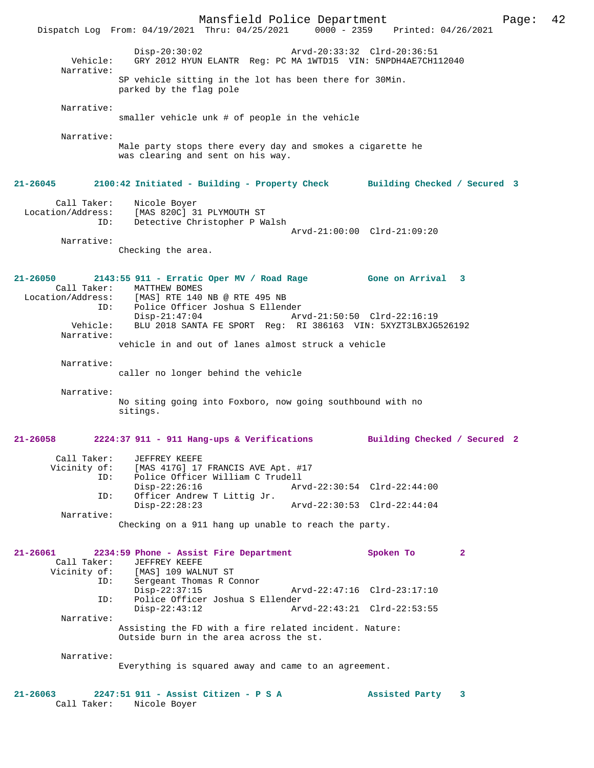Mansfield Police Department Page: 42 Dispatch Log From: 04/19/2021 Thru: 04/25/2021 Disp-20:30:02 Arvd-20:33:32 Clrd-20:36:51 Vehicle: GRY 2012 HYUN ELANTR Reg: PC MA 1WTD15 VIN: 5NPDH4AE7CH112040 Narrative: SP vehicle sitting in the lot has been there for 30Min. parked by the flag pole Narrative: smaller vehicle unk # of people in the vehicle Narrative: Male party stops there every day and smokes a cigarette he was clearing and sent on his way. **21-26045 2100:42 Initiated - Building - Property Check Building Checked / Secured 3** Call Taker: Nicole Boyer Location/Address: [MAS 820C] 31 PLYMOUTH ST ID: Detective Christopher P Walsh Arvd-21:00:00 Clrd-21:09:20 Narrative: Checking the area. **21-26050 2143:55 911 - Erratic Oper MV / Road Rage Gone on Arrival 3**  Call Taker: MATTHEW BOMES<br>Location/Address: [MAS] RTE 140 Location/Address: [MAS] RTE 140 NB @ RTE 495 NB ID: Police Officer Joshua S Ellender Disp-21:47:04 Arvd-21:50:50 Clrd-22:16:19<br>Vehicle: BLU 2018 SANTA FE SPORT Reg: RI 386163 VIN: 5XYZT3LBXJG BLU 2018 SANTA FE SPORT Reg: RI 386163 VIN: 5XYZT3LBXJG526192 Narrative: vehicle in and out of lanes almost struck a vehicle Narrative: caller no longer behind the vehicle Narrative: No siting going into Foxboro, now going southbound with no sitings. **21-26058 2224:37 911 - 911 Hang-ups & Verifications Building Checked / Secured 2** Call Taker: JEFFREY KEEFE Vicinity of: [MAS 417G] 17 FRANCIS AVE Apt. #17<br>TD: Police Officer William C Trudell Police Officer William C Trudell<br>Disp-22:26:16 Ary Disp-22:26:16 Arvd-22:30:54 Clrd-22:44:00<br>ID: Officer Andrew T Littig Jr. Officer Andrew T Littig Jr.<br>Disp-22:28:23 Disp-22:28:23 Arvd-22:30:53 Clrd-22:44:04 Narrative: Checking on a 911 hang up unable to reach the party. **21-26061 2234:59 Phone - Assist Fire Department Spoken To 2**  Call Taker: JEFFREY KEEFE<br>Vicinity of: [MAS] 109 WALN [MAS] 109 WALNUT ST ID: Sergeant Thomas R Connor Disp-22:37:15 Arvd-22:47:16 Clrd-23:17:10<br>TD: Police Officer Joshua S Ellender Police Officer Joshua S Ellender<br>Disp-22:43:12 Arv Arvd-22:43:21 Clrd-22:53:55 Narrative: Assisting the FD with a fire related incident. Nature: Outside burn in the area across the st. Narrative: Everything is squared away and came to an agreement. **21-26063 2247:51 911 - Assist Citizen - P S A Assisted Party 3**  Call Taker: Nicole Boyer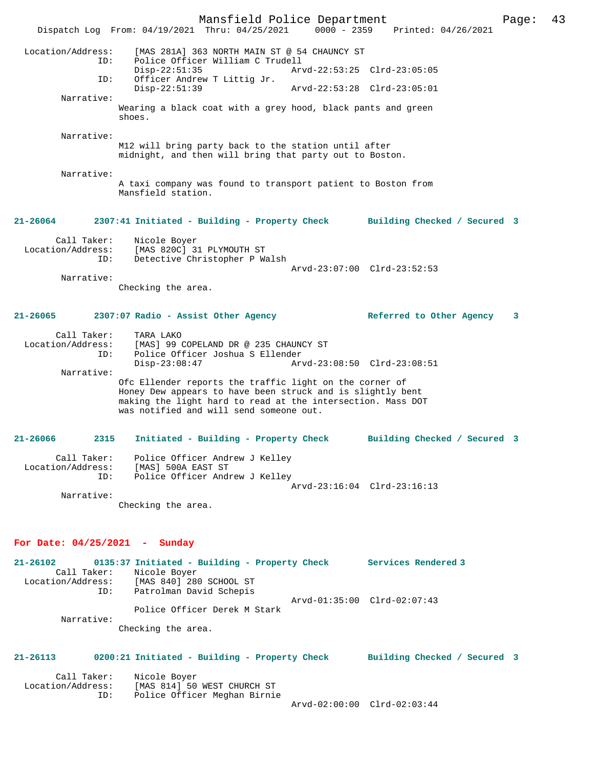Mansfield Police Department Page: 43 Dispatch Log From: 04/19/2021 Thru: 04/25/2021 Location/Address: [MAS 281A] 363 NORTH MAIN ST @ 54 CHAUNCY ST ID: Police Officer William C Trudell Disp-22:51:35 Arvd-22:53:25 Clrd-23:05:05 ID: Officer Andrew T Littig Jr. Disp-22:51:39 Arvd-22:53:28 Clrd-23:05:01 Narrative: Wearing a black coat with a grey hood, black pants and green shoes. Narrative: M12 will bring party back to the station until after midnight, and then will bring that party out to Boston. Narrative: A taxi company was found to transport patient to Boston from Mansfield station. **21-26064 2307:41 Initiated - Building - Property Check Building Checked / Secured 3** Call Taker: Nicole Boyer<br>Location/Address: [MAS 820C] 31 PLYMOUTH ST Location/Address: [MAS 820C] 31 PLYMOUTH ST ID: Detective Christopher P Walsh Arvd-23:07:00 Clrd-23:52:53 Narrative: Checking the area. **21-26065 2307:07 Radio - Assist Other Agency Referred to Other Agency 3** Call Taker: TARA LAKO Location/Address: [MAS] 99 COPELAND DR @ 235 CHAUNCY ST ID: Police Officer Joshua S Ellender Disp-23:08:47 Arvd-23:08:50 Clrd-23:08:51 Narrative: Ofc Ellender reports the traffic light on the corner of Honey Dew appears to have been struck and is slightly bent making the light hard to read at the intersection. Mass DOT was notified and will send someone out. **21-26066 2315 Initiated - Building - Property Check Building Checked / Secured 3** Call Taker: Police Officer Andrew J Kelley Location/Address: [MAS] 500A EAST ST ID: Police Officer Andrew J Kelley Arvd-23:16:04 Clrd-23:16:13 Narrative: Checking the area. **For Date: 04/25/2021 - Sunday 21-26102 0135:37 Initiated - Building - Property Check Services Rendered 3**  Call Taker: Nicole Boyer Location/Address: [MAS 840] 280 SCHOOL ST ID: Patrolman David Schepis

 Narrative: Checking the area.

Police Officer Derek M Stark

#### **21-26113 0200:21 Initiated - Building - Property Check Building Checked / Secured 3**

Arvd-01:35:00 Clrd-02:07:43

| Call Taker:       | Nicole Boyer                 |                             |  |
|-------------------|------------------------------|-----------------------------|--|
| Location/Address: | [MAS 814] 50 WEST CHURCH ST  |                             |  |
| TD:               | Police Officer Meghan Birnie |                             |  |
|                   |                              | Arvd-02:00:00 Clrd-02:03:44 |  |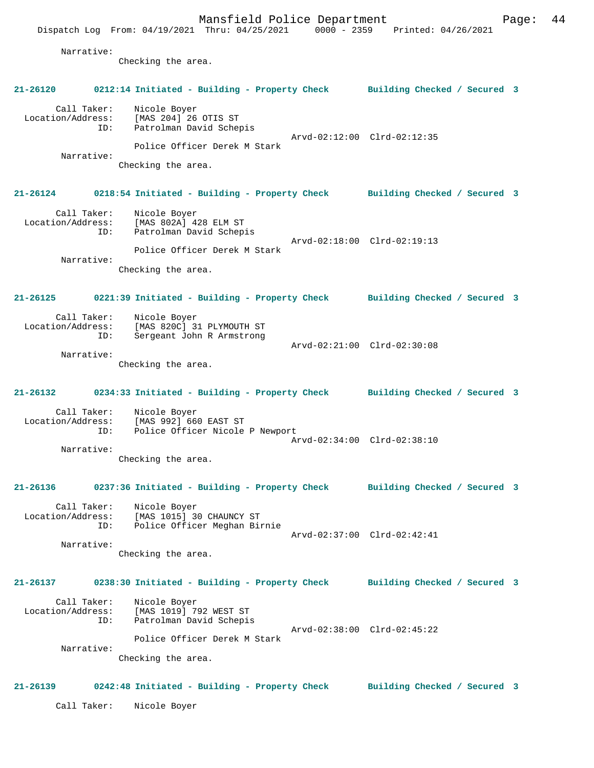Mansfield Police Department Fage: 44 Dispatch Log From: 04/19/2021 Thru: 04/25/2021 0000 - 2359 Printed: 04/26/2021 Narrative: Checking the area. **21-26120 0212:14 Initiated - Building - Property Check Building Checked / Secured 3** Call Taker: Nicole Boyer Location/Address: [MAS 204] 26 OTIS ST ID: Patrolman David Schepis Arvd-02:12:00 Clrd-02:12:35 Police Officer Derek M Stark Narrative: Checking the area. **21-26124 0218:54 Initiated - Building - Property Check Building Checked / Secured 3** Call Taker: Nicole Boyer Location/Address: [MAS 802A] 428 ELM ST ID: Patrolman David Schepis Arvd-02:18:00 Clrd-02:19:13 Police Officer Derek M Stark Narrative: Checking the area. **21-26125 0221:39 Initiated - Building - Property Check Building Checked / Secured 3** Call Taker: Nicole Boyer Location/Address: [MAS 820C] 31 PLYMOUTH ST ID: Sergeant John R Armstrong Arvd-02:21:00 Clrd-02:30:08 Narrative: Checking the area. **21-26132 0234:33 Initiated - Building - Property Check Building Checked / Secured 3** Call Taker: Nicole Boyer Location/Address: [MAS 992] 660 EAST ST ID: Police Officer Nicole P Newport Arvd-02:34:00 Clrd-02:38:10 Narrative: Checking the area. **21-26136 0237:36 Initiated - Building - Property Check Building Checked / Secured 3** Call Taker: Nicole Boyer Location/Address: [MAS 1015] 30 CHAUNCY ST ID: Police Officer Meghan Birnie Arvd-02:37:00 Clrd-02:42:41 Narrative: Checking the area. **21-26137 0238:30 Initiated - Building - Property Check Building Checked / Secured 3** Call Taker: Nicole Boyer Location/Address: [MAS 1019] 792 WEST ST ID: Patrolman David Schepis Arvd-02:38:00 Clrd-02:45:22 Police Officer Derek M Stark Narrative: Checking the area. **21-26139 0242:48 Initiated - Building - Property Check Building Checked / Secured 3**

Call Taker: Nicole Boyer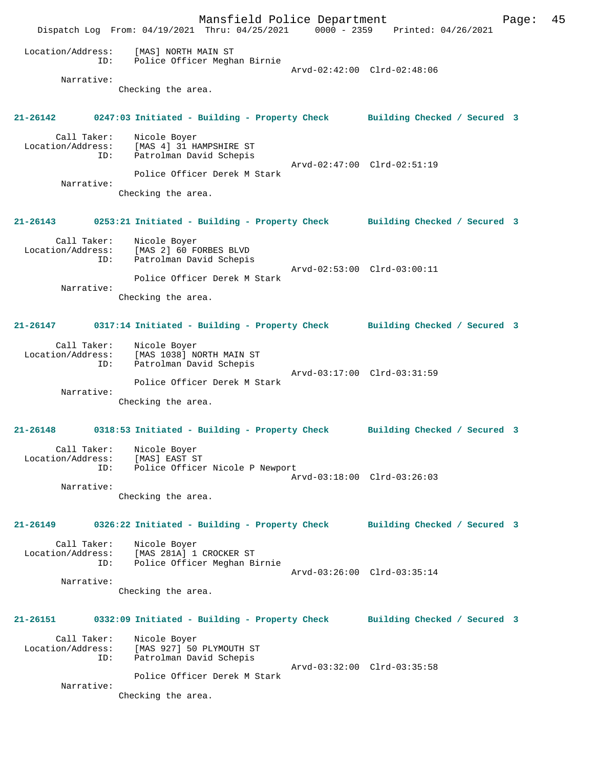Mansfield Police Department Page: 45 Dispatch Log From: 04/19/2021 Thru: 04/25/2021 0000 - 2359 Printed: 04/26/2021 Location/Address: [MAS] NORTH MAIN ST ID: Police Officer Meghan Birnie Arvd-02:42:00 Clrd-02:48:06 Narrative: Checking the area. **21-26142 0247:03 Initiated - Building - Property Check Building Checked / Secured 3** Call Taker: Nicole Boyer Location/Address: [MAS 4] 31 HAMPSHIRE ST ID: Patrolman David Schepis Arvd-02:47:00 Clrd-02:51:19 Police Officer Derek M Stark Narrative: Checking the area. **21-26143 0253:21 Initiated - Building - Property Check Building Checked / Secured 3** Call Taker: Nicole Boyer<br>Location/Address: [MAS 2] 60 FORBES BLVD Location/Address: [MAS 2] 60 FORBES BLVD ID: Patrolman David Schepis Arvd-02:53:00 Clrd-03:00:11 Police Officer Derek M Stark Narrative: Checking the area. **21-26147 0317:14 Initiated - Building - Property Check Building Checked / Secured 3** Call Taker: Nicole Boyer Location/Address: [MAS 1038] NORTH MAIN ST ID: Patrolman David Schepis Arvd-03:17:00 Clrd-03:31:59 Police Officer Derek M Stark Narrative: Checking the area. **21-26148 0318:53 Initiated - Building - Property Check Building Checked / Secured 3** Call Taker: Nicole Boyer Location/Address: [MAS] EAST ST ID: Police Officer Nicole P Newport Arvd-03:18:00 Clrd-03:26:03 Narrative: Checking the area. **21-26149 0326:22 Initiated - Building - Property Check Building Checked / Secured 3** Call Taker: Nicole Boyer Location/Address: [MAS 281A] 1 CROCKER ST ID: Police Officer Meghan Birnie Arvd-03:26:00 Clrd-03:35:14 Narrative: Checking the area. **21-26151 0332:09 Initiated - Building - Property Check Building Checked / Secured 3** Call Taker: Nicole Boyer Location/Address: [MAS 927] 50 PLYMOUTH ST ID: Patrolman David Schepis Arvd-03:32:00 Clrd-03:35:58 Police Officer Derek M Stark Narrative: Checking the area.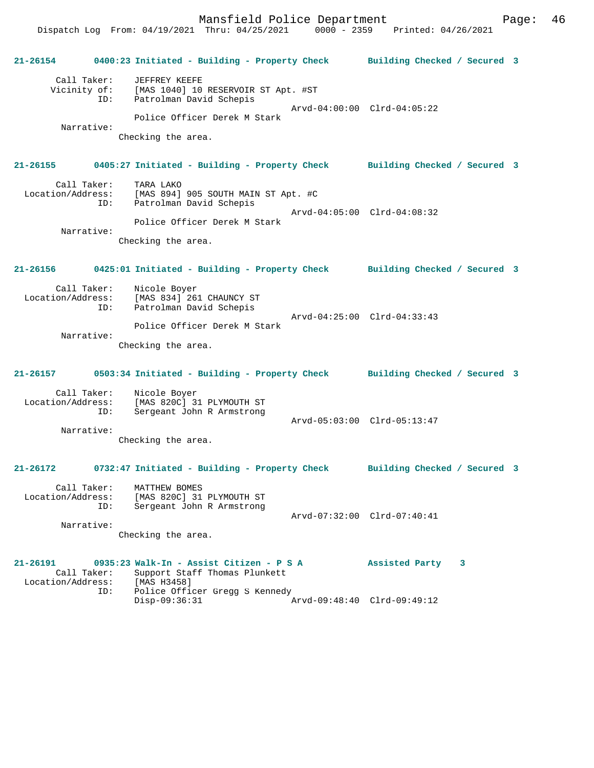Dispatch Log From: 04/19/2021 Thru: 04/25/2021 0000 - 2359 Printed: 04/26/2021 **21-26154 0400:23 Initiated - Building - Property Check Building Checked / Secured 3** Call Taker: JEFFREY KEEFE Vicinity of: [MAS 1040] 10 RESERVOIR ST Apt. #ST ID: Patrolman David Schepis Arvd-04:00:00 Clrd-04:05:22 Police Officer Derek M Stark Narrative: Checking the area. **21-26155 0405:27 Initiated - Building - Property Check Building Checked / Secured 3** Call Taker: TARA LAKO<br>Location/Address: [MAS 894] [MAS 894] 905 SOUTH MAIN ST Apt. #C ID: Patrolman David Schepis Arvd-04:05:00 Clrd-04:08:32 Police Officer Derek M Stark Narrative: Checking the area. **21-26156 0425:01 Initiated - Building - Property Check Building Checked / Secured 3** Call Taker: Nicole Boyer Location/Address: [MAS 834] 261 CHAUNCY ST Patrolman David Schepis Arvd-04:25:00 Clrd-04:33:43 Police Officer Derek M Stark Narrative: Checking the area. **21-26157 0503:34 Initiated - Building - Property Check Building Checked / Secured 3** Call Taker: Nicole Boyer Location/Address: [MAS 820C] 31 PLYMOUTH ST ID: Sergeant John R Armstrong Arvd-05:03:00 Clrd-05:13:47 Narrative: Checking the area. **21-26172 0732:47 Initiated - Building - Property Check Building Checked / Secured 3** Call Taker: MATTHEW BOMES Location/Address: [MAS 820C] 31 PLYMOUTH ST ID: Sergeant John R Armstrong Arvd-07:32:00 Clrd-07:40:41 Narrative: Checking the area. **21-26191 0935:23 Walk-In - Assist Citizen - P S A Assisted Party 3**  Call Taker: Support Staff Thomas Plunkett<br>ion/Address: [MAS H3458] Location/Address:<br>ID: Police Officer Gregg S Kennedy<br>Disp-09:36:31

Disp-09:36:31 Arvd-09:48:40 Clrd-09:49:12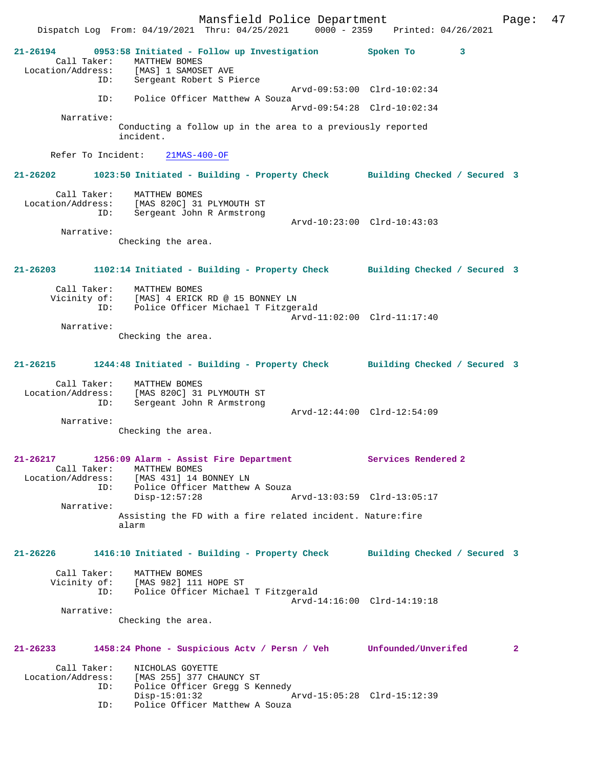Mansfield Police Department Fage: 47 Dispatch Log From: 04/19/2021 Thru: 04/25/2021 0000 - 2359 Printed: 04/26/2021 **21-26194 0953:58 Initiated - Follow up Investigation Spoken To 3**  Call Taker: MATTHEW BOMES Location/Address: [MAS] 1 SAMOSET AVE ID: Sergeant Robert S Pierce Arvd-09:53:00 Clrd-10:02:34 ID: Police Officer Matthew A Souza Arvd-09:54:28 Clrd-10:02:34 Narrative: Conducting a follow up in the area to a previously reported incident. Refer To Incident: 21MAS-400-OF **21-26202 1023:50 Initiated - Building - Property Check Building Checked / Secured 3** Call Taker: MATTHEW BOMES Location/Address: [MAS 820C] 31 PLYMOUTH ST ID: Sergeant John R Armstrong Arvd-10:23:00 Clrd-10:43:03 Narrative: Checking the area. **21-26203 1102:14 Initiated - Building - Property Check Building Checked / Secured 3** Call Taker: MATTHEW BOMES<br>Vicinity of: [MAS] 4 ERICK of: [MAS] 4 ERICK RD @ 15 BONNEY LN<br>ID: Police Officer Michael T Fitzger Police Officer Michael T Fitzgerald Arvd-11:02:00 Clrd-11:17:40 Narrative: Checking the area. **21-26215 1244:48 Initiated - Building - Property Check Building Checked / Secured 3** Call Taker: MATTHEW BOMES Location/Address: [MAS 820C] 31 PLYMOUTH ST ID: Sergeant John R Armstrong Arvd-12:44:00 Clrd-12:54:09 Narrative: Checking the area. **21-26217 1256:09 Alarm - Assist Fire Department Services Rendered 2**  Call Taker: MATTHEW BOMES Location/Address: [MAS 431] 14 BONNEY LN Police Officer Matthew A Souza<br>Disp-12:57:28 A Disp-12:57:28 Arvd-13:03:59 Clrd-13:05:17 Narrative: Assisting the FD with a fire related incident. Nature:fire alarm **21-26226 1416:10 Initiated - Building - Property Check Building Checked / Secured 3** Call Taker: MATTHEW BOMES<br>Vicinity of: [MAS 982] 111 [MAS 982] 111 HOPE ST ID: Police Officer Michael T Fitzgerald Arvd-14:16:00 Clrd-14:19:18 Narrative: Checking the area. **21-26233 1458:24 Phone - Suspicious Actv / Persn / Veh Unfounded/Unverifed 2** Call Taker: NICHOLAS GOYETTE<br>Location/Address: [MAS 255] 377 CH ess: [MAS 255] 377 CHAUNCY ST<br>ID: Police Officer Gregg S Ke Police Officer Gregg S Kennedy<br>Disp-15:01:32 Disp-15:01:32 Arvd-15:05:28 Clrd-15:12:39<br>ID: Police Officer Matthew A Souza Police Officer Matthew A Souza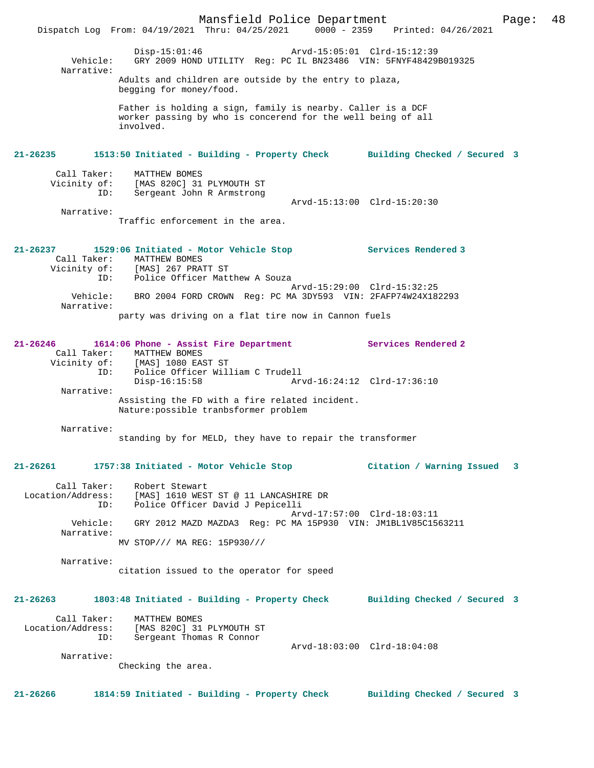Mansfield Police Department Page: 48 Dispatch Log From: 04/19/2021 Thru: 04/25/2021 0000 - 2359 Printed: 04/26/2021 Disp-15:01:46 Arvd-15:05:01 Clrd-15:12:39<br>Vehicle: GRY 2009 HOND UTILITY Reg: PC IL BN23486 VIN: 5FNYF484291 GRY 2009 HOND UTILITY Reg: PC IL BN23486 VIN: 5FNYF48429B019325 Narrative: Adults and children are outside by the entry to plaza, begging for money/food. Father is holding a sign, family is nearby. Caller is a DCF worker passing by who is concerend for the well being of all involved. **21-26235 1513:50 Initiated - Building - Property Check Building Checked / Secured 3** Call Taker: MATTHEW BOMES Vicinity of: [MAS 820C] 31 PLYMOUTH ST ID: Sergeant John R Armstrong Arvd-15:13:00 Clrd-15:20:30 Narrative: Traffic enforcement in the area. **21-26237 1529:06 Initiated - Motor Vehicle Stop Services Rendered 3**  Call Taker: MATTHEW BOMES<br>Vicinity of: [MAS] 267 PRA of: [MAS] 267 PRATT ST<br>ID: Police Officer Matt Police Officer Matthew A Souza Arvd-15:29:00 Clrd-15:32:25 Vehicle: BRO 2004 FORD CROWN Reg: PC MA 3DY593 VIN: 2FAFP74W24X182293 Narrative: party was driving on a flat tire now in Cannon fuels **21-26246 1614:06 Phone - Assist Fire Department Services Rendered 2**  Call Taker: MATTHEW BOMES Vicinity of: [MAS] 1080 EAST ST ID: Police Officer William C Trudell Disp-16:15:58 Arvd-16:24:12 Clrd-17:36:10 Narrative: Assisting the FD with a fire related incident. Nature:possible tranbsformer problem Narrative: standing by for MELD, they have to repair the transformer **21-26261 1757:38 Initiated - Motor Vehicle Stop Citation / Warning Issued 3** Call Taker: Robert Stewart Location/Address: [MAS] 1610 WEST ST @ 11 LANCASHIRE DR ID: Police Officer David J Pepicelli Arvd-17:57:00 Clrd-18:03:11 Vehicle: GRY 2012 MAZD MAZDA3 Reg: PC MA 15P930 VIN: JM1BL1V85C1563211 Narrative: MV STOP/// MA REG: 15P930/// Narrative: citation issued to the operator for speed **21-26263 1803:48 Initiated - Building - Property Check Building Checked / Secured 3** Call Taker: MATTHEW BOMES Location/Address: [MAS 820C] 31 PLYMOUTH ST ID: Sergeant Thomas R Connor Arvd-18:03:00 Clrd-18:04:08 Narrative: Checking the area. **21-26266 1814:59 Initiated - Building - Property Check Building Checked / Secured 3**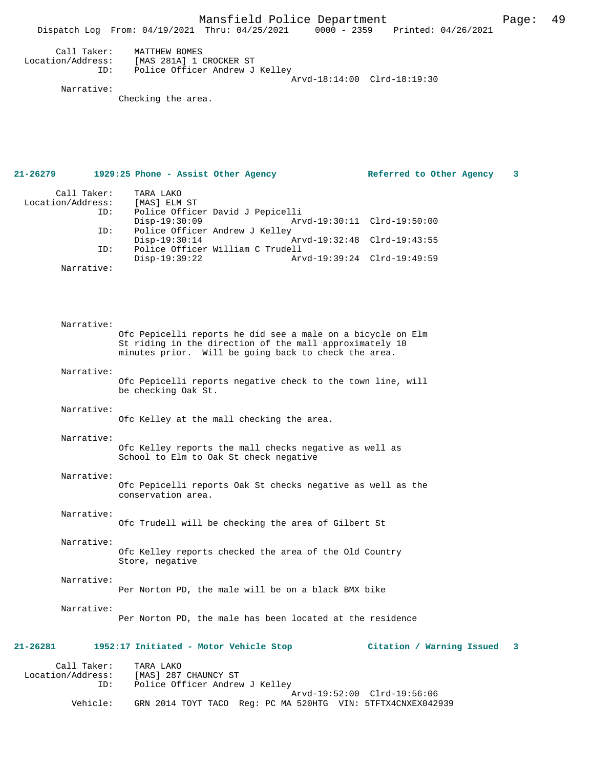Mansfield Police Department Page: 49 Dispatch Log From: 04/19/2021 Thru: 04/25/2021 Call Taker: MATTHEW BOMES Location/Address: [MAS 281A] 1 CROCKER ST Police Officer Andrew J Kelley Arvd-18:14:00 Clrd-18:19:30

Narrative:

Checking the area.

**21-26279 1929:25 Phone - Assist Other Agency Referred to Other Agency 3** Call Taker: TARA LAKO<br>.on/Address: [MAS] ELM ST Location/Address: ID: Police Officer David J Pepicelli Disp-19:30:09 Arvd-19:30:11 Clrd-19:50:00<br>TD: Police Officer Andrew J Kelley Police Officer Andrew J Kelley<br>Disp-19:30:14 Disp-19:30:14 Arvd-19:32:48 Clrd-19:43:55<br>TD: Police Officer William C Trudell Police Officer William C Trudell Disp-19:39:22 Arvd-19:39:24 Clrd-19:49:59 Narrative: Narrative: Ofc Pepicelli reports he did see a male on a bicycle on Elm St riding in the direction of the mall approximately 10 minutes prior. Will be going back to check the area. Narrative: Ofc Pepicelli reports negative check to the town line, will be checking Oak St. Narrative: Ofc Kelley at the mall checking the area. Narrative: Ofc Kelley reports the mall checks negative as well as School to Elm to Oak St check negative Narrative: Ofc Pepicelli reports Oak St checks negative as well as the conservation area. Narrative: Ofc Trudell will be checking the area of Gilbert St Narrative: Ofc Kelley reports checked the area of the Old Country Store, negative Narrative: Per Norton PD, the male will be on a black BMX bike Narrative: Per Norton PD, the male has been located at the residence **21-26281 1952:17 Initiated - Motor Vehicle Stop Citation / Warning Issued 3** Call Taker: TARA LAKO Location/Address: [MAS] 287 CHAUNCY ST ID: Police Officer Andrew J Kelley

Arvd-19:52:00 Clrd-19:56:06<br>Vehicle: GRN 2014 TOYT TACO Reg: PC MA 520HTG VIN: 5TFTX4CNXEX042 GRN 2014 TOYT TACO Reg: PC MA 520HTG VIN: 5TFTX4CNXEX042939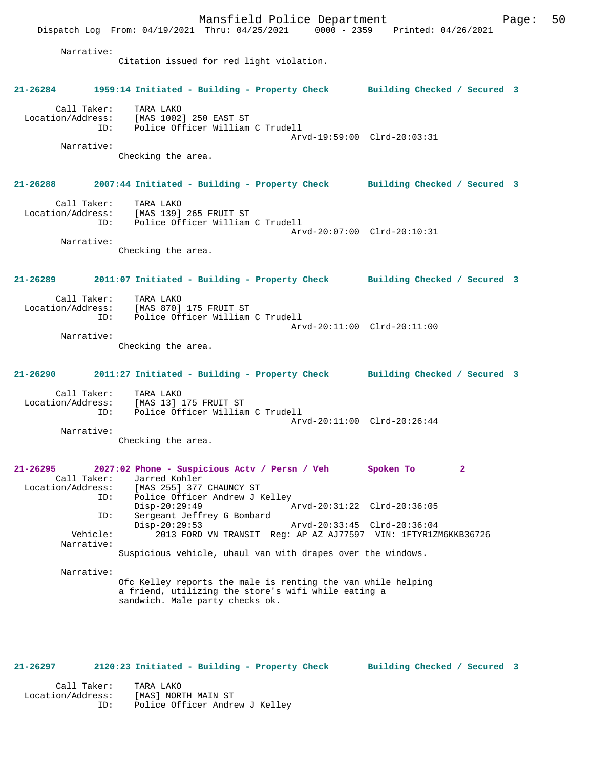Mansfield Police Department Page: 50 Dispatch Log From: 04/19/2021 Thru: 04/25/2021 0000 - 2359 Printed: 04/26/2021 Narrative: Citation issued for red light violation. **21-26284 1959:14 Initiated - Building - Property Check Building Checked / Secured 3** Call Taker: TARA LAKO Location/Address: [MAS 1002] 250 EAST ST ID: Police Officer William C Trudell Arvd-19:59:00 Clrd-20:03:31 Narrative: Checking the area. **21-26288 2007:44 Initiated - Building - Property Check Building Checked / Secured 3** Call Taker: TARA LAKO Location/Address: [MAS 139] 265 FRUIT ST ID: Police Officer William C Trudell Arvd-20:07:00 Clrd-20:10:31 Narrative: Checking the area. **21-26289 2011:07 Initiated - Building - Property Check Building Checked / Secured 3** Call Taker: TARA LAKO Location/Address: [MAS 870] 175 FRUIT ST Police Officer William C Trudell Arvd-20:11:00 Clrd-20:11:00 Narrative: Checking the area. **21-26290 2011:27 Initiated - Building - Property Check Building Checked / Secured 3** Call Taker: TARA LAKO Location/Address: [MAS 13] 175 FRUIT ST ID: Police Officer William C Trudell Arvd-20:11:00 Clrd-20:26:44 Narrative: Checking the area. **21-26295 2027:02 Phone - Suspicious Actv / Persn / Veh Spoken To 2**  Call Taker: Jarred Kohler Location/Address: [MAS 255] 377 CHAUNCY ST<br>ID: Police Officer Andrew J K ID: Police Officer Andrew J Kelley Disp-20:29:49 Arvd-20:31:22 Clrd-20:36:05 ID: Sergeant Jeffrey G Bombard Disp-20:29:53 Arvd-20:33:45 Clrd-20:36:04 Vehicle: 2013 FORD VN TRANSIT Reg: AP AZ AJ77597 VIN: 1FTYR1ZM6KKB36726 Narrative: Suspicious vehicle, uhaul van with drapes over the windows. Narrative: Ofc Kelley reports the male is renting the van while helping a friend, utilizing the store's wifi while eating a sandwich. Male party checks ok.

#### **21-26297 2120:23 Initiated - Building - Property Check Building Checked / Secured 3**

 Call Taker: TARA LAKO Location/Address: [MAS] NORTH MAIN ST ID: Police Officer Andrew J Kelley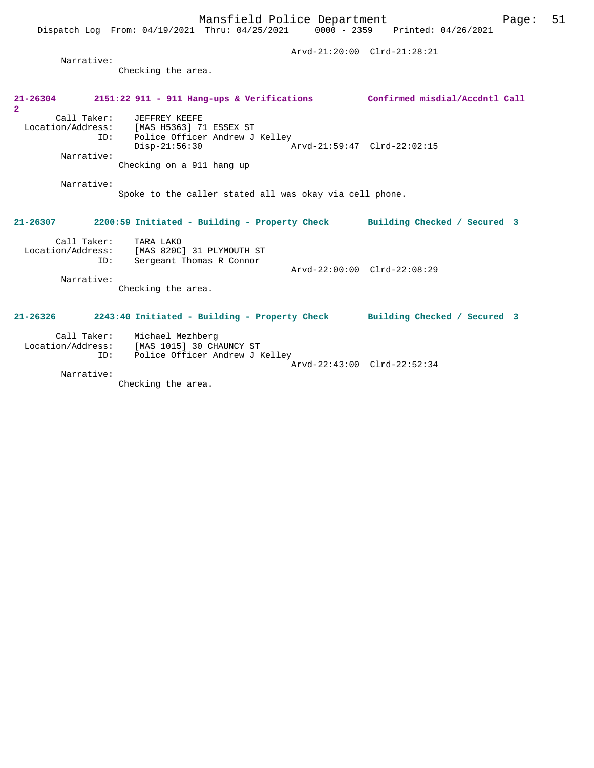| Narrative:                           |                                                                                                                        | Arvd-21:20:00 Clrd-21:28:21  |
|--------------------------------------|------------------------------------------------------------------------------------------------------------------------|------------------------------|
|                                      | Checking the area.                                                                                                     |                              |
| $21 - 26304$<br>$\mathbf{2}^{\circ}$ | 2151:22 911 - 911 Hang-ups & Verifications Confirmed misdial/Accdntl Call                                              |                              |
| Call Taker:                          | JEFFREY KEEFE<br>Location/Address: [MAS H5363] 71 ESSEX ST<br>Police Officer Andrew J Kelley<br>ID:<br>$Disp-21:56:30$ | Arvd-21:59:47 Clrd-22:02:15  |
| Narrative:                           | Checking on a 911 hang up                                                                                              |                              |
| Narrative:                           | Spoke to the caller stated all was okay via cell phone.                                                                |                              |
| $21 - 26307$                         | 2200:59 Initiated - Building - Property Check                                                                          | Building Checked / Secured 3 |
| ID:                                  | Call Taker: TARA LAKO<br>Location/Address: [MAS 820C] 31 PLYMOUTH ST<br>Sergeant Thomas R Connor                       |                              |
| Narrative:                           | Checking the area.                                                                                                     | Arvd-22:00:00 Clrd-22:08:29  |
| $21 - 26326$                         | 2243:40 Initiated - Building - Property Check                                                                          | Building Checked / Secured 3 |
| TD:                                  | Call Taker: Michael Mezhberg<br>Location/Address: [MAS 1015] 30 CHAUNCY ST<br>Police Officer Andrew J Kelley           | Arvd-22:43:00 Clrd-22:52:34  |

Narrative:

Checking the area.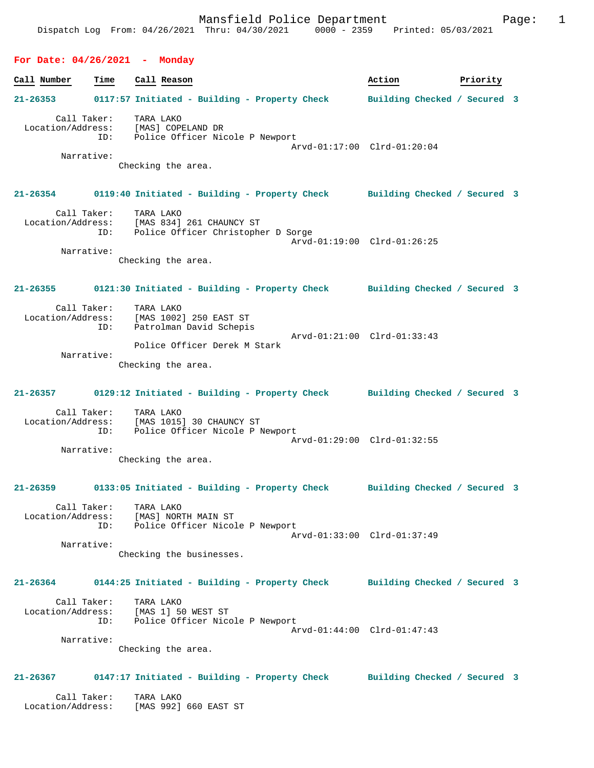## **For Date: 04/26/2021 - Monday**

| Call Number                      | Time        | Call Reason                                                                                                                                   | Action                      | Priority |  |
|----------------------------------|-------------|-----------------------------------------------------------------------------------------------------------------------------------------------|-----------------------------|----------|--|
| $21 - 26353$                     |             | 0117:57 Initiated - Building - Property Check Building Checked / Secured 3                                                                    |                             |          |  |
| Call Taker:                      | ID:         | TARA LAKO<br>Location/Address: [MAS] COPELAND DR<br>Police Officer Nicole P Newport                                                           | Arvd-01:17:00 Clrd-01:20:04 |          |  |
| Narrative:                       |             | Checking the area.                                                                                                                            |                             |          |  |
|                                  |             | 21-26354 0119:40 Initiated - Building - Property Check Building Checked / Secured 3                                                           |                             |          |  |
| Call Taker:<br>Location/Address: | ID:         | TARA LAKO<br>[MAS 834] 261 CHAUNCY ST<br>Police Officer Christopher D Sorge                                                                   | Arvd-01:19:00 Clrd-01:26:25 |          |  |
| Narrative:                       |             | Checking the area.                                                                                                                            |                             |          |  |
|                                  |             | 21-26355 0121:30 Initiated - Building - Property Check Building Checked / Secured 3                                                           |                             |          |  |
| Call Taker:                      | ID:         | TARA LAKO<br>Location/Address: [MAS 1002] 250 EAST ST<br>ID: Patrolman David Schepi<br>Patrolman David Schepis<br>Arvd-01:21:00 Clrd-01:33:43 |                             |          |  |
| Narrative:                       |             | Police Officer Derek M Stark<br>Checking the area.                                                                                            |                             |          |  |
|                                  |             | 21-26357 0129:12 Initiated - Building - Property Check Building Checked / Secured 3                                                           |                             |          |  |
| Call Taker:                      |             | TARA LAKO<br>Location/Address: [MAS 1015] 30 CHAUNCY ST<br>ID: Police Officer Nicole P Newport                                                | Arvd-01:29:00 Clrd-01:32:55 |          |  |
| Narrative:                       |             | Checking the area.                                                                                                                            |                             |          |  |
|                                  |             | 21-26359 0133:05 Initiated - Building - Property Check Building Checked / Secured 3                                                           |                             |          |  |
|                                  | Call Taker: | TARA LAKO<br>Location/Address: [MAS] NORTH MAIN ST<br>ID: Police Officer Nicole P Newport                                                     | Arvd-01:33:00 Clrd-01:37:49 |          |  |
| Narrative:                       |             | Checking the businesses.                                                                                                                      |                             |          |  |
|                                  |             | 21-26364 0144:25 Initiated - Building - Property Check Building Checked / Secured 3                                                           |                             |          |  |
| Call Taker:                      |             | TARA LAKO<br>Location/Address: [MAS 1] 50 WEST ST<br>ID: Police Officer Nicole P Newport<br>Arvd-01:44:00 Clrd-01:47:43                       |                             |          |  |
| Narrative:                       |             | Checking the area.                                                                                                                            |                             |          |  |
|                                  |             | 21-26367 0147:17 Initiated - Building - Property Check Building Checked / Secured 3                                                           |                             |          |  |
| Call Taker:<br>Location/Address: |             | TARA LAKO<br>[MAS 992] 660 EAST ST                                                                                                            |                             |          |  |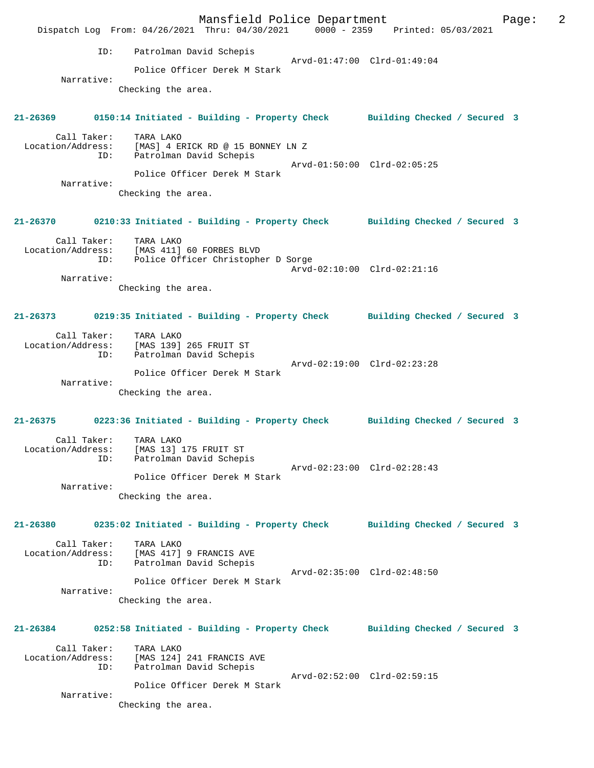Mansfield Police Department Form Page: 2 Dispatch Log From: 04/26/2021 Thru: 04/30/2021 0000 - 2359 Printed: 05/03/2021 ID: Patrolman David Schepis Arvd-01:47:00 Clrd-01:49:04 Police Officer Derek M Stark Narrative: Checking the area. **21-26369 0150:14 Initiated - Building - Property Check Building Checked / Secured 3** Call Taker: TARA LAKO Location/Address: [MAS] 4 ERICK RD @ 15 BONNEY LN Z ID: Patrolman David Schepis Arvd-01:50:00 Clrd-02:05:25 Police Officer Derek M Stark Narrative: Checking the area. **21-26370 0210:33 Initiated - Building - Property Check Building Checked / Secured 3** Call Taker: TARA LAKO<br>Location/Address: [MAS 411] [MAS 411] 60 FORBES BLVD ID: Police Officer Christopher D Sorge Arvd-02:10:00 Clrd-02:21:16 Narrative: Checking the area. **21-26373 0219:35 Initiated - Building - Property Check Building Checked / Secured 3** Call Taker: TARA LAKO Location/Address: [MAS 139] 265 FRUIT ST ID: Patrolman David Schepis Arvd-02:19:00 Clrd-02:23:28 Police Officer Derek M Stark Narrative: Checking the area. **21-26375 0223:36 Initiated - Building - Property Check Building Checked / Secured 3** Call Taker: TARA LAKO Location/Address: [MAS 13] 175 FRUIT ST ID: Patrolman David Schepis Arvd-02:23:00 Clrd-02:28:43 Police Officer Derek M Stark Narrative: Checking the area. **21-26380 0235:02 Initiated - Building - Property Check Building Checked / Secured 3** Call Taker: TARA LAKO Location/Address: [MAS 417] 9 FRANCIS AVE ID: Patrolman David Schepis Arvd-02:35:00 Clrd-02:48:50 Police Officer Derek M Stark Narrative: Checking the area. **21-26384 0252:58 Initiated - Building - Property Check Building Checked / Secured 3** Call Taker: TARA LAKO<br>[MAS 124] Location/Address: [MAS 124] [MAS 124] 241 FRANCIS AVE ID: Patrolman David Schepis Arvd-02:52:00 Clrd-02:59:15 Police Officer Derek M Stark Narrative: Checking the area.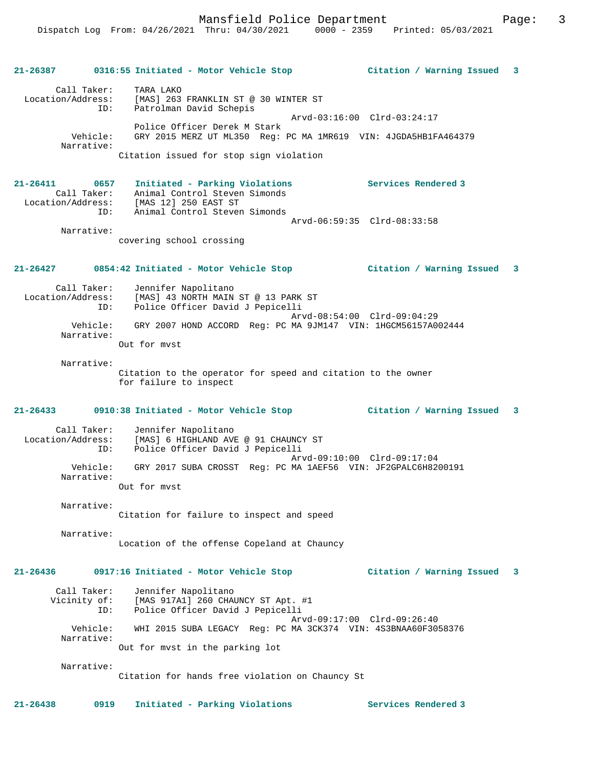### **21-26387 0316:55 Initiated - Motor Vehicle Stop Citation / Warning Issued 3**

 Call Taker: TARA LAKO Location/Address: [MAS] 263 FRANKLIN ST @ 30 WINTER ST ID: Patrolman David Schepis Arvd-03:16:00 Clrd-03:24:17 Police Officer Derek M Stark Vehicle: GRY 2015 MERZ UT ML350 Reg: PC MA 1MR619 VIN: 4JGDA5HB1FA464379 Narrative: Citation issued for stop sign violation

**21-26411 0657 Initiated - Parking Violations Services Rendered 3**  Call Taker: Animal Control Steven Simonds Location/Address: [MAS 12] 250 EAST ST ID: Animal Control Steven Simonds Arvd-06:59:35 Clrd-08:33:58 Narrative:

covering school crossing

### **21-26427 0854:42 Initiated - Motor Vehicle Stop Citation / Warning Issued 3**

| Call Taker:            | Jennifer Napolitano                                           |
|------------------------|---------------------------------------------------------------|
| Location/Address:      | [MAS] 43 NORTH MAIN ST @ 13 PARK ST                           |
| ID:                    | Police Officer David J Pepicelli                              |
|                        | Arvd-08:54:00 Clrd-09:04:29                                   |
| Vehicle:<br>Narrative: | GRY 2007 HOND ACCORD Req: PC MA 9JM147 VIN: 1HGCM56157A002444 |

Out for mvst

Narrative:

Citation to the operator for speed and citation to the owner for failure to inspect

## **21-26433 0910:38 Initiated - Motor Vehicle Stop Citation / Warning Issued 3**

 Call Taker: Jennifer Napolitano Location/Address: [MAS] 6 HIGHLAND AVE @ 91 CHAUNCY ST ID: Police Officer David J Pepicelli Arvd-09:10:00 Clrd-09:17:04 Vehicle: GRY 2017 SUBA CROSST Reg: PC MA 1AEF56 VIN: JF2GPALC6H8200191 Narrative: Out for mvst

 Narrative: Citation for failure to inspect and speed

Narrative:

Location of the offense Copeland at Chauncy

## **21-26436 0917:16 Initiated - Motor Vehicle Stop Citation / Warning Issued 3**

| Call Taker:            | Jennifer Napolitano                                                                                                             |
|------------------------|---------------------------------------------------------------------------------------------------------------------------------|
| Vicinity of:           | [MAS 917A1] 260 CHAUNCY ST Apt. #1                                                                                              |
| ID:                    | Police Officer David J Pepicelli                                                                                                |
| Vehicle:<br>Narrative: | Arvd-09:17:00 Clrd-09:26:40<br>WHI 2015 SUBA LEGACY Req: PC MA 3CK374 VIN: 4S3BNAA60F3058376<br>Out for myst in the parking lot |

Narrative:

Citation for hands free violation on Chauncy St

**21-26438 0919 Initiated - Parking Violations Services Rendered 3**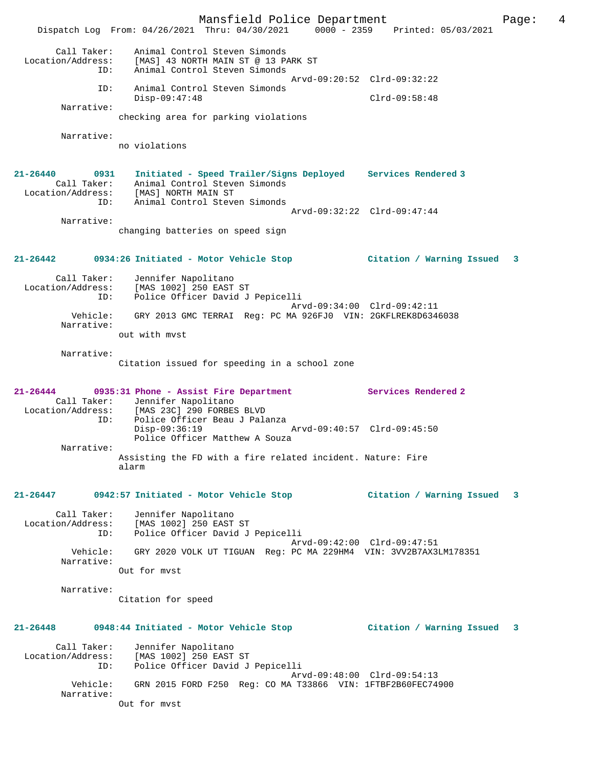Mansfield Police Department Form Page: 4 Dispatch Log From: 04/26/2021 Thru: 04/30/2021 0000 - 2359 Printed: 05/03/2021 Call Taker: Animal Control Steven Simonds Location/Address: [MAS] 43 NORTH MAIN ST @ 13 PARK ST ID: Animal Control Steven Simonds Arvd-09:20:52 Clrd-09:32:22 ID: Animal Control Steven Simonds Disp-09:47:48 Clrd-09:58:48 Narrative: checking area for parking violations Narrative: no violations **21-26440 0931 Initiated - Speed Trailer/Signs Deployed Services Rendered 3**  Call Taker: Animal Control Steven Simonds Location/Address: [MAS] NORTH MAIN ST ID: Animal Control Steven Simonds Arvd-09:32:22 Clrd-09:47:44 Narrative: changing batteries on speed sign **21-26442 0934:26 Initiated - Motor Vehicle Stop Citation / Warning Issued 3** Call Taker: Jennifer Napolitano Location/Address: [MAS 1002] 250 EAST ST ID: Police Officer David J Pepicelli Arvd-09:34:00 Clrd-09:42:11 Vehicle: GRY 2013 GMC TERRAI Reg: PC MA 926FJ0 VIN: 2GKFLREK8D6346038 Narrative: out with mvst Narrative: Citation issued for speeding in a school zone **21-26444 0935:31 Phone - Assist Fire Department Services Rendered 2**  Call Taker: Jennifer Napolitano<br>Location/Address: [MAS 23C] 290 FORBES COMMILLE WAPULLEANO<br>Location: [MAS 23C] 290 FORBES BLVD<br>TD: Police Officer Beau J Pala Police Officer Beau J Palanza<br>Disp-09:36:19 Disp-09:36:19 Arvd-09:40:57 Clrd-09:45:50 Police Officer Matthew A Souza Narrative: Assisting the FD with a fire related incident. Nature: Fire alarm **21-26447 0942:57 Initiated - Motor Vehicle Stop Citation / Warning Issued 3** Call Taker: Jennifer Napolitano Location/Address: [MAS 1002] 250 EAST ST ID: Police Officer David J Pepicelli Arvd-09:42:00 Clrd-09:47:51 Vehicle: GRY 2020 VOLK UT TIGUAN Reg: PC MA 229HM4 VIN: 3VV2B7AX3LM178351 Narrative: Out for mvst Narrative: Citation for speed **21-26448 0948:44 Initiated - Motor Vehicle Stop Citation / Warning Issued 3** Call Taker: Jennifer Napolitano Location/Address: [MAS 1002] 250 EAST ST ID: Police Officer David J Pepicelli Arvd-09:48:00 Clrd-09:54:13<br>Vehicle: GRN 2015 FORD F250 Reg: CO MA T33866 VIN: 1FTBF2B60FEC749 GRN 2015 FORD F250 Reg: CO MA T33866 VIN: 1FTBF2B60FEC74900 Narrative: Out for mvst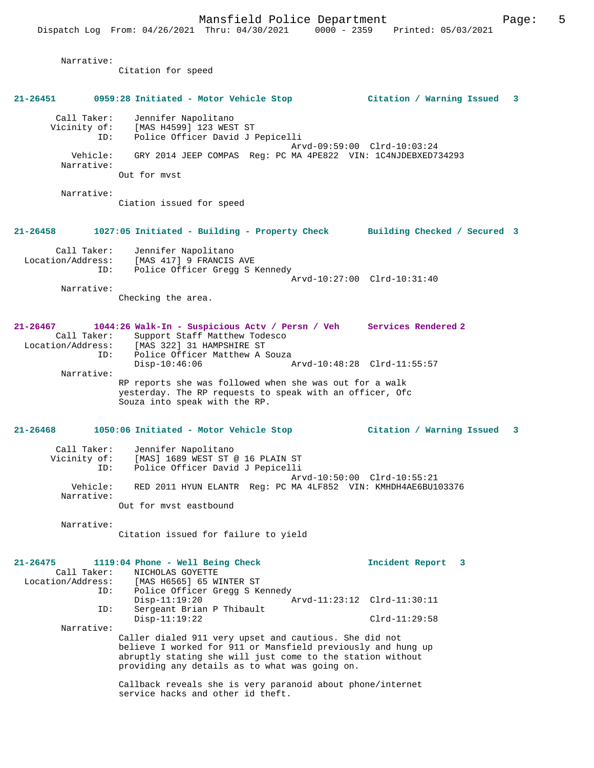Narrative:

Citation for speed

**21-26451 0959:28 Initiated - Motor Vehicle Stop Citation / Warning Issued 3** Call Taker: Jennifer Napolitano Vicinity of: [MAS H4599] 123 WEST ST ID: Police Officer David J Pepicelli Arvd-09:59:00 Clrd-10:03:24 Vehicle: GRY 2014 JEEP COMPAS Reg: PC MA 4PE822 VIN: 1C4NJDEBXED734293 Narrative: Out for mvst Narrative: Ciation issued for speed **21-26458 1027:05 Initiated - Building - Property Check Building Checked / Secured 3** Call Taker: Jennifer Napolitano Location/Address: [MAS 417] 9 FRANCIS AVE ID: Police Officer Gregg S Kennedy Arvd-10:27:00 Clrd-10:31:40 Narrative: Checking the area. **21-26467 1044:26 Walk-In - Suspicious Actv / Persn / Veh Services Rendered 2**  Call Taker: Support Staff Matthew Todesco Location/Address: [MAS 322] 31 HAMPSHIRE ST ID: Police Officer Matthew A Souza<br>Disp-10:46:06 Disp-10:46:06 Arvd-10:48:28 Clrd-11:55:57 Narrative: RP reports she was followed when she was out for a walk yesterday. The RP requests to speak with an officer, Ofc Souza into speak with the RP. **21-26468 1050:06 Initiated - Motor Vehicle Stop Citation / Warning Issued 3** Call Taker: Jennifer Napolitano Vicinity of: [MAS] 1689 WEST ST @ 16 PLAIN ST ID: Police Officer David J Pepicelli Arvd-10:50:00 Clrd-10:55:21 Vehicle: RED 2011 HYUN ELANTR Reg: PC MA 4LF852 VIN: KMHDH4AE6BU103376 Narrative: Out for mvst eastbound Narrative: Citation issued for failure to yield **21-26475 1119:04 Phone - Well Being Check Incident Report 3**  Call Taker: NICHOLAS GOYETTE<br>Location/Address: [MAS H6565] 65 WI ess: [MAS H6565] 65 WINTER ST<br>ID: Police Officer Grega S Ke Police Officer Gregg S Kennedy<br>Disp-11:19:20 A Disp-11:19:20 Arvd-11:23:12 Clrd-11:30:11 ID: Sergeant Brian P Thibault<br>Disp-11:19:22 Clrd-11:29:58 Narrative: Caller dialed 911 very upset and cautious. She did not believe I worked for 911 or Mansfield previously and hung up abruptly stating she will just come to the station without providing any details as to what was going on. Callback reveals she is very paranoid about phone/internet service hacks and other id theft.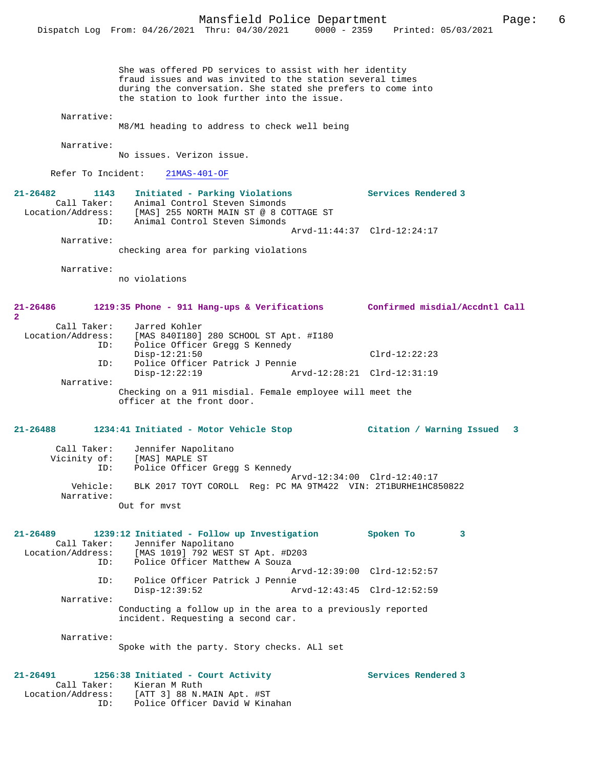She was offered PD services to assist with her identity fraud issues and was invited to the station several times during the conversation. She stated she prefers to come into the station to look further into the issue. Narrative: M8/M1 heading to address to check well being Narrative: No issues. Verizon issue. Refer To Incident: 21MAS-401-OF **21-26482 1143 Initiated - Parking Violations Services Rendered 3**  Call Taker: Animal Control Steven Simonds Location/Address: [MAS] 255 NORTH MAIN ST @ 8 COTTAGE ST ID: Animal Control Steven Simonds Arvd-11:44:37 Clrd-12:24:17 Narrative: checking area for parking violations Narrative: no violations **21-26486 1219:35 Phone - 911 Hang-ups & Verifications Confirmed misdial/Accdntl Call** Call Taker: Jarred Kohler<br>Location/Address: [MAS 840I180] ess: [MAS 840I180] 280 SCHOOL ST Apt. #I180<br>ID: Police Officer Gregg S Kennedy Police Officer Gregg S Kennedy Disp-12:21:50 Clrd-12:22:23<br>TD: Police Officer Patrick J Pennie Police Officer Patrick J Pennie<br>Disp-12:22:19 Ar Disp-12:22:19 Arvd-12:28:21 Clrd-12:31:19 Narrative: Checking on a 911 misdial. Female employee will meet the officer at the front door. **21-26488 1234:41 Initiated - Motor Vehicle Stop Citation / Warning Issued 3** Call Taker: Jennifer Napolitano Vicinity of: [MAS] MAPLE ST ID: Police Officer Gregg S Kennedy Arvd-12:34:00 Clrd-12:40:17<br>Vehicle: BLK 2017 TOYT COROLL Reg: PC MA 9TM422 VIN: 2T1BURHE1HC8 BLK 2017 TOYT COROLL Reg: PC MA 9TM422 VIN: 2T1BURHE1HC850822 Narrative: Out for mvst **21-26489 1239:12 Initiated - Follow up Investigation Spoken To 3**  Call Taker: Jennifer Napolitano<br>Location/Address: [MAS 1019] 792 WEST [MAS 1019] 792 WEST ST Apt. #D203 ID: Police Officer Matthew A Souza Arvd-12:39:00 Clrd-12:52:57<br>TD: Police Officer Patrick J Pennie Police Officer Patrick J Pennie<br>Disp-12:39:52 A Disp-12:39:52 Arvd-12:43:45 Clrd-12:52:59 Narrative: Conducting a follow up in the area to a previously reported incident. Requesting a second car. Narrative: Spoke with the party. Story checks. ALl set **21-26491 1256:38 Initiated - Court Activity Services Rendered 3**  Call Taker: Kieran M Ruth

 Location/Address: [ATT 3] 88 N.MAIN Apt. #ST ID: Police Officer David W Kinahan

**2**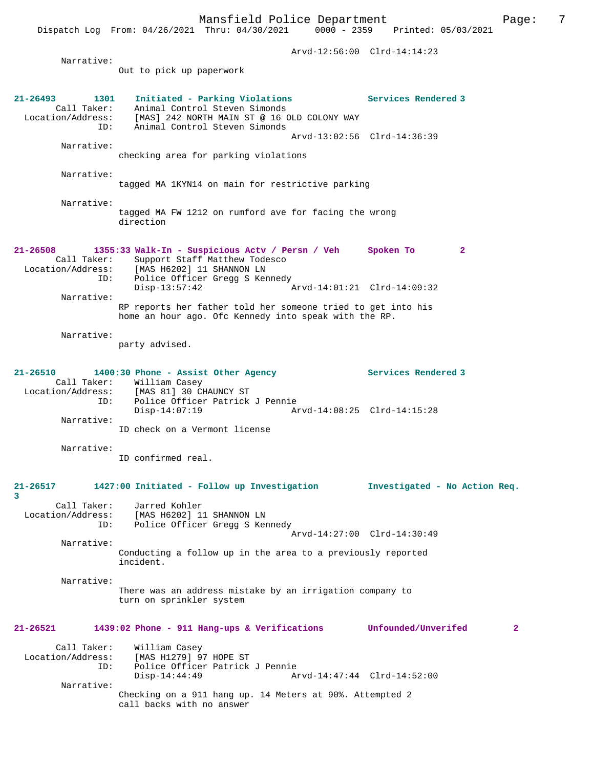|                                         | Dispatch Log From: 04/26/2021 Thru: 04/30/2021                                                                        | $0000 - 2359$               | Printed: 05/03/2021 |   |
|-----------------------------------------|-----------------------------------------------------------------------------------------------------------------------|-----------------------------|---------------------|---|
|                                         |                                                                                                                       | Arvd-12:56:00 Clrd-14:14:23 |                     |   |
| Narrative:                              | Out to pick up paperwork                                                                                              |                             |                     |   |
|                                         |                                                                                                                       |                             |                     |   |
| $21 - 26493$<br>1301<br>Call Taker:     | Initiated - Parking Violations<br>Animal Control Steven Simonds                                                       |                             | Services Rendered 3 |   |
| Location/Address:<br>ID:                | [MAS] 242 NORTH MAIN ST @ 16 OLD COLONY WAY<br>Animal Control Steven Simonds                                          |                             |                     |   |
| Narrative:                              |                                                                                                                       | Arvd-13:02:56 Clrd-14:36:39 |                     |   |
|                                         | checking area for parking violations                                                                                  |                             |                     |   |
| Narrative:                              | tagged MA 1KYN14 on main for restrictive parking                                                                      |                             |                     |   |
| Narrative:                              |                                                                                                                       |                             |                     |   |
|                                         | tagged MA FW 1212 on rumford ave for facing the wrong<br>direction                                                    |                             |                     |   |
| $21 - 26508$                            | 1355:33 Walk-In - Suspicious Actv / Persn / Veh                                                                       |                             | Spoken To<br>2      |   |
| Call Taker:<br>Location/Address:<br>ID: | Support Staff Matthew Todesco<br>[MAS H6202] 11 SHANNON LN<br>Police Officer Gregg S Kennedy                          |                             |                     |   |
| Narrative:                              | $Disp-13:57:42$                                                                                                       | Arvd-14:01:21 Clrd-14:09:32 |                     |   |
|                                         | RP reports her father told her someone tried to get into his<br>home an hour ago. Ofc Kennedy into speak with the RP. |                             |                     |   |
| Narrative:                              |                                                                                                                       |                             |                     |   |
|                                         | party advised.                                                                                                        |                             |                     |   |
| $21 - 26510$                            | 1400:30 Phone - Assist Other Agency                                                                                   |                             | Services Rendered 3 |   |
| ID:                                     | Call Taker: William Casey<br>Location/Address: [MAS 81] 30 CHAUNCY ST<br>Police Officer Patrick J Pennie              |                             |                     |   |
| Narrative:                              | $Disp-14:07:19$                                                                                                       | Arvd-14:08:25 Clrd-14:15:28 |                     |   |
|                                         | ID check on a Vermont license                                                                                         |                             |                     |   |
| Narrative:                              | ID confirmed real.                                                                                                    |                             |                     |   |
|                                         |                                                                                                                       |                             |                     |   |
| 21-26517<br>3                           | 1427:00 Initiated - Follow up Investigation investigated - No Action Req.                                             |                             |                     |   |
| Call Taker:<br>Location/Address:        | Jarred Kohler<br>[MAS H6202] 11 SHANNON LN                                                                            |                             |                     |   |
| ID:                                     | Police Officer Gregg S Kennedy                                                                                        | Arvd-14:27:00 Clrd-14:30:49 |                     |   |
| Narrative:                              | Conducting a follow up in the area to a previously reported<br>incident.                                              |                             |                     |   |
|                                         |                                                                                                                       |                             |                     |   |
| Narrative:                              | There was an address mistake by an irrigation company to<br>turn on sprinkler system                                  |                             |                     |   |
| $21 - 26521$                            | 1439:02 Phone - 911 Hang-ups & Verifications Unfounded/Unverifed                                                      |                             |                     | 2 |
| Call Taker:                             | William Casey                                                                                                         |                             |                     |   |
| Location/Address:<br>ID:                | [MAS H1279] 97 HOPE ST<br>Police Officer Patrick J Pennie<br>$Disp-14:44:49$                                          | Arvd-14:47:44 Clrd-14:52:00 |                     |   |
| Narrative:                              |                                                                                                                       |                             |                     |   |
|                                         | Checking on a 911 hang up. 14 Meters at 90%. Attempted 2<br>call backs with no answer                                 |                             |                     |   |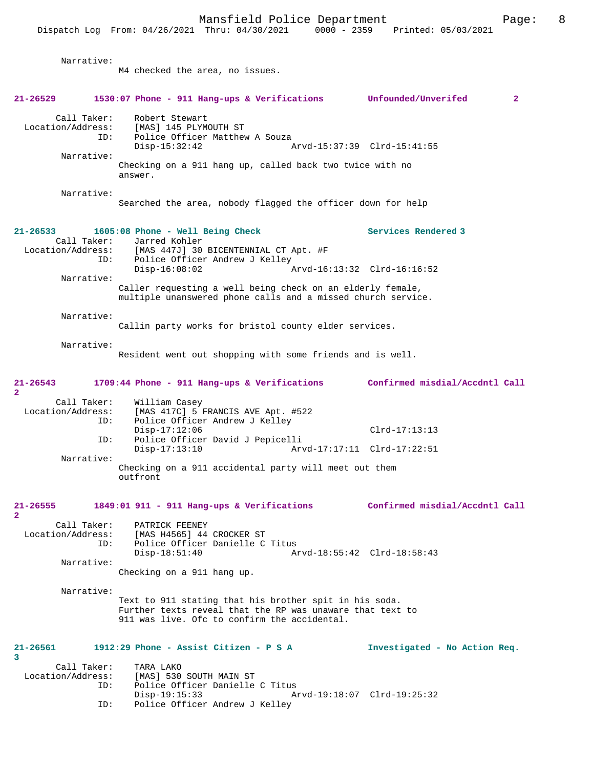Mansfield Police Department Page: 8 Dispatch Log From: 04/26/2021 Thru: 04/30/2021 Narrative: M4 checked the area, no issues. **21-26529 1530:07 Phone - 911 Hang-ups & Verifications Unfounded/Unverifed 2** Call Taker: Robert Stewart Location/Address: [MAS] 145 PLYMOUTH ST ID: Police Officer Matthew A Souza<br>Disp-15:32:42 Disp-15:32:42 Arvd-15:37:39 Clrd-15:41:55 Narrative: Checking on a 911 hang up, called back two twice with no answer. Narrative: Searched the area, nobody flagged the officer down for help **21-26533 1605:08 Phone - Well Being Check Services Rendered 3**  Call Taker: Jarred Kohler<br>Location/Address: [MAS 447J] 30 ess: [MAS 447J] 30 BICENTENNIAL CT Apt. #F<br>ID: Police Officer Andrew J Kelley Police Officer Andrew J Kelley<br>Disp-16:08:02 Disp-16:08:02 Arvd-16:13:32 Clrd-16:16:52 Narrative: Caller requesting a well being check on an elderly female, multiple unanswered phone calls and a missed church service. Narrative: Callin party works for bristol county elder services. Narrative: Resident went out shopping with some friends and is well. **21-26543 1709:44 Phone - 911 Hang-ups & Verifications Confirmed misdial/Accdntl Call 2**  Call Taker: William Casey<br>Location/Address: [MAS 417C] 5 [MAS 417C] 5 FRANCIS AVE Apt. #522 ID: Police Officer Andrew J Kelley Disp-17:12:06 Clrd-17:13:13 ID: Police Officer David J Pepicelli Arvd-17:17:11 Clrd-17:22:51 Narrative: Checking on a 911 accidental party will meet out them outfront **21-26555 1849:01 911 - 911 Hang-ups & Verifications Confirmed misdial/Accdntl Call 2**  Call Taker: PATRICK FEENEY<br>Location/Address: [MAS H4565] 44 [MAS H4565] 44 CROCKER ST ID: Police Officer Danielle C Titus<br>Disp-18:51:40 A Disp-18:51:40 Arvd-18:55:42 Clrd-18:58:43 Narrative: Checking on a 911 hang up. Narrative: Text to 911 stating that his brother spit in his soda. Further texts reveal that the RP was unaware that text to 911 was live. Ofc to confirm the accidental. **21-26561 1912:29 Phone - Assist Citizen - P S A Investigated - No Action Req. 3**  Call Taker: TARA LAKO<br>Location/Address: [MAS] 530 ess: [MAS] 530 SOUTH MAIN ST<br>ID: Police Officer Danielle Police Officer Danielle C Titus

Disp-19:15:33 Arvd-19:18:07 Clrd-19:25:32<br>TD: Police Officer Andrew J Kelley

Police Officer Andrew J Kelley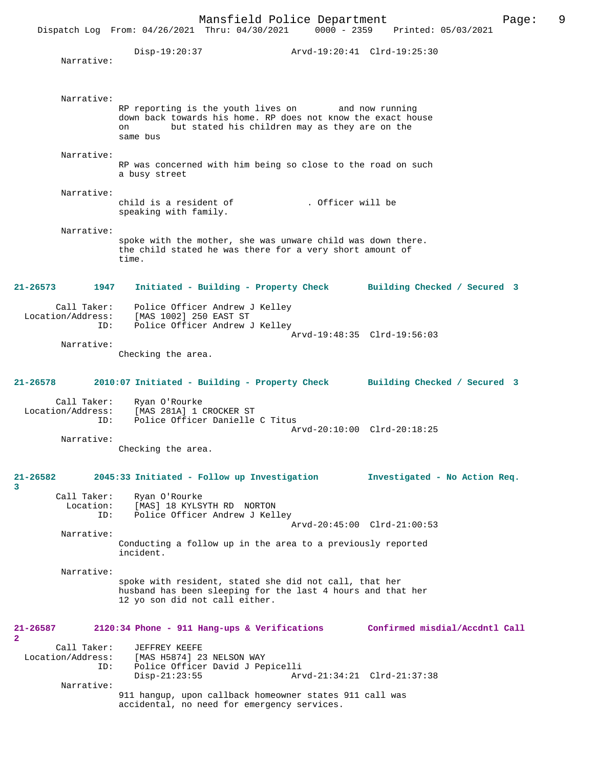|                                         | Mansfield Police Department<br>Dispatch Log From: 04/26/2021 Thru: 04/30/2021                                                                                                          |                   | 0000 - 2359 Printed: 05/03/2021 | 9<br>Page: |
|-----------------------------------------|----------------------------------------------------------------------------------------------------------------------------------------------------------------------------------------|-------------------|---------------------------------|------------|
| Narrative:                              | Disp-19:20:37 Arvd-19:20:41 Clrd-19:25:30                                                                                                                                              |                   |                                 |            |
| Narrative:                              | RP reporting is the youth lives on and now running<br>down back towards his home. RP does not know the exact house<br>but stated his children may as they are on the<br>on<br>same bus |                   |                                 |            |
| Narrative:                              | RP was concerned with him being so close to the road on such<br>a busy street                                                                                                          |                   |                                 |            |
| Narrative:                              | child is a resident of<br>speaking with family.                                                                                                                                        | . Officer will be |                                 |            |
| Narrative:                              | spoke with the mother, she was unware child was down there.<br>the child stated he was there for a very short amount of<br>time.                                                       |                   |                                 |            |
| 21-26573 1947                           | Initiated - Building - Property Check Building Checked / Secured 3                                                                                                                     |                   |                                 |            |
| ID:                                     | Call Taker: Police Officer Andrew J Kelley<br>Location/Address: [MAS 1002] 250 EAST ST<br>Police Officer Andrew J Kelley                                                               |                   | Arvd-19:48:35 Clrd-19:56:03     |            |
| Narrative:                              | Checking the area.                                                                                                                                                                     |                   |                                 |            |
| 21-26578                                | 2010:07 Initiated - Building - Property Check Building Checked / Secured 3                                                                                                             |                   |                                 |            |
| ID:<br>Narrative:                       | Call Taker: Ryan O'Rourke<br>Location/Address: [MAS 281A] 1 CROCKER ST<br>Police Officer Danielle C Titus<br>Checking the area.                                                        |                   | Arvd-20:10:00 Clrd-20:18:25     |            |
| $21 - 26582$<br>3                       | 2045:33 Initiated - Follow up Investigation                                                                                                                                            |                   | Investigated - No Action Req.   |            |
| Call Taker:<br>Location:<br>ID:         | Ryan O'Rourke<br>[MAS] 18 KYLSYTH RD NORTON<br>Police Officer Andrew J Kelley                                                                                                          |                   | Arvd-20:45:00 Clrd-21:00:53     |            |
| Narrative:                              | Conducting a follow up in the area to a previously reported<br>incident.                                                                                                               |                   |                                 |            |
| Narrative:                              | spoke with resident, stated she did not call, that her<br>husband has been sleeping for the last 4 hours and that her<br>12 yo son did not call either.                                |                   |                                 |            |
| $21 - 26587$<br>$\mathbf{2}$            | 2120:34 Phone - 911 Hang-ups & Verifications                                                                                                                                           |                   | Confirmed misdial/Accdntl Call  |            |
| Call Taker:<br>Location/Address:<br>ID: | JEFFREY KEEFE<br>[MAS H5874] 23 NELSON WAY<br>Police Officer David J Pepicelli<br>$Disp-21:23:55$                                                                                      |                   | Arvd-21:34:21 Clrd-21:37:38     |            |
| Narrative:                              | 911 hangup, upon callback homeowner states 911 call was<br>accidental, no need for emergency services.                                                                                 |                   |                                 |            |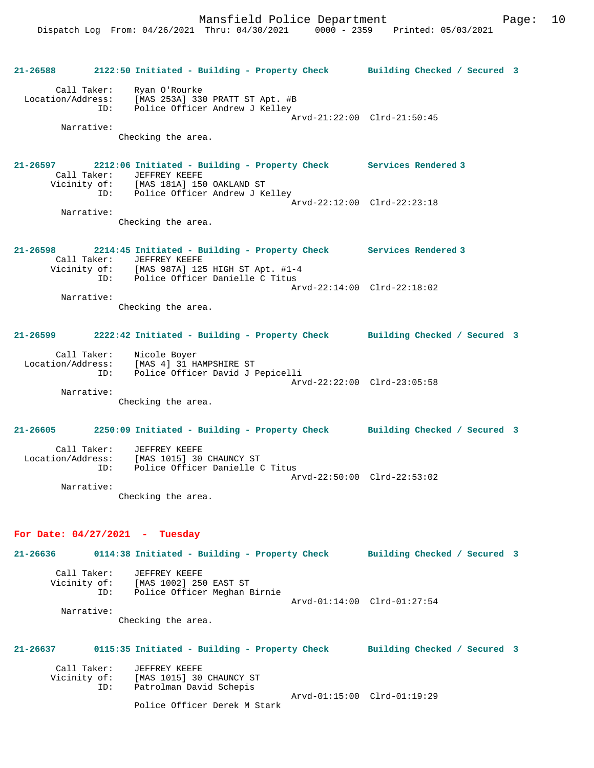| $21 - 26588$                     | 2122:50 Initiated - Building - Property Check Building Checked / Secured 3                                                                                                             |                             |  |
|----------------------------------|----------------------------------------------------------------------------------------------------------------------------------------------------------------------------------------|-----------------------------|--|
| Narrative:                       | Call Taker: Ryan O'Rourke<br>Location/Address: [MAS 253A] 330 PRATT ST Apt. #B<br>ID: Police Officer Andrew J Kelley<br>Checking the area.                                             | Arvd-21:22:00 Clrd-21:50:45 |  |
| 21-26597                         | 2212:06 Initiated - Building - Property Check Services Rendered 3<br>Call Taker: JEFFREY KEEFE<br>Vicinity of: [MAS 181A] 150 OAKLAND ST<br>ID: Police Officer Andrew J Kelley         |                             |  |
| Narrative:                       | Checking the area.                                                                                                                                                                     | Arvd-22:12:00 Clrd-22:23:18 |  |
| $21 - 26598$                     | 2214:45 Initiated - Building - Property Check Services Rendered 3<br>Call Taker: JEFFREY KEEFE<br>Vicinity of: [MAS 987A] 125 HIGH ST Apt. #1-4<br>ID: Police Officer Danielle C Titus |                             |  |
| Narrative:                       | Checking the area.                                                                                                                                                                     | Arvd-22:14:00 Clrd-22:18:02 |  |
|                                  | 21-26599 2222:42 Initiated - Building - Property Check Building Checked / Secured 3                                                                                                    |                             |  |
| Narrative:                       | Call Taker: Nicole Boyer<br>Location/Address: [MAS 4] 31 HAMPSHIRE ST<br>ID: Police Officer David J Pepicelli<br>Checking the area.                                                    | Arvd-22:22:00 Clrd-23:05:58 |  |
|                                  | 21-26605 2250:09 Initiated - Building - Property Check Building Checked / Secured 3                                                                                                    |                             |  |
| Narrative:                       | Call Taker: JEFFREY KEEFE<br>Location/Address: [MAS 1015] 30 CHAUNCY ST<br>ID: Police Officer Danielle C Titus<br>Checking the area.                                                   | Arvd-22:50:00 Clrd-22:53:02 |  |
| For Date: $04/27/2021$ - Tuesday |                                                                                                                                                                                        |                             |  |
| 21-26636                         | 0114:38 Initiated - Building - Property Check Building Checked / Secured 3                                                                                                             |                             |  |

| Call Taker:<br>Vicinity of: | JEFFREY KEEFE<br>[MAS 1002] 250 EAST ST |                             |  |
|-----------------------------|-----------------------------------------|-----------------------------|--|
| ID:                         | Police Officer Meghan Birnie            |                             |  |
|                             |                                         | Arvd-01:14:00 Clrd-01:27:54 |  |
|                             |                                         |                             |  |
| Narrative:                  |                                         |                             |  |
|                             | Checking the area.                      |                             |  |

| $21 - 26637$ |             | 0115:35 Initiated - Building - Property Check | Building Checked / Secured 3 |  |
|--------------|-------------|-----------------------------------------------|------------------------------|--|
|              | Call Taker: | JEFFREY KEEFE                                 |                              |  |
| Vicinity of: |             | [MAS 1015] 30 CHAUNCY ST                      |                              |  |
|              | ID:         | Patrolman David Schepis                       |                              |  |
|              |             |                                               | Arvd-01:15:00 Clrd-01:19:29  |  |
|              |             | Police Officer Derek M Stark                  |                              |  |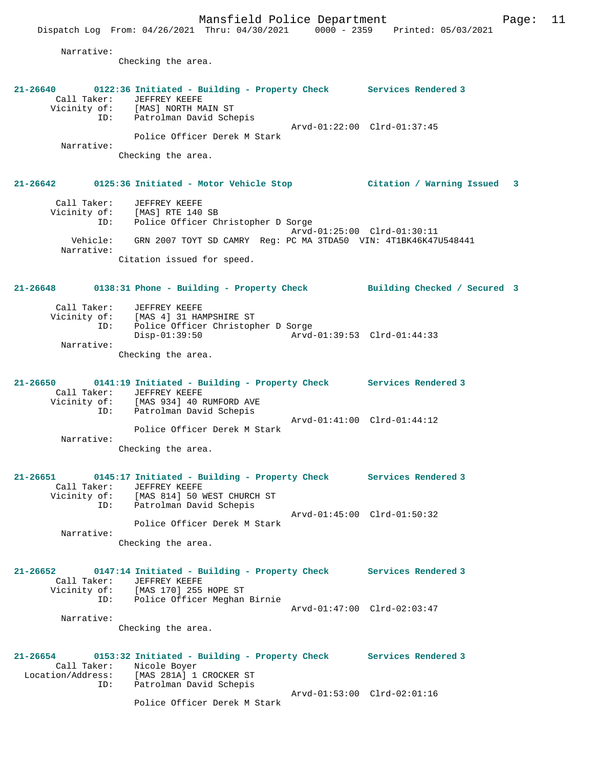Call Taker: JEFFREY KEEFE Vicinity of: [MAS] NORTH MAIN ST ID: Patrolman David Schepis Arvd-01:22:00 Clrd-01:37:45 Police Officer Derek M Stark Narrative: Checking the area. **21-26642 0125:36 Initiated - Motor Vehicle Stop Citation / Warning Issued 3** Call Taker: JEFFREY KEEFE Vicinity of: [MAS] RTE 140 SB

 ID: Police Officer Christopher D Sorge Arvd-01:25:00 Clrd-01:30:11 Vehicle: GRN 2007 TOYT SD CAMRY Reg: PC MA 3TDA50 VIN: 4T1BK46K47U548441 Narrative: Citation issued for speed.

**21-26648 0138:31 Phone - Building - Property Check Building Checked / Secured 3**

| Call Taker:<br>Vicinity of: | JEFFREY KEEFE<br>[MAS 4] 31 HAMPSHIRE ST |                             |  |
|-----------------------------|------------------------------------------|-----------------------------|--|
| ID:                         | Police Officer Christopher D Sorge       |                             |  |
|                             | $Disp-01:39:50$                          | Arvd-01:39:53 Clrd-01:44:33 |  |
| Narrative:                  |                                          |                             |  |
|                             | Checking the area.                       |                             |  |

**21-26650 0141:19 Initiated - Building - Property Check Services Rendered 3**  Call Taker: JEFFREY KEEFE<br>Vicinity of: [MAS 934] 40 H of: [MAS 934] 40 RUMFORD AVE<br>ID: Patrolman David Schepis Patrolman David Schepis Arvd-01:41:00 Clrd-01:44:12 Police Officer Derek M Stark Narrative:

Checking the area.

```
21-26651 0145:17 Initiated - Building - Property Check Services Rendered 3 
 Call Taker: JEFFREY KEEFE
 Vicinity of: [MAS 814] 50 WEST CHURCH ST
               ID: Patrolman David Schepis
                                               Arvd-01:45:00 Clrd-01:50:32
                    Police Officer Derek M Stark
        Narrative:
```
Checking the area.

**21-26652 0147:14 Initiated - Building - Property Check Services Rendered 3**  Call Taker: JEFFREY KEEFE Vicinity of: [MAS 170] 255 HOPE ST ID: Police Officer Meghan Birnie Arvd-01:47:00 Clrd-02:03:47 Narrative: Checking the area.

**21-26654 0153:32 Initiated - Building - Property Check Services Rendered 3**  Call Taker: Nicole Boyer Location/Address: [MAS 281A] 1 CROCKER ST ID: Patrolman David Schepis Arvd-01:53:00 Clrd-02:01:16 Police Officer Derek M Stark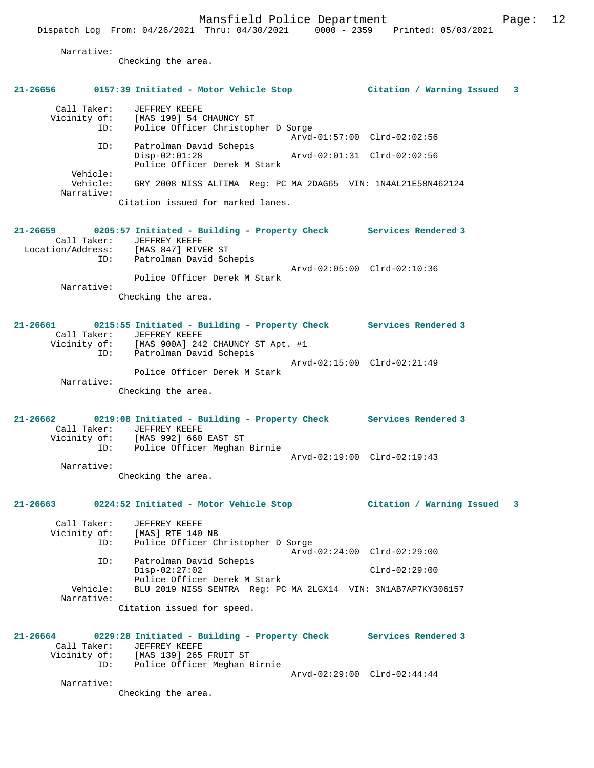Narrative:

Checking the area.

# **21-26656 0157:39 Initiated - Motor Vehicle Stop Citation / Warning Issued 3** Call Taker: JEFFREY KEEFE Vicinity of: [MAS 199] 54 CHAUNCY ST ID: Police Officer Christopher D Sorge Arvd-01:57:00 Clrd-02:02:56 ID: Patrolman David Schepis Disp-02:01:28 Arvd-02:01:31 Clrd-02:02:56 Police Officer Derek M Stark Vehicle: Vehicle: GRY 2008 NISS ALTIMA Reg: PC MA 2DAG65 VIN: 1N4AL21E58N462124 Narrative: Citation issued for marked lanes. **21-26659 0205:57 Initiated - Building - Property Check Services Rendered 3**  Call Taker: JEFFREY KEEFE Location/Address: [MAS 847] RIVER ST ID: Patrolman David Schepis Arvd-02:05:00 Clrd-02:10:36 Police Officer Derek M Stark Narrative: Checking the area. **21-26661 0215:55 Initiated - Building - Property Check Services Rendered 3**  Call Taker: JEFFREY KEEFE Vicinity of: [MAS 900A] 242 CHAUNCY ST Apt. #1 ID: Patrolman David Schepis Arvd-02:15:00 Clrd-02:21:49 Police Officer Derek M Stark Narrative: Checking the area. **21-26662 0219:08 Initiated - Building - Property Check Services Rendered 3**  Call Taker: JEFFREY KEEFE Vicinity of: [MAS 992] 660 EAST ST ID: Police Officer Meghan Birnie Arvd-02:19:00 Clrd-02:19:43 Narrative: Checking the area. **21-26663 0224:52 Initiated - Motor Vehicle Stop Citation / Warning Issued 3** Call Taker: JEFFREY KEEFE Vicinity of: [MAS] RTE 140 NB<br>ID: Police Officer Ch Police Officer Christopher D Sorge Arvd-02:24:00 Clrd-02:29:00 ID: Patrolman David Schepis Disp-02:27:02 Clrd-02:29:00 Police Officer Derek M Stark<br>Vehicle: BLU 2019 NISS SENTRA Reg: PC BLU 2019 NISS SENTRA Reg: PC MA 2LGX14 VIN: 3N1AB7AP7KY306157 Narrative: Citation issued for speed. **21-26664 0229:28 Initiated - Building - Property Check Services Rendered 3**  Call Taker: JEFFREY KEEFE<br>Vicinity of: [MAS 139] 265 FRUIT ST Vicinity of: [MAS 139] 265 FRUIT ST ID: Police Officer Meghan Birnie Arvd-02:29:00 Clrd-02:44:44 Narrative: Checking the area.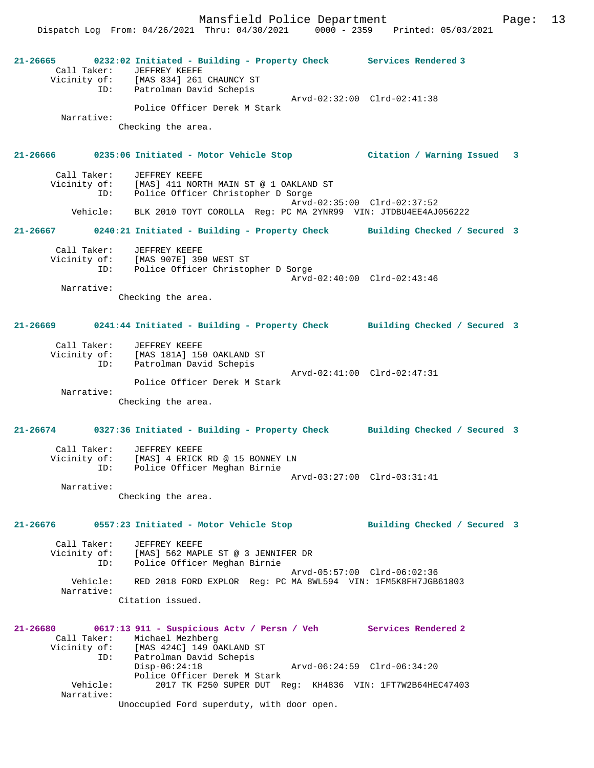**21-26665 0232:02 Initiated - Building - Property Check Services Rendered 3**  Call Taker: JEFFREY KEEFE Vicinity of: [MAS 834] 261 CHAUNCY ST ID: Patrolman David Schepis Arvd-02:32:00 Clrd-02:41:38 Police Officer Derek M Stark Narrative: Checking the area. **21-26666 0235:06 Initiated - Motor Vehicle Stop Citation / Warning Issued 3** Call Taker: JEFFREY KEEFE Vicinity of: [MAS] 411 NORTH MAIN ST @ 1 OAKLAND ST ID: Police Officer Christopher D Sorge Arvd-02:35:00 Clrd-02:37:52 Vehicle: BLK 2010 TOYT COROLLA Reg: PC MA 2YNR99 VIN: JTDBU4EE4AJ056222 **21-26667 0240:21 Initiated - Building - Property Check Building Checked / Secured 3** Call Taker: JEFFREY KEEFE Vicinity of: [MAS 907E] 390 WEST ST ID: Police Officer Christopher D Sorge Arvd-02:40:00 Clrd-02:43:46 Narrative: Checking the area. **21-26669 0241:44 Initiated - Building - Property Check Building Checked / Secured 3** Call Taker: JEFFREY KEEFE Vicinity of: [MAS 181A] 150 OAKLAND ST ID: Patrolman David Schepis Arvd-02:41:00 Clrd-02:47:31 Police Officer Derek M Stark Narrative: Checking the area. **21-26674 0327:36 Initiated - Building - Property Check Building Checked / Secured 3** Call Taker: JEFFREY KEEFE Vicinity of: [MAS] 4 ERICK RD @ 15 BONNEY LN ID: Police Officer Meghan Birnie Arvd-03:27:00 Clrd-03:31:41 Narrative: Checking the area. **21-26676 0557:23 Initiated - Motor Vehicle Stop Building Checked / Secured 3** Call Taker: JEFFREY KEEFE Vicinity of: [MAS] 562 MAPLE ST @ 3 JENNIFER DR ID: Police Officer Meghan Birnie Arvd-05:57:00 Clrd-06:02:36 Vehicle: RED 2018 FORD EXPLOR Reg: PC MA 8WL594 VIN: 1FM5K8FH7JGB61803 Narrative: Citation issued. **21-26680 0617:13 911 - Suspicious Actv / Persn / Veh Services Rendered 2**  Call Taker: Michael Mezhberg<br>Vicinity of: [MAS 424C] 149 O [MAS 424C] 149 OAKLAND ST ID: Patrolman David Schepis Disp-06:24:18 Arvd-06:24:59 Clrd-06:34:20 Police Officer Derek M Stark Vehicle: 2017 TK F250 SUPER DUT Reg: KH4836 VIN: 1FT7W2B64HEC47403 Narrative: Unoccupied Ford superduty, with door open.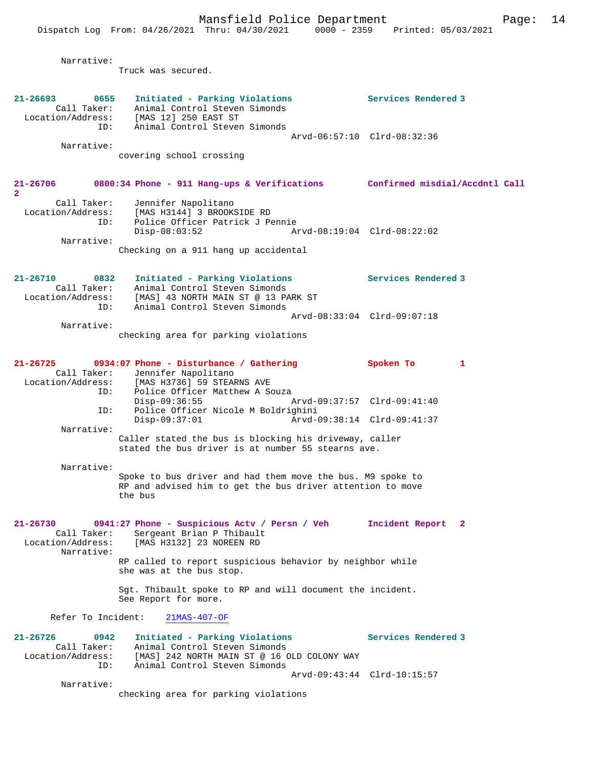Narrative: Truck was secured. **21-26693 0655 Initiated - Parking Violations Services Rendered 3**  Call Taker: Animal Control Steven Simonds Location/Address: [MAS 12] 250 EAST ST ID: Animal Control Steven Simonds Arvd-06:57:10 Clrd-08:32:36 Narrative: covering school crossing **21-26706 0800:34 Phone - 911 Hang-ups & Verifications Confirmed misdial/Accdntl Call 2**  Call Taker: Jennifer Napolitano Location/Address: [MAS H3144] 3 BROOKSIDE RD ID: Police Officer Patrick J Pennie Disp-08:03:52 Arvd-08:19:04 Clrd-08:22:02 Narrative: Checking on a 911 hang up accidental **21-26710 0832 Initiated - Parking Violations Services Rendered 3**  Call Taker: Animal Control Steven Simonds Location/Address: [MAS] 43 NORTH MAIN ST @ 13 PARK ST ID: Animal Control Steven Simonds Arvd-08:33:04 Clrd-09:07:18 Narrative: checking area for parking violations **21-26725 0934:07 Phone - Disturbance / Gathering Spoken To 1**  Call Taker: Jennifer Napolitano Location/Address: [MAS H3736] 59 STEARNS AVE ID: Police Officer Matthew A Souza Disp-09:36:55 Arvd-09:37:57 Clrd-09:41:40 ID: Police Officer Nicole M Boldrighini Disp-09:37:01 Arvd-09:38:14 Clrd-09:41:37 Narrative: Caller stated the bus is blocking his driveway, caller stated the bus driver is at number 55 stearns ave. Narrative: Spoke to bus driver and had them move the bus. M9 spoke to RP and advised him to get the bus driver attention to move the bus **21-26730 0941:27 Phone - Suspicious Actv / Persn / Veh Incident Report 2**  Call Taker: Sergeant Brian P Thibault<br>Location/Address: [MAS H3132] 23 NOREEN RD [MAS H3132] 23 NOREEN RD Narrative: RP called to report suspicious behavior by neighbor while she was at the bus stop. Sgt. Thibault spoke to RP and will document the incident. See Report for more. Refer To Incident: 21MAS-407-OF **21-26726 0942 Initiated - Parking Violations Services Rendered 3**  Call Taker: Animal Control Steven Simonds Location/Address: [MAS] 242 NORTH MAIN ST @ 16 OLD COLONY WAY ID: Animal Control Steven Simonds Arvd-09:43:44 Clrd-10:15:57 Narrative: checking area for parking violations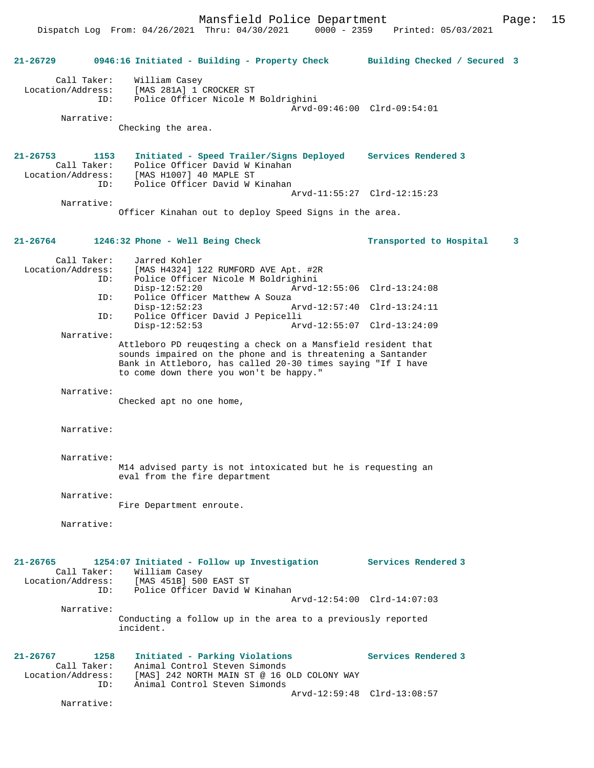Dispatch Log From: 04/26/2021 Thru: 04/30/2021 0000 - 2359 Printed: 05/03/2021

**21-26729 0946:16 Initiated - Building - Property Check Building Checked / Secured 3** Call Taker: William Casey Location/Address: [MAS 281A] 1 CROCKER ST ID: Police Officer Nicole M Boldrighini Arvd-09:46:00 Clrd-09:54:01 Narrative: Checking the area. **21-26753 1153 Initiated - Speed Trailer/Signs Deployed Services Rendered 3**  Call Taker: Police Officer David W Kinahan<br>Location/Address: [MAS H1007] 40 MAPLE ST ess: [MAS H1007] 40 MAPLE ST<br>ID: Police Officer David W I Police Officer David W Kinahan Arvd-11:55:27 Clrd-12:15:23 Narrative: Officer Kinahan out to deploy Speed Signs in the area. **21-26764 1246:32 Phone - Well Being Check Transported to Hospital 3** Call Taker: Jarred Kohler<br>Location/Address: [MAS H4324] 1 [MAS H4324] 122 RUMFORD AVE Apt. #2R ID: Police Officer Nicole M Boldrighini Disp-12:52:20 Arvd-12:55:06 Clrd-13:24:08<br>ID: Police Officer Matthew A Souza Police Officer Matthew A Souza<br>Disp-12:52:23 Disp-12:52:23 Arvd-12:57:40 Clrd-13:24:11<br>ID: Police Officer David J Pepicelli Police Officer David J Pepicelli Disp-12:52:53 Arvd-12:55:07 Clrd-13:24:09 Narrative: Attleboro PD reuqesting a check on a Mansfield resident that sounds impaired on the phone and is threatening a Santander Bank in Attleboro, has called 20-30 times saying "If I have to come down there you won't be happy." Narrative: Checked apt no one home, Narrative: Narrative: M14 advised party is not intoxicated but he is requesting an eval from the fire department Narrative: Fire Department enroute. Narrative: **21-26765 1254:07 Initiated - Follow up Investigation Services Rendered 3**  Call Taker: William Casey Location/Address: [MAS 451B] 500 EAST ST ID: Police Officer David W Kinahan Arvd-12:54:00 Clrd-14:07:03 Narrative: Conducting a follow up in the area to a previously reported incident. **21-26767 1258 Initiated - Parking Violations Services Rendered 3**  Call Taker: Animal Control Steven Simonds Location/Address: [MAS] 242 NORTH MAIN ST @ 16 OLD COLONY WAY<br>ID: Animal Control Steven Simonds Animal Control Steven Simonds Arvd-12:59:48 Clrd-13:08:57 Narrative: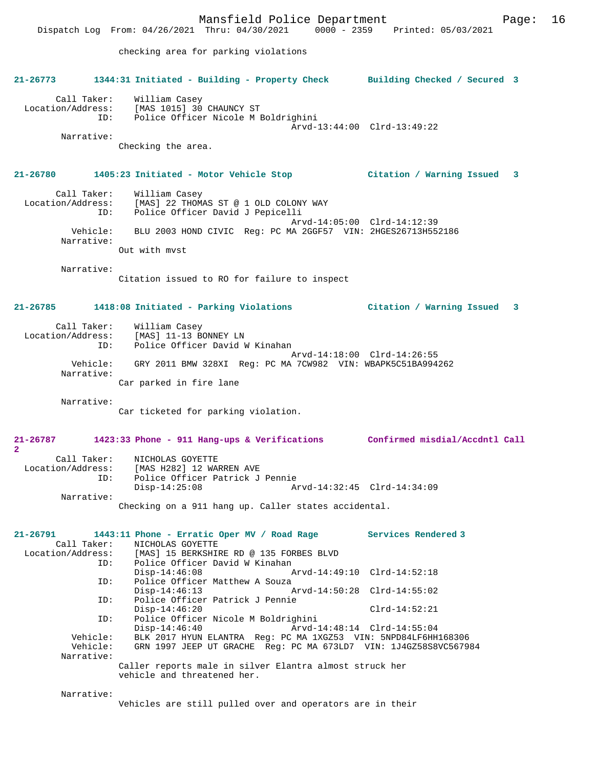Mansfield Police Department Page: 16 Dispatch Log From: 04/26/2021 Thru: 04/30/2021 0000 - 2359 Printed: 05/03/2021 checking area for parking violations **21-26773 1344:31 Initiated - Building - Property Check Building Checked / Secured 3** Call Taker: William Casey Location/Address: [MAS 1015] 30 CHAUNCY ST ID: Police Officer Nicole M Boldrighini Arvd-13:44:00 Clrd-13:49:22 Narrative: Checking the area. **21-26780 1405:23 Initiated - Motor Vehicle Stop Citation / Warning Issued 3** Call Taker: William Casey Location/Address: [MAS] 22 THOMAS ST @ 1 OLD COLONY WAY ID: Police Officer David J Pepicelli Arvd-14:05:00 Clrd-14:12:39 Vehicle: BLU 2003 HOND CIVIC Reg: PC MA 2GGF57 VIN: 2HGES26713H552186 Narrative: Out with mvst Narrative: Citation issued to RO for failure to inspect **21-26785 1418:08 Initiated - Parking Violations Citation / Warning Issued 3** Call Taker: William Casey Location/Address: [MAS] 11-13 BONNEY LN ID: Police Officer David W Kinahan Arvd-14:18:00 Clrd-14:26:55 Vehicle: GRY 2011 BMW 328XI Reg: PC MA 7CW982 VIN: WBAPK5C51BA994262 Narrative: Car parked in fire lane Narrative: Car ticketed for parking violation. **21-26787 1423:33 Phone - 911 Hang-ups & Verifications Confirmed misdial/Accdntl Call 2**  Call Taker: NICHOLAS GOYETTE Location/Address: [MAS H282] 12 WARREN AVE ID: Police Officer Patrick J Pennie Disp-14:25:08 Arvd-14:32:45 Clrd-14:34:09 Narrative: Checking on a 911 hang up. Caller states accidental. **21-26791 1443:11 Phone - Erratic Oper MV / Road Rage Services Rendered 3**  Call Taker: NICHOLAS GOYETTE<br>Location/Address: [MAS] 15 BERKSHIP [MAS] 15 BERKSHIRE RD @ 135 FORBES BLVD ID: Police Officer David W Kinahan Disp-14:46:08 Arvd-14:49:10 Clrd-14:52:18 ID: Police Officer Matthew A Souza<br>Disp-14:46:13 Disp-14:46:13 Arvd-14:50:28 Clrd-14:55:02 ID: Police Officer Patrick J Pennie Disp-14:46:20 Clrd-14:52:21<br>ID: Police Officer Nicole M Boldrighini Police Officer Nicole M Boldrighini<br>:-Disp-14:46:40 Arvd Disp-14:46:40 <br>
Disp-14:46:40 Arvd-14:48:14 Clrd-14:55:04<br>
Vehicle: BLK 2017 HYUN ELANTRA Reg: PC MA 1XGZ53 VIN: 5NPD84LF6HH Vehicle: BLK 2017 HYUN ELANTRA Reg: PC MA 1XGZ53 VIN: 5NPD84LF6HH168306 GRN 1997 JEEP UT GRACHE Reg: PC MA 673LD7 VIN: 1J4GZ58S8VC567984 Narrative: Caller reports male in silver Elantra almost struck her vehicle and threatened her. Narrative:

Vehicles are still pulled over and operators are in their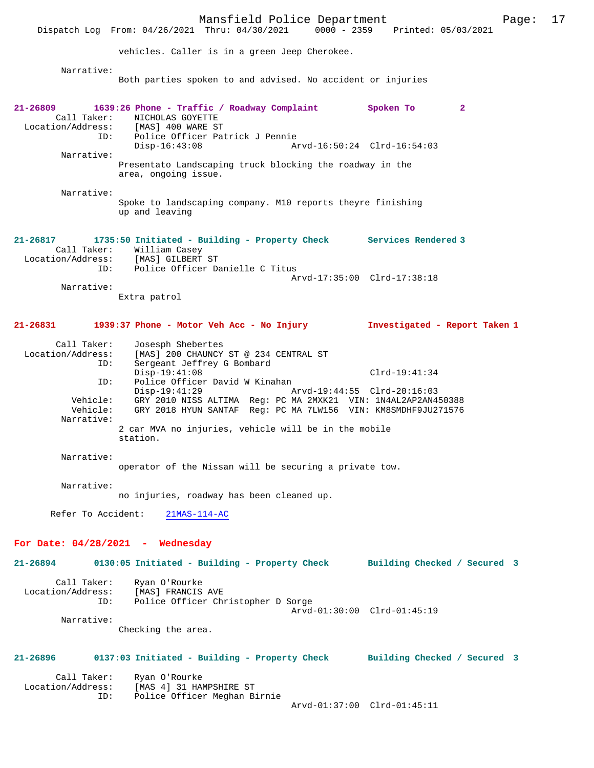Mansfield Police Department Page: 17 Dispatch Log From: 04/26/2021 Thru: 04/30/2021 vehicles. Caller is in a green Jeep Cherokee. Narrative: Both parties spoken to and advised. No accident or injuries **21-26809 1639:26 Phone - Traffic / Roadway Complaint Spoken To 2**  Call Taker: NICHOLAS GOYETTE<br>.on/Address: [MAS] 400 WARE ST Location/Address: ID: Police Officer Patrick J Pennie Disp-16:43:08 Arvd-16:50:24 Clrd-16:54:03 Narrative: Presentato Landscaping truck blocking the roadway in the area, ongoing issue. Narrative: Spoke to landscaping company. M10 reports theyre finishing up and leaving **21-26817 1735:50 Initiated - Building - Property Check Services Rendered 3**  Call Taker: William Casey<br>.on/Address: [MAS] GILBERT ST Location/Address: ID: Police Officer Danielle C Titus Arvd-17:35:00 Clrd-17:38:18 Narrative: Extra patrol **21-26831 1939:37 Phone - Motor Veh Acc - No Injury Investigated - Report Taken 1** Call Taker: Josesph Shebertes<br>Location/Address: [MAS] 200 CHAUNCY [MAS] 200 CHAUNCY ST @ 234 CENTRAL ST ID: Sergeant Jeffrey G Bombard Disp-19:41:08 Clrd-19:41:34<br>ID: Police Officer David W Kinahan ID: Police Officer David W Kinahan Disp-19:41:29 Arvd-19:44:55 Clrd-20:16:03<br>Vehicle: GRY 2010 NISS ALTIMA Reg: PC MA 2MXK21 VIN: 1N4AL2AP2AN4 Vehicle: GRY 2010 NISS ALTIMA Reg: PC MA 2MXK21 VIN: 1N4AL2AP2AN450388 GRY 2018 HYUN SANTAF Reg: PC MA 7LW156 VIN: KM8SMDHF9JU271576 Narrative: 2 car MVA no injuries, vehicle will be in the mobile station. Narrative: operator of the Nissan will be securing a private tow. Narrative: no injuries, roadway has been cleaned up. Refer To Accident: 21MAS-114-AC **For Date: 04/28/2021 - Wednesday 21-26894 0130:05 Initiated - Building - Property Check Building Checked / Secured 3** Call Taker: Ryan O'Rourke<br>.on/Address: [MAS] FRANCIS AVE Location/Address:<br>ID: Police Officer Christopher D Sorge Arvd-01:30:00 Clrd-01:45:19 Narrative: Checking the area. **21-26896 0137:03 Initiated - Building - Property Check Building Checked / Secured 3** Call Taker: Ryan O'Rourke<br>Location/Address: [MAS 4] 31 HA ess: [MAS 4] 31 HAMPSHIRE ST<br>ID: Police Officer Meghan B Police Officer Meghan Birnie Arvd-01:37:00 Clrd-01:45:11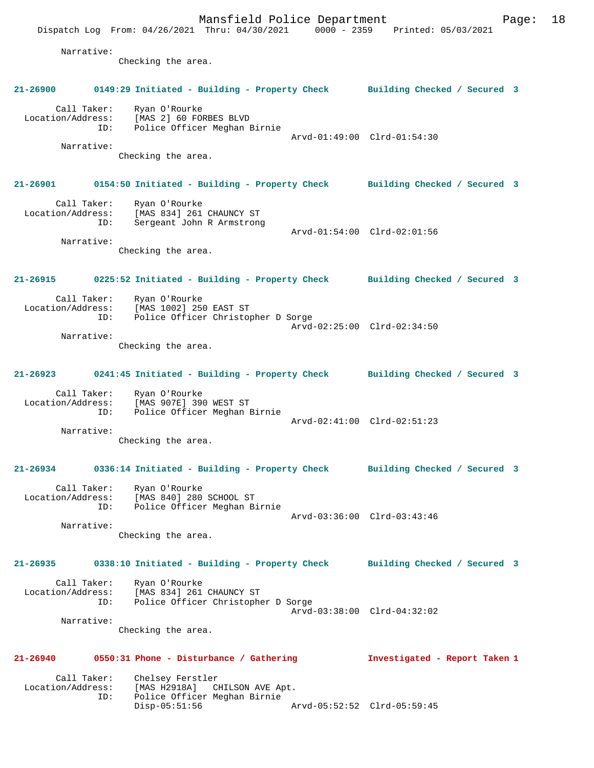Mansfield Police Department Page: 18 Dispatch Log From: 04/26/2021 Thru: 04/30/2021 0000 - 2359 Printed: 05/03/2021 Narrative: Checking the area. **21-26900 0149:29 Initiated - Building - Property Check Building Checked / Secured 3** Call Taker: Ryan O'Rourke Location/Address: [MAS 2] 60 FORBES BLVD ID: Police Officer Meghan Birnie Arvd-01:49:00 Clrd-01:54:30 Narrative: Checking the area. **21-26901 0154:50 Initiated - Building - Property Check Building Checked / Secured 3** Call Taker: Ryan O'Rourke Location/Address: [MAS 834] 261 CHAUNCY ST ID: Sergeant John R Armstrong Arvd-01:54:00 Clrd-02:01:56 Narrative: Checking the area. **21-26915 0225:52 Initiated - Building - Property Check Building Checked / Secured 3** Call Taker: Ryan O'Rourke Location/Address: [MAS 1002] 250 EAST ST Police Officer Christopher D Sorge Arvd-02:25:00 Clrd-02:34:50 Narrative: Checking the area. **21-26923 0241:45 Initiated - Building - Property Check Building Checked / Secured 3** Call Taker: Ryan O'Rourke Location/Address: [MAS 907E] 390 WEST ST ID: Police Officer Meghan Birnie Arvd-02:41:00 Clrd-02:51:23 Narrative: Checking the area. **21-26934 0336:14 Initiated - Building - Property Check Building Checked / Secured 3** Call Taker: Ryan O'Rourke Location/Address: [MAS 840] 280 SCHOOL ST ID: Police Officer Meghan Birnie Arvd-03:36:00 Clrd-03:43:46 Narrative: Checking the area. **21-26935 0338:10 Initiated - Building - Property Check Building Checked / Secured 3** Call Taker: Ryan O'Rourke Location/Address: [MAS 834] 261 CHAUNCY ST ID: Police Officer Christopher D Sorge Arvd-03:38:00 Clrd-04:32:02 Narrative: Checking the area. **21-26940 0550:31 Phone - Disturbance / Gathering Investigated - Report Taken 1** Call Taker: Chelsey Ferstler<br>Location/Address: [MAS H2918A] C ess: [MAS H2918A] CHILSON AVE Apt.<br>ID: Police Officer Meghan Birnie Police Officer Meghan Birnie<br>Disp-05:51:56 Arvd-05:52:52 Clrd-05:59:45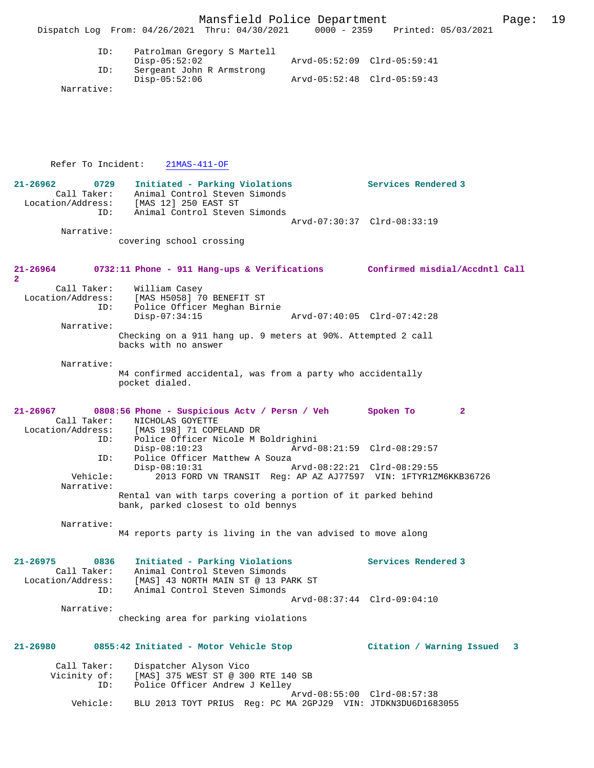| Dispatch Log From: $04/26/2021$ Thru: $04/30/2021$ |                             |  | $0000 - 2359$               |  | Printed: 05/03/2021 |
|----------------------------------------------------|-----------------------------|--|-----------------------------|--|---------------------|
| ID:                                                | Patrolman Gregory S Martell |  |                             |  |                     |
|                                                    | Disp-05:52:02               |  | Arvd-05:52:09 Clrd-05:59:41 |  |                     |
| ID:                                                | Sergeant John R Armstrong   |  |                             |  |                     |
|                                                    | Disp-05:52:06               |  | Arvd-05:52:48 Clrd-05:59:43 |  |                     |

Narrative:

Refer To Incident: 21MAS-411-OF

| $\sim$ $\sim$ $\sim$ $\sim$ $\sim$ $\sim$ $\sim$ $\sim$         |                                                                                                                                            |                             |
|-----------------------------------------------------------------|--------------------------------------------------------------------------------------------------------------------------------------------|-----------------------------|
| $21 - 26962$<br>0729<br>Call Taker:<br>ID:                      | Initiated - Parking Violations<br>Animal Control Steven Simonds<br>Location/Address: [MAS 12] 250 EAST ST<br>Animal Control Steven Simonds | Services Rendered 3         |
| Narrative:                                                      | covering school crossing                                                                                                                   | Arvd-07:30:37 Clrd-08:33:19 |
| $21 - 26964$<br>$\overline{2}$                                  | 0732:11 Phone - 911 Hang-ups & Verifications Confirmed misdial/Accdntl Call                                                                |                             |
| Call Taker:<br>Location/Address:<br>ID:                         | William Casey<br>[MAS H5058] 70 BENEFIT ST<br>Police Officer Meghan Birnie<br>$Disp-07:34:15$<br>Arvd-07:40:05 Clrd-07:42:28               |                             |
| Narrative:                                                      | Checking on a 911 hang up. 9 meters at 90%. Attempted 2 call<br>backs with no answer                                                       |                             |
| Narrative:                                                      | M4 confirmed accidental, was from a party who accidentally<br>pocket dialed.                                                               |                             |
| 21-26967                                                        | 0808:56 Phone - Suspicious Actv / Persn / Veh Spoken To<br>Call Taker: NICHOLAS GOYETTE<br>Location/Address: [MAS 198] 71 COPELAND DR      | $\mathbf{2}$                |
| ID:<br>ID:                                                      | Police Officer Nicole M Boldrighini<br>$Disp-08:10:23$<br>Arvd-08:21:59 Clrd-08:29:57<br>Police Officer Matthew A Souza                    |                             |
| Vehicle:<br>Narrative:                                          | $Disp-08:10:31$<br>Arvd-08:22:21 Clrd-08:29:55<br>2013 FORD VN TRANSIT Reg: AP AZ AJ77597 VIN: 1FTYR1ZM6KKB36726                           |                             |
|                                                                 | Rental van with tarps covering a portion of it parked behind<br>bank, parked closest to old bennys                                         |                             |
| Narrative:                                                      | M4 reports party is living in the van advised to move along                                                                                |                             |
| $21 - 26975$<br>0836<br>Call Taker:<br>Location/Address:<br>TD: | Initiated - Parking Violations<br>Animal Control Steven Simonds<br>[MAS] 43 NORTH MAIN ST @ 13 PARK ST<br>Animal Control Steven Simonds    | Services Rendered 3         |
| Narrative:                                                      |                                                                                                                                            | Arvd-08:37:44 Clrd-09:04:10 |
|                                                                 | checking area for parking violations                                                                                                       |                             |

# **21-26980 0855:42 Initiated - Motor Vehicle Stop Citation / Warning Issued 3**

| Call Taker:  | Dispatcher Alyson Vico                                       |
|--------------|--------------------------------------------------------------|
| Vicinity of: | [MAS] 375 WEST ST @ 300 RTE 140 SB                           |
| ID:          | Police Officer Andrew J Kelley                               |
|              | Arvd-08:55:00 Clrd-08:57:38                                  |
| Vehicle:     | BLU 2013 TOYT PRIUS Req: PC MA 2GPJ29 VIN: JTDKN3DU6D1683055 |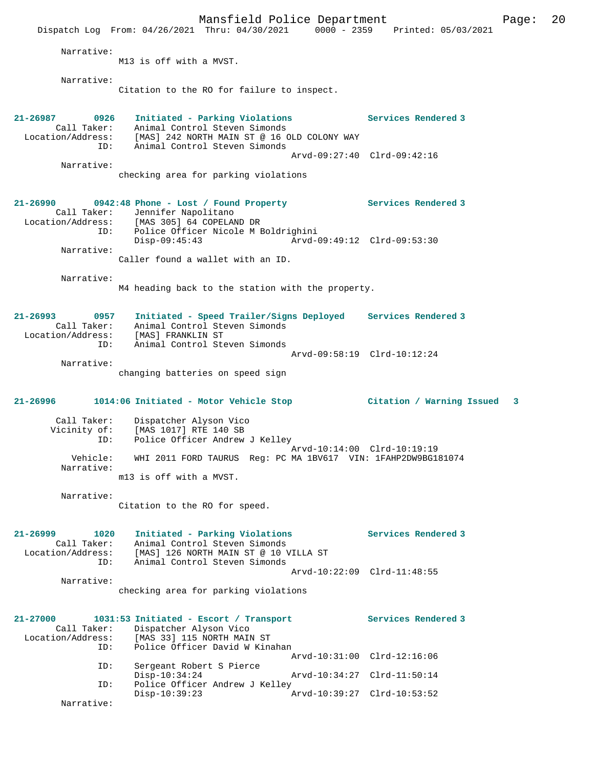Mansfield Police Department Page: 20 Dispatch Log From: 04/26/2021 Thru: 04/30/2021 0000 - 2359 Printed: 05/03/2021 Narrative: M13 is off with a MVST. Narrative: Citation to the RO for failure to inspect. **21-26987 0926 Initiated - Parking Violations Services Rendered 3**  Call Taker: Animal Control Steven Simonds Location/Address: [MAS] 242 NORTH MAIN ST @ 16 OLD COLONY WAY ID: Animal Control Steven Simonds Arvd-09:27:40 Clrd-09:42:16 Narrative: checking area for parking violations **21-26990 0942:48 Phone - Lost / Found Property Services Rendered 3**  Call Taker: Jennifer Napolitano Location/Address: [MAS 305] 64 COPELAND DR ID: Police Officer Nicole M Boldrighini Disp-09:45:43 Arvd-09:49:12 Clrd-09:53:30 Narrative: Caller found a wallet with an ID. Narrative: M4 heading back to the station with the property. **21-26993 0957 Initiated - Speed Trailer/Signs Deployed Services Rendered 3**  Call Taker: Animal Control Steven Simonds Location/Address: [MAS] FRANKLIN ST ID: Animal Control Steven Simonds Arvd-09:58:19 Clrd-10:12:24 Narrative: changing batteries on speed sign **21-26996 1014:06 Initiated - Motor Vehicle Stop Citation / Warning Issued 3** Call Taker: Dispatcher Alyson Vico Vicinity of: [MAS 1017] RTE 140 SB ID: Police Officer Andrew J Kelley Arvd-10:14:00 Clrd-10:19:19 Vehicle: WHI 2011 FORD TAURUS Reg: PC MA 1BV617 VIN: 1FAHP2DW9BG181074 Narrative: m13 is off with a MVST. Narrative: Citation to the RO for speed. **21-26999 1020 Initiated - Parking Violations Services Rendered 3**  Call Taker: Animal Control Steven Simonds Location/Address: [MAS] 126 NORTH MAIN ST @ 10 VILLA ST ID: Animal Control Steven Simonds Arvd-10:22:09 Clrd-11:48:55 Narrative: checking area for parking violations **21-27000 1031:53 Initiated - Escort / Transport Services Rendered 3**  Call Taker: Dispatcher Alyson Vico<br>Location/Address: [MAS 33] 115 NORTH MAIN [MAS 33] 115 NORTH MAIN ST ID: Police Officer David W Kinahan Arvd-10:31:00 Clrd-12:16:06<br>ID: Sergeant Robert S Pierce Sergeant Robert S Pierce Disp-10:34:24 Arvd-10:34:27 Clrd-11:50:14<br>ID: Police Officer Andrew J Kelley Police Officer Andrew J Kelley<br>Disp-10:39:23 P Disp-10:39:23 Arvd-10:39:27 Clrd-10:53:52 Narrative: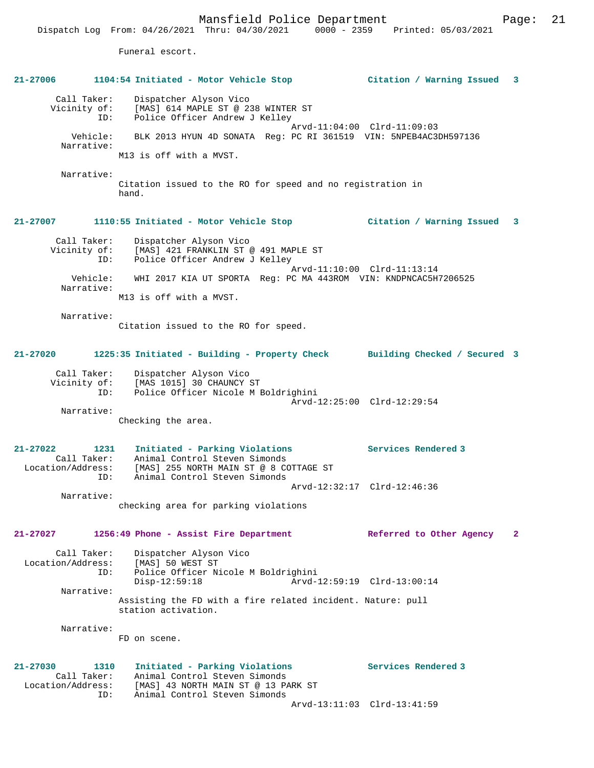Dispatch Log From: 04/26/2021 Thru: 04/30/2021 0000 - 2359 Printed: 05/03/2021 Funeral escort. **21-27006 1104:54 Initiated - Motor Vehicle Stop Citation / Warning Issued 3** Call Taker: Dispatcher Alyson Vico Vicinity of: [MAS] 614 MAPLE ST @ 238 WINTER ST ID: Police Officer Andrew J Kelley Arvd-11:04:00 Clrd-11:09:03 Vehicle: BLK 2013 HYUN 4D SONATA Reg: PC RI 361519 VIN: 5NPEB4AC3DH597136 Narrative: M13 is off with a MVST. Narrative: Citation issued to the RO for speed and no registration in hand. **21-27007 1110:55 Initiated - Motor Vehicle Stop Citation / Warning Issued 3** Call Taker: Dispatcher Alyson Vico Vicinity of: [MAS] 421 FRANKLIN ST @ 491 MAPLE ST OI: [PIAS] IST (NAMACING ST)<br>ID: Police Officer Andrew J Kelley Arvd-11:10:00 Clrd-11:13:14 Vehicle: WHI 2017 KIA UT SPORTA Reg: PC MA 443ROM VIN: KNDPNCAC5H7206525 Narrative: M13 is off with a MVST. Narrative: Citation issued to the RO for speed. **21-27020 1225:35 Initiated - Building - Property Check Building Checked / Secured 3** Call Taker: Dispatcher Alyson Vico Vicinity of: [MAS 1015] 30 CHAUNCY ST ID: Police Officer Nicole M Boldrighini Arvd-12:25:00 Clrd-12:29:54 Narrative: Checking the area. **21-27022 1231 Initiated - Parking Violations Services Rendered 3**  Call Taker: Animal Control Steven Simonds Location/Address: [MAS] 255 NORTH MAIN ST @ 8 COTTAGE ST ID: Animal Control Steven Simonds Arvd-12:32:17 Clrd-12:46:36 Narrative: checking area for parking violations **21-27027 1256:49 Phone - Assist Fire Department Referred to Other Agency 2** Call Taker: Dispatcher Alyson Vico<br>Location/Address: [MAS] 50 WEST ST Location/Address: [MAS] 50 WEST ST ID: Police Officer Nicole M Boldrighini Disp-12:59:18 Arvd-12:59:19 Clrd-13:00:14 Narrative: Assisting the FD with a fire related incident. Nature: pull station activation. Narrative: FD on scene. **21-27030 1310 Initiated - Parking Violations Services Rendered 3**  Call Taker: Animal Control Steven Simonds<br>Location/Address: [MAS] 43 NORTH MAIN ST @ 13 PA Location/Address: [MAS] 43 NORTH MAIN ST @ 13 PARK ST ID: Animal Control Steven Simonds Arvd-13:11:03 Clrd-13:41:59

Mansfield Police Department Page: 21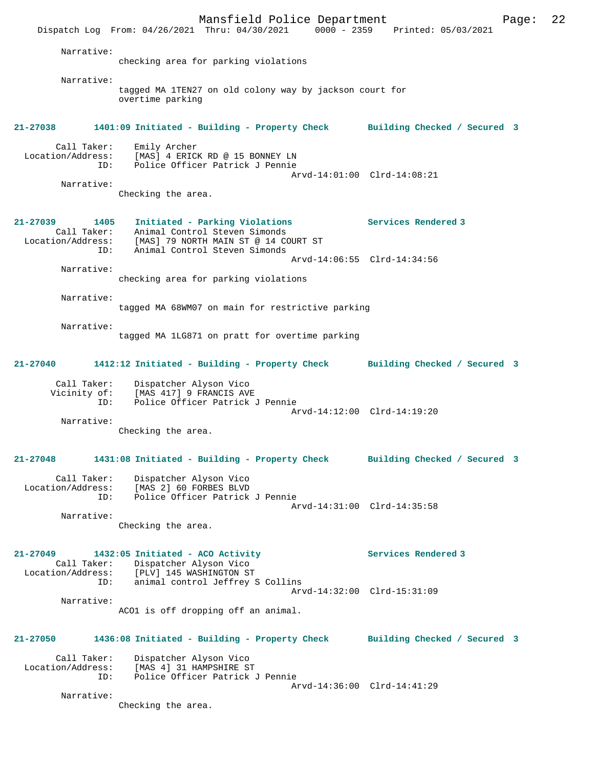Mansfield Police Department Page: 22 Dispatch Log From: 04/26/2021 Thru: 04/30/2021 0000 - 2359 Printed: 05/03/2021 Narrative: checking area for parking violations Narrative: tagged MA 1TEN27 on old colony way by jackson court for overtime parking **21-27038 1401:09 Initiated - Building - Property Check Building Checked / Secured 3** Call Taker: Emily Archer Location/Address: [MAS] 4 ERICK RD @ 15 BONNEY LN ID: Police Officer Patrick J Pennie Arvd-14:01:00 Clrd-14:08:21 Narrative: Checking the area. **21-27039 1405 Initiated - Parking Violations Services Rendered 3**  Call Taker: Animal Control Steven Simonds Location/Address: [MAS] 79 NORTH MAIN ST @ 14 COURT ST ID: Animal Control Steven Simonds Arvd-14:06:55 Clrd-14:34:56 Narrative: checking area for parking violations Narrative: tagged MA 68WM07 on main for restrictive parking Narrative: tagged MA 1LG871 on pratt for overtime parking **21-27040 1412:12 Initiated - Building - Property Check Building Checked / Secured 3** Call Taker: Dispatcher Alyson Vico Vicinity of: [MAS 417] 9 FRANCIS AVE ID: Police Officer Patrick J Pennie Arvd-14:12:00 Clrd-14:19:20 Narrative: Checking the area. **21-27048 1431:08 Initiated - Building - Property Check Building Checked / Secured 3** Call Taker: Dispatcher Alyson Vico Location/Address: [MAS 2] 60 FORBES BLVD Police Officer Patrick J Pennie Arvd-14:31:00 Clrd-14:35:58 Narrative: Checking the area. **21-27049 1432:05 Initiated - ACO Activity Services Rendered 3**  Call Taker: Dispatcher Alyson Vico Location/Address: [PLV] 145 WASHINGTON ST ID: animal control Jeffrey S Collins Arvd-14:32:00 Clrd-15:31:09 Narrative: ACO1 is off dropping off an animal. **21-27050 1436:08 Initiated - Building - Property Check Building Checked / Secured 3** Call Taker: Dispatcher Alyson Vico Location/Address: [MAS 4] 31 HAMPSHIRE ST Police Officer Patrick J Pennie Arvd-14:36:00 Clrd-14:41:29 Narrative: Checking the area.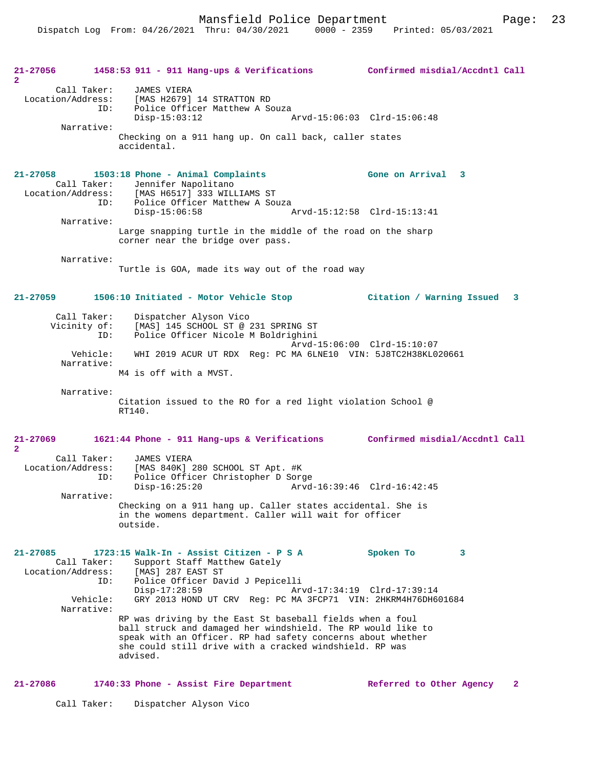Mansfield Police Department Fage: 23

| 21-27056<br>$\mathbf{2}$                                                          | 1458:53 911 - 911 Hang-ups & Verifications Confirmed misdial/Accdntl Call                                                                                                                                                                                                                                                                                                                                                                                                                |                                               |
|-----------------------------------------------------------------------------------|------------------------------------------------------------------------------------------------------------------------------------------------------------------------------------------------------------------------------------------------------------------------------------------------------------------------------------------------------------------------------------------------------------------------------------------------------------------------------------------|-----------------------------------------------|
| Call Taker:<br>ID:<br>Narrative:                                                  | JAMES VIERA<br>Location/Address: [MAS H2679] 14 STRATTON RD<br>Police Officer Matthew A Souza<br>$Disp-15:03:12$<br>Arvd-15:06:03 Clrd-15:06:48<br>Checking on a 911 hang up. On call back, caller states                                                                                                                                                                                                                                                                                |                                               |
|                                                                                   | accidental.                                                                                                                                                                                                                                                                                                                                                                                                                                                                              |                                               |
| 21-27058                                                                          | 1503:18 Phone - Animal Complaints<br>Call Taker: Jennifer Napolitano<br>Location/Address: [MAS H6517] 333 WILLIAMS ST<br>ID: Police Officer Matthew A Souza                                                                                                                                                                                                                                                                                                                              | Gone on Arrival 3                             |
| Narrative:                                                                        | Disp-15:06:58<br>Arvd-15:12:58 Clrd-15:13:41                                                                                                                                                                                                                                                                                                                                                                                                                                             |                                               |
|                                                                                   | Large snapping turtle in the middle of the road on the sharp<br>corner near the bridge over pass.                                                                                                                                                                                                                                                                                                                                                                                        |                                               |
| Narrative:                                                                        | Turtle is GOA, made its way out of the road way                                                                                                                                                                                                                                                                                                                                                                                                                                          |                                               |
| 21-27059                                                                          | 1506:10 Initiated - Motor Vehicle Stop                                                                                                                                                                                                                                                                                                                                                                                                                                                   | Citation / Warning Issued 3                   |
| Call Taker:<br>ID:                                                                | Dispatcher Alyson Vico<br>Vicinity of: [MAS] 145 SCHOOL ST @ 231 SPRING ST<br>Police Officer Nicole M Boldrighini                                                                                                                                                                                                                                                                                                                                                                        | Arvd-15:06:00 Clrd-15:10:07                   |
| Vehicle:<br>Narrative:                                                            | WHI 2019 ACUR UT RDX Req: PC MA 6LNE10 VIN: 5J8TC2H38KL020661<br>M4 is off with a MVST.                                                                                                                                                                                                                                                                                                                                                                                                  |                                               |
| Narrative:                                                                        | Citation issued to the RO for a red light violation School @<br>RT140.                                                                                                                                                                                                                                                                                                                                                                                                                   |                                               |
| 21-27069<br>$\overline{2}$                                                        | 1621:44 Phone - 911 Hang-ups & Verifications Confirmed misdial/Accdntl Call                                                                                                                                                                                                                                                                                                                                                                                                              |                                               |
| Call Taker:<br>ID:                                                                | <b>JAMES VIERA</b><br>Location/Address: [MAS 840K] 280 SCHOOL ST Apt. #K<br>TD: Police Officer Christopher D Sore<br>Police Officer Christopher D Sorge<br>$Disp-16:25:20$                                                                                                                                                                                                                                                                                                               | Arvd-16:39:46 Clrd-16:42:45                   |
| Narrative:                                                                        | Checking on a 911 hang up. Caller states accidental. She is<br>in the womens department. Caller will wait for officer<br>outside.                                                                                                                                                                                                                                                                                                                                                        |                                               |
| $21 - 27085$<br>Call Taker:<br>Location/Address:<br>ID:<br>Vehicle:<br>Narrative: | 1723:15 Walk-In - Assist Citizen - P S A<br>Support Staff Matthew Gately<br>[MAS] 287 EAST ST<br>Police Officer David J Pepicelli<br>$Disp-17:28:59$<br>GRY 2013 HOND UT CRV Req: PC MA 3FCP71 VIN: 2HKRM4H76DH601684<br>RP was driving by the East St baseball fields when a foul<br>ball struck and damaged her windshield. The RP would like to<br>speak with an Officer. RP had safety concerns about whether<br>she could still drive with a cracked windshield. RP was<br>advised. | Spoken To<br>3<br>Arvd-17:34:19 Clrd-17:39:14 |

# **21-27086 1740:33 Phone - Assist Fire Department Referred to Other Agency 2**

Call Taker: Dispatcher Alyson Vico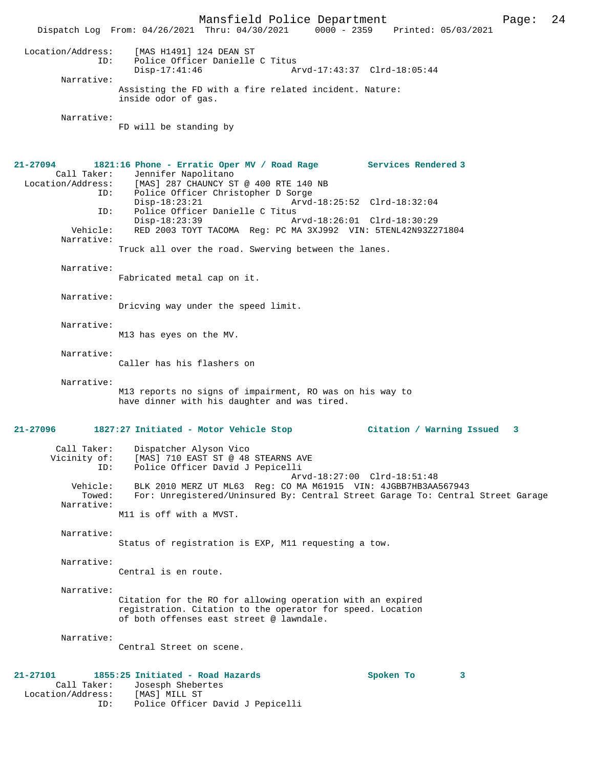Mansfield Police Department Page: 24 Dispatch Log From: 04/26/2021 Thru: 04/30/2021 Location/Address: [MAS H1491] 124 DEAN ST ID: Police Officer Danielle C Titus Disp-17:41:46 Arvd-17:43:37 Clrd-18:05:44 Narrative: Assisting the FD with a fire related incident. Nature: inside odor of gas. Narrative: FD will be standing by **21-27094 1821:16 Phone - Erratic Oper MV / Road Rage Services Rendered 3**  Call Taker: Jennifer Napolitano Location/Address: [MAS] 287 CHAUNCY ST @ 400 RTE 140 NB Police Officer Christopher D Sorge<br>Disp-18:23:21 Arvd- Disp-18:23:21 Arvd-18:25:52 Clrd-18:32:04 ID: Police Officer Danielle C Titus Disp-18:23:39 Arvd-18:26:01 Clrd-18:30:29 Vehicle: RED 2003 TOYT TACOMA Reg: PC MA 3XJ992 VIN: 5TENL42N93Z271804 Narrative: Truck all over the road. Swerving between the lanes. Narrative: Fabricated metal cap on it. Narrative: Dricving way under the speed limit. Narrative: M13 has eyes on the MV. Narrative: Caller has his flashers on Narrative: M13 reports no signs of impairment, RO was on his way to have dinner with his daughter and was tired. **21-27096 1827:27 Initiated - Motor Vehicle Stop Citation / Warning Issued 3** Call Taker: Dispatcher Alyson Vico Vicinity of: [MAS] 710 EAST ST @ 48 STEARNS AVE<br>ID: Police Officer David J Pepicelli Police Officer David J Pepicelli Arvd-18:27:00 Clrd-18:51:48<br>Vehicle: BLK 2010 MERZ UT ML63 Req: CO MA M61915 VIN: 4JGBB7HB3AA ehicle: BLK 2010 MERZ UT ML63 Reg: CO MA M61915 VIN: 4JGBB7HB3AA567943<br>Towed: For: Unregistered/Uninsured By: Central Street Garage To: Central For: Unregistered/Uninsured By: Central Street Garage To: Central Street Garage Narrative: M11 is off with a MVST. Narrative: Status of registration is EXP, M11 requesting a tow. Narrative: Central is en route. Narrative: Citation for the RO for allowing operation with an expired registration. Citation to the operator for speed. Location of both offenses east street @ lawndale. Narrative: Central Street on scene. **21-27101 1855:25 Initiated - Road Hazards Spoken To 3**  Call Taker: Josesph Shebertes<br>ion/Address: [MAS] MILL ST Location/Address: ID: Police Officer David J Pepicelli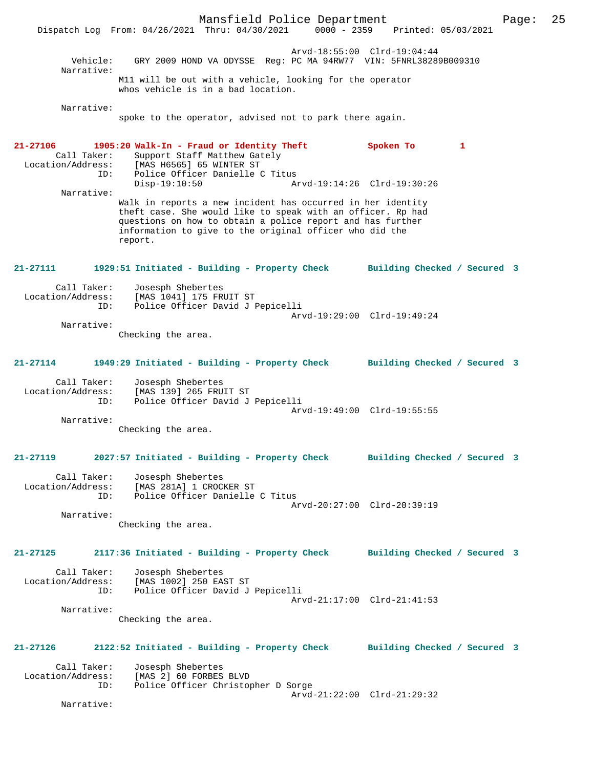Mansfield Police Department Page: 25 Dispatch Log From: 04/26/2021 Thru: 04/30/2021 Arvd-18:55:00 Clrd-19:04:44 Vehicle: GRY 2009 HOND VA ODYSSE Reg: PC MA 94RW77 VIN: 5FNRL38289B009310 Narrative: M11 will be out with a vehicle, looking for the operator whos vehicle is in a bad location. Narrative: spoke to the operator, advised not to park there again. **21-27106 1905:20 Walk-In - Fraud or Identity Theft Spoken To 1**  Call Taker: Support Staff Matthew Gately<br>Location/Address: [MAS H6565] 65 WINTER ST ess: [MAS H6565] 65 WINTER ST<br>ID: Police Officer Danielle ( ID: Police Officer Danielle C Titus Disp-19:10:50 Arvd-19:14:26 Clrd-19:30:26 Narrative: Walk in reports a new incident has occurred in her identity theft case. She would like to speak with an officer. Rp had questions on how to obtain a police report and has further information to give to the original officer who did the report. **21-27111 1929:51 Initiated - Building - Property Check Building Checked / Secured 3** Call Taker: Josesph Shebertes<br>Location/Address: [MAS 1041] 175 FRI [MAS 1041] 175 FRUIT ST ID: Police Officer David J Pepicelli Arvd-19:29:00 Clrd-19:49:24 Narrative: Checking the area. **21-27114 1949:29 Initiated - Building - Property Check Building Checked / Secured 3** Call Taker: Josesph Shebertes Location/Address: [MAS 139] 265 FRUIT ST ID: Police Officer David J Pepicelli Arvd-19:49:00 Clrd-19:55:55 Narrative: Checking the area. **21-27119 2027:57 Initiated - Building - Property Check Building Checked / Secured 3** Call Taker: Josesph Shebertes<br>Location/Address: [MAS 281A] 1 CROCI Location/Address: [MAS 281A] 1 CROCKER ST ID: Police Officer Danielle C Titus Arvd-20:27:00 Clrd-20:39:19 Narrative: Checking the area. **21-27125 2117:36 Initiated - Building - Property Check Building Checked / Secured 3** Call Taker: Josesph Shebertes Location/Address: [MAS 1002] 250 EAST ST<br>ID: Police Officer David J Police Officer David J Pepicelli Arvd-21:17:00 Clrd-21:41:53 Narrative: Checking the area. **21-27126 2122:52 Initiated - Building - Property Check Building Checked / Secured 3** Call Taker: Josesph Shebertes<br>Location/Address: [MAS 2] 60 FORBES ess: [MAS 2] 60 FORBES BLVD<br>ID: Police Officer Christop Police Officer Christopher D Sorge Arvd-21:22:00 Clrd-21:29:32 Narrative: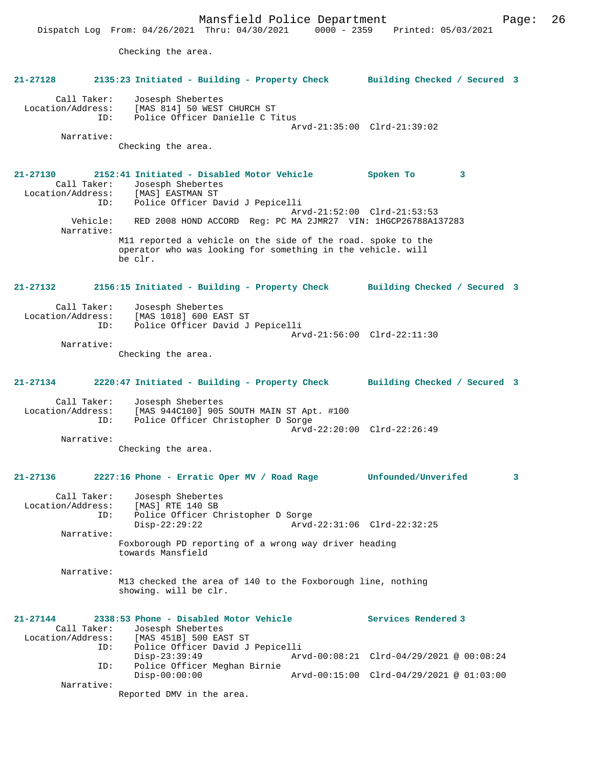Mansfield Police Department Page: 26 Dispatch Log From: 04/26/2021 Thru: 04/30/2021 0000 - 2359 Printed: 05/03/2021 Checking the area. **21-27128 2135:23 Initiated - Building - Property Check Building Checked / Secured 3** Call Taker: Josesph Shebertes Location/Address: [MAS 814] 50 WEST CHURCH ST ID: Police Officer Danielle C Titus Arvd-21:35:00 Clrd-21:39:02 Narrative: Checking the area. **21-27130 2152:41 Initiated - Disabled Motor Vehicle Spoken To 3**  Call Taker: Josesph Shebertes<br>ion/Address: [MAS] EASTMAN ST Location/Address: ID: Police Officer David J Pepicelli Arvd-21:52:00 Clrd-21:53:53 Vehicle: RED 2008 HOND ACCORD Reg: PC MA 2JMR27 VIN: 1HGCP26788A137283 Narrative: M11 reported a vehicle on the side of the road. spoke to the operator who was looking for something in the vehicle. will be clr. **21-27132 2156:15 Initiated - Building - Property Check Building Checked / Secured 3** Call Taker: Josesph Shebertes<br>ion/Address: [MAS 1018] 600 EAST ST Location/Address: ID: Police Officer David J Pepicelli Arvd-21:56:00 Clrd-22:11:30 Narrative: Checking the area. **21-27134 2220:47 Initiated - Building - Property Check Building Checked / Secured 3** Call Taker: Josesph Shebertes Location/Address: [MAS 944C100] 905 SOUTH MAIN ST Apt. #100 Police Officer Christopher D Sorge Arvd-22:20:00 Clrd-22:26:49 Narrative: Checking the area. **21-27136 2227:16 Phone - Erratic Oper MV / Road Rage Unfounded/Unverifed 3** Call Taker: Josesph Shebertes Location/Address: [MAS] RTE 140 SB ID: Police Officer Christopher D Sorge Disp-22:29:22 Arvd-22:31:06 Clrd-22:32:25 Narrative: Foxborough PD reporting of a wrong way driver heading towards Mansfield Narrative: M13 checked the area of 140 to the Foxborough line, nothing showing. will be clr. **21-27144 2338:53 Phone - Disabled Motor Vehicle Services Rendered 3**  Call Taker: Josesph Shebertes<br>Location/Address: [MAS 451B] 500 EAS [MAS 451B] 500 EAST ST ID: Police Officer David J Pepicelli Disp-23:39:49 Arvd-00:08:21 Clrd-04/29/2021 @ 00:08:24 ID: Police Officer Meghan Birnie Disp-00:00:00 Arvd-00:15:00 Clrd-04/29/2021 @ 01:03:00 ID: POLICE VILLE<br>Disp-00:00:00<br>Narrative: Reported DMV in the area.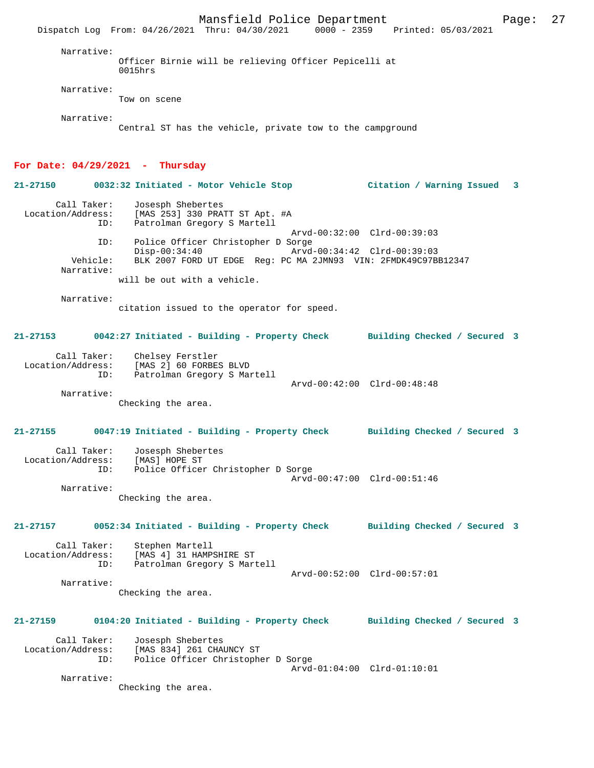Mansfield Police Department Fage: 27 Dispatch Log From: 04/26/2021 Thru: 04/30/2021 0000 - 2359 Printed: 05/03/2021 Narrative: Officer Birnie will be relieving Officer Pepicelli at 0015hrs Narrative: Tow on scene Narrative: Central ST has the vehicle, private tow to the campground **For Date: 04/29/2021 - Thursday 21-27150 0032:32 Initiated - Motor Vehicle Stop Citation / Warning Issued 3** Call Taker: Josesph Shebertes Location/Address: [MAS 253] 330 PRATT ST Apt. #A<br>TD: Patrolman Gregory S Martell Patrolman Gregory S Martell Arvd-00:32:00 Clrd-00:39:03<br>ID: Police Officer Christopher D Sorge Police Officer Christopher D Sorge<br>Disp-00:34:40 Arvd Disp-00:34:40 Arvd-00:34:42 Clrd-00:39:03<br>Vehicle: BLK 2007 FORD UT EDGE Req: PC MA 2JMN93 VIN: 2FMDK49C97B BLK 2007 FORD UT EDGE Reg: PC MA 2JMN93 VIN: 2FMDK49C97BB12347 Narrative: will be out with a vehicle. Narrative: citation issued to the operator for speed. **21-27153 0042:27 Initiated - Building - Property Check Building Checked / Secured 3** Call Taker: Chelsey Ferstler Location/Address: [MAS 2] 60 FORBES BLVD Patrolman Gregory S Martell Arvd-00:42:00 Clrd-00:48:48 Narrative: Checking the area. **21-27155 0047:19 Initiated - Building - Property Check Building Checked / Secured 3** Call Taker: Josesph Shebertes<br>ion/Address: [MAS] HOPE ST Location/Address: ID: Police Officer Christopher D Sorge Arvd-00:47:00 Clrd-00:51:46 Narrative: Checking the area. **21-27157 0052:34 Initiated - Building - Property Check Building Checked / Secured 3** Call Taker: Stephen Martell<br>Location/Address: [MAS 4] 31 HAMP ess: [MAS 4] 31 HAMPSHIRE ST<br>TD: Patrolman Gregory S Mar Patrolman Gregory S Martell Arvd-00:52:00 Clrd-00:57:01 Narrative: Checking the area. **21-27159 0104:20 Initiated - Building - Property Check Building Checked / Secured 3** Call Taker: Josesph Shebertes Location/Address: [MAS 834] 261 CHAUNCY ST ID: Police Officer Christopher D Sorge Arvd-01:04:00 Clrd-01:10:01 Narrative: Checking the area.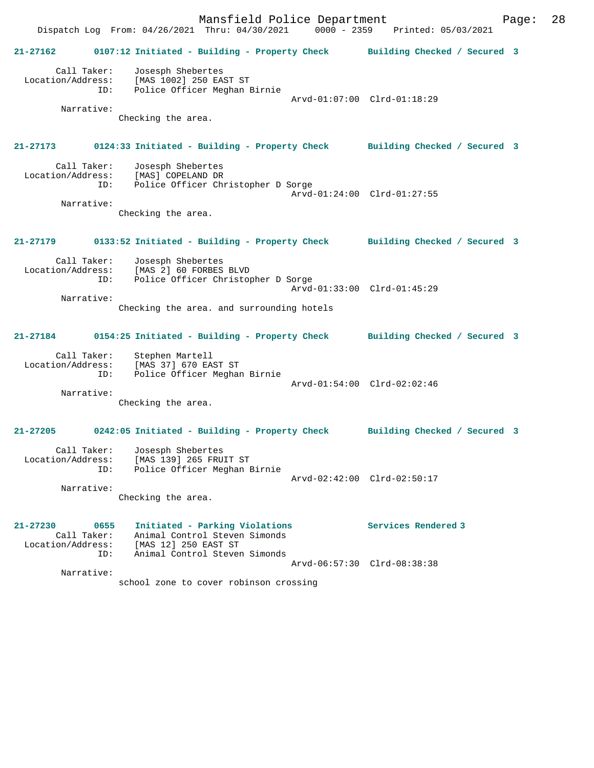Mansfield Police Department Fage: 28 Dispatch Log From: 04/26/2021 Thru: 04/30/2021 0000 - 2359 Printed: 05/03/2021 **21-27162 0107:12 Initiated - Building - Property Check Building Checked / Secured 3** Call Taker: Josesph Shebertes Location/Address: [MAS 1002] 250 EAST ST ID: Police Officer Meghan Birnie Arvd-01:07:00 Clrd-01:18:29 Narrative: Checking the area. **21-27173 0124:33 Initiated - Building - Property Check Building Checked / Secured 3** Call Taker: Josesph Shebertes Location/Address: [MAS] COPELAND DR<br>ID: Police Officer Chi Police Officer Christopher D Sorge Arvd-01:24:00 Clrd-01:27:55 Narrative: Checking the area. **21-27179 0133:52 Initiated - Building - Property Check Building Checked / Secured 3** Call Taker: Josesph Shebertes Location/Address: [MAS 2] 60 FORBES BLVD ID: Police Officer Christopher D Sorge Arvd-01:33:00 Clrd-01:45:29 Narrative: Checking the area. and surrounding hotels **21-27184 0154:25 Initiated - Building - Property Check Building Checked / Secured 3** Call Taker: Stephen Martell Location/Address: [MAS 37] 670 EAST ST ID: Police Officer Meghan Birnie Arvd-01:54:00 Clrd-02:02:46 Narrative: Checking the area. **21-27205 0242:05 Initiated - Building - Property Check Building Checked / Secured 3** Call Taker: Josesph Shebertes Location/Address: [MAS 139] 265 FRUIT ST ID: Police Officer Meghan Birnie Arvd-02:42:00 Clrd-02:50:17 Narrative: Checking the area. **21-27230 0655 Initiated - Parking Violations Services Rendered 3**  Call Taker: Animal Control Steven Simonds Location/Address: [MAS 12] 250 EAST ST ID: Animal Control Steven Simonds Arvd-06:57:30 Clrd-08:38:38 Narrative: school zone to cover robinson crossing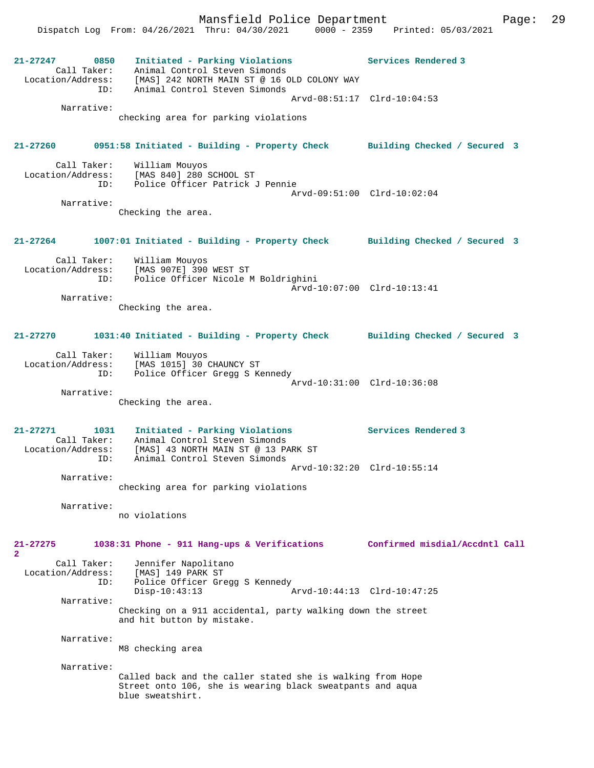Mansfield Police Department Page: 29 Dispatch Log From: 04/26/2021 Thru: 04/30/2021 0000 - 2359 Printed: 05/03/2021 **21-27247 0850 Initiated - Parking Violations Services Rendered 3**  Call Taker: Animal Control Steven Simonds Location/Address: [MAS] 242 NORTH MAIN ST @ 16 OLD COLONY WAY ID: Animal Control Steven Simonds Arvd-08:51:17 Clrd-10:04:53 Narrative: checking area for parking violations **21-27260 0951:58 Initiated - Building - Property Check Building Checked / Secured 3** Call Taker: William Mouyos<br>Location/Address: [MAS 840] 280; Location/Address: [MAS 840] 280 SCHOOL ST Police Officer Patrick J Pennie Arvd-09:51:00 Clrd-10:02:04 Narrative: Checking the area. **21-27264 1007:01 Initiated - Building - Property Check Building Checked / Secured 3** Call Taker: William Mouyos Location/Address: [MAS 907E] 390 WEST ST ID: Police Officer Nicole M Boldrighini Arvd-10:07:00 Clrd-10:13:41 Narrative: Checking the area. **21-27270 1031:40 Initiated - Building - Property Check Building Checked / Secured 3** Call Taker: William Mouyos Location/Address: [MAS 1015] 30 CHAUNCY ST ID: Police Officer Gregg S Kennedy Arvd-10:31:00 Clrd-10:36:08 Narrative: Checking the area. **21-27271 1031 Initiated - Parking Violations Services Rendered 3**  Call Taker: Animal Control Steven Simonds Location/Address: [MAS] 43 NORTH MAIN ST @ 13 PARK ST ESS: INDITE: Animal Control Steven Simonds Arvd-10:32:20 Clrd-10:55:14 Narrative: checking area for parking violations Narrative: no violations **21-27275 1038:31 Phone - 911 Hang-ups & Verifications Confirmed misdial/Accdntl Call 2**  Call Taker: Jennifer Napolitano Location/Address: [MAS] 149 PARK ST ID: Police Officer Gregg S Kennedy<br>Disp-10:43:13 A  $Arvd-10:44:13$   $Clrd-10:47:25$  Narrative: Checking on a 911 accidental, party walking down the street and hit button by mistake. Narrative: M8 checking area Narrative: Called back and the caller stated she is walking from Hope Street onto 106, she is wearing black sweatpants and aqua blue sweatshirt.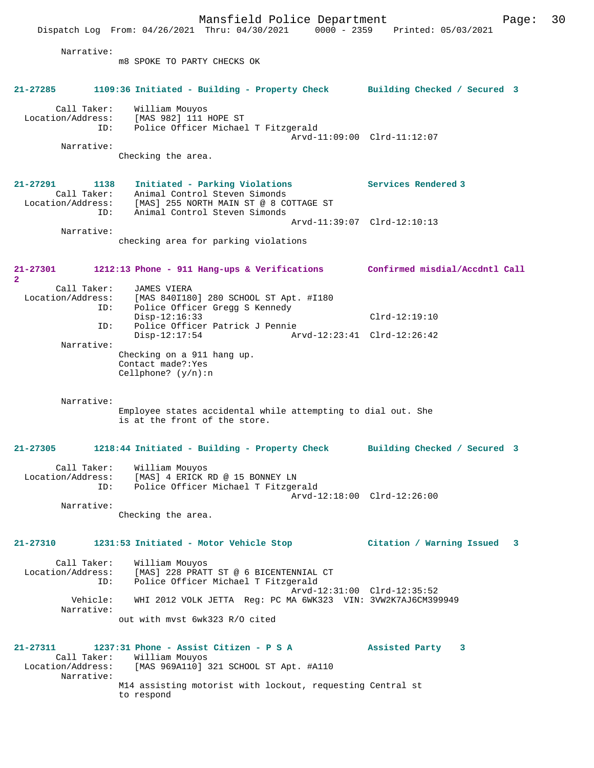Mansfield Police Department Page: 30 Dispatch Log From: 04/26/2021 Thru: 04/30/2021 0000 - 2359 Printed: 05/03/2021 Narrative: m8 SPOKE TO PARTY CHECKS OK **21-27285 1109:36 Initiated - Building - Property Check Building Checked / Secured 3** Call Taker: William Mouyos Location/Address: [MAS 982] 111 HOPE ST ID: Police Officer Michael T Fitzgerald Arvd-11:09:00 Clrd-11:12:07 Narrative: Checking the area. **21-27291 1138 Initiated - Parking Violations Services Rendered 3**  Call Taker: Animal Control Steven Simonds Location/Address: [MAS] 255 NORTH MAIN ST @ 8 COTTAGE ST ID: Animal Control Steven Simonds Arvd-11:39:07 Clrd-12:10:13 Narrative: checking area for parking violations **21-27301 1212:13 Phone - 911 Hang-ups & Verifications Confirmed misdial/Accdntl Call 2**  Call Taker: JAMES VIERA<br>Location/Address: [MAS 840I180 ess: [MAS 840I180] 280 SCHOOL ST Apt. #I180<br>ID: Police Officer Gregg S Kennedy .<br>Police Officer Gregg S Kennedy Disp-12:16:33 Clrd-12:19:10 ID: Police Officer Patrick J Pennie Disp-12:17:54 Arvd-12:23:41 Clrd-12:26:42 Narrative: Checking on a 911 hang up. Contact made?:Yes Cellphone? (y/n):n Narrative: Employee states accidental while attempting to dial out. She is at the front of the store. **21-27305 1218:44 Initiated - Building - Property Check Building Checked / Secured 3** Call Taker: William Mouyos Location/Address: [MAS] 4 ERICK RD @ 15 BONNEY LN ID: Police Officer Michael T Fitzgerald Arvd-12:18:00 Clrd-12:26:00 Narrative: Checking the area. **21-27310 1231:53 Initiated - Motor Vehicle Stop Citation / Warning Issued 3** Call Taker: William Mouyos Location/Address: [MAS] 228 PRATT ST @ 6 BICENTENNIAL CT ID: Police Officer Michael T Fitzgerald Arvd-12:31:00 Clrd-12:35:52 Vehicle: WHI 2012 VOLK JETTA Reg: PC MA 6WK323 VIN: 3VW2K7AJ6CM399949 Narrative: out with mvst 6wk323 R/O cited **21-27311 1237:31 Phone - Assist Citizen - P S A Assisted Party 3**  Call Taker: William Mouyos<br>1 Location/Address: [MAS 969A110] [MAS 969A110] 321 SCHOOL ST Apt. #A110 Narrative: M14 assisting motorist with lockout, requesting Central st to respond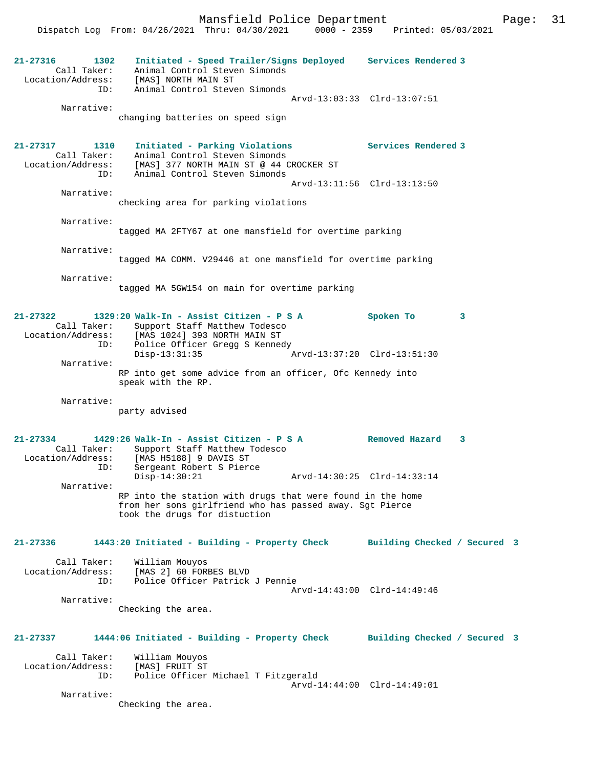Mansfield Police Department Form Page: 31

 Dispatch Log From: 04/26/2021 Thru: 04/30/2021 0000 - 2359 Printed: 05/03/2021 **21-27316 1302 Initiated - Speed Trailer/Signs Deployed Services Rendered 3**  Call Taker: Animal Control Steven Simonds Location/Address: [MAS] NORTH MAIN ST ID: Animal Control Steven Simonds Arvd-13:03:33 Clrd-13:07:51 Narrative: changing batteries on speed sign **21-27317 1310 Initiated - Parking Violations Services Rendered 3**  Call Taker: Animal Control Steven Simonds Location/Address: [MAS] 377 NORTH MAIN ST @ 44 CROCKER ST ID: Animal Control Steven Simonds Arvd-13:11:56 Clrd-13:13:50 Narrative: checking area for parking violations Narrative: tagged MA 2FTY67 at one mansfield for overtime parking Narrative: tagged MA COMM. V29446 at one mansfield for overtime parking Narrative: tagged MA 5GW154 on main for overtime parking **21-27322 1329:20 Walk-In - Assist Citizen - P S A Spoken To 3**  Call Taker: Support Staff Matthew Todesco<br>Location/Address: [MAS 1024] 393 NORTH MAIN ST [MAS 1024] 393 NORTH MAIN ST ID: Police Officer Gregg S Kennedy<br>Disp-13:31:35 Disp-13:31:35 Arvd-13:37:20 Clrd-13:51:30 Narrative: RP into get some advice from an officer, Ofc Kennedy into speak with the RP. Narrative: party advised **21-27334 1429:26 Walk-In - Assist Citizen - P S A Removed Hazard 3**  Call Taker: Support Staff Matthew Todesco Location/Address: [MAS H5188] 9 DAVIS ST ID: Sergeant Robert S Pierce Disp-14:30:21 Arvd-14:30:25 Clrd-14:33:14 Narrative: RP into the station with drugs that were found in the home from her sons girlfriend who has passed away. Sgt Pierce took the drugs for distuction **21-27336 1443:20 Initiated - Building - Property Check Building Checked / Secured 3** Call Taker: William Mouyos Location/Address: [MAS 2] 60 FORBES BLVD ID: Police Officer Patrick J Pennie Arvd-14:43:00 Clrd-14:49:46 Narrative: Checking the area. **21-27337 1444:06 Initiated - Building - Property Check Building Checked / Secured 3** Call Taker: William Mouyos<br>Location/Address: [MAS] FRUIT ST ess: [MAS] FRUIT ST<br>ID: Police Officer Police Officer Michael T Fitzgerald Arvd-14:44:00 Clrd-14:49:01 Narrative: Checking the area.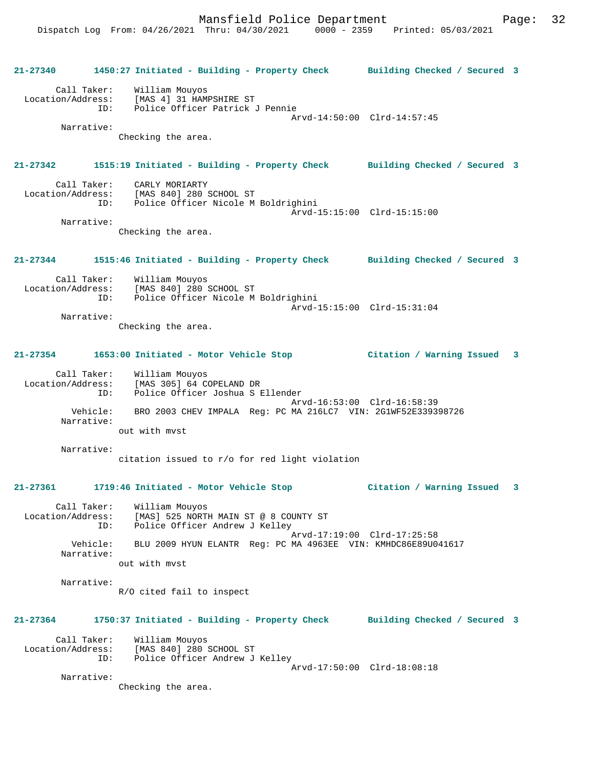**21-27340 1450:27 Initiated - Building - Property Check Building Checked / Secured 3** Call Taker: William Mouyos Location/Address: [MAS 4] 31 HAMPSHIRE ST Police Officer Patrick J Pennie Arvd-14:50:00 Clrd-14:57:45 Narrative: Checking the area. **21-27342 1515:19 Initiated - Building - Property Check Building Checked / Secured 3** Call Taker: CARLY MORIARTY<br>Location/Address: [MAS 840] 280 9 [MAS 840] 280 SCHOOL ST ID: Police Officer Nicole M Boldrighini Arvd-15:15:00 Clrd-15:15:00 Narrative: Checking the area. **21-27344 1515:46 Initiated - Building - Property Check Building Checked / Secured 3** Call Taker: William Mouyos Location/Address: [MAS 840] 280 SCHOOL ST ID: Police Officer Nicole M Boldrighini Arvd-15:15:00 Clrd-15:31:04 Narrative: Checking the area. **21-27354 1653:00 Initiated - Motor Vehicle Stop Citation / Warning Issued 3** Call Taker: William Mouyos Location/Address: [MAS 305] 64 COPELAND DR ID: Police Officer Joshua S Ellender Arvd-16:53:00 Clrd-16:58:39 Vehicle: BRO 2003 CHEV IMPALA Reg: PC MA 216LC7 VIN: 2G1WF52E339398726 Narrative: out with mvst Narrative: citation issued to r/o for red light violation **21-27361 1719:46 Initiated - Motor Vehicle Stop Citation / Warning Issued 3** Call Taker: William Mouyos Location/Address: [MAS] 525 NORTH MAIN ST @ 8 COUNTY ST ID: Police Officer Andrew J Kelley Arvd-17:19:00 Clrd-17:25:58 Vehicle: BLU 2009 HYUN ELANTR Reg: PC MA 4963EE VIN: KMHDC86E89U041617 Narrative: out with mvst Narrative: R/O cited fail to inspect **21-27364 1750:37 Initiated - Building - Property Check Building Checked / Secured 3** Call Taker: William Mouyos Location/Address: [MAS 840] 280 SCHOOL ST ID: Police Officer Andrew J Kelley Arvd-17:50:00 Clrd-18:08:18 Narrative: Checking the area.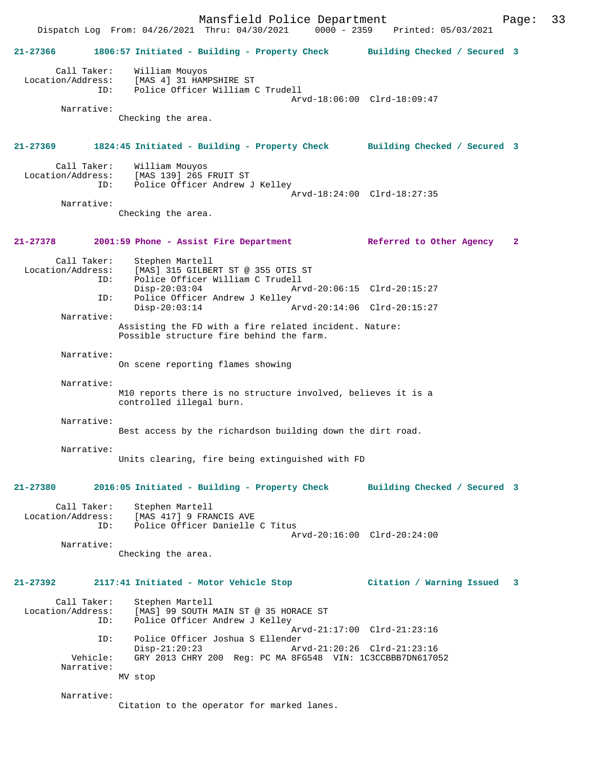Mansfield Police Department Page: 33 Dispatch Log From: 04/26/2021 Thru: 04/30/2021 **21-27366 1806:57 Initiated - Building - Property Check Building Checked / Secured 3** Call Taker: William Mouyos Location/Address: [MAS 4] 31 HAMPSHIRE ST Location/Address: [MAS 4] 31 HAMPSHIRE ST<br>ID: Police Officer William C Trudell Arvd-18:06:00 Clrd-18:09:47 Narrative: Checking the area. **21-27369 1824:45 Initiated - Building - Property Check Building Checked / Secured 3** Call Taker: William Mouyos<br>Location/Address: [MAS 139] 265 ess: [MAS 139] 265 FRUIT ST<br>ID: Police Officer Andrew Police Officer Andrew J Kelley Arvd-18:24:00 Clrd-18:27:35 Narrative: Checking the area. **21-27378 2001:59 Phone - Assist Fire Department Referred to Other Agency 2** Call Taker: Stephen Martell Location/Address: [MAS] 315 GILBERT ST @ 355 OTIS ST ID: Police Officer William C Trudell Disp-20:03:04 Arvd-20:06:15 Clrd-20:15:27<br>TD: Police Officer Andrew J Kelley Police Officer Andrew J Kelley<br>Disp-20:03:14 Disp-20:03:14 Arvd-20:14:06 Clrd-20:15:27 Narrative: Assisting the FD with a fire related incident. Nature: Possible structure fire behind the farm. Narrative: On scene reporting flames showing Narrative: M10 reports there is no structure involved, believes it is a controlled illegal burn. Narrative: Best access by the richardson building down the dirt road. Narrative: Units clearing, fire being extinguished with FD **21-27380 2016:05 Initiated - Building - Property Check Building Checked / Secured 3** Call Taker: Stephen Martell<br>Location/Address: [MAS 417] 9 FRA ess: [MAS 417] 9 FRANCIS AVE<br>ID: Police Officer Danielle Police Officer Danielle C Titus Arvd-20:16:00 Clrd-20:24:00 Narrative: Checking the area. **21-27392 2117:41 Initiated - Motor Vehicle Stop Citation / Warning Issued 3** Call Taker: Stephen Martell Location/Address: [MAS] 99 SOUTH MAIN ST @ 35 HORACE ST Police Officer Andrew J Kelley Arvd-21:17:00 Clrd-21:23:16<br>ID: Police Officer Joshua S Ellender ID: Police Officer Joshua S Ellender Disp-21:20:23 Arvd-21:20:26 Clrd-21:23:16<br>Vehicle: GRY 2013 CHRY 200 Reg: PC MA 8FG548 VIN: 1C3CCBBB7DN6170! Vehicle: GRY 2013 CHRY 200 Reg: PC MA 8FG548 VIN: 1C3CCBBB7DN617052 Narrative: MV stop Narrative: Citation to the operator for marked lanes.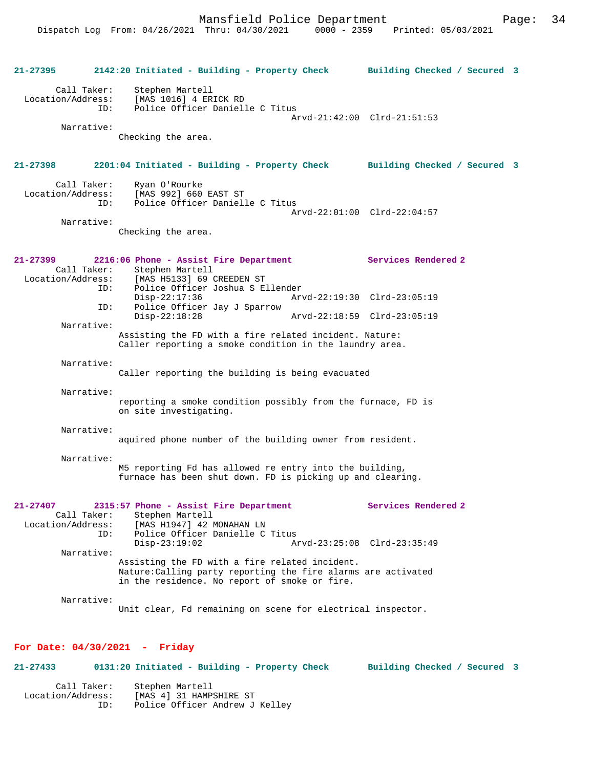**21-27395 2142:20 Initiated - Building - Property Check Building Checked / Secured 3** Call Taker: Stephen Martell Location/Address: [MAS 1016] 4 ERICK RD Police Officer Danielle C Titus Arvd-21:42:00 Clrd-21:51:53 Narrative: Checking the area. **21-27398 2201:04 Initiated - Building - Property Check Building Checked / Secured 3** Call Taker: Ryan O'Rourke<br>Location/Address: [MAS 992] 660 [MAS 992] 660 EAST ST ID: Police Officer Danielle C Titus Arvd-22:01:00 Clrd-22:04:57 Narrative: Checking the area. **21-27399 2216:06 Phone - Assist Fire Department Services Rendered 2**  Call Taker: Stephen Martell Location/Address: [MAS H5133] 69 CREEDEN ST ID: Police Officer Joshua S Ellender Disp-22:17:36 Arvd-22:19:30 Clrd-23:05:19<br>ID: Police Officer Jav J Sparrow Police Officer Jay J Sparrow<br>Disp-22:18:28 Disp-22:18:28 Arvd-22:18:59 Clrd-23:05:19 Narrative: Assisting the FD with a fire related incident. Nature: Caller reporting a smoke condition in the laundry area. Narrative: Caller reporting the building is being evacuated Narrative: reporting a smoke condition possibly from the furnace, FD is on site investigating. Narrative: aquired phone number of the building owner from resident. Narrative: M5 reporting Fd has allowed re entry into the building, furnace has been shut down. FD is picking up and clearing. **21-27407 2315:57 Phone - Assist Fire Department Services Rendered 2**  Call Taker: Stephen Martell<br>Location/Address: [MAS H1947] 42 I ess: [MAS H1947] 42 MONAHAN LN<br>ID: Police Officer Danielle C Police Officer Danielle C Titus<br>Disp-23:19:02 Ar Disp-23:19:02 Arvd-23:25:08 Clrd-23:35:49 Narrative: Assisting the FD with a fire related incident. Nature:Calling party reporting the fire alarms are activated in the residence. No report of smoke or fire. Narrative: Unit clear, Fd remaining on scene for electrical inspector.

#### **For Date: 04/30/2021 - Friday**

**21-27433 0131:20 Initiated - Building - Property Check Building Checked / Secured 3** Call Taker: Stephen Martell Location/Address: [MAS 4] 31 HAMPSHIRE ST Police Officer Andrew J Kelley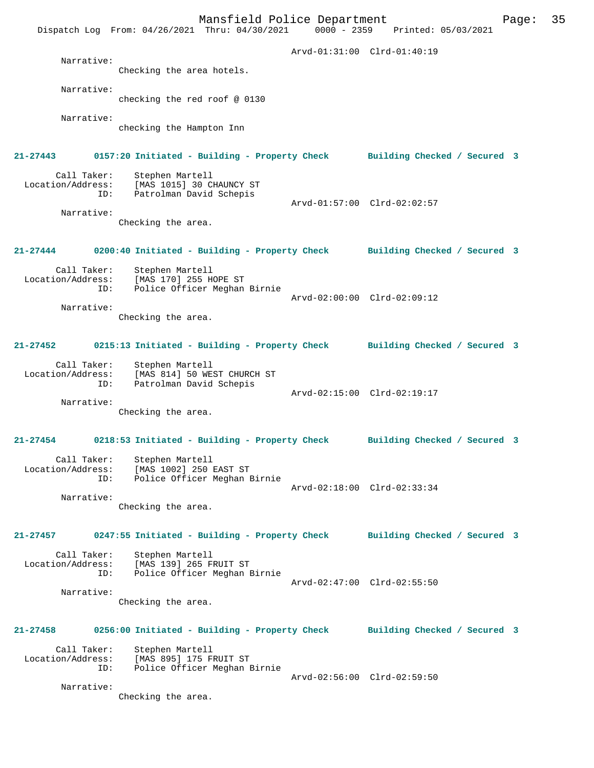Mansfield Police Department Form Page: 35 Dispatch Log From: 04/26/2021 Thru: 04/30/2021 0000 - 2359 Printed: 05/03/2021 Arvd-01:31:00 Clrd-01:40:19 Narrative: Checking the area hotels. Narrative: checking the red roof @ 0130 Narrative: checking the Hampton Inn **21-27443 0157:20 Initiated - Building - Property Check Building Checked / Secured 3** Call Taker: Stephen Martell Location/Address: [MAS 1015] 30 CHAUNCY ST Patrolman David Schepis Arvd-01:57:00 Clrd-02:02:57 Narrative: Checking the area. **21-27444 0200:40 Initiated - Building - Property Check Building Checked / Secured 3** Call Taker: Stephen Martell Location/Address: [MAS 170] 255 HOPE ST ID: Police Officer Meghan Birnie Arvd-02:00:00 Clrd-02:09:12 Narrative: Checking the area. **21-27452 0215:13 Initiated - Building - Property Check Building Checked / Secured 3** Call Taker: Stephen Martell Location/Address: [MAS 814] 50 WEST CHURCH ST ID: Patrolman David Schepis Arvd-02:15:00 Clrd-02:19:17 Narrative: Checking the area. **21-27454 0218:53 Initiated - Building - Property Check Building Checked / Secured 3** Call Taker: Stephen Martell Location/Address: [MAS 1002] 250 EAST ST ID: Police Officer Meghan Birnie Arvd-02:18:00 Clrd-02:33:34 Narrative: Checking the area. **21-27457 0247:55 Initiated - Building - Property Check Building Checked / Secured 3** Call Taker: Stephen Martell Location/Address: [MAS 139] 265 FRUIT ST<br>Location/Address: [MAS 139] 265 FRUIT ST Police Officer Meghan Birnie Arvd-02:47:00 Clrd-02:55:50 Narrative: Checking the area. **21-27458 0256:00 Initiated - Building - Property Check Building Checked / Secured 3** Call Taker: Stephen Martell Location/Address: [MAS 895] 175 FRUIT ST ID: Police Officer Meghan Birnie Arvd-02:56:00 Clrd-02:59:50 Narrative: Checking the area.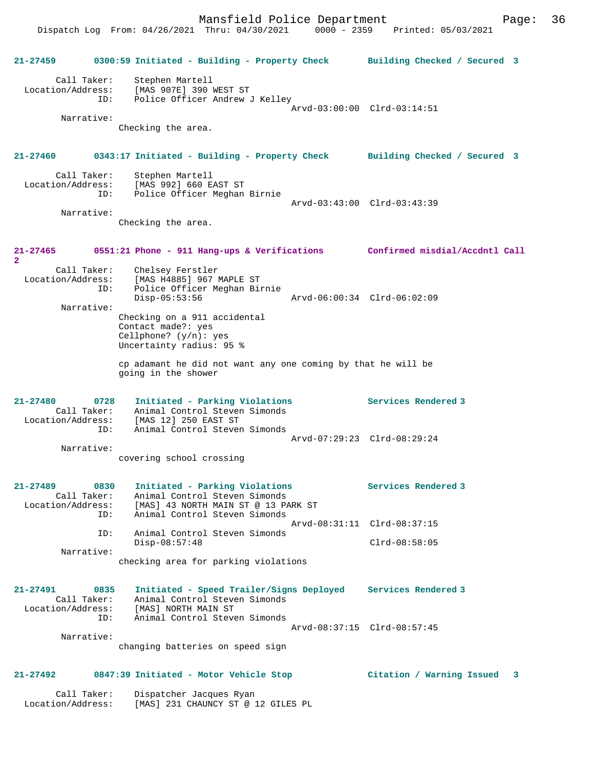Dispatch Log From: 04/26/2021 Thru: 04/30/2021 0000 - 2359 Printed: 05/03/2021

**21-27459 0300:59 Initiated - Building - Property Check Building Checked / Secured 3** Call Taker: Stephen Martell Location/Address: [MAS 907E] 390 WEST ST ID: Police Officer Andrew J Kelley Arvd-03:00:00 Clrd-03:14:51 Narrative: Checking the area. **21-27460 0343:17 Initiated - Building - Property Check Building Checked / Secured 3** Call Taker: Stephen Martell Location/Address: [MAS 992] 660 EAST ST ID: Police Officer Meghan Birnie Arvd-03:43:00 Clrd-03:43:39 Narrative: Checking the area. **21-27465 0551:21 Phone - 911 Hang-ups & Verifications Confirmed misdial/Accdntl Call 2**  Call Taker: Chelsey Ferstler Location/Address: [MAS H4885] 967 MAPLE ST ID: Police Officer Meghan Birnie Disp-05:53:56 Arvd-06:00:34 Clrd-06:02:09 Narrative: Checking on a 911 accidental Contact made?: yes Cellphone? (y/n): yes Uncertainty radius: 95 % cp adamant he did not want any one coming by that he will be going in the shower **21-27480 0728 Initiated - Parking Violations Services Rendered 3**  Call Taker: Animal Control Steven Simonds Location/Address: [MAS 12] 250 EAST ST ID: Animal Control Steven Simonds Arvd-07:29:23 Clrd-08:29:24 Narrative: covering school crossing **21-27489 0830 Initiated - Parking Violations Services Rendered 3**  Call Taker: Animal Control Steven Simonds Location/Address: [MAS] 43 NORTH MAIN ST @ 13 PARK ST ID: Animal Control Steven Simonds Arvd-08:31:11 Clrd-08:37:15 ID: Animal Control Steven Simonds Disp-08:57:48 Clrd-08:58:05 Narrative: checking area for parking violations **21-27491 0835 Initiated - Speed Trailer/Signs Deployed Services Rendered 3**  Call Taker: Animal Control Steven Simonds Location/Address: [MAS] NORTH MAIN ST ID: Animal Control Steven Simonds Arvd-08:37:15 Clrd-08:57:45 Narrative: changing batteries on speed sign **21-27492 0847:39 Initiated - Motor Vehicle Stop Citation / Warning Issued 3** Call Taker: Dispatcher Jacques Ryan

Location/Address: [MAS] 231 CHAUNCY ST @ 12 GILES PL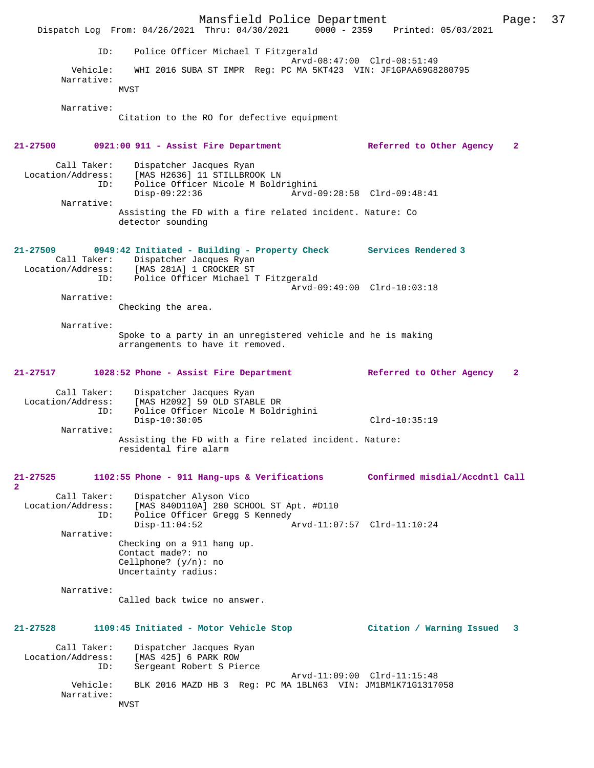Mansfield Police Department Fage: 37 Dispatch Log From: 04/26/2021 Thru: 04/30/2021 0000 - 2359 Printed: 05/03/2021 ID: Police Officer Michael T Fitzgerald Arvd-08:47:00 Clrd-08:51:49<br>Vehicle: WHI 2016 SUBA ST IMPR Reg: PC MA 5KT423 VIN: JF1GPAA69G8 Vehicle: WHI 2016 SUBA ST IMPR Reg: PC MA 5KT423 VIN: JF1GPAA69G8280795 Narrative: MVST Narrative: Citation to the RO for defective equipment **21-27500 0921:00 911 - Assist Fire Department Referred to Other Agency 2** Call Taker: Dispatcher Jacques Ryan<br>Location/Address: [MAS H2636] 11 STILLBRO ess: [MAS H2636] 11 STILLBROOK LN<br>ID: Police Officer Nicole M Boldr Police Officer Nicole M Boldrighini<br>Disp-09:22:36 Arvd-0 Disp-09:22:36 Arvd-09:28:58 Clrd-09:48:41 Narrative: Assisting the FD with a fire related incident. Nature: Co detector sounding **21-27509 0949:42 Initiated - Building - Property Check Services Rendered 3**  Call Taker: Dispatcher Jacques Ryan Location/Address: [MAS 281A] 1 CROCKER ST ID: Police Officer Michael T Fitzgerald Arvd-09:49:00 Clrd-10:03:18 Narrative: Checking the area. Narrative: Spoke to a party in an unregistered vehicle and he is making arrangements to have it removed. **21-27517 1028:52 Phone - Assist Fire Department Referred to Other Agency 2** Call Taker: Dispatcher Jacques Ryan Location/Address: [MAS H2092] 59 OLD STABLE DR ID: Police Officer Nicole M Boldrighini Disp-10:30:05 Clrd-10:35:19 Narrative: Assisting the FD with a fire related incident. Nature: residental fire alarm **21-27525 1102:55 Phone - 911 Hang-ups & Verifications Confirmed misdial/Accdntl Call 2**  Call Taker: Dispatcher Alyson Vico Location/Address: [MAS 840D110A] 280 SCHOOL ST Apt. #D110<br>ID: Police Officer Greag S Kennedy Police Officer Gregg S Kennedy<br>Disp-11:04:52 Disp-11:04:52 Arvd-11:07:57 Clrd-11:10:24 Narrative: Checking on a 911 hang up. Contact made?: no Cellphone? (y/n): no Uncertainty radius: Narrative: Called back twice no answer. **21-27528 1109:45 Initiated - Motor Vehicle Stop Citation / Warning Issued 3** Call Taker: Dispatcher Jacques Ryan Location/Address: [MAS 425] 6 PARK ROW Sergeant Robert S Pierce Arvd-11:09:00 Clrd-11:15:48 Vehicle: BLK 2016 MAZD HB 3 Reg: PC MA 1BLN63 VIN: JM1BM1K71G1317058 Narrative: MVST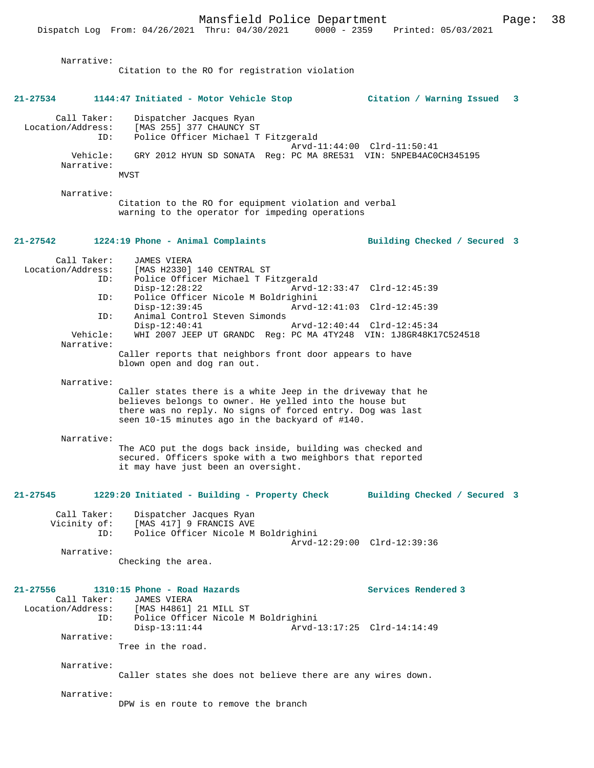| Narrative:                              | Citation to the RO for registration violation                                                                                                                                                                                           |                                                    |    |
|-----------------------------------------|-----------------------------------------------------------------------------------------------------------------------------------------------------------------------------------------------------------------------------------------|----------------------------------------------------|----|
| $21 - 27534$                            | 1144:47 Initiated - Motor Vehicle Stop                                                                                                                                                                                                  | Citation / Warning Issued                          | -3 |
| Call Taker:<br>Location/Address:<br>ID: | Dispatcher Jacques Ryan<br>[MAS 255] 377 CHAUNCY ST<br>Police Officer Michael T Fitzgerald                                                                                                                                              | Arvd-11:44:00 Clrd-11:50:41                        |    |
| Vehicle:<br>Narrative:                  | GRY 2012 HYUN SD SONATA Reg: PC MA 8RE531 VIN: 5NPEB4AC0CH345195<br>MVST                                                                                                                                                                |                                                    |    |
| Narrative:                              | Citation to the RO for equipment violation and verbal<br>warning to the operator for impeding operations                                                                                                                                |                                                    |    |
| 21-27542                                | 1224:19 Phone - Animal Complaints                                                                                                                                                                                                       | Building Checked / Secured 3                       |    |
| Call Taker:<br>Location/Address:<br>ID: | <b>JAMES VIERA</b><br>[MAS H2330] 140 CENTRAL ST<br>Police Officer Michael T Fitzgerald<br>$Disp-12:28:22$                                                                                                                              | Arvd-12:33:47 Clrd-12:45:39                        |    |
| ID:                                     | Police Officer Nicole M Boldrighini<br>$Disp-12:39:45$                                                                                                                                                                                  | Arvd-12:41:03 Clrd-12:45:39                        |    |
| ID:                                     | Animal Control Steven Simonds<br>$Disp-12:40:41$                                                                                                                                                                                        | Arvd-12:40:44 Clrd-12:45:34                        |    |
| Vehicle:<br>Narrative:                  | WHI 2007 JEEP UT GRANDC Req: PC MA 4TY248 VIN: 1J8GR48K17C524518<br>Caller reports that neighbors front door appears to have                                                                                                            |                                                    |    |
| Narrative:                              | blown open and dog ran out.                                                                                                                                                                                                             |                                                    |    |
|                                         | Caller states there is a white Jeep in the driveway that he<br>believes belongs to owner. He yelled into the house but<br>there was no reply. No signs of forced entry. Dog was last<br>seen 10-15 minutes ago in the backyard of #140. |                                                    |    |
| Narrative:                              | The ACO put the dogs back inside, building was checked and<br>secured. Officers spoke with a two meighbors that reported<br>it may have just been an oversight.                                                                         |                                                    |    |
| 21-27545                                | 1229:20 Initiated - Building - Property Check                                                                                                                                                                                           | Building Checked / Secured 3                       |    |
| Call Taker:<br>Vicinity of:<br>ID:      | Dispatcher Jacques Ryan<br>[MAS 417] 9 FRANCIS AVE<br>Police Officer Nicole M Boldrighini                                                                                                                                               | Arvd-12:29:00 Clrd-12:39:36                        |    |
| Narrative:                              | Checking the area.                                                                                                                                                                                                                      |                                                    |    |
| $21 - 27556$<br>Call Taker:<br>ID:      | 1310:15 Phone - Road Hazards<br><b>JAMES VIERA</b><br>Location/Address: [MAS H4861] 21 MILL ST<br>Police Officer Nicole M Boldrighini<br>$Disp-13:11:44$                                                                                | Services Rendered 3<br>Arvd-13:17:25 Clrd-14:14:49 |    |
| Narrative:                              | Tree in the road.                                                                                                                                                                                                                       |                                                    |    |
| Narrative:                              | Caller states she does not believe there are any wires down.                                                                                                                                                                            |                                                    |    |
| Narrative:                              | DPW is en route to remove the branch                                                                                                                                                                                                    |                                                    |    |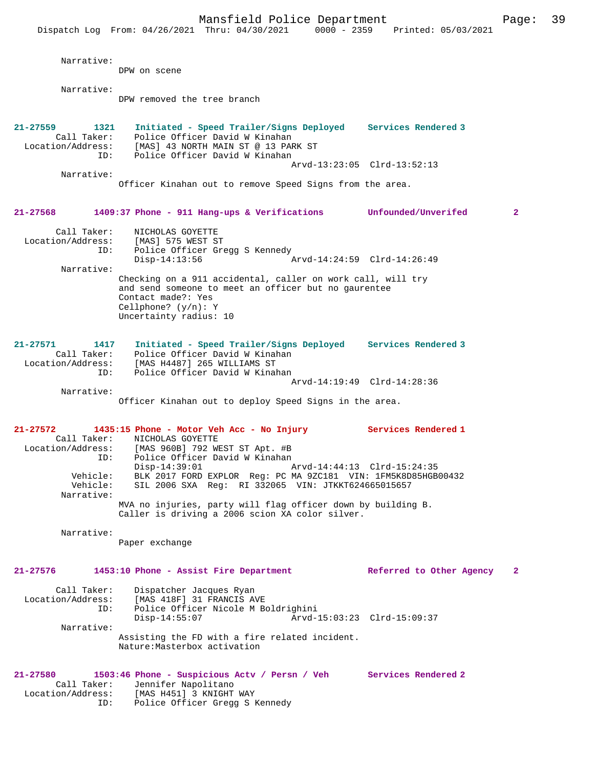|                                                                      |                                                                                         | Mansfield Police Department                                                                                                                                                                                                                                                                                           |                                                    | Page:        | 39 |
|----------------------------------------------------------------------|-----------------------------------------------------------------------------------------|-----------------------------------------------------------------------------------------------------------------------------------------------------------------------------------------------------------------------------------------------------------------------------------------------------------------------|----------------------------------------------------|--------------|----|
|                                                                      |                                                                                         | Dispatch Log From: 04/26/2021 Thru: 04/30/2021 0000 - 2359 Printed: 05/03/2021                                                                                                                                                                                                                                        |                                                    |              |    |
| Narrative:                                                           | DPW on scene                                                                            |                                                                                                                                                                                                                                                                                                                       |                                                    |              |    |
| Narrative:                                                           |                                                                                         |                                                                                                                                                                                                                                                                                                                       |                                                    |              |    |
|                                                                      | DPW removed the tree branch                                                             |                                                                                                                                                                                                                                                                                                                       |                                                    |              |    |
| $21 - 27559$<br>1321<br>Call Taker:<br>ID:                           |                                                                                         | Initiated - Speed Trailer/Signs Deployed Services Rendered 3<br>Police Officer David W Kinahan<br>Location/Address: [MAS] 43 NORTH MAIN ST @ 13 PARK ST<br>Police Officer David W Kinahan                                                                                                                             |                                                    |              |    |
|                                                                      |                                                                                         |                                                                                                                                                                                                                                                                                                                       | Arvd-13:23:05 Clrd-13:52:13                        |              |    |
| Narrative:                                                           |                                                                                         | Officer Kinahan out to remove Speed Signs from the area.                                                                                                                                                                                                                                                              |                                                    |              |    |
| 21-27568                                                             |                                                                                         | 1409:37 Phone - 911 Hang-ups & Verifications Unfounded/Unverifed                                                                                                                                                                                                                                                      |                                                    | $\mathbf{2}$ |    |
| Call Taker:<br>Location/Address:<br>ID:                              | NICHOLAS GOYETTE<br>[MAS] 575 WEST ST                                                   | Police Officer Gregg S Kennedy                                                                                                                                                                                                                                                                                        |                                                    |              |    |
|                                                                      | $Disp-14:13:56$                                                                         |                                                                                                                                                                                                                                                                                                                       | Arvd-14:24:59 Clrd-14:26:49                        |              |    |
| Narrative:                                                           | Contact made?: Yes<br>Cellphone? $(y/n): Y$<br>Uncertainty radius: 10                   | Checking on a 911 accidental, caller on work call, will try<br>and send someone to meet an officer but no gaurentee                                                                                                                                                                                                   |                                                    |              |    |
| 21-27571<br>1417<br>Call Taker:<br>Location/Address:<br>ID:          | [MAS H4487] 265 WILLIAMS ST                                                             | Initiated - Speed Trailer/Signs Deployed Services Rendered 3<br>Police Officer David W Kinahan<br>Police Officer David W Kinahan                                                                                                                                                                                      |                                                    |              |    |
|                                                                      |                                                                                         |                                                                                                                                                                                                                                                                                                                       | Arvd-14:19:49 Clrd-14:28:36                        |              |    |
| Narrative:                                                           |                                                                                         | Officer Kinahan out to deploy Speed Signs in the area.                                                                                                                                                                                                                                                                |                                                    |              |    |
| 21-27572<br>Call Taker:<br>ID:<br>Vehicle:<br>Vehicle:<br>Narrative: | NICHOLAS GOYETTE<br>Location/Address: [MAS 960B] 792 WEST ST Apt. #B<br>$Disp-14:39:01$ | 1435:15 Phone - Motor Veh Acc - No Injury<br>Police Officer David W Kinahan<br>BLK 2017 FORD EXPLOR Reg: PC MA 9ZC181 VIN: 1FM5K8D85HGB00432<br>SIL 2006 SXA Req: RI 332065 VIN: JTKKT624665015657<br>MVA no injuries, party will flag officer down by building B.<br>Caller is driving a 2006 scion XA color silver. | Services Rendered 1<br>Arvd-14:44:13 Clrd-15:24:35 |              |    |
| Narrative:                                                           |                                                                                         |                                                                                                                                                                                                                                                                                                                       |                                                    |              |    |
|                                                                      | Paper exchange                                                                          |                                                                                                                                                                                                                                                                                                                       |                                                    |              |    |
| 21-27576                                                             |                                                                                         | 1453:10 Phone - Assist Fire Department                                                                                                                                                                                                                                                                                | Referred to Other Agency                           | $\mathbf{2}$ |    |
| Call Taker:<br>Location/Address:<br>ID:<br>Narrative:                | Dispatcher Jacques Ryan<br>[MAS 418F] 31 FRANCIS AVE<br>$Disp-14:55:07$                 | Police Officer Nicole M Boldrighini                                                                                                                                                                                                                                                                                   | Arvd-15:03:23 Clrd-15:09:37                        |              |    |
|                                                                      | Nature: Masterbox activation                                                            | Assisting the FD with a fire related incident.                                                                                                                                                                                                                                                                        |                                                    |              |    |
| 21-27580<br>Call Taker:<br>Location/Address:<br>ID:                  | Jennifer Napolitano<br>[MAS H451] 3 KNIGHT WAY                                          | 1503:46 Phone - Suspicious Actv / Persn / Veh Services Rendered 2<br>Police Officer Gregg S Kennedy                                                                                                                                                                                                                   |                                                    |              |    |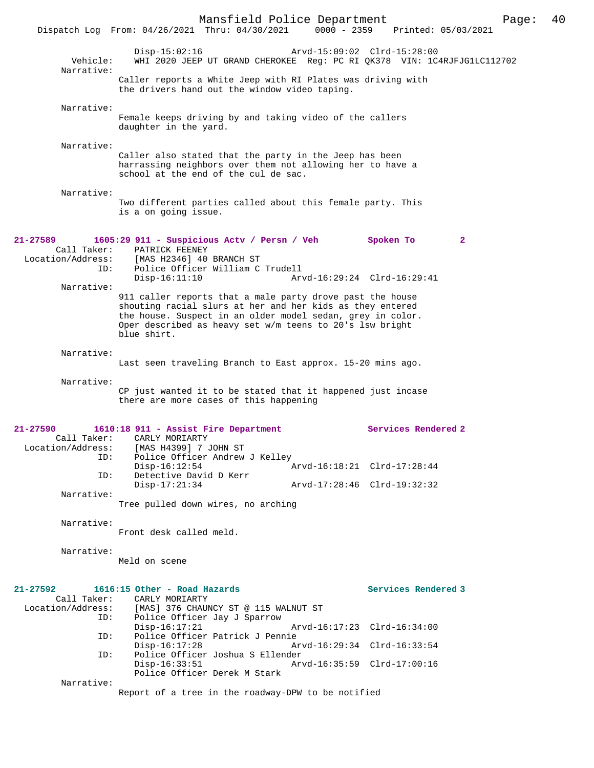|                                                     | Mansfield Police Department<br>Dispatch Log From: 04/26/2021 Thru: 04/30/2021 0000 - 2359 Printed: 05/03/2021                                                                                                                                                                      |                             |                     | Page:        | 40 |
|-----------------------------------------------------|------------------------------------------------------------------------------------------------------------------------------------------------------------------------------------------------------------------------------------------------------------------------------------|-----------------------------|---------------------|--------------|----|
| Vehicle:                                            | $Disp-15:02:16$<br>WHI 2020 JEEP UT GRAND CHEROKEE Reg: PC RI QK378 VIN: 1C4RJFJG1LC112702                                                                                                                                                                                         | Arvd-15:09:02 Clrd-15:28:00 |                     |              |    |
| Narrative:                                          | Caller reports a White Jeep with RI Plates was driving with<br>the drivers hand out the window video taping.                                                                                                                                                                       |                             |                     |              |    |
| Narrative:                                          | Female keeps driving by and taking video of the callers<br>daughter in the yard.                                                                                                                                                                                                   |                             |                     |              |    |
| Narrative:                                          | Caller also stated that the party in the Jeep has been<br>harrassing neighbors over them not allowing her to have a<br>school at the end of the cul de sac.                                                                                                                        |                             |                     |              |    |
| Narrative:                                          | Two different parties called about this female party. This<br>is a on going issue.                                                                                                                                                                                                 |                             |                     |              |    |
| 21-27589<br>Call Taker:<br>Location/Address:<br>ID: | 1605:29 911 - Suspicious Actv / Persn / Veh<br>PATRICK FEENEY<br>[MAS H2346] 40 BRANCH ST<br>Police Officer William C Trudell                                                                                                                                                      |                             | Spoken To           | $\mathbf{2}$ |    |
| Narrative:                                          | $Disp-16:11:10$<br>911 caller reports that a male party drove past the house<br>shouting racial slurs at her and her kids as they entered<br>the house. Suspect in an older model sedan, grey in color.<br>Oper described as heavy set w/m teens to 20's lsw bright<br>blue shirt. | Arvd-16:29:24 Clrd-16:29:41 |                     |              |    |
| Narrative:                                          | Last seen traveling Branch to East approx. 15-20 mins ago.                                                                                                                                                                                                                         |                             |                     |              |    |
| Narrative:                                          | CP just wanted it to be stated that it happened just incase<br>there are more cases of this happening                                                                                                                                                                              |                             |                     |              |    |
| $21 - 27590$<br>Call Taker:<br>ID:                  | 1610:18 911 - Assist Fire Department<br>CARLY MORIARTY<br>Location/Address: [MAS H4399] 7 JOHN ST<br>Police Officer Andrew J Kelley                                                                                                                                                |                             | Services Rendered 2 |              |    |
| ID:                                                 | $Disp-16:12:54$<br>Detective David D Kerr                                                                                                                                                                                                                                          | Arvd-16:18:21 Clrd-17:28:44 |                     |              |    |
| Narrative:                                          | $Disp-17:21:34$<br>Tree pulled down wires, no arching                                                                                                                                                                                                                              | Arvd-17:28:46 Clrd-19:32:32 |                     |              |    |
| Narrative:                                          | Front desk called meld.                                                                                                                                                                                                                                                            |                             |                     |              |    |
| Narrative:                                          | Meld on scene                                                                                                                                                                                                                                                                      |                             |                     |              |    |
| 21-27592<br>Call Taker:<br>Location/Address:        | 1616:15 Other - Road Hazards<br>CARLY MORIARTY<br>[MAS] 376 CHAUNCY ST @ 115 WALNUT ST                                                                                                                                                                                             |                             | Services Rendered 3 |              |    |
| ID:<br>ID:                                          | Police Officer Jay J Sparrow<br>$Disp-16:17:21$<br>Police Officer Patrick J Pennie                                                                                                                                                                                                 | Arvd-16:17:23 Clrd-16:34:00 |                     |              |    |
| ID:                                                 | $Disp-16:17:28$<br>Police Officer Joshua S Ellender                                                                                                                                                                                                                                | Arvd-16:29:34 Clrd-16:33:54 |                     |              |    |
| Narrative:                                          | $Disp-16:33:51$<br>Police Officer Derek M Stark                                                                                                                                                                                                                                    | Arvd-16:35:59 Clrd-17:00:16 |                     |              |    |
|                                                     | Report of a tree in the roadway-DPW to be notified                                                                                                                                                                                                                                 |                             |                     |              |    |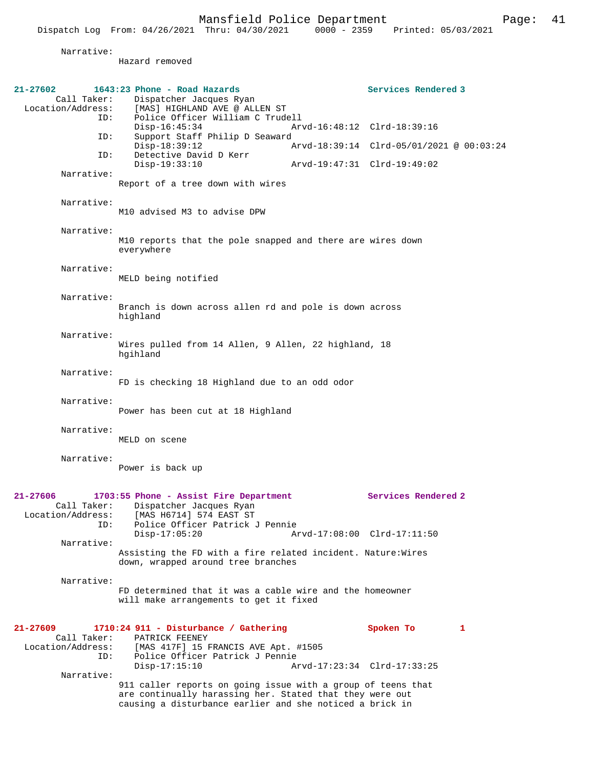|                                  | Dispatch Log From: 04/26/2021 Thru: 04/30/2021                                                                           | $0000 - 2359$               | Printed: 05/03/2021                      |
|----------------------------------|--------------------------------------------------------------------------------------------------------------------------|-----------------------------|------------------------------------------|
| Narrative:                       |                                                                                                                          |                             |                                          |
|                                  | Hazard removed                                                                                                           |                             |                                          |
| 21-27602                         | 1643:23 Phone - Road Hazards                                                                                             |                             | Services Rendered 3                      |
| Call Taker:                      | Dispatcher Jacques Ryan                                                                                                  |                             |                                          |
| Location/Address:                | [MAS] HIGHLAND AVE @ ALLEN ST                                                                                            |                             |                                          |
| ID:                              | Police Officer William C Trudell<br>$Disp-16:45:34$                                                                      | Arvd-16:48:12 Clrd-18:39:16 |                                          |
| ID:                              | Support Staff Philip D Seaward                                                                                           |                             |                                          |
|                                  | $Disp-18:39:12$                                                                                                          |                             | Arvd-18:39:14 Clrd-05/01/2021 @ 00:03:24 |
| ID:                              | Detective David D Kerr                                                                                                   |                             |                                          |
| Narrative:                       | $Disp-19:33:10$                                                                                                          | Arvd-19:47:31 Clrd-19:49:02 |                                          |
|                                  | Report of a tree down with wires                                                                                         |                             |                                          |
|                                  |                                                                                                                          |                             |                                          |
| Narrative:                       |                                                                                                                          |                             |                                          |
|                                  | M10 advised M3 to advise DPW                                                                                             |                             |                                          |
| Narrative:                       |                                                                                                                          |                             |                                          |
|                                  | M10 reports that the pole snapped and there are wires down                                                               |                             |                                          |
|                                  | everywhere                                                                                                               |                             |                                          |
| Narrative:                       |                                                                                                                          |                             |                                          |
|                                  | MELD being notified                                                                                                      |                             |                                          |
|                                  |                                                                                                                          |                             |                                          |
| Narrative:                       |                                                                                                                          |                             |                                          |
|                                  | Branch is down across allen rd and pole is down across                                                                   |                             |                                          |
|                                  | highland                                                                                                                 |                             |                                          |
| Narrative:                       |                                                                                                                          |                             |                                          |
|                                  | Wires pulled from 14 Allen, 9 Allen, 22 highland, 18                                                                     |                             |                                          |
|                                  | hqihland                                                                                                                 |                             |                                          |
| Narrative:                       |                                                                                                                          |                             |                                          |
|                                  | FD is checking 18 Highland due to an odd odor                                                                            |                             |                                          |
|                                  |                                                                                                                          |                             |                                          |
| Narrative:                       |                                                                                                                          |                             |                                          |
|                                  | Power has been cut at 18 Highland                                                                                        |                             |                                          |
| Narrative:                       |                                                                                                                          |                             |                                          |
|                                  | MELD on scene                                                                                                            |                             |                                          |
| Narrative:                       |                                                                                                                          |                             |                                          |
|                                  | Power is back up                                                                                                         |                             |                                          |
|                                  |                                                                                                                          |                             |                                          |
|                                  |                                                                                                                          |                             |                                          |
| 21-27606<br>Call Taker:          | 1703:55 Phone - Assist Fire Department<br>Dispatcher Jacques Ryan                                                        |                             | Services Rendered 2                      |
| Location/Address:                | [MAS H6714] 574 EAST ST                                                                                                  |                             |                                          |
| ID:                              | Police Officer Patrick J Pennie                                                                                          |                             |                                          |
|                                  | $Disp-17:05:20$                                                                                                          | Arvd-17:08:00 Clrd-17:11:50 |                                          |
| Narrative:                       | Assisting the FD with a fire related incident. Nature: Wires                                                             |                             |                                          |
|                                  | down, wrapped around tree branches                                                                                       |                             |                                          |
|                                  |                                                                                                                          |                             |                                          |
| Narrative:                       |                                                                                                                          |                             |                                          |
|                                  | FD determined that it was a cable wire and the homeowner<br>will make arrangements to get it fixed                       |                             |                                          |
|                                  |                                                                                                                          |                             |                                          |
|                                  |                                                                                                                          |                             |                                          |
| 21-27609                         | 1710:24 911 - Disturbance / Gathering                                                                                    |                             | Spoken To<br>1                           |
| Call Taker:<br>Location/Address: | PATRICK FEENEY<br>[MAS 417F] 15 FRANCIS AVE Apt. #1505                                                                   |                             |                                          |
| ID:                              | Police Officer Patrick J Pennie                                                                                          |                             |                                          |
|                                  | $Disp-17:15:10$                                                                                                          | Arvd-17:23:34 Clrd-17:33:25 |                                          |
| Narrative:                       |                                                                                                                          |                             |                                          |
|                                  | 911 caller reports on going issue with a group of teens that<br>are continually harassing her. Stated that they were out |                             |                                          |
|                                  | causing a disturbance earlier and she noticed a brick in                                                                 |                             |                                          |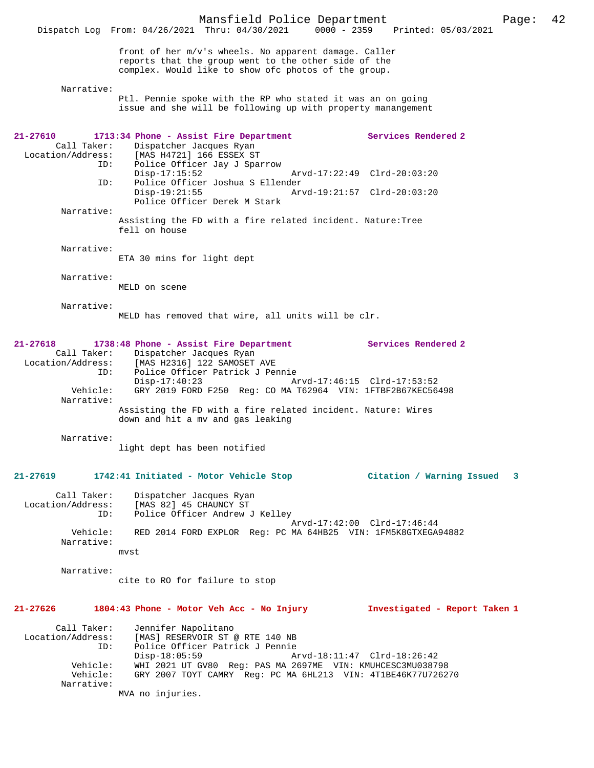Mansfield Police Department Page: 42 Dispatch Log From: 04/26/2021 Thru: 04/30/2021 front of her m/v's wheels. No apparent damage. Caller reports that the group went to the other side of the complex. Would like to show ofc photos of the group. Narrative: Ptl. Pennie spoke with the RP who stated it was an on going issue and she will be following up with property manangement **21-27610 1713:34 Phone - Assist Fire Department Services Rendered 2**  Call Taker: Dispatcher Jacques Ryan<br>Location/Address: [MAS H4721] 166 ESSEX ST ess: [MAS H4721] 166 ESSEX ST<br>ID: Police Officer Jav J Spaı Police Officer Jay J Sparrow<br>Disp-17:15:52 Arvd-17:22:49 Clrd-20:03:20 ID: Police Officer Joshua S Ellender Disp-19:21:55 Arvd-19:21:57 Clrd-20:03:20 Police Officer Derek M Stark Narrative: Assisting the FD with a fire related incident. Nature:Tree fell on house Narrative: ETA 30 mins for light dept Narrative: MELD on scene Narrative: MELD has removed that wire, all units will be clr. **21-27618 1738:48 Phone - Assist Fire Department Services Rendered 2**  Call Taker: Dispatcher Jacques Ryan<br>Location/Address: [MAS H2316] 122 SAMOSET [MAS H2316] 122 SAMOSET AVE ID: Police Officer Patrick J Pennie Disp-17:40:23 Arvd-17:46:15 Clrd-17:53:52 Vehicle: GRY 2019 FORD F250 Reg: CO MA T62964 VIN: 1FTBF2B67KEC56498 Narrative: Assisting the FD with a fire related incident. Nature: Wires down and hit a mv and gas leaking Narrative: light dept has been notified **21-27619 1742:41 Initiated - Motor Vehicle Stop Citation / Warning Issued 3** Call Taker: Dispatcher Jacques Ryan Location/Address: [MAS 82] 45 CHAUNCY ST ID: Police Officer Andrew J Kelley Arvd-17:42:00 Clrd-17:46:44<br>Vehicle: RED 2014 FORD EXPLOR Reg: PC MA 64HB25 VIN: 1EM5K8GTXEGA RED 2014 FORD EXPLOR Reg: PC MA 64HB25 VIN: 1FM5K8GTXEGA94882 Narrative: mvst Narrative: cite to RO for failure to stop **21-27626 1804:43 Phone - Motor Veh Acc - No Injury Investigated - Report Taken 1** Call Taker: Jennifer Napolitano<br>Location/Address: [MAS] RESERVOIR ST ( [MAS] RESERVOIR ST @ RTE 140 NB ID: Police Officer Patrick J Pennie Disp-18:05:59 <br>Vehicle: WHI 2021 UT GV80 Reg: PAS MA 2697ME VIN: KMUHCESC3MU03879 WHI 2021 UT GV80 Reg: PAS MA 2697ME VIN: KMUHCESC3MU038798 Vehicle: GRY 2007 TOYT CAMRY Reg: PC MA 6HL213 VIN: 4T1BE46K77U726270 Narrative: MVA no injuries.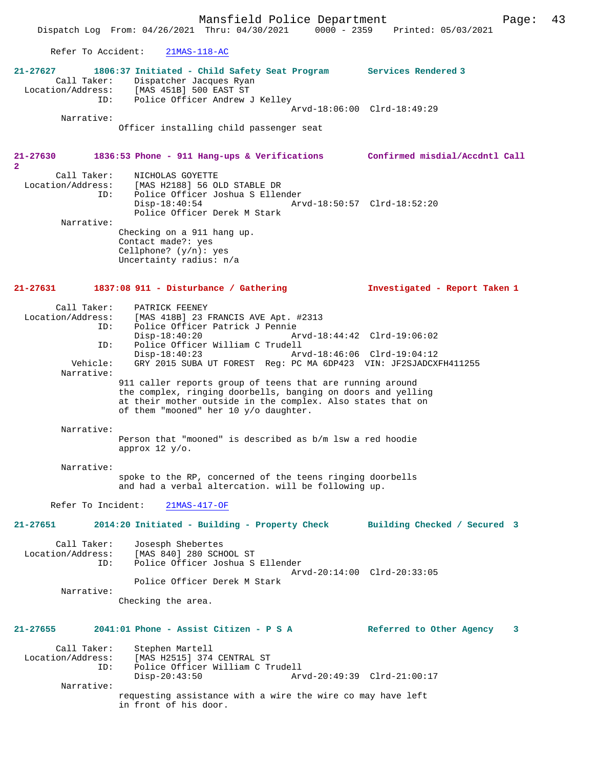Dispatch Log From: 04/26/2021 Thru: 04/30/2021 0000 - 2359 Printed: 05/03/2021 Refer To Accident: 21MAS-118-AC **21-27627 1806:37 Initiated - Child Safety Seat Program Services Rendered 3**  Call Taker: Dispatcher Jacques Ryan Location/Address: [MAS 451B] 500 EAST ST ID: Police Officer Andrew J Kelley Arvd-18:06:00 Clrd-18:49:29 Narrative: Officer installing child passenger seat **21-27630 1836:53 Phone - 911 Hang-ups & Verifications Confirmed misdial/Accdntl Call 2**  Call Taker: NICHOLAS GOYETTE<br>Location/Address: [MAS H2188] 56 OI متعدد المصدر الموجوعة : [MAS H2188] 56 OLD STABLE DR<br>ID: Police Officer Joshua S Eller Police Officer Joshua S Ellender<br>Disp-18:40:54 Ar Disp-18:40:54 Arvd-18:50:57 Clrd-18:52:20 Police Officer Derek M Stark Narrative: Checking on a 911 hang up. Contact made?: yes Cellphone? (y/n): yes Uncertainty radius: n/a **21-27631 1837:08 911 - Disturbance / Gathering Investigated - Report Taken 1** Call Taker: PATRICK FEENEY<br>Location/Address: [MAS 418B] 23 B ess: [MAS 418B] 23 FRANCIS AVE Apt. #2313<br>ID: Police Officer Patrick J Pennie ID: Police Officer Patrick J Pennie Disp-18:40:20 Arvd-18:44:42 Clrd-19:06:02 ID: Police Officer William C Trudell Disp-18:40:23 Arvd-18:46:06 Clrd-19:04:12 GRY 2015 SUBA UT FOREST Reg: PC MA 6DP423 VIN: JF2SJADCXFH411255 Narrative: 911 caller reports group of teens that are running around the complex, ringing doorbells, banging on doors and yelling at their mother outside in the complex. Also states that on of them "mooned" her 10 y/o daughter. Narrative: Person that "mooned" is described as b/m lsw a red hoodie approx 12 y/o. Narrative: spoke to the RP, concerned of the teens ringing doorbells and had a verbal altercation. will be following up. Refer To Incident: 21MAS-417-OF **21-27651 2014:20 Initiated - Building - Property Check Building Checked / Secured 3** Call Taker: Josesph Shebertes Location/Address: [MAS 840] 280 SCHOOL ST ID: Police Officer Joshua S Ellender Arvd-20:14:00 Clrd-20:33:05 Police Officer Derek M Stark Narrative: Checking the area. **21-27655 2041:01 Phone - Assist Citizen - P S A Referred to Other Agency 3** Call Taker: Stephen Martell<br>Location/Address: [MAS H2515] 374 [MAS H2515] 374 CENTRAL ST ID: Police Officer William C Trudell Disp-20:43:50 Arvd-20:49:39 Clrd-21:00:17 Narrative:

> requesting assistance with a wire the wire co may have left in front of his door.

### Mansfield Police Department Fage: 43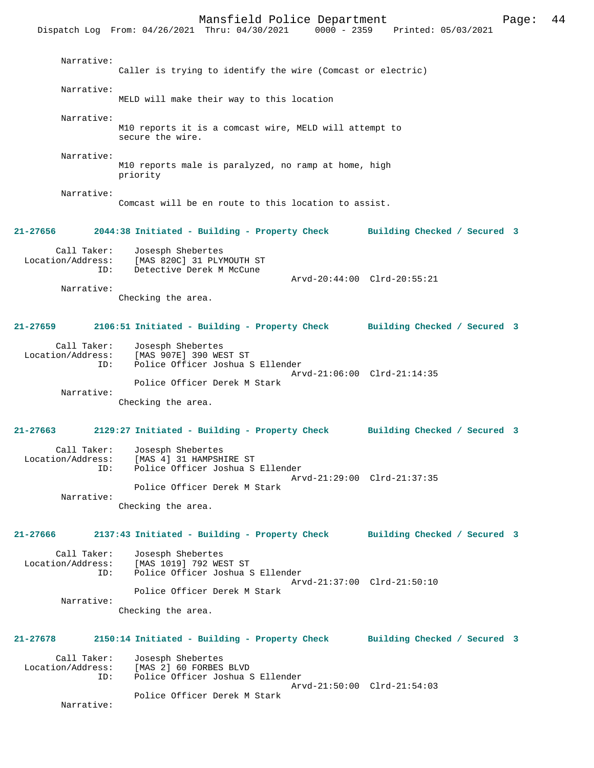Mansfield Police Department Page: 44 Dispatch Log From: 04/26/2021 Thru: 04/30/2021 Narrative: Caller is trying to identify the wire (Comcast or electric) Narrative: MELD will make their way to this location Narrative: M10 reports it is a comcast wire, MELD will attempt to secure the wire. Narrative: M10 reports male is paralyzed, no ramp at home, high priority Narrative: Comcast will be en route to this location to assist. **21-27656 2044:38 Initiated - Building - Property Check Building Checked / Secured 3** Call Taker: Josesph Shebertes<br>Location/Address: [MAS 820C] 31 PLY ess: [MAS 820C] 31 PLYMOUTH ST<br>ID: Detective Derek M McCune Detective Derek M McCune Arvd-20:44:00 Clrd-20:55:21 Narrative: Checking the area. **21-27659 2106:51 Initiated - Building - Property Check Building Checked / Secured 3** Call Taker: Josesph Shebertes Location/Address: [MAS 907E] 390 WEST ST Police Officer Joshua S Ellender Arvd-21:06:00 Clrd-21:14:35 Police Officer Derek M Stark Narrative: Checking the area. **21-27663 2129:27 Initiated - Building - Property Check Building Checked / Secured 3** Call Taker: Josesph Shebertes Location/Address: [MAS 4] 31 HAMPSHIRE ST Police Officer Joshua S Ellender Arvd-21:29:00 Clrd-21:37:35 Police Officer Derek M Stark Narrative: Checking the area. **21-27666 2137:43 Initiated - Building - Property Check Building Checked / Secured 3** Call Taker: Josesph Shebertes<br>Location/Address: [MAS 1019] 792 WE [MAS 1019] 792 WEST ST ID: Police Officer Joshua S Ellender Arvd-21:37:00 Clrd-21:50:10 Police Officer Derek M Stark Narrative: Checking the area.

Call Taker: Josesph Shebertes<br>Location/Address: [MAS 2] 60 FORBES [MAS 2] 60 FORBES BLVD ID: Police Officer Joshua S Ellender

**21-27678 2150:14 Initiated - Building - Property Check Building Checked / Secured 3**

 Arvd-21:50:00 Clrd-21:54:03 Police Officer Derek M Stark

Narrative: